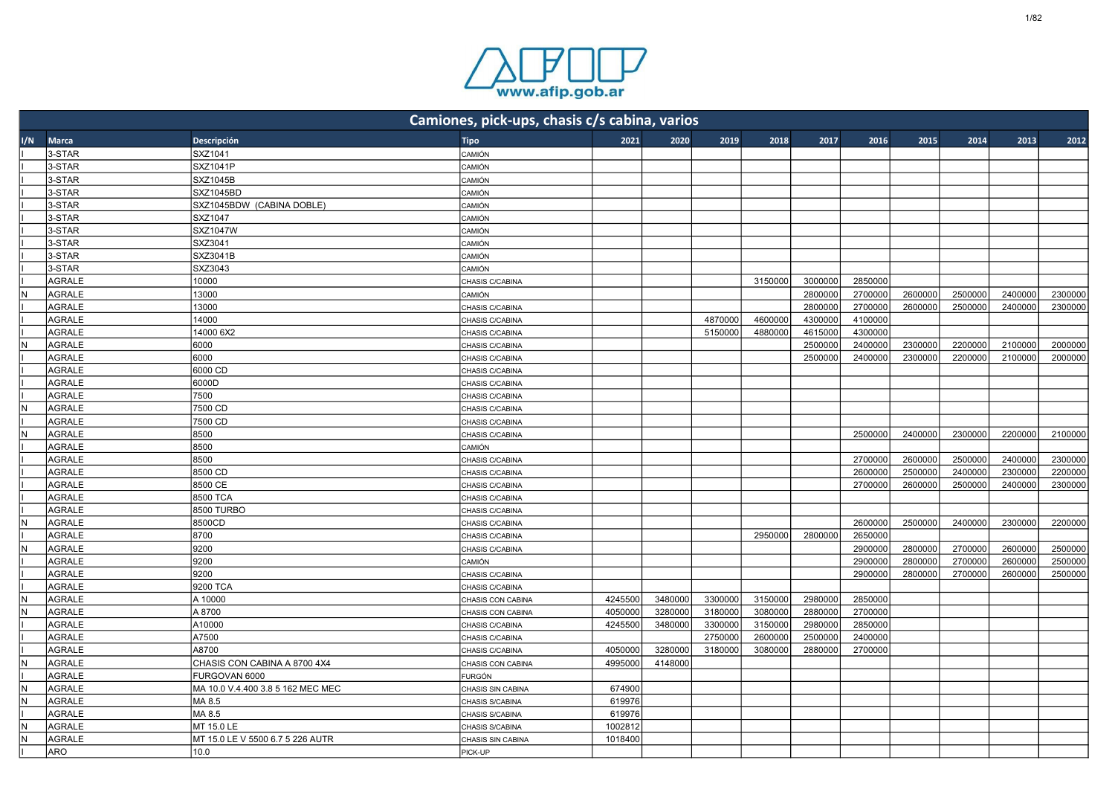

|     |               |                                   | Camiones, pick-ups, chasis c/s cabina, varios |         |         |         |         |         |         |         |         |         |         |
|-----|---------------|-----------------------------------|-----------------------------------------------|---------|---------|---------|---------|---------|---------|---------|---------|---------|---------|
| I/N | <b>Marca</b>  | Descripción                       | <b>Tipo</b>                                   | 2021    | 2020    | 2019    | 2018    | 2017    | 2016    | 2015    | 2014    | 2013    | 2012    |
|     | 3-STAR        | SXZ1041                           | CAMIÓN                                        |         |         |         |         |         |         |         |         |         |         |
|     | 3-STAR        | SXZ1041P                          | <b>CAMIÓN</b>                                 |         |         |         |         |         |         |         |         |         |         |
|     | 3-STAR        | SXZ1045B                          | CAMIÓN                                        |         |         |         |         |         |         |         |         |         |         |
|     | 3-STAR        | SXZ1045BD                         | CAMIÓN                                        |         |         |         |         |         |         |         |         |         |         |
|     | 3-STAR        | SXZ1045BDW (CABINA DOBLE)         | CAMIÓN                                        |         |         |         |         |         |         |         |         |         |         |
|     | 3-STAR        | SXZ1047                           | CAMIÓN                                        |         |         |         |         |         |         |         |         |         |         |
|     | 3-STAR        | SXZ1047W                          | CAMIÓN                                        |         |         |         |         |         |         |         |         |         |         |
|     | 3-STAR        | SXZ3041                           | CAMIÓN                                        |         |         |         |         |         |         |         |         |         |         |
|     | 3-STAR        | SXZ3041B                          | <b>CAMIÓN</b>                                 |         |         |         |         |         |         |         |         |         |         |
|     | 3-STAR        | SXZ3043                           | CAMIÓN                                        |         |         |         |         |         |         |         |         |         |         |
|     | AGRALE        | 10000                             | CHASIS C/CABINA                               |         |         |         | 3150000 | 3000000 | 2850000 |         |         |         |         |
|     | AGRALE        | 13000                             | CAMIÓN                                        |         |         |         |         | 2800000 | 2700000 | 2600000 | 2500000 | 2400000 | 2300000 |
|     | AGRALE        | 13000                             | CHASIS C/CABINA                               |         |         |         |         | 2800000 | 2700000 | 2600000 | 2500000 | 2400000 | 2300000 |
|     | <b>AGRALE</b> | 14000                             | CHASIS C/CABINA                               |         |         | 4870000 | 4600000 | 4300000 | 4100000 |         |         |         |         |
|     | AGRALE        | 14000 6X2                         | CHASIS C/CABINA                               |         |         | 5150000 | 4880000 | 4615000 | 4300000 |         |         |         |         |
|     | AGRALE        | 6000                              | CHASIS C/CABINA                               |         |         |         |         | 2500000 | 2400000 | 2300000 | 2200000 | 2100000 | 2000000 |
|     | AGRALE        | 6000                              | CHASIS C/CABINA                               |         |         |         |         | 2500000 | 2400000 | 2300000 | 2200000 | 2100000 | 2000000 |
|     | AGRALE        | 6000 CD                           | CHASIS C/CABINA                               |         |         |         |         |         |         |         |         |         |         |
|     | AGRALE        | 6000D                             | CHASIS C/CABINA                               |         |         |         |         |         |         |         |         |         |         |
|     | AGRALE        | 7500                              | CHASIS C/CABINA                               |         |         |         |         |         |         |         |         |         |         |
| N   | AGRALE        | 7500 CD                           | CHASIS C/CABINA                               |         |         |         |         |         |         |         |         |         |         |
|     | AGRALE        | 7500 CD                           | CHASIS C/CABINA                               |         |         |         |         |         |         |         |         |         |         |
|     | AGRALE        | 8500                              | CHASIS C/CABINA                               |         |         |         |         |         | 2500000 | 2400000 | 2300000 | 2200000 | 2100000 |
|     | AGRALE        | 8500                              | CAMIÓN                                        |         |         |         |         |         |         |         |         |         |         |
|     | AGRALE        | 8500                              | CHASIS C/CABINA                               |         |         |         |         |         | 2700000 | 2600000 | 2500000 | 2400000 | 2300000 |
|     | AGRALE        | 8500 CD                           | CHASIS C/CABINA                               |         |         |         |         |         | 2600000 | 2500000 | 2400000 | 2300000 | 2200000 |
|     | AGRALE        | 8500 CE                           | CHASIS C/CABINA                               |         |         |         |         |         | 2700000 | 2600000 | 2500000 | 2400000 | 2300000 |
|     | AGRALE        | 8500 TCA                          | CHASIS C/CABINA                               |         |         |         |         |         |         |         |         |         |         |
|     | AGRALE        | 8500 TURBO                        | CHASIS C/CABINA                               |         |         |         |         |         |         |         |         |         |         |
|     | AGRALE        | 8500CD                            | CHASIS C/CABINA                               |         |         |         |         |         | 2600000 | 2500000 | 2400000 | 2300000 | 2200000 |
|     | AGRALE        | 8700                              | CHASIS C/CABINA                               |         |         |         | 2950000 | 2800000 | 2650000 |         |         |         |         |
| N   | AGRALE        | 9200                              | CHASIS C/CABINA                               |         |         |         |         |         | 2900000 | 2800000 | 2700000 | 2600000 | 2500000 |
|     | AGRALE        | 9200                              | CAMIÓN                                        |         |         |         |         |         | 2900000 | 2800000 | 2700000 | 2600000 | 2500000 |
|     | AGRALE        | 9200                              | CHASIS C/CABINA                               |         |         |         |         |         | 2900000 | 2800000 | 2700000 | 2600000 | 2500000 |
|     | AGRALE        | 9200 TCA                          | CHASIS C/CABINA                               |         |         |         |         |         |         |         |         |         |         |
| N   | AGRALE        | A 10000                           | CHASIS CON CABINA                             | 4245500 | 3480000 | 3300000 | 3150000 | 2980000 | 2850000 |         |         |         |         |
|     | AGRALE        | A 8700                            | CHASIS CON CABINA                             | 4050000 | 3280000 | 3180000 | 3080000 | 2880000 | 2700000 |         |         |         |         |
|     | AGRALE        | A10000                            | CHASIS C/CABINA                               | 4245500 | 3480000 | 3300000 | 3150000 | 2980000 | 2850000 |         |         |         |         |
|     | AGRALE        | A7500                             | CHASIS C/CABINA                               |         |         | 2750000 | 2600000 | 2500000 | 2400000 |         |         |         |         |
|     | AGRALE        | A8700                             | CHASIS C/CABINA                               | 4050000 | 3280000 | 3180000 | 3080000 | 2880000 | 2700000 |         |         |         |         |
|     | AGRALE        | CHASIS CON CABINA A 8700 4X4      | CHASIS CON CABINA                             | 4995000 | 4148000 |         |         |         |         |         |         |         |         |
|     | AGRALE        | FURGOVAN 6000                     | <b>FURGÓN</b>                                 |         |         |         |         |         |         |         |         |         |         |
| N   | AGRALE        | MA 10.0 V.4.400 3.8 5 162 MEC MEC |                                               | 674900  |         |         |         |         |         |         |         |         |         |
|     | AGRALE        | MA 8.5                            | CHASIS SIN CABINA                             | 619976  |         |         |         |         |         |         |         |         |         |
|     | <b>AGRALE</b> | MA 8.5                            | <b>CHASIS S/CABINA</b><br>CHASIS S/CABINA     | 619976  |         |         |         |         |         |         |         |         |         |
|     | AGRALE        | MT 15.0 LE                        |                                               | 1002812 |         |         |         |         |         |         |         |         |         |
| N   | AGRALE        | MT 15.0 LE V 5500 6.7 5 226 AUTR  | CHASIS S/CABINA                               | 1018400 |         |         |         |         |         |         |         |         |         |
|     |               | 10.0                              | <b>CHASIS SIN CABINA</b>                      |         |         |         |         |         |         |         |         |         |         |
|     | ARO           |                                   | PICK-UP                                       |         |         |         |         |         |         |         |         |         |         |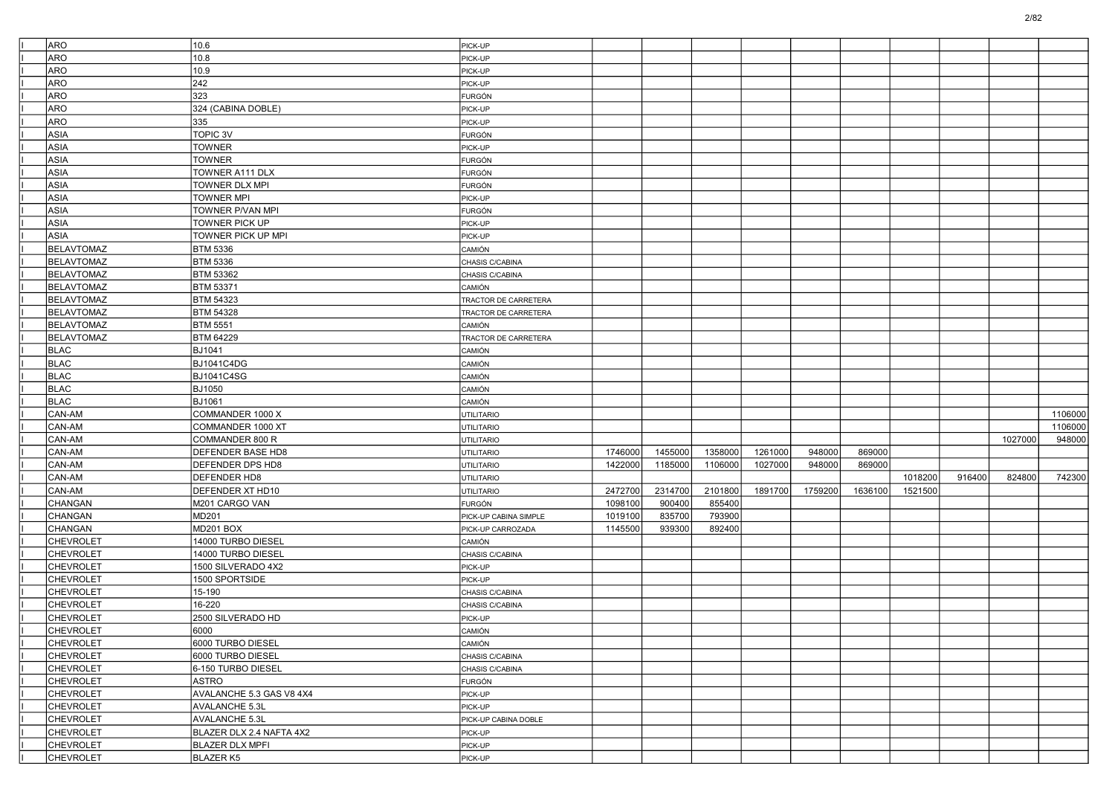| <b>ARO</b>        | 10.6                     | PICK-UP               |         |         |         |         |         |         |         |        |         |         |
|-------------------|--------------------------|-----------------------|---------|---------|---------|---------|---------|---------|---------|--------|---------|---------|
| <b>ARO</b>        | 10.8                     | PICK-UP               |         |         |         |         |         |         |         |        |         |         |
| ARO               | 10.9                     | PICK-UP               |         |         |         |         |         |         |         |        |         |         |
| ARO               | 242                      | PICK-UP               |         |         |         |         |         |         |         |        |         |         |
| <b>ARO</b>        | 323                      | FURGÓN                |         |         |         |         |         |         |         |        |         |         |
| ARO               | 324 (CABINA DOBLE)       | PICK-UP               |         |         |         |         |         |         |         |        |         |         |
| ARO               | 335                      | PICK-UP               |         |         |         |         |         |         |         |        |         |         |
| ASIA              | TOPIC 3V                 | FURGÓN                |         |         |         |         |         |         |         |        |         |         |
| <b>ASIA</b>       | <b>TOWNER</b>            | PICK-UP               |         |         |         |         |         |         |         |        |         |         |
| <b>ASIA</b>       | <b>TOWNER</b>            | FURGÓN                |         |         |         |         |         |         |         |        |         |         |
| ASIA              | TOWNER A111 DLX          | <b>FURGÓN</b>         |         |         |         |         |         |         |         |        |         |         |
| <b>ASIA</b>       | TOWNER DLX MPI           | FURGÓN                |         |         |         |         |         |         |         |        |         |         |
| ASIA              | <b>TOWNER MPI</b>        | PICK-UP               |         |         |         |         |         |         |         |        |         |         |
| <b>ASIA</b>       | TOWNER P/VAN MPI         | FURGÓN                |         |         |         |         |         |         |         |        |         |         |
| <b>ASIA</b>       | <b>TOWNER PICK UP</b>    | PICK-UP               |         |         |         |         |         |         |         |        |         |         |
| ASIA              | TOWNER PICK UP MPI       | PICK-UP               |         |         |         |         |         |         |         |        |         |         |
| <b>BELAVTOMAZ</b> | <b>BTM 5336</b>          | CAMIÓN                |         |         |         |         |         |         |         |        |         |         |
| <b>BELAVTOMAZ</b> | <b>BTM 5336</b>          | CHASIS C/CABINA       |         |         |         |         |         |         |         |        |         |         |
| <b>BELAVTOMAZ</b> | <b>BTM 53362</b>         | CHASIS C/CABINA       |         |         |         |         |         |         |         |        |         |         |
| <b>BELAVTOMAZ</b> | <b>BTM 53371</b>         | CAMIÓN                |         |         |         |         |         |         |         |        |         |         |
| <b>BELAVTOMAZ</b> | <b>BTM 54323</b>         | TRACTOR DE CARRETERA  |         |         |         |         |         |         |         |        |         |         |
| <b>BELAVTOMAZ</b> | <b>BTM 54328</b>         | TRACTOR DE CARRETERA  |         |         |         |         |         |         |         |        |         |         |
| <b>BELAVTOMAZ</b> | <b>BTM 5551</b>          | CAMIÓN                |         |         |         |         |         |         |         |        |         |         |
| <b>BELAVTOMAZ</b> | <b>BTM 64229</b>         | TRACTOR DE CARRETERA  |         |         |         |         |         |         |         |        |         |         |
| <b>BLAC</b>       | <b>BJ1041</b>            | CAMIÓN                |         |         |         |         |         |         |         |        |         |         |
| <b>BLAC</b>       | <b>BJ1041C4DG</b>        | CAMIÓN                |         |         |         |         |         |         |         |        |         |         |
| <b>BLAC</b>       | <b>BJ1041C4SG</b>        | CAMIÓN                |         |         |         |         |         |         |         |        |         |         |
| <b>BLAC</b>       | <b>BJ1050</b>            | <b>CAMIÓN</b>         |         |         |         |         |         |         |         |        |         |         |
| <b>BLAC</b>       | <b>BJ1061</b>            | <b>CAMIÓN</b>         |         |         |         |         |         |         |         |        |         |         |
| CAN-AM            | COMMANDER 1000 X         | <b>UTILITARIO</b>     |         |         |         |         |         |         |         |        |         | 1106000 |
| CAN-AM            | COMMANDER 1000 XT        | <b>UTILITARIO</b>     |         |         |         |         |         |         |         |        |         | 1106000 |
| CAN-AM            | COMMANDER 800 R          | UTILITARIO            |         |         |         |         |         |         |         |        | 1027000 | 948000  |
| CAN-AM            | <b>DEFENDER BASE HD8</b> | <b>UTILITARIO</b>     | 1746000 | 1455000 | 1358000 | 1261000 | 948000  | 869000  |         |        |         |         |
| CAN-AM            | <b>DEFENDER DPS HD8</b>  | <b>UTILITARIO</b>     | 1422000 | 1185000 | 1106000 | 1027000 | 948000  | 869000  |         |        |         |         |
| CAN-AM            | <b>DEFENDER HD8</b>      | <b>UTILITARIO</b>     |         |         |         |         |         |         | 1018200 | 916400 | 824800  | 742300  |
| CAN-AM            | DEFENDER XT HD10         | <b>UTILITARIO</b>     | 2472700 | 2314700 | 2101800 | 1891700 | 1759200 | 1636100 | 1521500 |        |         |         |
| CHANGAN           | M201 CARGO VAN           | FURGÓN                | 1098100 | 900400  | 855400  |         |         |         |         |        |         |         |
| <b>CHANGAN</b>    | MD201                    | PICK-UP CABINA SIMPLE | 1019100 | 835700  | 793900  |         |         |         |         |        |         |         |
| CHANGAN           | MD201 BOX                | PICK-UP CARROZADA     | 1145500 | 939300  | 892400  |         |         |         |         |        |         |         |
| <b>CHEVROLET</b>  | 14000 TURBO DIESEL       | <b>CAMIÓN</b>         |         |         |         |         |         |         |         |        |         |         |
| CHEVROLET         | 14000 TURBO DIESEL       | CHASIS C/CABINA       |         |         |         |         |         |         |         |        |         |         |
| <b>CHEVROLET</b>  | 1500 SILVERADO 4X2       | PICK-UP               |         |         |         |         |         |         |         |        |         |         |
| <b>CHEVROLET</b>  | 1500 SPORTSIDE           | PICK-UP               |         |         |         |         |         |         |         |        |         |         |
| <b>CHEVROLET</b>  | 15-190                   | CHASIS C/CABINA       |         |         |         |         |         |         |         |        |         |         |
| <b>CHEVROLET</b>  | 16-220                   | CHASIS C/CABINA       |         |         |         |         |         |         |         |        |         |         |
| <b>CHEVROLET</b>  | 2500 SILVERADO HD        | PICK-UP               |         |         |         |         |         |         |         |        |         |         |
| <b>CHEVROLET</b>  | 6000                     | CAMION                |         |         |         |         |         |         |         |        |         |         |
| <b>CHEVROLET</b>  | 6000 TURBO DIESEL        | CAMIÓN                |         |         |         |         |         |         |         |        |         |         |
| <b>CHEVROLET</b>  | 6000 TURBO DIESEL        | CHASIS C/CABINA       |         |         |         |         |         |         |         |        |         |         |
| <b>CHEVROLET</b>  | 6-150 TURBO DIESEL       | CHASIS C/CABINA       |         |         |         |         |         |         |         |        |         |         |
| <b>CHEVROLET</b>  | <b>ASTRO</b>             | <b>FURGÓN</b>         |         |         |         |         |         |         |         |        |         |         |
| <b>CHEVROLET</b>  | AVALANCHE 5.3 GAS V8 4X4 | PICK-UP               |         |         |         |         |         |         |         |        |         |         |
| <b>CHEVROLET</b>  | AVALANCHE 5.3L           | PICK-UP               |         |         |         |         |         |         |         |        |         |         |
| <b>CHEVROLET</b>  | AVALANCHE 5.3L           | PICK-UP CABINA DOBLE  |         |         |         |         |         |         |         |        |         |         |
| <b>CHEVROLET</b>  | BLAZER DLX 2.4 NAFTA 4X2 | PICK-UP               |         |         |         |         |         |         |         |        |         |         |
| <b>CHEVROLET</b>  | <b>BLAZER DLX MPFI</b>   | PICK-UP               |         |         |         |         |         |         |         |        |         |         |
| <b>CHEVROLET</b>  | BLAZER K5                | PICK-UP               |         |         |         |         |         |         |         |        |         |         |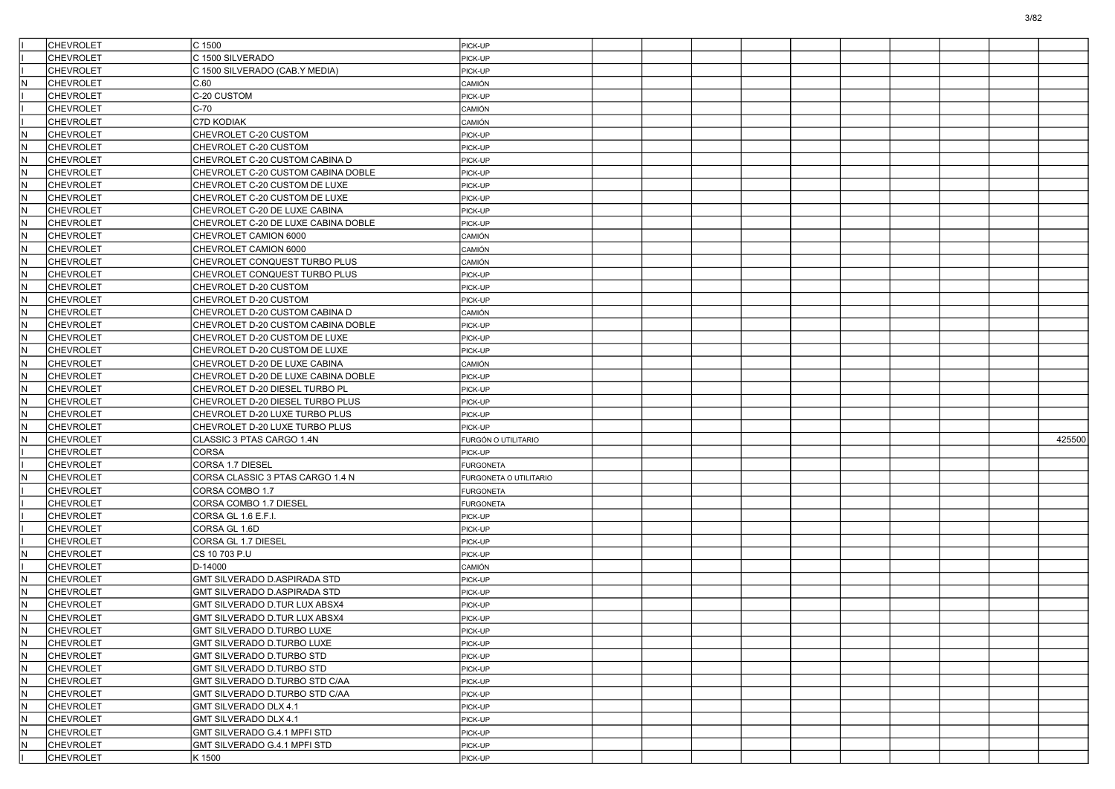|     | <b>CHEVROLET</b> | C 1500                               | PICK-UP                |  |  |  |  |        |
|-----|------------------|--------------------------------------|------------------------|--|--|--|--|--------|
|     | <b>CHEVROLET</b> | C 1500 SILVERADO                     | PICK-UP                |  |  |  |  |        |
|     | <b>CHEVROLET</b> | C 1500 SILVERADO (CAB.Y MEDIA)       | PICK-UP                |  |  |  |  |        |
| IN. | CHEVROLET        | C.60                                 | CAMIÓN                 |  |  |  |  |        |
|     | CHEVROLET        | C-20 CUSTOM                          | PICK-UP                |  |  |  |  |        |
|     | <b>CHEVROLET</b> | C-70                                 | CAMIÓN                 |  |  |  |  |        |
|     | <b>CHEVROLET</b> | C7D KODIAK                           | CAMIÓN                 |  |  |  |  |        |
| IN. | <b>CHEVROLET</b> | CHEVROLET C-20 CUSTOM                | PICK-UP                |  |  |  |  |        |
| IN. | <b>CHEVROLET</b> | CHEVROLET C-20 CUSTOM                | PICK-UP                |  |  |  |  |        |
| lN. | <b>CHEVROLET</b> | CHEVROLET C-20 CUSTOM CABINA D       | PICK-UP                |  |  |  |  |        |
| IN. | <b>CHEVROLET</b> | CHEVROLET C-20 CUSTOM CABINA DOBLE   | PICK-UP                |  |  |  |  |        |
| IN. | <b>CHEVROLET</b> | CHEVROLET C-20 CUSTOM DE LUXE        | PICK-UP                |  |  |  |  |        |
| IN. | <b>CHEVROLET</b> | CHEVROLET C-20 CUSTOM DE LUXE        | PICK-UP                |  |  |  |  |        |
| IN. | <b>CHEVROLET</b> | CHEVROLET C-20 DE LUXE CABINA        | PICK-UP                |  |  |  |  |        |
| lN. | CHEVROLET        | CHEVROLET C-20 DE LUXE CABINA DOBLE  | PICK-UP                |  |  |  |  |        |
| IN. | <b>CHEVROLET</b> | CHEVROLET CAMION 6000                | CAMIÓN                 |  |  |  |  |        |
| IN. | <b>CHEVROLET</b> | CHEVROLET CAMION 6000                | CAMIÓN                 |  |  |  |  |        |
| IN. | <b>CHEVROLET</b> | CHEVROLET CONQUEST TURBO PLUS        | CAMIÓN                 |  |  |  |  |        |
| IN. | <b>CHEVROLET</b> | CHEVROLET CONQUEST TURBO PLUS        | PICK-UP                |  |  |  |  |        |
| lN. | CHEVROLET        | CHEVROLET D-20 CUSTOM                | PICK-UP                |  |  |  |  |        |
| IN. | <b>CHEVROLET</b> | CHEVROLET D-20 CUSTOM                | PICK-UP                |  |  |  |  |        |
| IN. | <b>CHEVROLET</b> | CHEVROLET D-20 CUSTOM CABINA D       | CAMIÓN                 |  |  |  |  |        |
| IN. | <b>CHEVROLET</b> | CHEVROLET D-20 CUSTOM CABINA DOBLE   | PICK-UP                |  |  |  |  |        |
| IN. | <b>CHEVROLET</b> | CHEVROLET D-20 CUSTOM DE LUXE        | PICK-UP                |  |  |  |  |        |
| lN. | <b>CHEVROLET</b> | CHEVROLET D-20 CUSTOM DE LUXE        |                        |  |  |  |  |        |
| IN. | <b>CHEVROLET</b> | CHEVROLET D-20 DE LUXE CABINA        | PICK-UP                |  |  |  |  |        |
|     |                  |                                      | CAMIÓN                 |  |  |  |  |        |
| IN. | <b>CHEVROLET</b> | CHEVROLET D-20 DE LUXE CABINA DOBLE  | PICK-UP                |  |  |  |  |        |
| IN. | <b>CHEVROLET</b> | CHEVROLET D-20 DIESEL TURBO PL       | PICK-UP                |  |  |  |  |        |
| IN. | <b>CHEVROLET</b> | CHEVROLET D-20 DIESEL TURBO PLUS     | PICK-UP                |  |  |  |  |        |
|     |                  |                                      |                        |  |  |  |  |        |
| lN. | <b>CHEVROLET</b> | CHEVROLET D-20 LUXE TURBO PLUS       | PICK-UP                |  |  |  |  |        |
| IN. | <b>CHEVROLET</b> | CHEVROLET D-20 LUXE TURBO PLUS       | PICK-UP                |  |  |  |  |        |
| IN. | <b>CHEVROLET</b> | CLASSIC 3 PTAS CARGO 1.4N            | FURGÓN O UTILITARIO    |  |  |  |  | 425500 |
|     | <b>CHEVROLET</b> | CORSA                                | PICK-UP                |  |  |  |  |        |
|     | <b>CHEVROLET</b> | CORSA 1.7 DIESEL                     | <b>FURGONETA</b>       |  |  |  |  |        |
| N   | <b>CHEVROLET</b> | CORSA CLASSIC 3 PTAS CARGO 1.4 N     | FURGONETA O UTILITARIO |  |  |  |  |        |
|     | <b>CHEVROLET</b> | CORSA COMBO 1.7                      | <b>FURGONETA</b>       |  |  |  |  |        |
|     | <b>CHEVROLET</b> | CORSA COMBO 1.7 DIESEL               | <b>FURGONETA</b>       |  |  |  |  |        |
|     | <b>CHEVROLET</b> | CORSA GL 1.6 E.F.I.                  | PICK-UP                |  |  |  |  |        |
|     | CHEVROLET        | CORSA GL 1.6D                        | PICK-UP                |  |  |  |  |        |
|     | <b>CHEVROLET</b> | CORSA GL 1.7 DIESEL                  | PICK-UP                |  |  |  |  |        |
| IN. | <b>CHEVROLET</b> | CS 10 703 P.U                        | PICK-UP                |  |  |  |  |        |
|     | <b>CHEVROLET</b> | D-14000                              | CAMIÓN                 |  |  |  |  |        |
| IN. | <b>CHEVROLET</b> | GMT SILVERADO D.ASPIRADA STD         | PICK-UP                |  |  |  |  |        |
| IN. | <b>CHEVROLET</b> | GMT SILVERADO D.ASPIRADA STD         | PICK-UP                |  |  |  |  |        |
| N   | <b>CHEVROLET</b> | <b>GMT SILVERADO D.TUR LUX ABSX4</b> | PICK-UP                |  |  |  |  |        |
| N.  | <b>CHEVROLET</b> | <b>GMT SILVERADO D.TUR LUX ABSX4</b> | PICK-UP                |  |  |  |  |        |
| N.  | <b>CHEVROLET</b> | GMT SILVERADO D.TURBO LUXE           | PICK-UP                |  |  |  |  |        |
| IN. | <b>CHEVROLET</b> | GMT SILVERADO D.TURBO LUXE           | PICK-UP                |  |  |  |  |        |
| IN. | <b>CHEVROLET</b> | GMT SILVERADO D.TURBO STD            | PICK-UP                |  |  |  |  |        |
| lN. | <b>CHEVROLET</b> | GMT SILVERADO D.TURBO STD            | PICK-UP                |  |  |  |  |        |
| N   | <b>CHEVROLET</b> | GMT SILVERADO D.TURBO STD C/AA       | PICK-UP                |  |  |  |  |        |
| N.  | <b>CHEVROLET</b> | GMT SILVERADO D.TURBO STD C/AA       | PICK-UP                |  |  |  |  |        |
| lN. | <b>CHEVROLET</b> | GMT SILVERADO DLX 4.1                | PICK-UP                |  |  |  |  |        |
| IN. | <b>CHEVROLET</b> | GMT SILVERADO DLX 4.1                | PICK-UP                |  |  |  |  |        |
| IN. | <b>CHEVROLET</b> | GMT SILVERADO G.4.1 MPFI STD         | PICK-UP                |  |  |  |  |        |
| IN. | <b>CHEVROLET</b> | GMT SILVERADO G.4.1 MPFI STD         | PICK-UP                |  |  |  |  |        |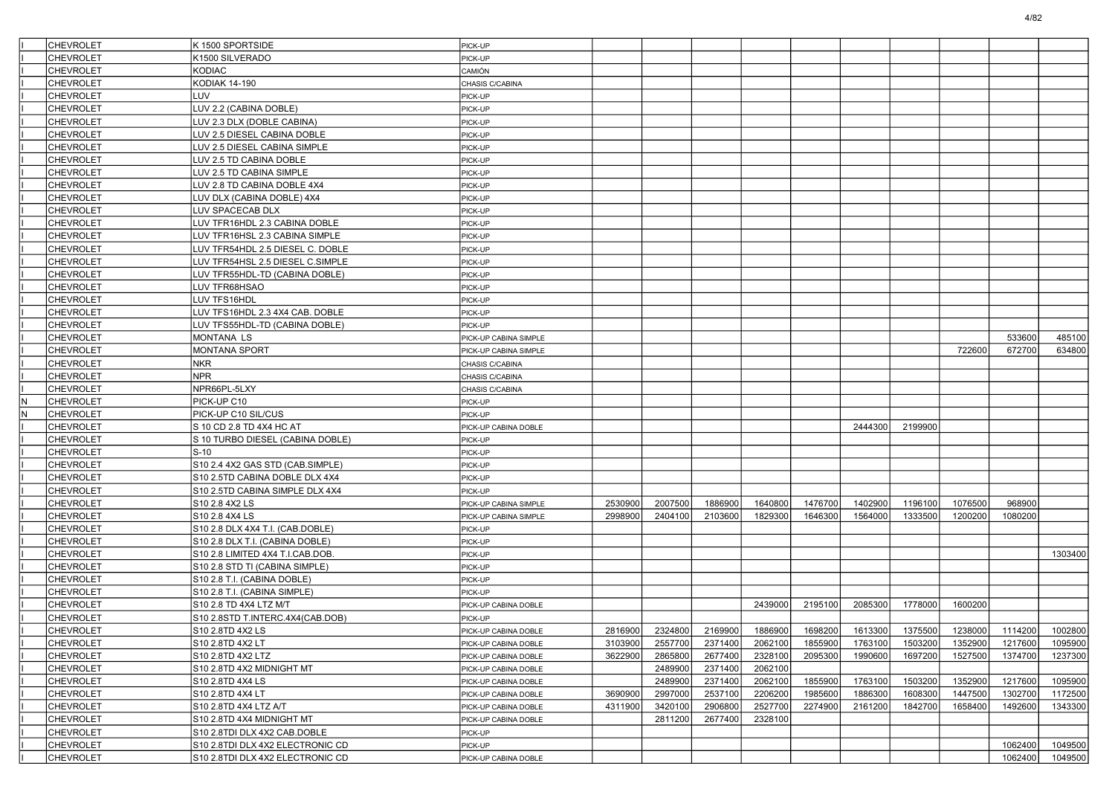|     | <b>CHEVROLET</b>                     | K 1500 SPORTSIDE                 | PICK-UP               |         |         |         |         |         |         |         |         |         |         |
|-----|--------------------------------------|----------------------------------|-----------------------|---------|---------|---------|---------|---------|---------|---------|---------|---------|---------|
|     | <b>CHEVROLET</b>                     | K1500 SILVERADO                  | PICK-UP               |         |         |         |         |         |         |         |         |         |         |
|     | <b>CHEVROLET</b>                     | <b>KODIAC</b>                    | CAMIÓN                |         |         |         |         |         |         |         |         |         |         |
|     | <b>CHEVROLET</b>                     | <b>KODIAK 14-190</b>             | CHASIS C/CABINA       |         |         |         |         |         |         |         |         |         |         |
|     | <b>CHEVROLET</b>                     | <b>LUV</b>                       | PICK-UP               |         |         |         |         |         |         |         |         |         |         |
|     | <b>CHEVROLET</b>                     | LUV 2.2 (CABINA DOBLE)           | PICK-UP               |         |         |         |         |         |         |         |         |         |         |
|     | <b>CHEVROLET</b>                     | LUV 2.3 DLX (DOBLE CABINA)       | PICK-UP               |         |         |         |         |         |         |         |         |         |         |
|     | <b>CHEVROLET</b>                     | LUV 2.5 DIESEL CABINA DOBLE      | PICK-UP               |         |         |         |         |         |         |         |         |         |         |
|     | <b>CHEVROLET</b>                     | LUV 2.5 DIESEL CABINA SIMPLE     | PICK-UP               |         |         |         |         |         |         |         |         |         |         |
|     | <b>CHEVROLET</b>                     | LUV 2.5 TD CABINA DOBLE          | PICK-UP               |         |         |         |         |         |         |         |         |         |         |
|     | <b>CHEVROLET</b>                     | LUV 2.5 TD CABINA SIMPLE         | PICK-UP               |         |         |         |         |         |         |         |         |         |         |
|     | <b>CHEVROLET</b>                     | LUV 2.8 TD CABINA DOBLE 4X4      | PICK-UP               |         |         |         |         |         |         |         |         |         |         |
|     | <b>CHEVROLET</b>                     | LUV DLX (CABINA DOBLE) 4X4       | PICK-UP               |         |         |         |         |         |         |         |         |         |         |
|     | <b>CHEVROLET</b>                     | LUV SPACECAB DLX                 | PICK-UP               |         |         |         |         |         |         |         |         |         |         |
|     | <b>CHEVROLET</b>                     | LUV TFR16HDL 2.3 CABINA DOBLE    | PICK-UP               |         |         |         |         |         |         |         |         |         |         |
|     | <b>CHEVROLET</b>                     | LUV TFR16HSL 2.3 CABINA SIMPLE   | PICK-UP               |         |         |         |         |         |         |         |         |         |         |
|     | <b>CHEVROLET</b>                     | LUV TFR54HDL 2.5 DIESEL C. DOBLE | PICK-UP               |         |         |         |         |         |         |         |         |         |         |
|     | <b>CHEVROLET</b>                     | LUV TFR54HSL 2.5 DIESEL C.SIMPLE | PICK-UP               |         |         |         |         |         |         |         |         |         |         |
|     | <b>CHEVROLET</b>                     | LUV TFR55HDL-TD (CABINA DOBLE)   | PICK-UP               |         |         |         |         |         |         |         |         |         |         |
|     | <b>CHEVROLET</b>                     | LUV TFR68HSAO                    | PICK-UP               |         |         |         |         |         |         |         |         |         |         |
|     | <b>CHEVROLET</b>                     | LUV TFS16HDL                     | PICK-UP               |         |         |         |         |         |         |         |         |         |         |
|     | <b>CHEVROLET</b>                     | LUV TFS16HDL 2.3 4X4 CAB. DOBLE  | PICK-UP               |         |         |         |         |         |         |         |         |         |         |
|     | <b>CHEVROLET</b>                     | LUV TFS55HDL-TD (CABINA DOBLE)   | PICK-UP               |         |         |         |         |         |         |         |         |         |         |
|     | <b>CHEVROLET</b>                     | MONTANA LS                       | PICK-UP CABINA SIMPLE |         |         |         |         |         |         |         |         | 533600  | 485100  |
|     | <b>CHEVROLET</b>                     | <b>MONTANA SPORT</b>             | PICK-UP CABINA SIMPLE |         |         |         |         |         |         |         | 722600  | 672700  | 634800  |
|     | <b>CHEVROLET</b>                     | <b>NKR</b>                       | CHASIS C/CABINA       |         |         |         |         |         |         |         |         |         |         |
|     | <b>CHEVROLET</b>                     | <b>NPR</b>                       | CHASIS C/CABINA       |         |         |         |         |         |         |         |         |         |         |
|     | <b>CHEVROLET</b>                     | NPR66PL-5LXY                     | CHASIS C/CABINA       |         |         |         |         |         |         |         |         |         |         |
| lN. | <b>CHEVROLET</b>                     | PICK-UP C10                      | PICK-UP               |         |         |         |         |         |         |         |         |         |         |
| N   | <b>CHEVROLET</b>                     | PICK-UP C10 SIL/CUS              | PICK-UP               |         |         |         |         |         |         |         |         |         |         |
|     | <b>CHEVROLET</b>                     | S 10 CD 2.8 TD 4X4 HC AT         | PICK-UP CABINA DOBLE  |         |         |         |         |         | 2444300 | 2199900 |         |         |         |
|     | <b>CHEVROLET</b>                     | S 10 TURBO DIESEL (CABINA DOBLE) | PICK-UP               |         |         |         |         |         |         |         |         |         |         |
|     | <b>CHEVROLET</b>                     | $S-10$                           | PICK-UP               |         |         |         |         |         |         |         |         |         |         |
|     | <b>CHEVROLET</b>                     | S10 2.4 4X2 GAS STD (CAB.SIMPLE) | PICK-UP               |         |         |         |         |         |         |         |         |         |         |
|     | <b>CHEVROLET</b>                     | S10 2.5TD CABINA DOBLE DLX 4X4   | PICK-UP               |         |         |         |         |         |         |         |         |         |         |
|     | <b>CHEVROLET</b>                     | S10 2.5TD CABINA SIMPLE DLX 4X4  | PICK-UP               |         |         |         |         |         |         |         |         |         |         |
|     | <b>CHEVROLET</b>                     | S10 2.8 4X2 LS                   |                       | 2530900 | 2007500 | 1886900 | 1640800 | 1476700 | 1402900 | 1196100 | 1076500 | 968900  |         |
|     | <b>CHEVROLET</b>                     | S10 2.8 4X4 LS                   | PICK-UP CABINA SIMPLE | 2998900 | 2404100 | 2103600 | 1829300 | 1646300 | 1564000 | 1333500 | 1200200 | 1080200 |         |
|     |                                      |                                  | PICK-UP CABINA SIMPLE |         |         |         |         |         |         |         |         |         |         |
|     | <b>CHEVROLET</b>                     | S10 2.8 DLX 4X4 T.I. (CAB.DOBLE) | PICK-UP               |         |         |         |         |         |         |         |         |         |         |
|     | <b>CHEVROLET</b><br><b>CHEVROLET</b> | S10 2.8 DLX T.I. (CABINA DOBLE)  | PICK-UP               |         |         |         |         |         |         |         |         |         |         |
|     |                                      | S10 2.8 LIMITED 4X4 T.I.CAB.DOB. | PICK-UP               |         |         |         |         |         |         |         |         |         | 1303400 |
|     | <b>CHEVROLET</b><br><b>CHEVROLET</b> | S10 2.8 STD TI (CABINA SIMPLE)   | PICK-UP<br>PICK-UP    |         |         |         |         |         |         |         |         |         |         |
|     |                                      | S10 2.8 T.I. (CABINA DOBLE)      |                       |         |         |         |         |         |         |         |         |         |         |
|     | <b>CHEVROLET</b>                     | S10 2.8 T.I. (CABINA SIMPLE)     | PICK-UP               |         |         |         |         |         |         |         |         |         |         |
|     | <b>CHEVROLET</b>                     | S10 2.8 TD 4X4 LTZ M/T           | PICK-UP CABINA DOBLE  |         |         |         | 2439000 | 2195100 | 2085300 | 1778000 | 1600200 |         |         |
|     | <b>CHEVROLET</b>                     | S10 2.8STD T.INTERC.4X4(CAB.DOB) | PICK-UP               |         |         |         |         |         |         |         |         |         |         |
|     | <b>CHEVROLET</b>                     | S10 2.8TD 4X2 LS                 | IPICK-UP CABINA DOBLE | 2816900 | 2324800 | 2169900 | 1886900 | 1698200 | 1613300 | 1375500 | 1238000 | 1114200 | 1002800 |
|     | <b>CHEVROLET</b>                     | S10 2.8TD 4X2 LT                 | PICK-UP CABINA DOBLE  | 3103900 | 2557700 | 2371400 | 2062100 | 1855900 | 1763100 | 1503200 | 1352900 | 1217600 | 1095900 |
|     | <b>CHEVROLET</b>                     | S10 2.8TD 4X2 LTZ                | PICK-UP CABINA DOBLE  | 3622900 | 2865800 | 2677400 | 2328100 | 2095300 | 1990600 | 1697200 | 1527500 | 1374700 | 1237300 |
|     | <b>CHEVROLET</b>                     | S10 2.8TD 4X2 MIDNIGHT MT        | PICK-UP CABINA DOBLE  |         | 2489900 | 2371400 | 2062100 |         |         |         |         |         |         |
|     | <b>CHEVROLET</b>                     | S10 2.8TD 4X4 LS                 | PICK-UP CABINA DOBLE  |         | 2489900 | 2371400 | 2062100 | 1855900 | 1763100 | 1503200 | 1352900 | 1217600 | 1095900 |
|     | <b>CHEVROLET</b>                     | S10 2.8TD 4X4 LT                 | PICK-UP CABINA DOBLE  | 3690900 | 2997000 | 2537100 | 2206200 | 1985600 | 1886300 | 1608300 | 1447500 | 1302700 | 1172500 |
|     | <b>CHEVROLET</b>                     | S10 2.8TD 4X4 LTZ A/T            | PICK-UP CABINA DOBLE  | 4311900 | 3420100 | 2906800 | 2527700 | 2274900 | 2161200 | 1842700 | 1658400 | 1492600 | 1343300 |
|     | <b>CHEVROLET</b>                     | S10 2.8TD 4X4 MIDNIGHT MT        | PICK-UP CABINA DOBLE  |         | 2811200 | 2677400 | 2328100 |         |         |         |         |         |         |
|     | <b>CHEVROLET</b>                     | S10 2.8TDI DLX 4X2 CAB.DOBLE     | PICK-UP               |         |         |         |         |         |         |         |         |         |         |
|     | <b>CHEVROLET</b>                     | S10 2.8TDI DLX 4X2 ELECTRONIC CD | PICK-UP               |         |         |         |         |         |         |         |         | 1062400 | 1049500 |
|     | <b>CHEVROLET</b>                     | S10 2.8TDI DLX 4X2 ELECTRONIC CD | PICK-UP CABINA DOBLE  |         |         |         |         |         |         |         |         | 1062400 | 1049500 |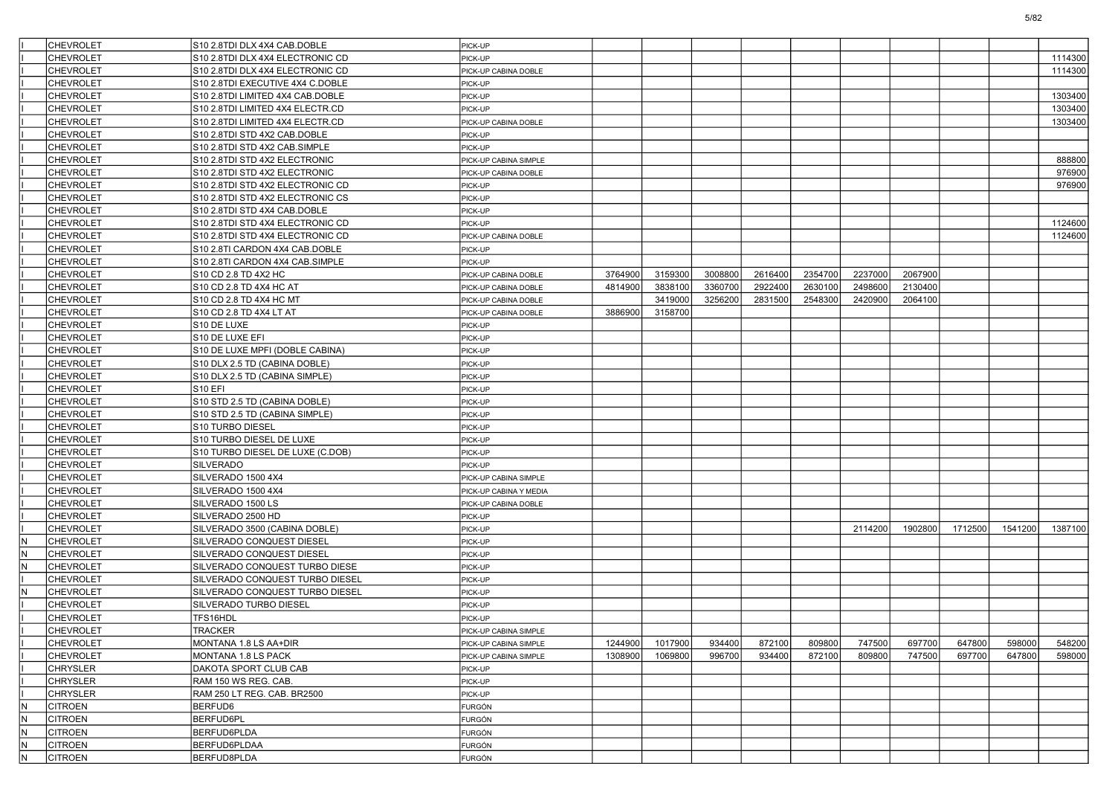|          | <b>CHEVROLET</b> | S10 2.8TDI DLX 4X4 CAB.DOBLE     | PICK-UP                         |         |         |         |         |         |         |         |         |         |         |
|----------|------------------|----------------------------------|---------------------------------|---------|---------|---------|---------|---------|---------|---------|---------|---------|---------|
|          | <b>CHEVROLET</b> | S10 2.8TDI DLX 4X4 ELECTRONIC CD | PICK-UP                         |         |         |         |         |         |         |         |         |         | 1114300 |
|          | <b>CHEVROLET</b> | S10 2.8TDI DLX 4X4 ELECTRONIC CD | PICK-UP CABINA DOBLE            |         |         |         |         |         |         |         |         |         | 1114300 |
|          | <b>CHEVROLET</b> | S10 2.8TDI EXECUTIVE 4X4 C.DOBLE | PICK-UP                         |         |         |         |         |         |         |         |         |         |         |
|          | <b>CHEVROLET</b> | S10 2.8TDI LIMITED 4X4 CAB.DOBLE | PICK-UP                         |         |         |         |         |         |         |         |         |         | 1303400 |
|          | <b>CHEVROLET</b> | S10 2.8TDI LIMITED 4X4 ELECTR.CD | PICK-UP                         |         |         |         |         |         |         |         |         |         | 1303400 |
|          | <b>CHEVROLET</b> | S10 2.8TDI LIMITED 4X4 ELECTR.CD | PICK-UP CABINA DOBLE            |         |         |         |         |         |         |         |         |         | 1303400 |
|          | <b>CHEVROLET</b> | S10 2.8TDI STD 4X2 CAB.DOBLE     | PICK-UP                         |         |         |         |         |         |         |         |         |         |         |
|          | <b>CHEVROLET</b> | S10 2.8TDI STD 4X2 CAB.SIMPLE    | PICK-UP                         |         |         |         |         |         |         |         |         |         |         |
|          | <b>CHEVROLET</b> | S10 2.8TDI STD 4X2 ELECTRONIC    | PICK-UP CABINA SIMPLE           |         |         |         |         |         |         |         |         |         | 888800  |
|          | <b>CHEVROLET</b> | S10 2.8TDI STD 4X2 ELECTRONIC    | PICK-UP CABINA DOBLE            |         |         |         |         |         |         |         |         |         | 976900  |
|          | <b>CHEVROLET</b> | S10 2.8TDI STD 4X2 ELECTRONIC CD | PICK-UP                         |         |         |         |         |         |         |         |         |         | 976900  |
|          | <b>CHEVROLET</b> | S10 2.8TDI STD 4X2 ELECTRONIC CS | PICK-UP                         |         |         |         |         |         |         |         |         |         |         |
|          | <b>CHEVROLET</b> | S10 2.8TDI STD 4X4 CAB.DOBLE     | PICK-UP                         |         |         |         |         |         |         |         |         |         |         |
|          | <b>CHEVROLET</b> | S10 2.8TDI STD 4X4 ELECTRONIC CD | PICK-UP                         |         |         |         |         |         |         |         |         |         | 1124600 |
|          | <b>CHEVROLET</b> | S10 2.8TDI STD 4X4 ELECTRONIC CD | PICK-UP CABINA DOBLE            |         |         |         |         |         |         |         |         |         | 1124600 |
|          | <b>CHEVROLET</b> | S10 2.8TI CARDON 4X4 CAB.DOBLE   | PICK-UP                         |         |         |         |         |         |         |         |         |         |         |
|          | <b>CHEVROLET</b> | S10 2.8TI CARDON 4X4 CAB.SIMPLE  | PICK-UP                         |         |         |         |         |         |         |         |         |         |         |
|          | <b>CHEVROLET</b> | S10 CD 2.8 TD 4X2 HC             | PICK-UP CABINA DOBLE            | 3764900 | 3159300 | 3008800 | 2616400 | 2354700 | 2237000 | 2067900 |         |         |         |
|          | <b>CHEVROLET</b> | S10 CD 2.8 TD 4X4 HC AT          | PICK-UP CABINA DOBLE            | 4814900 | 3838100 | 3360700 | 2922400 | 2630100 | 2498600 | 2130400 |         |         |         |
|          | <b>CHEVROLET</b> | S10 CD 2.8 TD 4X4 HC MT          | PICK-UP CABINA DOBLE            |         | 3419000 | 3256200 | 2831500 | 2548300 | 2420900 | 2064100 |         |         |         |
|          | <b>CHEVROLET</b> | S10 CD 2.8 TD 4X4 LT AT          | PICK-UP CABINA DOBLE            | 3886900 | 3158700 |         |         |         |         |         |         |         |         |
|          | <b>CHEVROLET</b> | S10 DE LUXE                      | PICK-UP                         |         |         |         |         |         |         |         |         |         |         |
|          | <b>CHEVROLET</b> | S10 DE LUXE EFI                  | PICK-UP                         |         |         |         |         |         |         |         |         |         |         |
|          | <b>CHEVROLET</b> | S10 DE LUXE MPFI (DOBLE CABINA)  | PICK-UP                         |         |         |         |         |         |         |         |         |         |         |
|          | <b>CHEVROLET</b> | S10 DLX 2.5 TD (CABINA DOBLE)    | PICK-UP                         |         |         |         |         |         |         |         |         |         |         |
|          | <b>CHEVROLET</b> | S10 DLX 2.5 TD (CABINA SIMPLE)   | PICK-UP                         |         |         |         |         |         |         |         |         |         |         |
|          | <b>CHEVROLET</b> | <b>S10 EFI</b>                   | PICK-UP                         |         |         |         |         |         |         |         |         |         |         |
|          | <b>CHEVROLET</b> | S10 STD 2.5 TD (CABINA DOBLE)    | PICK-UP                         |         |         |         |         |         |         |         |         |         |         |
|          | <b>CHEVROLET</b> | S10 STD 2.5 TD (CABINA SIMPLE)   | PICK-UP                         |         |         |         |         |         |         |         |         |         |         |
|          | <b>CHEVROLET</b> | S10 TURBO DIESEL                 | PICK-UP                         |         |         |         |         |         |         |         |         |         |         |
|          | <b>CHEVROLET</b> | S10 TURBO DIESEL DE LUXE         | PICK-UP                         |         |         |         |         |         |         |         |         |         |         |
|          | <b>CHEVROLET</b> | S10 TURBO DIESEL DE LUXE (C.DOB) | PICK-UP                         |         |         |         |         |         |         |         |         |         |         |
|          | <b>CHEVROLET</b> | SILVERADO                        | PICK-UP                         |         |         |         |         |         |         |         |         |         |         |
|          | <b>CHEVROLET</b> | SILVERADO 1500 4X4               | PICK-UP CABINA SIMPLE           |         |         |         |         |         |         |         |         |         |         |
|          | <b>CHEVROLET</b> | SILVERADO 1500 4X4               | PICK-UP CABINA Y MEDIA          |         |         |         |         |         |         |         |         |         |         |
|          | <b>CHEVROLET</b> | SILVERADO 1500 LS                |                                 |         |         |         |         |         |         |         |         |         |         |
|          | <b>CHEVROLET</b> | SILVERADO 2500 HD                | PICK-UP CABINA DOBLE<br>PICK-UP |         |         |         |         |         |         |         |         |         |         |
|          |                  |                                  | PICK-UP                         |         |         |         |         |         | 2114200 | 1902800 | 1712500 | 1541200 | 1387100 |
|          | <b>CHEVROLET</b> | SILVERADO 3500 (CABINA DOBLE)    |                                 |         |         |         |         |         |         |         |         |         |         |
| N<br>IN. | <b>CHEVROLET</b> | SILVERADO CONQUEST DIESEL        | PICK-UP                         |         |         |         |         |         |         |         |         |         |         |
|          | <b>CHEVROLET</b> | SILVERADO CONQUEST DIESEL        | PICK-UP                         |         |         |         |         |         |         |         |         |         |         |
| IN.      | <b>CHEVROLET</b> | SILVERADO CONQUEST TURBO DIESE   | PICK-UP                         |         |         |         |         |         |         |         |         |         |         |
|          | <b>CHEVROLET</b> | SILVERADO CONQUEST TURBO DIESEL  | PICK-UP                         |         |         |         |         |         |         |         |         |         |         |
| IN.      | <b>CHEVROLET</b> | SILVERADO CONQUEST TURBO DIESEL  | PICK-UP                         |         |         |         |         |         |         |         |         |         |         |
|          | <b>CHEVROLET</b> | SILVERADO TURBO DIESEL           | PICK-UP                         |         |         |         |         |         |         |         |         |         |         |
|          | <b>CHEVROLET</b> | TFS16HDL                         | PICK-UP                         |         |         |         |         |         |         |         |         |         |         |
|          | <b>CHEVROLET</b> | <b>TRACKER</b>                   | PICK-UP CABINA SIMPLE           |         |         |         |         |         |         |         |         |         |         |
|          | <b>CHEVROLET</b> | MONTANA 1.8 LS AA+DIR            | PICK-UP CABINA SIMPLE           | 1244900 | 1017900 | 934400  | 872100  | 809800  | 747500  | 697700  | 647800  | 598000  | 548200  |
|          | <b>CHEVROLET</b> | MONTANA 1.8 LS PACK              | PICK-UP CABINA SIMPLE           | 1308900 | 1069800 | 996700  | 934400  | 872100  | 809800  | 747500  | 697700  | 647800  | 598000  |
|          | <b>CHRYSLER</b>  | DAKOTA SPORT CLUB CAB            | PICK-UP                         |         |         |         |         |         |         |         |         |         |         |
|          | <b>CHRYSLER</b>  | RAM 150 WS REG. CAB.             | PICK-UP                         |         |         |         |         |         |         |         |         |         |         |
|          | <b>CHRYSLER</b>  | RAM 250 LT REG. CAB. BR2500      | PICK-UP                         |         |         |         |         |         |         |         |         |         |         |
| İN.      | <b>CITROEN</b>   | BERFUD6                          | FURGÓN                          |         |         |         |         |         |         |         |         |         |         |
| IN.      | <b>CITROEN</b>   | BERFUD6PL                        | FURGÓN                          |         |         |         |         |         |         |         |         |         |         |
| İN.      | <b>CITROEN</b>   | BERFUD6PLDA                      | <b>FURGÓN</b>                   |         |         |         |         |         |         |         |         |         |         |
| IN.      | <b>CITROEN</b>   | BERFUD6PLDAA                     | <b>FURGÓN</b>                   |         |         |         |         |         |         |         |         |         |         |
| IN.      | <b>CITROEN</b>   | BERFUD8PLDA                      | <b>FURGÓN</b>                   |         |         |         |         |         |         |         |         |         |         |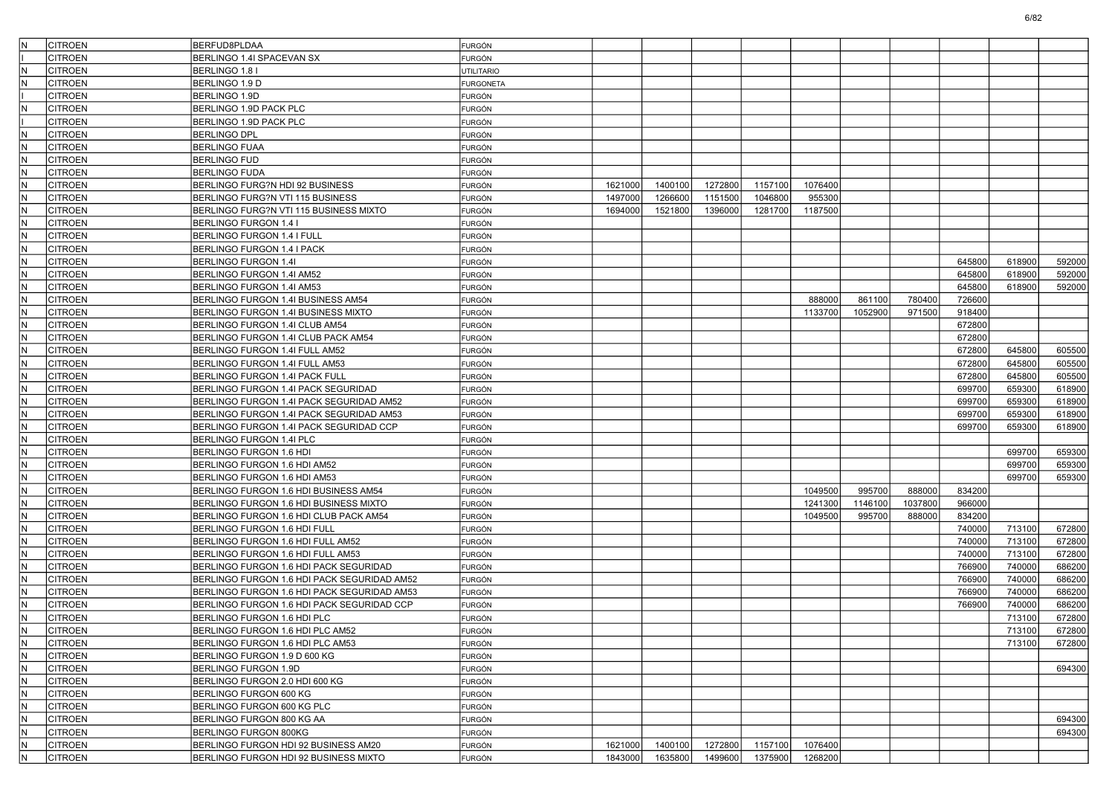| IN. | <b>CITROEN</b> | BERFUD8PLDAA                                | <b>FURGÓN</b>     |         |         |         |         |         |         |         |        |        |        |
|-----|----------------|---------------------------------------------|-------------------|---------|---------|---------|---------|---------|---------|---------|--------|--------|--------|
|     |                |                                             |                   |         |         |         |         |         |         |         |        |        |        |
| N   | <b>CITROEN</b> | BERLINGO 1.4I SPACEVAN SX                   | <b>FURGÓN</b>     |         |         |         |         |         |         |         |        |        |        |
|     | <b>CITROEN</b> | BERLINGO 1.8 I                              | <b>UTILITARIO</b> |         |         |         |         |         |         |         |        |        |        |
| IN. | <b>CITROEN</b> | BERLINGO 1.9 D                              | <b>FURGONETA</b>  |         |         |         |         |         |         |         |        |        |        |
|     | <b>CITROEN</b> | BERLINGO 1.9D                               | FURGÓN            |         |         |         |         |         |         |         |        |        |        |
| N.  | <b>CITROEN</b> | BERLINGO 1.9D PACK PLC                      | <b>FURGÓN</b>     |         |         |         |         |         |         |         |        |        |        |
|     | <b>CITROEN</b> | BERLINGO 1.9D PACK PLC                      | <b>FURGÓN</b>     |         |         |         |         |         |         |         |        |        |        |
| N   | <b>CITROEN</b> | BERLINGO DPL                                | <b>FURGÓN</b>     |         |         |         |         |         |         |         |        |        |        |
| IN. | <b>CITROEN</b> | <b>BERLINGO FUAA</b>                        | <b>FURGÓN</b>     |         |         |         |         |         |         |         |        |        |        |
| IN. | <b>CITROEN</b> | BERLINGO FUD                                | FURGÓN            |         |         |         |         |         |         |         |        |        |        |
| IN. | <b>CITROEN</b> | BERLINGO FUDA                               | <b>FURGÓN</b>     |         |         |         |         |         |         |         |        |        |        |
| IN. | <b>CITROEN</b> | BERLINGO FURG?N HDI 92 BUSINESS             | <b>FURGÓN</b>     | 1621000 | 1400100 | 1272800 | 1157100 | 1076400 |         |         |        |        |        |
| N   | <b>CITROEN</b> | BERLINGO FURG?N VTI 115 BUSINESS            | <b>FURGÓN</b>     | 1497000 | 1266600 | 1151500 | 1046800 | 955300  |         |         |        |        |        |
| IN. | <b>CITROEN</b> | BERLINGO FURG?N VTI 115 BUSINESS MIXTO      | <b>FURGÓN</b>     | 1694000 | 1521800 | 1396000 | 1281700 | 1187500 |         |         |        |        |        |
| IN. | <b>CITROEN</b> | BERLINGO FURGON 1.4 I                       | FURGÓN            |         |         |         |         |         |         |         |        |        |        |
| IN. | <b>CITROEN</b> | BERLINGO FURGON 1.4 I FULL                  | <b>FURGÓN</b>     |         |         |         |         |         |         |         |        |        |        |
| IN. | <b>CITROEN</b> | BERLINGO FURGON 1.4 I PACK                  | <b>FURGÓN</b>     |         |         |         |         |         |         |         |        |        |        |
| N   | <b>CITROEN</b> | BERLINGO FURGON 1.41                        | <b>FURGÓN</b>     |         |         |         |         |         |         |         | 645800 | 618900 | 592000 |
| IN. | <b>CITROEN</b> | BERLINGO FURGON 1.4I AM52                   | <b>FURGÓN</b>     |         |         |         |         |         |         |         | 645800 | 618900 | 592000 |
| N   | <b>CITROEN</b> | BERLINGO FURGON 1.4I AM53                   | <b>FURGÓN</b>     |         |         |         |         |         |         |         | 645800 | 618900 | 592000 |
| IN. | <b>CITROEN</b> | BERLINGO FURGON 1.4I BUSINESS AM54          | <b>FURGÓN</b>     |         |         |         |         | 888000  | 861100  | 780400  | 726600 |        |        |
| IN. | <b>CITROEN</b> | BERLINGO FURGON 1.4I BUSINESS MIXTO         | <b>FURGÓN</b>     |         |         |         |         | 1133700 | 1052900 | 971500  | 918400 |        |        |
| N   | <b>CITROEN</b> | BERLINGO FURGON 1.4I CLUB AM54              | FURGÓN            |         |         |         |         |         |         |         | 672800 |        |        |
| IN. | <b>CITROEN</b> | BERLINGO FURGON 1.4I CLUB PACK AM54         | <b>FURGÓN</b>     |         |         |         |         |         |         |         | 672800 |        |        |
| IN. | <b>CITROEN</b> | BERLINGO FURGON 1.4I FULL AM52              | <b>FURGÓN</b>     |         |         |         |         |         |         |         | 672800 | 645800 | 605500 |
| IN. | <b>CITROEN</b> | BERLINGO FURGON 1.4I FULL AM53              | <b>FURGÓN</b>     |         |         |         |         |         |         |         | 672800 | 645800 | 605500 |
| IN. | <b>CITROEN</b> | BERLINGO FURGON 1.4I PACK FULL              | <b>FURGÓN</b>     |         |         |         |         |         |         |         | 672800 | 645800 | 605500 |
| N   | <b>CITROEN</b> | BERLINGO FURGON 1.4I PACK SEGURIDAD         | FURGÓN            |         |         |         |         |         |         |         | 699700 | 659300 | 618900 |
| IN. | <b>CITROEN</b> | BERLINGO FURGON 1.4I PACK SEGURIDAD AM52    | <b>FURGÓN</b>     |         |         |         |         |         |         |         | 699700 | 659300 | 618900 |
| IN. | <b>CITROEN</b> | BERLINGO FURGON 1.4I PACK SEGURIDAD AM53    | <b>FURGÓN</b>     |         |         |         |         |         |         |         | 699700 | 659300 | 618900 |
| IN. | <b>CITROEN</b> | BERLINGO FURGON 1.4I PACK SEGURIDAD CCP     | <b>FURGÓN</b>     |         |         |         |         |         |         |         | 699700 | 659300 | 618900 |
| IN. | <b>CITROEN</b> | BERLINGO FURGON 1.4I PLC                    | <b>FURGÓN</b>     |         |         |         |         |         |         |         |        |        |        |
| N   | <b>CITROEN</b> | BERLINGO FURGON 1.6 HDI                     | FURGÓN            |         |         |         |         |         |         |         |        | 699700 | 659300 |
| IN. | <b>CITROEN</b> | BERLINGO FURGON 1.6 HDI AM52                | <b>FURGÓN</b>     |         |         |         |         |         |         |         |        | 699700 | 659300 |
| IN. | <b>CITROEN</b> | BERLINGO FURGON 1.6 HDI AM53                | FURGÓN            |         |         |         |         |         |         |         |        | 699700 | 659300 |
| IN. | <b>CITROEN</b> | BERLINGO FURGON 1.6 HDI BUSINESS AM54       | <b>FURGÓN</b>     |         |         |         |         | 1049500 | 995700  | 888000  | 834200 |        |        |
| IN. | <b>CITROEN</b> | BERLINGO FURGON 1.6 HDI BUSINESS MIXTO      | <b>FURGÓN</b>     |         |         |         |         | 1241300 | 1146100 | 1037800 | 966000 |        |        |
| N   | <b>CITROEN</b> | BERLINGO FURGON 1.6 HDI CLUB PACK AM54      | <b>FURGÓN</b>     |         |         |         |         | 1049500 | 995700  | 888000  | 834200 |        |        |
| İN. | <b>CITROEN</b> | BERLINGO FURGON 1.6 HDI FULL                | <b>FURGÓN</b>     |         |         |         |         |         |         |         | 740000 | 713100 | 672800 |
| IN. | <b>CITROEN</b> | BERLINGO FURGON 1.6 HDI FULL AM52           | FURGÓN            |         |         |         |         |         |         |         | 740000 | 713100 | 672800 |
| İN. | <b>CITROEN</b> | BERLINGO FURGON 1.6 HDI FULL AM53           | <b>FURGÓN</b>     |         |         |         |         |         |         |         | 740000 | 713100 | 672800 |
| IN. | <b>CITROEN</b> | BERLINGO FURGON 1.6 HDI PACK SEGURIDAD      | <b>FURGÓN</b>     |         |         |         |         |         |         |         | 766900 | 740000 | 686200 |
| N   | <b>CITROEN</b> | BERLINGO FURGON 1.6 HDI PACK SEGURIDAD AM52 | <b>FURGÓN</b>     |         |         |         |         |         |         |         | 766900 | 740000 | 686200 |
| IN. | <b>CITROEN</b> | BERLINGO FURGON 1.6 HDI PACK SEGURIDAD AM53 | <b>FURGÓN</b>     |         |         |         |         |         |         |         | 766900 | 740000 | 686200 |
|     | <b>CITROEN</b> | BERLINGO FURGON 1.6 HDI PACK SEGURIDAD CCP  | FURGÓN            |         |         |         |         |         |         |         | 766900 | 740000 | 686200 |
| N   | <b>CITROEN</b> | BERLINGO FURGON 1.6 HDI PLC                 | FURGÓN            |         |         |         |         |         |         |         |        | 713100 | 672800 |
| IN  | <b>CITROEN</b> | BERLINGO FURGON 1.6 HDI PLC AM52            | <b>FURGÓN</b>     |         |         |         |         |         |         |         |        | 713100 | 672800 |
| İN. | <b>CITROEN</b> | BERLINGO FURGON 1.6 HDI PLC AM53            | <b>FURGÓN</b>     |         |         |         |         |         |         |         |        | 713100 | 672800 |
| IN. | <b>CITROEN</b> | BERLINGO FURGON 1.9 D 600 KG                | FURGÓN            |         |         |         |         |         |         |         |        |        |        |
| IN. | <b>CITROEN</b> | BERLINGO FURGON 1.9D                        | <b>FURGÓN</b>     |         |         |         |         |         |         |         |        |        | 694300 |
| IN. | <b>CITROEN</b> | BERLINGO FURGON 2.0 HDI 600 KG              | <b>FURGÓN</b>     |         |         |         |         |         |         |         |        |        |        |
| IN. | <b>CITROEN</b> | BERLINGO FURGON 600 KG                      | FURGÓN            |         |         |         |         |         |         |         |        |        |        |
| İN. | <b>CITROEN</b> | BERLINGO FURGON 600 KG PLC                  | FURGÓN            |         |         |         |         |         |         |         |        |        |        |
| IN. | <b>CITROEN</b> | BERLINGO FURGON 800 KG AA                   | FURGÓN            |         |         |         |         |         |         |         |        |        | 694300 |
| IN. | <b>CITROEN</b> | BERLINGO FURGON 800KG                       | <b>FURGÓN</b>     |         |         |         |         |         |         |         |        |        | 694300 |
| İN. | <b>CITROEN</b> | BERLINGO FURGON HDI 92 BUSINESS AM20        | <b>FURGÓN</b>     | 1621000 | 1400100 | 1272800 | 1157100 | 1076400 |         |         |        |        |        |
| IN. | <b>CITROEN</b> | BERLINGO FURGON HDI 92 BUSINESS MIXTO       | <b>FURGÓN</b>     | 1843000 | 1635800 | 1499600 | 1375900 | 1268200 |         |         |        |        |        |
|     |                |                                             |                   |         |         |         |         |         |         |         |        |        |        |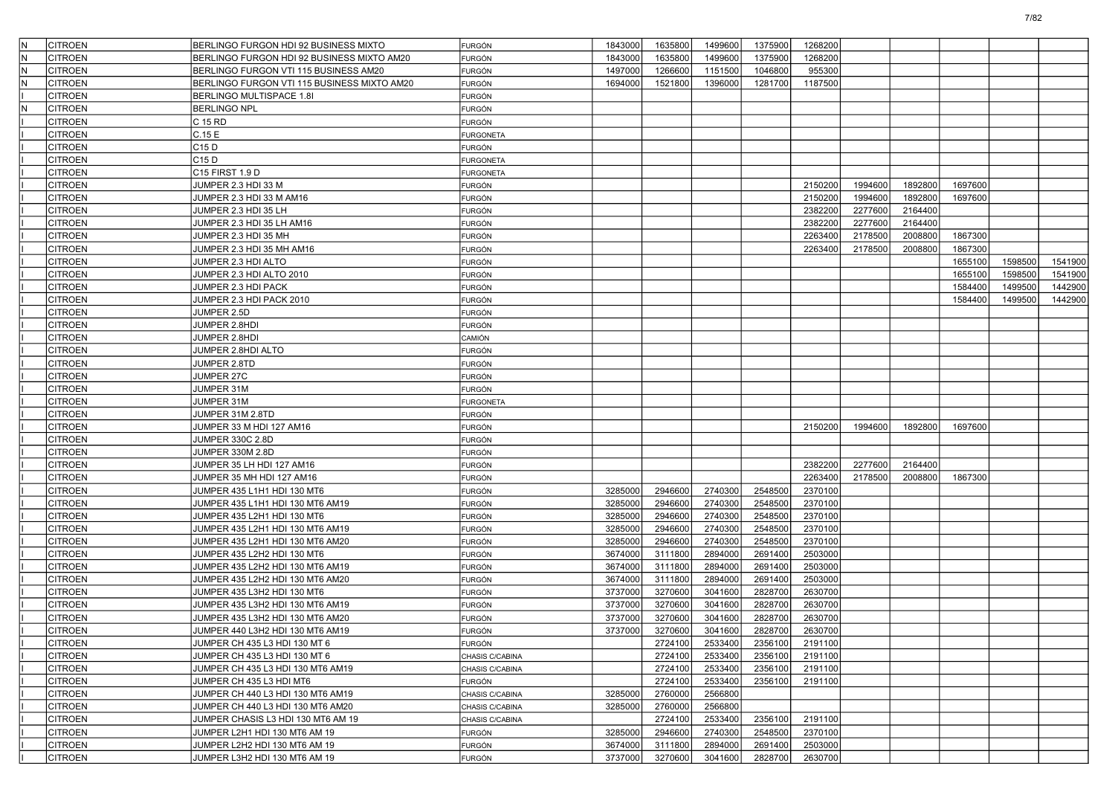| IN. | <b>CITROEN</b> | BERLINGO FURGON HDI 92 BUSINESS MIXTO       | FURGÓN           | 1843000 | 1635800 | 1499600 | 1375900 | 1268200 |         |         |         |         |         |
|-----|----------------|---------------------------------------------|------------------|---------|---------|---------|---------|---------|---------|---------|---------|---------|---------|
|     | CITROEN        | BERLINGO FURGON HDI 92 BUSINESS MIXTO AM20  |                  | 1843000 | 1635800 | 1499600 | 1375900 | 1268200 |         |         |         |         |         |
| lN. | <b>CITROEN</b> | BERLINGO FURGON VTI 115 BUSINESS AM20       | FURGÓN<br>FURGÓN | 1497000 | 1266600 | 1151500 | 1046800 | 955300  |         |         |         |         |         |
|     |                |                                             |                  |         | 1521800 |         |         |         |         |         |         |         |         |
| lN  | CITROEN        | BERLINGO FURGON VTI 115 BUSINESS MIXTO AM20 | FURGÓN           | 1694000 |         | 1396000 | 1281700 | 1187500 |         |         |         |         |         |
|     | CITROEN        | BERLINGO MULTISPACE 1.8I                    | FURGÓN           |         |         |         |         |         |         |         |         |         |         |
| IN. | <b>CITROEN</b> | <b>BERLINGO NPL</b>                         | FURGÓN           |         |         |         |         |         |         |         |         |         |         |
|     | CITROEN        | C 15 RD                                     | FURGÓN           |         |         |         |         |         |         |         |         |         |         |
|     | CITROEN        | C.15E                                       | <b>FURGONETA</b> |         |         |         |         |         |         |         |         |         |         |
|     | CITROEN        | C15 D                                       | FURGÓN           |         |         |         |         |         |         |         |         |         |         |
|     | <b>CITROEN</b> | C15 D                                       | <b>FURGONETA</b> |         |         |         |         |         |         |         |         |         |         |
|     | <b>CITROEN</b> | C15 FIRST 1.9 D                             | <b>FURGONETA</b> |         |         |         |         |         |         |         |         |         |         |
|     | CITROEN        | JUMPER 2.3 HDI 33 M                         | FURGÓN           |         |         |         |         | 2150200 | 1994600 | 1892800 | 1697600 |         |         |
|     | <b>CITROEN</b> | JUMPER 2.3 HDI 33 M AM16                    | FURGÓN           |         |         |         |         | 2150200 | 1994600 | 1892800 | 1697600 |         |         |
|     | <b>CITROEN</b> | JUMPER 2.3 HDI 35 LH                        | FURGÓN           |         |         |         |         | 2382200 | 2277600 | 2164400 |         |         |         |
|     | <b>CITROEN</b> | JUMPER 2.3 HDI 35 LH AM16                   | FURGÓN           |         |         |         |         | 2382200 | 2277600 | 2164400 |         |         |         |
|     | <b>CITROEN</b> | JUMPER 2.3 HDI 35 MH                        | FURGÓN           |         |         |         |         | 2263400 | 2178500 | 2008800 | 1867300 |         |         |
|     | CITROEN        | JUMPER 2.3 HDI 35 MH AM16                   | FURGÓN           |         |         |         |         | 2263400 | 2178500 | 2008800 | 1867300 |         |         |
|     | <b>CITROEN</b> | JUMPER 2.3 HDI ALTO                         | FURGÓN           |         |         |         |         |         |         |         | 1655100 | 1598500 | 1541900 |
|     | <b>CITROEN</b> | JUMPER 2.3 HDI ALTO 2010                    | FURGÓN           |         |         |         |         |         |         |         | 1655100 | 1598500 | 1541900 |
|     | <b>CITROEN</b> | JUMPER 2.3 HDI PACK                         | FURGÓN           |         |         |         |         |         |         |         | 1584400 | 1499500 | 1442900 |
|     | <b>CITROEN</b> | JUMPER 2.3 HDI PACK 2010                    | FURGÓN           |         |         |         |         |         |         |         | 1584400 | 1499500 | 1442900 |
|     | CITROEN        | JUMPER 2.5D                                 | FURGÓN           |         |         |         |         |         |         |         |         |         |         |
|     | CITROEN        | JUMPER 2.8HDI                               | <b>FURGÓN</b>    |         |         |         |         |         |         |         |         |         |         |
|     | <b>CITROEN</b> | JUMPER 2.8HDI                               | CAMIÓN           |         |         |         |         |         |         |         |         |         |         |
|     | <b>CITROEN</b> | JUMPER 2.8HDI ALTO                          | FURGÓN           |         |         |         |         |         |         |         |         |         |         |
|     | <b>CITROEN</b> | JUMPER 2.8TD                                | FURGÓN           |         |         |         |         |         |         |         |         |         |         |
|     | CITROEN        | <b>JUMPER 27C</b>                           | FURGÓN           |         |         |         |         |         |         |         |         |         |         |
|     | CITROEN        | JUMPER 31M                                  | FURGÓN           |         |         |         |         |         |         |         |         |         |         |
|     | <b>CITROEN</b> | JUMPER 31M                                  | <b>FURGONETA</b> |         |         |         |         |         |         |         |         |         |         |
|     | <b>CITROEN</b> | JUMPER 31M 2.8TD                            | FURGÓN           |         |         |         |         |         |         |         |         |         |         |
|     | <b>CITROEN</b> | JUMPER 33 M HDI 127 AM16                    | FURGÓN           |         |         |         |         | 2150200 | 1994600 | 1892800 | 1697600 |         |         |
|     | CITROEN        | JUMPER 330C 2.8D                            | FURGÓN           |         |         |         |         |         |         |         |         |         |         |
|     | <b>CITROEN</b> | JUMPER 330M 2.8D                            | <b>FURGÓN</b>    |         |         |         |         |         |         |         |         |         |         |
|     | <b>CITROEN</b> | JUMPER 35 LH HDI 127 AM16                   | <b>FURGÓN</b>    |         |         |         |         | 2382200 | 2277600 | 2164400 |         |         |         |
|     | <b>CITROEN</b> | JUMPER 35 MH HDI 127 AM16                   | FURGÓN           |         |         |         |         | 2263400 | 2178500 | 2008800 | 1867300 |         |         |
|     | <b>CITROEN</b> | JUMPER 435 L1H1 HDI 130 MT6                 | FURGÓN           | 3285000 | 2946600 | 2740300 | 2548500 | 2370100 |         |         |         |         |         |
|     | CITROEN        | JUMPER 435 L1H1 HDI 130 MT6 AM19            | FURGÓN           | 3285000 | 2946600 | 2740300 | 2548500 | 2370100 |         |         |         |         |         |
|     | <b>CITROEN</b> | JUMPER 435 L2H1 HDI 130 MT6                 | FURGÓN           | 3285000 | 2946600 | 2740300 | 2548500 | 2370100 |         |         |         |         |         |
|     | <b>CITROEN</b> | JUMPER 435 L2H1 HDI 130 MT6 AM19            | <b>FURGÓN</b>    | 3285000 | 2946600 | 2740300 | 2548500 | 2370100 |         |         |         |         |         |
|     | <b>CITROEN</b> | JUMPER 435 L2H1 HDI 130 MT6 AM20            | FURGÓN           | 3285000 | 2946600 | 2740300 | 2548500 | 2370100 |         |         |         |         |         |
|     | <b>CITROEN</b> | JUMPER 435 L2H2 HDI 130 MT6                 |                  | 3674000 | 3111800 | 2894000 | 2691400 | 2503000 |         |         |         |         |         |
|     |                |                                             | FURGÓN           |         | 3111800 | 2894000 | 2691400 | 2503000 |         |         |         |         |         |
|     | CITROEN        | JUMPER 435 L2H2 HDI 130 MT6 AM19            | FURGÓN           | 3674000 |         |         |         |         |         |         |         |         |         |
|     | <b>CITROEN</b> | JUMPER 435 L2H2 HDI 130 MT6 AM20            | FURGÓN           | 3674000 | 3111800 | 2894000 | 2691400 | 2503000 |         |         |         |         |         |
|     | <b>CITROEN</b> | JUMPER 435 L3H2 HDI 130 MT6                 | <b>FURGÓN</b>    | 3737000 | 3270600 | 3041600 | 2828700 | 2630700 |         |         |         |         |         |
|     | <b>CITROEN</b> | JUMPER 435 L3H2 HDI 130 MT6 AM19            | FURGÓN           | 3737000 | 3270600 | 3041600 | 2828700 | 2630700 |         |         |         |         |         |
|     | <b>CITROEN</b> | JUMPER 435 L3H2 HDI 130 MT6 AM20            | FURGÓN           | 3737000 | 3270600 | 3041600 | 2828700 | 2630700 |         |         |         |         |         |
|     | <b>CITROEN</b> | JUMPER 440 L3H2 HDI 130 MT6 AM19            | <b>FURGÓN</b>    | 3737000 | 3270600 | 3041600 | 2828700 | 2630700 |         |         |         |         |         |
|     | <b>CITROEN</b> | JUMPER CH 435 L3 HDI 130 MT 6               | <b>FURGÓN</b>    |         | 2724100 | 2533400 | 2356100 | 2191100 |         |         |         |         |         |
|     | <b>CITROEN</b> | JUMPER CH 435 L3 HDI 130 MT 6               | CHASIS C/CABINA  |         | 2724100 | 2533400 | 2356100 | 2191100 |         |         |         |         |         |
|     | <b>CITROEN</b> | JUMPER CH 435 L3 HDI 130 MT6 AM19           | CHASIS C/CABINA  |         | 2724100 | 2533400 | 2356100 | 2191100 |         |         |         |         |         |
|     | <b>CITROEN</b> | JUMPER CH 435 L3 HDI MT6                    | FURGÓN           |         | 2724100 | 2533400 | 2356100 | 2191100 |         |         |         |         |         |
|     | <b>CITROEN</b> | JUMPER CH 440 L3 HDI 130 MT6 AM19           | CHASIS C/CABINA  | 3285000 | 2760000 | 2566800 |         |         |         |         |         |         |         |
|     | <b>CITROEN</b> | JUMPER CH 440 L3 HDI 130 MT6 AM20           | CHASIS C/CABINA  | 3285000 | 2760000 | 2566800 |         |         |         |         |         |         |         |
|     | <b>CITROEN</b> | JUMPER CHASIS L3 HDI 130 MT6 AM 19          | CHASIS C/CABINA  |         | 2724100 | 2533400 | 2356100 | 2191100 |         |         |         |         |         |
|     | <b>CITROEN</b> | JUMPER L2H1 HDI 130 MT6 AM 19               | <b>FURGÓN</b>    | 3285000 | 2946600 | 2740300 | 2548500 | 2370100 |         |         |         |         |         |
|     | <b>CITROEN</b> | JUMPER L2H2 HDI 130 MT6 AM 19               | FURGÓN           | 3674000 | 3111800 | 2894000 | 2691400 | 2503000 |         |         |         |         |         |
|     | <b>CITROEN</b> | JUMPER L3H2 HDI 130 MT6 AM 19               | <b>FURGÓN</b>    | 3737000 | 3270600 | 3041600 | 2828700 | 2630700 |         |         |         |         |         |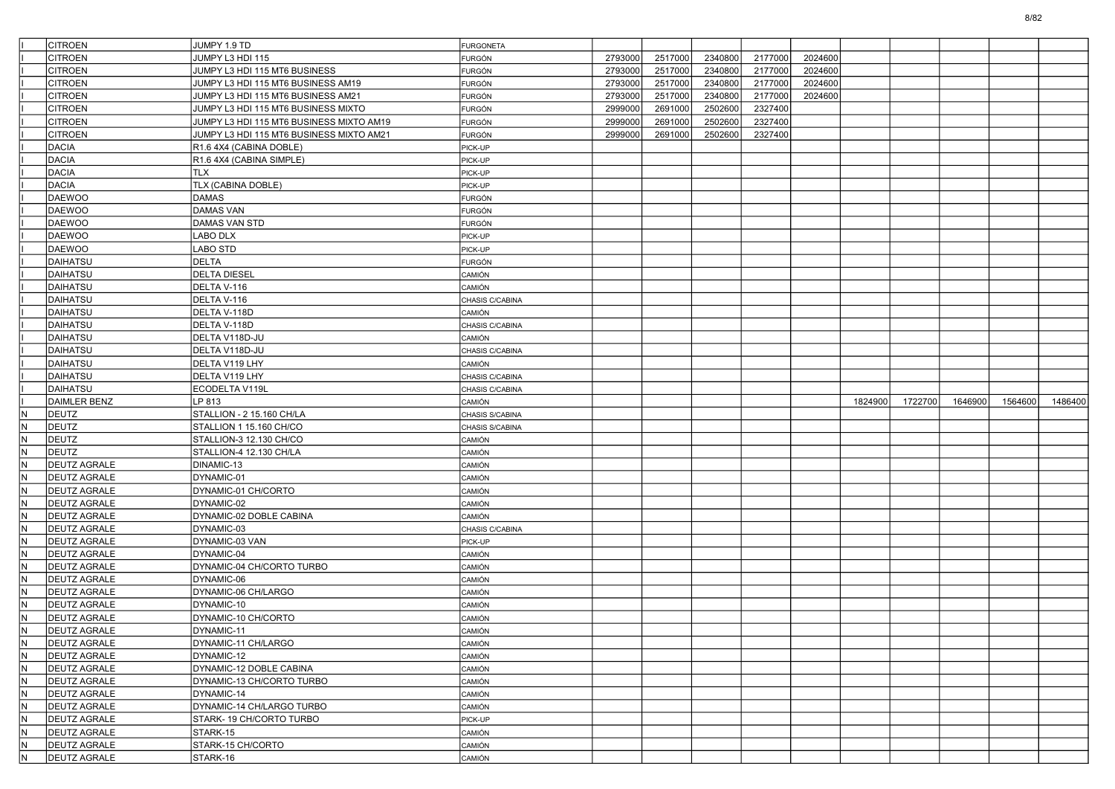| <b>CITROEN</b>                                 | JUMPY 1.9 TD                             | <b>FURGONETA</b>                   |         |         |         |         |         |         |         |         |         |         |
|------------------------------------------------|------------------------------------------|------------------------------------|---------|---------|---------|---------|---------|---------|---------|---------|---------|---------|
| CITROEN                                        | JUMPY L3 HDI 115                         | FURGÓN                             | 2793000 | 2517000 | 2340800 | 2177000 | 2024600 |         |         |         |         |         |
| <b>CITROEN</b>                                 | JUMPY L3 HDI 115 MT6 BUSINESS            | FURGÓN                             | 2793000 | 2517000 | 2340800 | 2177000 | 2024600 |         |         |         |         |         |
| <b>CITROEN</b>                                 | JUMPY L3 HDI 115 MT6 BUSINESS AM19       | <b>FURGÓN</b>                      | 2793000 | 2517000 | 2340800 | 2177000 | 2024600 |         |         |         |         |         |
| <b>CITROEN</b>                                 | JUMPY L3 HDI 115 MT6 BUSINESS AM21       | <b>FURGÓN</b>                      | 2793000 | 2517000 | 2340800 | 2177000 | 2024600 |         |         |         |         |         |
| <b>CITROEN</b>                                 | JUMPY L3 HDI 115 MT6 BUSINESS MIXTO      | FURGÓN                             | 2999000 | 2691000 | 2502600 | 2327400 |         |         |         |         |         |         |
| <b>CITROEN</b>                                 | JUMPY L3 HDI 115 MT6 BUSINESS MIXTO AM19 | FURGÓN                             | 2999000 | 2691000 | 2502600 | 2327400 |         |         |         |         |         |         |
| <b>CITROEN</b>                                 | JUMPY L3 HDI 115 MT6 BUSINESS MIXTO AM21 | FURGÓN                             | 2999000 | 2691000 | 2502600 | 2327400 |         |         |         |         |         |         |
| <b>DACIA</b>                                   | R1.6 4X4 (CABINA DOBLE)                  | PICK-UP                            |         |         |         |         |         |         |         |         |         |         |
| <b>DACIA</b>                                   | R1.6 4X4 (CABINA SIMPLE)                 | PICK-UP                            |         |         |         |         |         |         |         |         |         |         |
| <b>DACIA</b>                                   | <b>TLX</b>                               | PICK-UP                            |         |         |         |         |         |         |         |         |         |         |
| <b>DACIA</b>                                   | TLX (CABINA DOBLE)                       | PICK-UP                            |         |         |         |         |         |         |         |         |         |         |
| DAEWOO                                         | <b>DAMAS</b>                             | FURGÓN                             |         |         |         |         |         |         |         |         |         |         |
| DAEWOO                                         | <b>DAMAS VAN</b>                         | FURGÓN                             |         |         |         |         |         |         |         |         |         |         |
| <b>DAEWOO</b>                                  | DAMAS VAN STD                            | FURGÓN                             |         |         |         |         |         |         |         |         |         |         |
| <b>DAEWOO</b>                                  | LABO DLX                                 | PICK-UP                            |         |         |         |         |         |         |         |         |         |         |
| DAEWOO                                         | LABO STD                                 | PICK-UP                            |         |         |         |         |         |         |         |         |         |         |
| DAIHATSU                                       | <b>DELTA</b>                             | FURGÓN                             |         |         |         |         |         |         |         |         |         |         |
| DAIHATSU                                       | <b>DELTA DIESEL</b>                      | CAMIÓN                             |         |         |         |         |         |         |         |         |         |         |
| <b>DAIHATSU</b>                                | DELTA V-116                              | CAMIÓN                             |         |         |         |         |         |         |         |         |         |         |
| <b>DAIHATSU</b>                                | DELTA V-116                              | CHASIS C/CABINA                    |         |         |         |         |         |         |         |         |         |         |
| DAIHATSU                                       | DELTA V-118D                             | CAMIÓN                             |         |         |         |         |         |         |         |         |         |         |
| DAIHATSU                                       | DELTA V-118D                             | CHASIS C/CABINA                    |         |         |         |         |         |         |         |         |         |         |
| DAIHATSU                                       | DELTA V118D-JU                           | CAMIÓN                             |         |         |         |         |         |         |         |         |         |         |
| <b>DAIHATSU</b>                                | DELTA V118D-JU                           | CHASIS C/CABINA                    |         |         |         |         |         |         |         |         |         |         |
| DAIHATSU                                       | DELTA V119 LHY                           | CAMIÓN                             |         |         |         |         |         |         |         |         |         |         |
| DAIHATSU                                       |                                          |                                    |         |         |         |         |         |         |         |         |         |         |
| DAIHATSU                                       | DELTA V119 LHY<br>ECODELTA V119L         | CHASIS C/CABINA<br>CHASIS C/CABINA |         |         |         |         |         |         |         |         |         |         |
|                                                |                                          |                                    |         |         |         |         |         |         |         |         |         |         |
|                                                |                                          |                                    |         |         |         |         |         |         |         |         |         |         |
| DAIMLER BENZ                                   | LP 813                                   | CAMIÓN                             |         |         |         |         |         | 1824900 | 1722700 | 1646900 | 1564600 | 1486400 |
| <b>DEUTZ</b><br>N                              | STALLION - 2 15.160 CH/LA                | CHASIS S/CABINA                    |         |         |         |         |         |         |         |         |         |         |
| $\sf N$<br><b>DEUTZ</b>                        | STALLION 1 15.160 CH/CO                  | CHASIS S/CABINA                    |         |         |         |         |         |         |         |         |         |         |
| N.<br><b>DEUTZ</b>                             | STALLION-3 12.130 CH/CO                  | CAMIÓN                             |         |         |         |         |         |         |         |         |         |         |
| N<br>DEUTZ                                     | STALLION-4 12.130 CH/LA                  | CAMIÓN                             |         |         |         |         |         |         |         |         |         |         |
| N.<br><b>DEUTZ AGRALE</b>                      | DINAMIC-13                               | CAMIÓN                             |         |         |         |         |         |         |         |         |         |         |
| N.<br><b>DEUTZ AGRALE</b>                      | DYNAMIC-01                               | CAMIÓN                             |         |         |         |         |         |         |         |         |         |         |
| $\hbox{N}$<br><b>DEUTZ AGRALE</b>              | DYNAMIC-01 CH/CORTO                      | CAMIÓN                             |         |         |         |         |         |         |         |         |         |         |
| IN.<br><b>DEUTZ AGRALE</b>                     | DYNAMIC-02                               | CAMIÓN                             |         |         |         |         |         |         |         |         |         |         |
| N<br><b>DEUTZ AGRALE</b>                       | DYNAMIC-02 DOBLE CABINA                  | CAMIÓN                             |         |         |         |         |         |         |         |         |         |         |
| IN.<br><b>DEUTZ AGRALE</b>                     | DYNAMIC-03                               | CHASIS C/CABINA                    |         |         |         |         |         |         |         |         |         |         |
| N.<br><b>DEUTZ AGRALE</b>                      | DYNAMIC-03 VAN                           | PICK-UP                            |         |         |         |         |         |         |         |         |         |         |
| N<br><b>DEUTZ AGRALE</b>                       | DYNAMIC-04                               | CAMIÓN                             |         |         |         |         |         |         |         |         |         |         |
| IN.<br><b>DEUTZ AGRALE</b>                     | DYNAMIC-04 CH/CORTO TURBO                | CAMIÓN                             |         |         |         |         |         |         |         |         |         |         |
| N<br><b>DEUTZ AGRALE</b>                       | DYNAMIC-06                               | CAMIÓN                             |         |         |         |         |         |         |         |         |         |         |
| IN.<br><b>DEUTZ AGRALE</b>                     | DYNAMIC-06 CH/LARGO                      | CAMIÓN                             |         |         |         |         |         |         |         |         |         |         |
| $\sf N$<br><b>DEUTZ AGRALE</b>                 | DYNAMIC-10                               | CAMIÓN                             |         |         |         |         |         |         |         |         |         |         |
| N<br><b>DEUTZ AGRALE</b>                       | DYNAMIC-10 CH/CORTO                      | CAMIÓN                             |         |         |         |         |         |         |         |         |         |         |
| IN.<br><b>DEUTZ AGRALE</b>                     | DYNAMIC-11                               | CAMIÓN                             |         |         |         |         |         |         |         |         |         |         |
| N.<br><b>DEUTZ AGRALE</b>                      | DYNAMIC-11 CH/LARGO                      | CAMIÓN                             |         |         |         |         |         |         |         |         |         |         |
| $\overline{N}$<br><b>DEUTZ AGRALE</b>          | DYNAMIC-12                               | CAMIÓN                             |         |         |         |         |         |         |         |         |         |         |
| N.<br><b>DEUTZ AGRALE</b>                      | DYNAMIC-12 DOBLE CABINA                  | CAMIÓN                             |         |         |         |         |         |         |         |         |         |         |
| <b>DEUTZ AGRALE</b>                            | DYNAMIC-13 CH/CORTO TURBO                | CAMIÓN                             |         |         |         |         |         |         |         |         |         |         |
| $\overline{N}$<br>N<br><b>DEUTZ AGRALE</b>     | DYNAMIC-14                               | CAMIÓN                             |         |         |         |         |         |         |         |         |         |         |
| <b>DEUTZ AGRALE</b>                            | DYNAMIC-14 CH/LARGO TURBO                | CAMIÓN                             |         |         |         |         |         |         |         |         |         |         |
| $\overline{\mathsf{N}}$<br><b>DEUTZ AGRALE</b> | STARK-19 CH/CORTO TURBO                  | PICK-UP                            |         |         |         |         |         |         |         |         |         |         |
| N.<br>N.<br><b>DEUTZ AGRALE</b>                | STARK-15                                 | CAMIÓN                             |         |         |         |         |         |         |         |         |         |         |
| $\overline{\mathsf{N}}$<br><b>DEUTZ AGRALE</b> | STARK-15 CH/CORTO                        | CAMIÓN                             |         |         |         |         |         |         |         |         |         |         |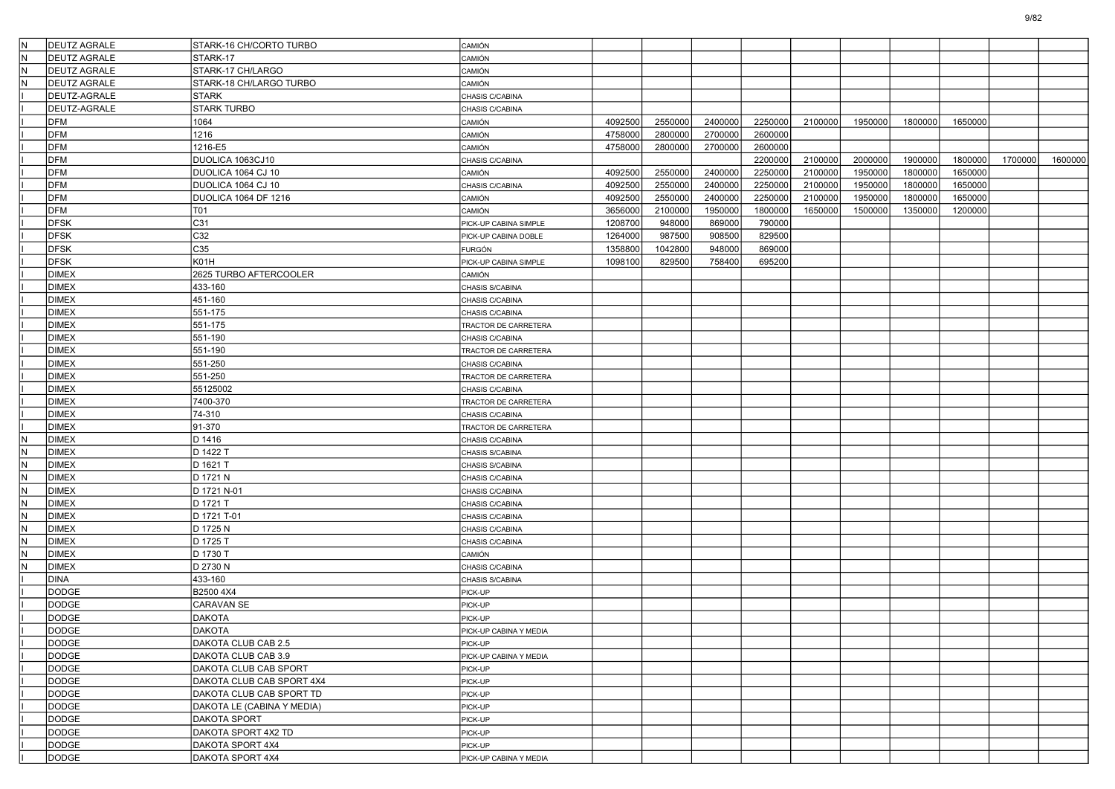| İN  | <b>DEUTZ AGRALE</b> | STARK-16 CH/CORTO TURBO    | CAMIÓN                 |         |         |         |         |         |         |         |         |         |         |
|-----|---------------------|----------------------------|------------------------|---------|---------|---------|---------|---------|---------|---------|---------|---------|---------|
| N   | <b>DEUTZ AGRALE</b> | STARK-17                   |                        |         |         |         |         |         |         |         |         |         |         |
| IN. | <b>DEUTZ AGRALE</b> | STARK-17 CH/LARGO          | ) amión<br>CAMIÓN      |         |         |         |         |         |         |         |         |         |         |
| İΝ  | <b>DEUTZ AGRALE</b> | STARK-18 CH/LARGO TURBO    | CAMIÓN                 |         |         |         |         |         |         |         |         |         |         |
|     | DEUTZ-AGRALE        | <b>STARK</b>               |                        |         |         |         |         |         |         |         |         |         |         |
|     |                     | <b>STARK TURBO</b>         | CHASIS C/CABINA        |         |         |         |         |         |         |         |         |         |         |
|     | DEUTZ-AGRALE        |                            | CHASIS C/CABINA        |         |         |         |         |         |         |         |         |         |         |
|     | <b>DFM</b>          | 1064                       | CAMIÓN                 | 4092500 | 2550000 | 2400000 | 2250000 | 2100000 | 1950000 | 1800000 | 1650000 |         |         |
|     | <b>DFM</b>          | 1216                       | CAMIÓN                 | 4758000 | 2800000 | 2700000 | 2600000 |         |         |         |         |         |         |
|     | <b>DFM</b>          | 1216-E5                    | CAMIÓN                 | 4758000 | 2800000 | 2700000 | 2600000 |         |         |         |         |         |         |
|     | <b>DFM</b>          | DUOLICA 1063CJ10           | CHASIS C/CABINA        |         |         |         | 2200000 | 2100000 | 2000000 | 1900000 | 1800000 | 1700000 | 1600000 |
|     | <b>DFM</b>          | DUOLICA 1064 CJ 10         | CAMIÓN                 | 4092500 | 2550000 | 2400000 | 2250000 | 2100000 | 1950000 | 1800000 | 1650000 |         |         |
|     | <b>DFM</b>          | DUOLICA 1064 CJ 10         | CHASIS C/CABINA        | 4092500 | 2550000 | 2400000 | 2250000 | 2100000 | 1950000 | 1800000 | 1650000 |         |         |
|     | <b>DFM</b>          | DUOLICA 1064 DF 1216       | CAMIÓN                 | 4092500 | 2550000 | 2400000 | 2250000 | 2100000 | 1950000 | 1800000 | 1650000 |         |         |
|     | <b>DFM</b>          | T01                        | CAMIÓN                 | 3656000 | 2100000 | 1950000 | 1800000 | 1650000 | 1500000 | 1350000 | 1200000 |         |         |
|     | <b>DFSK</b>         | C31                        | PICK-UP CABINA SIMPLE  | 1208700 | 948000  | 869000  | 790000  |         |         |         |         |         |         |
|     | <b>DFSK</b>         | C32                        | PICK-UP CABINA DOBLE   | 1264000 | 987500  | 908500  | 829500  |         |         |         |         |         |         |
|     | <b>DFSK</b>         | C35                        | FURGÓN                 | 1358800 | 1042800 | 948000  | 869000  |         |         |         |         |         |         |
|     | <b>DFSK</b>         | K01H                       | PICK-UP CABINA SIMPLE  | 1098100 | 829500  | 758400  | 695200  |         |         |         |         |         |         |
|     | <b>DIMEX</b>        | 2625 TURBO AFTERCOOLER     | CAMIÓN                 |         |         |         |         |         |         |         |         |         |         |
|     | <b>DIMEX</b>        | 433-160                    | CHASIS S/CABINA        |         |         |         |         |         |         |         |         |         |         |
|     | <b>DIMEX</b>        | 451-160                    | CHASIS C/CABINA        |         |         |         |         |         |         |         |         |         |         |
|     | <b>DIMEX</b>        | 551-175                    | CHASIS C/CABINA        |         |         |         |         |         |         |         |         |         |         |
|     | <b>DIMEX</b>        | 551-175                    | TRACTOR DE CARRETERA   |         |         |         |         |         |         |         |         |         |         |
|     | <b>DIMEX</b>        | 551-190                    | CHASIS C/CABINA        |         |         |         |         |         |         |         |         |         |         |
|     | <b>DIMEX</b>        | 551-190                    | TRACTOR DE CARRETERA   |         |         |         |         |         |         |         |         |         |         |
|     | <b>DIMEX</b>        | 551-250                    | CHASIS C/CABINA        |         |         |         |         |         |         |         |         |         |         |
|     | <b>DIMEX</b>        | 551-250                    | TRACTOR DE CARRETERA   |         |         |         |         |         |         |         |         |         |         |
|     | <b>DIMEX</b>        | 55125002                   | CHASIS C/CABINA        |         |         |         |         |         |         |         |         |         |         |
|     | <b>DIMEX</b>        | 7400-370                   | TRACTOR DE CARRETERA   |         |         |         |         |         |         |         |         |         |         |
|     | <b>DIMEX</b>        | 74-310                     | CHASIS C/CABINA        |         |         |         |         |         |         |         |         |         |         |
|     | <b>DIMEX</b>        | 91-370                     | TRACTOR DE CARRETERA   |         |         |         |         |         |         |         |         |         |         |
| N   | <b>DIMEX</b>        | D 1416                     | CHASIS C/CABINA        |         |         |         |         |         |         |         |         |         |         |
| IN. | <b>DIMEX</b>        | D 1422 T                   | CHASIS S/CABINA        |         |         |         |         |         |         |         |         |         |         |
| IN. | <b>DIMEX</b>        | D 1621 T                   | CHASIS S/CABINA        |         |         |         |         |         |         |         |         |         |         |
| N   | <b>DIMEX</b>        | D 1721 N                   | CHASIS C/CABINA        |         |         |         |         |         |         |         |         |         |         |
| IN. | <b>DIMEX</b>        | D 1721 N-01                | CHASIS C/CABINA        |         |         |         |         |         |         |         |         |         |         |
| N   | <b>DIMEX</b>        | D 1721 T                   | CHASIS C/CABINA        |         |         |         |         |         |         |         |         |         |         |
| IN. | <b>DIMEX</b>        | D 1721 T-01                | CHASIS C/CABINA        |         |         |         |         |         |         |         |         |         |         |
| IN. | <b>DIMEX</b>        | D 1725 N                   | CHASIS C/CABINA        |         |         |         |         |         |         |         |         |         |         |
| N   | <b>DIMEX</b>        | D 1725 T                   | CHASIS C/CABINA        |         |         |         |         |         |         |         |         |         |         |
| İΝ  | <b>DIMEX</b>        | D 1730 T                   | CAMIÓN                 |         |         |         |         |         |         |         |         |         |         |
| N   | <b>DIMEX</b>        | D 2730 N                   | CHASIS C/CABINA        |         |         |         |         |         |         |         |         |         |         |
|     | <b>DINA</b>         | 433-160                    | CHASIS S/CABINA        |         |         |         |         |         |         |         |         |         |         |
|     | <b>DODGE</b>        | B2500 4X4                  | PICK-UP                |         |         |         |         |         |         |         |         |         |         |
|     | DODGE               | CARAVAN SE                 | PICK-UP                |         |         |         |         |         |         |         |         |         |         |
|     | <b>DODGE</b>        | <b>DAKOTA</b>              | PICK-UP                |         |         |         |         |         |         |         |         |         |         |
|     | <b>DODGE</b>        | DAKOTA                     | PICK-UP CABINA Y MEDIA |         |         |         |         |         |         |         |         |         |         |
|     | <b>DODGE</b>        | DAKOTA CLUB CAB 2.5        | PICK-UP                |         |         |         |         |         |         |         |         |         |         |
|     | DODGE               | DAKOTA CLUB CAB 3.9        | PICK-UP CABINA Y MEDIA |         |         |         |         |         |         |         |         |         |         |
|     | DODGE               | DAKOTA CLUB CAB SPORT      | PICK-UP                |         |         |         |         |         |         |         |         |         |         |
|     | DODGE               | DAKOTA CLUB CAB SPORT 4X4  | PICK-UP                |         |         |         |         |         |         |         |         |         |         |
|     | DODGE               | DAKOTA CLUB CAB SPORT TD   | PICK-UP                |         |         |         |         |         |         |         |         |         |         |
|     | <b>DODGE</b>        | DAKOTA LE (CABINA Y MEDIA) | PICK-UP                |         |         |         |         |         |         |         |         |         |         |
|     | DODGE               | <b>DAKOTA SPORT</b>        | PICK-UP                |         |         |         |         |         |         |         |         |         |         |
|     | DODGE               | DAKOTA SPORT 4X2 TD        | PICK-UP                |         |         |         |         |         |         |         |         |         |         |
|     | DODGE               | DAKOTA SPORT 4X4           | PICK-UP                |         |         |         |         |         |         |         |         |         |         |
|     | <b>DODGE</b>        | DAKOTA SPORT 4X4           | PICK-UP CABINA Y MEDIA |         |         |         |         |         |         |         |         |         |         |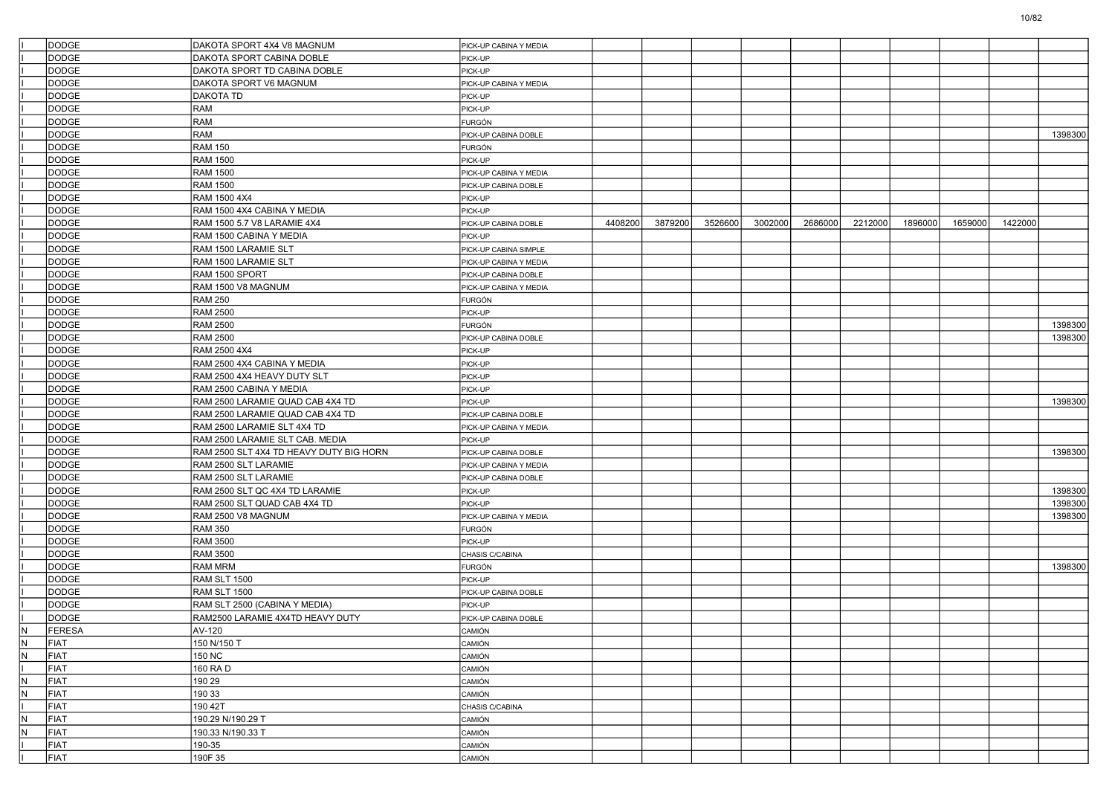|                         | <b>DODGE</b> | DAKOTA SPORT 4X4 V8 MAGNUM              | PICK-UP CABINA Y MEDIA          |         |         |         |         |         |         |         |         |         |         |
|-------------------------|--------------|-----------------------------------------|---------------------------------|---------|---------|---------|---------|---------|---------|---------|---------|---------|---------|
|                         | <b>DODGE</b> | DAKOTA SPORT CABINA DOBLE               | PICK-UP                         |         |         |         |         |         |         |         |         |         |         |
|                         | <b>DODGE</b> | DAKOTA SPORT TD CABINA DOBLE            | PICK-UP                         |         |         |         |         |         |         |         |         |         |         |
|                         | <b>DODGE</b> | DAKOTA SPORT V6 MAGNUM                  | PICK-UP CABINA Y MEDIA          |         |         |         |         |         |         |         |         |         |         |
|                         | DODGE        | <b>DAKOTA TD</b>                        | PICK-UP                         |         |         |         |         |         |         |         |         |         |         |
|                         | DODGE        | RAM                                     | PICK-UP                         |         |         |         |         |         |         |         |         |         |         |
|                         | <b>DODGE</b> | RAM                                     | <b>FURGÓN</b>                   |         |         |         |         |         |         |         |         |         |         |
|                         | DODGE        | RAM                                     | PICK-UP CABINA DOBLE            |         |         |         |         |         |         |         |         |         | 1398300 |
|                         | DODGE        | <b>RAM 150</b>                          | FURGÓN                          |         |         |         |         |         |         |         |         |         |         |
|                         | DODGE        | <b>RAM 1500</b>                         | PICK-UP                         |         |         |         |         |         |         |         |         |         |         |
|                         | DODGE        | <b>RAM 1500</b>                         | PICK-UP CABINA Y MEDIA          |         |         |         |         |         |         |         |         |         |         |
|                         | <b>DODGE</b> | <b>RAM 1500</b>                         | PICK-UP CABINA DOBLE            |         |         |         |         |         |         |         |         |         |         |
|                         | DODGE        | <b>RAM 1500 4X4</b>                     | PICK-UP                         |         |         |         |         |         |         |         |         |         |         |
|                         | DODGE        | RAM 1500 4X4 CABINA Y MEDIA             | PICK-UP                         |         |         |         |         |         |         |         |         |         |         |
|                         | <b>DODGE</b> | RAM 1500 5.7 V8 LARAMIE 4X4             | PICK-UP CABINA DOBLE            | 4408200 | 3879200 | 3526600 | 3002000 | 2686000 | 2212000 | 1896000 | 1659000 | 1422000 |         |
|                         | DODGE        | RAM 1500 CABINA Y MEDIA                 | PICK-UP                         |         |         |         |         |         |         |         |         |         |         |
|                         | <b>DODGE</b> | RAM 1500 LARAMIE SLT                    | PICK-UP CABINA SIMPLE           |         |         |         |         |         |         |         |         |         |         |
|                         | DODGE        | RAM 1500 LARAMIE SLT                    | PICK-UP CABINA Y MEDIA          |         |         |         |         |         |         |         |         |         |         |
|                         | DODGE        | RAM 1500 SPORT                          | PICK-UP CABINA DOBLE            |         |         |         |         |         |         |         |         |         |         |
|                         | <b>DODGE</b> | RAM 1500 V8 MAGNUM                      | PICK-UP CABINA Y MEDIA          |         |         |         |         |         |         |         |         |         |         |
|                         | <b>DODGE</b> | <b>RAM 250</b>                          | <b>FURGÓN</b>                   |         |         |         |         |         |         |         |         |         |         |
|                         | <b>DODGE</b> | <b>RAM 2500</b>                         | PICK-UP                         |         |         |         |         |         |         |         |         |         |         |
|                         | DODGE        | <b>RAM 2500</b>                         | <b>FURGÓN</b>                   |         |         |         |         |         |         |         |         |         | 1398300 |
|                         | <b>DODGE</b> | <b>RAM 2500</b>                         | PICK-UP CABINA DOBLE            |         |         |         |         |         |         |         |         |         | 1398300 |
|                         | <b>DODGE</b> | <b>RAM 2500 4X4</b>                     | PICK-UP                         |         |         |         |         |         |         |         |         |         |         |
|                         | <b>DODGE</b> | RAM 2500 4X4 CABINA Y MEDIA             | PICK-UP                         |         |         |         |         |         |         |         |         |         |         |
|                         | <b>DODGE</b> | RAM 2500 4X4 HEAVY DUTY SLT             | PICK-UP                         |         |         |         |         |         |         |         |         |         |         |
|                         | <b>DODGE</b> | RAM 2500 CABINA Y MEDIA                 | PICK-UP                         |         |         |         |         |         |         |         |         |         |         |
|                         | <b>DODGE</b> | RAM 2500 LARAMIE QUAD CAB 4X4 TD        | PICK-UP                         |         |         |         |         |         |         |         |         |         | 1398300 |
|                         | <b>DODGE</b> | RAM 2500 LARAMIE QUAD CAB 4X4 TD        | PICK-UP CABINA DOBLE            |         |         |         |         |         |         |         |         |         |         |
|                         | <b>DODGE</b> | RAM 2500 LARAMIE SLT 4X4 TD             | PICK-UP CABINA Y MEDIA          |         |         |         |         |         |         |         |         |         |         |
|                         | <b>DODGE</b> | RAM 2500 LARAMIE SLT CAB. MEDIA         | PICK-UP                         |         |         |         |         |         |         |         |         |         |         |
|                         | <b>DODGE</b> | RAM 2500 SLT 4X4 TD HEAVY DUTY BIG HORN | PICK-UP CABINA DOBLE            |         |         |         |         |         |         |         |         |         | 1398300 |
|                         | <b>DODGE</b> | RAM 2500 SLT LARAMIE                    | PICK-UP CABINA Y MEDIA          |         |         |         |         |         |         |         |         |         |         |
|                         | <b>DODGE</b> | RAM 2500 SLT LARAMIE                    | PICK-UP CABINA DOBLE            |         |         |         |         |         |         |         |         |         |         |
|                         | <b>DODGE</b> | RAM 2500 SLT QC 4X4 TD LARAMIE          | PICK-UP                         |         |         |         |         |         |         |         |         |         | 1398300 |
|                         | <b>DODGE</b> | RAM 2500 SLT QUAD CAB 4X4 TD            | PICK-UP                         |         |         |         |         |         |         |         |         |         | 1398300 |
|                         | <b>DODGE</b> | RAM 2500 V8 MAGNUM                      | PICK-UP CABINA Y MEDIA          |         |         |         |         |         |         |         |         |         | 1398300 |
|                         | <b>DODGE</b> | <b>RAM 350</b>                          | <b>FURGÓN</b>                   |         |         |         |         |         |         |         |         |         |         |
|                         | <b>DODGE</b> | <b>RAM 3500</b>                         | PICK-UP                         |         |         |         |         |         |         |         |         |         |         |
|                         | <b>DODGE</b> | <b>RAM 3500</b>                         | CHASIS C/CABINA                 |         |         |         |         |         |         |         |         |         |         |
|                         | <b>DODGE</b> | <b>RAM MRM</b>                          | <b>FURGÓN</b>                   |         |         |         |         |         |         |         |         |         | 1398300 |
|                         | <b>DODGE</b> | RAM SLT 1500                            | PICK-UP                         |         |         |         |         |         |         |         |         |         |         |
|                         | <b>DODGE</b> | RAM SLT 1500                            |                                 |         |         |         |         |         |         |         |         |         |         |
|                         | <b>DODGE</b> | RAM SLT 2500 (CABINA Y MEDIA)           | PICK-UP CABINA DOBLE<br>PICK-UP |         |         |         |         |         |         |         |         |         |         |
|                         | <b>DODGE</b> | RAM2500 LARAMIE 4X4TD HEAVY DUTY        |                                 |         |         |         |         |         |         |         |         |         |         |
|                         | FERESA       |                                         | PICK-UP CABINA DOBLE            |         |         |         |         |         |         |         |         |         |         |
| IN.                     |              | AV-120                                  | CAMIÓN                          |         |         |         |         |         |         |         |         |         |         |
| N                       | FIAT         | 150 N/150 T                             | CAMIÓN                          |         |         |         |         |         |         |         |         |         |         |
| N                       | FIAT         | <b>150 NC</b>                           | CAMIÓN                          |         |         |         |         |         |         |         |         |         |         |
|                         | FIAT         | 160 RA D                                | CAMIÓN                          |         |         |         |         |         |         |         |         |         |         |
| $\overline{\mathsf{N}}$ | FIAT         | 190 29                                  | CAMIÓN                          |         |         |         |         |         |         |         |         |         |         |
| IN.                     | FIAT         | 190 33                                  | CAMIÓN                          |         |         |         |         |         |         |         |         |         |         |
|                         | FIAT         | 190 42T                                 | CHASIS C/CABINA                 |         |         |         |         |         |         |         |         |         |         |
| N.                      | FIAT         | 190.29 N/190.29 T                       | CAMIÓN                          |         |         |         |         |         |         |         |         |         |         |
| IN.                     | FIAT         | 190.33 N/190.33 T                       | CAMIÓN                          |         |         |         |         |         |         |         |         |         |         |
|                         | FIAT         | 190-35                                  | CAMIÓN                          |         |         |         |         |         |         |         |         |         |         |
|                         | FIAT         | 190F 35                                 | CAMIÓN                          |         |         |         |         |         |         |         |         |         |         |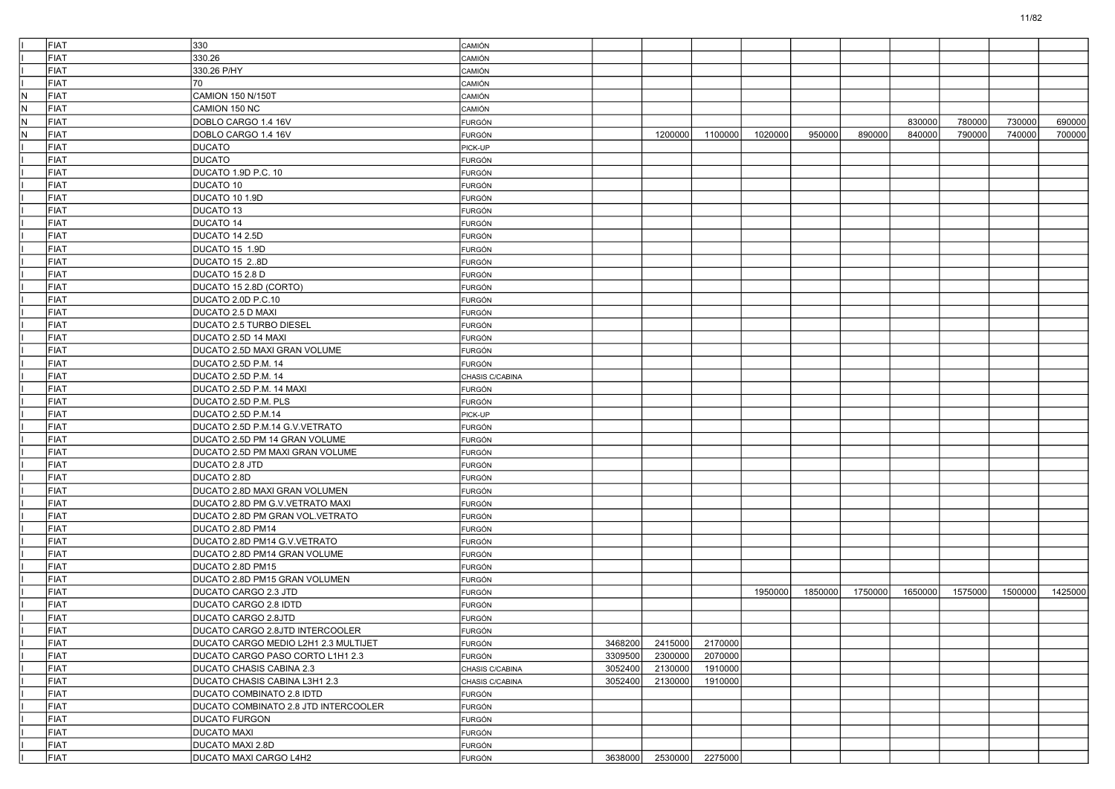|     | <b>FIAT</b> | 330                                  |                 |         |         |         |         |         |         |         |         |         |         |
|-----|-------------|--------------------------------------|-----------------|---------|---------|---------|---------|---------|---------|---------|---------|---------|---------|
|     |             |                                      | CAMIÓN          |         |         |         |         |         |         |         |         |         |         |
|     | FIAT        | 330.26                               | CAMIÓN          |         |         |         |         |         |         |         |         |         |         |
|     | FIAT        | 330.26 P/HY                          | CAMIÓN          |         |         |         |         |         |         |         |         |         |         |
|     | FIAT        | 70                                   | CAMIÓN          |         |         |         |         |         |         |         |         |         |         |
| N   | FIAT        | CAMION 150 N/150T                    | CAMIÓN          |         |         |         |         |         |         |         |         |         |         |
| N   | FIAT        | CAMION 150 NC                        | CAMIÓN          |         |         |         |         |         |         |         |         |         |         |
| IN. | FIAT        | DOBLO CARGO 1.4 16V                  | FURGÓN          |         |         |         |         |         |         | 830000  | 780000  | 730000  | 690000  |
| N   | FIAT        | DOBLO CARGO 1.4 16V                  | FURGÓN          |         | 1200000 | 1100000 | 1020000 | 950000  | 890000  | 840000  | 790000  | 740000  | 700000  |
|     | FIAT        | <b>DUCATO</b>                        | PICK-UP         |         |         |         |         |         |         |         |         |         |         |
|     | FIAT        | <b>DUCATO</b>                        | <b>FURGÓN</b>   |         |         |         |         |         |         |         |         |         |         |
|     | <b>FIAT</b> | DUCATO 1.9D P.C. 10                  | <b>FURGÓN</b>   |         |         |         |         |         |         |         |         |         |         |
|     | FIAT        | DUCATO 10                            | <b>FURGÓN</b>   |         |         |         |         |         |         |         |         |         |         |
|     | FIAT        | DUCATO 10 1.9D                       | <b>FURGÓN</b>   |         |         |         |         |         |         |         |         |         |         |
|     | FIAT        | DUCATO 13                            | FURGÓN          |         |         |         |         |         |         |         |         |         |         |
|     | FIAT        | <b>DUCATO 14</b>                     | <b>FURGÓN</b>   |         |         |         |         |         |         |         |         |         |         |
|     | <b>FIAT</b> | DUCATO 14 2.5D                       | <b>FURGÓN</b>   |         |         |         |         |         |         |         |         |         |         |
|     | FIAT        | DUCATO 15 1.9D                       | <b>FURGÓN</b>   |         |         |         |         |         |         |         |         |         |         |
|     | FIAT        | DUCATO 15 2.8D                       | FURGÓN          |         |         |         |         |         |         |         |         |         |         |
|     | FIAT        | DUCATO 15 2.8 D                      | FURGÓN          |         |         |         |         |         |         |         |         |         |         |
|     | FIAT        | DUCATO 15 2.8D (CORTO)               | <b>FURGÓN</b>   |         |         |         |         |         |         |         |         |         |         |
|     | <b>FIAT</b> | DUCATO 2.0D P.C.10                   | <b>FURGÓN</b>   |         |         |         |         |         |         |         |         |         |         |
|     | FIAT        | DUCATO 2.5 D MAXI                    | <b>FURGÓN</b>   |         |         |         |         |         |         |         |         |         |         |
|     | FIAT        | <b>DUCATO 2.5 TURBO DIESEL</b>       | FURGÓN          |         |         |         |         |         |         |         |         |         |         |
|     | FIAT        | DUCATO 2.5D 14 MAXI                  | FURGÓN          |         |         |         |         |         |         |         |         |         |         |
|     | <b>FIAT</b> | DUCATO 2.5D MAXI GRAN VOLUME         | <b>FURGÓN</b>   |         |         |         |         |         |         |         |         |         |         |
|     | <b>FIAT</b> | DUCATO 2.5D P.M. 14                  | FURGÓN          |         |         |         |         |         |         |         |         |         |         |
|     | FIAT        | DUCATO 2.5D P.M. 14                  | CHASIS C/CABINA |         |         |         |         |         |         |         |         |         |         |
|     | FIAT        | DUCATO 2.5D P.M. 14 MAXI             | FURGÓN          |         |         |         |         |         |         |         |         |         |         |
|     | FIAT        | DUCATO 2.5D P.M. PLS                 | FURGÓN          |         |         |         |         |         |         |         |         |         |         |
|     | <b>FIAT</b> | DUCATO 2.5D P.M.14                   | PICK-UP         |         |         |         |         |         |         |         |         |         |         |
|     | <b>FIAT</b> | DUCATO 2.5D P.M.14 G.V.VETRATO       | <b>FURGÓN</b>   |         |         |         |         |         |         |         |         |         |         |
|     | FIAT        | DUCATO 2.5D PM 14 GRAN VOLUME        | <b>FURGÓN</b>   |         |         |         |         |         |         |         |         |         |         |
|     | <b>FIAT</b> | DUCATO 2.5D PM MAXI GRAN VOLUME      | FURGÓN          |         |         |         |         |         |         |         |         |         |         |
|     | FIAT        | DUCATO 2.8 JTD                       | FURGÓN          |         |         |         |         |         |         |         |         |         |         |
|     | <b>FIAT</b> | DUCATO 2.8D                          | <b>FURGÓN</b>   |         |         |         |         |         |         |         |         |         |         |
|     | <b>FIAT</b> | DUCATO 2.8D MAXI GRAN VOLUMEN        | <b>FURGÓN</b>   |         |         |         |         |         |         |         |         |         |         |
|     | FIAT        | DUCATO 2.8D PM G.V.VETRATO MAXI      | <b>FURGÓN</b>   |         |         |         |         |         |         |         |         |         |         |
|     | FIAT        | DUCATO 2.8D PM GRAN VOL.VETRATO      | FURGÓN          |         |         |         |         |         |         |         |         |         |         |
|     | FIAT        | DUCATO 2.8D PM14                     | FURGÓN          |         |         |         |         |         |         |         |         |         |         |
|     | <b>FIAT</b> | DUCATO 2.8D PM14 G.V.VETRATO         | <b>FURGÓN</b>   |         |         |         |         |         |         |         |         |         |         |
|     | FIAT        | DUCATO 2.8D PM14 GRAN VOLUME         | <b>FURGÓN</b>   |         |         |         |         |         |         |         |         |         |         |
|     | <b>FIAT</b> | DUCATO 2.8D PM15                     | <b>FURGÓN</b>   |         |         |         |         |         |         |         |         |         |         |
|     | <b>FIAT</b> | DUCATO 2.8D PM15 GRAN VOLUMEN        | <b>FURGÓN</b>   |         |         |         |         |         |         |         |         |         |         |
|     | FIAT        | DUCATO CARGO 2.3 JTD                 | FURGÓN          |         |         |         | 1950000 | 1850000 | 1750000 | 1650000 | 1575000 | 1500000 | 1425000 |
|     | <b>FIAT</b> | <b>DUCATO CARGO 2.8 IDTD</b>         | <b>FURGÓN</b>   |         |         |         |         |         |         |         |         |         |         |
|     | <b>FIAT</b> | DUCATO CARGO 2.8JTD                  | <b>FURGÓN</b>   |         |         |         |         |         |         |         |         |         |         |
|     | FIAT        | DUCATO CARGO 2.8JTD INTERCOOLER      | FURGÓN          |         |         |         |         |         |         |         |         |         |         |
|     | FIAT        | DUCATO CARGO MEDIO L2H1 2.3 MULTIJET | <b>FURGÓN</b>   | 3468200 | 2415000 | 2170000 |         |         |         |         |         |         |         |
|     | FIAT        | DUCATO CARGO PASO CORTO L1H1 2.3     | FURGÓN          | 3309500 | 2300000 | 2070000 |         |         |         |         |         |         |         |
|     | FIAT        | DUCATO CHASIS CABINA 2.3             | CHASIS C/CABINA | 3052400 | 2130000 | 1910000 |         |         |         |         |         |         |         |
|     | FIAT        | DUCATO CHASIS CABINA L3H1 2.3        | CHASIS C/CABINA | 3052400 | 2130000 | 1910000 |         |         |         |         |         |         |         |
|     | FIAT        | DUCATO COMBINATO 2.8 IDTD            | <b>FURGÓN</b>   |         |         |         |         |         |         |         |         |         |         |
|     | FIAT        | DUCATO COMBINATO 2.8 JTD INTERCOOLER | FURGÓN          |         |         |         |         |         |         |         |         |         |         |
|     | FIAT        | <b>DUCATO FURGON</b>                 | <b>FURGÓN</b>   |         |         |         |         |         |         |         |         |         |         |
|     | FIAT        | <b>DUCATO MAXI</b>                   | FURGÓN          |         |         |         |         |         |         |         |         |         |         |
|     | FIAT        | DUCATO MAXI 2.8D                     | <b>FURGÓN</b>   |         |         |         |         |         |         |         |         |         |         |
|     | FIAT        | DUCATO MAXI CARGO L4H2               | FURGÓN          | 3638000 | 2530000 | 2275000 |         |         |         |         |         |         |         |
|     |             |                                      |                 |         |         |         |         |         |         |         |         |         |         |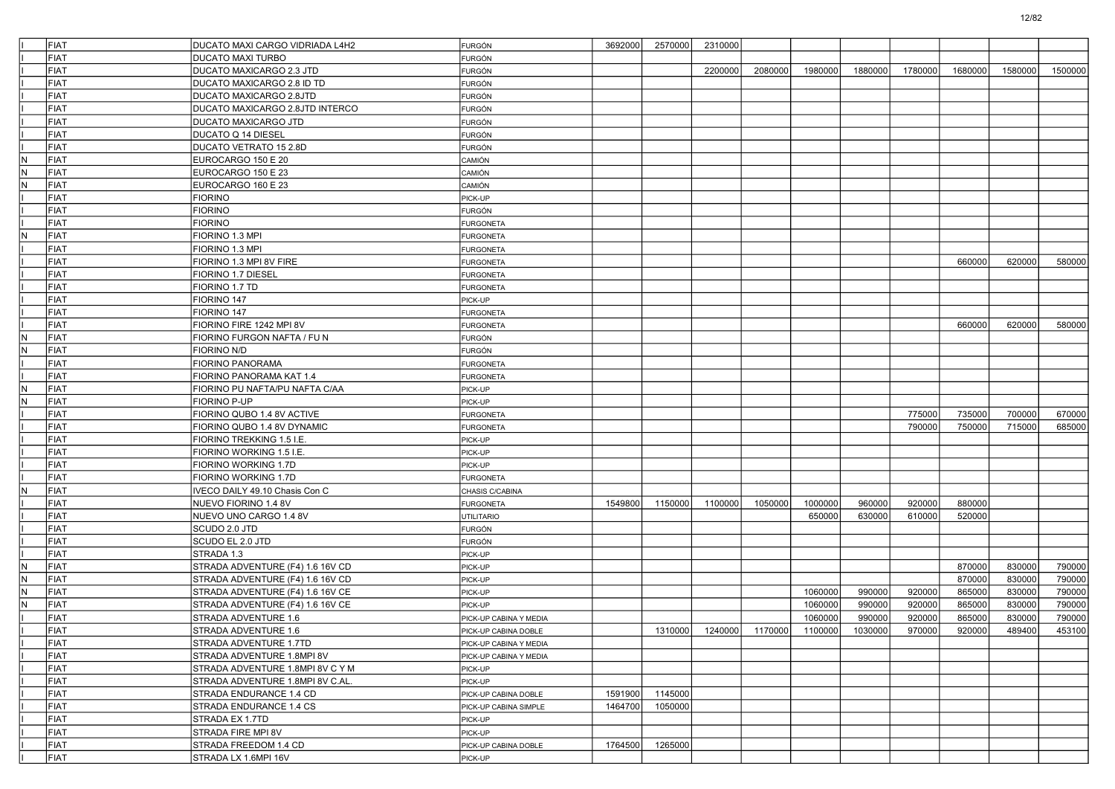| FIAT                            | DUCATO MAXI CARGO VIDRIADA L4H2            | <b>FURGÓN</b>                        | 3692000 | 2570000 | 2310000 |         |                                         |         |         |         |         |         |
|---------------------------------|--------------------------------------------|--------------------------------------|---------|---------|---------|---------|-----------------------------------------|---------|---------|---------|---------|---------|
| <b>FIAT</b>                     | <b>DUCATO MAXI TURBO</b>                   | <b>FURGÓN</b>                        |         |         |         |         |                                         |         |         |         |         |         |
| FIAT                            | DUCATO MAXICARGO 2.3 JTD                   | FURGÓN                               |         |         | 2200000 | 2080000 | 1980000                                 | 1880000 | 1780000 | 1680000 | 1580000 | 1500000 |
| <b>FIAT</b>                     | DUCATO MAXICARGO 2.8 ID TD                 | <b>FURGÓN</b>                        |         |         |         |         |                                         |         |         |         |         |         |
| FIAT                            | DUCATO MAXICARGO 2.8JTD                    | <b>FURGÓN</b>                        |         |         |         |         |                                         |         |         |         |         |         |
| FIAT                            | DUCATO MAXICARGO 2.8JTD INTERCO            | <b>FURGÓN</b>                        |         |         |         |         |                                         |         |         |         |         |         |
| <b>FIAT</b>                     | <b>DUCATO MAXICARGO JTD</b>                | <b>FURGÓN</b>                        |         |         |         |         |                                         |         |         |         |         |         |
| <b>FIAT</b>                     | DUCATO Q 14 DIESEL                         | FURGÓN                               |         |         |         |         |                                         |         |         |         |         |         |
| <b>FIAT</b>                     | DUCATO VETRATO 15 2.8D                     | <b>FURGÓN</b>                        |         |         |         |         |                                         |         |         |         |         |         |
| $\mathsf N$<br>FIAT             | EUROCARGO 150 E 20                         | CAMIÓN                               |         |         |         |         |                                         |         |         |         |         |         |
| $\sf N$<br><b>FIAT</b>          | EUROCARGO 150 E 23                         | <b>CAMIÓN</b>                        |         |         |         |         |                                         |         |         |         |         |         |
| <b>FIAT</b><br>$\sf N$          | EUROCARGO 160 E 23                         | CAMIÓN                               |         |         |         |         |                                         |         |         |         |         |         |
| FIAT                            | <b>FIORINO</b>                             | PICK-UP                              |         |         |         |         |                                         |         |         |         |         |         |
| <b>FIAT</b>                     | <b>FIORINO</b><br><b>FIORINO</b>           | <b>FURGÓN</b>                        |         |         |         |         |                                         |         |         |         |         |         |
| <b>FIAT</b>                     | FIORINO 1.3 MPI                            | <b>FURGONETA</b>                     |         |         |         |         |                                         |         |         |         |         |         |
| N<br>FIAT<br><b>FIAT</b>        |                                            | <b>FURGONETA</b>                     |         |         |         |         |                                         |         |         |         |         |         |
| <b>FIAT</b>                     | FIORINO 1.3 MPI<br>FIORINO 1.3 MPI 8V FIRE | <b>FURGONETA</b>                     |         |         |         |         |                                         |         |         | 660000  | 620000  | 580000  |
| <b>FIAT</b>                     |                                            | <b>FURGONETA</b>                     |         |         |         |         |                                         |         |         |         |         |         |
| FIAT                            | FIORINO 1.7 DIESEL<br>FIORINO 1.7 TD       | <b>FURGONETA</b>                     |         |         |         |         |                                         |         |         |         |         |         |
| FIAT                            | FIORINO 147                                | <b>FURGONETA</b><br>PICK-UP          |         |         |         |         |                                         |         |         |         |         |         |
| <b>FIAT</b>                     | FIORINO 147                                |                                      |         |         |         |         |                                         |         |         |         |         |         |
| FIAT                            | FIORINO FIRE 1242 MPI 8V                   | <b>FURGONETA</b><br><b>FURGONETA</b> |         |         |         |         |                                         |         |         | 660000  | 620000  | 580000  |
| N<br>FIAT                       | FIORINO FURGON NAFTA / FU N                | <b>FURGÓN</b>                        |         |         |         |         |                                         |         |         |         |         |         |
| $\mathsf N$<br>FIAT             | <b>FIORINO N/D</b>                         | <b>FURGÓN</b>                        |         |         |         |         |                                         |         |         |         |         |         |
| <b>FIAT</b>                     | FIORINO PANORAMA                           | <b>FURGONETA</b>                     |         |         |         |         |                                         |         |         |         |         |         |
| <b>FIAT</b>                     | FIORINO PANORAMA KAT 1.4                   | <b>FURGONETA</b>                     |         |         |         |         |                                         |         |         |         |         |         |
| $\sf N$<br>FIAT                 | FIORINO PU NAFTA/PU NAFTA C/AA             | PICK-UP                              |         |         |         |         |                                         |         |         |         |         |         |
| N.<br>FIAT                      | FIORINO P-UP                               | PICK-UP                              |         |         |         |         |                                         |         |         |         |         |         |
| FIAT                            | FIORINO QUBO 1.4 8V ACTIVE                 | <b>FURGONETA</b>                     |         |         |         |         |                                         |         | 775000  | 735000  | 700000  | 670000  |
| <b>FIAT</b>                     | FIORINO QUBO 1.4 8V DYNAMIC                | <b>FURGONETA</b>                     |         |         |         |         |                                         |         | 790000  | 750000  | 715000  | 685000  |
| <b>FIAT</b>                     | FIORINO TREKKING 1.5 I.E.                  | PICK-UP                              |         |         |         |         |                                         |         |         |         |         |         |
| FIAT                            | FIORINO WORKING 1.5 I.E.                   | PICK-UP                              |         |         |         |         |                                         |         |         |         |         |         |
| <b>FIAT</b>                     | FIORINO WORKING 1.7D                       | PICK-UP                              |         |         |         |         |                                         |         |         |         |         |         |
| FIAT                            | FIORINO WORKING 1.7D                       | <b>FURGONETA</b>                     |         |         |         |         |                                         |         |         |         |         |         |
| $\overline{\mathsf{N}}$<br>FIAT | IVECO DAILY 49.10 Chasis Con C             | CHASIS C/CABINA                      |         |         |         |         |                                         |         |         |         |         |         |
| <b>FIAT</b>                     | NUEVO FIORINO 1.4 8V                       | <b>FURGONETA</b>                     | 1549800 | 1150000 | 1100000 | 1050000 | 1000000                                 | 960000  | 920000  | 880000  |         |         |
| FIAT                            | NUEVO UNO CARGO 1.4 8V                     | <b>UTILITARIO</b>                    |         |         |         |         | 650000                                  | 630000  | 610000  | 520000  |         |         |
| FIAT                            | SCUDO 2.0 JTD                              | <b>FURGÓN</b>                        |         |         |         |         |                                         |         |         |         |         |         |
| FIAT                            | SCUDO EL 2.0 JTD                           | <b>FURGÓN</b>                        |         |         |         |         |                                         |         |         |         |         |         |
| FIAT                            | STRADA 1.3                                 | PICK-UP                              |         |         |         |         |                                         |         |         |         |         |         |
| <b>FIAT</b><br>N.               | STRADA ADVENTURE (F4) 1.6 16V CD           | PICK-UP                              |         |         |         |         |                                         |         |         | 870000  | 830000  | 790000  |
| FIAT<br>N                       | STRADA ADVENTURE (F4) 1.6 16V CD           | PICK-UP                              |         |         |         |         |                                         |         |         | 870000  | 830000  | 790000  |
| N<br>FIAT                       | STRADA ADVENTURE (F4) 1.6 16V CE           | PICK-UP                              |         |         |         |         | 1060000                                 | 990000  | 920000  | 865000  | 830000  | 790000  |
| $\mathsf N$<br>FIAT             | STRADA ADVENTURE (F4) 1.6 16V CE           | PICK-UP                              |         |         |         |         | 1060000                                 | 990000  | 920000  | 865000  | 830000  | 790000  |
| <b>FIAT</b>                     | STRADA ADVENTURE 1.6                       | PICK-UP CABINA Y MEDIA               |         |         |         |         | 1060000                                 | 990000  | 920000  | 865000  | 830000  | 790000  |
| FIAT                            | STRADA ADVENTURE 1.6                       | PICK-UP CABINA DOBLE                 |         |         |         |         | 1310000 1240000 1170000 1100000 1030000 |         | 970000  | 920000  | 489400  | 453100  |
| FIAT                            | STRADA ADVENTURE 1.7TD                     | PICK-UP CABINA Y MEDIA               |         |         |         |         |                                         |         |         |         |         |         |
| FIAT                            | STRADA ADVENTURE 1.8MPI 8V                 | PICK-UP CABINA Y MEDIA               |         |         |         |         |                                         |         |         |         |         |         |
| FIAT                            | STRADA ADVENTURE 1.8MPI 8V C Y M           | PICK-UP                              |         |         |         |         |                                         |         |         |         |         |         |
| FIAT                            | STRADA ADVENTURE 1.8MPI 8V C.AL.           | PICK-UP                              |         |         |         |         |                                         |         |         |         |         |         |
| FIAT                            | STRADA ENDURANCE 1.4 CD                    | PICK-UP CABINA DOBLE                 | 1591900 | 1145000 |         |         |                                         |         |         |         |         |         |
| FIAT                            | STRADA ENDURANCE 1.4 CS                    | PICK-UP CABINA SIMPLE                | 1464700 | 1050000 |         |         |                                         |         |         |         |         |         |
| FIAT                            | STRADA EX 1.7TD                            | PICK-UP                              |         |         |         |         |                                         |         |         |         |         |         |
| FIAT                            | STRADA FIRE MPI 8V                         | PICK-UP                              |         |         |         |         |                                         |         |         |         |         |         |
| FIAT                            | STRADA FREEDOM 1.4 CD                      | PICK-UP CABINA DOBLE                 | 1764500 | 1265000 |         |         |                                         |         |         |         |         |         |
| FIAT                            | STRADA LX 1.6MPI 16V                       | PICK-UP                              |         |         |         |         |                                         |         |         |         |         |         |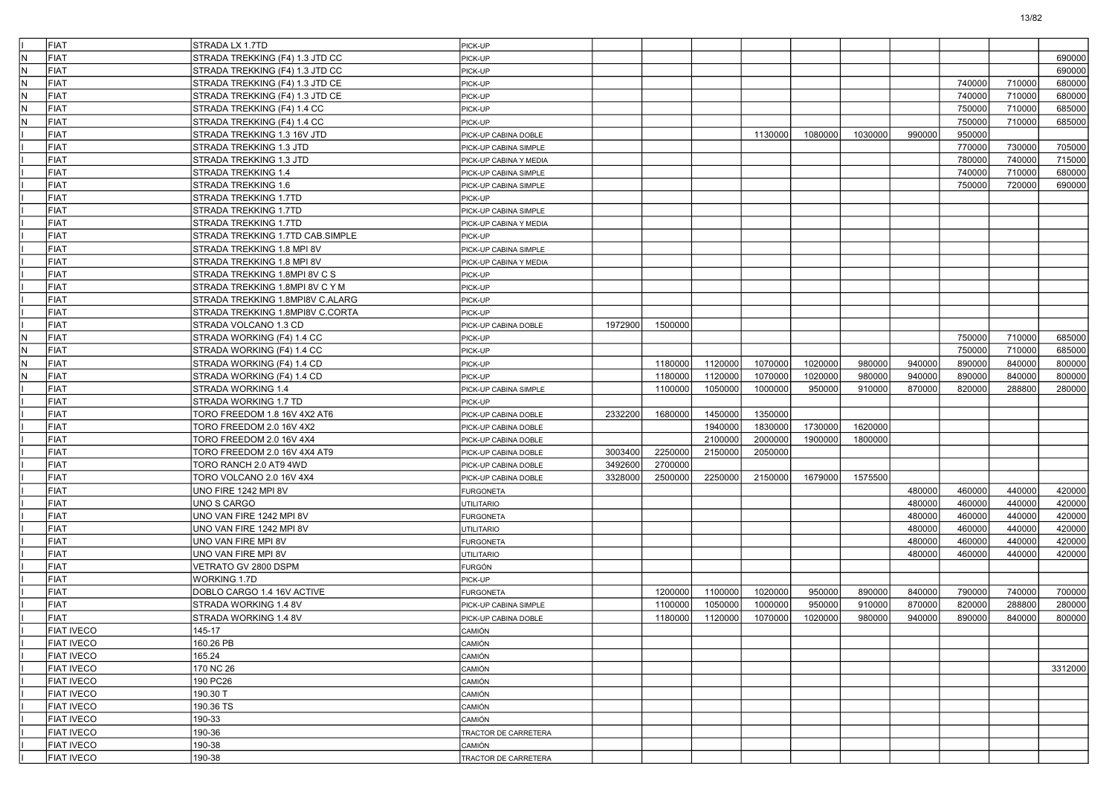|     | <b>FIAT</b>       | STRADA LX 1.7TD                  | PICK-UP                |         |         |         |         |         |         |        |        |        |         |
|-----|-------------------|----------------------------------|------------------------|---------|---------|---------|---------|---------|---------|--------|--------|--------|---------|
| IN. | <b>FIAT</b>       | STRADA TREKKING (F4) 1.3 JTD CC  | PICK-UP                |         |         |         |         |         |         |        |        |        | 690000  |
| lN. | <b>FIAT</b>       | STRADA TREKKING (F4) 1.3 JTD CC  | PICK-UP                |         |         |         |         |         |         |        |        |        | 690000  |
| lN. | FIAT              | STRADA TREKKING (F4) 1.3 JTD CE  | PICK-UP                |         |         |         |         |         |         |        | 740000 | 710000 | 680000  |
| N   | <b>FIAT</b>       | STRADA TREKKING (F4) 1.3 JTD CE  | PICK-UP                |         |         |         |         |         |         |        | 740000 | 710000 | 680000  |
| IN. | <b>FIAT</b>       | STRADA TREKKING (F4) 1.4 CC      | PICK-UP                |         |         |         |         |         |         |        | 750000 | 710000 | 685000  |
| IN. | <b>FIAT</b>       | STRADA TREKKING (F4) 1.4 CC      | PICK-UP                |         |         |         |         |         |         |        | 750000 | 710000 | 685000  |
|     | <b>FIAT</b>       | STRADA TREKKING 1.3 16V JTD      | PICK-UP CABINA DOBLE   |         |         |         | 1130000 | 1080000 | 1030000 | 990000 | 950000 |        |         |
|     | <b>FIAT</b>       | STRADA TREKKING 1.3 JTD          | PICK-UP CABINA SIMPLE  |         |         |         |         |         |         |        | 770000 | 730000 | 705000  |
|     | <b>FIAT</b>       | STRADA TREKKING 1.3 JTD          | PICK-UP CABINA Y MEDIA |         |         |         |         |         |         |        | 780000 | 740000 | 715000  |
|     | <b>FIAT</b>       | STRADA TREKKING 1.4              | PICK-UP CABINA SIMPLE  |         |         |         |         |         |         |        | 740000 | 710000 | 680000  |
|     | <b>FIAT</b>       | STRADA TREKKING 1.6              | PICK-UP CABINA SIMPLE  |         |         |         |         |         |         |        | 750000 | 720000 | 690000  |
|     | <b>FIAT</b>       | STRADA TREKKING 1.7TD            | PICK-UP                |         |         |         |         |         |         |        |        |        |         |
|     | FIAT              | STRADA TREKKING 1.7TD            | PICK-UP CABINA SIMPLE  |         |         |         |         |         |         |        |        |        |         |
|     | FIAT              | STRADA TREKKING 1.7TD            | PICK-UP CABINA Y MEDIA |         |         |         |         |         |         |        |        |        |         |
|     | <b>FIAT</b>       | STRADA TREKKING 1.7TD CAB.SIMPLE | PICK-UP                |         |         |         |         |         |         |        |        |        |         |
|     | <b>FIAT</b>       | STRADA TREKKING 1.8 MPI 8V       | PICK-UP CABINA SIMPLE  |         |         |         |         |         |         |        |        |        |         |
|     | <b>FIAT</b>       | STRADA TREKKING 1.8 MPI 8V       | PICK-UP CABINA Y MEDIA |         |         |         |         |         |         |        |        |        |         |
|     | FIAT              | STRADA TREKKING 1.8MPI 8V C S    | PICK-UP                |         |         |         |         |         |         |        |        |        |         |
|     | FIAT              | STRADA TREKKING 1.8MPI 8V C Y M  | PICK-UP                |         |         |         |         |         |         |        |        |        |         |
|     | <b>FIAT</b>       | STRADA TREKKING 1.8MPI8V C.ALARG | PICK-UP                |         |         |         |         |         |         |        |        |        |         |
|     | <b>FIAT</b>       | STRADA TREKKING 1.8MPI8V C.CORTA | PICK-UP                |         |         |         |         |         |         |        |        |        |         |
|     | <b>FIAT</b>       | STRADA VOLCANO 1.3 CD            | PICK-UP CABINA DOBLE   | 1972900 | 1500000 |         |         |         |         |        |        |        |         |
| lN. | FIAT              | STRADA WORKING (F4) 1.4 CC       | PICK-UP                |         |         |         |         |         |         |        | 750000 | 710000 | 685000  |
| N   | <b>FIAT</b>       | STRADA WORKING (F4) 1.4 CC       | PICK-UP                |         |         |         |         |         |         |        | 750000 | 710000 | 685000  |
| IN. | <b>FIAT</b>       | STRADA WORKING (F4) 1.4 CD       | PICK-UP                |         | 1180000 | 1120000 | 1070000 | 1020000 | 980000  | 940000 | 890000 | 840000 | 800000  |
| N   | <b>FIAT</b>       | STRADA WORKING (F4) 1.4 CD       | PICK-UP                |         | 1180000 | 1120000 | 1070000 | 1020000 | 980000  | 940000 | 890000 | 840000 | 800000  |
|     | <b>FIAT</b>       | STRADA WORKING 1.4               | PICK-UP CABINA SIMPLE  |         | 1100000 | 1050000 | 1000000 | 950000  | 910000  | 870000 | 820000 | 288800 | 280000  |
|     | FIAT              | STRADA WORKING 1.7 TD            | PICK-UP                |         |         |         |         |         |         |        |        |        |         |
|     | <b>FIAT</b>       | TORO FREEDOM 1.8 16V 4X2 AT6     | PICK-UP CABINA DOBLE   | 2332200 | 1680000 | 1450000 | 1350000 |         |         |        |        |        |         |
|     | <b>FIAT</b>       | TORO FREEDOM 2.0 16V 4X2         | PICK-UP CABINA DOBLE   |         |         | 1940000 | 1830000 | 1730000 | 1620000 |        |        |        |         |
|     | <b>FIAT</b>       | TORO FREEDOM 2.0 16V 4X4         | PICK-UP CABINA DOBLE   |         |         | 2100000 | 2000000 | 1900000 | 1800000 |        |        |        |         |
|     | <b>FIAT</b>       | TORO FREEDOM 2.0 16V 4X4 AT9     | PICK-UP CABINA DOBLE   | 3003400 | 2250000 | 2150000 | 2050000 |         |         |        |        |        |         |
|     | <b>FIAT</b>       | TORO RANCH 2.0 AT9 4WD           | PICK-UP CABINA DOBLE   | 3492600 | 2700000 |         |         |         |         |        |        |        |         |
|     | <b>FIAT</b>       | TORO VOLCANO 2.0 16V 4X4         | PICK-UP CABINA DOBLE   | 3328000 | 2500000 | 2250000 | 2150000 | 1679000 | 1575500 |        |        |        |         |
|     | <b>FIAT</b>       | UNO FIRE 1242 MPI 8V             | <b>FURGONETA</b>       |         |         |         |         |         |         | 480000 | 460000 | 440000 | 420000  |
|     | <b>FIAT</b>       | UNO S CARGO                      | UTILITARIO             |         |         |         |         |         |         | 480000 | 460000 | 440000 | 420000  |
|     | <b>FIAT</b>       | UNO VAN FIRE 1242 MPI 8V         | <b>FURGONETA</b>       |         |         |         |         |         |         | 480000 | 460000 | 440000 | 420000  |
|     | <b>FIAT</b>       | UNO VAN FIRE 1242 MPI 8V         | UTILITARIO             |         |         |         |         |         |         | 480000 | 460000 | 440000 | 420000  |
|     | <b>FIAT</b>       | UNO VAN FIRE MPI 8V              | <b>FURGONETA</b>       |         |         |         |         |         |         | 480000 | 460000 | 440000 | 420000  |
|     | <b>FIAT</b>       | UNO VAN FIRE MPI 8V              | <b>UTILITARIO</b>      |         |         |         |         |         |         | 480000 | 460000 | 440000 | 420000  |
|     | <b>FIAT</b>       | VETRATO GV 2800 DSPM             | FURGÓN                 |         |         |         |         |         |         |        |        |        |         |
|     | <b>FIAT</b>       | WORKING 1.7D                     | PICK-UP                |         |         |         |         |         |         |        |        |        |         |
|     | FIAT              | DOBLO CARGO 1.4 16V ACTIVE       | <b>FURGONETA</b>       |         | 1200000 | 1100000 | 1020000 | 950000  | 890000  | 840000 | 790000 | 740000 | 700000  |
|     | <b>FIAT</b>       | STRADA WORKING 1.4 8V            | PICK-UP CABINA SIMPLE  |         | 1100000 | 1050000 | 1000000 | 950000  | 910000  | 870000 | 820000 | 288800 | 280000  |
|     | <b>FIAT</b>       | STRADA WORKING 1.4 8V            | PICK-UP CABINA DOBLE   |         | 1180000 | 1120000 | 1070000 | 1020000 | 980000  | 940000 | 890000 | 840000 | 800000  |
|     | <b>FIAT IVECO</b> | 145-17                           | <b>CAMION</b>          |         |         |         |         |         |         |        |        |        |         |
|     | <b>FIAT IVECO</b> | 160.26 PB                        | CAMIÓN                 |         |         |         |         |         |         |        |        |        |         |
|     | <b>FIAT IVECO</b> | 165.24                           | CAMIÓN                 |         |         |         |         |         |         |        |        |        |         |
|     | <b>FIAT IVECO</b> | 170 NC 26                        | CAMIÓN                 |         |         |         |         |         |         |        |        |        | 3312000 |
|     | <b>FIAT IVECO</b> | 190 PC26                         | CAMIÓN                 |         |         |         |         |         |         |        |        |        |         |
|     | <b>FIAT IVECO</b> | 190.30 T                         | CAMIÓN                 |         |         |         |         |         |         |        |        |        |         |
|     | <b>FIAT IVECO</b> | 190.36 TS                        | CAMIÓN                 |         |         |         |         |         |         |        |        |        |         |
|     | <b>FIAT IVECO</b> | 190-33                           | CAMIÓN                 |         |         |         |         |         |         |        |        |        |         |
|     | <b>FIAT IVECO</b> | 190-36                           | TRACTOR DE CARRETERA   |         |         |         |         |         |         |        |        |        |         |
|     | <b>FIAT IVECO</b> | 190-38                           | CAMIÓN                 |         |         |         |         |         |         |        |        |        |         |
|     | <b>FIAT IVECO</b> | 190-38                           | TRACTOR DE CARRETERA   |         |         |         |         |         |         |        |        |        |         |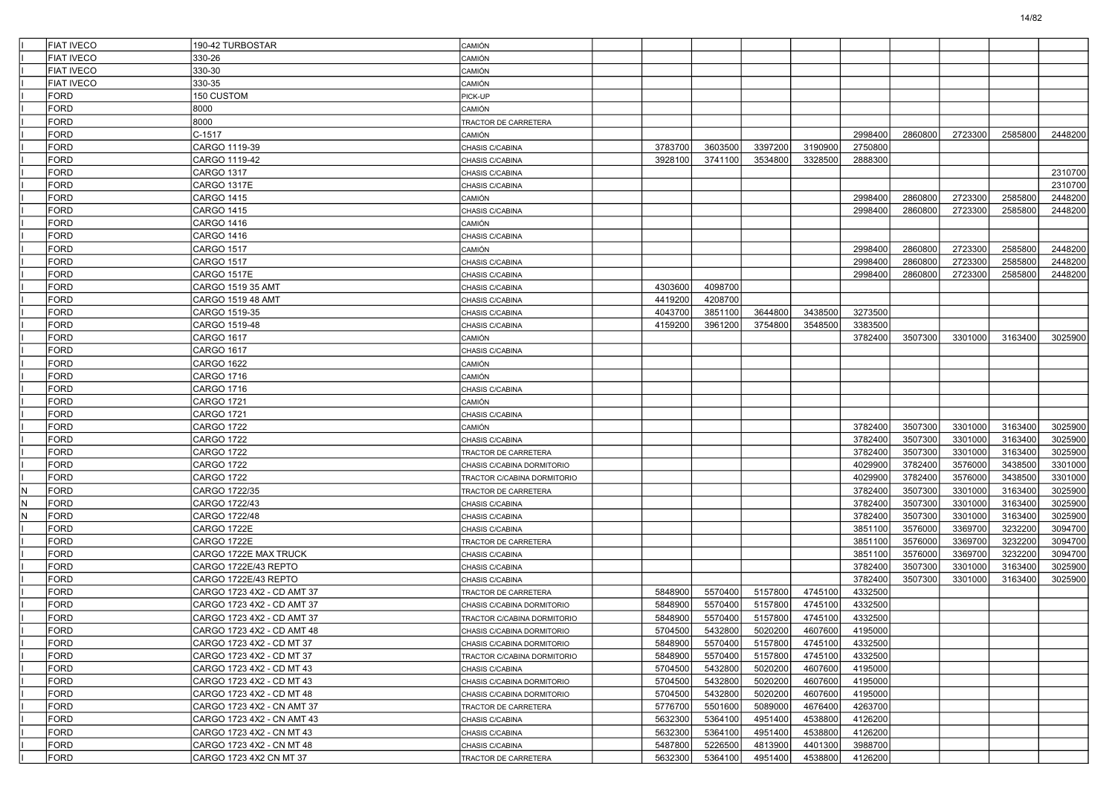|    | <b>FIAT IVECO</b>   | 190-42 TURBOSTAR                                        | CAMIÓN                             |                    |                    |                    |                    |                    |         |         |         |         |
|----|---------------------|---------------------------------------------------------|------------------------------------|--------------------|--------------------|--------------------|--------------------|--------------------|---------|---------|---------|---------|
|    | <b>FIAT IVECO</b>   | 330-26                                                  | CAMIÓN                             |                    |                    |                    |                    |                    |         |         |         |         |
|    | <b>FIAT IVECO</b>   | 330-30                                                  | <b>CAMIÓN</b>                      |                    |                    |                    |                    |                    |         |         |         |         |
|    | FIAT IVECO          | 330-35                                                  | CAMIÓN                             |                    |                    |                    |                    |                    |         |         |         |         |
|    | <b>FORD</b>         | 150 CUSTOM                                              | PICK-UP                            |                    |                    |                    |                    |                    |         |         |         |         |
|    | <b>FORD</b>         | 8000                                                    | CAMIÓN                             |                    |                    |                    |                    |                    |         |         |         |         |
|    | FORD                | 8000                                                    | TRACTOR DE CARRETERA               |                    |                    |                    |                    |                    |         |         |         |         |
|    | FORD                | C-1517                                                  | <b>CAMIÓN</b>                      |                    |                    |                    |                    | 2998400            | 2860800 | 2723300 | 2585800 | 2448200 |
|    | <b>FORD</b>         | CARGO 1119-39                                           | CHASIS C/CABINA                    | 3783700            | 3603500            | 3397200            | 3190900            | 2750800            |         |         |         |         |
|    | <b>FORD</b>         | CARGO 1119-42                                           | CHASIS C/CABINA                    | 3928100            | 3741100            | 3534800            | 3328500            | 2888300            |         |         |         |         |
|    | <b>FORD</b>         | CARGO 1317                                              | CHASIS C/CABINA                    |                    |                    |                    |                    |                    |         |         |         | 2310700 |
|    | FORD                | CARGO 1317E                                             | CHASIS C/CABINA                    |                    |                    |                    |                    |                    |         |         |         | 2310700 |
|    | FORD                | CARGO 1415                                              | CAMIÓN                             |                    |                    |                    |                    | 2998400            | 2860800 | 2723300 | 2585800 | 2448200 |
|    | <b>FORD</b>         | CARGO 1415                                              | CHASIS C/CABINA                    |                    |                    |                    |                    | 2998400            | 2860800 | 2723300 | 2585800 | 2448200 |
|    | <b>FORD</b>         | CARGO 1416                                              | <b>CAMIÓN</b>                      |                    |                    |                    |                    |                    |         |         |         |         |
|    | <b>FORD</b>         | CARGO 1416                                              | CHASIS C/CABINA                    |                    |                    |                    |                    |                    |         |         |         |         |
|    | FORD                | CARGO 1517                                              | CAMIÓN                             |                    |                    |                    |                    | 2998400            | 2860800 | 2723300 | 2585800 | 2448200 |
|    | FORD                | CARGO 1517                                              | CHASIS C/CABINA                    |                    |                    |                    |                    | 2998400            | 2860800 | 2723300 | 2585800 | 2448200 |
|    | <b>FORD</b>         | CARGO 1517E                                             | CHASIS C/CABINA                    |                    |                    |                    |                    | 2998400            | 2860800 | 2723300 | 2585800 | 2448200 |
|    | <b>FORD</b>         | CARGO 1519 35 AMT                                       | CHASIS C/CABINA                    | 4303600            | 4098700            |                    |                    |                    |         |         |         |         |
|    | <b>FORD</b>         | CARGO 1519 48 AMT                                       | CHASIS C/CABINA                    | 4419200            | 4208700            |                    |                    |                    |         |         |         |         |
|    | FORD                | CARGO 1519-35                                           | CHASIS C/CABINA                    | 4043700            | 3851100            | 3644800            | 3438500            | 3273500            |         |         |         |         |
|    | FORD                | CARGO 1519-48                                           | CHASIS C/CABINA                    | 4159200            | 3961200            | 3754800            | 3548500            | 3383500            |         |         |         |         |
|    | <b>FORD</b>         | CARGO 1617                                              | CAMIÓN                             |                    |                    |                    |                    | 3782400            | 3507300 | 3301000 | 3163400 | 3025900 |
|    | <b>FORD</b>         | CARGO 1617                                              | CHASIS C/CABINA                    |                    |                    |                    |                    |                    |         |         |         |         |
|    | <b>FORD</b>         | CARGO 1622                                              | CAMIÓN                             |                    |                    |                    |                    |                    |         |         |         |         |
|    | FORD                | CARGO 1716                                              | CAMIÓN                             |                    |                    |                    |                    |                    |         |         |         |         |
|    | FORD                | CARGO 1716                                              | CHASIS C/CABINA                    |                    |                    |                    |                    |                    |         |         |         |         |
|    | <b>FORD</b>         | CARGO 1721                                              | CAMIÓN                             |                    |                    |                    |                    |                    |         |         |         |         |
|    | <b>FORD</b>         | <b>CARGO 1721</b>                                       | CHASIS C/CABINA                    |                    |                    |                    |                    |                    |         |         |         |         |
|    | <b>FORD</b>         | CARGO 1722                                              | CAMIÓN                             |                    |                    |                    |                    | 3782400            | 3507300 | 3301000 | 3163400 | 3025900 |
|    | <b>FORD</b>         | CARGO 1722                                              | CHASIS C/CABINA                    |                    |                    |                    |                    | 3782400            | 3507300 | 3301000 | 3163400 | 3025900 |
|    | <b>FORD</b>         | CARGO 1722                                              | TRACTOR DE CARRETERA               |                    |                    |                    |                    | 3782400            | 3507300 | 3301000 | 3163400 | 3025900 |
|    | <b>FORD</b>         | CARGO 1722                                              | CHASIS C/CABINA DORMITORIO         |                    |                    |                    |                    | 4029900            | 3782400 | 3576000 | 3438500 | 3301000 |
|    | <b>FORD</b>         | CARGO 1722                                              | TRACTOR C/CABINA DORMITORIO        |                    |                    |                    |                    | 4029900            | 3782400 | 3576000 | 3438500 | 3301000 |
| lΝ | <b>FORD</b>         | CARGO 1722/35                                           | TRACTOR DE CARRETERA               |                    |                    |                    |                    | 3782400            | 3507300 | 3301000 | 3163400 | 3025900 |
| N  | FORD                | CARGO 1722/43                                           | CHASIS C/CABINA                    |                    |                    |                    |                    | 3782400            | 3507300 | 3301000 | 3163400 | 3025900 |
| N  | FORD                | CARGO 1722/48                                           | CHASIS C/CABINA                    |                    |                    |                    |                    | 3782400            | 3507300 | 3301000 | 3163400 | 3025900 |
|    | FORD                | CARGO 1722E                                             | CHASIS C/CABINA                    |                    |                    |                    |                    | 3851100            | 3576000 | 3369700 | 3232200 | 3094700 |
|    | FORD                | CARGO 1722E                                             | TRACTOR DE CARRETERA               |                    |                    |                    |                    | 3851100            | 3576000 | 3369700 | 3232200 | 3094700 |
|    | <b>FORD</b>         | CARGO 1722E MAX TRUCK                                   | CHASIS C/CABINA                    |                    |                    |                    |                    | 3851100            | 3576000 | 3369700 | 3232200 | 3094700 |
|    | FORD                | CARGO 1722E/43 REPTO                                    | CHASIS C/CABINA                    |                    |                    |                    |                    | 3782400            | 3507300 | 3301000 | 3163400 | 3025900 |
|    | FORD                | CARGO 1722E/43 REPTO                                    | CHASIS C/CABINA                    |                    |                    |                    |                    | 3782400            | 3507300 | 3301000 | 3163400 | 3025900 |
|    | <b>FORD</b>         | CARGO 1723 4X2 - CD AMT 37                              | TRACTOR DE CARRETERA               | 5848900            | 5570400            | 5157800            | 4745100            | 4332500            |         |         |         |         |
|    | <b>FORD</b>         | CARGO 1723 4X2 - CD AMT 37                              | CHASIS C/CABINA DORMITORIO         | 5848900            | 5570400            | 5157800            | 4745100            | 4332500            |         |         |         |         |
|    | <b>FORD</b>         | CARGO 1723 4X2 - CD AMT 37                              | TRACTOR C/CABINA DORMITORIO        | 5848900            | 5570400            | 5157800            | 4745100            | 4332500            |         |         |         |         |
|    | FORD                | CARGO 1723 4X2 - CD AMT 48                              | CHASIS C/CABINA DORMITORIO         | 5704500            | 5432800            | 5020200            | 4607600            | 4195000            |         |         |         |         |
|    | FORD                | CARGO 1723 4X2 - CD MT 37                               | CHASIS C/CABINA DORMITORIO         | 5848900            | 5570400            | 5157800            | 4745100            | 4332500            |         |         |         |         |
|    | <b>FORD</b>         | CARGO 1723 4X2 - CD MT 37                               | TRACTOR C/CABINA DORMITORIO        | 5848900            | 5570400            | 5157800            | 4745100            | 4332500            |         |         |         |         |
|    | FORD                | CARGO 1723 4X2 - CD MT 43                               | CHASIS C/CABINA                    | 5704500            | 5432800            | 5020200            | 4607600            | 4195000            |         |         |         |         |
|    | FORD                | CARGO 1723 4X2 - CD MT 43                               | CHASIS C/CABINA DORMITORIO         | 5704500            | 5432800            | 5020200            | 4607600            | 4195000            |         |         |         |         |
|    | <b>FORD</b>         | CARGO 1723 4X2 - CD MT 48                               | CHASIS C/CABINA DORMITORIO         | 5704500            | 5432800            | 5020200            | 4607600            | 4195000            |         |         |         |         |
|    | <b>FORD</b><br>FORD | CARGO 1723 4X2 - CN AMT 37                              | TRACTOR DE CARRETERA               | 5776700            | 5501600            | 5089000            | 4676400            | 4263700<br>4126200 |         |         |         |         |
|    | <b>FORD</b>         | CARGO 1723 4X2 - CN AMT 43<br>CARGO 1723 4X2 - CN MT 43 | CHASIS C/CABINA<br>CHASIS C/CABINA | 5632300<br>5632300 | 5364100<br>5364100 | 4951400<br>4951400 | 4538800<br>4538800 | 4126200            |         |         |         |         |
|    | FORD                | CARGO 1723 4X2 - CN MT 48                               | CHASIS C/CABINA                    | 5487800            | 5226500            | 4813900            | 4401300            | 3988700            |         |         |         |         |
|    | FORD                | CARGO 1723 4X2 CN MT 37                                 | TRACTOR DE CARRETERA               | 5632300            | 5364100            | 4951400            | 4538800            | 4126200            |         |         |         |         |
|    |                     |                                                         |                                    |                    |                    |                    |                    |                    |         |         |         |         |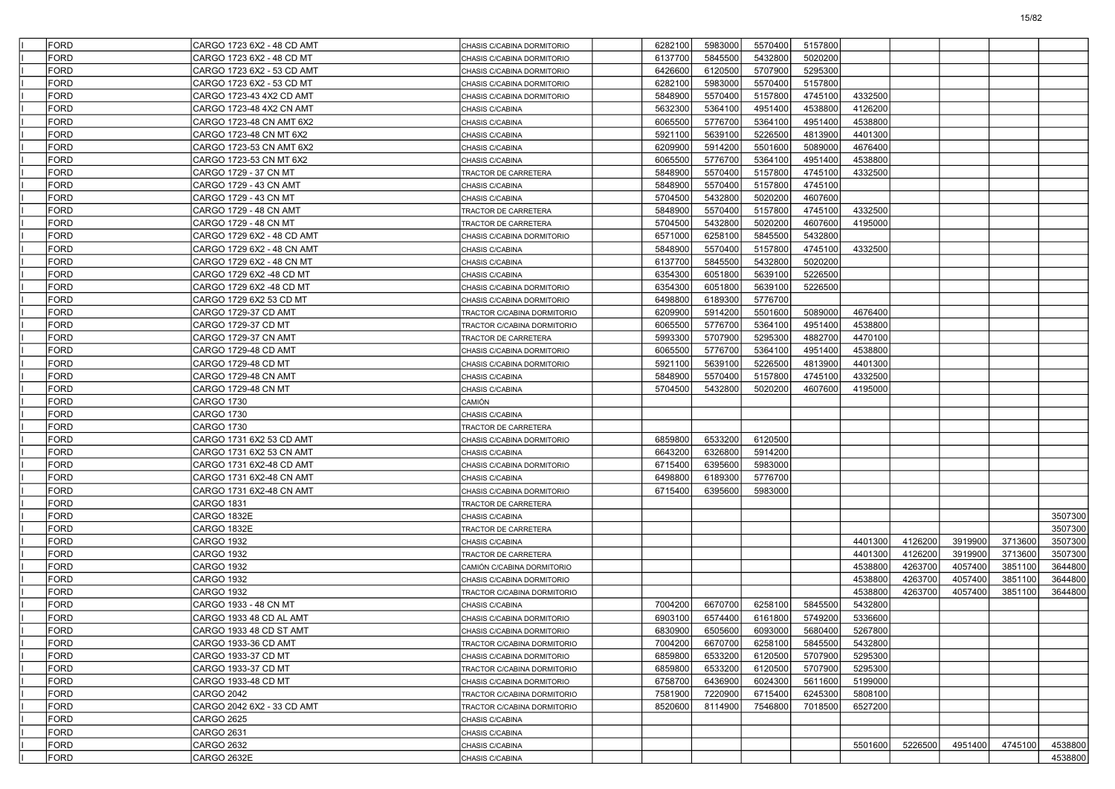| FORD        | CARGO 1723 6X2 - 48 CD AMT                  | CHASIS C/CABINA DORMITORIO  | 6282100 | 5983000 | 5570400 | 5157800 |         |         |         |         |         |
|-------------|---------------------------------------------|-----------------------------|---------|---------|---------|---------|---------|---------|---------|---------|---------|
| FORD        | CARGO 1723 6X2 - 48 CD MT                   | CHASIS C/CABINA DORMITORIO  | 6137700 | 5845500 | 5432800 | 5020200 |         |         |         |         |         |
| FORD        | CARGO 1723 6X2 - 53 CD AMT                  | CHASIS C/CABINA DORMITORIO  | 6426600 | 6120500 | 5707900 | 5295300 |         |         |         |         |         |
| FORD        | CARGO 1723 6X2 - 53 CD MT                   | CHASIS C/CABINA DORMITORIO  | 6282100 | 5983000 | 5570400 | 5157800 |         |         |         |         |         |
| FORD        | CARGO 1723-43 4X2 CD AMT                    | CHASIS C/CABINA DORMITORIO  | 5848900 | 5570400 | 5157800 | 4745100 | 4332500 |         |         |         |         |
| FORD        | CARGO 1723-48 4X2 CN AMT                    | CHASIS C/CABINA             | 5632300 | 5364100 | 4951400 | 4538800 | 4126200 |         |         |         |         |
| FORD        | CARGO 1723-48 CN AMT 6X2                    | CHASIS C/CABINA             | 6065500 | 5776700 | 5364100 | 4951400 | 4538800 |         |         |         |         |
| FORD        | CARGO 1723-48 CN MT 6X2                     | CHASIS C/CABINA             | 5921100 | 5639100 | 5226500 | 4813900 | 4401300 |         |         |         |         |
| FORD        | CARGO 1723-53 CN AMT 6X2                    | CHASIS C/CABINA             | 6209900 | 5914200 | 5501600 | 5089000 | 4676400 |         |         |         |         |
| FORD        | CARGO 1723-53 CN MT 6X2                     | CHASIS C/CABINA             | 6065500 | 5776700 | 5364100 | 4951400 | 4538800 |         |         |         |         |
| FORD        | CARGO 1729 - 37 CN MT                       | TRACTOR DE CARRETERA        | 5848900 | 5570400 | 5157800 | 4745100 | 4332500 |         |         |         |         |
| FORD        | CARGO 1729 - 43 CN AMT                      | CHASIS C/CABINA             | 5848900 | 5570400 | 5157800 | 4745100 |         |         |         |         |         |
| FORD        | CARGO 1729 - 43 CN MT                       | CHASIS C/CABINA             | 5704500 | 5432800 | 5020200 | 4607600 |         |         |         |         |         |
| FORD        | CARGO 1729 - 48 CN AMT                      | TRACTOR DE CARRETERA        | 5848900 | 5570400 | 5157800 | 4745100 | 4332500 |         |         |         |         |
| FORD        | CARGO 1729 - 48 CN MT                       | TRACTOR DE CARRETERA        | 5704500 | 5432800 | 5020200 | 4607600 | 4195000 |         |         |         |         |
| FORD        | CARGO 1729 6X2 - 48 CD AMT                  | CHASIS C/CABINA DORMITORIO  | 6571000 | 6258100 | 5845500 | 5432800 |         |         |         |         |         |
| FORD        | CARGO 1729 6X2 - 48 CN AMT                  | CHASIS C/CABINA             | 5848900 | 5570400 | 5157800 | 4745100 | 4332500 |         |         |         |         |
| FORD        | CARGO 1729 6X2 - 48 CN MT                   | CHASIS C/CABINA             | 6137700 | 5845500 | 5432800 | 5020200 |         |         |         |         |         |
| FORD        | CARGO 1729 6X2 -48 CD MT                    | CHASIS C/CABINA             | 6354300 | 6051800 | 5639100 | 5226500 |         |         |         |         |         |
| FORD        | CARGO 1729 6X2 -48 CD MT                    | CHASIS C/CABINA DORMITORIO  | 6354300 | 6051800 | 5639100 | 5226500 |         |         |         |         |         |
| FORD        | CARGO 1729 6X2 53 CD MT                     | CHASIS C/CABINA DORMITORIO  | 6498800 | 6189300 | 5776700 |         |         |         |         |         |         |
| FORD        | CARGO 1729-37 CD AMT                        | TRACTOR C/CABINA DORMITORIO | 6209900 | 5914200 | 5501600 | 5089000 | 4676400 |         |         |         |         |
| FORD        | CARGO 1729-37 CD MT                         | TRACTOR C/CABINA DORMITORIO | 6065500 | 5776700 | 5364100 | 4951400 | 4538800 |         |         |         |         |
| FORD        | CARGO 1729-37 CN AMT                        | TRACTOR DE CARRETERA        | 5993300 | 5707900 | 5295300 | 4882700 | 4470100 |         |         |         |         |
| <b>FORD</b> | CARGO 1729-48 CD AMT                        |                             | 6065500 | 5776700 | 5364100 | 4951400 | 4538800 |         |         |         |         |
| FORD        | CARGO 1729-48 CD MT                         | CHASIS C/CABINA DORMITORIO  | 5921100 | 5639100 | 5226500 | 4813900 | 4401300 |         |         |         |         |
| FORD        |                                             | CHASIS C/CABINA DORMITORIO  | 5848900 |         | 5157800 |         |         |         |         |         |         |
| FORD        | CARGO 1729-48 CN AMT<br>CARGO 1729-48 CN MT | CHASIS C/CABINA             |         | 5570400 | 5020200 | 4745100 | 4332500 |         |         |         |         |
|             |                                             | CHASIS C/CABINA             | 5704500 | 5432800 |         | 4607600 | 4195000 |         |         |         |         |
| FORD        | <b>CARGO 1730</b>                           | CAMIÓN                      |         |         |         |         |         |         |         |         |         |
| <b>FORD</b> | <b>CARGO 1730</b>                           | CHASIS C/CABINA             |         |         |         |         |         |         |         |         |         |
| FORD        | <b>CARGO 1730</b>                           | TRACTOR DE CARRETERA        |         |         |         |         |         |         |         |         |         |
| FORD        | CARGO 1731 6X2 53 CD AMT                    | CHASIS C/CABINA DORMITORIO  | 6859800 | 6533200 | 6120500 |         |         |         |         |         |         |
| FORD        | CARGO 1731 6X2 53 CN AMT                    | CHASIS C/CABINA             | 6643200 | 6326800 | 5914200 |         |         |         |         |         |         |
| FORD        | CARGO 1731 6X2-48 CD AMT                    | CHASIS C/CABINA DORMITORIO  | 6715400 | 6395600 | 5983000 |         |         |         |         |         |         |
| <b>FORD</b> | CARGO 1731 6X2-48 CN AMT                    | CHASIS C/CABINA             | 6498800 | 6189300 | 5776700 |         |         |         |         |         |         |
| FORD        | CARGO 1731 6X2-48 CN AMT                    | CHASIS C/CABINA DORMITORIO  | 6715400 | 6395600 | 5983000 |         |         |         |         |         |         |
| FORD        | <b>CARGO 1831</b>                           | TRACTOR DE CARRETERA        |         |         |         |         |         |         |         |         |         |
| FORD        | CARGO 1832E                                 | CHASIS C/CABINA             |         |         |         |         |         |         |         |         | 3507300 |
| FORD        | CARGO 1832E                                 | TRACTOR DE CARRETERA        |         |         |         |         |         |         |         |         | 3507300 |
| <b>FORD</b> | <b>CARGO 1932</b>                           | CHASIS C/CABINA             |         |         |         |         | 4401300 | 4126200 | 3919900 | 3713600 | 3507300 |
| FORD        | <b>CARGO 1932</b>                           | TRACTOR DE CARRETERA        |         |         |         |         | 4401300 | 4126200 | 3919900 | 3713600 | 3507300 |
| FORD        | CARGO 1932                                  | CAMIÓN C/CABINA DORMITORIO  |         |         |         |         | 4538800 | 4263700 | 4057400 | 3851100 | 3644800 |
| FORD        | <b>CARGO 1932</b>                           | CHASIS C/CABINA DORMITORIO  |         |         |         |         | 4538800 | 4263700 | 4057400 | 3851100 | 3644800 |
| FORD        | <b>CARGO 1932</b>                           | TRACTOR C/CABINA DORMITORIO |         |         |         |         | 4538800 | 4263700 | 4057400 | 3851100 | 3644800 |
| FORD        | CARGO 1933 - 48 CN MT                       | CHASIS C/CABINA             | 7004200 | 6670700 | 6258100 | 5845500 | 5432800 |         |         |         |         |
| FORD        | CARGO 1933 48 CD AL AMT                     | CHASIS C/CABINA DORMITORIO  | 6903100 | 6574400 | 6161800 | 5749200 | 5336600 |         |         |         |         |
| FORD        | CARGO 1933 48 CD ST AMT                     | CHASIS C/CABINA DORMITORIO  | 6830900 | 6505600 | 6093000 | 5680400 | 5267800 |         |         |         |         |
| FORD        | CARGO 1933-36 CD AMT                        | TRACTOR C/CABINA DORMITORIO | 7004200 | 6670700 | 6258100 | 5845500 | 5432800 |         |         |         |         |
| <b>FORD</b> | CARGO 1933-37 CD MT                         | CHASIS C/CABINA DORMITORIO  | 6859800 | 6533200 | 6120500 | 5707900 | 5295300 |         |         |         |         |
| <b>FORD</b> | CARGO 1933-37 CD MT                         | TRACTOR C/CABINA DORMITORIO | 6859800 | 6533200 | 6120500 | 5707900 | 5295300 |         |         |         |         |
| FORD        | CARGO 1933-48 CD MT                         | CHASIS C/CABINA DORMITORIO  | 6758700 | 6436900 | 6024300 | 5611600 | 5199000 |         |         |         |         |
| <b>FORD</b> | <b>CARGO 2042</b>                           | TRACTOR C/CABINA DORMITORIO | 7581900 | 7220900 | 6715400 | 6245300 | 5808100 |         |         |         |         |
| FORD        | CARGO 2042 6X2 - 33 CD AMT                  | TRACTOR C/CABINA DORMITORIO | 8520600 | 8114900 | 7546800 | 7018500 | 6527200 |         |         |         |         |
| FORD        | <b>CARGO 2625</b>                           | CHASIS C/CABINA             |         |         |         |         |         |         |         |         |         |
| <b>FORD</b> | CARGO 2631                                  | CHASIS C/CABINA             |         |         |         |         |         |         |         |         |         |
| FORD        | <b>CARGO 2632</b>                           | CHASIS C/CABINA             |         |         |         |         | 5501600 | 5226500 | 4951400 | 4745100 | 4538800 |
| FORD        | CARGO 2632E                                 | CHASIS C/CABINA             |         |         |         |         |         |         |         |         | 4538800 |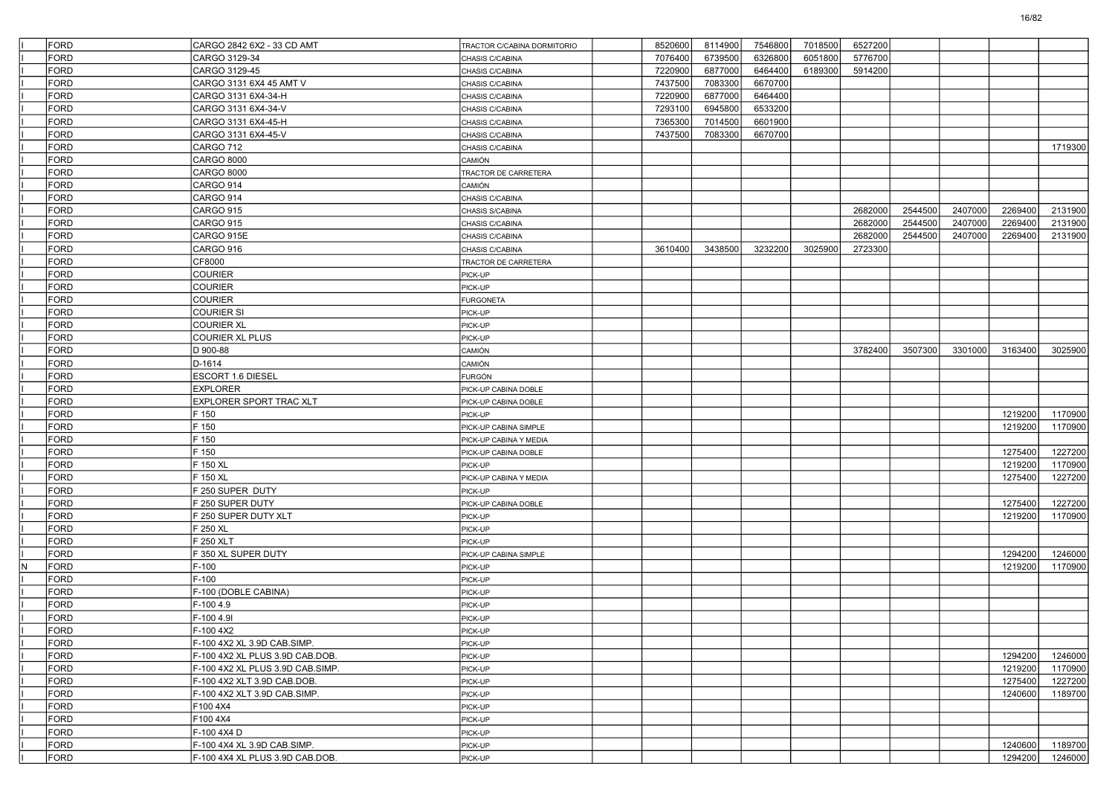|   | FORD | CARGO 2842 6X2 - 33 CD AMT       | TRACTOR C/CABINA DORMITORIO | 8520600 | 8114900 | 7546800 | 7018500 | 6527200 |         |         |         |         |
|---|------|----------------------------------|-----------------------------|---------|---------|---------|---------|---------|---------|---------|---------|---------|
|   | FORD | CARGO 3129-34                    | CHASIS C/CABINA             | 7076400 | 6739500 | 6326800 | 6051800 | 5776700 |         |         |         |         |
|   | FORD | CARGO 3129-45                    | CHASIS C/CABINA             | 7220900 | 6877000 | 6464400 | 6189300 | 5914200 |         |         |         |         |
|   | FORD | CARGO 3131 6X4 45 AMT V          | CHASIS C/CABINA             | 7437500 | 7083300 | 6670700 |         |         |         |         |         |         |
|   | FORD | CARGO 3131 6X4-34-H              | CHASIS C/CABINA             | 7220900 | 6877000 | 6464400 |         |         |         |         |         |         |
|   | FORD | CARGO 3131 6X4-34-V              | CHASIS C/CABINA             | 7293100 | 6945800 | 6533200 |         |         |         |         |         |         |
|   | FORD | CARGO 3131 6X4-45-H              | CHASIS C/CABINA             | 7365300 | 7014500 | 6601900 |         |         |         |         |         |         |
|   | FORD | CARGO 3131 6X4-45-V              | CHASIS C/CABINA             | 7437500 | 7083300 | 6670700 |         |         |         |         |         |         |
|   | FORD | CARGO 712                        | CHASIS C/CABINA             |         |         |         |         |         |         |         |         | 1719300 |
|   | FORD | <b>CARGO 8000</b>                | <b>CAMIÓN</b>               |         |         |         |         |         |         |         |         |         |
|   | FORD | <b>CARGO 8000</b>                | TRACTOR DE CARRETERA        |         |         |         |         |         |         |         |         |         |
|   | FORD | CARGO 914                        | <b>CAMIÓN</b>               |         |         |         |         |         |         |         |         |         |
|   | FORD | CARGO 914                        | CHASIS C/CABINA             |         |         |         |         |         |         |         |         |         |
|   | FORD | CARGO 915                        | CHASIS S/CABINA             |         |         |         |         | 2682000 | 2544500 | 2407000 | 2269400 | 2131900 |
|   | FORD | <b>CARGO 915</b>                 | CHASIS C/CABINA             |         |         |         |         | 2682000 | 2544500 | 2407000 | 2269400 | 2131900 |
|   | FORD | CARGO 915E                       | CHASIS C/CABINA             |         |         |         |         | 2682000 | 2544500 | 2407000 | 2269400 | 2131900 |
|   | FORD | CARGO 916                        | CHASIS C/CABINA             | 3610400 | 3438500 | 3232200 | 3025900 | 2723300 |         |         |         |         |
|   | FORD | CF8000                           | TRACTOR DE CARRETERA        |         |         |         |         |         |         |         |         |         |
|   | FORD | <b>COURIER</b>                   | PICK-UP                     |         |         |         |         |         |         |         |         |         |
|   | FORD | <b>COURIER</b>                   | PICK-UP                     |         |         |         |         |         |         |         |         |         |
|   | FORD | <b>COURIER</b>                   | <b>FURGONETA</b>            |         |         |         |         |         |         |         |         |         |
|   | FORD | COURIER SI                       | PICK-UP                     |         |         |         |         |         |         |         |         |         |
|   | FORD | <b>COURIER XL</b>                | PICK-UP                     |         |         |         |         |         |         |         |         |         |
|   | FORD | <b>COURIER XL PLUS</b>           | PICK-UP                     |         |         |         |         |         |         |         |         |         |
|   |      |                                  |                             |         |         |         |         |         |         |         |         |         |
|   | FORD | D 900-88                         | CAMIÓN                      |         |         |         |         | 3782400 | 3507300 | 3301000 | 3163400 | 3025900 |
|   | FORD | D-1614                           | <b>CAMIÓN</b>               |         |         |         |         |         |         |         |         |         |
|   | FORD | ESCORT 1.6 DIESEL                | <b>FURGÓN</b>               |         |         |         |         |         |         |         |         |         |
|   | FORD | <b>EXPLORER</b>                  | PICK-UP CABINA DOBLE        |         |         |         |         |         |         |         |         |         |
|   | FORD | EXPLORER SPORT TRAC XLT          | PICK-UP CABINA DOBLE        |         |         |         |         |         |         |         |         |         |
|   | FORD | F 150                            | PICK-UP                     |         |         |         |         |         |         |         | 1219200 | 1170900 |
|   | FORD | F 150                            | PICK-UP CABINA SIMPLE       |         |         |         |         |         |         |         | 1219200 | 1170900 |
|   | FORD | F 150                            | PICK-UP CABINA Y MEDIA      |         |         |         |         |         |         |         |         |         |
|   | FORD | F 150                            | PICK-UP CABINA DOBLE        |         |         |         |         |         |         |         | 1275400 | 1227200 |
|   | FORD | F 150 XL                         | PICK-UP                     |         |         |         |         |         |         |         | 1219200 | 1170900 |
|   | FORD | F 150 XL                         | PICK-UP CABINA Y MEDIA      |         |         |         |         |         |         |         | 1275400 | 1227200 |
|   | FORD | F 250 SUPER DUTY                 | PICK-UP                     |         |         |         |         |         |         |         |         |         |
|   | FORD | F 250 SUPER DUTY                 | PICK-UP CABINA DOBLE        |         |         |         |         |         |         |         | 1275400 | 1227200 |
|   | FORD | F 250 SUPER DUTY XLT             | PICK-UP                     |         |         |         |         |         |         |         | 1219200 | 1170900 |
|   | FORD | F 250 XL                         | PICK-UP                     |         |         |         |         |         |         |         |         |         |
|   | FORD | F 250 XLT                        | PICK-UP                     |         |         |         |         |         |         |         |         |         |
|   | FORD | F 350 XL SUPER DUTY              | PICK-UP CABINA SIMPLE       |         |         |         |         |         |         |         | 1294200 | 1246000 |
| N | FORD | $F-100$                          | PICK-UP                     |         |         |         |         |         |         |         | 1219200 | 1170900 |
|   | FORD | $F-100$                          | PICK-UP                     |         |         |         |         |         |         |         |         |         |
|   | FORD | F-100 (DOBLE CABINA)             | PICK-UP                     |         |         |         |         |         |         |         |         |         |
|   | FORD | F-100 4.9                        | PICK-UP                     |         |         |         |         |         |         |         |         |         |
|   | FORD | F-100 4.9I                       | PICK-UP                     |         |         |         |         |         |         |         |         |         |
|   | FORD | F-100 4X2                        | PICK-UP                     |         |         |         |         |         |         |         |         |         |
|   | FORD | F-100 4X2 XL 3.9D CAB.SIMP.      | PICK-UP                     |         |         |         |         |         |         |         |         |         |
|   | FORD | F-100 4X2 XL PLUS 3.9D CAB.DOB.  | PICK-UP                     |         |         |         |         |         |         |         | 1294200 | 1246000 |
|   | FORD | F-100 4X2 XL PLUS 3.9D CAB.SIMP. | PICK-UP                     |         |         |         |         |         |         |         | 1219200 | 1170900 |
|   | FORD | F-100 4X2 XLT 3.9D CAB.DOB.      | PICK-UP                     |         |         |         |         |         |         |         | 1275400 | 1227200 |
|   | FORD | F-100 4X2 XLT 3.9D CAB.SIMP.     | PICK-UP                     |         |         |         |         |         |         |         | 1240600 | 1189700 |
|   | FORD | F100 4X4                         | PICK-UP                     |         |         |         |         |         |         |         |         |         |
|   | FORD |                                  |                             |         |         |         |         |         |         |         |         |         |
|   |      | F100 4X4<br>F-100 4X4 D          | PICK-UP                     |         |         |         |         |         |         |         |         |         |
|   | FORD |                                  | PICK-UP                     |         |         |         |         |         |         |         |         |         |
|   | FORD | F-100 4X4 XL 3.9D CAB.SIMP.      | PICK-UP                     |         |         |         |         |         |         |         | 1240600 | 1189700 |
|   | FORD | F-100 4X4 XL PLUS 3.9D CAB.DOB.  | PICK-UP                     |         |         |         |         |         |         |         | 1294200 | 1246000 |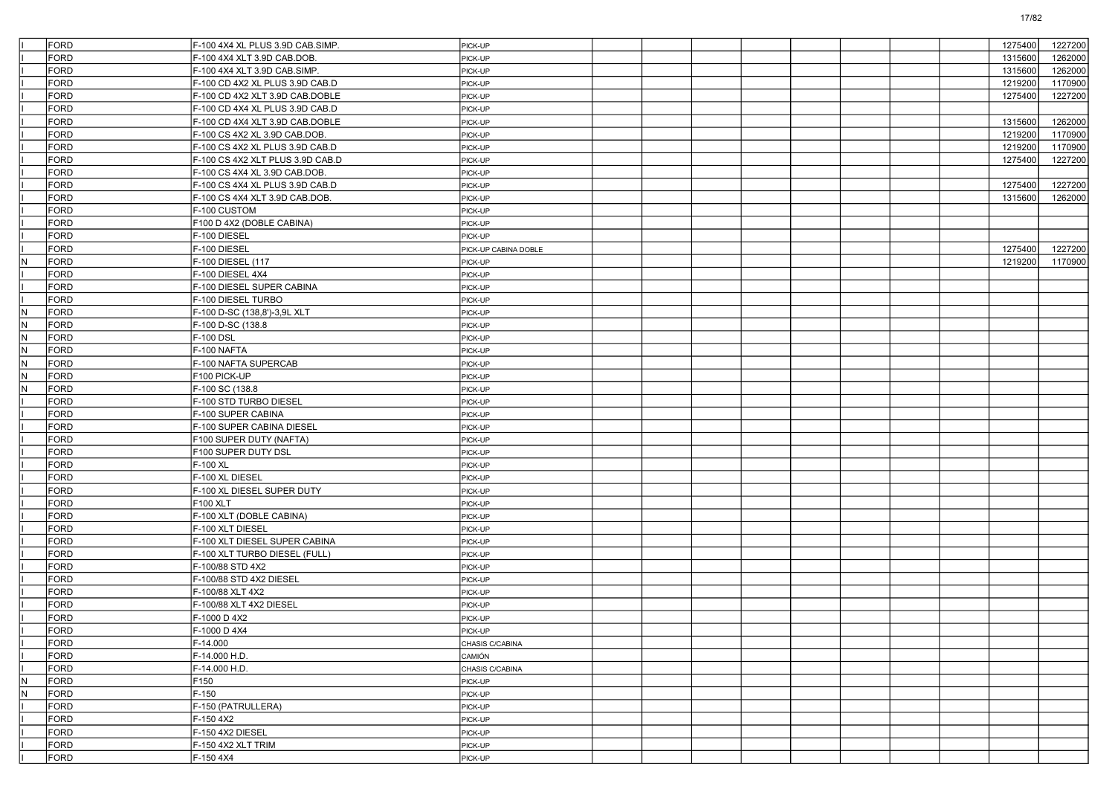|                         | FORD        | F-100 4X4 XL PLUS 3.9D CAB.SIMP. | PICK-UP              |  |  |  |  | 1275400 | 1227200 |
|-------------------------|-------------|----------------------------------|----------------------|--|--|--|--|---------|---------|
|                         | FORD        | F-100 4X4 XLT 3.9D CAB.DOB.      | PICK-UP              |  |  |  |  | 1315600 | 1262000 |
|                         | <b>FORD</b> | F-100 4X4 XLT 3.9D CAB.SIMP.     | PICK-UP              |  |  |  |  | 1315600 | 1262000 |
|                         | <b>FORD</b> | F-100 CD 4X2 XL PLUS 3.9D CAB.D  | PICK-UP              |  |  |  |  | 1219200 | 1170900 |
|                         | <b>FORD</b> | F-100 CD 4X2 XLT 3.9D CAB.DOBLE  | PICK-UP              |  |  |  |  | 1275400 | 1227200 |
|                         | <b>FORD</b> | F-100 CD 4X4 XL PLUS 3.9D CAB.D  | PICK-UP              |  |  |  |  |         |         |
|                         | <b>FORD</b> | F-100 CD 4X4 XLT 3.9D CAB.DOBLE  | PICK-UP              |  |  |  |  | 1315600 | 1262000 |
|                         | <b>FORD</b> | F-100 CS 4X2 XL 3.9D CAB.DOB.    | PICK-UP              |  |  |  |  | 1219200 | 1170900 |
|                         | <b>FORD</b> | F-100 CS 4X2 XL PLUS 3.9D CAB.D  | PICK-UP              |  |  |  |  | 1219200 | 1170900 |
|                         | <b>FORD</b> | F-100 CS 4X2 XLT PLUS 3.9D CAB.D | PICK-UP              |  |  |  |  | 1275400 | 1227200 |
|                         | <b>FORD</b> | F-100 CS 4X4 XL 3.9D CAB.DOB.    | PICK-UP              |  |  |  |  |         |         |
|                         | <b>FORD</b> | F-100 CS 4X4 XL PLUS 3.9D CAB.D  | PICK-UP              |  |  |  |  | 1275400 | 1227200 |
|                         | <b>FORD</b> | F-100 CS 4X4 XLT 3.9D CAB.DOB.   | PICK-UP              |  |  |  |  | 1315600 | 1262000 |
|                         | <b>FORD</b> | F-100 CUSTOM                     | PICK-UP              |  |  |  |  |         |         |
|                         | <b>FORD</b> | F100 D 4X2 (DOBLE CABINA)        | PICK-UP              |  |  |  |  |         |         |
|                         | FORD        | F-100 DIESEL                     | PICK-UP              |  |  |  |  |         |         |
|                         | <b>FORD</b> | F-100 DIESEL                     | PICK-UP CABINA DOBLE |  |  |  |  | 1275400 | 1227200 |
| N.                      | <b>FORD</b> | F-100 DIESEL (117                | PICK-UP              |  |  |  |  | 1219200 | 1170900 |
|                         | <b>FORD</b> | F-100 DIESEL 4X4                 | PICK-UP              |  |  |  |  |         |         |
|                         | <b>FORD</b> | F-100 DIESEL SUPER CABINA        | PICK-UP              |  |  |  |  |         |         |
|                         | FORD        | F-100 DIESEL TURBO               | PICK-UP              |  |  |  |  |         |         |
| IN.                     | <b>FORD</b> | F-100 D-SC (138,8')-3,9L XLT     | PICK-UP              |  |  |  |  |         |         |
| N.                      | <b>FORD</b> | F-100 D-SC (138.8                | PICK-UP              |  |  |  |  |         |         |
| IN.                     | <b>FORD</b> | F-100 DSL                        | PICK-UP              |  |  |  |  |         |         |
| lΝ                      | <b>FORD</b> | F-100 NAFTA                      | PICK-UP              |  |  |  |  |         |         |
| N                       | <b>FORD</b> | F-100 NAFTA SUPERCAB             | PICK-UP              |  |  |  |  |         |         |
| IN.                     | <b>FORD</b> | F100 PICK-UP                     | PICK-UP              |  |  |  |  |         |         |
| N.                      | <b>FORD</b> | F-100 SC (138.8                  | PICK-UP              |  |  |  |  |         |         |
|                         | <b>FORD</b> | F-100 STD TURBO DIESEL           | PICK-UP              |  |  |  |  |         |         |
|                         | <b>FORD</b> | F-100 SUPER CABINA               | PICK-UP              |  |  |  |  |         |         |
|                         | FORD        | F-100 SUPER CABINA DIESEL        | PICK-UP              |  |  |  |  |         |         |
|                         | <b>FORD</b> | F100 SUPER DUTY (NAFTA)          | PICK-UP              |  |  |  |  |         |         |
|                         | <b>FORD</b> | F100 SUPER DUTY DSL              | PICK-UP              |  |  |  |  |         |         |
|                         | <b>FORD</b> | F-100 XL                         | PICK-UP              |  |  |  |  |         |         |
|                         | <b>FORD</b> | F-100 XL DIESEL                  | PICK-UP              |  |  |  |  |         |         |
|                         | FORD        | F-100 XL DIESEL SUPER DUTY       | PICK-UP              |  |  |  |  |         |         |
|                         | <b>FORD</b> | <b>F100 XLT</b>                  | PICK-UP              |  |  |  |  |         |         |
|                         | <b>FORD</b> | F-100 XLT (DOBLE CABINA)         | PICK-UP              |  |  |  |  |         |         |
|                         | <b>FORD</b> | F-100 XLT DIESEL                 | PICK-UP              |  |  |  |  |         |         |
|                         | <b>FORD</b> | F-100 XLT DIESEL SUPER CABINA    | PICK-UP              |  |  |  |  |         |         |
|                         | FORD        | F-100 XLT TURBO DIESEL (FULL)    | PICK-UP              |  |  |  |  |         |         |
|                         | <b>FORD</b> | F-100/88 STD 4X2                 | PICK-UP              |  |  |  |  |         |         |
|                         | <b>FORD</b> | F-100/88 STD 4X2 DIESEL          | PICK-UP              |  |  |  |  |         |         |
|                         | <b>FORD</b> | F-100/88 XLT 4X2                 | PICK-UP              |  |  |  |  |         |         |
|                         | <b>FORD</b> | F-100/88 XLT 4X2 DIESEL          | PICK-UP              |  |  |  |  |         |         |
|                         | <b>FORD</b> | F-1000 D 4X2                     | PICK-UP              |  |  |  |  |         |         |
|                         | FORD        | F-1000 D 4X4                     | PICK-UP              |  |  |  |  |         |         |
|                         | FORD        | F-14.000                         | CHASIS C/CABINA      |  |  |  |  |         |         |
|                         | FORD        | F-14.000 H.D.                    | CAMIÓN               |  |  |  |  |         |         |
|                         | FORD        | F-14.000 H.D.                    | CHASIS C/CABINA      |  |  |  |  |         |         |
| $\overline{\mathsf{N}}$ | FORD        | F150                             | PICK-UP              |  |  |  |  |         |         |
| N                       | FORD        | $F-150$                          | PICK-UP              |  |  |  |  |         |         |
|                         | FORD        | F-150 (PATRULLERA)               | PICK-UP              |  |  |  |  |         |         |
|                         | FORD        | F-150 4X2                        | PICK-UP              |  |  |  |  |         |         |
|                         | FORD        | F-150 4X2 DIESEL                 | PICK-UP              |  |  |  |  |         |         |
|                         | FORD        | F-150 4X2 XLT TRIM               | PICK-UP              |  |  |  |  |         |         |
|                         | FORD        | F-150 4X4                        | PICK-UP              |  |  |  |  |         |         |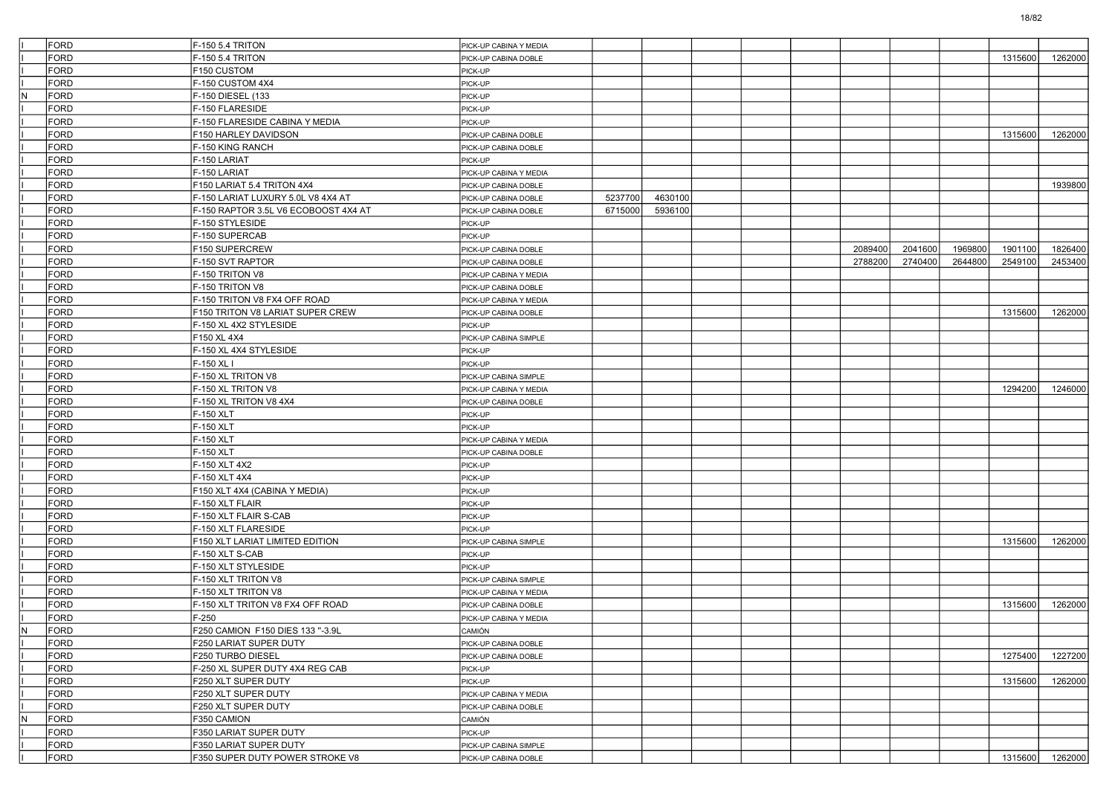|           | FORD |                                      |                        |         |         |  |         |         |         |         |         |
|-----------|------|--------------------------------------|------------------------|---------|---------|--|---------|---------|---------|---------|---------|
|           |      | F-150 5.4 TRITON                     | PICK-UP CABINA Y MEDIA |         |         |  |         |         |         |         |         |
|           | FORD | -150 5.4 TRITON                      | PICK-UP CABINA DOBLE   |         |         |  |         |         |         | 1315600 | 1262000 |
|           | FORD | F150 CUSTOM                          | PICK-UP                |         |         |  |         |         |         |         |         |
|           | FORD | F-150 CUSTOM 4X4                     | PICK-UP                |         |         |  |         |         |         |         |         |
| N         | FORD | F-150 DIESEL (133                    | PICK-UP                |         |         |  |         |         |         |         |         |
|           | FORD | F-150 FLARESIDE                      | PICK-UP                |         |         |  |         |         |         |         |         |
|           | FORD | -150 FLARESIDE CABINA Y MEDIA        | PICK-UP                |         |         |  |         |         |         |         |         |
|           | FORD | F150 HARLEY DAVIDSON                 | PICK-UP CABINA DOBLE   |         |         |  |         |         |         | 1315600 | 1262000 |
|           | FORD | F-150 KING RANCH                     | PICK-UP CABINA DOBLE   |         |         |  |         |         |         |         |         |
|           | FORD | F-150 LARIAT                         | PICK-UP                |         |         |  |         |         |         |         |         |
|           | FORD | F-150 LARIAT                         | PICK-UP CABINA Y MEDIA |         |         |  |         |         |         |         |         |
|           | FORD | F150 LARIAT 5.4 TRITON 4X4           | PICK-UP CABINA DOBLE   |         |         |  |         |         |         |         | 1939800 |
|           | FORD | F-150 LARIAT LUXURY 5.0L V8 4X4 AT   | PICK-UP CABINA DOBLE   | 5237700 | 4630100 |  |         |         |         |         |         |
|           | FORD | F-150 RAPTOR 3.5L V6 ECOBOOST 4X4 AT | PICK-UP CABINA DOBLE   | 6715000 | 5936100 |  |         |         |         |         |         |
|           | FORD | F-150 STYLESIDE                      | PICK-UP                |         |         |  |         |         |         |         |         |
|           | FORD | F-150 SUPERCAB                       | PICK-UP                |         |         |  |         |         |         |         |         |
|           | FORD | F150 SUPERCREW                       | PICK-UP CABINA DOBLE   |         |         |  | 2089400 | 2041600 | 1969800 | 1901100 | 1826400 |
|           | FORD | F-150 SVT RAPTOR                     | PICK-UP CABINA DOBLE   |         |         |  | 2788200 | 2740400 | 2644800 | 2549100 | 2453400 |
|           | FORD | F-150 TRITON V8                      | PICK-UP CABINA Y MEDIA |         |         |  |         |         |         |         |         |
|           | FORD | F-150 TRITON V8                      | PICK-UP CABINA DOBLE   |         |         |  |         |         |         |         |         |
|           | FORD | F-150 TRITON V8 FX4 OFF ROAD         | PICK-UP CABINA Y MEDIA |         |         |  |         |         |         |         |         |
|           | FORD | F150 TRITON V8 LARIAT SUPER CREW     | PICK-UP CABINA DOBLE   |         |         |  |         |         |         | 1315600 | 1262000 |
|           | FORD | F-150 XL 4X2 STYLESIDE               | PICK-UP                |         |         |  |         |         |         |         |         |
|           | FORD | F150 XL 4X4                          | PICK-UP CABINA SIMPLE  |         |         |  |         |         |         |         |         |
|           | FORD | F-150 XL 4X4 STYLESIDE               | PICK-UP                |         |         |  |         |         |         |         |         |
|           | FORD | F-150 XL I                           | PICK-UP                |         |         |  |         |         |         |         |         |
|           | FORD | F-150 XL TRITON V8                   | PICK-UP CABINA SIMPLE  |         |         |  |         |         |         |         |         |
|           | FORD | F-150 XL TRITON V8                   | PICK-UP CABINA Y MEDIA |         |         |  |         |         |         | 1294200 | 1246000 |
|           | FORD | F-150 XL TRITON V8 4X4               | PICK-UP CABINA DOBLE   |         |         |  |         |         |         |         |         |
|           | FORD | F-150 XLT                            | PICK-UP                |         |         |  |         |         |         |         |         |
|           | FORD | F-150 XLT                            | PICK-UP                |         |         |  |         |         |         |         |         |
|           | FORD | F-150 XLT                            | PICK-UP CABINA Y MEDIA |         |         |  |         |         |         |         |         |
|           | FORD | F-150 XLT                            | PICK-UP CABINA DOBLE   |         |         |  |         |         |         |         |         |
|           | FORD | F-150 XLT 4X2                        | PICK-UP                |         |         |  |         |         |         |         |         |
|           | FORD | F-150 XLT 4X4                        | PICK-UP                |         |         |  |         |         |         |         |         |
|           | FORD | F150 XLT 4X4 (CABINA Y MEDIA)        | PICK-UP                |         |         |  |         |         |         |         |         |
|           | FORD | F-150 XLT FLAIR                      | PICK-UP                |         |         |  |         |         |         |         |         |
|           | FORD | F-150 XLT FLAIR S-CAB                | PICK-UP                |         |         |  |         |         |         |         |         |
|           | FORD | F-150 XLT FLARESIDE                  | PICK-UP                |         |         |  |         |         |         |         |         |
|           | FORD | F150 XLT LARIAT LIMITED EDITION      | PICK-UP CABINA SIMPLE  |         |         |  |         |         |         | 1315600 | 1262000 |
|           | FORD | F-150 XLT S-CAB                      | PICK-UP                |         |         |  |         |         |         |         |         |
|           | FORD | F-150 XLT STYLESIDE                  | PICK-UP                |         |         |  |         |         |         |         |         |
|           | FORD | F-150 XLT TRITON V8                  | PICK-UP CABINA SIMPLE  |         |         |  |         |         |         |         |         |
|           | FORD | F-150 XLT TRITON V8                  | PICK-UP CABINA Y MEDIA |         |         |  |         |         |         |         |         |
|           | FORD | F-150 XLT TRITON V8 FX4 OFF ROAD     | PICK-UP CABINA DOBLE   |         |         |  |         |         |         | 1315600 | 1262000 |
|           | FORD | $F-250$                              | PICK-UP CABINA Y MEDIA |         |         |  |         |         |         |         |         |
| N         | FORD | F250 CAMION F150 DIES 133 "-3.9L     | CAMION                 |         |         |  |         |         |         |         |         |
|           | FORD | F250 LARIAT SUPER DUTY               | PICK-UP CABINA DOBLE   |         |         |  |         |         |         |         |         |
|           | FORD | F250 TURBO DIESEL                    | PICK-UP CABINA DOBLE   |         |         |  |         |         |         | 1275400 | 1227200 |
|           | FORD | F-250 XL SUPER DUTY 4X4 REG CAB      | PICK-UP                |         |         |  |         |         |         |         |         |
|           | FORD | F250 XLT SUPER DUTY                  | PICK-UP                |         |         |  |         |         |         | 1315600 | 1262000 |
|           | FORD | F250 XLT SUPER DUTY                  | PICK-UP CABINA Y MEDIA |         |         |  |         |         |         |         |         |
|           | FORD | F250 XLT SUPER DUTY                  | PICK-UP CABINA DOBLE   |         |         |  |         |         |         |         |         |
| ${\sf N}$ | FORD | F350 CAMION                          | CAMIÓN                 |         |         |  |         |         |         |         |         |
|           | FORD | F350 LARIAT SUPER DUTY               | PICK-UP                |         |         |  |         |         |         |         |         |
|           | FORD | F350 LARIAT SUPER DUTY               | PICK-UP CABINA SIMPLE  |         |         |  |         |         |         |         |         |
|           | FORD | F350 SUPER DUTY POWER STROKE V8      | PICK-UP CABINA DOBLE   |         |         |  |         |         |         | 1315600 | 1262000 |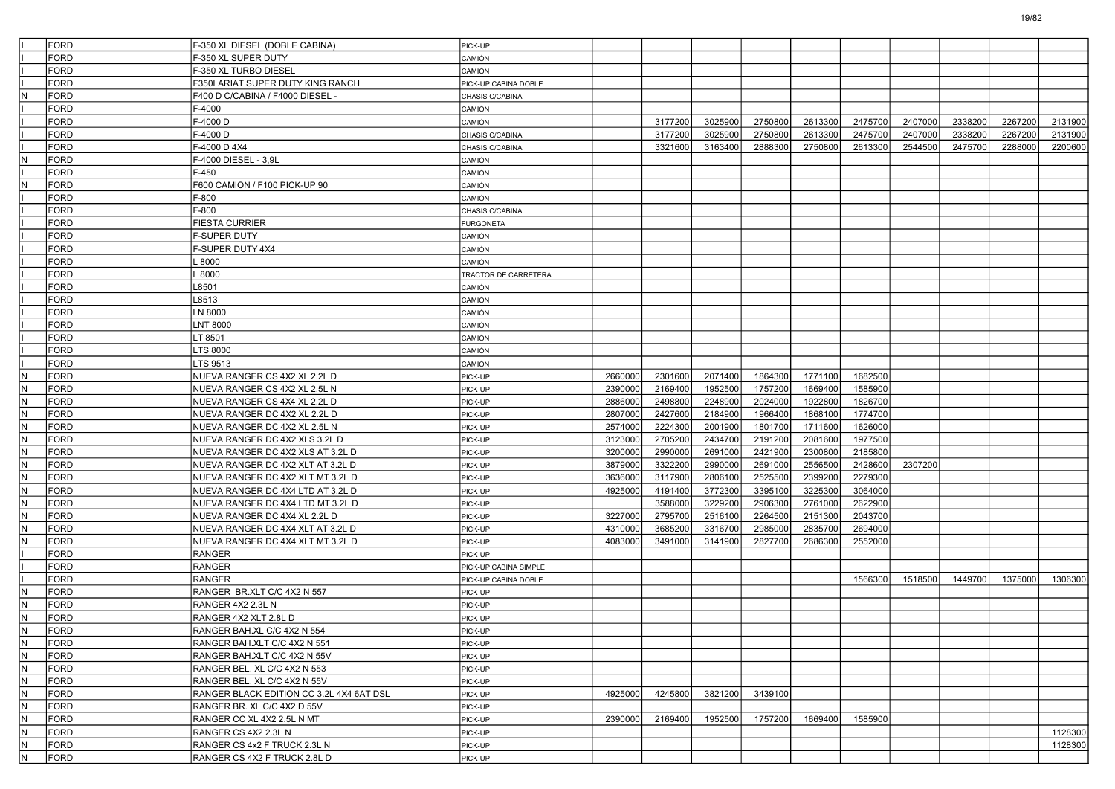|                         | FORD                | F-350 XL DIESEL (DOBLE CABINA)           | PICK-UP               |         |         |         |         |         |         |         |         |         |         |
|-------------------------|---------------------|------------------------------------------|-----------------------|---------|---------|---------|---------|---------|---------|---------|---------|---------|---------|
|                         | <b>FORD</b>         | F-350 XL SUPER DUTY                      | CAMIÓN                |         |         |         |         |         |         |         |         |         |         |
|                         | FORD                | F-350 XL TURBO DIESEL                    | CAMIÓN                |         |         |         |         |         |         |         |         |         |         |
|                         | FORD                | F350LARIAT SUPER DUTY KING RANCH         | PICK-UP CABINA DOBLE  |         |         |         |         |         |         |         |         |         |         |
| N                       | <b>FORD</b>         | F400 D C/CABINA / F4000 DIESEL -         | CHASIS C/CABINA       |         |         |         |         |         |         |         |         |         |         |
|                         | <b>FORD</b>         | F-4000                                   | CAMIÓN                |         |         |         |         |         |         |         |         |         |         |
|                         | <b>FORD</b>         | F-4000 D                                 | CAMIÓN                |         | 3177200 | 3025900 | 2750800 | 2613300 | 2475700 | 2407000 | 2338200 | 2267200 | 2131900 |
|                         | FORD                | F-4000D                                  | CHASIS C/CABINA       |         | 3177200 | 3025900 | 2750800 | 2613300 | 2475700 | 2407000 | 2338200 | 2267200 | 2131900 |
|                         | FORD                | F-4000 D 4X4                             | CHASIS C/CABINA       |         | 3321600 | 3163400 | 2888300 | 2750800 | 2613300 | 2544500 | 2475700 | 2288000 | 2200600 |
| N                       | <b>FORD</b>         | F-4000 DIESEL - 3,9L                     | CAMIÓN                |         |         |         |         |         |         |         |         |         |         |
|                         | <b>FORD</b>         | F-450                                    | CAMIÓN                |         |         |         |         |         |         |         |         |         |         |
| N                       | <b>FORD</b>         | F600 CAMION / F100 PICK-UP 90            | CAMIÓN                |         |         |         |         |         |         |         |         |         |         |
|                         | FORD                | F-800                                    | CAMIÓN                |         |         |         |         |         |         |         |         |         |         |
|                         | FORD                | F-800                                    | CHASIS C/CABINA       |         |         |         |         |         |         |         |         |         |         |
|                         | <b>FORD</b>         | <b>FIESTA CURRIER</b>                    | <b>FURGONETA</b>      |         |         |         |         |         |         |         |         |         |         |
|                         | <b>FORD</b>         | <b>F-SUPER DUTY</b>                      | CAMIÓN                |         |         |         |         |         |         |         |         |         |         |
|                         | <b>FORD</b>         | F-SUPER DUTY 4X4                         | CAMIÓN                |         |         |         |         |         |         |         |         |         |         |
|                         | FORD                | .8000                                    | CAMIÓN                |         |         |         |         |         |         |         |         |         |         |
|                         | FORD                | .8000                                    | TRACTOR DE CARRETERA  |         |         |         |         |         |         |         |         |         |         |
|                         | <b>FORD</b>         | L8501                                    | <b>CAMIÓN</b>         |         |         |         |         |         |         |         |         |         |         |
|                         | <b>FORD</b>         | L8513                                    | <b>CAMIÓN</b>         |         |         |         |         |         |         |         |         |         |         |
|                         | <b>FORD</b>         | LN 8000                                  | CAMIÓN                |         |         |         |         |         |         |         |         |         |         |
|                         | FORD                | <b>LNT 8000</b>                          | CAMIÓN                |         |         |         |         |         |         |         |         |         |         |
|                         | FORD                | LT 8501                                  | CAMIÓN                |         |         |         |         |         |         |         |         |         |         |
|                         | FORD                | LTS 8000                                 | <b>CAMIÓN</b>         |         |         |         |         |         |         |         |         |         |         |
|                         | <b>FORD</b>         | LTS 9513                                 | <b>CAMIÓN</b>         |         |         |         |         |         |         |         |         |         |         |
| N                       | <b>FORD</b>         | NUEVA RANGER CS 4X2 XL 2.2L D            | PICK-UP               | 2660000 | 2301600 | 2071400 | 1864300 | 1771100 | 1682500 |         |         |         |         |
| N.                      | <b>FORD</b>         | NUEVA RANGER CS 4X2 XL 2.5L N            | PICK-UP               | 2390000 | 2169400 | 1952500 | 1757200 | 1669400 | 1585900 |         |         |         |         |
| N                       | <b>FORD</b>         | NUEVA RANGER CS 4X4 XL 2.2L D            | PICK-UP               | 2886000 | 2498800 | 2248900 | 2024000 | 1922800 | 1826700 |         |         |         |         |
| N                       | FORD                | NUEVA RANGER DC 4X2 XL 2.2L D            | PICK-UP               | 2807000 | 2427600 | 2184900 | 1966400 | 1868100 | 1774700 |         |         |         |         |
| N                       | <b>FORD</b>         | NUEVA RANGER DC 4X2 XL 2.5L N            | PICK-UP               | 2574000 | 2224300 | 2001900 | 1801700 | 1711600 | 1626000 |         |         |         |         |
| N                       | <b>FORD</b>         | NUEVA RANGER DC 4X2 XLS 3.2L D           | PICK-UP               | 3123000 | 2705200 | 2434700 | 2191200 | 2081600 | 1977500 |         |         |         |         |
| N.                      | <b>FORD</b>         | NUEVA RANGER DC 4X2 XLS AT 3.2L D        | PICK-UP               | 3200000 | 2990000 | 2691000 | 2421900 | 2300800 | 2185800 |         |         |         |         |
| N                       | FORD                | NUEVA RANGER DC 4X2 XLT AT 3.2L D        |                       | 3879000 | 3322200 | 2990000 | 2691000 | 2556500 | 2428600 | 2307200 |         |         |         |
| N                       |                     |                                          | PICK-UP               |         |         | 2806100 |         | 2399200 | 2279300 |         |         |         |         |
|                         | FORD<br><b>FORD</b> | NUEVA RANGER DC 4X2 XLT MT 3.2L D        | PICK-UP               | 3636000 | 3117900 |         | 2525500 |         | 3064000 |         |         |         |         |
| N                       |                     | NUEVA RANGER DC 4X4 LTD AT 3.2L D        | PICK-UP               | 4925000 | 4191400 | 3772300 | 3395100 | 3225300 |         |         |         |         |         |
| N                       | <b>FORD</b>         | NUEVA RANGER DC 4X4 LTD MT 3.2L D        | PICK-UP               |         | 3588000 | 3229200 | 2906300 | 2761000 | 2622900 |         |         |         |         |
| N.                      | <b>FORD</b>         | NUEVA RANGER DC 4X4 XL 2.2L D            | PICK-UP               | 3227000 | 2795700 | 2516100 | 2264500 | 2151300 | 2043700 |         |         |         |         |
| N                       | <b>FORD</b>         | NUEVA RANGER DC 4X4 XLT AT 3.2L D        | PICK-UP               | 4310000 | 3685200 | 3316700 | 2985000 | 2835700 | 2694000 |         |         |         |         |
| N                       | <b>FORD</b>         | NUEVA RANGER DC 4X4 XLT MT 3.2L D        | PICK-UP               | 4083000 | 3491000 | 3141900 | 2827700 | 2686300 | 2552000 |         |         |         |         |
|                         | <b>FORD</b>         | RANGER                                   | PICK-UP               |         |         |         |         |         |         |         |         |         |         |
|                         | <b>FORD</b>         | <b>RANGER</b>                            | PICK-UP CABINA SIMPLE |         |         |         |         |         |         |         |         |         |         |
|                         | <b>FORD</b>         | <b>RANGER</b>                            | PICK-UP CABINA DOBLE  |         |         |         |         |         | 1566300 | 1518500 | 1449700 | 1375000 | 1306300 |
| IN.                     | <b>FORD</b>         | RANGER BR.XLT C/C 4X2 N 557              | PICK-UP               |         |         |         |         |         |         |         |         |         |         |
| N                       | <b>FORD</b>         | RANGER 4X2 2.3L N                        | PICK-UP               |         |         |         |         |         |         |         |         |         |         |
| N                       | <b>FORD</b>         | RANGER 4X2 XLT 2.8L D                    | PICK-UP               |         |         |         |         |         |         |         |         |         |         |
| $\overline{\mathsf{N}}$ | FORD                | RANGER BAH.XL C/C 4X2 N 554              | PICK-UP               |         |         |         |         |         |         |         |         |         |         |
| N.                      | FORD                | RANGER BAH.XLT C/C 4X2 N 551             | PICK-UP               |         |         |         |         |         |         |         |         |         |         |
| N                       | FORD                | RANGER BAH.XLT C/C 4X2 N 55V             | PICK-UP               |         |         |         |         |         |         |         |         |         |         |
| $\overline{\mathsf{N}}$ | FORD                | RANGER BEL. XL C/C 4X2 N 553             | PICK-UP               |         |         |         |         |         |         |         |         |         |         |
| ${\sf N}$               | FORD                | RANGER BEL. XL C/C 4X2 N 55V             | PICK-UP               |         |         |         |         |         |         |         |         |         |         |
| $\overline{\mathsf{N}}$ | FORD                | RANGER BLACK EDITION CC 3.2L 4X4 6AT DSL | PICK-UP               | 4925000 | 4245800 | 3821200 | 3439100 |         |         |         |         |         |         |
| N.                      | FORD                | RANGER BR. XL C/C 4X2 D 55V              | PICK-UP               |         |         |         |         |         |         |         |         |         |         |
| N                       | FORD                | RANGER CC XL 4X2 2.5L N MT               | PICK-UP               | 2390000 | 2169400 | 1952500 | 1757200 | 1669400 | 1585900 |         |         |         |         |
| $\overline{N}$          | FORD                | RANGER CS 4X2 2.3L N                     | PICK-UP               |         |         |         |         |         |         |         |         |         | 1128300 |
| N                       | FORD                | RANGER CS 4x2 F TRUCK 2.3L N             | PICK-UP               |         |         |         |         |         |         |         |         |         | 1128300 |
| $\overline{\mathsf{N}}$ | FORD                | RANGER CS 4X2 F TRUCK 2.8L D             | PICK-UP               |         |         |         |         |         |         |         |         |         |         |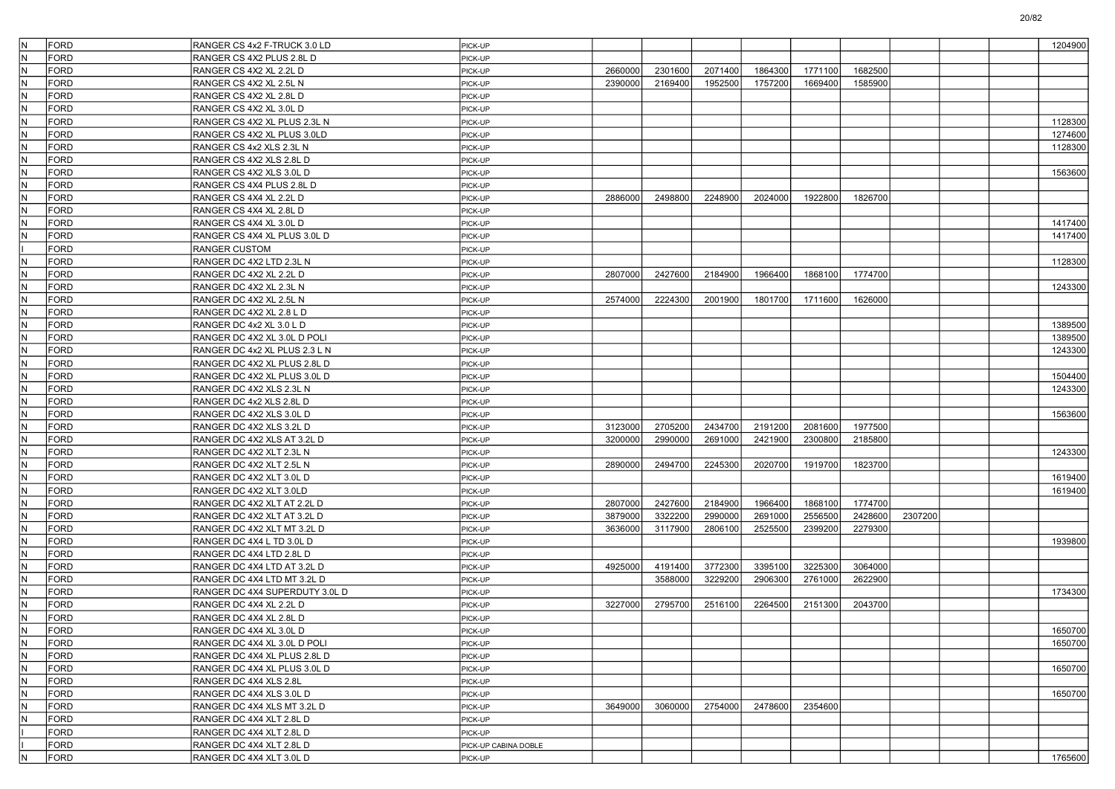| N                       | <b>FORD</b> | RANGER CS 4x2 F-TRUCK 3.0 LD                         | PICK-UP              |         |         |         |         |         |         |         |  | 1204900 |
|-------------------------|-------------|------------------------------------------------------|----------------------|---------|---------|---------|---------|---------|---------|---------|--|---------|
| IN.                     | <b>FORD</b> | RANGER CS 4X2 PLUS 2.8L D                            | PICK-UP              |         |         |         |         |         |         |         |  |         |
| N.                      | FORD        | RANGER CS 4X2 XL 2.2L D                              | PICK-UP              | 2660000 | 2301600 | 2071400 | 1864300 | 1771100 | 1682500 |         |  |         |
| IN.                     | FORD        | RANGER CS 4X2 XL 2.5L N                              | PICK-UP              | 2390000 | 2169400 | 1952500 | 1757200 | 1669400 | 1585900 |         |  |         |
| IN.                     | FORD        | RANGER CS 4X2 XL 2.8L D                              | PICK-UP              |         |         |         |         |         |         |         |  |         |
| IN.                     | <b>FORD</b> | RANGER CS 4X2 XL 3.0L D                              | PICK-UP              |         |         |         |         |         |         |         |  |         |
| N.                      | <b>FORD</b> | RANGER CS 4X2 XL PLUS 2.3L N                         | PICK-UP              |         |         |         |         |         |         |         |  | 1128300 |
| IN.                     | FORD        | RANGER CS 4X2 XL PLUS 3.0LD                          | PICK-UP              |         |         |         |         |         |         |         |  | 1274600 |
| IN.                     | FORD        | RANGER CS 4x2 XLS 2.3L N                             | PICK-UP              |         |         |         |         |         |         |         |  | 1128300 |
| IN.                     | FORD        | RANGER CS 4X2 XLS 2.8L D                             | PICK-UP              |         |         |         |         |         |         |         |  |         |
| IN.                     | <b>FORD</b> | RANGER CS 4X2 XLS 3.0L D                             | PICK-UP              |         |         |         |         |         |         |         |  | 1563600 |
| N.                      | <b>FORD</b> | RANGER CS 4X4 PLUS 2.8L D                            | PICK-UP              |         |         |         |         |         |         |         |  |         |
| IN.                     | FORD        | RANGER CS 4X4 XL 2.2L D                              | PICK-UP              | 2886000 | 2498800 | 2248900 | 2024000 | 1922800 | 1826700 |         |  |         |
| IN.                     | FORD        | RANGER CS 4X4 XL 2.8L D                              | PICK-UP              |         |         |         |         |         |         |         |  |         |
| IN.                     | FORD        | RANGER CS 4X4 XL 3.0L D                              | PICK-UP              |         |         |         |         |         |         |         |  | 1417400 |
| IN.                     | <b>FORD</b> | RANGER CS 4X4 XL PLUS 3.0L D                         | PICK-UP              |         |         |         |         |         |         |         |  | 1417400 |
|                         | <b>FORD</b> | RANGER CUSTOM                                        | PICK-UP              |         |         |         |         |         |         |         |  |         |
| IN.                     | FORD        | RANGER DC 4X2 LTD 2.3L N                             | PICK-UP              |         |         |         |         |         |         |         |  | 1128300 |
| IN.                     | FORD        | RANGER DC 4X2 XL 2.2L D                              | PICK-UP              | 2807000 | 2427600 | 2184900 | 1966400 | 1868100 | 1774700 |         |  |         |
| IN.                     | FORD        | RANGER DC 4X2 XL 2.3L N                              | PICK-UP              |         |         |         |         |         |         |         |  | 1243300 |
| IN.                     | <b>FORD</b> | RANGER DC 4X2 XL 2.5L N                              | PICK-UP              | 2574000 | 2224300 | 2001900 | 1801700 | 1711600 | 1626000 |         |  |         |
| N.                      | <b>FORD</b> | RANGER DC 4X2 XL 2.8 L D                             | PICK-UP              |         |         |         |         |         |         |         |  |         |
| IN.                     | FORD        | RANGER DC 4x2 XL 3.0 L D                             | PICK-UP              |         |         |         |         |         |         |         |  | 1389500 |
| IN.                     | FORD        | RANGER DC 4X2 XL 3.0L D POLI                         | PICK-UP              |         |         |         |         |         |         |         |  | 1389500 |
| IN.                     | FORD        | RANGER DC 4x2 XL PLUS 2.3 L N                        | PICK-UP              |         |         |         |         |         |         |         |  | 1243300 |
| IN.                     | <b>FORD</b> | RANGER DC 4X2 XL PLUS 2.8L D                         | PICK-UP              |         |         |         |         |         |         |         |  |         |
| N.                      | <b>FORD</b> | RANGER DC 4X2 XL PLUS 3.0L D                         | PICK-UP              |         |         |         |         |         |         |         |  | 1504400 |
| N.                      | FORD        | RANGER DC 4X2 XLS 2.3L N                             | PICK-UP              |         |         |         |         |         |         |         |  | 1243300 |
| N.                      | FORD        | RANGER DC 4x2 XLS 2.8L D                             | PICK-UP              |         |         |         |         |         |         |         |  |         |
| IN.                     | <b>FORD</b> | RANGER DC 4X2 XLS 3.0L D                             | PICK-UP              |         |         |         |         |         |         |         |  | 1563600 |
| IN.                     | <b>FORD</b> | RANGER DC 4X2 XLS 3.2L D                             | PICK-UP              | 3123000 | 2705200 | 2434700 | 2191200 | 2081600 | 1977500 |         |  |         |
| N.                      | <b>FORD</b> | RANGER DC 4X2 XLS AT 3.2L D                          | PICK-UP              | 3200000 | 2990000 | 2691000 | 2421900 | 2300800 | 2185800 |         |  |         |
| N.                      | FORD        | RANGER DC 4X2 XLT 2.3L N                             | PICK-UP              |         |         |         |         |         |         |         |  | 1243300 |
| İN.                     | <b>FORD</b> | RANGER DC 4X2 XLT 2.5L N                             | PICK-UP              | 2890000 | 2494700 | 2245300 | 2020700 | 1919700 | 1823700 |         |  |         |
| IN.                     | <b>FORD</b> | RANGER DC 4X2 XLT 3.0L D                             | PICK-UP              |         |         |         |         |         |         |         |  | 1619400 |
| IN.                     | <b>FORD</b> | RANGER DC 4X2 XLT 3.0LD                              | PICK-UP              |         |         |         |         |         |         |         |  | 1619400 |
| N.                      | FORD        | RANGER DC 4X2 XLT AT 2.2L D                          | PICK-UP              | 2807000 | 2427600 | 2184900 | 1966400 | 1868100 | 1774700 |         |  |         |
| N.                      | FORD        | RANGER DC 4X2 XLT AT 3.2L D                          | PICK-UP              | 3879000 | 3322200 | 2990000 | 2691000 | 2556500 | 2428600 | 2307200 |  |         |
| IN.                     | FORD        | RANGER DC 4X2 XLT MT 3.2L D                          | PICK-UP              | 3636000 | 3117900 | 2806100 | 2525500 | 2399200 | 2279300 |         |  |         |
| IN.                     | <b>FORD</b> | RANGER DC 4X4 L TD 3.0L D                            | PICK-UP              |         |         |         |         |         |         |         |  | 1939800 |
| IN.                     | <b>FORD</b> | RANGER DC 4X4 LTD 2.8L D                             | PICK-UP              |         |         |         |         |         |         |         |  |         |
| IN.                     | FORD        | RANGER DC 4X4 LTD AT 3.2L D                          | PICK-UP              | 4925000 | 4191400 | 3772300 | 3395100 | 3225300 | 3064000 |         |  |         |
| N.                      | FORD        | RANGER DC 4X4 LTD MT 3.2L D                          | PICK-UP              |         | 3588000 | 3229200 | 2906300 | 2761000 | 2622900 |         |  |         |
| N.                      | FORD        | RANGER DC 4X4 SUPERDUTY 3.0L D                       | PICK-UP              |         |         |         |         |         |         |         |  | 1734300 |
| IN.                     | <b>FORD</b> | RANGER DC 4X4 XL 2.2L D                              | PICK-UP              | 3227000 | 2795700 | 2516100 | 2264500 | 2151300 | 2043700 |         |  |         |
| N.                      | <b>FORD</b> | RANGER DC 4X4 XL 2.8L D                              | PICK-UP              |         |         |         |         |         |         |         |  |         |
| IN.                     | FORD        | RANGER DC 4X4 XL 3.0L D                              | PICK-UP              |         |         |         |         |         |         |         |  | 1650700 |
| N                       | FORD        | RANGER DC 4X4 XL 3.0L D POLI                         | PICK-UP              |         |         |         |         |         |         |         |  | 1650700 |
| N.                      | FORD        | RANGER DC 4X4 XL PLUS 2.8L D                         | PICK-UP              |         |         |         |         |         |         |         |  |         |
| $\overline{\mathsf{N}}$ | FORD        | RANGER DC 4X4 XL PLUS 3.0L D                         | PICK-UP              |         |         |         |         |         |         |         |  | 1650700 |
| N                       | FORD        | RANGER DC 4X4 XLS 2.8L                               | PICK-UP              |         |         |         |         |         |         |         |  |         |
| N                       | FORD        | RANGER DC 4X4 XLS 3.0L D                             | PICK-UP              |         |         |         |         |         |         |         |  | 1650700 |
| $\overline{\mathsf{N}}$ | FORD        |                                                      | PICK-UP              | 3649000 | 3060000 | 2754000 | 2478600 | 2354600 |         |         |  |         |
| $\overline{N}$          | FORD        | RANGER DC 4X4 XLS MT 3.2L D                          | PICK-UP              |         |         |         |         |         |         |         |  |         |
|                         | FORD        | RANGER DC 4X4 XLT 2.8L D<br>RANGER DC 4X4 XLT 2.8L D |                      |         |         |         |         |         |         |         |  |         |
|                         | FORD        |                                                      | PICK-UP              |         |         |         |         |         |         |         |  |         |
| IN.                     | FORD        | RANGER DC 4X4 XLT 2.8L D<br>RANGER DC 4X4 XLT 3.0L D | PICK-UP CABINA DOBLE |         |         |         |         |         |         |         |  |         |
|                         |             |                                                      | PICK-UP              |         |         |         |         |         |         |         |  | 1765600 |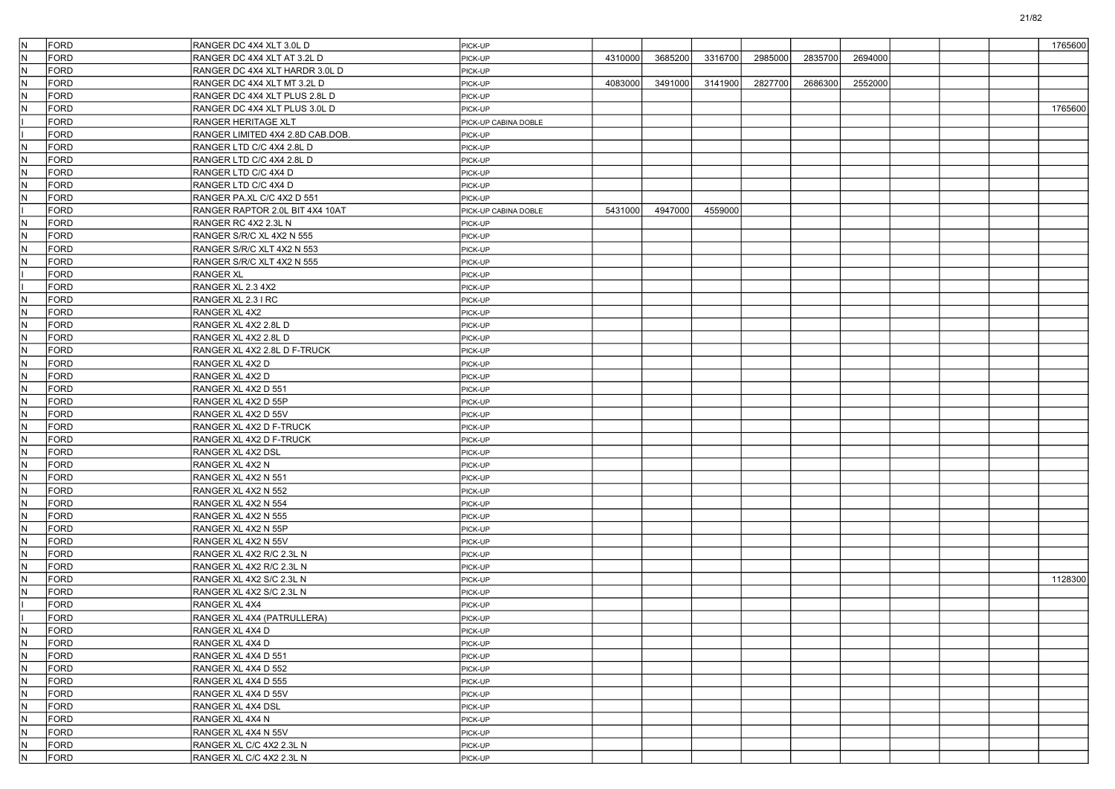| IN.                     | FORD        | RANGER DC 4X4 XLT 3.0L D         | PICK-UP              |         |         |         |         |         |         |  | 1765600 |
|-------------------------|-------------|----------------------------------|----------------------|---------|---------|---------|---------|---------|---------|--|---------|
| İN.                     | <b>FORD</b> | RANGER DC 4X4 XLT AT 3.2L D      | PICK-UP              | 4310000 | 3685200 | 3316700 | 2985000 | 2835700 | 2694000 |  |         |
| IN.                     | FORD        | RANGER DC 4X4 XLT HARDR 3.0L D   | PICK-UP              |         |         |         |         |         |         |  |         |
| IN.                     | <b>FORD</b> | RANGER DC 4X4 XLT MT 3.2L D      | PICK-UP              | 4083000 | 3491000 | 3141900 | 2827700 | 2686300 | 2552000 |  |         |
| IN.                     | <b>FORD</b> | RANGER DC 4X4 XLT PLUS 2.8L D    | PICK-UP              |         |         |         |         |         |         |  |         |
| IN.                     | <b>FORD</b> | RANGER DC 4X4 XLT PLUS 3.0L D    | PICK-UP              |         |         |         |         |         |         |  | 1765600 |
|                         | <b>FORD</b> | <b>RANGER HERITAGE XLT</b>       | PICK-UP CABINA DOBLE |         |         |         |         |         |         |  |         |
|                         | FORD        | RANGER LIMITED 4X4 2.8D CAB.DOB. | PICK-UP              |         |         |         |         |         |         |  |         |
| IN.                     | <b>FORD</b> | RANGER LTD C/C 4X4 2.8L D        | PICK-UP              |         |         |         |         |         |         |  |         |
| IN.                     | <b>FORD</b> | RANGER LTD C/C 4X4 2.8L D        | PICK-UP              |         |         |         |         |         |         |  |         |
| IN.                     | <b>FORD</b> | RANGER LTD C/C 4X4 D             | PICK-UP              |         |         |         |         |         |         |  |         |
| IN.                     | <b>FORD</b> | RANGER LTD C/C 4X4 D             | PICK-UP              |         |         |         |         |         |         |  |         |
| IN.                     | FORD        | RANGER PA.XL C/C 4X2 D 551       | PICK-UP              |         |         |         |         |         |         |  |         |
|                         | <b>FORD</b> | RANGER RAPTOR 2.0L BIT 4X4 10AT  | PICK-UP CABINA DOBLE | 5431000 | 4947000 | 4559000 |         |         |         |  |         |
| IN.                     | <b>FORD</b> | RANGER RC 4X2 2.3L N             | PICK-UP              |         |         |         |         |         |         |  |         |
| IN.                     | <b>FORD</b> | RANGER S/R/C XL 4X2 N 555        | PICK-UP              |         |         |         |         |         |         |  |         |
| IN.                     | <b>FORD</b> | RANGER S/R/C XLT 4X2 N 553       | PICK-UP              |         |         |         |         |         |         |  |         |
| IN.                     | FORD        | RANGER S/R/C XLT 4X2 N 555       | PICK-UP              |         |         |         |         |         |         |  |         |
|                         | <b>FORD</b> | <b>RANGER XL</b>                 | PICK-UP              |         |         |         |         |         |         |  |         |
|                         | <b>FORD</b> | RANGER XL 2.3 4X2                | PICK-UP              |         |         |         |         |         |         |  |         |
| IN.                     | <b>FORD</b> | RANGER XL 2.3 I RC               | PICK-UP              |         |         |         |         |         |         |  |         |
| IN.                     | <b>FORD</b> | RANGER XL 4X2                    | PICK-UP              |         |         |         |         |         |         |  |         |
| IN.                     | FORD        | RANGER XL 4X2 2.8L D             | PICK-UP              |         |         |         |         |         |         |  |         |
| IN.                     | <b>FORD</b> | RANGER XL 4X2 2.8L D             | PICK-UP              |         |         |         |         |         |         |  |         |
| IN.                     | <b>FORD</b> | RANGER XL 4X2 2.8L D F-TRUCK     | PICK-UP              |         |         |         |         |         |         |  |         |
| IN.                     | <b>FORD</b> | RANGER XL 4X2 D                  | PICK-UP              |         |         |         |         |         |         |  |         |
| IN.                     | <b>FORD</b> | RANGER XL 4X2 D                  | PICK-UP              |         |         |         |         |         |         |  |         |
| IN.                     | FORD        | RANGER XL 4X2 D 551              | PICK-UP              |         |         |         |         |         |         |  |         |
| IN.                     | <b>FORD</b> | RANGER XL 4X2 D 55P              | PICK-UP              |         |         |         |         |         |         |  |         |
| IN.                     | <b>FORD</b> | RANGER XL 4X2 D 55V              | PICK-UP              |         |         |         |         |         |         |  |         |
| IN.                     | <b>FORD</b> | RANGER XL 4X2 D F-TRUCK          | PICK-UP              |         |         |         |         |         |         |  |         |
| IN.                     | <b>FORD</b> | RANGER XL 4X2 D F-TRUCK          | PICK-UP              |         |         |         |         |         |         |  |         |
| IN.                     | FORD        | <b>RANGER XL 4X2 DSL</b>         | PICK-UP              |         |         |         |         |         |         |  |         |
| IN.                     | <b>FORD</b> | RANGER XL 4X2 N                  | PICK-UP              |         |         |         |         |         |         |  |         |
| IN.                     | <b>FORD</b> | RANGER XL 4X2 N 551              | PICK-UP              |         |         |         |         |         |         |  |         |
| IN.                     | <b>FORD</b> | RANGER XL 4X2 N 552              | PICK-UP              |         |         |         |         |         |         |  |         |
| IN.                     | <b>FORD</b> | RANGER XL 4X2 N 554              | PICK-UP              |         |         |         |         |         |         |  |         |
| IN.                     | FORD        | RANGER XL 4X2 N 555              | PICK-UP              |         |         |         |         |         |         |  |         |
| IN.                     | <b>FORD</b> | RANGER XL 4X2 N 55P              | PICK-UP              |         |         |         |         |         |         |  |         |
| IN.                     | <b>FORD</b> | RANGER XL 4X2 N 55V              | PICK-UP              |         |         |         |         |         |         |  |         |
| IN.                     | <b>FORD</b> | RANGER XL 4X2 R/C 2.3L N         | PICK-UP              |         |         |         |         |         |         |  |         |
| IN.                     | <b>FORD</b> | RANGER XL 4X2 R/C 2.3L N         | PICK-UP              |         |         |         |         |         |         |  |         |
| IN.                     | <b>FORD</b> | RANGER XL 4X2 S/C 2.3L N         | PICK-UP              |         |         |         |         |         |         |  | 1128300 |
| IN.                     | <b>FORD</b> | RANGER XL 4X2 S/C 2.3L N         | PICK-UP              |         |         |         |         |         |         |  |         |
|                         | <b>FORD</b> | RANGER XL 4X4                    | PICK-UP              |         |         |         |         |         |         |  |         |
|                         | <b>FORD</b> | RANGER XL 4X4 (PATRULLERA)       | PICK-UP              |         |         |         |         |         |         |  |         |
| IN.                     | FORD        | RANGER XL 4X4 D                  | PICK-UP              |         |         |         |         |         |         |  |         |
| N.                      | FORD        | RANGER XL 4X4 D                  | PICK-UP              |         |         |         |         |         |         |  |         |
| $\overline{N}$          | FORD        | RANGER XL 4X4 D 551              | PICK-UP              |         |         |         |         |         |         |  |         |
| $\overline{\mathsf{N}}$ | FORD        | RANGER XL 4X4 D 552              | PICK-UP              |         |         |         |         |         |         |  |         |
| IN.                     | FORD        | RANGER XL 4X4 D 555              | PICK-UP              |         |         |         |         |         |         |  |         |
| $\overline{\mathsf{N}}$ | FORD        | RANGER XL 4X4 D 55V              | PICK-UP              |         |         |         |         |         |         |  |         |
| $\overline{N}$          | FORD        | RANGER XL 4X4 DSL                | PICK-UP              |         |         |         |         |         |         |  |         |
| $\overline{N}$          | FORD        | RANGER XL 4X4 N                  | PICK-UP              |         |         |         |         |         |         |  |         |
| $\overline{\mathsf{N}}$ | FORD        | RANGER XL 4X4 N 55V              | PICK-UP              |         |         |         |         |         |         |  |         |
| IN.                     | FORD        | RANGER XL C/C 4X2 2.3L N         | PICK-UP              |         |         |         |         |         |         |  |         |
| $\overline{N}$          | FORD        | RANGER XL C/C 4X2 2.3L N         | PICK-UP              |         |         |         |         |         |         |  |         |
|                         |             |                                  |                      |         |         |         |         |         |         |  |         |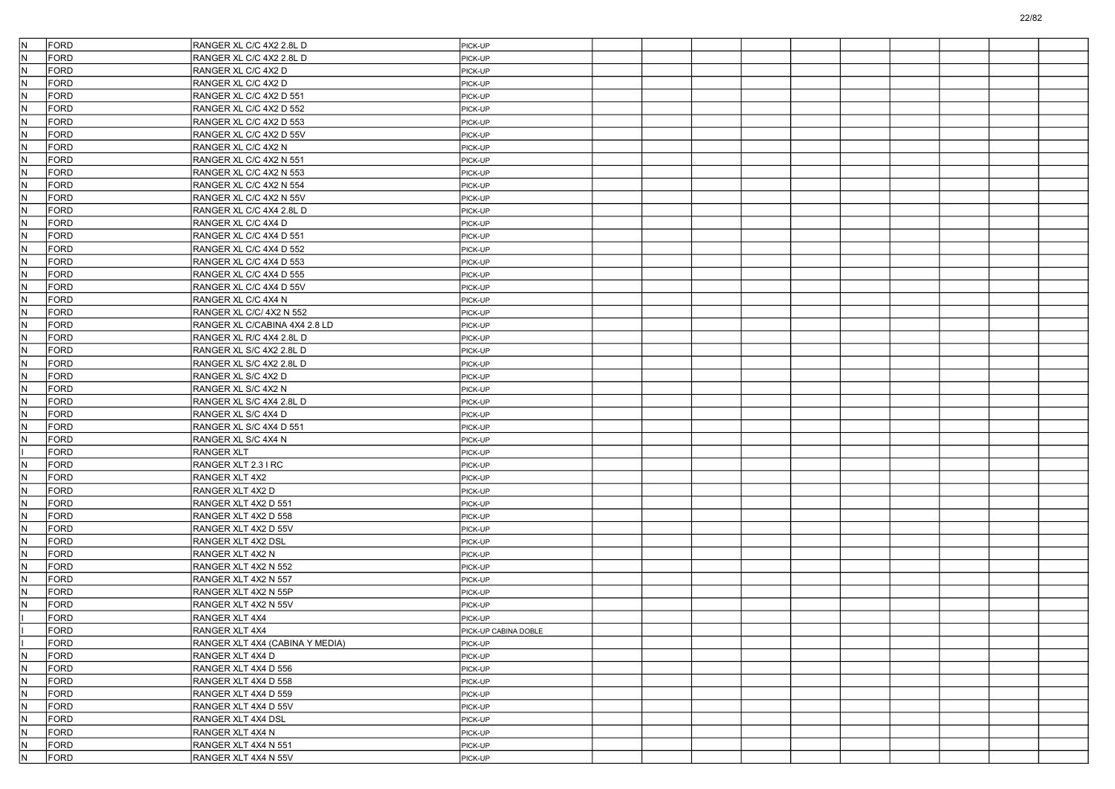| N.<br><b>FORD</b>  | RANGER XL C/C 4X2 2.8L D        | PICK-UP              |  |  |  |  |  |
|--------------------|---------------------------------|----------------------|--|--|--|--|--|
| IN.<br><b>FORD</b> | RANGER XL C/C 4X2 2.8L D        | PICK-UP              |  |  |  |  |  |
| IN.<br><b>FORD</b> | RANGER XL C/C 4X2 D             | PICK-UP              |  |  |  |  |  |
| IN.<br><b>FORD</b> | RANGER XL C/C 4X2 D             | PICK-UP              |  |  |  |  |  |
| N<br><b>FORD</b>   | RANGER XL C/C 4X2 D 551         | PICK-UP              |  |  |  |  |  |
| N<br><b>FORD</b>   | RANGER XL C/C 4X2 D 552         | PICK-UP              |  |  |  |  |  |
| IN.<br><b>FORD</b> | RANGER XL C/C 4X2 D 553         | PICK-UP              |  |  |  |  |  |
| IN.<br><b>FORD</b> | RANGER XL C/C 4X2 D 55V         | PICK-UP              |  |  |  |  |  |
| IN.<br><b>FORD</b> | RANGER XL C/C 4X2 N             | PICK-UP              |  |  |  |  |  |
| N<br><b>FORD</b>   | RANGER XL C/C 4X2 N 551         | PICK-UP              |  |  |  |  |  |
| N.<br><b>FORD</b>  | RANGER XL C/C 4X2 N 553         | PICK-UP              |  |  |  |  |  |
| IN.<br><b>FORD</b> | RANGER XL C/C 4X2 N 554         | PICK-UP              |  |  |  |  |  |
| IN.<br><b>FORD</b> | RANGER XL C/C 4X2 N 55V         | PICK-UP              |  |  |  |  |  |
| IN.<br><b>FORD</b> | RANGER XL C/C 4X4 2.8L D        | PICK-UP              |  |  |  |  |  |
| N<br><b>FORD</b>   | RANGER XL C/C 4X4 D             | PICK-UP              |  |  |  |  |  |
| N.<br><b>FORD</b>  | RANGER XL C/C 4X4 D 551         | PICK-UP              |  |  |  |  |  |
| IN.<br><b>FORD</b> | RANGER XL C/C 4X4 D 552         | PICK-UP              |  |  |  |  |  |
| IN.<br><b>FORD</b> | RANGER XL C/C 4X4 D 553         | PICK-UP              |  |  |  |  |  |
| IN.<br><b>FORD</b> | RANGER XL C/C 4X4 D 555         | PICK-UP              |  |  |  |  |  |
| N<br><b>FORD</b>   | RANGER XL C/C 4X4 D 55V         | PICK-UP              |  |  |  |  |  |
| N.<br><b>FORD</b>  | RANGER XL C/C 4X4 N             | PICK-UP              |  |  |  |  |  |
| IN.<br><b>FORD</b> | RANGER XL C/C/ 4X2 N 552        | PICK-UP              |  |  |  |  |  |
| IN.<br><b>FORD</b> | RANGER XL C/CABINA 4X4 2.8 LD   | PICK-UP              |  |  |  |  |  |
| IN.<br><b>FORD</b> | RANGER XL R/C 4X4 2.8L D        | PICK-UP              |  |  |  |  |  |
| N<br><b>FORD</b>   | RANGER XL S/C 4X2 2.8L D        | PICK-UP              |  |  |  |  |  |
| N.<br><b>FORD</b>  | RANGER XL S/C 4X2 2.8L D        | PICK-UP              |  |  |  |  |  |
| IN.<br><b>FORD</b> | RANGER XL S/C 4X2 D             | PICK-UP              |  |  |  |  |  |
| IN.<br><b>FORD</b> | RANGER XL S/C 4X2 N             | PICK-UP              |  |  |  |  |  |
| IN.<br><b>FORD</b> | RANGER XL S/C 4X4 2.8L D        | PICK-UP              |  |  |  |  |  |
| N<br><b>FORD</b>   | RANGER XL S/C 4X4 D             | PICK-UP              |  |  |  |  |  |
| N<br><b>FORD</b>   | RANGER XL S/C 4X4 D 551         | PICK-UP              |  |  |  |  |  |
| IN.<br>FORD        | RANGER XL S/C 4X4 N             | PICK-UP              |  |  |  |  |  |
| <b>FORD</b>        | <b>RANGER XLT</b>               | PICK-UP              |  |  |  |  |  |
| IN.<br>FORD        | RANGER XLT 2.3 I RC             | PICK-UP              |  |  |  |  |  |
| <b>FORD</b><br>N   | RANGER XLT 4X2                  | PICK-UP              |  |  |  |  |  |
| N.<br><b>FORD</b>  | RANGER XLT 4X2 D                | PICK-UP              |  |  |  |  |  |
| IN.<br>FORD        | RANGER XLT 4X2 D 551            | PICK-UP              |  |  |  |  |  |
| IN.<br><b>FORD</b> | RANGER XLT 4X2 D 558            | PICK-UP              |  |  |  |  |  |
| IN.<br>FORD        | RANGER XLT 4X2 D 55V            | PICK-UP              |  |  |  |  |  |
| N<br><b>FORD</b>   | RANGER XLT 4X2 DSL              | PICK-UP              |  |  |  |  |  |
| N<br><b>FORD</b>   | RANGER XLT 4X2 N                | PICK-UP              |  |  |  |  |  |
| <b>FORD</b><br>IN. | RANGER XLT 4X2 N 552            | PICK-UP              |  |  |  |  |  |
| N<br><b>FORD</b>   | RANGER XLT 4X2 N 557            | PICK-UP              |  |  |  |  |  |
| IN.<br><b>FORD</b> | RANGER XLT 4X2 N 55P            | PICK-UP              |  |  |  |  |  |
| <b>FORD</b><br>N   | RANGER XLT 4X2 N 55V            | PICK-UP              |  |  |  |  |  |
| <b>FORD</b>        | RANGER XLT 4X4                  | PICK-UP              |  |  |  |  |  |
| FORD               | RANGER XLT 4X4                  | PICK-UP CABINA DOBLE |  |  |  |  |  |
| FORD               | RANGER XLT 4X4 (CABINA Y MEDIA) | PICK-UP              |  |  |  |  |  |
| N<br>FORD          | RANGER XLT 4X4 D                | PICK-UP              |  |  |  |  |  |
| N<br>FORD          | RANGER XLT 4X4 D 556            | PICK-UP              |  |  |  |  |  |
| N<br>FORD          | RANGER XLT 4X4 D 558            | PICK-UP              |  |  |  |  |  |
| N.<br>FORD         | RANGER XLT 4X4 D 559            | PICK-UP              |  |  |  |  |  |
| N<br>FORD          | RANGER XLT 4X4 D 55V            | PICK-UP              |  |  |  |  |  |
| N<br>FORD          | RANGER XLT 4X4 DSL              | PICK-UP              |  |  |  |  |  |
| N<br>FORD          | RANGER XLT 4X4 N                | PICK-UP              |  |  |  |  |  |
| N<br>FORD          | RANGER XLT 4X4 N 551            | PICK-UP              |  |  |  |  |  |
| N.<br>FORD         | RANGER XLT 4X4 N 55V            | PICK-UP              |  |  |  |  |  |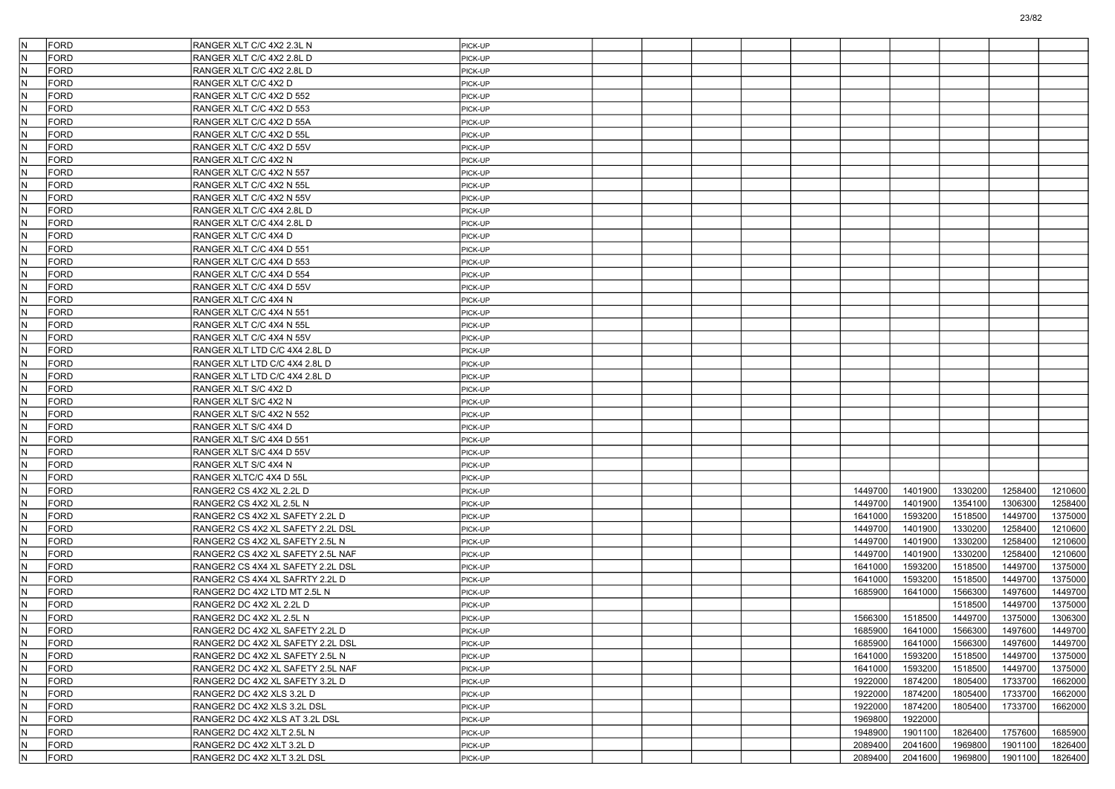| lN. | <b>FORD</b> | RANGER XLT C/C 4X2 2.3L N         | PICK-UP |  |  |         |         |         |         |         |
|-----|-------------|-----------------------------------|---------|--|--|---------|---------|---------|---------|---------|
| IN. | <b>FORD</b> | RANGER XLT C/C 4X2 2.8L D         | PICK-UP |  |  |         |         |         |         |         |
| IN. | <b>FORD</b> | RANGER XLT C/C 4X2 2.8L D         | PICK-UP |  |  |         |         |         |         |         |
| IN. | <b>FORD</b> | RANGER XLT C/C 4X2 D              | PICK-UP |  |  |         |         |         |         |         |
| N   | <b>FORD</b> | RANGER XLT C/C 4X2 D 552          | PICK-UP |  |  |         |         |         |         |         |
| IN. | <b>FORD</b> | RANGER XLT C/C 4X2 D 553          | PICK-UP |  |  |         |         |         |         |         |
| IN. | <b>FORD</b> | RANGER XLT C/C 4X2 D 55A          | PICK-UP |  |  |         |         |         |         |         |
| N   | <b>FORD</b> | RANGER XLT C/C 4X2 D 55L          | PICK-UP |  |  |         |         |         |         |         |
| IN. | <b>FORD</b> | RANGER XLT C/C 4X2 D 55V          | PICK-UP |  |  |         |         |         |         |         |
| N   | <b>FORD</b> | RANGER XLT C/C 4X2 N              | PICK-UP |  |  |         |         |         |         |         |
| IN. | <b>FORD</b> | RANGER XLT C/C 4X2 N 557          | PICK-UP |  |  |         |         |         |         |         |
| IN. | <b>FORD</b> | RANGER XLT C/C 4X2 N 55L          | PICK-UP |  |  |         |         |         |         |         |
| N   | <b>FORD</b> | RANGER XLT C/C 4X2 N 55V          | PICK-UP |  |  |         |         |         |         |         |
| IN. | <b>FORD</b> | RANGER XLT C/C 4X4 2.8L D         | PICK-UP |  |  |         |         |         |         |         |
| N   | <b>FORD</b> | RANGER XLT C/C 4X4 2.8L D         | PICK-UP |  |  |         |         |         |         |         |
| IN. | <b>FORD</b> | RANGER XLT C/C 4X4 D              | PICK-UP |  |  |         |         |         |         |         |
| IN. | <b>FORD</b> | RANGER XLT C/C 4X4 D 551          | PICK-UP |  |  |         |         |         |         |         |
| N   | <b>FORD</b> | RANGER XLT C/C 4X4 D 553          | PICK-UP |  |  |         |         |         |         |         |
| IN. | <b>FORD</b> | RANGER XLT C/C 4X4 D 554          | PICK-UP |  |  |         |         |         |         |         |
| N   | <b>FORD</b> | RANGER XLT C/C 4X4 D 55V          | PICK-UP |  |  |         |         |         |         |         |
| IN. | <b>FORD</b> | RANGER XLT C/C 4X4 N              | PICK-UP |  |  |         |         |         |         |         |
| IN. | <b>FORD</b> |                                   |         |  |  |         |         |         |         |         |
| N   | <b>FORD</b> | RANGER XLT C/C 4X4 N 551          | PICK-UP |  |  |         |         |         |         |         |
|     |             | RANGER XLT C/C 4X4 N 55L          | PICK-UP |  |  |         |         |         |         |         |
| IN. | <b>FORD</b> | RANGER XLT C/C 4X4 N 55V          | PICK-UP |  |  |         |         |         |         |         |
| lΝ  | <b>FORD</b> | RANGER XLT LTD C/C 4X4 2.8L D     | PICK-UP |  |  |         |         |         |         |         |
| IN. | <b>FORD</b> | RANGER XLT LTD C/C 4X4 2.8L D     | PICK-UP |  |  |         |         |         |         |         |
| IN. | <b>FORD</b> | RANGER XLT LTD C/C 4X4 2.8L D     | PICK-UP |  |  |         |         |         |         |         |
| N   | <b>FORD</b> | RANGER XLT S/C 4X2 D              | PICK-UP |  |  |         |         |         |         |         |
| IN. | <b>FORD</b> | RANGER XLT S/C 4X2 N              | PICK-UP |  |  |         |         |         |         |         |
| lΝ  | <b>FORD</b> | RANGER XLT S/C 4X2 N 552          | PICK-UP |  |  |         |         |         |         |         |
| IN. | FORD        | RANGER XLT S/C 4X4 D              | PICK-UP |  |  |         |         |         |         |         |
| IN. | <b>FORD</b> | RANGER XLT S/C 4X4 D 551          | PICK-UP |  |  |         |         |         |         |         |
| N   | <b>FORD</b> | RANGER XLT S/C 4X4 D 55V          | PICK-UP |  |  |         |         |         |         |         |
| IN. | <b>FORD</b> | RANGER XLT S/C 4X4 N              | PICK-UP |  |  |         |         |         |         |         |
| lΝ  | <b>FORD</b> | RANGER XLTC/C 4X4 D 55L           | PICK-UP |  |  |         |         |         |         |         |
| IN. | FORD        | RANGER2 CS 4X2 XL 2.2L D          | PICK-UP |  |  | 1449700 | 1401900 | 1330200 | 1258400 | 1210600 |
| IN. | <b>FORD</b> | RANGER2 CS 4X2 XL 2.5L N          | PICK-UP |  |  | 1449700 | 1401900 | 1354100 | 1306300 | 1258400 |
| N   | <b>FORD</b> | RANGER2 CS 4X2 XL SAFETY 2.2L D   | PICK-UP |  |  | 1641000 | 1593200 | 1518500 | 1449700 | 1375000 |
| IN. | <b>FORD</b> | RANGER2 CS 4X2 XL SAFETY 2.2L DSL | PICK-UP |  |  | 1449700 | 1401900 | 1330200 | 1258400 | 1210600 |
| N   | <b>FORD</b> | RANGER2 CS 4X2 XL SAFETY 2.5L N   | PICK-UP |  |  | 1449700 | 1401900 | 1330200 | 1258400 | 1210600 |
| IN. | FORD        | RANGER2 CS 4X2 XL SAFETY 2.5L NAF | PICK-UP |  |  | 1449700 | 1401900 | 1330200 | 1258400 | 1210600 |
| IN. | <b>FORD</b> | RANGER2 CS 4X4 XL SAFETY 2.2L DSL | PICK-UP |  |  | 1641000 | 1593200 | 1518500 | 1449700 | 1375000 |
| N   | <b>FORD</b> | RANGER2 CS 4X4 XL SAFRTY 2.2L D   | PICK-UP |  |  | 1641000 | 1593200 | 1518500 | 1449700 | 1375000 |
| IN. | <b>FORD</b> | RANGER2 DC 4X2 LTD MT 2.5L N      | PICK-UP |  |  | 1685900 | 1641000 | 1566300 | 1497600 | 1449700 |
| N   | <b>FORD</b> | RANGER2 DC 4X2 XL 2.2L D          | PICK-UP |  |  |         |         | 1518500 | 1449700 | 1375000 |
| IN. | FORD        | RANGER2 DC 4X2 XL 2.5L N          | PICK-UP |  |  | 1566300 | 1518500 | 1449700 | 1375000 | 1306300 |
| IN. | FORD        | RANGER2 DC 4X2 XL SAFETY 2.2L D   | PICK-UP |  |  | 1685900 | 1641000 | 1566300 | 1497600 | 1449700 |
| N.  | <b>FORD</b> | RANGER2 DC 4X2 XL SAFETY 2.2L DSL | PICK-UP |  |  | 1685900 | 1641000 | 1566300 | 1497600 | 1449700 |
| IN. | FORD        | RANGER2 DC 4X2 XL SAFETY 2.5L N   | PICK-UP |  |  | 1641000 | 1593200 | 1518500 | 1449700 | 1375000 |
| N   | FORD        | RANGER2 DC 4X2 XL SAFETY 2.5L NAF | PICK-UP |  |  | 1641000 | 1593200 | 1518500 | 1449700 | 1375000 |
| IN. | FORD        | RANGER2 DC 4X2 XL SAFETY 3.2L D   | PICK-UP |  |  | 1922000 | 1874200 | 1805400 | 1733700 | 1662000 |
| IN. | FORD        | RANGER2 DC 4X2 XLS 3.2L D         | PICK-UP |  |  | 1922000 | 1874200 | 1805400 | 1733700 | 1662000 |
| lN. | FORD        | RANGER2 DC 4X2 XLS 3.2L DSL       | PICK-UP |  |  | 1922000 | 1874200 | 1805400 | 1733700 | 1662000 |
| N.  | FORD        | RANGER2 DC 4X2 XLS AT 3.2L DSL    | PICK-UP |  |  | 1969800 | 1922000 |         |         |         |
| N   | FORD        | RANGER2 DC 4X2 XLT 2.5L N         | PICK-UP |  |  | 1948900 | 1901100 | 1826400 | 1757600 | 1685900 |
| N.  | FORD        | RANGER2 DC 4X2 XLT 3.2L D         | PICK-UP |  |  | 2089400 | 2041600 | 1969800 | 1901100 | 1826400 |
| N   | FORD        | RANGER2 DC 4X2 XLT 3.2L DSL       | PICK-UP |  |  | 2089400 | 2041600 | 1969800 | 1901100 | 1826400 |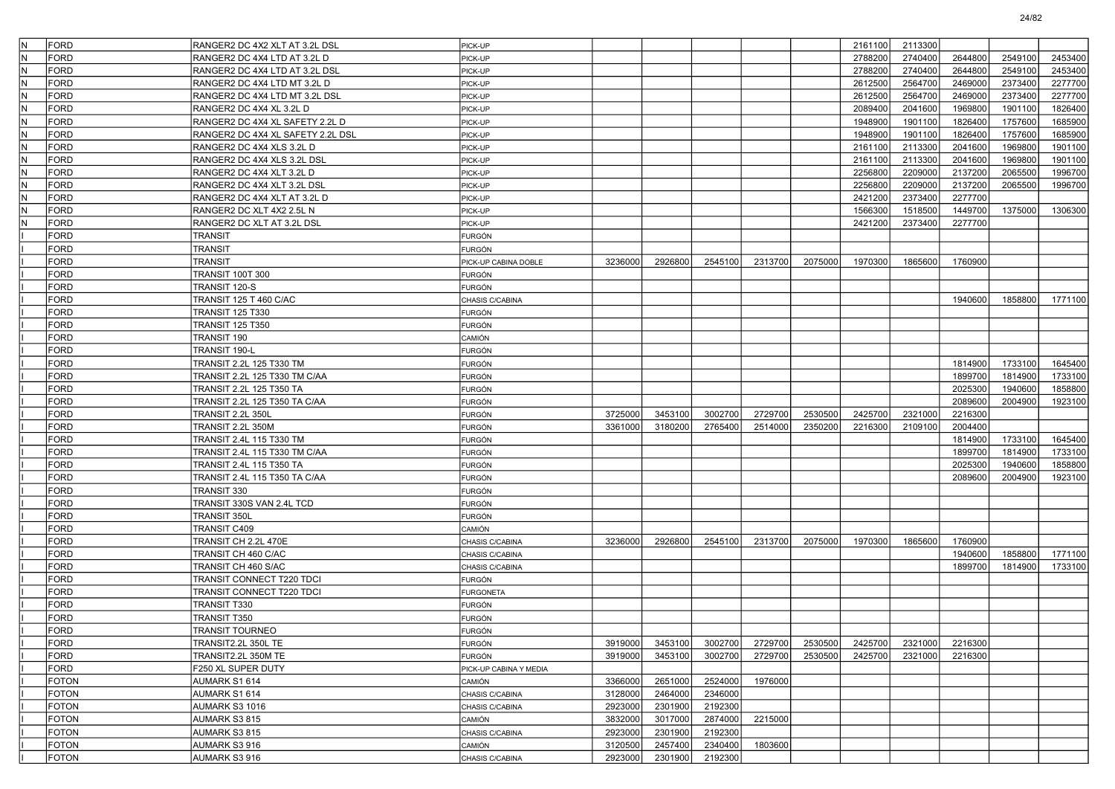| İN. | FORD         | RANGER2 DC 4X2 XLT AT 3.2L DSL    | PICK-UP                |         |         |         |         |         | 2161100 | 2113300 |         |         |         |
|-----|--------------|-----------------------------------|------------------------|---------|---------|---------|---------|---------|---------|---------|---------|---------|---------|
| IN. | <b>FORD</b>  | RANGER2 DC 4X4 LTD AT 3.2L D      | PICK-UP                |         |         |         |         |         | 2788200 | 2740400 | 2644800 | 2549100 | 2453400 |
| IN. | <b>FORD</b>  | RANGER2 DC 4X4 LTD AT 3.2L DSL    | PICK-UP                |         |         |         |         |         | 2788200 | 2740400 | 2644800 | 2549100 | 2453400 |
| IN. | <b>FORD</b>  | RANGER2 DC 4X4 LTD MT 3.2L D      | PICK-UP                |         |         |         |         |         | 2612500 | 2564700 | 2469000 | 2373400 | 2277700 |
| IN. | <b>FORD</b>  | RANGER2 DC 4X4 LTD MT 3.2L DSL    | PICK-UP                |         |         |         |         |         | 2612500 | 2564700 | 2469000 | 2373400 | 2277700 |
| IN. | <b>FORD</b>  | RANGER2 DC 4X4 XL 3.2L D          | PICK-UP                |         |         |         |         |         | 2089400 | 2041600 | 1969800 | 1901100 | 1826400 |
| M,  | <b>FORD</b>  | RANGER2 DC 4X4 XL SAFETY 2.2L D   | PICK-UP                |         |         |         |         |         | 1948900 | 1901100 | 1826400 | 1757600 | 1685900 |
| IN. | <b>FORD</b>  | RANGER2 DC 4X4 XL SAFETY 2.2L DSL | PICK-UP                |         |         |         |         |         | 1948900 | 1901100 | 1826400 | 1757600 | 1685900 |
| IN. | <b>FORD</b>  | RANGER2 DC 4X4 XLS 3.2L D         | PICK-UP                |         |         |         |         |         | 2161100 | 2113300 | 2041600 | 1969800 | 1901100 |
| N   | <b>FORD</b>  | RANGER2 DC 4X4 XLS 3.2L DSL       | PICK-UP                |         |         |         |         |         | 2161100 | 2113300 | 2041600 | 1969800 | 1901100 |
| IN. | <b>FORD</b>  | RANGER2 DC 4X4 XLT 3.2L D         | PICK-UP                |         |         |         |         |         | 2256800 | 2209000 | 2137200 | 2065500 | 1996700 |
| IN. | <b>FORD</b>  | RANGER2 DC 4X4 XLT 3.2L DSL       | PICK-UP                |         |         |         |         |         | 2256800 | 2209000 | 2137200 | 2065500 | 1996700 |
| IN. | <b>FORD</b>  | RANGER2 DC 4X4 XLT AT 3.2L D      | PICK-UP                |         |         |         |         |         | 2421200 | 2373400 | 2277700 |         |         |
| IN. | <b>FORD</b>  | RANGER2 DC XLT 4X2 2.5L N         | PICK-UP                |         |         |         |         |         | 1566300 | 1518500 | 1449700 | 1375000 | 1306300 |
| N   | <b>FORD</b>  | RANGER2 DC XLT AT 3.2L DSL        | PICK-UP                |         |         |         |         |         | 2421200 | 2373400 | 2277700 |         |         |
|     | <b>FORD</b>  | TRANSIT                           | FURGÓN                 |         |         |         |         |         |         |         |         |         |         |
|     | <b>FORD</b>  | TRANSIT                           | FURGÓN                 |         |         |         |         |         |         |         |         |         |         |
|     | <b>FORD</b>  | TRANSIT                           | PICK-UP CABINA DOBLE   | 3236000 | 2926800 | 2545100 | 2313700 | 2075000 | 1970300 | 1865600 | 1760900 |         |         |
|     | <b>FORD</b>  | TRANSIT 100T 300                  | <b>FURGÓN</b>          |         |         |         |         |         |         |         |         |         |         |
|     | <b>FORD</b>  | TRANSIT 120-S                     | <b>FURGÓN</b>          |         |         |         |         |         |         |         |         |         |         |
|     | <b>FORD</b>  | <b>TRANSIT 125 T 460 C/AC</b>     | CHASIS C/CABINA        |         |         |         |         |         |         |         | 1940600 | 1858800 | 1771100 |
|     | <b>FORD</b>  | TRANSIT 125 T330                  | FURGÓN                 |         |         |         |         |         |         |         |         |         |         |
|     | <b>FORD</b>  | TRANSIT 125 T350                  | <b>FURGÓN</b>          |         |         |         |         |         |         |         |         |         |         |
|     | <b>FORD</b>  | TRANSIT 190                       | CAMIÓN                 |         |         |         |         |         |         |         |         |         |         |
|     | <b>FORD</b>  | TRANSIT 190-L                     | <b>FURGÓN</b>          |         |         |         |         |         |         |         |         |         |         |
|     | <b>FORD</b>  | TRANSIT 2.2L 125 T330 TM          |                        |         |         |         |         |         |         |         | 1814900 | 1733100 | 1645400 |
|     | <b>FORD</b>  |                                   | FURGÓN                 |         |         |         |         |         |         |         |         |         |         |
|     |              | TRANSIT 2.2L 125 T330 TM C/AA     | FURGÓN                 |         |         |         |         |         |         |         | 1899700 | 1814900 | 1733100 |
|     | <b>FORD</b>  | TRANSIT 2.2L 125 T350 TA          | <b>FURGÓN</b>          |         |         |         |         |         |         |         | 2025300 | 1940600 | 1858800 |
|     | <b>FORD</b>  | TRANSIT 2.2L 125 T350 TA C/AA     | <b>FURGÓN</b>          |         |         |         |         |         |         |         | 2089600 | 2004900 | 1923100 |
|     | <b>FORD</b>  | TRANSIT 2.2L 350L                 | <b>FURGÓN</b>          | 3725000 | 3453100 | 3002700 | 2729700 | 2530500 | 2425700 | 2321000 | 2216300 |         |         |
|     | <b>FORD</b>  | TRANSIT 2.2L 350M                 | FURGÓN                 | 3361000 | 3180200 | 2765400 | 2514000 | 2350200 | 2216300 | 2109100 | 2004400 |         |         |
|     | <b>FORD</b>  | TRANSIT 2.4L 115 T330 TM          | FURGÓN                 |         |         |         |         |         |         |         | 1814900 | 1733100 | 1645400 |
|     | <b>FORD</b>  | TRANSIT 2.4L 115 T330 TM C/AA     | <b>FURGÓN</b>          |         |         |         |         |         |         |         | 1899700 | 1814900 | 1733100 |
|     | <b>FORD</b>  | TRANSIT 2.4L 115 T350 TA          | <b>FURGÓN</b>          |         |         |         |         |         |         |         | 2025300 | 1940600 | 1858800 |
|     | <b>FORD</b>  | TRANSIT 2.4L 115 T350 TA C/AA     | <b>FURGÓN</b>          |         |         |         |         |         |         |         | 2089600 | 2004900 | 1923100 |
|     | <b>FORD</b>  | TRANSIT 330                       | FURGÓN                 |         |         |         |         |         |         |         |         |         |         |
|     | <b>FORD</b>  | TRANSIT 330S VAN 2.4L TCD         | FURGÓN                 |         |         |         |         |         |         |         |         |         |         |
|     | <b>FORD</b>  | TRANSIT 350L                      | <b>FURGÓN</b>          |         |         |         |         |         |         |         |         |         |         |
|     | <b>FORD</b>  | TRANSIT C409                      | CAMIÓN                 |         |         |         |         |         |         |         |         |         |         |
|     | <b>FORD</b>  | TRANSIT CH 2.2L 470E              | CHASIS C/CABINA        | 3236000 | 2926800 | 2545100 | 2313700 | 2075000 | 1970300 | 1865600 | 1760900 |         |         |
|     | <b>FORD</b>  | TRANSIT CH 460 C/AC               | CHASIS C/CABINA        |         |         |         |         |         |         |         | 1940600 | 1858800 | 1771100 |
|     | <b>FORD</b>  | TRANSIT CH 460 S/AC               | CHASIS C/CABINA        |         |         |         |         |         |         |         | 1899700 | 1814900 | 1733100 |
|     | <b>FORD</b>  | TRANSIT CONNECT T220 TDCI         | FURGÓN                 |         |         |         |         |         |         |         |         |         |         |
|     | <b>FORD</b>  | TRANSIT CONNECT T220 TDCI         | <b>FURGONETA</b>       |         |         |         |         |         |         |         |         |         |         |
|     | <b>FORD</b>  | TRANSIT T330                      | <b>FURGÓN</b>          |         |         |         |         |         |         |         |         |         |         |
|     | <b>FORD</b>  | TRANSIT T350                      | FURGÓN                 |         |         |         |         |         |         |         |         |         |         |
|     | FORD         | <b>TRANSIT TOURNEO</b>            | <b>FURGÓN</b>          |         |         |         |         |         |         |         |         |         |         |
|     | <b>FORD</b>  | TRANSIT2.2L 350L TE               | <b>FURGÓN</b>          | 3919000 | 3453100 | 3002700 | 2729700 | 2530500 | 2425700 | 2321000 | 2216300 |         |         |
|     | FORD         | TRANSIT2.2L 350M TE               | <b>FURGÓN</b>          | 3919000 | 3453100 | 3002700 | 2729700 | 2530500 | 2425700 | 2321000 | 2216300 |         |         |
|     | FORD         | F250 XL SUPER DUTY                | PICK-UP CABINA Y MEDIA |         |         |         |         |         |         |         |         |         |         |
|     | <b>FOTON</b> | AUMARK S1 614                     | CAMIÓN                 | 3366000 | 2651000 | 2524000 | 1976000 |         |         |         |         |         |         |
|     | <b>FOTON</b> | AUMARK S1 614                     | CHASIS C/CABINA        | 3128000 | 2464000 | 2346000 |         |         |         |         |         |         |         |
|     | <b>FOTON</b> | AUMARK S3 1016                    | CHASIS C/CABINA        | 2923000 | 2301900 | 2192300 |         |         |         |         |         |         |         |
|     | <b>FOTON</b> | AUMARK S3 815                     | CAMIÓN                 | 3832000 | 3017000 | 2874000 | 2215000 |         |         |         |         |         |         |
|     | <b>FOTON</b> | AUMARK S3 815                     | CHASIS C/CABINA        | 2923000 | 2301900 | 2192300 |         |         |         |         |         |         |         |
|     | <b>FOTON</b> | AUMARK S3 916                     | CAMIÓN                 | 3120500 | 2457400 | 2340400 | 1803600 |         |         |         |         |         |         |
|     | <b>FOTON</b> | AUMARK S3 916                     | CHASIS C/CABINA        | 2923000 | 2301900 | 2192300 |         |         |         |         |         |         |         |
|     |              |                                   |                        |         |         |         |         |         |         |         |         |         |         |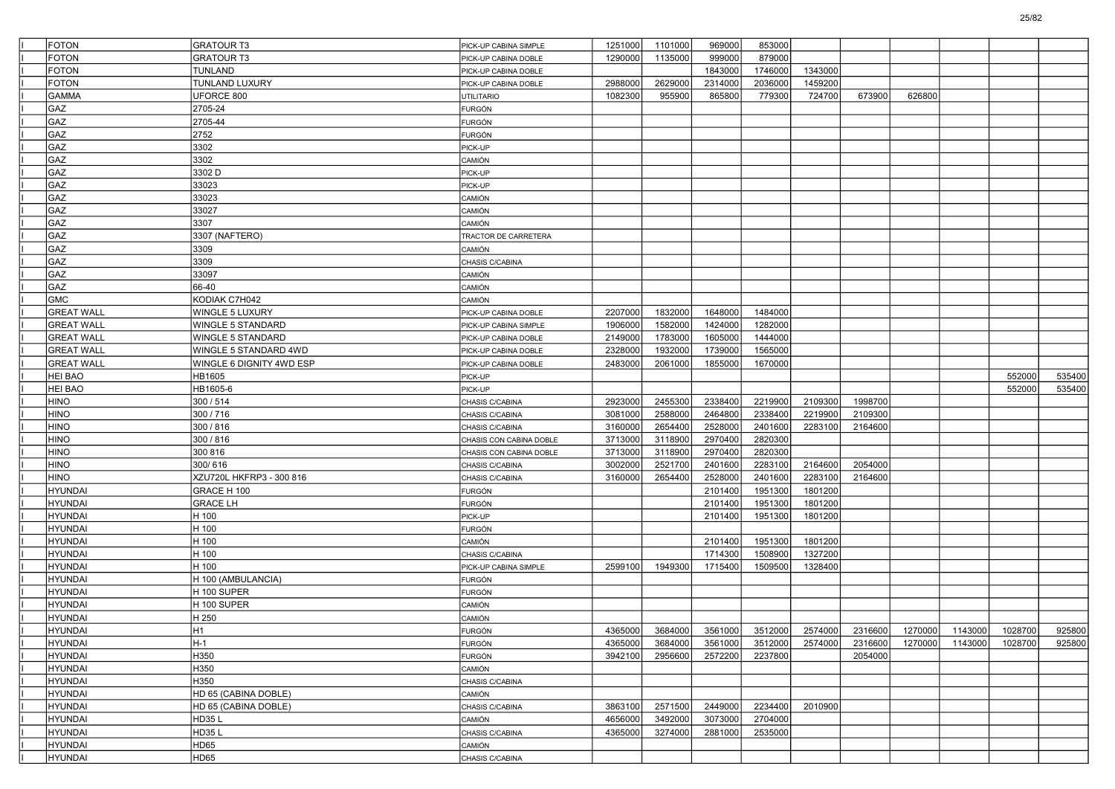| <b>FOTON</b>      | <b>GRATOUR T3</b>        | PICK-UP CABINA SIMPLE            | 1251000 | 1101000 | 969000  | 853000  |         |         |        |                 |         |        |
|-------------------|--------------------------|----------------------------------|---------|---------|---------|---------|---------|---------|--------|-----------------|---------|--------|
| <b>FOTON</b>      | <b>GRATOUR T3</b>        | PICK-UP CABINA DOBLE             | 1290000 | 1135000 | 999000  | 879000  |         |         |        |                 |         |        |
| <b>FOTON</b>      | <b>TUNLAND</b>           | PICK-UP CABINA DOBLE             |         |         | 1843000 | 1746000 | 1343000 |         |        |                 |         |        |
| <b>FOTON</b>      | TUNLAND LUXURY           | PICK-UP CABINA DOBLE             | 2988000 | 2629000 | 2314000 | 2036000 | 1459200 |         |        |                 |         |        |
| <b>GAMMA</b>      | UFORCE 800               | <b>UTILITARIO</b>                | 1082300 | 955900  | 865800  | 779300  | 724700  | 673900  | 626800 |                 |         |        |
| GAZ               | 2705-24                  | <b>FURGÓN</b>                    |         |         |         |         |         |         |        |                 |         |        |
| GAZ               | 2705-44                  | FURGÓN                           |         |         |         |         |         |         |        |                 |         |        |
| GAZ               | 2752                     | <b>FURGÓN</b>                    |         |         |         |         |         |         |        |                 |         |        |
| GAZ               | 3302                     | PICK-UP                          |         |         |         |         |         |         |        |                 |         |        |
| GAZ               | 3302                     | CAMIÓN                           |         |         |         |         |         |         |        |                 |         |        |
| GAZ               | 3302 D                   | PICK-UP                          |         |         |         |         |         |         |        |                 |         |        |
| GAZ               | 33023                    | PICK-UP                          |         |         |         |         |         |         |        |                 |         |        |
| GAZ               | 33023                    | CAMIÓN                           |         |         |         |         |         |         |        |                 |         |        |
| GAZ               | 33027                    | CAMIÓN                           |         |         |         |         |         |         |        |                 |         |        |
| GAZ               | 3307                     | <b>CAMIÓN</b>                    |         |         |         |         |         |         |        |                 |         |        |
| GAZ               | 3307 (NAFTERO)           | TRACTOR DE CARRETERA             |         |         |         |         |         |         |        |                 |         |        |
| GAZ               | 3309                     | <b>CAMIÓN</b>                    |         |         |         |         |         |         |        |                 |         |        |
| GAZ               | 3309                     | CHASIS C/CABINA                  |         |         |         |         |         |         |        |                 |         |        |
| GAZ               | 33097                    | CAMIÓN                           |         |         |         |         |         |         |        |                 |         |        |
| GAZ               | 66-40                    | CAMIÓN                           |         |         |         |         |         |         |        |                 |         |        |
| GMC               | KODIAK C7H042            | <b>CAMIÓN</b>                    |         |         |         |         |         |         |        |                 |         |        |
| <b>GREAT WALL</b> | WINGLE 5 LUXURY          | PICK-UP CABINA DOBLE             | 2207000 | 1832000 | 1648000 | 1484000 |         |         |        |                 |         |        |
| <b>GREAT WALL</b> | WINGLE 5 STANDARD        | PICK-UP CABINA SIMPLE            | 1906000 | 1582000 | 1424000 | 1282000 |         |         |        |                 |         |        |
| <b>GREAT WALL</b> | WINGLE 5 STANDARD        | PICK-UP CABINA DOBLE             | 2149000 | 1783000 | 1605000 | 1444000 |         |         |        |                 |         |        |
| <b>GREAT WALL</b> | WINGLE 5 STANDARD 4WD    | PICK-UP CABINA DOBLE             | 2328000 | 1932000 | 1739000 | 1565000 |         |         |        |                 |         |        |
| <b>GREAT WALL</b> | WINGLE 6 DIGNITY 4WD ESP | PICK-UP CABINA DOBLE             | 2483000 | 2061000 | 1855000 | 1670000 |         |         |        |                 |         |        |
| <b>HEI BAO</b>    | HB1605                   | PICK-UP                          |         |         |         |         |         |         |        |                 | 552000  | 535400 |
| <b>HEI BAO</b>    | HB1605-6                 | PICK-UP                          |         |         |         |         |         |         |        |                 | 552000  | 535400 |
| <b>HINO</b>       | 300 / 514                | CHASIS C/CABINA                  | 2923000 | 2455300 | 2338400 | 2219900 | 2109300 | 1998700 |        |                 |         |        |
| <b>HINO</b>       | 300/716                  | CHASIS C/CABINA                  | 3081000 | 2588000 | 2464800 | 2338400 | 2219900 | 2109300 |        |                 |         |        |
| <b>HINO</b>       | 300 / 816                | CHASIS C/CABINA                  | 3160000 | 2654400 | 2528000 | 2401600 | 2283100 | 2164600 |        |                 |         |        |
| <b>HINO</b>       | 300 / 816                | CHASIS CON CABINA DOBLE          | 3713000 | 3118900 | 2970400 | 2820300 |         |         |        |                 |         |        |
| <b>HINO</b>       | 300 816                  | CHASIS CON CABINA DOBLE          | 3713000 | 3118900 | 2970400 | 2820300 |         |         |        |                 |         |        |
| <b>HINO</b>       | 300/616                  | CHASIS C/CABINA                  | 3002000 | 2521700 | 2401600 | 2283100 | 2164600 | 2054000 |        |                 |         |        |
| <b>HINO</b>       | XZU720L HKFRP3 - 300 816 | CHASIS C/CABINA                  | 3160000 | 2654400 | 2528000 | 2401600 | 2283100 | 2164600 |        |                 |         |        |
| <b>HYUNDAI</b>    | GRACE H 100              | <b>FURGÓN</b>                    |         |         | 2101400 | 1951300 | 1801200 |         |        |                 |         |        |
| <b>HYUNDAI</b>    | <b>GRACE LH</b>          | <b>FURGÓN</b>                    |         |         | 2101400 | 1951300 | 1801200 |         |        |                 |         |        |
| <b>HYUNDAI</b>    | H 100                    | PICK-UP                          |         |         | 2101400 | 1951300 | 1801200 |         |        |                 |         |        |
| <b>HYUNDAI</b>    | H 100                    | <b>FURGÓN</b>                    |         |         |         |         |         |         |        |                 |         |        |
| <b>HYUNDAI</b>    | H 100                    | <b>CAMIÓN</b>                    |         |         | 2101400 | 1951300 | 1801200 |         |        |                 |         |        |
| <b>HYUNDAI</b>    | H 100                    | CHASIS C/CABINA                  |         |         | 1714300 | 1508900 | 1327200 |         |        |                 |         |        |
| <b>HYUNDAI</b>    | H 100                    | PICK-UP CABINA SIMPLE            | 2599100 | 1949300 | 1715400 | 1509500 | 1328400 |         |        |                 |         |        |
| <b>HYUNDAI</b>    | H 100 (AMBULANCIA)       | <b>FURGÓN</b>                    |         |         |         |         |         |         |        |                 |         |        |
| <b>HYUNDAI</b>    | H 100 SUPER              | FURGÓN                           |         |         |         |         |         |         |        |                 |         |        |
| <b>HYUNDAI</b>    | H 100 SUPER              | CAMIÓN                           |         |         |         |         |         |         |        |                 |         |        |
| <b>HYUNDAI</b>    | H 250                    | CAMIÓN                           |         |         |         |         |         |         |        |                 |         |        |
| HYUNDAI           | H <sub>1</sub>           |                                  | 4365000 | 3684000 | 3561000 | 3512000 | 2574000 | 2316600 |        | 1270000 1143000 | 1028700 | 925800 |
| <b>HYUNDAI</b>    | H-1                      | FURGON<br><b>FURGÓN</b>          | 4365000 | 3684000 | 3561000 | 3512000 | 2574000 | 2316600 |        | 1270000 1143000 | 1028700 | 925800 |
| HYUNDAI           | H350                     | FURGÓN                           | 3942100 | 2956600 | 2572200 | 2237800 |         | 2054000 |        |                 |         |        |
| HYUNDAI           | H350                     | CAMIÓN                           |         |         |         |         |         |         |        |                 |         |        |
| HYUNDAI           | H350                     | CHASIS C/CABINA                  |         |         |         |         |         |         |        |                 |         |        |
| HYUNDAI           | HD 65 (CABINA DOBLE)     | CAMIÓN                           |         |         |         |         |         |         |        |                 |         |        |
| <b>HYUNDAI</b>    | HD 65 (CABINA DOBLE)     |                                  | 3863100 | 2571500 | 2449000 | 2234400 | 2010900 |         |        |                 |         |        |
| HYUNDAI           | HD35 L                   | CHASIS C/CABINA<br><b>CAMIÓN</b> | 4656000 | 3492000 | 3073000 | 2704000 |         |         |        |                 |         |        |
| HYUNDAI           | <b>HD35L</b>             | CHASIS C/CABINA                  | 4365000 | 3274000 | 2881000 | 2535000 |         |         |        |                 |         |        |
| HYUNDAI           | HD65                     | CAMIÓN                           |         |         |         |         |         |         |        |                 |         |        |
| HYUNDAI           | HD65                     |                                  |         |         |         |         |         |         |        |                 |         |        |
|                   |                          | CHASIS C/CABINA                  |         |         |         |         |         |         |        |                 |         |        |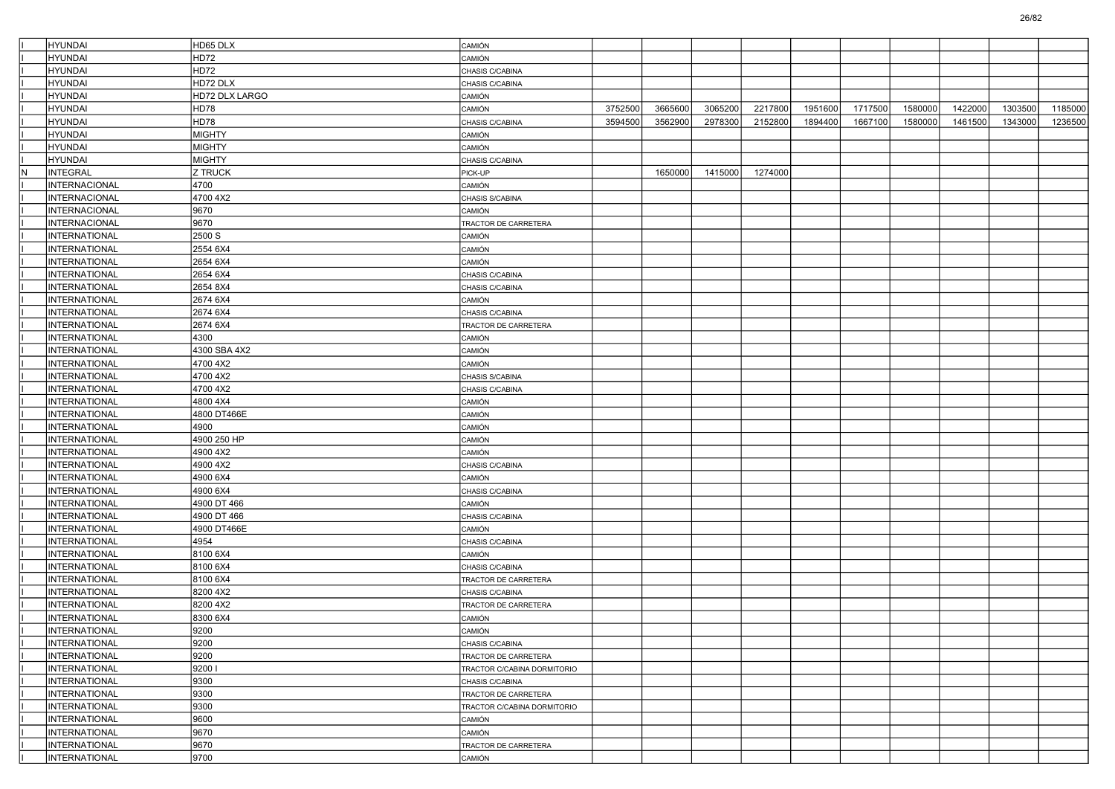|     | <b>HYUNDAI</b>       | HD65 DLX       | CAMIÓN                      |         |         |         |         |         |         |         |         |         |         |
|-----|----------------------|----------------|-----------------------------|---------|---------|---------|---------|---------|---------|---------|---------|---------|---------|
|     | <b>HYUNDAI</b>       | HD72           | CAMIÓN                      |         |         |         |         |         |         |         |         |         |         |
|     | <b>HYUNDAI</b>       | HD72           | CHASIS C/CABINA             |         |         |         |         |         |         |         |         |         |         |
|     | <b>HYUNDAI</b>       | HD72 DLX       | CHASIS C/CABINA             |         |         |         |         |         |         |         |         |         |         |
|     | HYUNDAI              | HD72 DLX LARGO | CAMIÓN                      |         |         |         |         |         |         |         |         |         |         |
|     | <b>HYUNDAI</b>       | HD78           | CAMIÓN                      | 3752500 | 3665600 | 3065200 | 2217800 | 1951600 | 1717500 | 1580000 | 1422000 | 1303500 | 1185000 |
|     | <b>HYUNDAI</b>       | HD78           | CHASIS C/CABINA             | 3594500 | 3562900 | 2978300 | 2152800 | 1894400 | 1667100 | 1580000 | 1461500 | 1343000 | 1236500 |
|     | <b>HYUNDAI</b>       | <b>MIGHTY</b>  | CAMIÓN                      |         |         |         |         |         |         |         |         |         |         |
|     | <b>HYUNDAI</b>       | <b>MIGHTY</b>  | CAMIÓN                      |         |         |         |         |         |         |         |         |         |         |
|     | HYUNDAI              | <b>MIGHTY</b>  | CHASIS C/CABINA             |         |         |         |         |         |         |         |         |         |         |
| IN. | <b>INTEGRAL</b>      | Z TRUCK        | PICK-UP                     |         | 1650000 | 1415000 | 1274000 |         |         |         |         |         |         |
|     | <b>INTERNACIONAL</b> | 4700           | CAMIÓN                      |         |         |         |         |         |         |         |         |         |         |
|     | <b>INTERNACIONAL</b> | 4700 4X2       | CHASIS S/CABINA             |         |         |         |         |         |         |         |         |         |         |
|     | <b>INTERNACIONAL</b> | 9670           | CAMIÓN                      |         |         |         |         |         |         |         |         |         |         |
|     | INTERNACIONAL        | 9670           | TRACTOR DE CARRETERA        |         |         |         |         |         |         |         |         |         |         |
|     | <b>INTERNATIONAL</b> | 2500 S         | CAMIÓN                      |         |         |         |         |         |         |         |         |         |         |
|     | <b>INTERNATIONAL</b> | 2554 6X4       | CAMIÓN                      |         |         |         |         |         |         |         |         |         |         |
|     | <b>INTERNATIONAL</b> | 2654 6X4       | CAMIÓN                      |         |         |         |         |         |         |         |         |         |         |
|     | <b>INTERNATIONAL</b> | 2654 6X4       | CHASIS C/CABINA             |         |         |         |         |         |         |         |         |         |         |
|     | INTERNATIONAL        | 2654 8X4       | CHASIS C/CABINA             |         |         |         |         |         |         |         |         |         |         |
|     | <b>INTERNATIONAL</b> | 2674 6X4       | CAMIÓN                      |         |         |         |         |         |         |         |         |         |         |
|     | <b>INTERNATIONAL</b> | 2674 6X4       | CHASIS C/CABINA             |         |         |         |         |         |         |         |         |         |         |
|     | INTERNATIONAL        | 2674 6X4       | TRACTOR DE CARRETERA        |         |         |         |         |         |         |         |         |         |         |
|     | <b>INTERNATIONAL</b> | 4300           | CAMIÓN                      |         |         |         |         |         |         |         |         |         |         |
|     | INTERNATIONAL        | 4300 SBA 4X2   | CAMIÓN                      |         |         |         |         |         |         |         |         |         |         |
|     | <b>INTERNATIONAL</b> | 4700 4X2       | CAMIÓN                      |         |         |         |         |         |         |         |         |         |         |
|     | <b>INTERNATIONAL</b> | 4700 4X2       | CHASIS S/CABINA             |         |         |         |         |         |         |         |         |         |         |
|     | INTERNATIONAL        | 4700 4X2       | CHASIS C/CABINA             |         |         |         |         |         |         |         |         |         |         |
|     | <b>INTERNATIONAL</b> | 4800 4X4       | CAMIÓN                      |         |         |         |         |         |         |         |         |         |         |
|     | <b>INTERNATIONAL</b> | 4800 DT466E    | CAMIÓN                      |         |         |         |         |         |         |         |         |         |         |
|     | <b>INTERNATIONAL</b> | 4900           | CAMIÓN                      |         |         |         |         |         |         |         |         |         |         |
|     | <b>INTERNATIONAL</b> | 4900 250 HP    | CAMIÓN                      |         |         |         |         |         |         |         |         |         |         |
|     | <b>INTERNATIONAL</b> | 4900 4X2       | CAMIÓN                      |         |         |         |         |         |         |         |         |         |         |
|     | <b>INTERNATIONAL</b> | 4900 4X2       | CHASIS C/CABINA             |         |         |         |         |         |         |         |         |         |         |
|     | <b>INTERNATIONAL</b> | 4900 6X4       | CAMIÓN                      |         |         |         |         |         |         |         |         |         |         |
|     | <b>INTERNATIONAL</b> | 4900 6X4       | CHASIS C/CABINA             |         |         |         |         |         |         |         |         |         |         |
|     | <b>INTERNATIONAL</b> | 4900 DT 466    | CAMIÓN                      |         |         |         |         |         |         |         |         |         |         |
|     | INTERNATIONAL        | 4900 DT 466    | CHASIS C/CABINA             |         |         |         |         |         |         |         |         |         |         |
|     | <b>INTERNATIONAL</b> | 4900 DT466E    | CAMIÓN                      |         |         |         |         |         |         |         |         |         |         |
|     | <b>INTERNATIONAL</b> | 4954           | CHASIS C/CABINA             |         |         |         |         |         |         |         |         |         |         |
|     | <b>INTERNATIONAL</b> | 8100 6X4       | CAMIÓN                      |         |         |         |         |         |         |         |         |         |         |
|     | <b>INTERNATIONAL</b> | 8100 6X4       | CHASIS C/CABINA             |         |         |         |         |         |         |         |         |         |         |
|     | INTERNATIONAL        | 8100 6X4       | TRACTOR DE CARRETERA        |         |         |         |         |         |         |         |         |         |         |
|     | <b>INTERNATIONAL</b> | 8200 4X2       | CHASIS C/CABINA             |         |         |         |         |         |         |         |         |         |         |
|     | <b>INTERNATIONAL</b> | 8200 4X2       | TRACTOR DE CARRETERA        |         |         |         |         |         |         |         |         |         |         |
|     | <b>INTERNATIONAL</b> | 8300 6X4       | CAMIÓN                      |         |         |         |         |         |         |         |         |         |         |
|     | INTERNATIONAL        | 9200           | CAMION                      |         |         |         |         |         |         |         |         |         |         |
|     | <b>INTERNATIONAL</b> | 9200           | CHASIS C/CABINA             |         |         |         |         |         |         |         |         |         |         |
|     | INTERNATIONAL        | 9200           | TRACTOR DE CARRETERA        |         |         |         |         |         |         |         |         |         |         |
|     | INTERNATIONAL        | 9200           | TRACTOR C/CABINA DORMITORIO |         |         |         |         |         |         |         |         |         |         |
|     | INTERNATIONAL        | 9300           | CHASIS C/CABINA             |         |         |         |         |         |         |         |         |         |         |
|     | INTERNATIONAL        | 9300           | TRACTOR DE CARRETERA        |         |         |         |         |         |         |         |         |         |         |
|     | INTERNATIONAL        | 9300           | TRACTOR C/CABINA DORMITORIO |         |         |         |         |         |         |         |         |         |         |
|     | INTERNATIONAL        | 9600           | CAMIÓN                      |         |         |         |         |         |         |         |         |         |         |
|     | INTERNATIONAL        | 9670           | CAMIÓN                      |         |         |         |         |         |         |         |         |         |         |
|     | INTERNATIONAL        | 9670           | TRACTOR DE CARRETERA        |         |         |         |         |         |         |         |         |         |         |
|     | INTERNATIONAL        | 9700           | CAMIÓN                      |         |         |         |         |         |         |         |         |         |         |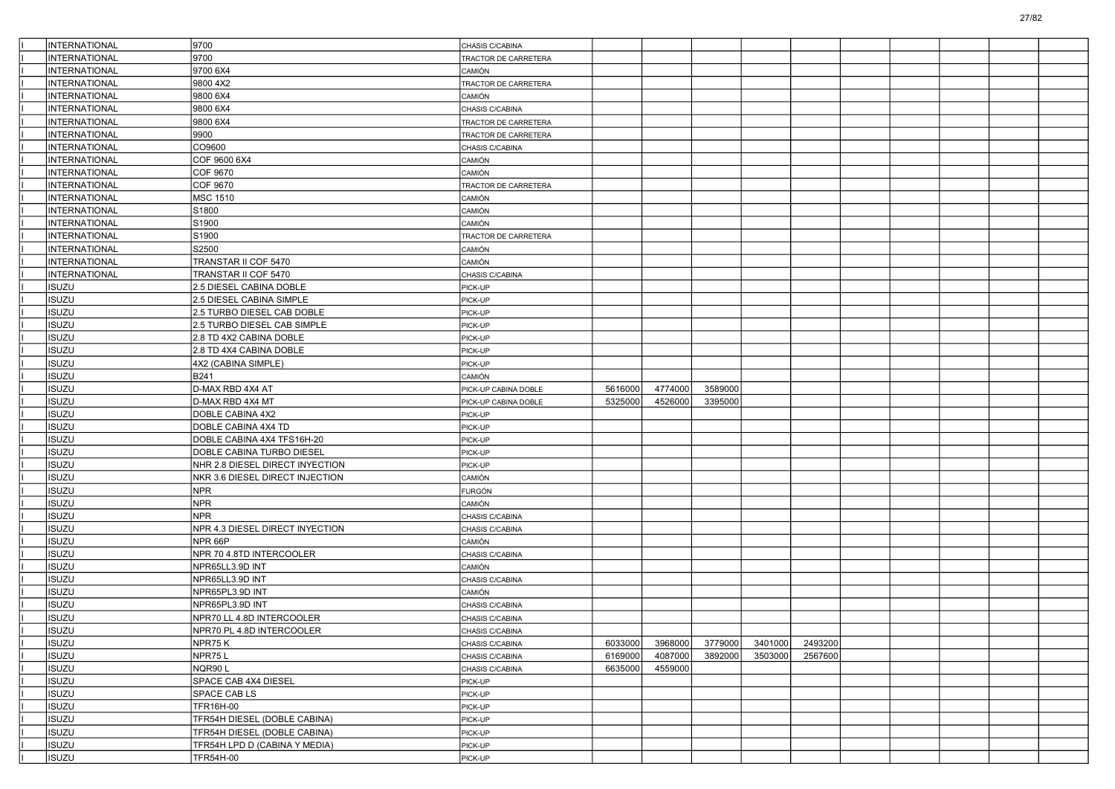| INTERNATIONAL        | 9700                            | CHASIS C/CABINA      |         |         |         |         |         |  |  |  |
|----------------------|---------------------------------|----------------------|---------|---------|---------|---------|---------|--|--|--|
| <b>INTERNATIONAL</b> | 9700                            | TRACTOR DE CARRETERA |         |         |         |         |         |  |  |  |
| INTERNATIONAL        | 9700 6X4                        | CAMIÓN               |         |         |         |         |         |  |  |  |
| <b>INTERNATIONAL</b> | 9800 4X2                        | TRACTOR DE CARRETERA |         |         |         |         |         |  |  |  |
| INTERNATIONAL        | 9800 6X4                        | CAMIÓN               |         |         |         |         |         |  |  |  |
| INTERNATIONAL        | 9800 6X4                        | CHASIS C/CABINA      |         |         |         |         |         |  |  |  |
| <b>INTERNATIONAL</b> | 9800 6X4                        | TRACTOR DE CARRETERA |         |         |         |         |         |  |  |  |
| INTERNATIONAL        | 9900                            | TRACTOR DE CARRETERA |         |         |         |         |         |  |  |  |
| <b>INTERNATIONAL</b> | CO9600                          | CHASIS C/CABINA      |         |         |         |         |         |  |  |  |
| INTERNATIONAL        | COF 9600 6X4                    | CAMIÓN               |         |         |         |         |         |  |  |  |
| INTERNATIONAL        | COF 9670                        | CAMIÓN               |         |         |         |         |         |  |  |  |
| <b>INTERNATIONAL</b> | COF 9670                        | TRACTOR DE CARRETERA |         |         |         |         |         |  |  |  |
| <b>INTERNATIONAL</b> | <b>MSC 1510</b>                 | CAMIÓN               |         |         |         |         |         |  |  |  |
| INTERNATIONAL        | S1800                           | CAMIÓN               |         |         |         |         |         |  |  |  |
| INTERNATIONAL        | S1900                           | CAMIÓN               |         |         |         |         |         |  |  |  |
| INTERNATIONAL        | S1900                           | TRACTOR DE CARRETERA |         |         |         |         |         |  |  |  |
| <b>INTERNATIONAL</b> | S2500                           | CAMIÓN               |         |         |         |         |         |  |  |  |
| INTERNATIONAL        | TRANSTAR II COF 5470            | CAMIÓN               |         |         |         |         |         |  |  |  |
| INTERNATIONAL        | TRANSTAR II COF 5470            | CHASIS C/CABINA      |         |         |         |         |         |  |  |  |
| <b>ISUZU</b>         | 2.5 DIESEL CABINA DOBLE         | PICK-UP              |         |         |         |         |         |  |  |  |
| <b>ISUZU</b>         | 2.5 DIESEL CABINA SIMPLE        | PICK-UP              |         |         |         |         |         |  |  |  |
| <b>ISUZU</b>         | 2.5 TURBO DIESEL CAB DOBLE      | PICK-UP              |         |         |         |         |         |  |  |  |
| <b>ISUZU</b>         | 2.5 TURBO DIESEL CAB SIMPLE     | PICK-UP              |         |         |         |         |         |  |  |  |
| ISUZU                | 2.8 TD 4X2 CABINA DOBLE         | PICK-UP              |         |         |         |         |         |  |  |  |
| ISUZU                | 2.8 TD 4X4 CABINA DOBLE         | PICK-UP              |         |         |         |         |         |  |  |  |
| <b>ISUZU</b>         | 4X2 (CABINA SIMPLE)             | PICK-UP              |         |         |         |         |         |  |  |  |
| <b>ISUZU</b>         | <b>B241</b>                     | CAMIÓN               |         |         |         |         |         |  |  |  |
| <b>ISUZU</b>         | D-MAX RBD 4X4 AT                | PICK-UP CABINA DOBLE | 5616000 | 4774000 | 3589000 |         |         |  |  |  |
| ISUZU                | D-MAX RBD 4X4 MT                | PICK-UP CABINA DOBLE | 5325000 | 4526000 | 3395000 |         |         |  |  |  |
| ISUZU                | DOBLE CABINA 4X2                | PICK-UP              |         |         |         |         |         |  |  |  |
| <b>ISUZU</b>         | DOBLE CABINA 4X4 TD             | PICK-UP              |         |         |         |         |         |  |  |  |
| <b>ISUZU</b>         | DOBLE CABINA 4X4 TFS16H-20      | PICK-UP              |         |         |         |         |         |  |  |  |
| <b>ISUZU</b>         | DOBLE CABINA TURBO DIESEL       | PICK-UP              |         |         |         |         |         |  |  |  |
| ISUZU                | NHR 2.8 DIESEL DIRECT INYECTION | PICK-UP              |         |         |         |         |         |  |  |  |
| ISUZU                | NKR 3.6 DIESEL DIRECT INJECTION | CAMIÓN               |         |         |         |         |         |  |  |  |
| <b>ISUZU</b>         | <b>NPR</b>                      | <b>FURGÓN</b>        |         |         |         |         |         |  |  |  |
| <b>ISUZU</b>         | <b>NPR</b>                      | CAMIÓN               |         |         |         |         |         |  |  |  |
| <b>ISUZU</b>         | <b>NPR</b>                      | CHASIS C/CABINA      |         |         |         |         |         |  |  |  |
| <b>ISUZU</b>         | NPR 4.3 DIESEL DIRECT INYECTION | CHASIS C/CABINA      |         |         |         |         |         |  |  |  |
| ISUZU                | NPR 66P                         | CAMIÓN               |         |         |         |         |         |  |  |  |
| ISUZU                | NPR 70 4.8TD INTERCOOLER        | CHASIS C/CABINA      |         |         |         |         |         |  |  |  |
| <b>ISUZU</b>         | NPR65LL3.9D INT                 | CAMIÓN               |         |         |         |         |         |  |  |  |
| <b>ISUZU</b>         | NPR65LL3.9D INT                 | CHASIS C/CABINA      |         |         |         |         |         |  |  |  |
| ISUZU                | NPR65PL3.9D INT                 | CAMIÓN               |         |         |         |         |         |  |  |  |
| SUZU                 | NPR65PL3.9D INT                 | CHASIS C/CABINA      |         |         |         |         |         |  |  |  |
| <b>ISUZU</b>         | NPR70 LL 4.8D INTERCOOLER       | CHASIS C/CABINA      |         |         |         |         |         |  |  |  |
| <b>ISUZU</b>         | NPR70 PL 4.8D INTERCOOLER       | CHASIS C/CABINA      |         |         |         |         |         |  |  |  |
| <b>ISUZU</b>         | NPR75K                          | CHASIS C/CABINA      | 6033000 | 3968000 | 3779000 | 3401000 | 2493200 |  |  |  |
| <b>ISUZU</b>         | NPR75L                          | CHASIS C/CABINA      | 6169000 | 4087000 | 3892000 | 3503000 | 2567600 |  |  |  |
| <b>ISUZU</b>         | NQR90L                          | CHASIS C/CABINA      | 6635000 | 4559000 |         |         |         |  |  |  |
| <b>ISUZU</b>         | SPACE CAB 4X4 DIESEL            | PICK-UP              |         |         |         |         |         |  |  |  |
| <b>ISUZU</b>         | SPACE CAB LS                    | PICK-UP              |         |         |         |         |         |  |  |  |
| <b>ISUZU</b>         | <b>TFR16H-00</b>                | PICK-UP              |         |         |         |         |         |  |  |  |
| <b>ISUZU</b>         | TFR54H DIESEL (DOBLE CABINA)    | PICK-UP              |         |         |         |         |         |  |  |  |
| <b>ISUZU</b>         | TFR54H DIESEL (DOBLE CABINA)    | PICK-UP              |         |         |         |         |         |  |  |  |
| <b>ISUZU</b>         | TFR54H LPD D (CABINA Y MEDIA)   | PICK-UP              |         |         |         |         |         |  |  |  |
| <b>ISUZU</b>         | TFR54H-00                       | PICK-UP              |         |         |         |         |         |  |  |  |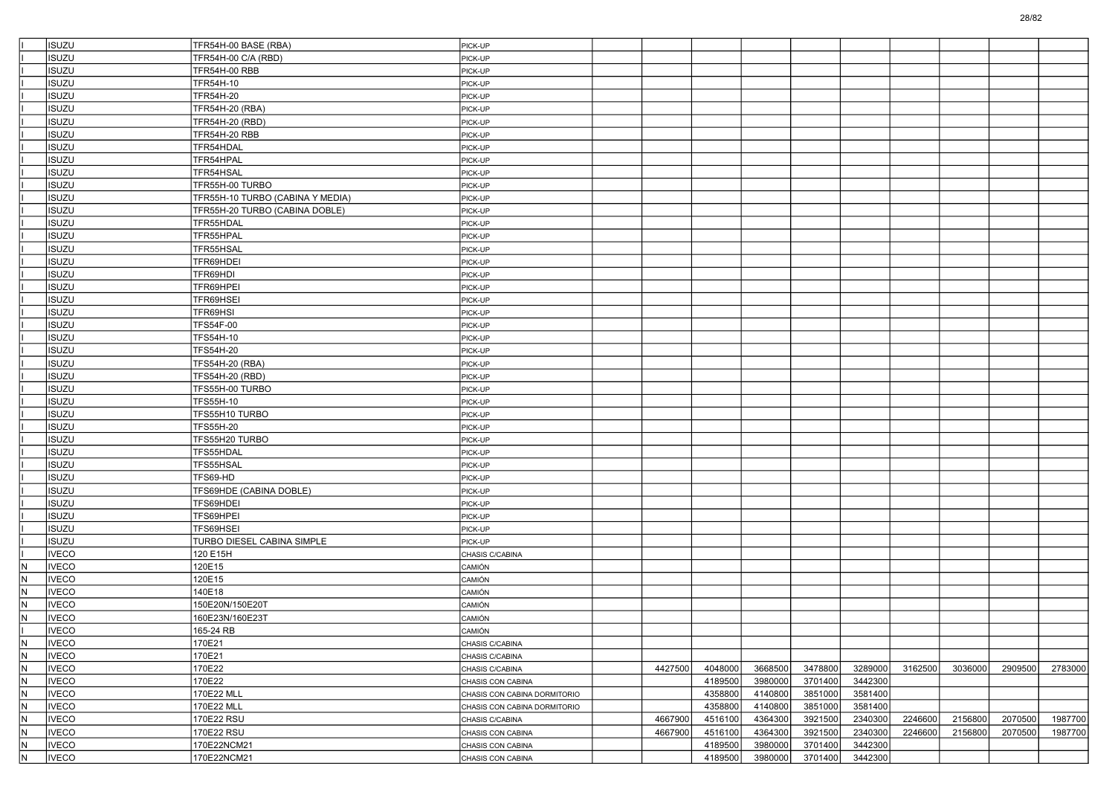| <b>ISUZU</b>                                 | TFR54H-00 BASE (RBA)             | PICK-UP                      |         |         |         |         |         |         |         |         |         |
|----------------------------------------------|----------------------------------|------------------------------|---------|---------|---------|---------|---------|---------|---------|---------|---------|
| <b>ISUZU</b>                                 | TFR54H-00 C/A (RBD)              | PICK-UP                      |         |         |         |         |         |         |         |         |         |
| <b>ISUZU</b>                                 | <b>TFR54H-00 RBB</b>             | PICK-UP                      |         |         |         |         |         |         |         |         |         |
| <b>ISUZU</b>                                 | TFR54H-10                        | PICK-UP                      |         |         |         |         |         |         |         |         |         |
| <b>ISUZU</b>                                 | TFR54H-20                        | PICK-UP                      |         |         |         |         |         |         |         |         |         |
| <b>ISUZU</b>                                 | <b>TFR54H-20 (RBA)</b>           | PICK-UP                      |         |         |         |         |         |         |         |         |         |
| <b>ISUZU</b>                                 | TFR54H-20 (RBD)                  | PICK-UP                      |         |         |         |         |         |         |         |         |         |
| <b>ISUZU</b>                                 | <b>TFR54H-20 RBB</b>             | PICK-UP                      |         |         |         |         |         |         |         |         |         |
| <b>ISUZU</b>                                 | TFR54HDAL                        | PICK-UP                      |         |         |         |         |         |         |         |         |         |
| <b>ISUZU</b>                                 | TFR54HPAL                        | PICK-UP                      |         |         |         |         |         |         |         |         |         |
| <b>ISUZU</b>                                 | TFR54HSAL                        | PICK-UP                      |         |         |         |         |         |         |         |         |         |
| <b>ISUZU</b>                                 | TFR55H-00 TURBO                  | PICK-UP                      |         |         |         |         |         |         |         |         |         |
| <b>ISUZU</b>                                 | TFR55H-10 TURBO (CABINA Y MEDIA) | PICK-UP                      |         |         |         |         |         |         |         |         |         |
| <b>ISUZU</b>                                 | TFR55H-20 TURBO (CABINA DOBLE)   | PICK-UP                      |         |         |         |         |         |         |         |         |         |
| <b>ISUZU</b>                                 | TFR55HDAL                        | PICK-UP                      |         |         |         |         |         |         |         |         |         |
| <b>ISUZU</b>                                 | TFR55HPAL                        | PICK-UP                      |         |         |         |         |         |         |         |         |         |
| <b>ISUZU</b>                                 | TFR55HSAL                        | PICK-UP                      |         |         |         |         |         |         |         |         |         |
| <b>ISUZU</b>                                 | TFR69HDEI                        | PICK-UP                      |         |         |         |         |         |         |         |         |         |
| <b>ISUZU</b>                                 | TFR69HDI                         | PICK-UP                      |         |         |         |         |         |         |         |         |         |
| <b>ISUZU</b>                                 | TFR69HPEI                        | PICK-UP                      |         |         |         |         |         |         |         |         |         |
| <b>ISUZU</b>                                 | TFR69HSEI                        | PICK-UP                      |         |         |         |         |         |         |         |         |         |
| <b>ISUZU</b>                                 | TFR69HSI                         | PICK-UP                      |         |         |         |         |         |         |         |         |         |
| <b>ISUZU</b>                                 | <b>TFS54F-00</b>                 | PICK-UP                      |         |         |         |         |         |         |         |         |         |
| <b>ISUZU</b>                                 | <b>TFS54H-10</b>                 | PICK-UP                      |         |         |         |         |         |         |         |         |         |
| <b>ISUZU</b>                                 | <b>TFS54H-20</b>                 | PICK-UP                      |         |         |         |         |         |         |         |         |         |
| <b>ISUZU</b>                                 | <b>TFS54H-20 (RBA)</b>           | PICK-UP                      |         |         |         |         |         |         |         |         |         |
| <b>ISUZU</b>                                 | TFS54H-20 (RBD)                  | PICK-UP                      |         |         |         |         |         |         |         |         |         |
| <b>ISUZU</b>                                 | TFS55H-00 TURBO                  | PICK-UP                      |         |         |         |         |         |         |         |         |         |
| <b>ISUZU</b>                                 | <b>TFS55H-10</b>                 | PICK-UP                      |         |         |         |         |         |         |         |         |         |
| <b>ISUZU</b>                                 | TFS55H10 TURBO                   | PICK-UP                      |         |         |         |         |         |         |         |         |         |
| <b>ISUZU</b>                                 | <b>TFS55H-20</b>                 | PICK-UP                      |         |         |         |         |         |         |         |         |         |
| <b>ISUZU</b>                                 | TFS55H20 TURBO                   | PICK-UP                      |         |         |         |         |         |         |         |         |         |
| <b>ISUZU</b>                                 | TFS55HDAL                        | PICK-UP                      |         |         |         |         |         |         |         |         |         |
| <b>ISUZU</b>                                 | TFS55HSAL                        | PICK-UP                      |         |         |         |         |         |         |         |         |         |
| <b>ISUZU</b>                                 | TFS69-HD                         | PICK-UP                      |         |         |         |         |         |         |         |         |         |
| <b>ISUZU</b>                                 | TFS69HDE (CABINA DOBLE)          |                              |         |         |         |         |         |         |         |         |         |
| <b>ISUZU</b>                                 |                                  | PICK-UP                      |         |         |         |         |         |         |         |         |         |
| <b>ISUZU</b>                                 | TFS69HDEI                        | PICK-UP                      |         |         |         |         |         |         |         |         |         |
|                                              | TFS69HPEI                        | PICK-UP                      |         |         |         |         |         |         |         |         |         |
| <b>ISUZU</b>                                 | TFS69HSEI                        | PICK-UP                      |         |         |         |         |         |         |         |         |         |
| <b>ISUZU</b>                                 | TURBO DIESEL CABINA SIMPLE       | PICK-UP                      |         |         |         |         |         |         |         |         |         |
| <b>IVECO</b>                                 | 120 E15H                         | CHASIS C/CABINA              |         |         |         |         |         |         |         |         |         |
| N<br><b>IVECO</b>                            | 120E15                           | CAMIÓN                       |         |         |         |         |         |         |         |         |         |
| N<br><b>IVECO</b>                            | 120E15                           | CAMIÓN                       |         |         |         |         |         |         |         |         |         |
| N<br><b>IVECO</b>                            | 140E18                           | CAMIÓN                       |         |         |         |         |         |         |         |         |         |
| Z<br><b>IVECO</b>                            | 150E20N/150E20T                  | CAMIÓN                       |         |         |         |         |         |         |         |         |         |
| $\overline{\mathsf{N}}$<br><b>IVECO</b><br>ī | 160E23N/160E23T                  | CAMIÓN                       |         |         |         |         |         |         |         |         |         |
| <b>IVECO</b>                                 | 165-24 RB                        | CAMIÓN                       |         |         |         |         |         |         |         |         |         |
| $\frac{1}{N}$<br><b>IVECO</b>                | 170E21                           | CHASIS C/CABINA              |         |         |         |         |         |         |         |         |         |
| $\frac{N}{N}$<br><b>IVECO</b>                | 170E21                           | CHASIS C/CABINA              |         |         |         |         |         |         |         |         |         |
| <b>IVECO</b>                                 | 170E22                           | CHASIS C/CABINA              | 4427500 | 4048000 | 3668500 | 3478800 | 3289000 | 3162500 | 3036000 | 2909500 | 2783000 |
| $\frac{N}{N}$<br><b>IVECO</b>                | 170E22                           | CHASIS CON CABINA            |         | 4189500 | 3980000 | 3701400 | 3442300 |         |         |         |         |
| <b>IVECO</b>                                 | 170E22 MLL                       | CHASIS CON CABINA DORMITORIO |         | 4358800 | 4140800 | 3851000 | 3581400 |         |         |         |         |
| $\overline{N}$<br><b>IVECO</b>               | 170E22 MLL                       | CHASIS CON CABINA DORMITORIO |         | 4358800 | 4140800 | 3851000 | 3581400 |         |         |         |         |
| $\frac{1}{2}$<br><b>IVECO</b>                | 170E22 RSU                       | CHASIS C/CABINA              | 4667900 | 4516100 | 4364300 | 3921500 | 2340300 | 2246600 | 2156800 | 2070500 | 1987700 |
| <b>IVECO</b>                                 | 170E22 RSU                       | CHASIS CON CABINA            | 4667900 | 4516100 | 4364300 | 3921500 | 2340300 | 2246600 | 2156800 | 2070500 | 1987700 |
| $\frac{1}{2}$<br><b>IVECO</b>                | 170E22NCM21                      | CHASIS CON CABINA            |         | 4189500 | 3980000 | 3701400 | 3442300 |         |         |         |         |
| <b>IVECO</b>                                 | 170E22NCM21                      | CHASIS CON CABINA            |         | 4189500 | 3980000 | 3701400 | 3442300 |         |         |         |         |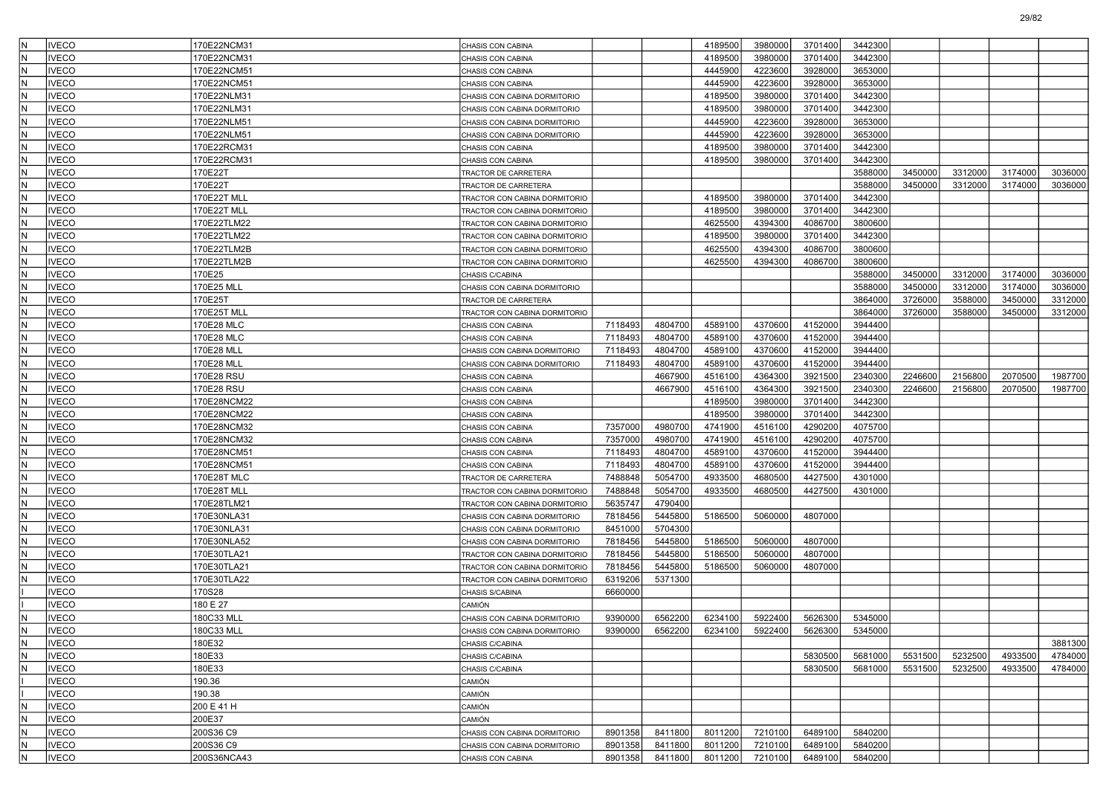|     | <b>VECO</b>  | 170E22NCM31 | CHASIS CON CABINA             |         |         | 4189500 | 3980000 | 3701400 | 3442300 |         |         |         |         |
|-----|--------------|-------------|-------------------------------|---------|---------|---------|---------|---------|---------|---------|---------|---------|---------|
| N   | <b>VECO</b>  | 170E22NCM31 | CHASIS CON CABINA             |         |         | 4189500 | 3980000 | 3701400 | 3442300 |         |         |         |         |
| N   | <b>IVECO</b> | 170E22NCM51 | CHASIS CON CABINA             |         |         | 4445900 | 4223600 | 3928000 | 3653000 |         |         |         |         |
| İΝ  | <b>IVECO</b> | 170E22NCM51 | CHASIS CON CABINA             |         |         | 4445900 | 4223600 | 3928000 | 3653000 |         |         |         |         |
| N   | IVECO        | 170E22NLM31 | CHASIS CON CABINA DORMITORIO  |         |         | 4189500 | 3980000 | 3701400 | 3442300 |         |         |         |         |
| N   | <b>VECO</b>  | 170E22NLM31 | CHASIS CON CABINA DORMITORIO  |         |         | 4189500 | 3980000 | 3701400 | 3442300 |         |         |         |         |
| N   | <b>IVECO</b> | 170E22NLM51 | CHASIS CON CABINA DORMITORIO  |         |         | 4445900 | 4223600 | 3928000 | 3653000 |         |         |         |         |
| N   | <b>VECO</b>  | 170E22NLM51 | CHASIS CON CABINA DORMITORIO  |         |         | 4445900 | 4223600 | 3928000 | 3653000 |         |         |         |         |
| İΝ  | <b>IVECO</b> | 170E22RCM31 | CHASIS CON CABINA             |         |         | 4189500 | 3980000 | 3701400 | 3442300 |         |         |         |         |
| N   | <b>IVECO</b> | 170E22RCM31 | CHASIS CON CABINA             |         |         | 4189500 | 3980000 | 3701400 | 3442300 |         |         |         |         |
| N   | <b>VECO</b>  | 170E22T     | TRACTOR DE CARRETERA          |         |         |         |         |         | 3588000 | 3450000 | 3312000 | 3174000 | 3036000 |
| N   | <b>IVECO</b> | 170E22T     | TRACTOR DE CARRETERA          |         |         |         |         |         | 3588000 | 3450000 | 3312000 | 3174000 | 3036000 |
| N   | <b>VECO</b>  | 170E22T MLL | TRACTOR CON CABINA DORMITORIO |         |         | 4189500 | 3980000 | 3701400 | 3442300 |         |         |         |         |
| N   | <b>IVECO</b> | 170E22T MLL | TRACTOR CON CABINA DORMITORIO |         |         | 4189500 | 3980000 | 3701400 | 3442300 |         |         |         |         |
| N   | <b>IVECO</b> | 170E22TLM22 | TRACTOR CON CABINA DORMITORIO |         |         | 4625500 | 4394300 | 4086700 | 3800600 |         |         |         |         |
| N   | <b>VECO</b>  | 170E22TLM22 | TRACTOR CON CABINA DORMITORIO |         |         | 4189500 | 3980000 | 3701400 | 3442300 |         |         |         |         |
| N   | <b>IVECO</b> | 170E22TLM2B | TRACTOR CON CABINA DORMITORIO |         |         | 4625500 | 4394300 | 4086700 | 3800600 |         |         |         |         |
| N   | <b>IVECO</b> | 170E22TLM2B | TRACTOR CON CABINA DORMITORIO |         |         | 4625500 | 4394300 | 4086700 | 3800600 |         |         |         |         |
| İΝ  | <b>IVECO</b> | 170E25      | CHASIS C/CABINA               |         |         |         |         |         | 3588000 | 3450000 | 3312000 | 3174000 | 3036000 |
| N   | IVECO        | 170E25 MLL  | CHASIS CON CABINA DORMITORIO  |         |         |         |         |         | 3588000 | 3450000 | 3312000 | 3174000 | 3036000 |
| N   | <b>VECO</b>  | 170E25T     | TRACTOR DE CARRETERA          |         |         |         |         |         | 3864000 | 3726000 | 3588000 | 3450000 | 3312000 |
| N   | <b>IVECO</b> | 170E25T MLL | TRACTOR CON CABINA DORMITORIO |         |         |         |         |         | 3864000 | 3726000 | 3588000 | 3450000 | 3312000 |
| N   | <b>IVECO</b> | 170E28 MLC  | CHASIS CON CABINA             | 7118493 | 4804700 | 4589100 | 4370600 | 4152000 | 3944400 |         |         |         |         |
| İΝ  | IVECO        | 170E28 MLC  | CHASIS CON CABINA             | 7118493 | 4804700 | 4589100 | 4370600 | 4152000 | 3944400 |         |         |         |         |
| N   | <b>IVECO</b> | 170E28 MLL  | CHASIS CON CABINA DORMITORIO  | 7118493 | 4804700 | 4589100 | 4370600 | 4152000 | 3944400 |         |         |         |         |
| N   | <b>VECO</b>  | 170E28 MLL  | CHASIS CON CABINA DORMITORIO  | 7118493 | 4804700 | 4589100 | 4370600 | 4152000 | 3944400 |         |         |         |         |
| N   | <b>IVECO</b> | 170E28 RSU  | CHASIS CON CABINA             |         | 4667900 | 4516100 | 4364300 | 3921500 | 2340300 | 2246600 | 2156800 | 2070500 | 1987700 |
| N   | <b>VECO</b>  | 170E28 RSU  | CHASIS CON CABINA             |         | 4667900 | 4516100 | 4364300 | 3921500 | 2340300 | 2246600 | 2156800 | 2070500 | 1987700 |
| İΝ  | <b>IVECO</b> | 170E28NCM22 | CHASIS CON CABINA             |         |         | 4189500 | 3980000 | 3701400 | 3442300 |         |         |         |         |
| N   | <b>IVECO</b> | 170E28NCM22 | CHASIS CON CABINA             |         |         | 4189500 | 3980000 | 3701400 | 3442300 |         |         |         |         |
| N   | <b>VECO</b>  | 170E28NCM32 | CHASIS CON CABINA             | 7357000 | 4980700 | 4741900 | 4516100 | 4290200 | 4075700 |         |         |         |         |
| N   | <b>IVECO</b> | 170E28NCM32 | CHASIS CON CABINA             | 7357000 | 4980700 | 4741900 | 4516100 | 4290200 | 4075700 |         |         |         |         |
| N   | <b>VECO</b>  | 170E28NCM51 | CHASIS CON CABINA             | 7118493 | 4804700 | 4589100 | 4370600 | 4152000 | 3944400 |         |         |         |         |
| N   | <b>IVECO</b> | 170E28NCM51 | CHASIS CON CABINA             | 7118493 | 4804700 | 4589100 | 4370600 | 4152000 | 3944400 |         |         |         |         |
| N   | <b>VECO</b>  | 170E28T MLC | TRACTOR DE CARRETERA          | 7488848 | 5054700 | 4933500 | 4680500 | 4427500 | 4301000 |         |         |         |         |
| N   | <b>VECO</b>  | 170E28T MLL | TRACTOR CON CABINA DORMITORIO | 7488848 | 5054700 | 4933500 | 4680500 | 4427500 | 4301000 |         |         |         |         |
| N   | <b>IVECO</b> | 170E28TLM21 | TRACTOR CON CABINA DORMITORIO | 5635747 | 4790400 |         |         |         |         |         |         |         |         |
| N   | <b>IVECO</b> | 170E30NLA31 | CHASIS CON CABINA DORMITORIO  | 7818456 | 5445800 | 5186500 | 5060000 | 4807000 |         |         |         |         |         |
| N   | <b>IVECO</b> | 170E30NLA31 | CHASIS CON CABINA DORMITORIO  | 8451000 | 5704300 |         |         |         |         |         |         |         |         |
| N   | <b>VECO</b>  | 170E30NLA52 | CHASIS CON CABINA DORMITORIO  | 7818456 | 5445800 | 5186500 | 5060000 | 4807000 |         |         |         |         |         |
| N   | <b>VECO</b>  | 170E30TLA21 | TRACTOR CON CABINA DORMITORIO | 7818456 | 5445800 | 5186500 | 5060000 | 4807000 |         |         |         |         |         |
| N   | <b>IVECO</b> | 170E30TLA21 | TRACTOR CON CABINA DORMITORIO | 7818456 | 5445800 | 5186500 | 5060000 | 4807000 |         |         |         |         |         |
| N   | <b>IVECO</b> | 170E30TLA22 | TRACTOR CON CABINA DORMITORIO | 6319206 | 5371300 |         |         |         |         |         |         |         |         |
|     | <b>IVECO</b> | 170S28      | CHASIS S/CABINA               | 6660000 |         |         |         |         |         |         |         |         |         |
|     | <b>IVECO</b> | 180 E 27    | CAMIÓN                        |         |         |         |         |         |         |         |         |         |         |
|     | <b>IVECO</b> | 180C33 MLL  | CHASIS CON CABINA DORMITORIO  | 9390000 | 6562200 | 6234100 | 5922400 | 5626300 | 5345000 |         |         |         |         |
| ΙN  | <b>IVECO</b> | 180C33 MLL  | CHASIS CON CABINA DORMITORIO  | 9390000 | 6562200 | 6234100 | 5922400 | 5626300 | 5345000 |         |         |         |         |
| IN. | <b>IVECO</b> | 180E32      | CHASIS C/CABINA               |         |         |         |         |         |         |         |         |         | 3881300 |
| IN. | <b>IVECO</b> | 180E33      | CHASIS C/CABINA               |         |         |         |         | 5830500 | 5681000 | 5531500 | 5232500 | 4933500 | 4784000 |
| IN. | <b>IVECO</b> | 180E33      | CHASIS C/CABINA               |         |         |         |         | 5830500 | 5681000 | 5531500 | 5232500 | 4933500 | 4784000 |
|     | <b>IVECO</b> | 190.36      | CAMIÓN                        |         |         |         |         |         |         |         |         |         |         |
|     | <b>IVECO</b> | 190.38      | CAMIÓN                        |         |         |         |         |         |         |         |         |         |         |
| İΝ  | <b>IVECO</b> | 200 E 41 H  | CAMIÓN                        |         |         |         |         |         |         |         |         |         |         |
| İN. | <b>IVECO</b> | 200E37      | CAMIÓN                        |         |         |         |         |         |         |         |         |         |         |
| IN. | <b>IVECO</b> | 200S36 C9   | CHASIS CON CABINA DORMITORIO  | 8901358 | 8411800 | 8011200 | 7210100 | 6489100 | 5840200 |         |         |         |         |
| İΝ  | <b>IVECO</b> | 200S36 C9   |                               | 8901358 | 8411800 | 8011200 | 7210100 | 6489100 | 5840200 |         |         |         |         |
| IN. |              | 200S36NCA43 | CHASIS CON CABINA DORMITORIO  |         |         |         |         |         |         |         |         |         |         |
|     | <b>IVECO</b> |             | CHASIS CON CABINA             | 8901358 | 8411800 | 8011200 | 7210100 | 6489100 | 5840200 |         |         |         |         |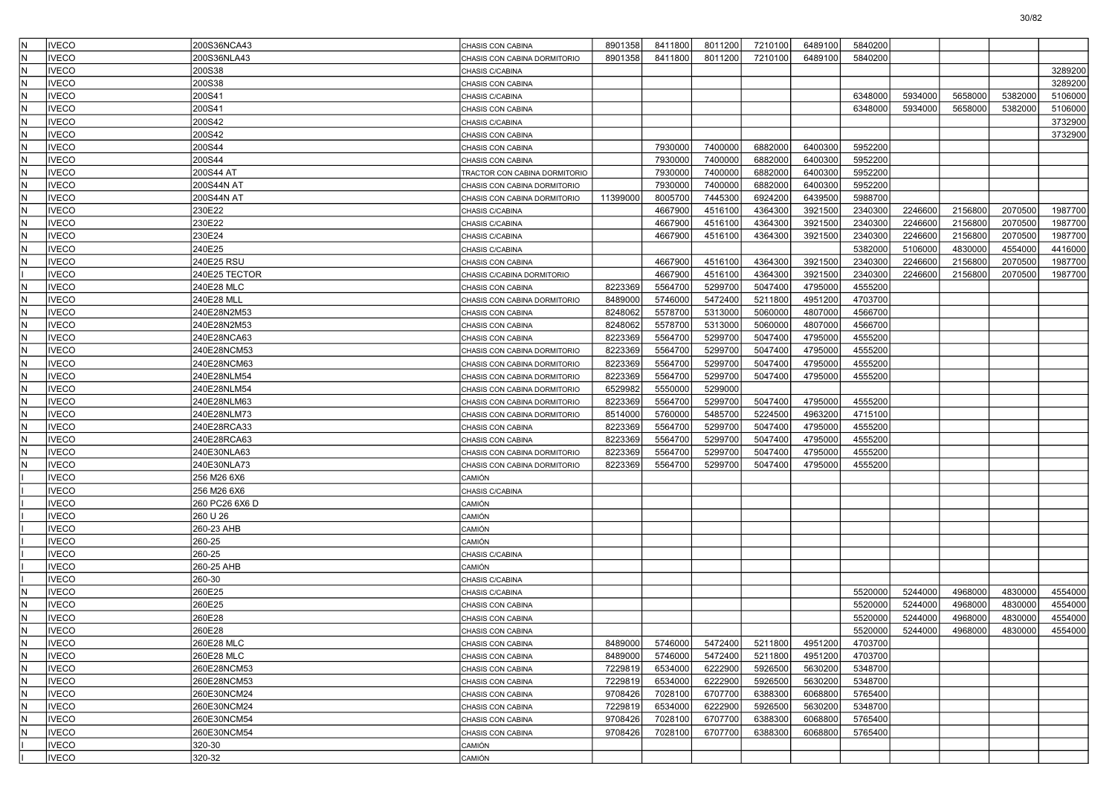| IN.        | <b>VECO</b>                  | 200S36NCA43               | CHASIS CON CABINA                      | 8901358            | 8411800            | 8011200            | 7210100            | 6489100            | 5840200            |         |         |                    |                    |
|------------|------------------------------|---------------------------|----------------------------------------|--------------------|--------------------|--------------------|--------------------|--------------------|--------------------|---------|---------|--------------------|--------------------|
| lΝ         | <b>VECO</b>                  | 200S36NLA43               | CHASIS CON CABINA DORMITORIO           | 8901358            | 8411800            | 8011200            | 7210100            | 6489100            | 5840200            |         |         |                    |                    |
| IN.        | <b>VECO</b>                  | 200S38                    | CHASIS C/CABINA                        |                    |                    |                    |                    |                    |                    |         |         |                    | 3289200            |
| lN         | <b>VECO</b>                  | 200S38                    | CHASIS CON CABINA                      |                    |                    |                    |                    |                    |                    |         |         |                    | 3289200            |
| lN         | VECO                         | 200S41                    | CHASIS C/CABINA                        |                    |                    |                    |                    |                    | 6348000            | 5934000 | 5658000 | 5382000            | 5106000            |
| IN.        | VECO                         | 200S41                    | CHASIS CON CABINA                      |                    |                    |                    |                    |                    | 6348000            | 5934000 | 5658000 | 5382000            | 5106000            |
| N          | <b>VECO</b>                  | 200S42                    | CHASIS C/CABINA                        |                    |                    |                    |                    |                    |                    |         |         |                    | 3732900            |
| lN.        | <b>VECO</b>                  | 200S42                    | CHASIS CON CABINA                      |                    |                    |                    |                    |                    |                    |         |         |                    | 3732900            |
| lN         | <b>VECO</b>                  | 200S44                    | CHASIS CON CABINA                      |                    | 7930000            | 7400000            | 6882000            | 6400300            | 5952200            |         |         |                    |                    |
| lN         | VECO                         | 200S44                    | CHASIS CON CABINA                      |                    | 7930000            | 7400000            | 6882000            | 6400300            | 5952200            |         |         |                    |                    |
| IN.        | VECO                         | 200S44 AT                 | TRACTOR CON CABINA DORMITORIO          |                    | 7930000            | 7400000            | 6882000            | 6400300            | 5952200            |         |         |                    |                    |
| N          | <b>VECO</b>                  | 200S44N AT                | CHASIS CON CABINA DORMITORIO           |                    | 7930000            | 7400000            | 6882000            | 6400300            | 5952200            |         |         |                    |                    |
| IN.        | <b>VECO</b>                  | 200S44N AT                | CHASIS CON CABINA DORMITORIO           | 11399000           | 8005700            | 7445300            | 6924200            | 6439500            | 5988700            |         |         |                    |                    |
| lN         | <b>VECO</b>                  | 230E22                    | CHASIS C/CABINA                        |                    | 4667900            | 4516100            | 4364300            | 3921500            | 2340300            | 2246600 | 2156800 | 2070500            | 1987700            |
| lN         | VECO                         | 230E22                    | CHASIS C/CABINA                        |                    | 4667900            | 4516100            | 4364300            | 3921500            | 2340300            | 2246600 | 2156800 | 2070500            | 1987700            |
| IN.        | VECO                         | 230E24                    | CHASIS C/CABINA                        |                    | 4667900            | 4516100            | 4364300            | 3921500            | 2340300            | 2246600 | 2156800 | 2070500            | 1987700            |
| N          | <b>VECO</b>                  | 240E25                    | CHASIS C/CABINA                        |                    |                    |                    |                    |                    | 5382000            | 5106000 | 4830000 | 4554000            | 4416000            |
| IN.        | <b>VECO</b>                  | 240E25 RSU                | CHASIS CON CABINA                      |                    | 4667900            | 4516100            | 4364300            | 3921500            | 2340300            | 2246600 | 2156800 | 2070500            | 1987700            |
|            | <b>VECO</b>                  | 240E25 TECTOR             | CHASIS C/CABINA DORMITORIO             |                    | 4667900            | 4516100            | 4364300            | 3921500            | 2340300            | 2246600 | 2156800 | 2070500            | 1987700            |
| lN         | VECO                         | 240E28 MLC                | CHASIS CON CABINA                      | 8223369            | 5564700            | 5299700            | 5047400            | 4795000            | 4555200            |         |         |                    |                    |
| IN.        | VECO                         | 240E28 MLL                | CHASIS CON CABINA DORMITORIO           | 8489000            | 5746000            | 5472400            | 5211800            | 4951200            | 4703700            |         |         |                    |                    |
| N          | VECO                         | 240E28N2M53               | CHASIS CON CABINA                      | 8248062            | 5578700            | 5313000            | 5060000            | 4807000            | 4566700            |         |         |                    |                    |
| IN.        | <b>VECO</b>                  | 240E28N2M53               | CHASIS CON CABINA                      | 8248062            | 5578700            | 5313000            | 5060000            | 4807000            | 4566700            |         |         |                    |                    |
| lN         | VECO                         | 240E28NCA63               | CHASIS CON CABINA                      | 8223369            | 5564700            | 5299700            | 5047400            | 4795000            | 4555200            |         |         |                    |                    |
| IN.        | <b>VECO</b>                  | 240E28NCM53               | CHASIS CON CABINA DORMITORIO           | 8223369            | 5564700            | 5299700            | 5047400            | 4795000            | 4555200            |         |         |                    |                    |
| IN.        | VECO                         | 240E28NCM63               | CHASIS CON CABINA DORMITORIO           | 8223369            | 5564700            | 5299700            | 5047400            | 4795000            | 4555200            |         |         |                    |                    |
| N          | VECO                         | 240E28NLM54               | CHASIS CON CABINA DORMITORIO           | 8223369            | 5564700            | 5299700            | 5047400            | 4795000            | 4555200            |         |         |                    |                    |
| IN.        | <b>VECO</b>                  | 240E28NLM54               | CHASIS CON CABINA DORMITORIO           | 6529982            | 5550000            | 5299000            |                    |                    |                    |         |         |                    |                    |
| lN         | VECO                         | 240E28NLM63               | CHASIS CON CABINA DORMITORIO           | 8223369            | 5564700            | 5299700            | 5047400            | 4795000            | 4555200            |         |         |                    |                    |
| IN.        | <b>VECO</b>                  | 240E28NLM73               | CHASIS CON CABINA DORMITORIO           | 8514000            | 5760000            | 5485700            | 5224500            | 4963200            | 4715100            |         |         |                    |                    |
| IN.        | VECO                         | 240E28RCA33               | CHASIS CON CABINA                      | 8223369            | 5564700            | 5299700            | 5047400            | 4795000            | 4555200            |         |         |                    |                    |
| N          | VECO                         | 240E28RCA63               | CHASIS CON CABINA                      | 8223369            | 5564700            | 5299700            | 5047400            | 4795000            | 4555200            |         |         |                    |                    |
| IN.        | <b>VECO</b>                  | 240E30NLA63               | CHASIS CON CABINA DORMITORIO           | 8223369            | 5564700            | 5299700            | 5047400            | 4795000            | 4555200            |         |         |                    |                    |
| N          | VECO                         | 240E30NLA73               | CHASIS CON CABINA DORMITORIO           | 8223369            | 5564700            | 5299700            | 5047400            | 4795000            | 4555200            |         |         |                    |                    |
|            | <b>VECO</b>                  | 256 M26 6X6               | CAMIÓN                                 |                    |                    |                    |                    |                    |                    |         |         |                    |                    |
|            | VECO                         | 256 M26 6X6               | CHASIS C/CABINA                        |                    |                    |                    |                    |                    |                    |         |         |                    |                    |
|            | <b>VECO</b>                  | 260 PC26 6X6 D            | CAMIÓN                                 |                    |                    |                    |                    |                    |                    |         |         |                    |                    |
|            | <b>IVECO</b>                 | 260 U 26                  | CAMIÓN                                 |                    |                    |                    |                    |                    |                    |         |         |                    |                    |
|            | <b>VECO</b>                  | 260-23 AHB                | CAMIÓN                                 |                    |                    |                    |                    |                    |                    |         |         |                    |                    |
|            | <b>VECO</b>                  | 260-25                    | CAMIÓN                                 |                    |                    |                    |                    |                    |                    |         |         |                    |                    |
|            | <b>VECO</b>                  | 260-25                    | CHASIS C/CABINA                        |                    |                    |                    |                    |                    |                    |         |         |                    |                    |
|            | <b>VECO</b>                  | 260-25 AHB                | CAMIÓN                                 |                    |                    |                    |                    |                    |                    |         |         |                    |                    |
|            | <b>IVECO</b>                 | 260-30                    | CHASIS C/CABINA                        |                    |                    |                    |                    |                    |                    |         |         |                    |                    |
| lΝ         | VECO                         | 260E25                    | CHASIS C/CABINA                        |                    |                    |                    |                    |                    | 5520000            | 5244000 | 4968000 | 4830000            | 4554000            |
| IN.        | <b>VECO</b>                  | 260E25                    | CHASIS CON CABINA                      |                    |                    |                    |                    |                    | 5520000            | 5244000 | 4968000 | 4830000            | 4554000            |
| IN.<br>IN. | VECO<br><b>IVECO</b>         | 260E28                    | CHASIS CON CABINA                      |                    |                    |                    |                    |                    | 5520000            | 5244000 | 4968000 | 4830000<br>4830000 | 4554000<br>4554000 |
|            |                              | 260E28                    | CHASIS CON CABINA                      |                    |                    |                    |                    |                    | 5520000            | 5244000 | 4968000 |                    |                    |
| IN.        | <b>IVECO</b>                 | 260E28 MLC                | CHASIS CON CABINA                      | 8489000            | 5746000            | 5472400            | 5211800            | 4951200            | 4703700            |         |         |                    |                    |
| IN.<br>IN. | <b>IVECO</b><br><b>IVECO</b> | 260E28 MLC<br>260E28NCM53 | CHASIS CON CABINA<br>CHASIS CON CABINA | 8489000<br>7229819 | 5746000<br>6534000 | 5472400<br>6222900 | 5211800<br>5926500 | 4951200<br>5630200 | 4703700<br>5348700 |         |         |                    |                    |
| N.         | <b>IVECO</b>                 | 260E28NCM53               | CHASIS CON CABINA                      | 7229819            | 6534000            | 6222900            | 5926500            | 5630200            | 5348700            |         |         |                    |                    |
| lN.        | <b>IVECO</b>                 | 260E30NCM24               | CHASIS CON CABINA                      | 9708426            | 7028100            | 6707700            | 6388300            | 6068800            | 5765400            |         |         |                    |                    |
| IN.        | <b>IVECO</b>                 | 260E30NCM24               | CHASIS CON CABINA                      | 7229819            | 6534000            | 6222900            | 5926500            | 5630200            | 5348700            |         |         |                    |                    |
| IN.        | <b>IVECO</b>                 | 260E30NCM54               | CHASIS CON CABINA                      | 9708426            | 7028100            | 6707700            | 6388300            | 6068800            | 5765400            |         |         |                    |                    |
| IN.        | <b>IVECO</b>                 | 260E30NCM54               | CHASIS CON CABINA                      | 9708426            | 7028100            | 6707700            | 6388300            | 6068800            | 5765400            |         |         |                    |                    |
|            | <b>IVECO</b>                 | 320-30                    | CAMIÓN                                 |                    |                    |                    |                    |                    |                    |         |         |                    |                    |
|            | <b>IVECO</b>                 | 320-32                    | CAMIÓN                                 |                    |                    |                    |                    |                    |                    |         |         |                    |                    |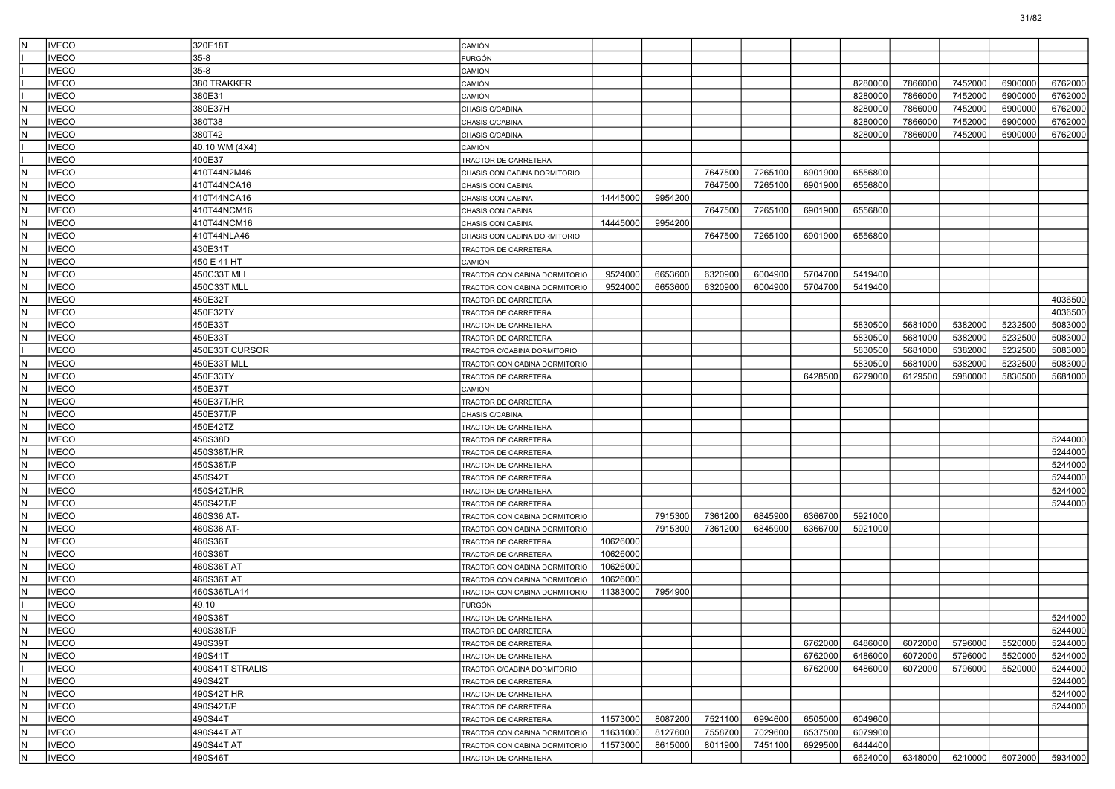| IN.                           | <b>IVECO</b> | 320E18T                  | CAMIÓN                                       |          |         |         |         |         |         |         |         |         |         |
|-------------------------------|--------------|--------------------------|----------------------------------------------|----------|---------|---------|---------|---------|---------|---------|---------|---------|---------|
|                               | <b>IVECO</b> | $35-8$                   | FURGÓN                                       |          |         |         |         |         |         |         |         |         |         |
|                               | <b>IVECO</b> | $35 - 8$                 | CAMIÓN                                       |          |         |         |         |         |         |         |         |         |         |
|                               | <b>IVECO</b> | 380 TRAKKER              | CAMIÓN                                       |          |         |         |         |         | 8280000 | 7866000 | 7452000 | 6900000 | 6762000 |
|                               | <b>IVECO</b> | 380E31                   | CAMIÓN                                       |          |         |         |         |         | 8280000 | 7866000 | 7452000 | 6900000 | 6762000 |
| IN.                           | <b>IVECO</b> | 380E37H                  | CHASIS C/CABINA                              |          |         |         |         |         | 8280000 | 7866000 | 7452000 | 6900000 | 6762000 |
| IN.                           | <b>IVECO</b> | 380T38                   | CHASIS C/CABINA                              |          |         |         |         |         | 8280000 | 7866000 | 7452000 | 6900000 | 6762000 |
| lN.                           | <b>IVECO</b> | 380T42                   | CHASIS C/CABINA                              |          |         |         |         |         | 8280000 | 7866000 | 7452000 | 6900000 | 6762000 |
|                               | <b>IVECO</b> | 40.10 WM (4X4)           | CAMIÓN                                       |          |         |         |         |         |         |         |         |         |         |
|                               | <b>IVECO</b> | 400E37                   | TRACTOR DE CARRETERA                         |          |         |         |         |         |         |         |         |         |         |
| IN.                           | <b>IVECO</b> | 410T44N2M46              | CHASIS CON CABINA DORMITORIO                 |          |         | 7647500 | 7265100 | 6901900 | 6556800 |         |         |         |         |
| IN.                           | <b>IVECO</b> | 410T44NCA16              | CHASIS CON CABINA                            |          |         | 7647500 | 7265100 | 6901900 | 6556800 |         |         |         |         |
| IN.                           | <b>IVECO</b> | 410T44NCA16              | CHASIS CON CABINA                            | 14445000 | 9954200 |         |         |         |         |         |         |         |         |
| IN.                           | <b>IVECO</b> | 410T44NCM16              | CHASIS CON CABINA                            |          |         | 7647500 | 7265100 | 6901900 | 6556800 |         |         |         |         |
| N.                            | <b>IVECO</b> | 410T44NCM16              | CHASIS CON CABINA                            | 14445000 | 9954200 |         |         |         |         |         |         |         |         |
| IN.                           | <b>IVECO</b> | 410T44NLA46              | CHASIS CON CABINA DORMITORIO                 |          |         | 7647500 | 7265100 | 6901900 | 6556800 |         |         |         |         |
| IN.                           | <b>IVECO</b> | 430E31T                  | TRACTOR DE CARRETERA                         |          |         |         |         |         |         |         |         |         |         |
| IN.                           | <b>IVECO</b> | 450 E 41 HT              | CAMIÓN                                       |          |         |         |         |         |         |         |         |         |         |
| IN.                           | <b>IVECO</b> | 450C33T MLL              | TRACTOR CON CABINA DORMITORIO                | 9524000  | 6653600 | 6320900 | 6004900 | 5704700 | 5419400 |         |         |         |         |
| N.                            | <b>IVECO</b> | 450C33T MLL              | TRACTOR CON CABINA DORMITORIO                | 9524000  | 6653600 | 6320900 | 6004900 | 5704700 | 5419400 |         |         |         |         |
| IN.                           | <b>IVECO</b> | 450E32T                  | TRACTOR DE CARRETERA                         |          |         |         |         |         |         |         |         |         | 4036500 |
| IN.                           | <b>IVECO</b> | 450E32TY                 | TRACTOR DE CARRETERA                         |          |         |         |         |         |         |         |         |         | 4036500 |
| IN.                           | <b>IVECO</b> | 450E33T                  | TRACTOR DE CARRETERA                         |          |         |         |         |         | 5830500 | 5681000 | 5382000 | 5232500 | 5083000 |
| IN.                           | <b>IVECO</b> | 450E33T                  | TRACTOR DE CARRETERA                         |          |         |         |         |         | 5830500 | 5681000 | 5382000 | 5232500 | 5083000 |
|                               | <b>IVECO</b> | 450E33T CURSOR           | TRACTOR C/CABINA DORMITORIO                  |          |         |         |         |         | 5830500 | 5681000 | 5382000 | 5232500 | 5083000 |
| IN.                           | <b>IVECO</b> | 450E33T MLL              | TRACTOR CON CABINA DORMITORIO                |          |         |         |         |         | 5830500 | 5681000 | 5382000 | 5232500 | 5083000 |
| IN.                           | <b>IVECO</b> | 450E33TY                 | TRACTOR DE CARRETERA                         |          |         |         |         | 6428500 | 6279000 | 6129500 | 5980000 | 5830500 | 5681000 |
| IN.                           | <b>IVECO</b> | 450E37T                  | CAMIÓN                                       |          |         |         |         |         |         |         |         |         |         |
| IN.                           | <b>IVECO</b> | 450E37T/HR               | TRACTOR DE CARRETERA                         |          |         |         |         |         |         |         |         |         |         |
| lN.                           | <b>IVECO</b> | 450E37T/P                | CHASIS C/CABINA                              |          |         |         |         |         |         |         |         |         |         |
| N)                            | <b>IVECO</b> | 450E42TZ                 | TRACTOR DE CARRETERA                         |          |         |         |         |         |         |         |         |         |         |
| N.                            | <b>IVECO</b> | 450S38D                  | TRACTOR DE CARRETERA                         |          |         |         |         |         |         |         |         |         | 5244000 |
| IN.                           | <b>IVECO</b> | 450S38T/HR               | TRACTOR DE CARRETERA                         |          |         |         |         |         |         |         |         |         | 5244000 |
| IN.                           | <b>IVECO</b> | 450S38T/P                | TRACTOR DE CARRETERA                         |          |         |         |         |         |         |         |         |         | 5244000 |
| lN.                           | <b>IVECO</b> | 450S42T                  | TRACTOR DE CARRETERA                         |          |         |         |         |         |         |         |         |         | 5244000 |
| N)                            | <b>IVECO</b> | 450S42T/HR               | TRACTOR DE CARRETERA                         |          |         |         |         |         |         |         |         |         | 5244000 |
| N.                            | <b>IVECO</b> | 450S42T/P                | TRACTOR DE CARRETERA                         |          |         |         |         |         |         |         |         |         | 5244000 |
| IN.                           | <b>IVECO</b> | 460S36 AT-               | TRACTOR CON CABINA DORMITORIO                |          | 7915300 | 7361200 | 6845900 | 6366700 | 5921000 |         |         |         |         |
| IN.                           | <b>IVECO</b> | 460S36 AT-               | TRACTOR CON CABINA DORMITORIO                |          | 7915300 | 7361200 | 6845900 | 6366700 | 5921000 |         |         |         |         |
| lN.                           | <b>IVECO</b> | 460S36T                  | TRACTOR DE CARRETERA                         | 10626000 |         |         |         |         |         |         |         |         |         |
| IN.                           | <b>IVECO</b> | 460S36T                  | TRACTOR DE CARRETERA                         | 10626000 |         |         |         |         |         |         |         |         |         |
| IN.                           | <b>IVECO</b> | 460S36T AT               | TRACTOR CON CABINA DORMITORIO                | 10626000 |         |         |         |         |         |         |         |         |         |
| İN.                           | <b>IVECO</b> | 460S36T AT               | TRACTOR CON CABINA DORMITORIO                | 10626000 |         |         |         |         |         |         |         |         |         |
| IN.                           | <b>IVECO</b> | 460S36TLA14              | TRACTOR CON CABINA DORMITORIO                | 11383000 | 7954900 |         |         |         |         |         |         |         |         |
|                               | <b>IVECO</b> | 49.10                    | FURGÓN                                       |          |         |         |         |         |         |         |         |         |         |
| IN.                           | <b>IVECO</b> | 490S38T                  | TRACTOR DE CARRETERA                         |          |         |         |         |         |         |         |         |         | 5244000 |
| N                             | <b>IVECO</b> | 490S38T/P                | TRACTOR DE CARRETERA                         |          |         |         |         |         |         |         |         |         | 5244000 |
| N.                            | <b>IVECO</b> | 490S39T                  |                                              |          |         |         |         | 6762000 | 6486000 | 6072000 | 5796000 | 5520000 | 5244000 |
| IN.                           | <b>IVECO</b> | 490S41T                  | TRACTOR DE CARRETERA<br>TRACTOR DE CARRETERA |          |         |         |         | 6762000 | 6486000 | 6072000 | 5796000 | 5520000 | 5244000 |
|                               | <b>IVECO</b> | 490S41T STRALIS          |                                              |          |         |         |         | 6762000 | 6486000 | 6072000 | 5796000 | 5520000 | 5244000 |
| N                             | <b>IVECO</b> | 490S42T                  | TRACTOR C/CABINA DORMITORIO                  |          |         |         |         |         |         |         |         |         | 5244000 |
| N                             | <b>IVECO</b> |                          | TRACTOR DE CARRETERA                         |          |         |         |         |         |         |         |         |         | 5244000 |
| N.                            |              | 490S42T HR<br>490S42T/P  | TRACTOR DE CARRETERA                         |          |         |         |         |         |         |         |         |         |         |
|                               | <b>IVECO</b> |                          | TRACTOR DE CARRETERA                         |          |         |         |         |         |         |         |         |         | 5244000 |
| N,<br>$\overline{\mathsf{N}}$ | <b>IVECO</b> | 490S44T                  | TRACTOR DE CARRETERA                         | 11573000 | 8087200 | 7521100 | 6994600 | 6505000 | 6049600 |         |         |         |         |
| $\overline{\mathsf{N}}$       | <b>IVECO</b> | 490S44T AT<br>490S44T AT | TRACTOR CON CABINA DORMITORIO                | 11631000 | 8127600 | 7558700 | 7029600 | 6537500 | 6079900 |         |         |         |         |
| $\overline{N}$                | <b>IVECO</b> |                          | TRACTOR CON CABINA DORMITORIO                | 11573000 | 8615000 | 8011900 | 7451100 | 6929500 | 6444400 |         |         |         |         |
|                               | <b>IVECO</b> | 490S46T                  | TRACTOR DE CARRETERA                         |          |         |         |         |         | 6624000 | 6348000 | 6210000 | 6072000 | 5934000 |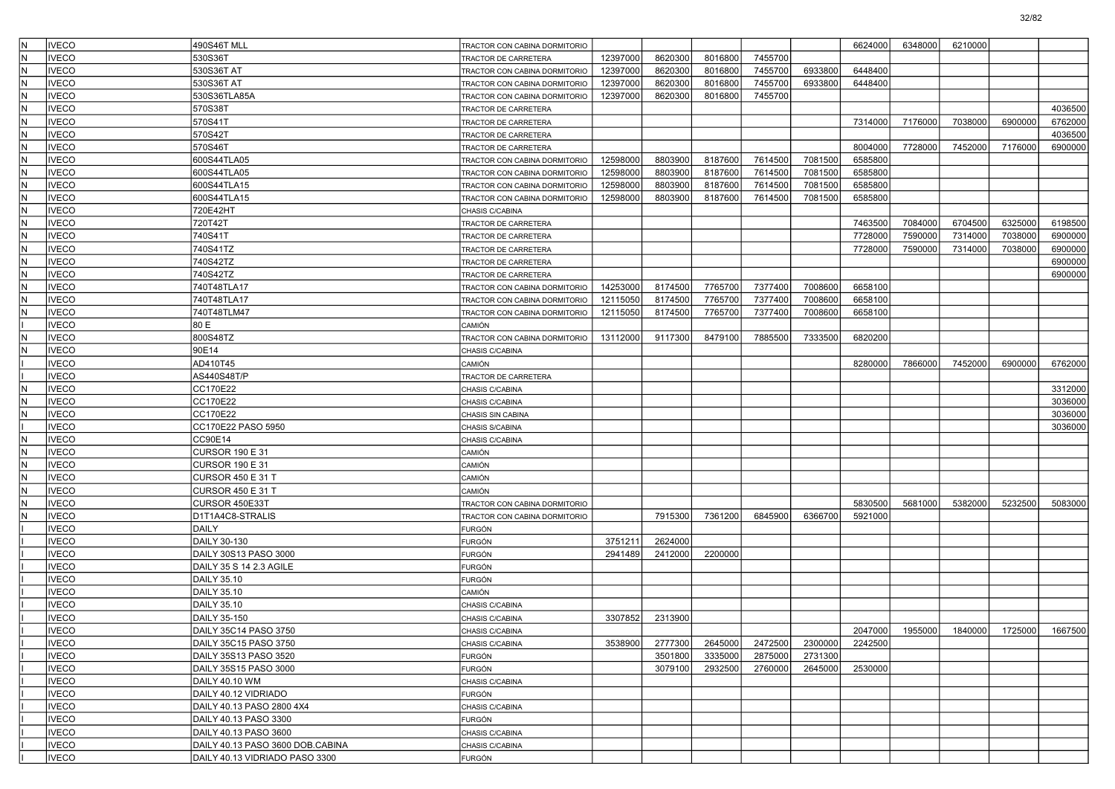| IN. | <b>IVECO</b>               | 490S46T MLL                      | TRACTOR CON CABINA DORMITORIO      |          |         |         |         |         | 6624000 | 6348000 | 6210000 |                 |         |
|-----|----------------------------|----------------------------------|------------------------------------|----------|---------|---------|---------|---------|---------|---------|---------|-----------------|---------|
| lΝ  | <b>VECO</b>                | 530S36T                          | TRACTOR DE CARRETERA               | 12397000 | 8620300 | 8016800 | 7455700 |         |         |         |         |                 |         |
| IN. | <b>IVECO</b>               | 530S36T AT                       | TRACTOR CON CABINA DORMITORIO      | 12397000 | 8620300 | 8016800 | 7455700 | 6933800 | 6448400 |         |         |                 |         |
| lN  | <b>VECO</b>                | 530S36T AT                       | TRACTOR CON CABINA DORMITORIO      | 12397000 | 8620300 | 8016800 | 7455700 | 6933800 | 6448400 |         |         |                 |         |
| lN  | <b>VECO</b>                | 530S36TLA85A                     | TRACTOR CON CABINA DORMITORIO      | 12397000 | 8620300 | 8016800 | 7455700 |         |         |         |         |                 |         |
| IN. | <b>VECO</b>                | 570S38T                          | TRACTOR DE CARRETERA               |          |         |         |         |         |         |         |         |                 | 4036500 |
| N   | <b>VECO</b>                | 570S41T                          | TRACTOR DE CARRETERA               |          |         |         |         |         | 7314000 | 7176000 | 7038000 | 6900000         | 6762000 |
| IN. | <b>IVECO</b>               | 570S42T                          | TRACTOR DE CARRETERA               |          |         |         |         |         |         |         |         |                 | 4036500 |
| lN  | <b>VECO</b>                | 570S46T                          | TRACTOR DE CARRETERA               |          |         |         |         |         | 8004000 | 7728000 | 7452000 | 7176000         | 6900000 |
| IN. | <b>VECO</b>                | 600S44TLA05                      | TRACTOR CON CABINA DORMITORIO      | 12598000 | 8803900 | 8187600 | 7614500 | 7081500 | 6585800 |         |         |                 |         |
| IN. | <b>VECO</b>                | 600S44TLA05                      | TRACTOR CON CABINA DORMITORIO      | 12598000 | 8803900 | 8187600 | 7614500 | 7081500 | 6585800 |         |         |                 |         |
| N   | <b>VECO</b>                | 600S44TLA15                      | TRACTOR CON CABINA DORMITORIO      | 12598000 | 8803900 | 8187600 | 7614500 | 7081500 | 6585800 |         |         |                 |         |
| IN. | <b>IVECO</b>               | 600S44TLA15                      | TRACTOR CON CABINA DORMITORIO      | 12598000 | 8803900 | 8187600 | 7614500 | 7081500 | 6585800 |         |         |                 |         |
| lN  | <b>VECO</b>                | 720E42HT                         | CHASIS C/CABINA                    |          |         |         |         |         |         |         |         |                 |         |
| IN. | <b>VECO</b>                | 720T42T                          | TRACTOR DE CARRETERA               |          |         |         |         |         | 7463500 | 7084000 | 6704500 | 6325000         | 6198500 |
| IN. | VECO                       | 740S41T                          | TRACTOR DE CARRETERA               |          |         |         |         |         | 7728000 | 7590000 | 7314000 | 7038000         | 6900000 |
| N   | <b>VECO</b>                | 740S41TZ                         | TRACTOR DE CARRETERA               |          |         |         |         |         | 7728000 | 7590000 | 7314000 | 7038000         | 6900000 |
| IN. | <b>IVECO</b>               | 740S42TZ                         | TRACTOR DE CARRETERA               |          |         |         |         |         |         |         |         |                 | 6900000 |
| lN  | <b>VECO</b>                | 740S42TZ                         | TRACTOR DE CARRETERA               |          |         |         |         |         |         |         |         |                 | 6900000 |
| IN. | <b>VECO</b>                | 740T48TLA17                      | TRACTOR CON CABINA DORMITORIO      | 14253000 | 8174500 | 7765700 | 7377400 | 7008600 | 6658100 |         |         |                 |         |
| IN. | <b>VECO</b>                | 740T48TLA17                      | TRACTOR CON CABINA DORMITORIO      | 12115050 | 8174500 | 7765700 | 7377400 | 7008600 | 6658100 |         |         |                 |         |
| N   | <b>VECO</b>                | 740T48TLM47                      | TRACTOR CON CABINA DORMITORIO      | 12115050 | 8174500 | 7765700 | 7377400 | 7008600 | 6658100 |         |         |                 |         |
|     | <b>VECO</b>                | 80 E                             | CAMIÓN                             |          |         |         |         |         |         |         |         |                 |         |
| lN  | <b>VECO</b>                | 800S48TZ                         | TRACTOR CON CABINA DORMITORIO      | 13112000 | 9117300 | 8479100 | 7885500 | 7333500 | 6820200 |         |         |                 |         |
| N   | <b>VECO</b>                | 90E14                            | CHASIS C/CABINA                    |          |         |         |         |         |         |         |         |                 |         |
|     | <b>VECO</b>                | AD410T45                         | CAMIÓN                             |          |         |         |         |         | 8280000 | 7866000 | 7452000 | 6900000         | 6762000 |
|     | <b>VECO</b>                | AS440S48T/P                      | TRACTOR DE CARRETERA               |          |         |         |         |         |         |         |         |                 |         |
| lN. | <b>VECO</b>                | CC170E22                         | CHASIS C/CABINA                    |          |         |         |         |         |         |         |         |                 | 3312000 |
| lN  | <b>VECO</b>                | CC170E22                         | CHASIS C/CABINA                    |          |         |         |         |         |         |         |         |                 | 3036000 |
| IN. | <b>VECO</b>                | CC170E22                         | CHASIS SIN CABINA                  |          |         |         |         |         |         |         |         |                 | 3036000 |
|     | <b>VECO</b>                | CC170E22 PASO 5950               | CHASIS S/CABINA                    |          |         |         |         |         |         |         |         |                 | 3036000 |
| N   | <b>VECO</b>                | CC90E14                          | CHASIS C/CABINA                    |          |         |         |         |         |         |         |         |                 |         |
| IN. | <b>VECO</b>                | <b>CURSOR 190 E 31</b>           | CAMIÓN                             |          |         |         |         |         |         |         |         |                 |         |
| lN  | <b>VECO</b>                | CURSOR 190 E 31                  | CAMIÓN                             |          |         |         |         |         |         |         |         |                 |         |
| IN. | <b>VECO</b>                | <b>CURSOR 450 E 31 T</b>         | CAMIÓN                             |          |         |         |         |         |         |         |         |                 |         |
| IN. | VECO                       | CURSOR 450 E 31 T                | CAMIÓN                             |          |         |         |         |         |         |         |         |                 |         |
| N   | <b>VECO</b>                | CURSOR 450E33T                   | TRACTOR CON CABINA DORMITORIO      |          |         |         |         |         | 5830500 | 5681000 | 5382000 | 5232500         | 5083000 |
| IN. | <b>VECO</b>                | D1T1A4C8-STRALIS                 | TRACTOR CON CABINA DORMITORIO      |          | 7915300 | 7361200 | 6845900 | 6366700 | 5921000 |         |         |                 |         |
|     | <b>VECO</b>                | <b>DAILY</b>                     | FURGÓN                             |          |         |         |         |         |         |         |         |                 |         |
|     | <b>VECO</b>                | DAILY 30-130                     | FURGÓN                             | 3751211  | 2624000 |         |         |         |         |         |         |                 |         |
|     | <b>VECO</b>                | DAILY 30S13 PASO 3000            | FURGÓN                             | 2941489  | 2412000 | 2200000 |         |         |         |         |         |                 |         |
|     | <b>VECO</b>                | DAILY 35 S 14 2.3 AGILE          | <b>FURGÓN</b>                      |          |         |         |         |         |         |         |         |                 |         |
|     | <b>IVECO</b>               | DAILY 35.10                      | FURGÓN                             |          |         |         |         |         |         |         |         |                 |         |
|     | <b>VECO</b><br><b>VECO</b> | DAILY 35.10                      | CAMIÓN                             |          |         |         |         |         |         |         |         |                 |         |
|     | <b>VECO</b>                | DAILY 35.10<br>DAILY 35-150      | CHASIS C/CABINA<br>CHASIS C/CABINA | 3307852  | 2313900 |         |         |         |         |         |         |                 |         |
|     | <b>IVECO</b>               | DAILY 35C14 PASO 3750            | CHASIS C/CABINA                    |          |         |         |         |         | 2047000 | 1955000 |         | 1840000 1725000 | 1667500 |
|     | <b>IVECO</b>               | DAILY 35C15 PASO 3750            | CHASIS C/CABINA                    | 3538900  | 2777300 | 2645000 | 2472500 | 2300000 | 2242500 |         |         |                 |         |
|     | <b>IVECO</b>               | DAILY 35S13 PASO 3520            | FURGÓN                             |          | 3501800 | 3335000 | 2875000 | 2731300 |         |         |         |                 |         |
|     | <b>IVECO</b>               | DAILY 35S15 PASO 3000            | <b>FURGÓN</b>                      |          | 3079100 | 2932500 | 2760000 | 2645000 | 2530000 |         |         |                 |         |
|     | <b>IVECO</b>               | DAILY 40.10 WM                   | CHASIS C/CABINA                    |          |         |         |         |         |         |         |         |                 |         |
|     | <b>IVECO</b>               | DAILY 40.12 VIDRIADO             | <b>FURGÓN</b>                      |          |         |         |         |         |         |         |         |                 |         |
|     | <b>IVECO</b>               | DAILY 40.13 PASO 2800 4X4        | CHASIS C/CABINA                    |          |         |         |         |         |         |         |         |                 |         |
|     | <b>IVECO</b>               | DAILY 40.13 PASO 3300            | FURGÓN                             |          |         |         |         |         |         |         |         |                 |         |
|     | <b>IVECO</b>               | DAILY 40.13 PASO 3600            | CHASIS C/CABINA                    |          |         |         |         |         |         |         |         |                 |         |
|     | <b>IVECO</b>               | DAILY 40.13 PASO 3600 DOB.CABINA | CHASIS C/CABINA                    |          |         |         |         |         |         |         |         |                 |         |
|     | <b>IVECO</b>               | DAILY 40.13 VIDRIADO PASO 3300   | <b>FURGÓN</b>                      |          |         |         |         |         |         |         |         |                 |         |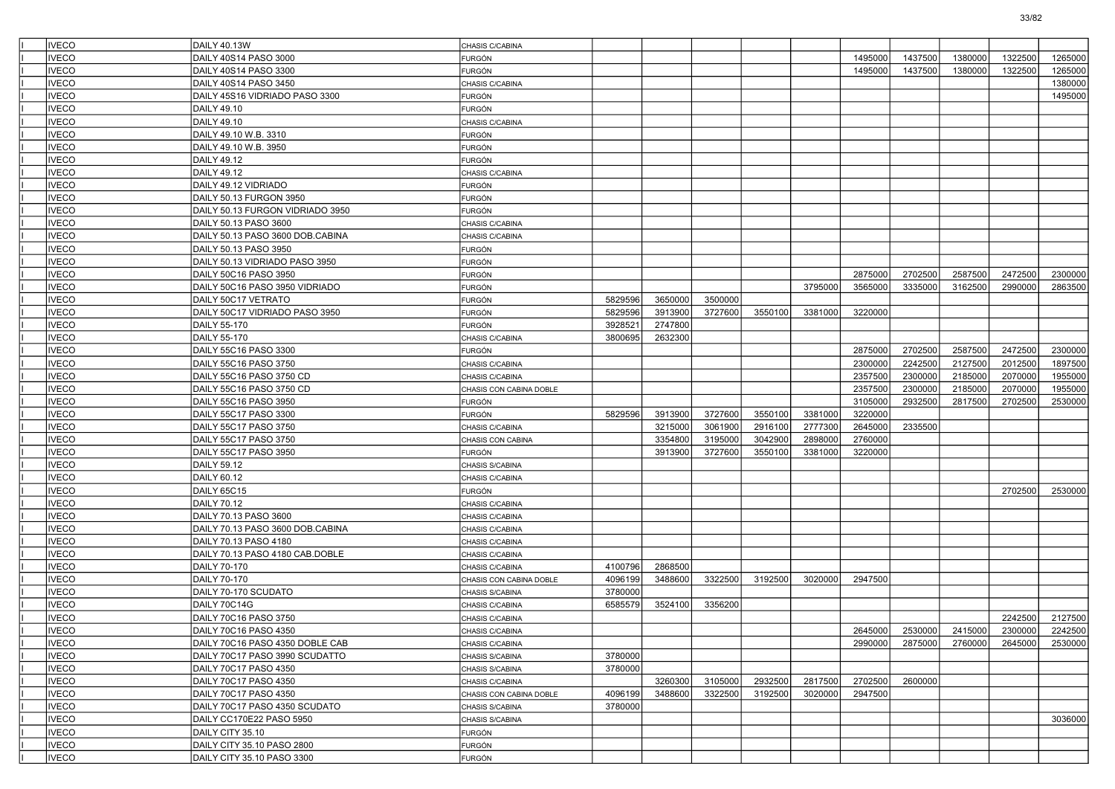| <b>IVECO</b> | DAILY 40.13W                     | CHASIS C/CABINA         |         |         |         |         |         |         |         |                         |         |         |
|--------------|----------------------------------|-------------------------|---------|---------|---------|---------|---------|---------|---------|-------------------------|---------|---------|
| <b>IVECO</b> | DAILY 40S14 PASO 3000            | FURGÓN                  |         |         |         |         |         | 1495000 | 1437500 | 1380000                 | 1322500 | 1265000 |
| <b>IVECO</b> | DAILY 40S14 PASO 3300            | FURGÓN                  |         |         |         |         |         | 1495000 | 1437500 | 1380000                 | 1322500 | 1265000 |
| <b>IVECO</b> | DAILY 40S14 PASO 3450            | CHASIS C/CABINA         |         |         |         |         |         |         |         |                         |         | 1380000 |
| <b>IVECO</b> | DAILY 45S16 VIDRIADO PASO 3300   | <b>FURGÓN</b>           |         |         |         |         |         |         |         |                         |         | 1495000 |
| <b>IVECO</b> | DAILY 49.10                      | <b>FURGÓN</b>           |         |         |         |         |         |         |         |                         |         |         |
| <b>IVECO</b> | DAILY 49.10                      | CHASIS C/CABINA         |         |         |         |         |         |         |         |                         |         |         |
| <b>IVECO</b> | DAILY 49.10 W.B. 3310            | <b>FURGÓN</b>           |         |         |         |         |         |         |         |                         |         |         |
| <b>IVECO</b> | DAILY 49.10 W.B. 3950            | FURGÓN                  |         |         |         |         |         |         |         |                         |         |         |
| <b>IVECO</b> | <b>DAILY 49.12</b>               | <b>FURGÓN</b>           |         |         |         |         |         |         |         |                         |         |         |
| <b>IVECO</b> | <b>DAILY 49.12</b>               | CHASIS C/CABINA         |         |         |         |         |         |         |         |                         |         |         |
| <b>IVECO</b> | DAILY 49.12 VIDRIADO             | <b>FURGÓN</b>           |         |         |         |         |         |         |         |                         |         |         |
| <b>IVECO</b> | DAILY 50.13 FURGON 3950          | <b>FURGÓN</b>           |         |         |         |         |         |         |         |                         |         |         |
| <b>IVECO</b> | DAILY 50.13 FURGON VIDRIADO 3950 | FURGÓN                  |         |         |         |         |         |         |         |                         |         |         |
| <b>IVECO</b> | DAILY 50.13 PASO 3600            | CHASIS C/CABINA         |         |         |         |         |         |         |         |                         |         |         |
| <b>IVECO</b> | DAILY 50.13 PASO 3600 DOB.CABINA | CHASIS C/CABINA         |         |         |         |         |         |         |         |                         |         |         |
| <b>IVECO</b> | DAILY 50.13 PASO 3950            | <b>FURGÓN</b>           |         |         |         |         |         |         |         |                         |         |         |
| <b>IVECO</b> | DAILY 50.13 VIDRIADO PASO 3950   | FURGÓN                  |         |         |         |         |         |         |         |                         |         |         |
| <b>IVECO</b> | DAILY 50C16 PASO 3950            | FURGÓN                  |         |         |         |         |         | 2875000 | 2702500 | 2587500                 | 2472500 | 2300000 |
| <b>IVECO</b> | DAILY 50C16 PASO 3950 VIDRIADO   | <b>FURGÓN</b>           |         |         |         |         | 3795000 | 3565000 | 3335000 | 3162500                 | 2990000 | 2863500 |
| <b>IVECO</b> | DAILY 50C17 VETRATO              | <b>FURGÓN</b>           | 5829596 | 3650000 | 3500000 |         |         |         |         |                         |         |         |
| <b>IVECO</b> | DAILY 50C17 VIDRIADO PASO 3950   | <b>FURGÓN</b>           | 5829596 | 3913900 | 3727600 | 3550100 | 3381000 | 3220000 |         |                         |         |         |
| <b>IVECO</b> | DAILY 55-170                     | FURGÓN                  | 3928521 | 2747800 |         |         |         |         |         |                         |         |         |
| <b>IVECO</b> | DAILY 55-170                     | CHASIS C/CABINA         | 3800695 | 2632300 |         |         |         |         |         |                         |         |         |
| <b>IVECO</b> | DAILY 55C16 PASO 3300            | <b>FURGÓN</b>           |         |         |         |         |         | 2875000 | 2702500 | 2587500                 | 2472500 | 2300000 |
| <b>IVECO</b> | DAILY 55C16 PASO 3750            | CHASIS C/CABINA         |         |         |         |         |         | 2300000 | 2242500 | 2127500                 | 2012500 | 1897500 |
| <b>IVECO</b> | DAILY 55C16 PASO 3750 CD         | CHASIS C/CABINA         |         |         |         |         |         | 2357500 | 2300000 | 2185000                 | 2070000 | 1955000 |
| <b>IVECO</b> | DAILY 55C16 PASO 3750 CD         | CHASIS CON CABINA DOBLE |         |         |         |         |         | 2357500 | 2300000 | 2185000                 | 2070000 | 1955000 |
| <b>IVECO</b> | DAILY 55C16 PASO 3950            | FURGÓN                  |         |         |         |         |         | 3105000 | 2932500 | 2817500                 | 2702500 | 2530000 |
| <b>IVECO</b> | DAILY 55C17 PASO 3300            | <b>FURGÓN</b>           | 5829596 | 3913900 | 3727600 | 3550100 | 3381000 | 3220000 |         |                         |         |         |
| <b>IVECO</b> | DAILY 55C17 PASO 3750            |                         |         | 3215000 | 3061900 | 2916100 | 2777300 | 2645000 | 2335500 |                         |         |         |
| <b>IVECO</b> | DAILY 55C17 PASO 3750            | CHASIS C/CABINA         |         | 3354800 | 3195000 | 3042900 | 2898000 | 2760000 |         |                         |         |         |
| <b>IVECO</b> | DAILY 55C17 PASO 3950            | CHASIS CON CABINA       |         | 3913900 | 3727600 | 3550100 | 3381000 | 3220000 |         |                         |         |         |
|              |                                  | <b>FURGÓN</b>           |         |         |         |         |         |         |         |                         |         |         |
| <b>IVECO</b> | <b>DAILY 59.12</b>               | CHASIS S/CABINA         |         |         |         |         |         |         |         |                         |         |         |
| <b>IVECO</b> | DAILY 60.12                      | CHASIS C/CABINA         |         |         |         |         |         |         |         |                         |         |         |
| <b>IVECO</b> | DAILY 65C15                      | <b>FURGÓN</b>           |         |         |         |         |         |         |         |                         | 2702500 | 2530000 |
| <b>IVECO</b> | DAILY 70.12                      | CHASIS C/CABINA         |         |         |         |         |         |         |         |                         |         |         |
| <b>IVECO</b> | DAILY 70.13 PASO 3600            | CHASIS C/CABINA         |         |         |         |         |         |         |         |                         |         |         |
| <b>IVECO</b> | DAILY 70.13 PASO 3600 DOB.CABINA | CHASIS C/CABINA         |         |         |         |         |         |         |         |                         |         |         |
| <b>IVECO</b> | DAILY 70.13 PASO 4180            | CHASIS C/CABINA         |         |         |         |         |         |         |         |                         |         |         |
| <b>IVECO</b> | DAILY 70.13 PASO 4180 CAB.DOBLE  | CHASIS C/CABINA         |         |         |         |         |         |         |         |                         |         |         |
| <b>IVECO</b> | DAILY 70-170                     | CHASIS C/CABINA         | 4100796 | 2868500 |         |         |         |         |         |                         |         |         |
| <b>IVECO</b> | DAILY 70-170                     | CHASIS CON CABINA DOBLE | 4096199 | 3488600 | 3322500 | 3192500 | 3020000 | 2947500 |         |                         |         |         |
| <b>IVECO</b> | DAILY 70-170 SCUDATO             | CHASIS S/CABINA         | 3780000 |         |         |         |         |         |         |                         |         |         |
| <b>IVECO</b> | DAILY 70C14G                     | CHASIS C/CABINA         | 6585579 | 3524100 | 3356200 |         |         |         |         |                         |         |         |
| <b>IVECO</b> | DAILY 70C16 PASO 3750            | CHASIS C/CABINA         |         |         |         |         |         |         |         |                         | 2242500 | 2127500 |
| <b>IVECO</b> | DAILY 70C16 PASO 4350            | CHASIS C/CABINA         |         |         |         |         |         | 2645000 |         | 2530000 2415000 2300000 |         | 2242500 |
| <b>IVECO</b> | DAILY 70C16 PASO 4350 DOBLE CAB  | CHASIS C/CABINA         |         |         |         |         |         | 2990000 | 2875000 | 2760000                 | 2645000 | 2530000 |
| <b>IVECO</b> | DAILY 70C17 PASO 3990 SCUDATTO   | CHASIS S/CABINA         | 3780000 |         |         |         |         |         |         |                         |         |         |
| <b>IVECO</b> | DAILY 70C17 PASO 4350            | CHASIS S/CABINA         | 3780000 |         |         |         |         |         |         |                         |         |         |
| <b>IVECO</b> | DAILY 70C17 PASO 4350            | CHASIS C/CABINA         |         | 3260300 | 3105000 | 2932500 | 2817500 | 2702500 | 2600000 |                         |         |         |
| <b>IVECO</b> | DAILY 70C17 PASO 4350            | CHASIS CON CABINA DOBLE | 4096199 | 3488600 | 3322500 | 3192500 | 3020000 | 2947500 |         |                         |         |         |
| <b>IVECO</b> | DAILY 70C17 PASO 4350 SCUDATO    | CHASIS S/CABINA         | 3780000 |         |         |         |         |         |         |                         |         |         |
| <b>IVECO</b> | DAILY CC170E22 PASO 5950         | CHASIS S/CABINA         |         |         |         |         |         |         |         |                         |         | 3036000 |
| <b>IVECO</b> | DAILY CITY 35.10                 | <b>FURGÓN</b>           |         |         |         |         |         |         |         |                         |         |         |
| <b>IVECO</b> | DAILY CITY 35.10 PASO 2800       | <b>FURGÓN</b>           |         |         |         |         |         |         |         |                         |         |         |
| <b>IVECO</b> | DAILY CITY 35.10 PASO 3300       | FURGÓN                  |         |         |         |         |         |         |         |                         |         |         |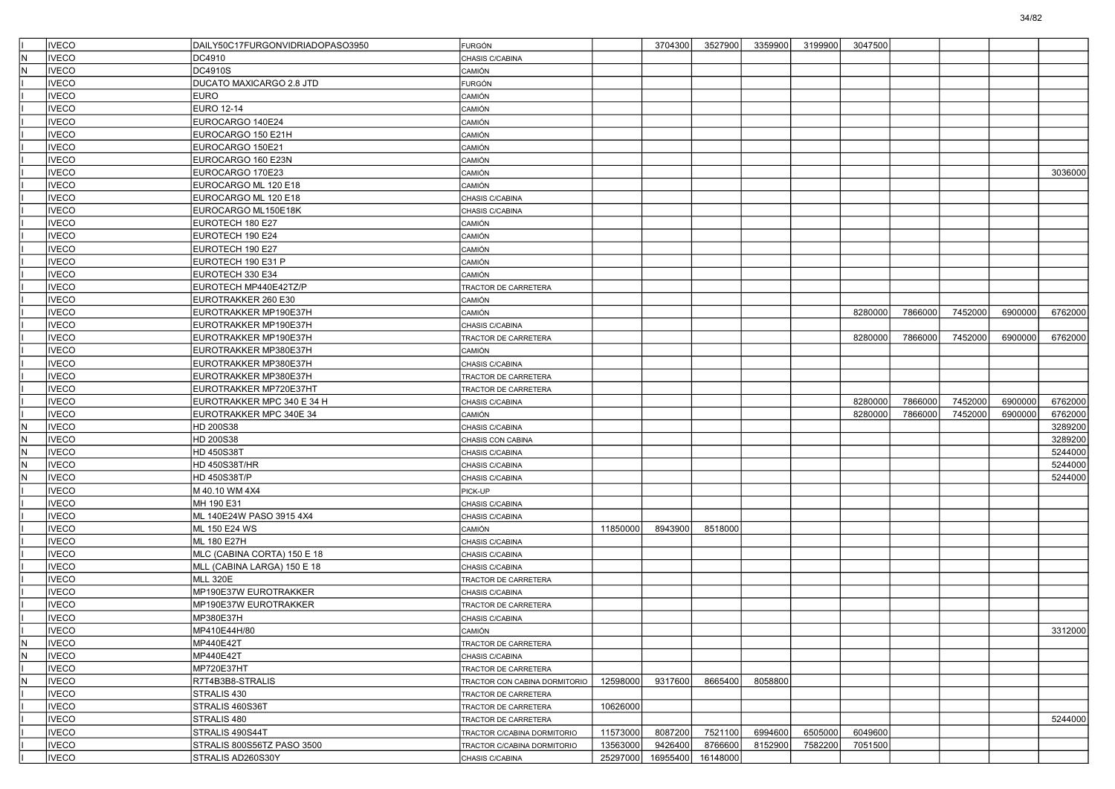|                         | <b>IVECO</b> | DAILY50C17FURGONVIDRIADOPASO3950 |                               |          | 3704300           | 3527900  | 3359900 | 3199900 | 3047500 |         |         |         |         |
|-------------------------|--------------|----------------------------------|-------------------------------|----------|-------------------|----------|---------|---------|---------|---------|---------|---------|---------|
|                         |              |                                  | FURGÓN                        |          |                   |          |         |         |         |         |         |         |         |
| İΝ                      | <b>IVECO</b> | DC4910                           | CHASIS C/CABINA               |          |                   |          |         |         |         |         |         |         |         |
| IN.                     | <b>IVECO</b> | DC4910S                          | CAMIÓN                        |          |                   |          |         |         |         |         |         |         |         |
|                         | <b>IVECO</b> | DUCATO MAXICARGO 2.8 JTD         | FURGÓN                        |          |                   |          |         |         |         |         |         |         |         |
|                         | <b>IVECO</b> | EURO                             | CAMIÓN                        |          |                   |          |         |         |         |         |         |         |         |
|                         | <b>IVECO</b> | <b>EURO 12-14</b>                | CAMIÓN                        |          |                   |          |         |         |         |         |         |         |         |
|                         | <b>IVECO</b> | EUROCARGO 140E24                 | CAMIÓN                        |          |                   |          |         |         |         |         |         |         |         |
|                         | <b>IVECO</b> | EUROCARGO 150 E21H               | CAMIÓN                        |          |                   |          |         |         |         |         |         |         |         |
|                         | <b>IVECO</b> | EUROCARGO 150E21                 | CAMIÓN                        |          |                   |          |         |         |         |         |         |         |         |
|                         | <b>IVECO</b> | EUROCARGO 160 E23N               | CAMIÓN                        |          |                   |          |         |         |         |         |         |         |         |
|                         | <b>IVECO</b> | EUROCARGO 170E23                 | CAMIÓN                        |          |                   |          |         |         |         |         |         |         | 3036000 |
|                         | <b>IVECO</b> | EUROCARGO ML 120 E18             | CAMIÓN                        |          |                   |          |         |         |         |         |         |         |         |
|                         | <b>IVECO</b> | EUROCARGO ML 120 E18             | CHASIS C/CABINA               |          |                   |          |         |         |         |         |         |         |         |
|                         | <b>IVECO</b> | EUROCARGO ML150E18K              | CHASIS C/CABINA               |          |                   |          |         |         |         |         |         |         |         |
|                         | <b>IVECO</b> | EUROTECH 180 E27                 | CAMIÓN                        |          |                   |          |         |         |         |         |         |         |         |
|                         | <b>IVECO</b> | EUROTECH 190 E24                 | CAMIÓN                        |          |                   |          |         |         |         |         |         |         |         |
|                         | <b>IVECO</b> | EUROTECH 190 E27                 | CAMIÓN                        |          |                   |          |         |         |         |         |         |         |         |
|                         | <b>IVECO</b> | EUROTECH 190 E31 P               | CAMIÓN                        |          |                   |          |         |         |         |         |         |         |         |
|                         | <b>IVECO</b> | EUROTECH 330 E34                 | CAMIÓN                        |          |                   |          |         |         |         |         |         |         |         |
|                         | <b>IVECO</b> | EUROTECH MP440E42TZ/P            | TRACTOR DE CARRETERA          |          |                   |          |         |         |         |         |         |         |         |
|                         | <b>IVECO</b> | EUROTRAKKER 260 E30              | CAMIÓN                        |          |                   |          |         |         |         |         |         |         |         |
|                         | <b>IVECO</b> | EUROTRAKKER MP190E37H            | CAMIÓN                        |          |                   |          |         |         | 8280000 | 7866000 | 7452000 | 6900000 | 6762000 |
|                         | <b>IVECO</b> | EUROTRAKKER MP190E37H            | CHASIS C/CABINA               |          |                   |          |         |         |         |         |         |         |         |
|                         | <b>IVECO</b> | EUROTRAKKER MP190E37H            | TRACTOR DE CARRETERA          |          |                   |          |         |         | 8280000 | 7866000 | 7452000 | 6900000 | 6762000 |
|                         | <b>IVECO</b> | EUROTRAKKER MP380E37H            | CAMIÓN                        |          |                   |          |         |         |         |         |         |         |         |
|                         | <b>IVECO</b> | EUROTRAKKER MP380E37H            | CHASIS C/CABINA               |          |                   |          |         |         |         |         |         |         |         |
|                         | <b>IVECO</b> | EUROTRAKKER MP380E37H            | TRACTOR DE CARRETERA          |          |                   |          |         |         |         |         |         |         |         |
|                         | <b>IVECO</b> | EUROTRAKKER MP720E37HT           |                               |          |                   |          |         |         |         |         |         |         |         |
|                         |              |                                  | TRACTOR DE CARRETERA          |          |                   |          |         |         | 8280000 | 7866000 |         |         |         |
|                         | <b>IVECO</b> | EUROTRAKKER MPC 340 E 34 H       | CHASIS C/CABINA               |          |                   |          |         |         |         |         | 7452000 | 6900000 | 6762000 |
|                         | <b>IVECO</b> | EUROTRAKKER MPC 340E 34          | CAMIÓN                        |          |                   |          |         |         | 8280000 | 7866000 | 7452000 | 6900000 | 6762000 |
| IN.                     | <b>IVECO</b> | HD 200S38                        | CHASIS C/CABINA               |          |                   |          |         |         |         |         |         |         | 3289200 |
| IN.                     | <b>IVECO</b> | HD 200S38                        | CHASIS CON CABINA             |          |                   |          |         |         |         |         |         |         | 3289200 |
| IN.                     | <b>IVECO</b> | <b>HD 450S38T</b>                | CHASIS C/CABINA               |          |                   |          |         |         |         |         |         |         | 5244000 |
| N,                      | <b>IVECO</b> | HD 450S38T/HR                    | CHASIS C/CABINA               |          |                   |          |         |         |         |         |         |         | 5244000 |
| N                       | <b>IVECO</b> | HD 450S38T/P                     | CHASIS C/CABINA               |          |                   |          |         |         |         |         |         |         | 5244000 |
|                         | <b>IVECO</b> | M 40.10 WM 4X4                   | PICK-UP                       |          |                   |          |         |         |         |         |         |         |         |
|                         | <b>IVECO</b> | MH 190 E31                       | CHASIS C/CABINA               |          |                   |          |         |         |         |         |         |         |         |
|                         | <b>IVECO</b> | ML 140E24W PASO 3915 4X4         | CHASIS C/CABINA               |          |                   |          |         |         |         |         |         |         |         |
|                         | <b>IVECO</b> | ML 150 E24 WS                    | CAMIÓN                        | 11850000 | 8943900           | 8518000  |         |         |         |         |         |         |         |
|                         | <b>IVECO</b> | ML 180 E27H                      | CHASIS C/CABINA               |          |                   |          |         |         |         |         |         |         |         |
|                         | <b>IVECO</b> | MLC (CABINA CORTA) 150 E 18      | CHASIS C/CABINA               |          |                   |          |         |         |         |         |         |         |         |
|                         | <b>IVECO</b> | MLL (CABINA LARGA) 150 E 18      | CHASIS C/CABINA               |          |                   |          |         |         |         |         |         |         |         |
|                         | <b>IVECO</b> | <b>MLL 320E</b>                  | TRACTOR DE CARRETERA          |          |                   |          |         |         |         |         |         |         |         |
|                         | <b>IVECO</b> | MP190E37W EUROTRAKKER            | CHASIS C/CABINA               |          |                   |          |         |         |         |         |         |         |         |
|                         | <b>IVECO</b> | MP190E37W EUROTRAKKER            | TRACTOR DE CARRETERA          |          |                   |          |         |         |         |         |         |         |         |
|                         | <b>IVECO</b> | MP380E37H                        | CHASIS C/CABINA               |          |                   |          |         |         |         |         |         |         |         |
|                         | <b>IVECO</b> | MP410E44H/80                     | CAMIÓN                        |          |                   |          |         |         |         |         |         |         | 3312000 |
| N                       | <b>IVECO</b> | MP440E42T                        | TRACTOR DE CARRETERA          |          |                   |          |         |         |         |         |         |         |         |
| N.                      | <b>IVECO</b> | MP440E42T                        | CHASIS C/CABINA               |          |                   |          |         |         |         |         |         |         |         |
|                         | <b>IVECO</b> | MP720E37HT                       | TRACTOR DE CARRETERA          |          |                   |          |         |         |         |         |         |         |         |
| $\overline{\mathsf{N}}$ | <b>IVECO</b> | R7T4B3B8-STRALIS                 | TRACTOR CON CABINA DORMITORIO | 12598000 | 9317600           | 8665400  | 8058800 |         |         |         |         |         |         |
|                         | <b>IVECO</b> | STRALIS 430                      | TRACTOR DE CARRETERA          |          |                   |          |         |         |         |         |         |         |         |
|                         | <b>IVECO</b> | STRALIS 460S36T                  | TRACTOR DE CARRETERA          | 10626000 |                   |          |         |         |         |         |         |         |         |
|                         | <b>IVECO</b> | STRALIS 480                      | TRACTOR DE CARRETERA          |          |                   |          |         |         |         |         |         |         | 5244000 |
|                         | <b>IVECO</b> | STRALIS 490S44T                  | TRACTOR C/CABINA DORMITORIO   | 11573000 | 8087200           | 7521100  | 6994600 | 6505000 | 6049600 |         |         |         |         |
|                         | <b>IVECO</b> | STRALIS 800S56TZ PASO 3500       | TRACTOR C/CABINA DORMITORIO   | 13563000 | 9426400           | 8766600  | 8152900 | 7582200 | 7051500 |         |         |         |         |
|                         | <b>IVECO</b> | STRALIS AD260S30Y                | CHASIS C/CABINA               |          | 25297000 16955400 | 16148000 |         |         |         |         |         |         |         |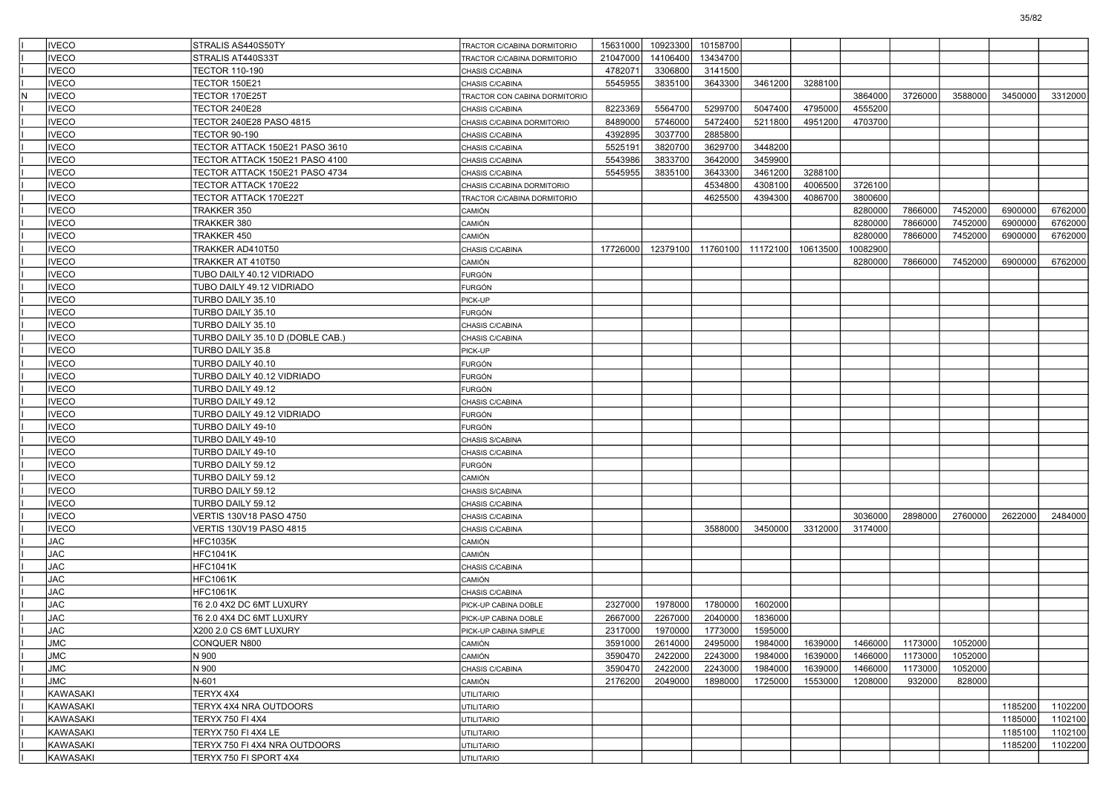|   | <b>IVECO</b>      | STRALIS AS440S50TY                         | TRACTOR C/CABINA DORMITORIO        | 15631000 | 10923300 | 10158700 |          |          |          |         |         |         |         |
|---|-------------------|--------------------------------------------|------------------------------------|----------|----------|----------|----------|----------|----------|---------|---------|---------|---------|
|   | <b>VECO</b>       | STRALIS AT440S33T                          | TRACTOR C/CABINA DORMITORIO        | 21047000 | 14106400 | 13434700 |          |          |          |         |         |         |         |
|   | <b>IVECO</b>      | TECTOR 110-190                             | CHASIS C/CABINA                    | 4782071  | 3306800  | 3141500  |          |          |          |         |         |         |         |
|   | <b>VECO</b>       | <b>TECTOR 150E21</b>                       | CHASIS C/CABINA                    | 5545955  | 3835100  | 3643300  | 3461200  | 3288100  |          |         |         |         |         |
| N | <b>VECO</b>       | TECTOR 170E25T                             | TRACTOR CON CABINA DORMITORIO      |          |          |          |          |          | 3864000  | 3726000 | 3588000 | 3450000 | 3312000 |
|   | <b>VECO</b>       | <b>TECTOR 240E28</b>                       | CHASIS C/CABINA                    | 8223369  | 5564700  | 5299700  | 5047400  | 4795000  | 4555200  |         |         |         |         |
|   | <b>VECO</b>       | TECTOR 240E28 PASO 4815                    | CHASIS C/CABINA DORMITORIO         | 8489000  | 5746000  | 5472400  | 5211800  | 4951200  | 4703700  |         |         |         |         |
|   | <b>IVECO</b>      | <b>TECTOR 90-190</b>                       | CHASIS C/CABINA                    | 4392895  | 3037700  | 2885800  |          |          |          |         |         |         |         |
|   | <b>VECO</b>       | TECTOR ATTACK 150E21 PASO 3610             | CHASIS C/CABINA                    | 5525191  | 3820700  | 3629700  | 3448200  |          |          |         |         |         |         |
|   | <b>VECO</b>       | TECTOR ATTACK 150E21 PASO 4100             | CHASIS C/CABINA                    | 5543986  | 3833700  | 3642000  | 3459900  |          |          |         |         |         |         |
|   | <b>VECO</b>       | TECTOR ATTACK 150E21 PASO 4734             | CHASIS C/CABINA                    | 5545955  | 3835100  | 3643300  | 3461200  | 3288100  |          |         |         |         |         |
|   | <b>VECO</b>       | TECTOR ATTACK 170E22                       | CHASIS C/CABINA DORMITORIO         |          |          | 4534800  | 4308100  | 4006500  | 3726100  |         |         |         |         |
|   | <b>IVECO</b>      | TECTOR ATTACK 170E22T                      | TRACTOR C/CABINA DORMITORIO        |          |          | 4625500  | 4394300  | 4086700  | 3800600  |         |         |         |         |
|   | <b>VECO</b>       | TRAKKER 350                                | CAMIÓN                             |          |          |          |          |          | 8280000  | 7866000 | 7452000 | 6900000 | 6762000 |
|   | <b>VECO</b>       | TRAKKER 380                                | CAMIÓN                             |          |          |          |          |          | 8280000  | 7866000 | 7452000 | 6900000 | 6762000 |
|   | <b>VECO</b>       | TRAKKER 450                                | CAMIÓN                             |          |          |          |          |          | 8280000  | 7866000 | 7452000 | 6900000 | 6762000 |
|   | <b>VECO</b>       | TRAKKER AD410T50                           | CHASIS C/CABINA                    | 17726000 | 12379100 | 11760100 | 11172100 | 10613500 | 10082900 |         |         |         |         |
|   | <b>IVECO</b>      | TRAKKER AT 410T50                          | CAMIÓN                             |          |          |          |          |          | 8280000  | 7866000 | 7452000 | 6900000 | 6762000 |
|   | <b>VECO</b>       | TUBO DAILY 40.12 VIDRIADO                  | FURGÓN                             |          |          |          |          |          |          |         |         |         |         |
|   | <b>IVECO</b>      | TUBO DAILY 49.12 VIDRIADO                  | FURGÓN                             |          |          |          |          |          |          |         |         |         |         |
|   | <b>VECO</b>       | TURBO DAILY 35.10                          | PICK-UP                            |          |          |          |          |          |          |         |         |         |         |
|   | <b>VECO</b>       | TURBO DAILY 35.10                          | FURGÓN                             |          |          |          |          |          |          |         |         |         |         |
|   | <b>IVECO</b>      | TURBO DAILY 35.10                          | CHASIS C/CABINA                    |          |          |          |          |          |          |         |         |         |         |
|   | <b>IVECO</b>      | TURBO DAILY 35.10 D (DOBLE CAB.)           | CHASIS C/CABINA                    |          |          |          |          |          |          |         |         |         |         |
|   | <b>IVECO</b>      | TURBO DAILY 35.8                           | PICK-UP                            |          |          |          |          |          |          |         |         |         |         |
|   | <b>VECO</b>       | TURBO DAILY 40.10                          | FURGÓN                             |          |          |          |          |          |          |         |         |         |         |
|   | <b>VECO</b>       | TURBO DAILY 40.12 VIDRIADO                 | FURGÓN                             |          |          |          |          |          |          |         |         |         |         |
|   | <b>IVECO</b>      | TURBO DAILY 49.12                          | FURGÓN                             |          |          |          |          |          |          |         |         |         |         |
|   | <b>IVECO</b>      | TURBO DAILY 49.12                          | CHASIS C/CABINA                    |          |          |          |          |          |          |         |         |         |         |
|   | <b>IVECO</b>      | TURBO DAILY 49.12 VIDRIADO                 | FURGÓN                             |          |          |          |          |          |          |         |         |         |         |
|   | <b>VECO</b>       | TURBO DAILY 49-10                          | FURGÓN                             |          |          |          |          |          |          |         |         |         |         |
|   | <b>IVECO</b>      | TURBO DAILY 49-10                          | CHASIS S/CABINA                    |          |          |          |          |          |          |         |         |         |         |
|   | <b>IVECO</b>      | TURBO DAILY 49-10                          | CHASIS C/CABINA                    |          |          |          |          |          |          |         |         |         |         |
|   | <b>IVECO</b>      | TURBO DAILY 59.12                          | FURGÓN                             |          |          |          |          |          |          |         |         |         |         |
|   | <b>IVECO</b>      | TURBO DAILY 59.12                          | CAMIÓN                             |          |          |          |          |          |          |         |         |         |         |
|   | <b>VECO</b>       | TURBO DAILY 59.12                          | CHASIS S/CABINA                    |          |          |          |          |          |          |         |         |         |         |
|   | <b>IVECO</b>      | TURBO DAILY 59.12                          |                                    |          |          |          |          |          |          |         |         |         |         |
|   | <b>IVECO</b>      | VERTIS 130V18 PASO 4750                    | CHASIS C/CABINA<br>CHASIS C/CABINA |          |          |          |          |          | 3036000  | 2898000 | 2760000 | 2622000 | 2484000 |
|   | <b>IVECO</b>      |                                            |                                    |          |          | 3588000  | 3450000  | 3312000  | 3174000  |         |         |         |         |
|   | <b>JAC</b>        | VERTIS 130V19 PASO 4815<br><b>HFC1035K</b> | CHASIS C/CABINA                    |          |          |          |          |          |          |         |         |         |         |
|   | <b>JAC</b>        | <b>HFC1041K</b>                            | CAMIÓN<br>CAMIÓN                   |          |          |          |          |          |          |         |         |         |         |
|   |                   |                                            |                                    |          |          |          |          |          |          |         |         |         |         |
|   | <b>JAC</b><br>JAC | <b>HFC1041K</b><br><b>HFC1061K</b>         | CHASIS C/CABINA                    |          |          |          |          |          |          |         |         |         |         |
|   |                   |                                            | CAMIÓN                             |          |          |          |          |          |          |         |         |         |         |
|   | <b>JAC</b>        | HFC1061K                                   | CHASIS C/CABINA                    |          |          |          |          |          |          |         |         |         |         |
|   | <b>JAC</b>        | T6 2.0 4X2 DC 6MT LUXURY                   | PICK-UP CABINA DOBLE               | 2327000  | 1978000  | 1780000  | 1602000  |          |          |         |         |         |         |
|   | <b>JAC</b>        | T6 2.0 4X4 DC 6MT LUXURY                   | PICK-UP CABINA DOBLE               | 2667000  | 2267000  | 2040000  | 1836000  |          |          |         |         |         |         |
|   | <b>JAC</b>        | X200 2.0 CS 6MT LUXURY                     | PICK-UP CABINA SIMPLE              | 2317000  | 1970000  | 1773000  | 1595000  |          |          |         |         |         |         |
|   | JMC               | CONQUER N800                               | CAMIÓN                             | 3591000  | 2614000  | 2495000  | 1984000  | 1639000  | 1466000  | 1173000 | 1052000 |         |         |
|   | <b>JMC</b>        | N 900                                      | CAMIÓN                             | 3590470  | 2422000  | 2243000  | 1984000  | 1639000  | 1466000  | 1173000 | 1052000 |         |         |
|   | <b>JMC</b>        | N 900                                      | CHASIS C/CABINA                    | 3590470  | 2422000  | 2243000  | 1984000  | 1639000  | 1466000  | 1173000 | 1052000 |         |         |
|   | JMC               | N-601                                      | CAMIÓN                             | 2176200  | 2049000  | 1898000  | 1725000  | 1553000  | 1208000  | 932000  | 828000  |         |         |
|   | <b>KAWASAKI</b>   | TERYX 4X4                                  | UTILITARIO                         |          |          |          |          |          |          |         |         |         |         |
|   | <b>KAWASAKI</b>   | TERYX 4X4 NRA OUTDOORS                     | UTILITARIO                         |          |          |          |          |          |          |         |         | 1185200 | 1102200 |
|   | KAWASAKI          | TERYX 750 FI 4X4                           | <b>UTILITARIO</b>                  |          |          |          |          |          |          |         |         | 1185000 | 1102100 |
|   | İKAWASAKI         | TERYX 750 FI 4X4 LE                        | <b>UTILITARIO</b>                  |          |          |          |          |          |          |         |         | 1185100 | 1102100 |
|   | KAWASAKI          | TERYX 750 FI 4X4 NRA OUTDOORS              | <b>UTILITARIO</b>                  |          |          |          |          |          |          |         |         | 1185200 | 1102200 |
|   | KAWASAKI          | TERYX 750 FI SPORT 4X4                     | <b>UTILITARIO</b>                  |          |          |          |          |          |          |         |         |         |         |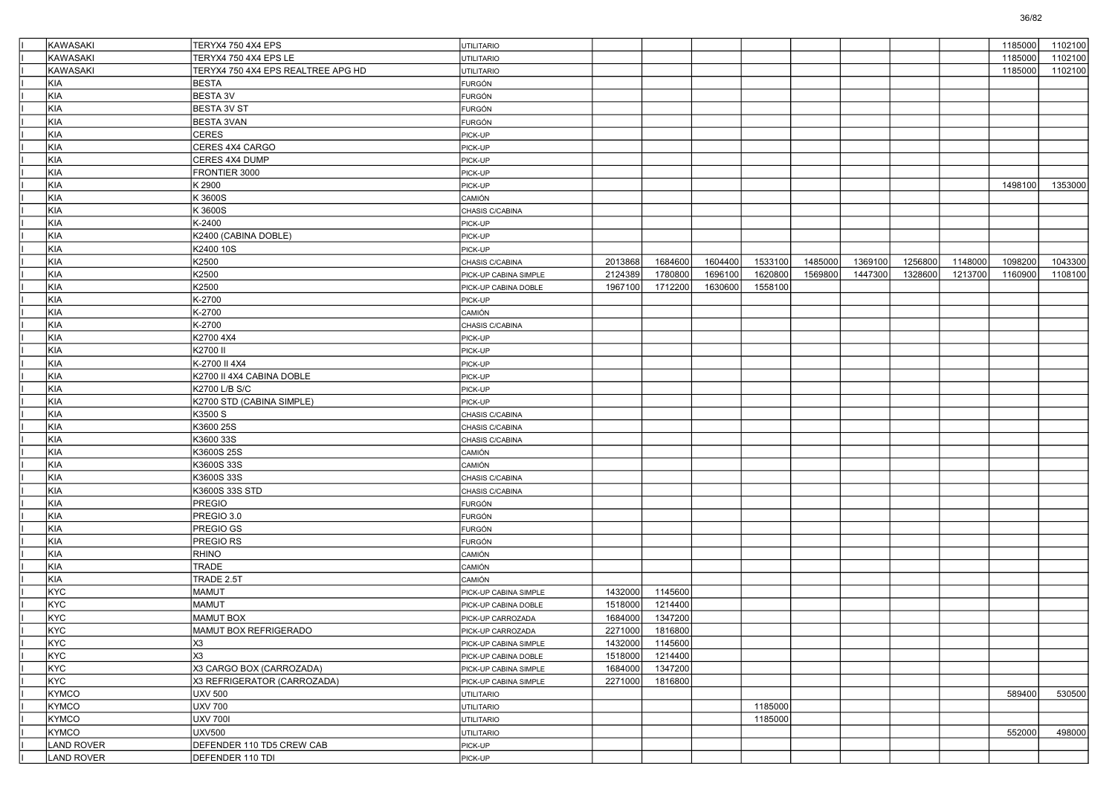| KAWASAKI        | TERYX4 750 4X4 EPS                 | UTILITARIO            |         |         |         |         |         |         |         |         | 1185000 | 1102100 |
|-----------------|------------------------------------|-----------------------|---------|---------|---------|---------|---------|---------|---------|---------|---------|---------|
| <b>KAWASAKI</b> | TERYX4 750 4X4 EPS LE              | UTILITARIO            |         |         |         |         |         |         |         |         | 1185000 | 1102100 |
| <b>KAWASAKI</b> | TERYX4 750 4X4 EPS REALTREE APG HD | UTILITARIO            |         |         |         |         |         |         |         |         | 1185000 | 1102100 |
| KIA             | <b>BESTA</b>                       | <b>FURGÓN</b>         |         |         |         |         |         |         |         |         |         |         |
| KIA             | <b>BESTA 3V</b>                    | <b>FURGÓN</b>         |         |         |         |         |         |         |         |         |         |         |
| KIA             | <b>BESTA 3V ST</b>                 | <b>FURGÓN</b>         |         |         |         |         |         |         |         |         |         |         |
| KIA             | <b>BESTA 3VAN</b>                  | FURGÓN                |         |         |         |         |         |         |         |         |         |         |
| KIA             | <b>CERES</b>                       | PICK-UP               |         |         |         |         |         |         |         |         |         |         |
| KIA             | CERES 4X4 CARGO                    | PICK-UP               |         |         |         |         |         |         |         |         |         |         |
| <b>KIA</b>      | CERES 4X4 DUMP                     | PICK-UP               |         |         |         |         |         |         |         |         |         |         |
| KIA             | FRONTIER 3000                      | PICK-UP               |         |         |         |         |         |         |         |         |         |         |
| KIA             | K 2900                             | PICK-UP               |         |         |         |         |         |         |         |         | 1498100 | 1353000 |
| KIA             | K 3600S                            | CAMIÓN                |         |         |         |         |         |         |         |         |         |         |
| KIA             | K 3600S                            | CHASIS C/CABINA       |         |         |         |         |         |         |         |         |         |         |
| <b>KIA</b>      | K-2400                             | PICK-UP               |         |         |         |         |         |         |         |         |         |         |
| KIA             | K2400 (CABINA DOBLE)               | PICK-UP               |         |         |         |         |         |         |         |         |         |         |
| KIA             | K2400 10S                          | PICK-UP               |         |         |         |         |         |         |         |         |         |         |
| KIA             | K2500                              | CHASIS C/CABINA       | 2013868 | 1684600 | 1604400 | 1533100 | 1485000 | 1369100 | 1256800 | 1148000 | 1098200 | 1043300 |
| KIA             | K2500                              | PICK-UP CABINA SIMPLE | 2124389 | 1780800 | 1696100 | 1620800 | 1569800 | 1447300 | 1328600 | 1213700 | 1160900 | 1108100 |
| <b>KIA</b>      | K2500                              | PICK-UP CABINA DOBLE  | 1967100 | 1712200 | 1630600 | 1558100 |         |         |         |         |         |         |
| KIA             | K-2700                             | PICK-UP               |         |         |         |         |         |         |         |         |         |         |
| KIA             | K-2700                             | CAMIÓN                |         |         |         |         |         |         |         |         |         |         |
| KIA             | K-2700                             | CHASIS C/CABINA       |         |         |         |         |         |         |         |         |         |         |
| KIA             | K2700 4X4                          | PICK-UP               |         |         |         |         |         |         |         |         |         |         |
| <b>KIA</b>      | K2700 II                           | PICK-UP               |         |         |         |         |         |         |         |         |         |         |
| KIA             | K-2700 II 4X4                      | PICK-UP               |         |         |         |         |         |         |         |         |         |         |
| KIA             | K2700 II 4X4 CABINA DOBLE          | PICK-UP               |         |         |         |         |         |         |         |         |         |         |
| KIA             | K2700 L/B S/C                      | PICK-UP               |         |         |         |         |         |         |         |         |         |         |
| KIA             | K2700 STD (CABINA SIMPLE)          | PICK-UP               |         |         |         |         |         |         |         |         |         |         |
| <b>KIA</b>      | K3500 S                            | CHASIS C/CABINA       |         |         |         |         |         |         |         |         |         |         |
| KIA             | K3600 25S                          | CHASIS C/CABINA       |         |         |         |         |         |         |         |         |         |         |
| KIA             | K3600 33S                          | CHASIS C/CABINA       |         |         |         |         |         |         |         |         |         |         |
| KIA             | K3600S 25S                         | CAMIÓN                |         |         |         |         |         |         |         |         |         |         |
| KIA             | K3600S 33S                         | CAMIÓN                |         |         |         |         |         |         |         |         |         |         |
| <b>KIA</b>      | K3600S 33S                         |                       |         |         |         |         |         |         |         |         |         |         |
| KIA             |                                    | CHASIS C/CABINA       |         |         |         |         |         |         |         |         |         |         |
| KIA             | K3600S 33S STD<br>PREGIO           | CHASIS C/CABINA       |         |         |         |         |         |         |         |         |         |         |
| KIA             |                                    | <b>FURGÓN</b>         |         |         |         |         |         |         |         |         |         |         |
|                 | PREGIO 3.0                         | <b>FURGÓN</b>         |         |         |         |         |         |         |         |         |         |         |
| KIA             | PREGIO GS                          | <b>FURGÓN</b>         |         |         |         |         |         |         |         |         |         |         |
| <b>KIA</b>      | <b>PREGIO RS</b>                   | <b>FURGÓN</b>         |         |         |         |         |         |         |         |         |         |         |
| KIA             | <b>RHINO</b>                       | CAMIÓN                |         |         |         |         |         |         |         |         |         |         |
| KIA             | <b>TRADE</b>                       | CAMIÓN                |         |         |         |         |         |         |         |         |         |         |
| KIA             | TRADE 2.5T                         | CAMIÓN                |         |         |         |         |         |         |         |         |         |         |
| KYC             | <b>MAMUT</b>                       | PICK-UP CABINA SIMPLE | 1432000 | 1145600 |         |         |         |         |         |         |         |         |
| <b>KYC</b>      | <b>MAMUT</b>                       | PICK-UP CABINA DOBLE  | 1518000 | 1214400 |         |         |         |         |         |         |         |         |
| KYC             | <b>MAMUT BOX</b>                   | PICK-UP CARROZADA     | 1684000 | 1347200 |         |         |         |         |         |         |         |         |
| KYC             | MAMUT BOX REFRIGERADO              | PICK-UP CARROZADA     | 2271000 | 1816800 |         |         |         |         |         |         |         |         |
| KYC             | X <sub>3</sub>                     | PICK-UP CABINA SIMPLE | 1432000 | 1145600 |         |         |         |         |         |         |         |         |
| KYC             | X <sub>3</sub>                     | PICK-UP CABINA DOBLE  | 1518000 | 1214400 |         |         |         |         |         |         |         |         |
| KYC             | X3 CARGO BOX (CARROZADA)           | PICK-UP CABINA SIMPLE | 1684000 | 1347200 |         |         |         |         |         |         |         |         |
| KYC             | X3 REFRIGERATOR (CARROZADA)        | PICK-UP CABINA SIMPLE | 2271000 | 1816800 |         |         |         |         |         |         |         |         |
| KYMCO           | <b>UXV 500</b>                     | <b>UTILITARIO</b>     |         |         |         |         |         |         |         |         | 589400  | 530500  |
| KYMCO           | UXV 700                            | <b>UTILITARIO</b>     |         |         |         | 1185000 |         |         |         |         |         |         |
| KYMCO           | <b>UXV 700I</b>                    | <b>UTILITARIO</b>     |         |         |         | 1185000 |         |         |         |         |         |         |
| KYMCO           | <b>UXV500</b>                      | <b>UTILITARIO</b>     |         |         |         |         |         |         |         |         | 552000  | 498000  |
| LAND ROVER      | DEFENDER 110 TD5 CREW CAB          | PICK-UP               |         |         |         |         |         |         |         |         |         |         |
| LAND ROVER      | DEFENDER 110 TDI                   | PICK-UP               |         |         |         |         |         |         |         |         |         |         |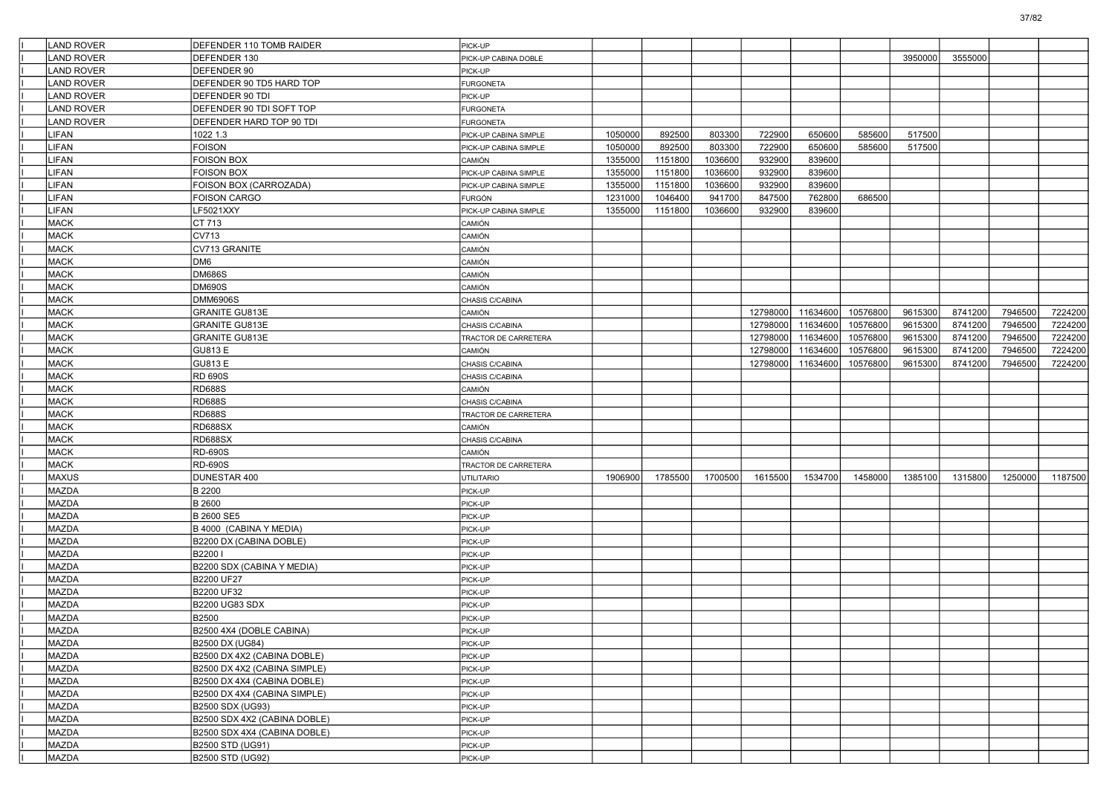| <b>LAND ROVER</b> | DEFENDER 110 TOMB RAIDER     | PICK-UP               |         |         |         |          |          |          |         |         |         |         |
|-------------------|------------------------------|-----------------------|---------|---------|---------|----------|----------|----------|---------|---------|---------|---------|
| <b>LAND ROVER</b> | DEFENDER 130                 | PICK-UP CABINA DOBLE  |         |         |         |          |          |          | 3950000 | 3555000 |         |         |
| <b>LAND ROVER</b> | DEFENDER 90                  | PICK-UP               |         |         |         |          |          |          |         |         |         |         |
| <b>LAND ROVER</b> | DEFENDER 90 TD5 HARD TOP     | <b>FURGONETA</b>      |         |         |         |          |          |          |         |         |         |         |
| <b>LAND ROVER</b> | DEFENDER 90 TDI              | PICK-UP               |         |         |         |          |          |          |         |         |         |         |
| <b>LAND ROVER</b> | DEFENDER 90 TDI SOFT TOP     | <b>FURGONETA</b>      |         |         |         |          |          |          |         |         |         |         |
| <b>LAND ROVER</b> | DEFENDER HARD TOP 90 TDI     | <b>FURGONETA</b>      |         |         |         |          |          |          |         |         |         |         |
| <b>LIFAN</b>      | 1022 1.3                     | PICK-UP CABINA SIMPLE | 1050000 | 892500  | 803300  | 722900   | 650600   | 585600   | 517500  |         |         |         |
| LIFAN             | <b>FOISON</b>                | PICK-UP CABINA SIMPLE | 1050000 | 892500  | 803300  | 722900   | 650600   | 585600   | 517500  |         |         |         |
| LIFAN             | <b>FOISON BOX</b>            | CAMIÓN                | 1355000 | 1151800 | 1036600 | 932900   | 839600   |          |         |         |         |         |
| LIFAN             | <b>FOISON BOX</b>            | PICK-UP CABINA SIMPLE | 1355000 | 1151800 | 1036600 | 932900   | 839600   |          |         |         |         |         |
| LIFAN             | FOISON BOX (CARROZADA)       | PICK-UP CABINA SIMPLE | 1355000 | 1151800 | 1036600 | 932900   | 839600   |          |         |         |         |         |
| LIFAN             | <b>FOISON CARGO</b>          | FURGÓN                | 1231000 | 1046400 | 941700  | 847500   | 762800   | 686500   |         |         |         |         |
| LIFAN             | LF5021XXY                    | PICK-UP CABINA SIMPLE | 1355000 | 1151800 | 1036600 | 932900   | 839600   |          |         |         |         |         |
| <b>MACK</b>       | CT 713                       | CAMIÓN                |         |         |         |          |          |          |         |         |         |         |
| <b>MACK</b>       | CV713                        | CAMIÓN                |         |         |         |          |          |          |         |         |         |         |
| <b>MACK</b>       | CV713 GRANITE                | CAMIÓN                |         |         |         |          |          |          |         |         |         |         |
| <b>MACK</b>       | DM6                          | CAMIÓN                |         |         |         |          |          |          |         |         |         |         |
| <b>MACK</b>       | <b>DM686S</b>                | CAMIÓN                |         |         |         |          |          |          |         |         |         |         |
| <b>MACK</b>       | <b>DM690S</b>                | CAMIÓN                |         |         |         |          |          |          |         |         |         |         |
| <b>MACK</b>       | <b>DMM6906S</b>              | CHASIS C/CABINA       |         |         |         |          |          |          |         |         |         |         |
| <b>MACK</b>       | <b>GRANITE GU813E</b>        | CAMIÓN                |         |         |         | 12798000 | 11634600 | 10576800 | 9615300 | 8741200 | 7946500 | 7224200 |
| <b>MACK</b>       | <b>GRANITE GU813E</b>        | CHASIS C/CABINA       |         |         |         | 12798000 | 11634600 | 10576800 | 9615300 | 8741200 | 7946500 | 7224200 |
| <b>MACK</b>       | <b>GRANITE GU813E</b>        | TRACTOR DE CARRETERA  |         |         |         | 12798000 | 11634600 | 10576800 | 9615300 | 8741200 | 7946500 | 7224200 |
| <b>MACK</b>       | GU813 E                      | CAMIÓN                |         |         |         | 12798000 | 11634600 | 10576800 | 9615300 | 8741200 | 7946500 | 7224200 |
| <b>MACK</b>       | GU813 E                      | CHASIS C/CABINA       |         |         |         | 12798000 | 11634600 | 10576800 | 9615300 | 8741200 | 7946500 | 7224200 |
| <b>MACK</b>       | RD 690S                      | CHASIS C/CABINA       |         |         |         |          |          |          |         |         |         |         |
| <b>MACK</b>       | <b>RD688S</b>                | CAMIÓN                |         |         |         |          |          |          |         |         |         |         |
| <b>MACK</b>       | <b>RD688S</b>                | CHASIS C/CABINA       |         |         |         |          |          |          |         |         |         |         |
| <b>MACK</b>       | <b>RD688S</b>                | TRACTOR DE CARRETERA  |         |         |         |          |          |          |         |         |         |         |
| <b>MACK</b>       | <b>RD688SX</b>               | CAMIÓN                |         |         |         |          |          |          |         |         |         |         |
| <b>MACK</b>       | RD688SX                      | CHASIS C/CABINA       |         |         |         |          |          |          |         |         |         |         |
| <b>MACK</b>       | <b>RD-690S</b>               | CAMIÓN                |         |         |         |          |          |          |         |         |         |         |
| <b>MACK</b>       | <b>RD-690S</b>               | TRACTOR DE CARRETERA  |         |         |         |          |          |          |         |         |         |         |
| <b>MAXUS</b>      | DUNESTAR 400                 | UTILITARIO            | 1906900 | 1785500 | 1700500 | 1615500  | 1534700  | 1458000  | 1385100 | 1315800 | 1250000 | 1187500 |
| MAZDA             | <b>B</b> 2200                | PICK-UP               |         |         |         |          |          |          |         |         |         |         |
| MAZDA             | <b>B2600</b>                 | PICK-UP               |         |         |         |          |          |          |         |         |         |         |
| MAZDA             | <b>B 2600 SE5</b>            | PICK-UP               |         |         |         |          |          |          |         |         |         |         |
| MAZDA             | B 4000 (CABINA Y MEDIA)      | PICK-UP               |         |         |         |          |          |          |         |         |         |         |
| MAZDA             | B2200 DX (CABINA DOBLE)      | PICK-UP               |         |         |         |          |          |          |         |         |         |         |
| MAZDA             | B2200 I                      | PICK-UP               |         |         |         |          |          |          |         |         |         |         |
| MAZDA             | B2200 SDX (CABINA Y MEDIA)   | PICK-UP               |         |         |         |          |          |          |         |         |         |         |
| MAZDA             | B2200 UF27                   | PICK-UP               |         |         |         |          |          |          |         |         |         |         |
| MAZDA             | B2200 UF32                   | PICK-UP               |         |         |         |          |          |          |         |         |         |         |
| MAZDA             | B2200 UG83 SDX               | PICK-UP               |         |         |         |          |          |          |         |         |         |         |
| MAZDA             | B2500                        | PICK-UP               |         |         |         |          |          |          |         |         |         |         |
| MAZDA             | B2500 4X4 (DOBLE CABINA)     | PICK-UP               |         |         |         |          |          |          |         |         |         |         |
| <b>MAZDA</b>      | B2500 DX (UG84)              | PICK-UP               |         |         |         |          |          |          |         |         |         |         |
| MAZDA             | B2500 DX 4X2 (CABINA DOBLE)  | PICK-UP               |         |         |         |          |          |          |         |         |         |         |
| MAZDA             | B2500 DX 4X2 (CABINA SIMPLE) | PICK-UP               |         |         |         |          |          |          |         |         |         |         |
| MAZDA             | B2500 DX 4X4 (CABINA DOBLE)  | PICK-UP               |         |         |         |          |          |          |         |         |         |         |
| MAZDA             | B2500 DX 4X4 (CABINA SIMPLE) | PICK-UP               |         |         |         |          |          |          |         |         |         |         |
| MAZDA             | B2500 SDX (UG93)             | PICK-UP               |         |         |         |          |          |          |         |         |         |         |
| MAZDA             | B2500 SDX 4X2 (CABINA DOBLE) | PICK-UP               |         |         |         |          |          |          |         |         |         |         |
| MAZDA             | B2500 SDX 4X4 (CABINA DOBLE) | PICK-UP               |         |         |         |          |          |          |         |         |         |         |
| MAZDA             | B2500 STD (UG91)             | PICK-UP               |         |         |         |          |          |          |         |         |         |         |
| MAZDA             |                              |                       |         |         |         |          |          |          |         |         |         |         |
|                   | <b>B2500 STD (UG92)</b>      | PICK-UP               |         |         |         |          |          |          |         |         |         |         |

37/82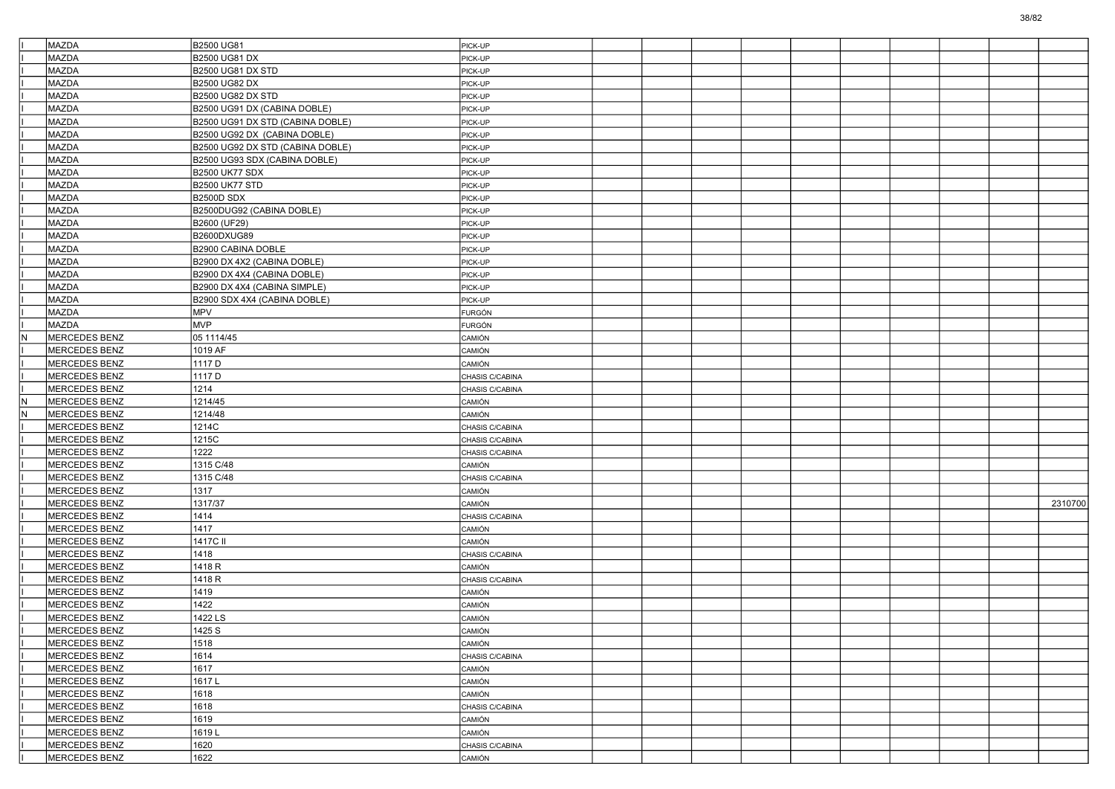|     | MAZDA                          | B2500 UG81                       | PICK-UP          |  |  |  |  |         |
|-----|--------------------------------|----------------------------------|------------------|--|--|--|--|---------|
|     | <b>MAZDA</b>                   | B2500 UG81 DX                    | PICK-UP          |  |  |  |  |         |
|     | <b>MAZDA</b>                   | <b>B2500 UG81 DX STD</b>         | PICK-UP          |  |  |  |  |         |
|     | MAZDA                          | B2500 UG82 DX                    | PICK-UP          |  |  |  |  |         |
|     | <b>MAZDA</b>                   | <b>B2500 UG82 DX STD</b>         | PICK-UP          |  |  |  |  |         |
|     | MAZDA                          | B2500 UG91 DX (CABINA DOBLE)     | PICK-UP          |  |  |  |  |         |
|     | MAZDA                          | B2500 UG91 DX STD (CABINA DOBLE) | PICK-UP          |  |  |  |  |         |
|     | <b>MAZDA</b>                   | B2500 UG92 DX (CABINA DOBLE)     | PICK-UP          |  |  |  |  |         |
|     | MAZDA                          | B2500 UG92 DX STD (CABINA DOBLE) | PICK-UP          |  |  |  |  |         |
|     | <b>MAZDA</b>                   | B2500 UG93 SDX (CABINA DOBLE)    | PICK-UP          |  |  |  |  |         |
|     | MAZDA                          | <b>B2500 UK77 SDX</b>            | PICK-UP          |  |  |  |  |         |
|     | MAZDA                          | <b>B2500 UK77 STD</b>            | PICK-UP          |  |  |  |  |         |
|     | <b>MAZDA</b>                   | <b>B2500D SDX</b>                | PICK-UP          |  |  |  |  |         |
|     | MAZDA                          | B2500DUG92 (CABINA DOBLE)        | PICK-UP          |  |  |  |  |         |
|     | <b>MAZDA</b>                   | B2600 (UF29)                     | PICK-UP          |  |  |  |  |         |
|     | MAZDA                          | B2600DXUG89                      | PICK-UP          |  |  |  |  |         |
|     | MAZDA                          | B2900 CABINA DOBLE               | PICK-UP          |  |  |  |  |         |
|     | MAZDA                          | B2900 DX 4X2 (CABINA DOBLE)      | PICK-UP          |  |  |  |  |         |
|     | MAZDA                          | B2900 DX 4X4 (CABINA DOBLE)      | PICK-UP          |  |  |  |  |         |
|     | MAZDA                          | B2900 DX 4X4 (CABINA SIMPLE)     | PICK-UP          |  |  |  |  |         |
|     | MAZDA                          | B2900 SDX 4X4 (CABINA DOBLE)     | PICK-UP          |  |  |  |  |         |
|     | MAZDA                          | MPV                              | <b>FURGÓN</b>    |  |  |  |  |         |
|     | MAZDA                          | <b>MVP</b>                       | FURGÓN           |  |  |  |  |         |
| IN. | MERCEDES BENZ                  | 05 1114/45                       | <b>CAMIÓN</b>    |  |  |  |  |         |
|     | MERCEDES BENZ                  | 1019 AF                          | CAMIÓN           |  |  |  |  |         |
|     | <b>MERCEDES BENZ</b>           | 1117 D                           | CAMIÓN           |  |  |  |  |         |
|     | <b>MERCEDES BENZ</b>           | 1117 D                           | CHASIS C/CABINA  |  |  |  |  |         |
|     | MERCEDES BENZ                  | 1214                             | CHASIS C/CABINA  |  |  |  |  |         |
| IN. | MERCEDES BENZ                  | 1214/45                          | CAMIÓN           |  |  |  |  |         |
| IN. | MERCEDES BENZ                  | 1214/48                          | CAMIÓN           |  |  |  |  |         |
|     | MERCEDES BENZ                  | 1214C                            | CHASIS C/CABINA  |  |  |  |  |         |
|     | <b>MERCEDES BENZ</b>           | 1215C                            | CHASIS C/CABINA  |  |  |  |  |         |
|     | MERCEDES BENZ                  | 1222                             | CHASIS C/CABINA  |  |  |  |  |         |
|     | MERCEDES BENZ                  | 1315 C/48                        | <b>CAMIÓN</b>    |  |  |  |  |         |
|     | MERCEDES BENZ                  | 1315 C/48                        | CHASIS C/CABINA  |  |  |  |  |         |
|     | MERCEDES BENZ                  | 1317                             | CAMIÓN           |  |  |  |  |         |
|     | <b>MERCEDES BENZ</b>           | 1317/37                          | CAMIÓN           |  |  |  |  | 2310700 |
|     | MERCEDES BENZ                  | 1414                             | CHASIS C/CABINA  |  |  |  |  |         |
|     | MERCEDES BENZ                  | 1417                             | <b>CAMIÓN</b>    |  |  |  |  |         |
|     | MERCEDES BENZ                  | 1417C II                         | CAMIÓN           |  |  |  |  |         |
|     | MERCEDES BENZ                  | 1418                             | CHASIS C/CABINA  |  |  |  |  |         |
|     | <b>MERCEDES BENZ</b>           | 1418 R                           | CAMIÓN           |  |  |  |  |         |
|     | MERCEDES BENZ                  | 1418 R                           |                  |  |  |  |  |         |
|     | MERCEDES BENZ                  | 1419                             | CHASIS C/CABINA  |  |  |  |  |         |
|     | MERCEDES BENZ                  | 1422                             | CAMIÓN<br>CAMIÓN |  |  |  |  |         |
|     | <b>MERCEDES BENZ</b>           | 1422 LS                          | CAMIÓN           |  |  |  |  |         |
|     | MERCEDES BENZ                  | 1425 S                           |                  |  |  |  |  |         |
|     |                                | 1518                             | CAMION           |  |  |  |  |         |
|     | MERCEDES BENZ<br>MERCEDES BENZ |                                  | <b>CAMIÓN</b>    |  |  |  |  |         |
|     | MERCEDES BENZ                  | 1614<br>1617                     | CHASIS C/CABINA  |  |  |  |  |         |
|     | MERCEDES BENZ                  | 1617L                            | CAMIÓN           |  |  |  |  |         |
|     |                                |                                  | CAMIÓN           |  |  |  |  |         |
|     | MERCEDES BENZ                  | 1618                             | CAMIÓN           |  |  |  |  |         |
|     | MERCEDES BENZ                  | 1618                             | CHASIS C/CABINA  |  |  |  |  |         |
|     | MERCEDES BENZ                  | 1619                             | CAMIÓN           |  |  |  |  |         |
|     | MERCEDES BENZ                  | 1619L                            | CAMIÓN           |  |  |  |  |         |
|     | MERCEDES BENZ                  | 1620                             | CHASIS C/CABINA  |  |  |  |  |         |
|     | MERCEDES BENZ                  | 1622                             | CAMIÓN           |  |  |  |  |         |

38/82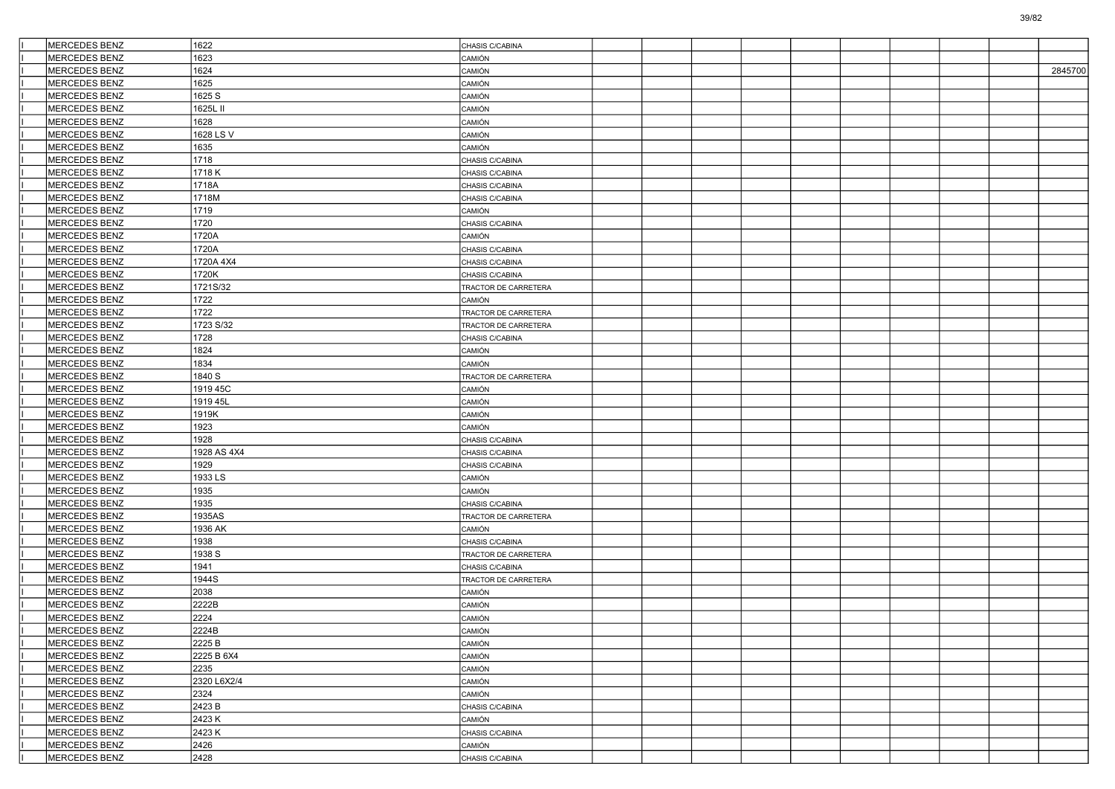| MERCEDES BENZ        | 1622        | CHASIS C/CABINA      |  |  |  |  |         |
|----------------------|-------------|----------------------|--|--|--|--|---------|
| <b>MERCEDES BENZ</b> | 1623        | CAMIÓN               |  |  |  |  |         |
| MERCEDES BENZ        | 1624        | CAMIÓN               |  |  |  |  | 2845700 |
| MERCEDES BENZ        | 1625        | CAMIÓN               |  |  |  |  |         |
| MERCEDES BENZ        | 1625 S      | CAMIÓN               |  |  |  |  |         |
| MERCEDES BENZ        | 1625L II    | CAMIÓN               |  |  |  |  |         |
| MERCEDES BENZ        | 1628        | CAMIÓN               |  |  |  |  |         |
| MERCEDES BENZ        | 1628 LS V   | CAMIÓN               |  |  |  |  |         |
| MERCEDES BENZ        | 1635        | CAMIÓN               |  |  |  |  |         |
| MERCEDES BENZ        | 1718        | CHASIS C/CABINA      |  |  |  |  |         |
| MERCEDES BENZ        | 1718K       | CHASIS C/CABINA      |  |  |  |  |         |
| MERCEDES BENZ        | 1718A       | CHASIS C/CABINA      |  |  |  |  |         |
| MERCEDES BENZ        | 1718M       | CHASIS C/CABINA      |  |  |  |  |         |
| MERCEDES BENZ        | 1719        | CAMIÓN               |  |  |  |  |         |
| MERCEDES BENZ        | 1720        | CHASIS C/CABINA      |  |  |  |  |         |
| MERCEDES BENZ        | 1720A       | CAMIÓN               |  |  |  |  |         |
| MERCEDES BENZ        | 1720A       | CHASIS C/CABINA      |  |  |  |  |         |
| MERCEDES BENZ        | 1720A 4X4   | CHASIS C/CABINA      |  |  |  |  |         |
| MERCEDES BENZ        | 1720K       | CHASIS C/CABINA      |  |  |  |  |         |
| MERCEDES BENZ        | 1721S/32    | TRACTOR DE CARRETERA |  |  |  |  |         |
| MERCEDES BENZ        | 1722        | CAMIÓN               |  |  |  |  |         |
| <b>MERCEDES BENZ</b> | 1722        | TRACTOR DE CARRETERA |  |  |  |  |         |
| <b>MERCEDES BENZ</b> | 1723 S/32   | TRACTOR DE CARRETERA |  |  |  |  |         |
| MERCEDES BENZ        | 1728        | CHASIS C/CABINA      |  |  |  |  |         |
| MERCEDES BENZ        | 1824        | CAMIÓN               |  |  |  |  |         |
| MERCEDES BENZ        | 1834        | CAMIÓN               |  |  |  |  |         |
| MERCEDES BENZ        | 1840 S      | TRACTOR DE CARRETERA |  |  |  |  |         |
| MERCEDES BENZ        | 1919 45C    | CAMIÓN               |  |  |  |  |         |
| MERCEDES BENZ        | 1919 45L    | CAMIÓN               |  |  |  |  |         |
| MERCEDES BENZ        | 1919K       |                      |  |  |  |  |         |
| MERCEDES BENZ        | 1923        | CAMIÓN<br>CAMIÓN     |  |  |  |  |         |
| MERCEDES BENZ        | 1928        |                      |  |  |  |  |         |
| <b>MERCEDES BENZ</b> | 1928 AS 4X4 | CHASIS C/CABINA      |  |  |  |  |         |
|                      |             | CHASIS C/CABINA      |  |  |  |  |         |
| MERCEDES BENZ        | 1929        | CHASIS C/CABINA      |  |  |  |  |         |
| MERCEDES BENZ        | 1933 LS     | CAMIÓN               |  |  |  |  |         |
| MERCEDES BENZ        | 1935        | CAMIÓN               |  |  |  |  |         |
| MERCEDES BENZ        | 1935        | CHASIS C/CABINA      |  |  |  |  |         |
| MERCEDES BENZ        | 1935AS      | TRACTOR DE CARRETERA |  |  |  |  |         |
| MERCEDES BENZ        | 1936 AK     | CAMIÓN               |  |  |  |  |         |
| MERCEDES BENZ        | 1938        | CHASIS C/CABINA      |  |  |  |  |         |
| MERCEDES BENZ        | 1938 S      | TRACTOR DE CARRETERA |  |  |  |  |         |
| MERCEDES BENZ        | 1941        | CHASIS C/CABINA      |  |  |  |  |         |
| MERCEDES BENZ        | 1944S       | TRACTOR DE CARRETERA |  |  |  |  |         |
| MERCEDES BENZ        | 2038        | CAMIÓN               |  |  |  |  |         |
| <b>MERCEDES BENZ</b> | 2222B       | CAMIÓN               |  |  |  |  |         |
| MERCEDES BENZ        | 2224        | CAMIÓN               |  |  |  |  |         |
| MERCEDES BENZ        | 2224B       | CAMION               |  |  |  |  |         |
| MERCEDES BENZ        | 2225 B      | CAMIÓN               |  |  |  |  |         |
| MERCEDES BENZ        | 2225 B 6X4  | CAMIÓN               |  |  |  |  |         |
| MERCEDES BENZ        | 2235        | CAMIÓN               |  |  |  |  |         |
| <b>MERCEDES BENZ</b> | 2320 L6X2/4 | CAMIÓN               |  |  |  |  |         |
| MERCEDES BENZ        | 2324        | CAMIÓN               |  |  |  |  |         |
| MERCEDES BENZ        | 2423 B      | CHASIS C/CABINA      |  |  |  |  |         |
| MERCEDES BENZ        | 2423 K      | CAMIÓN               |  |  |  |  |         |
| MERCEDES BENZ        | 2423 K      | CHASIS C/CABINA      |  |  |  |  |         |
| MERCEDES BENZ        | 2426        | CAMIÓN               |  |  |  |  |         |
| MERCEDES BENZ        | 2428        | CHASIS C/CABINA      |  |  |  |  |         |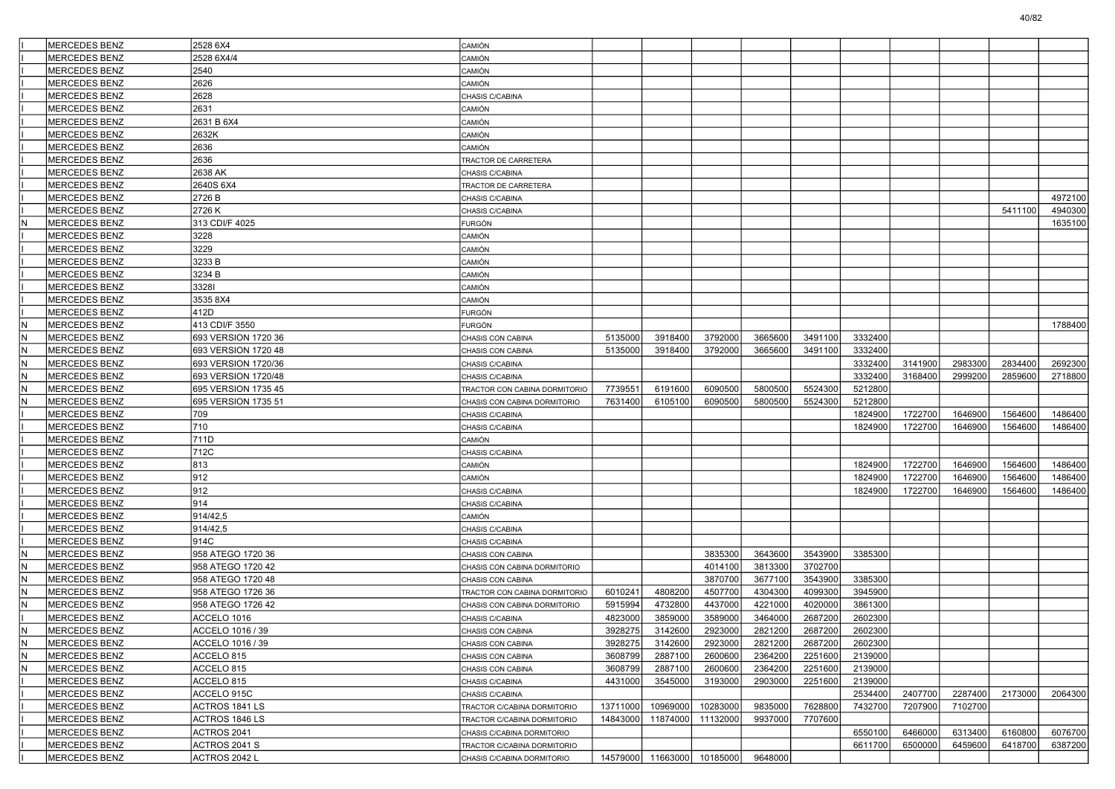|     | MERCEDES BENZ         | 2528 6X4            | <b>CAMIÓN</b>                 |          |                            |          |         |         |         |         |         |         |         |
|-----|-----------------------|---------------------|-------------------------------|----------|----------------------------|----------|---------|---------|---------|---------|---------|---------|---------|
|     | <b>MERCEDES BENZ</b>  | 2528 6X4/4          | CAMIÓN                        |          |                            |          |         |         |         |         |         |         |         |
|     | <b>MERCEDES BENZ</b>  | 2540                | CAMIÓN                        |          |                            |          |         |         |         |         |         |         |         |
|     | <b>IMERCEDES BENZ</b> | 2626                | CAMIÓN                        |          |                            |          |         |         |         |         |         |         |         |
|     | MERCEDES BENZ         | 2628                | CHASIS C/CABINA               |          |                            |          |         |         |         |         |         |         |         |
|     | MERCEDES BENZ         | 2631                | CAMIÓN                        |          |                            |          |         |         |         |         |         |         |         |
|     | MERCEDES BENZ         | 2631 B 6X4          | CAMIÓN                        |          |                            |          |         |         |         |         |         |         |         |
|     | MERCEDES BENZ         | 2632K               | CAMIÓN                        |          |                            |          |         |         |         |         |         |         |         |
|     | <b>MERCEDES BENZ</b>  | 2636                | CAMIÓN                        |          |                            |          |         |         |         |         |         |         |         |
|     | MERCEDES BENZ         | 2636                | TRACTOR DE CARRETERA          |          |                            |          |         |         |         |         |         |         |         |
|     | MERCEDES BENZ         | 2638 AK             | CHASIS C/CABINA               |          |                            |          |         |         |         |         |         |         |         |
|     | <b>MERCEDES BENZ</b>  | 2640S 6X4           | <b>FRACTOR DE CARRETERA</b>   |          |                            |          |         |         |         |         |         |         |         |
|     | MERCEDES BENZ         | 2726 B              | CHASIS C/CABINA               |          |                            |          |         |         |         |         |         |         | 4972100 |
|     | <b>MERCEDES BENZ</b>  | 2726 K              | CHASIS C/CABINA               |          |                            |          |         |         |         |         |         | 5411100 | 4940300 |
|     | MERCEDES BENZ         | 313 CDI/F 4025      | <b>FURGÓN</b>                 |          |                            |          |         |         |         |         |         |         | 1635100 |
|     | MERCEDES BENZ         | 3228                | CAMIÓN                        |          |                            |          |         |         |         |         |         |         |         |
|     | MERCEDES BENZ         | 3229                | CAMIÓN                        |          |                            |          |         |         |         |         |         |         |         |
|     | MERCEDES BENZ         | 3233 B              | CAMIÓN                        |          |                            |          |         |         |         |         |         |         |         |
|     | <b>MERCEDES BENZ</b>  | 3234 B              | CAMIÓN                        |          |                            |          |         |         |         |         |         |         |         |
|     | MERCEDES BENZ         | 33281               | CAMIÓN                        |          |                            |          |         |         |         |         |         |         |         |
|     | MERCEDES BENZ         | 3535 8X4            | CAMIÓN                        |          |                            |          |         |         |         |         |         |         |         |
|     | <b>MERCEDES BENZ</b>  | 412D                | FURGÓN                        |          |                            |          |         |         |         |         |         |         |         |
|     | MERCEDES BENZ         | 413 CDI/F 3550      | FURGÓN                        |          |                            |          |         |         |         |         |         |         | 1788400 |
| ١N  | MERCEDES BENZ         | 693 VERSION 1720 36 | CHASIS CON CABINA             | 5135000  | 3918400                    | 3792000  | 3665600 | 3491100 | 3332400 |         |         |         |         |
|     | MERCEDES BENZ         | 693 VERSION 1720 48 | CHASIS CON CABINA             | 5135000  | 3918400                    | 3792000  | 3665600 | 3491100 | 3332400 |         |         |         |         |
| IN. | MERCEDES BENZ         | 693 VERSION 1720/36 | CHASIS C/CABINA               |          |                            |          |         |         | 3332400 | 3141900 | 2983300 | 2834400 | 2692300 |
| lΝ  | MERCEDES BENZ         | 693 VERSION 1720/48 | CHASIS C/CABINA               |          |                            |          |         |         | 3332400 | 3168400 | 2999200 | 2859600 | 2718800 |
|     | MERCEDES BENZ         | 695 VERSION 1735 45 | TRACTOR CON CABINA DORMITORIO | 773955   | 6191600                    | 6090500  | 5800500 | 5524300 | 5212800 |         |         |         |         |
|     | <b>MERCEDES BENZ</b>  | 695 VERSION 1735 51 | CHASIS CON CABINA DORMITORIO  | 7631400  | 6105100                    | 6090500  | 5800500 | 5524300 | 5212800 |         |         |         |         |
|     | MERCEDES BENZ         | 709                 | CHASIS C/CABINA               |          |                            |          |         |         | 1824900 | 1722700 | 1646900 | 1564600 | 1486400 |
|     | MERCEDES BENZ         | 710                 | CHASIS C/CABINA               |          |                            |          |         |         | 1824900 | 1722700 | 1646900 | 1564600 | 1486400 |
|     | MERCEDES BENZ         | 711D                | CAMIÓN                        |          |                            |          |         |         |         |         |         |         |         |
|     | MERCEDES BENZ         | 712C                | CHASIS C/CABINA               |          |                            |          |         |         |         |         |         |         |         |
|     | MERCEDES BENZ         | 813                 | CAMIÓN                        |          |                            |          |         |         | 1824900 | 1722700 | 1646900 | 1564600 | 1486400 |
|     | MERCEDES BENZ         | 912                 | CAMIÓN                        |          |                            |          |         |         | 1824900 | 1722700 | 1646900 | 1564600 | 1486400 |
|     | MERCEDES BENZ         | 912                 | CHASIS C/CABINA               |          |                            |          |         |         | 1824900 | 1722700 | 1646900 | 1564600 | 1486400 |
|     | MERCEDES BENZ         | 914                 | CHASIS C/CABINA               |          |                            |          |         |         |         |         |         |         |         |
|     | MERCEDES BENZ         | 914/42,5            | CAMIÓN                        |          |                            |          |         |         |         |         |         |         |         |
|     | <b>MERCEDES BENZ</b>  | 914/42,5            | CHASIS C/CABINA               |          |                            |          |         |         |         |         |         |         |         |
|     | MERCEDES BENZ         | 914C                | CHASIS C/CABINA               |          |                            |          |         |         |         |         |         |         |         |
| İΝ  | MERCEDES BENZ         | 958 ATEGO 1720 36   | CHASIS CON CABINA             |          |                            | 3835300  | 3643600 | 3543900 | 3385300 |         |         |         |         |
|     | MERCEDES BENZ         | 958 ATEGO 1720 42   | CHASIS CON CABINA DORMITORIO  |          |                            | 4014100  | 3813300 | 3702700 |         |         |         |         |         |
|     | MERCEDES BENZ         | 958 ATEGO 1720 48   | CHASIS CON CABINA             |          |                            | 3870700  | 3677100 | 3543900 | 3385300 |         |         |         |         |
| N   | MERCEDES BENZ         | 958 ATEGO 1726 36   | TRACTOR CON CABINA DORMITORIO | 6010241  | 4808200                    | 4507700  | 4304300 | 4099300 | 3945900 |         |         |         |         |
|     | <b>MERCEDES BENZ</b>  | 958 ATEGO 1726 42   | CHASIS CON CABINA DORMITORIO  | 5915994  | 4732800                    | 4437000  | 4221000 | 4020000 | 3861300 |         |         |         |         |
|     | <b>MERCEDES BENZ</b>  | ACCELO 1016         | CHASIS C/CABINA               | 4823000  | 3859000                    | 3589000  | 3464000 | 2687200 | 2602300 |         |         |         |         |
|     | MERCEDES BENZ         | ACCELO 1016 / 39    | CHASIS CON CABINA             | 3928275  | 3142600                    | 2923000  | 2821200 | 2687200 | 2602300 |         |         |         |         |
|     | MERCEDES BENZ         | ACCELO 1016 / 39    | CHASIS CON CABINA             | 3928275  | 3142600                    | 2923000  | 2821200 | 2687200 | 2602300 |         |         |         |         |
| ١N  | MERCEDES BENZ         | ACCELO 815          | CHASIS CON CABINA             | 3608799  | 2887100                    | 2600600  | 2364200 | 2251600 | 2139000 |         |         |         |         |
| İΝ  | MERCEDES BENZ         | ACCELO 815          | CHASIS CON CABINA             | 3608799  | 2887100                    | 2600600  | 2364200 | 2251600 | 2139000 |         |         |         |         |
|     | MERCEDES BENZ         | ACCELO 815          | CHASIS C/CABINA               | 4431000  | 3545000                    | 3193000  | 2903000 | 2251600 | 2139000 |         |         |         |         |
|     | MERCEDES BENZ         | ACCELO 915C         | CHASIS C/CABINA               |          |                            |          |         |         | 2534400 | 2407700 | 2287400 | 2173000 | 2064300 |
|     | MERCEDES BENZ         | ACTROS 1841 LS      | TRACTOR C/CABINA DORMITORIO   | 13711000 | 10969000                   | 10283000 | 9835000 | 7628800 | 7432700 | 7207900 | 7102700 |         |         |
|     | MERCEDES BENZ         | ACTROS 1846 LS      | TRACTOR C/CABINA DORMITORIO   | 14843000 | 11874000                   | 11132000 | 9937000 | 7707600 |         |         |         |         |         |
|     | MERCEDES BENZ         | ACTROS 2041         | CHASIS C/CABINA DORMITORIO    |          |                            |          |         |         | 6550100 | 6466000 | 6313400 | 6160800 | 6076700 |
|     | MERCEDES BENZ         | ACTROS 2041 S       | TRACTOR C/CABINA DORMITORIO   |          |                            |          |         |         | 6611700 | 6500000 | 6459600 | 6418700 | 6387200 |
|     | MERCEDES BENZ         | ACTROS 2042 L       | CHASIS C/CABINA DORMITORIO    |          | 14579000 11663000 10185000 |          | 9648000 |         |         |         |         |         |         |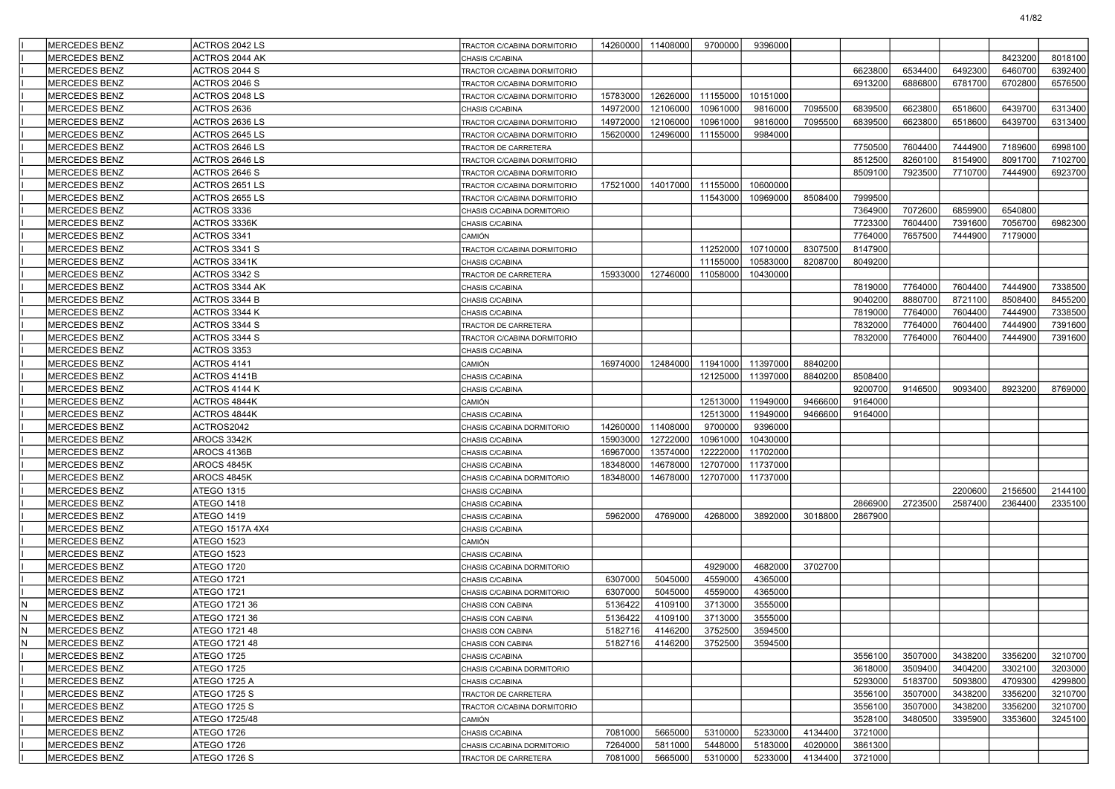|     | <b>MERCEDES BENZ</b> | ACTROS 2042 LS  | TRACTOR C/CABINA DORMITORIO | 14260000 | 11408000 | 9700000  | 9396000  |         |         |         |         |         |         |
|-----|----------------------|-----------------|-----------------------------|----------|----------|----------|----------|---------|---------|---------|---------|---------|---------|
|     | <b>MERCEDES BENZ</b> | ACTROS 2044 AK  | CHASIS C/CABINA             |          |          |          |          |         |         |         |         | 8423200 | 8018100 |
|     | <b>MERCEDES BENZ</b> | ACTROS 2044 S   | TRACTOR C/CABINA DORMITORIO |          |          |          |          |         | 6623800 | 6534400 | 6492300 | 6460700 | 6392400 |
|     | <b>MERCEDES BENZ</b> | ACTROS 2046 S   | TRACTOR C/CABINA DORMITORIO |          |          |          |          |         | 6913200 | 6886800 | 6781700 | 6702800 | 6576500 |
|     | <b>MERCEDES BENZ</b> | ACTROS 2048 LS  | TRACTOR C/CABINA DORMITORIO | 15783000 | 12626000 | 11155000 | 10151000 |         |         |         |         |         |         |
|     | MERCEDES BENZ        | ACTROS 2636     | CHASIS C/CABINA             | 14972000 | 12106000 | 10961000 | 9816000  | 7095500 | 6839500 | 6623800 | 6518600 | 6439700 | 6313400 |
|     | <b>MERCEDES BENZ</b> | ACTROS 2636 LS  | TRACTOR C/CABINA DORMITORIO | 14972000 | 12106000 | 10961000 | 9816000  | 7095500 | 6839500 | 6623800 | 6518600 | 6439700 | 6313400 |
|     | <b>MERCEDES BENZ</b> | ACTROS 2645 LS  | TRACTOR C/CABINA DORMITORIO | 15620000 | 12496000 | 11155000 | 9984000  |         |         |         |         |         |         |
|     | <b>MERCEDES BENZ</b> | ACTROS 2646 LS  | TRACTOR DE CARRETERA        |          |          |          |          |         | 7750500 | 7604400 | 7444900 | 7189600 | 6998100 |
|     | <b>MERCEDES BENZ</b> | ACTROS 2646 LS  | TRACTOR C/CABINA DORMITORIO |          |          |          |          |         | 8512500 | 8260100 | 8154900 | 8091700 | 7102700 |
|     | <b>MERCEDES BENZ</b> | ACTROS 2646 S   | TRACTOR C/CABINA DORMITORIO |          |          |          |          |         | 8509100 | 7923500 | 7710700 | 7444900 | 6923700 |
|     | <b>MERCEDES BENZ</b> | ACTROS 2651 LS  | TRACTOR C/CABINA DORMITORIO | 17521000 | 14017000 | 11155000 | 10600000 |         |         |         |         |         |         |
|     | <b>MERCEDES BENZ</b> | ACTROS 2655 LS  | TRACTOR C/CABINA DORMITORIO |          |          | 11543000 | 10969000 | 8508400 | 7999500 |         |         |         |         |
|     | <b>MERCEDES BENZ</b> | ACTROS 3336     | CHASIS C/CABINA DORMITORIO  |          |          |          |          |         | 7364900 | 7072600 | 6859900 | 6540800 |         |
|     | <b>MERCEDES BENZ</b> | ACTROS 3336K    | CHASIS C/CABINA             |          |          |          |          |         | 7723300 | 7604400 | 7391600 | 7056700 | 6982300 |
|     | <b>MERCEDES BENZ</b> | ACTROS 3341     | CAMIÓN                      |          |          |          |          |         | 7764000 | 7657500 | 7444900 | 7179000 |         |
|     | <b>MERCEDES BENZ</b> | ACTROS 3341 S   | TRACTOR C/CABINA DORMITORIO |          |          | 11252000 | 10710000 | 8307500 | 8147900 |         |         |         |         |
|     | <b>MERCEDES BENZ</b> | ACTROS 3341K    | CHASIS C/CABINA             |          |          | 11155000 | 10583000 | 8208700 | 8049200 |         |         |         |         |
|     | <b>MERCEDES BENZ</b> | ACTROS 3342 S   | TRACTOR DE CARRETERA        | 15933000 | 12746000 | 11058000 | 10430000 |         |         |         |         |         |         |
|     | <b>MERCEDES BENZ</b> | ACTROS 3344 AK  | CHASIS C/CABINA             |          |          |          |          |         | 7819000 | 7764000 | 7604400 | 7444900 | 7338500 |
|     | MERCEDES BENZ        | ACTROS 3344 B   | CHASIS C/CABINA             |          |          |          |          |         | 9040200 | 8880700 | 8721100 | 8508400 | 8455200 |
|     | <b>MERCEDES BENZ</b> | ACTROS 3344 K   | CHASIS C/CABINA             |          |          |          |          |         | 7819000 | 7764000 | 7604400 | 7444900 | 7338500 |
|     | <b>MERCEDES BENZ</b> | ACTROS 3344 S   | TRACTOR DE CARRETERA        |          |          |          |          |         | 7832000 | 7764000 | 7604400 | 7444900 | 7391600 |
|     | <b>MERCEDES BENZ</b> | ACTROS 3344 S   | TRACTOR C/CABINA DORMITORIO |          |          |          |          |         | 7832000 | 7764000 | 7604400 | 7444900 | 7391600 |
|     | <b>MERCEDES BENZ</b> | ACTROS 3353     | CHASIS C/CABINA             |          |          |          |          |         |         |         |         |         |         |
|     | <b>MERCEDES BENZ</b> | ACTROS 4141     | CAMIÓN                      | 16974000 | 12484000 | 11941000 | 11397000 | 8840200 |         |         |         |         |         |
|     | <b>MERCEDES BENZ</b> | ACTROS 4141B    | CHASIS C/CABINA             |          |          | 12125000 | 11397000 | 8840200 | 8508400 |         |         |         |         |
|     | <b>MERCEDES BENZ</b> | ACTROS 4144 K   | CHASIS C/CABINA             |          |          |          |          |         | 9200700 | 9146500 | 9093400 | 8923200 | 8769000 |
|     | <b>MERCEDES BENZ</b> | ACTROS 4844K    | <b>CAMIÓN</b>               |          |          | 12513000 | 11949000 | 9466600 | 9164000 |         |         |         |         |
|     | <b>MERCEDES BENZ</b> | ACTROS 4844K    | CHASIS C/CABINA             |          |          | 12513000 | 11949000 | 9466600 | 9164000 |         |         |         |         |
|     | <b>MERCEDES BENZ</b> | ACTROS2042      | CHASIS C/CABINA DORMITORIO  | 14260000 | 11408000 | 9700000  | 9396000  |         |         |         |         |         |         |
|     | <b>MERCEDES BENZ</b> | AROCS 3342K     | CHASIS C/CABINA             | 15903000 | 12722000 | 10961000 | 10430000 |         |         |         |         |         |         |
|     | <b>MERCEDES BENZ</b> | AROCS 4136B     | CHASIS C/CABINA             | 16967000 | 13574000 | 12222000 | 11702000 |         |         |         |         |         |         |
|     | <b>MERCEDES BENZ</b> | AROCS 4845K     | CHASIS C/CABINA             | 18348000 | 14678000 | 12707000 | 11737000 |         |         |         |         |         |         |
|     | <b>MERCEDES BENZ</b> | AROCS 4845K     | CHASIS C/CABINA DORMITORIO  | 18348000 | 14678000 | 12707000 | 11737000 |         |         |         |         |         |         |
|     | <b>MERCEDES BENZ</b> | ATEGO 1315      | CHASIS C/CABINA             |          |          |          |          |         |         |         | 2200600 | 2156500 | 2144100 |
|     | <b>MERCEDES BENZ</b> | ATEGO 1418      | CHASIS C/CABINA             |          |          |          |          |         | 2866900 | 2723500 | 2587400 | 2364400 | 2335100 |
|     | <b>MERCEDES BENZ</b> | ATEGO 1419      | CHASIS C/CABINA             | 5962000  | 4769000  | 4268000  | 3892000  | 3018800 | 2867900 |         |         |         |         |
|     | <b>MERCEDES BENZ</b> | ATEGO 1517A 4X4 | CHASIS C/CABINA             |          |          |          |          |         |         |         |         |         |         |
|     | <b>MERCEDES BENZ</b> | ATEGO 1523      | CAMIÓN                      |          |          |          |          |         |         |         |         |         |         |
|     | <b>MERCEDES BENZ</b> | ATEGO 1523      | CHASIS C/CABINA             |          |          |          |          |         |         |         |         |         |         |
|     | <b>MERCEDES BENZ</b> | ATEGO 1720      | CHASIS C/CABINA DORMITORIO  |          |          | 4929000  | 4682000  | 3702700 |         |         |         |         |         |
|     | <b>MERCEDES BENZ</b> | ATEGO 1721      | CHASIS C/CABINA             | 6307000  | 5045000  | 4559000  | 4365000  |         |         |         |         |         |         |
|     | <b>MERCEDES BENZ</b> | ATEGO 1721      | CHASIS C/CABINA DORMITORIO  | 6307000  | 5045000  | 4559000  | 4365000  |         |         |         |         |         |         |
| N   | <b>MERCEDES BENZ</b> | ATEGO 1721 36   | CHASIS CON CABINA           | 5136422  | 4109100  | 3713000  | 3555000  |         |         |         |         |         |         |
| N   | <b>MERCEDES BENZ</b> | ATEGO 1721 36   | CHASIS CON CABINA           | 5136422  | 4109100  | 3713000  | 3555000  |         |         |         |         |         |         |
| IN. | <b>MERCEDES BENZ</b> | ATEGO 1721 48   | CHASIS CON CABINA           | 5182716  | 4146200  | 3752500  | 3594500  |         |         |         |         |         |         |
| IN. | MERCEDES BENZ        | ATEGO 1721 48   | CHASIS CON CABINA           | 5182716  | 4146200  | 3752500  | 3594500  |         |         |         |         |         |         |
|     | <b>MERCEDES BENZ</b> | ATEGO 1725      | CHASIS C/CABINA             |          |          |          |          |         | 3556100 | 3507000 | 3438200 | 3356200 | 3210700 |
|     | MERCEDES BENZ        | ATEGO 1725      | CHASIS C/CABINA DORMITORIO  |          |          |          |          |         | 3618000 | 3509400 | 3404200 | 3302100 | 3203000 |
|     | MERCEDES BENZ        | ATEGO 1725 A    | CHASIS C/CABINA             |          |          |          |          |         | 5293000 | 5183700 | 5093800 | 4709300 | 4299800 |
|     | MERCEDES BENZ        | ATEGO 1725 S    | TRACTOR DE CARRETERA        |          |          |          |          |         | 3556100 | 3507000 | 3438200 | 3356200 | 3210700 |
|     | MERCEDES BENZ        | ATEGO 1725 S    | TRACTOR C/CABINA DORMITORIO |          |          |          |          |         | 3556100 | 3507000 | 3438200 | 3356200 | 3210700 |
|     | <b>MERCEDES BENZ</b> | ATEGO 1725/48   | CAMIÓN                      |          |          |          |          |         | 3528100 | 3480500 | 3395900 | 3353600 | 3245100 |
|     | MERCEDES BENZ        | ATEGO 1726      | CHASIS C/CABINA             | 7081000  | 5665000  | 5310000  | 5233000  | 4134400 | 3721000 |         |         |         |         |
|     | MERCEDES BENZ        | ATEGO 1726      | CHASIS C/CABINA DORMITORIO  | 7264000  | 5811000  | 5448000  | 5183000  | 4020000 | 3861300 |         |         |         |         |
|     | MERCEDES BENZ        | ATEGO 1726 S    | TRACTOR DE CARRETERA        | 7081000  | 5665000  | 5310000  | 5233000  | 4134400 | 3721000 |         |         |         |         |

41/82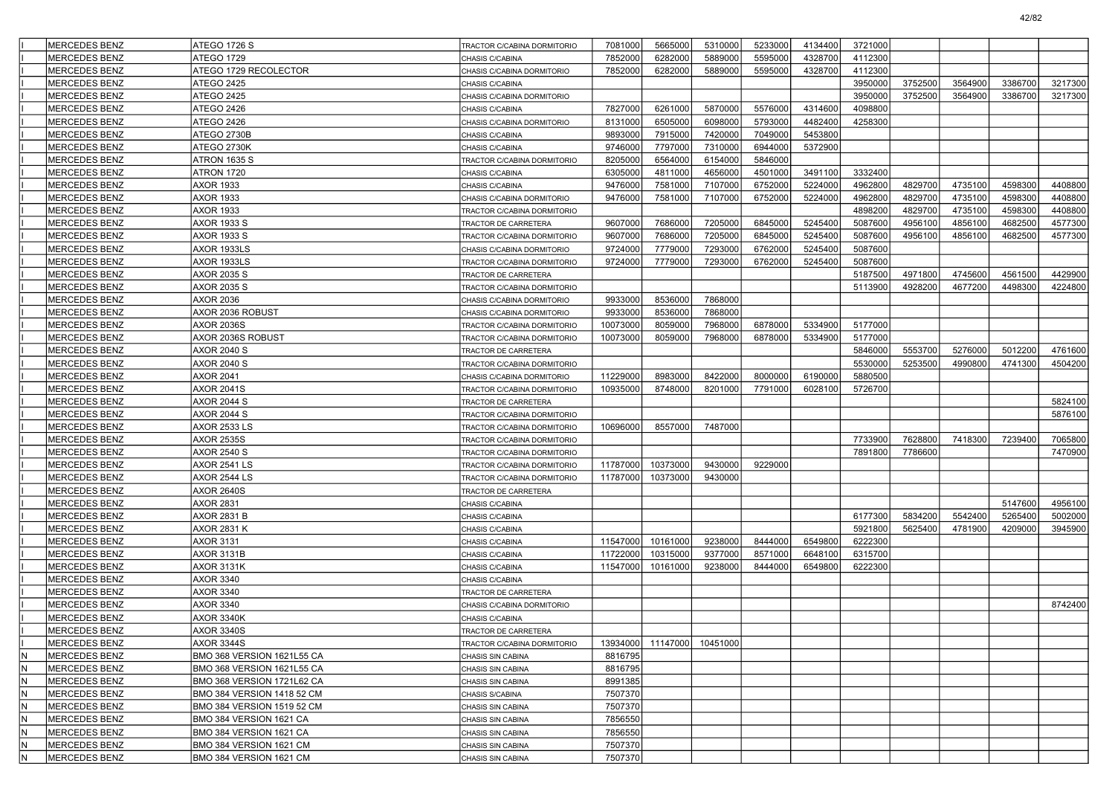|     | MERCEDES BENZ         | ATEGO 1726 S               | TRACTOR C/CABINA DORMITORIO | 7081000  | 5665000  | 5310000                        | 5233000 | 4134400 | 3721000 |         |         |         |         |
|-----|-----------------------|----------------------------|-----------------------------|----------|----------|--------------------------------|---------|---------|---------|---------|---------|---------|---------|
|     | <b>IMERCEDES BENZ</b> | ATEGO 1729                 | CHASIS C/CABINA             | 7852000  | 6282000  | 5889000                        | 5595000 | 4328700 | 4112300 |         |         |         |         |
|     | MERCEDES BENZ         | ATEGO 1729 RECOLECTOR      | CHASIS C/CABINA DORMITORIO  | 7852000  | 6282000  | 5889000                        | 5595000 | 4328700 | 4112300 |         |         |         |         |
|     | MERCEDES BENZ         | <b>ATEGO 2425</b>          | CHASIS C/CABINA             |          |          |                                |         |         | 3950000 | 3752500 | 3564900 | 3386700 | 3217300 |
|     | MERCEDES BENZ         | <b>ATEGO 2425</b>          | CHASIS C/CABINA DORMITORIO  |          |          |                                |         |         | 3950000 | 3752500 | 3564900 | 3386700 | 3217300 |
|     | MERCEDES BENZ         | ATEGO 2426                 | CHASIS C/CABINA             | 7827000  | 6261000  | 5870000                        | 5576000 | 4314600 | 4098800 |         |         |         |         |
|     | MERCEDES BENZ         | ATEGO 2426                 | CHASIS C/CABINA DORMITORIO  | 8131000  | 6505000  | 6098000                        | 5793000 | 4482400 | 4258300 |         |         |         |         |
|     | MERCEDES BENZ         | ATEGO 2730B                | CHASIS C/CABINA             | 9893000  | 7915000  | 7420000                        | 7049000 | 5453800 |         |         |         |         |         |
|     | MERCEDES BENZ         | ATEGO 2730K                | CHASIS C/CABINA             | 9746000  | 7797000  | 7310000                        | 6944000 | 5372900 |         |         |         |         |         |
|     | MERCEDES BENZ         | ATRON 1635 S               | TRACTOR C/CABINA DORMITORIO | 8205000  | 6564000  | 6154000                        | 5846000 |         |         |         |         |         |         |
|     | MERCEDES BENZ         | ATRON 1720                 | CHASIS C/CABINA             | 6305000  | 4811000  | 4656000                        | 4501000 | 3491100 | 3332400 |         |         |         |         |
|     | MERCEDES BENZ         | <b>AXOR 1933</b>           | CHASIS C/CABINA             | 9476000  | 7581000  | 7107000                        | 6752000 | 5224000 | 4962800 | 4829700 | 4735100 | 4598300 | 4408800 |
|     | MERCEDES BENZ         | <b>AXOR 1933</b>           | CHASIS C/CABINA DORMITORIO  | 9476000  | 7581000  | 7107000                        | 6752000 | 5224000 | 4962800 | 4829700 | 4735100 | 4598300 | 4408800 |
|     | MERCEDES BENZ         | <b>AXOR 1933</b>           | TRACTOR C/CABINA DORMITORIO |          |          |                                |         |         | 4898200 | 4829700 | 4735100 | 4598300 | 4408800 |
|     | MERCEDES BENZ         | AXOR 1933 S                | TRACTOR DE CARRETERA        | 9607000  | 7686000  | 7205000                        | 6845000 | 5245400 | 5087600 | 4956100 | 4856100 | 4682500 | 4577300 |
|     | MERCEDES BENZ         | AXOR 1933 S                | TRACTOR C/CABINA DORMITORIO | 9607000  | 7686000  | 7205000                        | 6845000 | 5245400 | 5087600 | 4956100 | 4856100 | 4682500 | 4577300 |
|     | MERCEDES BENZ         | AXOR 1933LS                | CHASIS C/CABINA DORMITORIO  | 9724000  | 7779000  | 7293000                        | 6762000 | 5245400 | 5087600 |         |         |         |         |
|     | MERCEDES BENZ         | AXOR 1933LS                | TRACTOR C/CABINA DORMITORIO | 9724000  | 7779000  | 7293000                        | 6762000 | 5245400 | 5087600 |         |         |         |         |
|     | MERCEDES BENZ         | AXOR 2035 S                | TRACTOR DE CARRETERA        |          |          |                                |         |         | 5187500 | 4971800 | 4745600 | 4561500 | 4429900 |
|     | MERCEDES BENZ         | AXOR 2035 S                | TRACTOR C/CABINA DORMITORIO |          |          |                                |         |         | 5113900 | 4928200 | 4677200 | 4498300 | 4224800 |
|     | MERCEDES BENZ         | <b>AXOR 2036</b>           | CHASIS C/CABINA DORMITORIO  | 9933000  | 8536000  | 7868000                        |         |         |         |         |         |         |         |
|     | MERCEDES BENZ         | AXOR 2036 ROBUST           | CHASIS C/CABINA DORMITORIO  | 9933000  | 8536000  | 7868000                        |         |         |         |         |         |         |         |
|     | MERCEDES BENZ         | <b>AXOR 2036S</b>          | TRACTOR C/CABINA DORMITORIO | 10073000 | 8059000  | 7968000                        | 6878000 | 5334900 | 5177000 |         |         |         |         |
|     | MERCEDES BENZ         | AXOR 2036S ROBUST          | TRACTOR C/CABINA DORMITORIO | 10073000 | 8059000  | 7968000                        | 6878000 | 5334900 | 5177000 |         |         |         |         |
|     | MERCEDES BENZ         | <b>AXOR 2040 S</b>         | TRACTOR DE CARRETERA        |          |          |                                |         |         | 5846000 | 5553700 | 5276000 | 5012200 | 4761600 |
|     | MERCEDES BENZ         | <b>AXOR 2040 S</b>         | TRACTOR C/CABINA DORMITORIO |          |          |                                |         |         | 5530000 | 5253500 | 4990800 | 4741300 | 4504200 |
|     | MERCEDES BENZ         | <b>AXOR 2041</b>           | CHASIS C/CABINA DORMITORIO  | 11229000 | 8983000  | 8422000                        | 8000000 | 6190000 | 5880500 |         |         |         |         |
|     | MERCEDES BENZ         | <b>AXOR 2041S</b>          | TRACTOR C/CABINA DORMITORIO | 10935000 | 8748000  | 8201000                        | 7791000 | 6028100 | 5726700 |         |         |         |         |
|     | MERCEDES BENZ         | <b>AXOR 2044 S</b>         | TRACTOR DE CARRETERA        |          |          |                                |         |         |         |         |         |         | 5824100 |
|     | MERCEDES BENZ         | <b>AXOR 2044 S</b>         | TRACTOR C/CABINA DORMITORIO |          |          |                                |         |         |         |         |         |         | 5876100 |
|     | MERCEDES BENZ         | <b>AXOR 2533 LS</b>        | TRACTOR C/CABINA DORMITORIO | 10696000 | 8557000  | 7487000                        |         |         |         |         |         |         |         |
|     | MERCEDES BENZ         | <b>AXOR 2535S</b>          | TRACTOR C/CABINA DORMITORIO |          |          |                                |         |         | 7733900 | 7628800 | 7418300 | 7239400 | 7065800 |
|     | MERCEDES BENZ         | <b>AXOR 2540 S</b>         | TRACTOR C/CABINA DORMITORIO |          |          |                                |         |         | 7891800 | 7786600 |         |         | 7470900 |
|     | MERCEDES BENZ         | <b>AXOR 2541 LS</b>        | TRACTOR C/CABINA DORMITORIO | 11787000 | 10373000 | 9430000                        | 9229000 |         |         |         |         |         |         |
|     | MERCEDES BENZ         | <b>AXOR 2544 LS</b>        | TRACTOR C/CABINA DORMITORIO | 11787000 | 10373000 | 9430000                        |         |         |         |         |         |         |         |
|     | MERCEDES BENZ         | <b>AXOR 2640S</b>          | TRACTOR DE CARRETERA        |          |          |                                |         |         |         |         |         |         |         |
|     | MERCEDES BENZ         | AXOR 2831                  | CHASIS C/CABINA             |          |          |                                |         |         |         |         |         | 5147600 | 4956100 |
|     | MERCEDES BENZ         | <b>AXOR 2831 B</b>         | CHASIS C/CABINA             |          |          |                                |         |         | 6177300 | 5834200 | 5542400 | 5265400 | 5002000 |
|     | MERCEDES BENZ         | AXOR 2831 K                | CHASIS C/CABINA             |          |          |                                |         |         | 5921800 | 5625400 | 4781900 | 4209000 | 3945900 |
|     | MERCEDES BENZ         | <b>AXOR 3131</b>           | CHASIS C/CABINA             | 11547000 | 10161000 | 9238000                        | 8444000 | 6549800 | 6222300 |         |         |         |         |
|     | MERCEDES BENZ         | <b>AXOR 3131B</b>          | CHASIS C/CABINA             | 11722000 | 10315000 | 9377000                        | 8571000 | 6648100 | 6315700 |         |         |         |         |
|     | MERCEDES BENZ         | <b>AXOR 3131K</b>          | CHASIS C/CABINA             | 11547000 | 10161000 | 9238000                        | 8444000 | 6549800 | 6222300 |         |         |         |         |
|     | MERCEDES BENZ         | <b>AXOR 3340</b>           | CHASIS C/CABINA             |          |          |                                |         |         |         |         |         |         |         |
|     | MERCEDES BENZ         | AXOR 3340                  | TRACTOR DE CARRETERA        |          |          |                                |         |         |         |         |         |         |         |
|     | MERCEDES BENZ         | <b>AXOR 3340</b>           | CHASIS C/CABINA DORMITORIO  |          |          |                                |         |         |         |         |         |         | 8742400 |
|     | MERCEDES BENZ         | <b>AXOR 3340K</b>          | CHASIS C/CABINA             |          |          |                                |         |         |         |         |         |         |         |
|     | MERCEDES BENZ         | <b>AXOR 3340S</b>          | TRACTOR DE CARRETERA        |          |          |                                |         |         |         |         |         |         |         |
|     | MERCEDES BENZ         | <b>AXOR 3344S</b>          | TRACTOR C/CABINA DORMITORIO |          |          | 13934000   11147000   10451000 |         |         |         |         |         |         |         |
| IN. | MERCEDES BENZ         | BMO 368 VERSION 1621L55 CA | CHASIS SIN CABINA           | 8816795  |          |                                |         |         |         |         |         |         |         |
| IN. | MERCEDES BENZ         | BMO 368 VERSION 1621L55 CA | CHASIS SIN CABINA           | 8816795  |          |                                |         |         |         |         |         |         |         |
| N.  | MERCEDES BENZ         | BMO 368 VERSION 1721L62 CA | CHASIS SIN CABINA           | 8991385  |          |                                |         |         |         |         |         |         |         |
| N.  | MERCEDES BENZ         | BMO 384 VERSION 1418 52 CM | CHASIS S/CABINA             | 7507370  |          |                                |         |         |         |         |         |         |         |
| N   | MERCEDES BENZ         | BMO 384 VERSION 1519 52 CM | CHASIS SIN CABINA           | 7507370  |          |                                |         |         |         |         |         |         |         |
| N.  | <b>MERCEDES BENZ</b>  | BMO 384 VERSION 1621 CA    | CHASIS SIN CABINA           | 7856550  |          |                                |         |         |         |         |         |         |         |
| N   | MERCEDES BENZ         | BMO 384 VERSION 1621 CA    | CHASIS SIN CABINA           | 7856550  |          |                                |         |         |         |         |         |         |         |
| N   | MERCEDES BENZ         | BMO 384 VERSION 1621 CM    | CHASIS SIN CABINA           | 7507370  |          |                                |         |         |         |         |         |         |         |
| N.  | MERCEDES BENZ         | BMO 384 VERSION 1621 CM    | CHASIS SIN CABINA           | 7507370  |          |                                |         |         |         |         |         |         |         |
|     |                       |                            |                             |          |          |                                |         |         |         |         |         |         |         |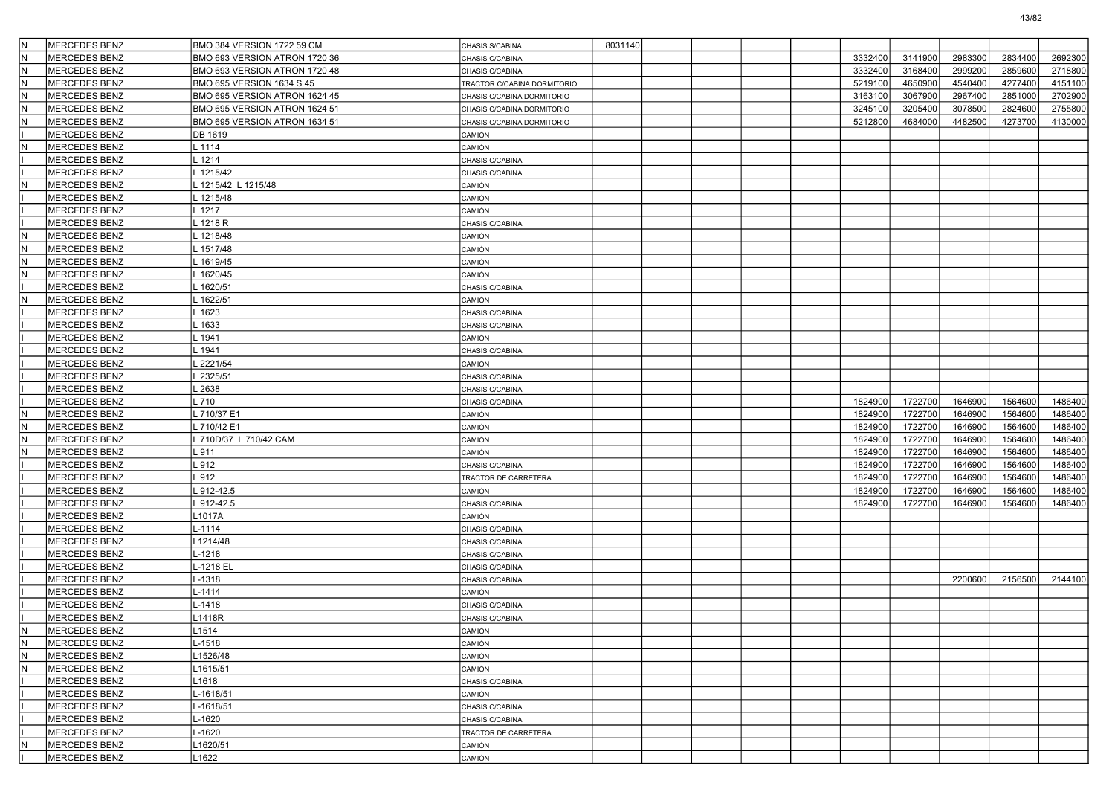| İΝ  | <b>MERCEDES BENZ</b>           | BMO 384 VERSION 1722 59 CM    | CHASIS S/CABINA                       | 8031140 |  |  |         |         |         |         |         |
|-----|--------------------------------|-------------------------------|---------------------------------------|---------|--|--|---------|---------|---------|---------|---------|
|     | <b>MERCEDES BENZ</b>           | BMO 693 VERSION ATRON 1720 36 | CHASIS C/CABINA                       |         |  |  | 3332400 | 3141900 | 2983300 | 2834400 | 2692300 |
| lN  | <b>MERCEDES BENZ</b>           | BMO 693 VERSION ATRON 1720 48 | CHASIS C/CABINA                       |         |  |  | 3332400 | 3168400 | 2999200 | 2859600 | 2718800 |
| IN. | <b>MERCEDES BENZ</b>           | BMO 695 VERSION 1634 S 45     | TRACTOR C/CABINA DORMITORIO           |         |  |  | 5219100 | 4650900 | 4540400 | 4277400 | 4151100 |
| İΝ  | <b>MERCEDES BENZ</b>           | BMO 695 VERSION ATRON 1624 45 | CHASIS C/CABINA DORMITORIO            |         |  |  | 3163100 | 3067900 | 2967400 | 2851000 | 2702900 |
| İN  | <b>MERCEDES BENZ</b>           | BMO 695 VERSION ATRON 1624 51 | CHASIS C/CABINA DORMITORIO            |         |  |  | 3245100 | 3205400 | 3078500 | 2824600 | 2755800 |
| ΙN  | <b>MERCEDES BENZ</b>           | BMO 695 VERSION ATRON 1634 51 | CHASIS C/CABINA DORMITORIO            |         |  |  | 5212800 | 4684000 | 4482500 | 4273700 | 4130000 |
|     | <b>MERCEDES BENZ</b>           | DB 1619                       | CAMIÓN                                |         |  |  |         |         |         |         |         |
| ΙN  | MERCEDES BENZ                  | . 1114                        | CAMIÓN                                |         |  |  |         |         |         |         |         |
|     | <b>MERCEDES BENZ</b>           | 1214                          | CHASIS C/CABINA                       |         |  |  |         |         |         |         |         |
|     | <b>MERCEDES BENZ</b>           | 1215/42                       | CHASIS C/CABINA                       |         |  |  |         |         |         |         |         |
|     | <b>MERCEDES BENZ</b>           | 1215/42 L 1215/48             | CAMIÓN                                |         |  |  |         |         |         |         |         |
|     | <b>MERCEDES BENZ</b>           | 1215/48                       | CAMIÓN                                |         |  |  |         |         |         |         |         |
|     | <b>MERCEDES BENZ</b>           | 1217                          | CAMIÓN                                |         |  |  |         |         |         |         |         |
|     | <b>MERCEDES BENZ</b>           | 1218 R                        | CHASIS C/CABINA                       |         |  |  |         |         |         |         |         |
| İN  | <b>MERCEDES BENZ</b>           | 1218/48                       | CAMIÓN                                |         |  |  |         |         |         |         |         |
| ΙN  | <b>MERCEDES BENZ</b>           | 1517/48                       | CAMIÓN                                |         |  |  |         |         |         |         |         |
| lN  | <b>MERCEDES BENZ</b>           | 1619/45                       | CAMIÓN                                |         |  |  |         |         |         |         |         |
| ΙN  | <b>MERCEDES BENZ</b>           | 1620/45                       | CAMIÓN                                |         |  |  |         |         |         |         |         |
|     | <b>MERCEDES BENZ</b>           | 1620/51                       | CHASIS C/CABINA                       |         |  |  |         |         |         |         |         |
| İΝ  | <b>MERCEDES BENZ</b>           | 1622/51                       | CAMIÓN                                |         |  |  |         |         |         |         |         |
|     | <b>MERCEDES BENZ</b>           | 1623                          | CHASIS C/CABINA                       |         |  |  |         |         |         |         |         |
|     | <b>MERCEDES BENZ</b>           | 1633                          | CHASIS C/CABINA                       |         |  |  |         |         |         |         |         |
|     | <b>MERCEDES BENZ</b>           | 1941                          | CAMIÓN                                |         |  |  |         |         |         |         |         |
|     | <b>MERCEDES BENZ</b>           | 1941                          | CHASIS C/CABINA                       |         |  |  |         |         |         |         |         |
|     | MERCEDES BENZ                  | 2221/54                       | CAMIÓN                                |         |  |  |         |         |         |         |         |
|     | MERCEDES BENZ                  | 2325/51                       | CHASIS C/CABINA                       |         |  |  |         |         |         |         |         |
|     | <b>MERCEDES BENZ</b>           | 2638                          | CHASIS C/CABINA                       |         |  |  |         |         |         |         |         |
|     | <b>MERCEDES BENZ</b>           | .710                          | CHASIS C/CABINA                       |         |  |  | 1824900 | 1722700 | 1646900 | 1564600 | 1486400 |
| İΝ  | MERCEDES BENZ                  | 710/37 E1                     | CAMIÓN                                |         |  |  | 1824900 | 1722700 | 1646900 | 1564600 | 1486400 |
| İN  | MERCEDES BENZ                  | .710/42 E1                    | CAMIÓN                                |         |  |  | 1824900 | 1722700 | 1646900 | 1564600 | 1486400 |
|     | <b>MERCEDES BENZ</b>           | 710D/37 L 710/42 CAM          | CAMIÓN                                |         |  |  | 1824900 | 1722700 | 1646900 | 1564600 | 1486400 |
| ΙN  | MERCEDES BENZ                  | .911                          | CAMIÓN                                |         |  |  | 1824900 | 1722700 | 1646900 | 1564600 | 1486400 |
|     | <b>MERCEDES BENZ</b>           | .912                          | CHASIS C/CABINA                       |         |  |  | 1824900 | 1722700 | 1646900 | 1564600 | 1486400 |
|     | <b>MERCEDES BENZ</b>           | 912                           | TRACTOR DE CARRETERA                  |         |  |  | 1824900 | 1722700 | 1646900 | 1564600 | 1486400 |
|     | MERCEDES BENZ                  | 912-42.5                      | CAMIÓN                                |         |  |  | 1824900 | 1722700 | 1646900 | 1564600 | 1486400 |
|     | <b>MERCEDES BENZ</b>           | 912-42.5                      | CHASIS C/CABINA                       |         |  |  | 1824900 | 1722700 | 1646900 | 1564600 | 1486400 |
|     | <b>MERCEDES BENZ</b>           | 1017A                         | CAMIÓN                                |         |  |  |         |         |         |         |         |
|     | <b>MERCEDES BENZ</b>           | $-1114$                       | CHASIS C/CABINA                       |         |  |  |         |         |         |         |         |
|     | MERCEDES BENZ                  | 1214/48                       | CHASIS C/CABINA                       |         |  |  |         |         |         |         |         |
|     | MERCEDES BENZ                  | $-1218$                       | CHASIS C/CABINA                       |         |  |  |         |         |         |         |         |
|     | MERCEDES BENZ                  | -1218 EL                      | CHASIS C/CABINA                       |         |  |  |         |         |         |         |         |
|     | <b>MERCEDES BENZ</b>           | $-1318$                       | CHASIS C/CABINA                       |         |  |  |         |         | 2200600 | 2156500 | 2144100 |
|     | <b>MERCEDES BENZ</b>           | $-1414$                       | CAMIÓN                                |         |  |  |         |         |         |         |         |
|     | <b>MERCEDES BENZ</b>           | $-1418$                       | CHASIS C/CABINA                       |         |  |  |         |         |         |         |         |
|     | <b>MERCEDES BENZ</b>           | 1418R                         | CHASIS C/CABINA                       |         |  |  |         |         |         |         |         |
|     | MERCEDES BENZ                  | L1514                         | CAMIÓN                                |         |  |  |         |         |         |         |         |
| IN. | MERCEDES BENZ                  | -1518                         | <b>CAMIÓN</b>                         |         |  |  |         |         |         |         |         |
| IN. | MERCEDES BENZ                  | 1526/48                       | <b>CAMIÓN</b>                         |         |  |  |         |         |         |         |         |
| İΝ  | MERCEDES BENZ                  | 1615/51                       | CAMIÓN                                |         |  |  |         |         |         |         |         |
|     | MERCEDES BENZ                  | 1618                          | CHASIS C/CABINA                       |         |  |  |         |         |         |         |         |
|     | MERCEDES BENZ                  | $-1618/51$                    | CAMIÓN                                |         |  |  |         |         |         |         |         |
|     | MERCEDES BENZ                  | $-1618/51$                    | CHASIS C/CABINA                       |         |  |  |         |         |         |         |         |
|     | MERCEDES BENZ<br>MERCEDES BENZ | -1620<br>$-1620$              | CHASIS C/CABINA                       |         |  |  |         |         |         |         |         |
| İN. | MERCEDES BENZ                  | 1620/51                       | TRACTOR DE CARRETERA<br><b>CAMIÓN</b> |         |  |  |         |         |         |         |         |
|     | MERCEDES BENZ                  | 1622                          |                                       |         |  |  |         |         |         |         |         |
|     |                                |                               | CAMIÓN                                |         |  |  |         |         |         |         |         |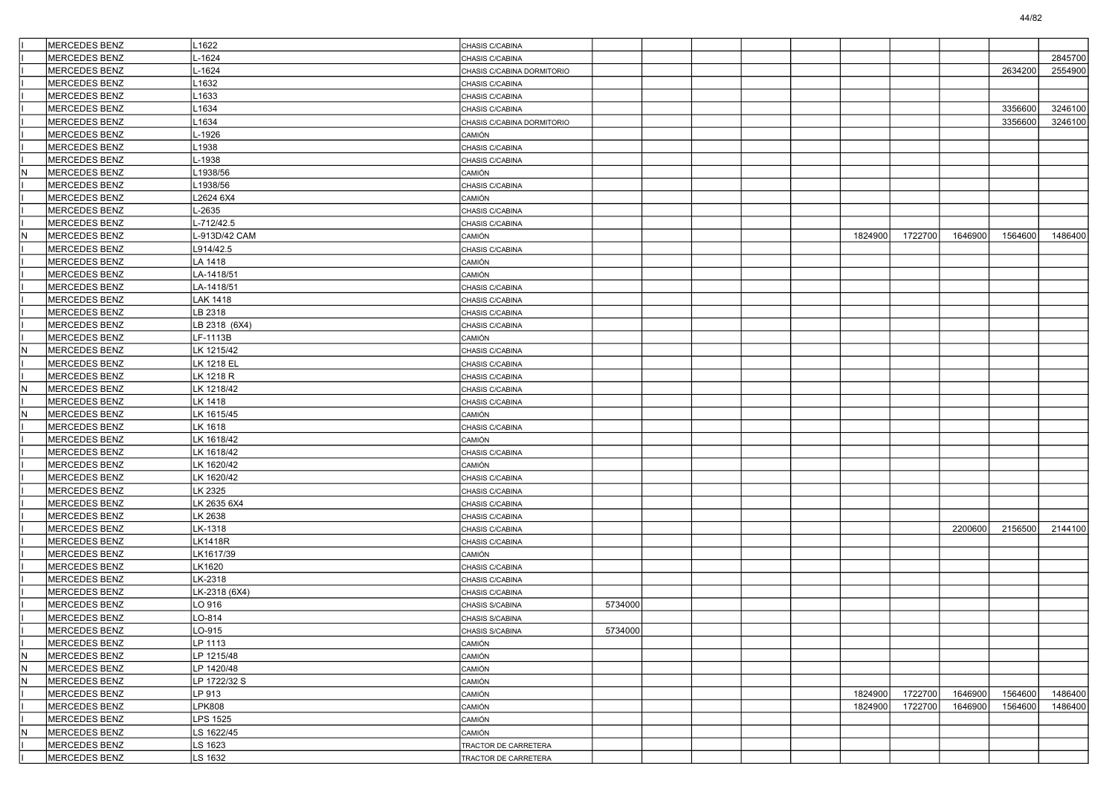|     | MERCEDES BENZ        | L1622           | CHASIS C/CABINA            |         |  |  |         |         |         |         |         |
|-----|----------------------|-----------------|----------------------------|---------|--|--|---------|---------|---------|---------|---------|
|     | <b>MERCEDES BENZ</b> | $-1624$         | CHASIS C/CABINA            |         |  |  |         |         |         |         | 2845700 |
|     | MERCEDES BENZ        | L-1624          | CHASIS C/CABINA DORMITORIO |         |  |  |         |         |         | 2634200 | 2554900 |
|     | <b>MERCEDES BENZ</b> | L1632           | CHASIS C/CABINA            |         |  |  |         |         |         |         |         |
|     | MERCEDES BENZ        | -1633           | CHASIS C/CABINA            |         |  |  |         |         |         |         |         |
|     | MERCEDES BENZ        | 1634            | CHASIS C/CABINA            |         |  |  |         |         |         | 3356600 | 3246100 |
|     | MERCEDES BENZ        | 1634            | CHASIS C/CABINA DORMITORIO |         |  |  |         |         |         | 3356600 | 3246100 |
|     | MERCEDES BENZ        | L-1926          | CAMIÓN                     |         |  |  |         |         |         |         |         |
|     | MERCEDES BENZ        | L1938           | CHASIS C/CABINA            |         |  |  |         |         |         |         |         |
|     | MERCEDES BENZ        | L-1938          | CHASIS C/CABINA            |         |  |  |         |         |         |         |         |
|     | <b>MERCEDES BENZ</b> | 1938/56         | CAMIÓN                     |         |  |  |         |         |         |         |         |
|     | <b>MERCEDES BENZ</b> | 1938/56         | CHASIS C/CABINA            |         |  |  |         |         |         |         |         |
|     | MERCEDES BENZ        | L2624 6X4       | CAMIÓN                     |         |  |  |         |         |         |         |         |
|     | MERCEDES BENZ        | L-2635          | CHASIS C/CABINA            |         |  |  |         |         |         |         |         |
|     | MERCEDES BENZ        | L-712/42.5      | CHASIS C/CABINA            |         |  |  |         |         |         |         |         |
| lΝ  | MERCEDES BENZ        | L-913D/42 CAM   | CAMIÓN                     |         |  |  | 1824900 | 1722700 | 1646900 | 1564600 | 1486400 |
|     | MERCEDES BENZ        | L914/42.5       | CHASIS C/CABINA            |         |  |  |         |         |         |         |         |
|     | MERCEDES BENZ        | LA 1418         | CAMIÓN                     |         |  |  |         |         |         |         |         |
|     | MERCEDES BENZ        | LA-1418/51      | CAMIÓN                     |         |  |  |         |         |         |         |         |
|     | MERCEDES BENZ        | LA-1418/51      | CHASIS C/CABINA            |         |  |  |         |         |         |         |         |
|     | <b>MERCEDES BENZ</b> | <b>LAK 1418</b> | CHASIS C/CABINA            |         |  |  |         |         |         |         |         |
|     | MERCEDES BENZ        | LB 2318         | CHASIS C/CABINA            |         |  |  |         |         |         |         |         |
|     | MERCEDES BENZ        | LB 2318 (6X4)   | CHASIS C/CABINA            |         |  |  |         |         |         |         |         |
|     | MERCEDES BENZ        | LF-1113B        | CAMIÓN                     |         |  |  |         |         |         |         |         |
|     | MERCEDES BENZ        | LK 1215/42      | CHASIS C/CABINA            |         |  |  |         |         |         |         |         |
|     | <b>MERCEDES BENZ</b> | LK 1218 EL      | CHASIS C/CABINA            |         |  |  |         |         |         |         |         |
|     | <b>MERCEDES BENZ</b> | LK 1218 R       | CHASIS C/CABINA            |         |  |  |         |         |         |         |         |
|     | MERCEDES BENZ        | LK 1218/42      | CHASIS C/CABINA            |         |  |  |         |         |         |         |         |
|     | <b>MERCEDES BENZ</b> | LK 1418         | CHASIS C/CABINA            |         |  |  |         |         |         |         |         |
|     | MERCEDES BENZ        | LK 1615/45      | CAMIÓN                     |         |  |  |         |         |         |         |         |
|     | MERCEDES BENZ        | LK 1618         | CHASIS C/CABINA            |         |  |  |         |         |         |         |         |
|     | MERCEDES BENZ        | LK 1618/42      | CAMIÓN                     |         |  |  |         |         |         |         |         |
|     | MERCEDES BENZ        | LK 1618/42      | CHASIS C/CABINA            |         |  |  |         |         |         |         |         |
|     | MERCEDES BENZ        | LK 1620/42      | CAMIÓN                     |         |  |  |         |         |         |         |         |
|     | MERCEDES BENZ        | LK 1620/42      | CHASIS C/CABINA            |         |  |  |         |         |         |         |         |
|     | <b>MERCEDES BENZ</b> | LK 2325         | CHASIS C/CABINA            |         |  |  |         |         |         |         |         |
|     | MERCEDES BENZ        | LK 2635 6X4     | CHASIS C/CABINA            |         |  |  |         |         |         |         |         |
|     | <b>MERCEDES BENZ</b> | LK 2638         | CHASIS C/CABINA            |         |  |  |         |         |         |         |         |
|     | MERCEDES BENZ        | LK-1318         | CHASIS C/CABINA            |         |  |  |         |         | 2200600 | 2156500 | 2144100 |
|     | MERCEDES BENZ        | <b>LK1418R</b>  | CHASIS C/CABINA            |         |  |  |         |         |         |         |         |
|     | MERCEDES BENZ        | LK1617/39       | CAMIÓN                     |         |  |  |         |         |         |         |         |
|     | <b>MERCEDES BENZ</b> | LK1620          | CHASIS C/CABINA            |         |  |  |         |         |         |         |         |
|     | <b>MERCEDES BENZ</b> | LK-2318         | CHASIS C/CABINA            |         |  |  |         |         |         |         |         |
|     | MERCEDES BENZ        | LK-2318 (6X4)   | CHASIS C/CABINA            |         |  |  |         |         |         |         |         |
|     | <b>MERCEDES BENZ</b> | LO 916          | CHASIS S/CABINA            | 5734000 |  |  |         |         |         |         |         |
|     | MERCEDES BENZ        | LO-814          | CHASIS S/CABINA            |         |  |  |         |         |         |         |         |
|     | MERCEDES BENZ        | LO-915          | CHASIS S/CABINA            | 5734000 |  |  |         |         |         |         |         |
|     | <b>MERCEDES BENZ</b> | LP 1113         | CAMIÓN                     |         |  |  |         |         |         |         |         |
| IΝ  | MERCEDES BENZ        | LP 1215/48      | CAMIÓN                     |         |  |  |         |         |         |         |         |
| lΝ  | MERCEDES BENZ        | LP 1420/48      | CAMIÓN                     |         |  |  |         |         |         |         |         |
| lN. | MERCEDES BENZ        | LP 1722/32 S    | CAMIÓN                     |         |  |  |         |         |         |         |         |
|     | MERCEDES BENZ        | LP 913          | CAMIÓN                     |         |  |  | 1824900 | 1722700 | 1646900 | 1564600 | 1486400 |
|     | MERCEDES BENZ        | LPK808          | CAMIÓN                     |         |  |  | 1824900 | 1722700 | 1646900 | 1564600 | 1486400 |
|     | MERCEDES BENZ        | <b>LPS 1525</b> | CAMIÓN                     |         |  |  |         |         |         |         |         |
|     | MERCEDES BENZ        | LS 1622/45      | CAMIÓN                     |         |  |  |         |         |         |         |         |
|     | MERCEDES BENZ        | LS 1623         | TRACTOR DE CARRETERA       |         |  |  |         |         |         |         |         |
|     | MERCEDES BENZ        | LS 1632         | TRACTOR DE CARRETERA       |         |  |  |         |         |         |         |         |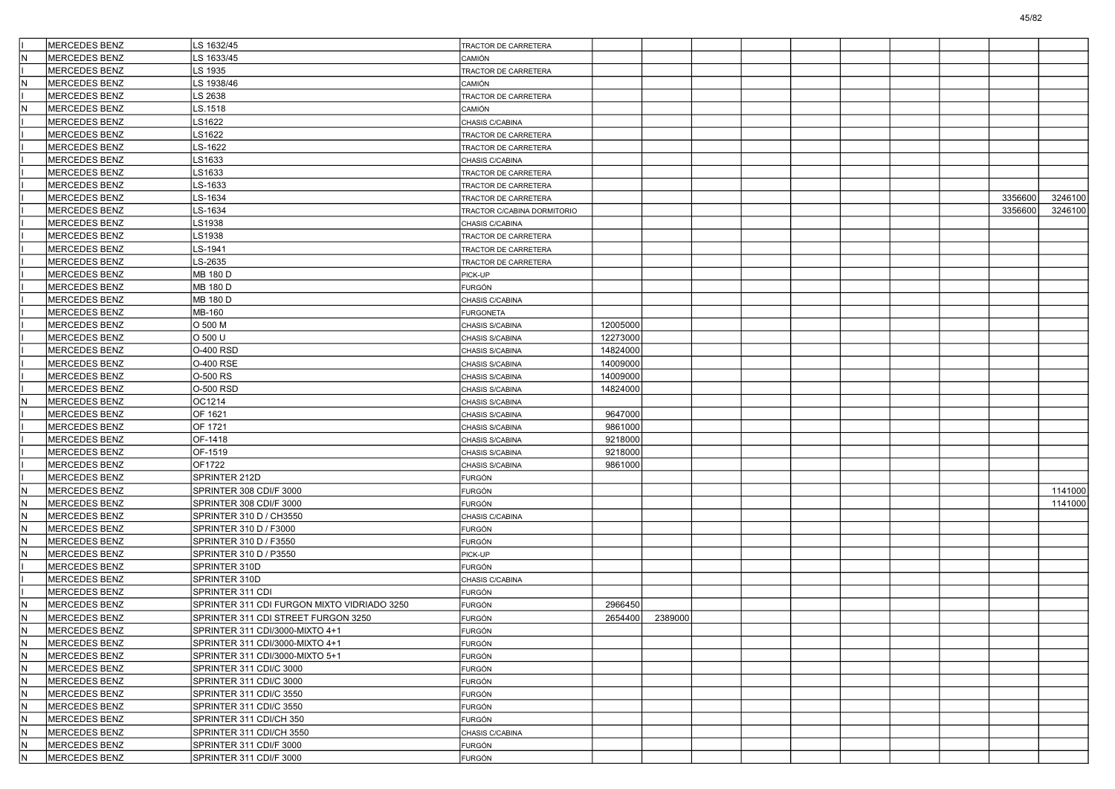|     | <b>MERCEDES BENZ</b> | LS 1632/45                                  | TRACTOR DE CARRETERA        |          |         |  |  |  |         |         |
|-----|----------------------|---------------------------------------------|-----------------------------|----------|---------|--|--|--|---------|---------|
|     | <b>MERCEDES BENZ</b> | LS 1633/45                                  | CAMIÓN                      |          |         |  |  |  |         |         |
|     | <b>MERCEDES BENZ</b> | LS 1935                                     | TRACTOR DE CARRETERA        |          |         |  |  |  |         |         |
|     | MERCEDES BENZ        | LS 1938/46                                  | CAMIÓN                      |          |         |  |  |  |         |         |
|     | MERCEDES BENZ        | LS 2638                                     | TRACTOR DE CARRETERA        |          |         |  |  |  |         |         |
|     | MERCEDES BENZ        | LS.1518                                     | CAMIÓN                      |          |         |  |  |  |         |         |
|     | <b>MERCEDES BENZ</b> | LS1622                                      | CHASIS C/CABINA             |          |         |  |  |  |         |         |
|     | <b>MERCEDES BENZ</b> | LS1622                                      | TRACTOR DE CARRETERA        |          |         |  |  |  |         |         |
|     | MERCEDES BENZ        | LS-1622                                     | TRACTOR DE CARRETERA        |          |         |  |  |  |         |         |
|     | <b>MERCEDES BENZ</b> | LS1633                                      | CHASIS C/CABINA             |          |         |  |  |  |         |         |
|     | MERCEDES BENZ        | LS1633                                      | TRACTOR DE CARRETERA        |          |         |  |  |  |         |         |
|     | <b>MERCEDES BENZ</b> | LS-1633                                     | TRACTOR DE CARRETERA        |          |         |  |  |  |         |         |
|     | MERCEDES BENZ        | LS-1634                                     | TRACTOR DE CARRETERA        |          |         |  |  |  | 3356600 | 3246100 |
|     | MERCEDES BENZ        | LS-1634                                     | TRACTOR C/CABINA DORMITORIO |          |         |  |  |  | 3356600 | 3246100 |
|     | <b>MERCEDES BENZ</b> | LS1938                                      | CHASIS C/CABINA             |          |         |  |  |  |         |         |
|     | <b>MERCEDES BENZ</b> | LS1938                                      | TRACTOR DE CARRETERA        |          |         |  |  |  |         |         |
|     | <b>MERCEDES BENZ</b> | LS-1941                                     | TRACTOR DE CARRETERA        |          |         |  |  |  |         |         |
|     | MERCEDES BENZ        | LS-2635                                     | TRACTOR DE CARRETERA        |          |         |  |  |  |         |         |
|     | MERCEDES BENZ        | MB 180 D                                    | PICK-UP                     |          |         |  |  |  |         |         |
|     | <b>MERCEDES BENZ</b> | MB 180 D                                    | <b>FURGÓN</b>               |          |         |  |  |  |         |         |
|     | <b>MERCEDES BENZ</b> | MB 180 D                                    | CHASIS C/CABINA             |          |         |  |  |  |         |         |
|     | <b>MERCEDES BENZ</b> | MB-160                                      | <b>FURGONETA</b>            |          |         |  |  |  |         |         |
|     | <b>MERCEDES BENZ</b> | O 500 M                                     | CHASIS S/CABINA             | 12005000 |         |  |  |  |         |         |
|     | <b>MERCEDES BENZ</b> | O 500 U                                     | CHASIS S/CABINA             | 12273000 |         |  |  |  |         |         |
|     | <b>MERCEDES BENZ</b> | <b>O-400 RSD</b>                            | CHASIS S/CABINA             | 14824000 |         |  |  |  |         |         |
|     | <b>MERCEDES BENZ</b> | 0-400 RSE                                   | CHASIS S/CABINA             | 14009000 |         |  |  |  |         |         |
|     | <b>MERCEDES BENZ</b> | O-500 RS                                    | CHASIS S/CABINA             | 14009000 |         |  |  |  |         |         |
|     | <b>MERCEDES BENZ</b> | O-500 RSD                                   | CHASIS S/CABINA             | 14824000 |         |  |  |  |         |         |
|     | MERCEDES BENZ        | OC1214                                      | CHASIS S/CABINA             |          |         |  |  |  |         |         |
|     | <b>MERCEDES BENZ</b> | OF 1621                                     | CHASIS S/CABINA             | 9647000  |         |  |  |  |         |         |
|     | <b>MERCEDES BENZ</b> | OF 1721                                     | CHASIS S/CABINA             | 9861000  |         |  |  |  |         |         |
|     | <b>MERCEDES BENZ</b> | OF-1418                                     | CHASIS S/CABINA             | 9218000  |         |  |  |  |         |         |
|     | <b>MERCEDES BENZ</b> | OF-1519                                     | CHASIS S/CABINA             | 9218000  |         |  |  |  |         |         |
|     | <b>MERCEDES BENZ</b> | OF1722                                      | CHASIS S/CABINA             | 9861000  |         |  |  |  |         |         |
|     | <b>MERCEDES BENZ</b> | SPRINTER 212D                               | <b>FURGÓN</b>               |          |         |  |  |  |         |         |
|     | MERCEDES BENZ        | SPRINTER 308 CDI/F 3000                     | <b>FURGÓN</b>               |          |         |  |  |  |         | 1141000 |
|     | <b>MERCEDES BENZ</b> | SPRINTER 308 CDI/F 3000                     | FURGÓN                      |          |         |  |  |  |         | 1141000 |
|     | <b>MERCEDES BENZ</b> | SPRINTER 310 D / CH3550                     | CHASIS C/CABINA             |          |         |  |  |  |         |         |
|     | <b>MERCEDES BENZ</b> | SPRINTER 310 D / F3000                      | FURGÓN                      |          |         |  |  |  |         |         |
|     | <b>MERCEDES BENZ</b> | SPRINTER 310 D / F3550                      | <b>FURGÓN</b>               |          |         |  |  |  |         |         |
|     | <b>MERCEDES BENZ</b> | SPRINTER 310 D / P3550                      | PICK-UP                     |          |         |  |  |  |         |         |
|     | <b>MERCEDES BENZ</b> | SPRINTER 310D                               | FURGÓN                      |          |         |  |  |  |         |         |
|     | MERCEDES BENZ        | SPRINTER 310D                               | CHASIS C/CABINA             |          |         |  |  |  |         |         |
|     | MERCEDES BENZ        | SPRINTER 311 CDI                            | <b>FURGÓN</b>               |          |         |  |  |  |         |         |
|     | <b>MERCEDES BENZ</b> | SPRINTER 311 CDI FURGON MIXTO VIDRIADO 3250 | <b>FURGÓN</b>               | 2966450  |         |  |  |  |         |         |
| İΝ  | <b>MERCEDES BENZ</b> | SPRINTER 311 CDI STREET FURGON 3250         | <b>FURGÓN</b>               | 2654400  | 2389000 |  |  |  |         |         |
|     | MERCEDES BENZ        | SPRINTER 311 CDI/3000-MIXTO 4+1             | FURGÓN                      |          |         |  |  |  |         |         |
| ΙN  | MERCEDES BENZ        | SPRINTER 311 CDI/3000-MIXTO 4+1             | <b>FURGÓN</b>               |          |         |  |  |  |         |         |
| IN. | MERCEDES BENZ        | SPRINTER 311 CDI/3000-MIXTO 5+1             | <b>FURGÓN</b>               |          |         |  |  |  |         |         |
|     | MERCEDES BENZ        | SPRINTER 311 CDI/C 3000                     | <b>FURGÓN</b>               |          |         |  |  |  |         |         |
| IN. | MERCEDES BENZ        | SPRINTER 311 CDI/C 3000                     | <b>FURGÓN</b>               |          |         |  |  |  |         |         |
|     | MERCEDES BENZ        | SPRINTER 311 CDI/C 3550                     | <b>FURGÓN</b>               |          |         |  |  |  |         |         |
|     | MERCEDES BENZ        | SPRINTER 311 CDI/C 3550                     | <b>FURGÓN</b>               |          |         |  |  |  |         |         |
| IN. | MERCEDES BENZ        | SPRINTER 311 CDI/CH 350                     | <b>FURGÓN</b>               |          |         |  |  |  |         |         |
|     | MERCEDES BENZ        | SPRINTER 311 CDI/CH 3550                    | CHASIS C/CABINA             |          |         |  |  |  |         |         |
| IN. | MERCEDES BENZ        | SPRINTER 311 CDI/F 3000                     | <b>FURGÓN</b>               |          |         |  |  |  |         |         |
| IN. | MERCEDES BENZ        | SPRINTER 311 CDI/F 3000                     | <b>FURGÓN</b>               |          |         |  |  |  |         |         |
|     |                      |                                             |                             |          |         |  |  |  |         |         |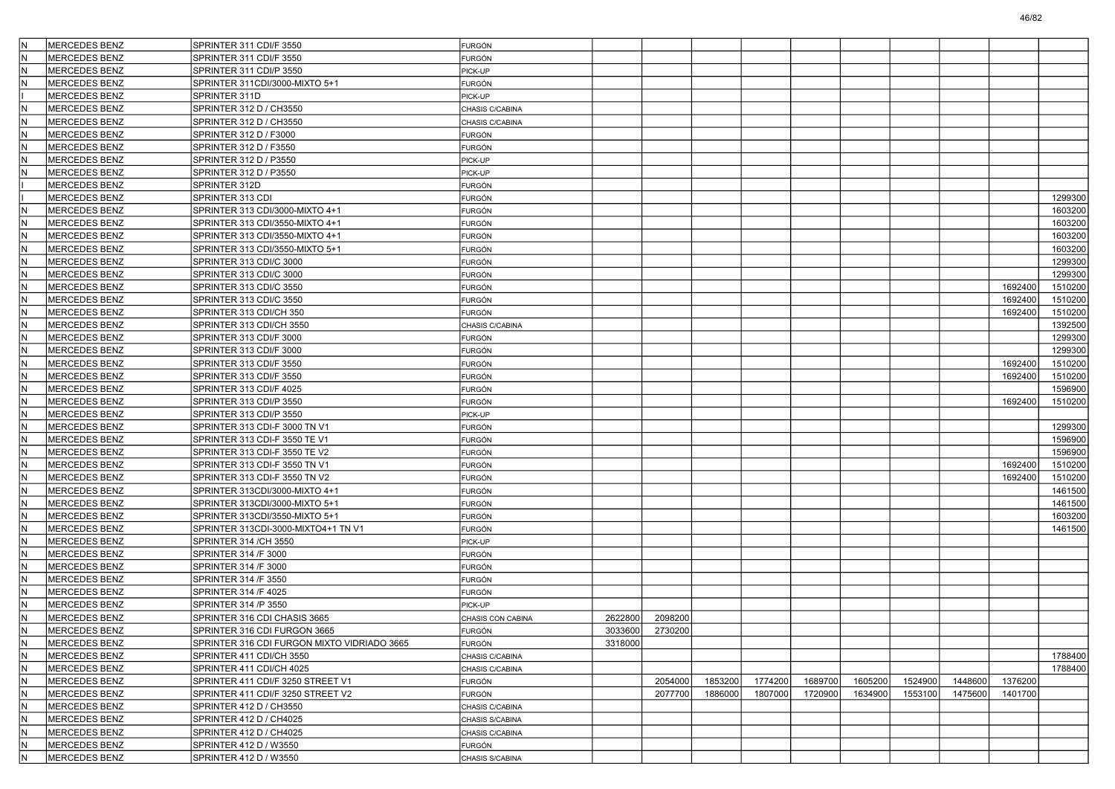| ١N                      | MERCEDES BENZ        | SPRINTER 311 CDI/F 3550                     | <b>FURGÓN</b>     |         |         |         |         |         |         |         |         |         |         |
|-------------------------|----------------------|---------------------------------------------|-------------------|---------|---------|---------|---------|---------|---------|---------|---------|---------|---------|
| lΝ                      | <b>MERCEDES BENZ</b> | SPRINTER 311 CDI/F 3550                     | FURGÓN            |         |         |         |         |         |         |         |         |         |         |
| lΝ                      | <b>MERCEDES BENZ</b> | SPRINTER 311 CDI/P 3550                     | PICK-UP           |         |         |         |         |         |         |         |         |         |         |
| N                       | <b>MERCEDES BENZ</b> | SPRINTER 311CDI/3000-MIXTO 5+1              | FURGÓN            |         |         |         |         |         |         |         |         |         |         |
|                         | <b>MERCEDES BENZ</b> | SPRINTER 311D                               | PICK-UP           |         |         |         |         |         |         |         |         |         |         |
| İΝ                      | <b>MERCEDES BENZ</b> | SPRINTER 312 D / CH3550                     | CHASIS C/CABINA   |         |         |         |         |         |         |         |         |         |         |
| İΝ                      | <b>MERCEDES BENZ</b> | SPRINTER 312 D / CH3550                     | CHASIS C/CABINA   |         |         |         |         |         |         |         |         |         |         |
| İΝ                      | <b>MERCEDES BENZ</b> | SPRINTER 312 D / F3000                      | FURGÓN            |         |         |         |         |         |         |         |         |         |         |
| ١N                      | <b>MERCEDES BENZ</b> | SPRINTER 312 D / F3550                      | FURGÓN            |         |         |         |         |         |         |         |         |         |         |
| lΝ                      | <b>MERCEDES BENZ</b> | SPRINTER 312 D / P3550                      | PICK-UP           |         |         |         |         |         |         |         |         |         |         |
| lΝ                      | <b>MERCEDES BENZ</b> | SPRINTER 312 D / P3550                      | PICK-UP           |         |         |         |         |         |         |         |         |         |         |
|                         | <b>MERCEDES BENZ</b> | SPRINTER 312D                               | FURGÓN            |         |         |         |         |         |         |         |         |         |         |
|                         | <b>MERCEDES BENZ</b> | SPRINTER 313 CDI                            | FURGÓN            |         |         |         |         |         |         |         |         |         | 1299300 |
| N                       | <b>MERCEDES BENZ</b> | SPRINTER 313 CDI/3000-MIXTO 4+1             | FURGÓN            |         |         |         |         |         |         |         |         |         | 1603200 |
| lΝ                      | <b>MERCEDES BENZ</b> | SPRINTER 313 CDI/3550-MIXTO 4+1             | FURGÓN            |         |         |         |         |         |         |         |         |         | 1603200 |
| İΝ                      | <b>MERCEDES BENZ</b> | SPRINTER 313 CDI/3550-MIXTO 4+1             | FURGÓN            |         |         |         |         |         |         |         |         |         | 1603200 |
| İΝ                      | <b>MERCEDES BENZ</b> | SPRINTER 313 CDI/3550-MIXTO 5+1             | FURGÓN            |         |         |         |         |         |         |         |         |         | 1603200 |
| lΝ                      | <b>MERCEDES BENZ</b> | SPRINTER 313 CDI/C 3000                     | FURGÓN            |         |         |         |         |         |         |         |         |         | 1299300 |
| N                       | <b>MERCEDES BENZ</b> | SPRINTER 313 CDI/C 3000                     | FURGÓN            |         |         |         |         |         |         |         |         |         | 1299300 |
| lΝ                      | <b>MERCEDES BENZ</b> | SPRINTER 313 CDI/C 3550                     | FURGÓN            |         |         |         |         |         |         |         |         | 1692400 | 1510200 |
| İΝ                      | <b>MERCEDES BENZ</b> | SPRINTER 313 CDI/C 3550                     | FURGÓN            |         |         |         |         |         |         |         |         | 1692400 | 1510200 |
| İΝ                      | <b>MERCEDES BENZ</b> | SPRINTER 313 CDI/CH 350                     | FURGÓN            |         |         |         |         |         |         |         |         | 1692400 | 1510200 |
| İΝ                      | <b>MERCEDES BENZ</b> | SPRINTER 313 CDI/CH 3550                    | CHASIS C/CABINA   |         |         |         |         |         |         |         |         |         | 1392500 |
| İΝ                      | <b>MERCEDES BENZ</b> | SPRINTER 313 CDI/F 3000                     | FURGÓN            |         |         |         |         |         |         |         |         |         | 1299300 |
| lΝ                      | <b>MERCEDES BENZ</b> | SPRINTER 313 CDI/F 3000                     | FURGÓN            |         |         |         |         |         |         |         |         |         | 1299300 |
| İΝ                      | <b>MERCEDES BENZ</b> | SPRINTER 313 CDI/F 3550                     | <b>FURGÓN</b>     |         |         |         |         |         |         |         |         | 1692400 | 1510200 |
| İΝ                      | <b>MERCEDES BENZ</b> | SPRINTER 313 CDI/F 3550                     | FURGÓN            |         |         |         |         |         |         |         |         | 1692400 | 1510200 |
| l٨                      | <b>MERCEDES BENZ</b> | SPRINTER 313 CDI/F 4025                     | FURGÓN            |         |         |         |         |         |         |         |         |         | 1596900 |
| N                       | <b>MERCEDES BENZ</b> | SPRINTER 313 CDI/P 3550                     | FURGÓN            |         |         |         |         |         |         |         |         | 1692400 | 1510200 |
| lΝ                      | <b>MERCEDES BENZ</b> | SPRINTER 313 CDI/P 3550                     | PICK-UP           |         |         |         |         |         |         |         |         |         |         |
| İΝ                      | <b>MERCEDES BENZ</b> | SPRINTER 313 CDI-F 3000 TN V1               | <b>FURGÓN</b>     |         |         |         |         |         |         |         |         |         | 1299300 |
| İΝ                      | <b>MERCEDES BENZ</b> | SPRINTER 313 CDI-F 3550 TE V1               | FURGÓN            |         |         |         |         |         |         |         |         |         | 1596900 |
| lΝ                      | <b>MERCEDES BENZ</b> | SPRINTER 313 CDI-F 3550 TE V2               | FURGÓN            |         |         |         |         |         |         |         |         |         | 1596900 |
| N                       | <b>MERCEDES BENZ</b> | SPRINTER 313 CDI-F 3550 TN V1               | FURGÓN            |         |         |         |         |         |         |         |         | 1692400 | 1510200 |
| lΝ                      | <b>MERCEDES BENZ</b> | SPRINTER 313 CDI-F 3550 TN V2               | <b>FURGÓN</b>     |         |         |         |         |         |         |         |         | 1692400 | 1510200 |
| İΝ                      | <b>MERCEDES BENZ</b> | SPRINTER 313CDI/3000-MIXTO 4+1              | FURGÓN            |         |         |         |         |         |         |         |         |         | 1461500 |
| İΝ                      | <b>MERCEDES BENZ</b> | SPRINTER 313CDI/3000-MIXTO 5+1              | FURGÓN            |         |         |         |         |         |         |         |         |         | 1461500 |
| lΝ                      | <b>MERCEDES BENZ</b> | SPRINTER 313CDI/3550-MIXTO 5+1              | FURGÓN            |         |         |         |         |         |         |         |         |         | 1603200 |
| İΝ                      | <b>MERCEDES BENZ</b> | SPRINTER 313CDI-3000-MIXTO4+1 TN V1         | FURGÓN            |         |         |         |         |         |         |         |         |         | 1461500 |
| lΝ                      | <b>MERCEDES BENZ</b> | SPRINTER 314 / CH 3550                      | PICK-UP           |         |         |         |         |         |         |         |         |         |         |
| İΝ                      | <b>MERCEDES BENZ</b> | SPRINTER 314 /F 3000                        | FURGÓN            |         |         |         |         |         |         |         |         |         |         |
| İΝ                      | <b>MERCEDES BENZ</b> | SPRINTER 314 /F 3000                        | FURGÓN            |         |         |         |         |         |         |         |         |         |         |
| lΝ                      | <b>MERCEDES BENZ</b> | SPRINTER 314 /F 3550                        | FURGÓN            |         |         |         |         |         |         |         |         |         |         |
| ١N                      | <b>MERCEDES BENZ</b> | SPRINTER 314 /F 4025                        | FURGÓN            |         |         |         |         |         |         |         |         |         |         |
| lΝ                      | <b>MERCEDES BENZ</b> | SPRINTER 314 /P 3550                        | PICK-UP           |         |         |         |         |         |         |         |         |         |         |
| N                       | <b>MERCEDES BENZ</b> | SPRINTER 316 CDI CHASIS 3665                | CHASIS CON CABINA | 2622800 | 2098200 |         |         |         |         |         |         |         |         |
| ١N                      | MERCEDES BENZ        | SPRINTER 316 CDI FURGON 3665                | <b>FURGÓN</b>     | 3033600 | 2730200 |         |         |         |         |         |         |         |         |
| IN.                     | MERCEDES BENZ        | SPRINTER 316 CDI FURGON MIXTO VIDRIADO 3665 | <b>FURGÓN</b>     | 3318000 |         |         |         |         |         |         |         |         |         |
| IN.                     | MERCEDES BENZ        | SPRINTER 411 CDI/CH 3550                    | CHASIS C/CABINA   |         |         |         |         |         |         |         |         |         | 1788400 |
| İN.                     | MERCEDES BENZ        | SPRINTER 411 CDI/CH 4025                    | CHASIS C/CABINA   |         |         |         |         |         |         |         |         |         | 1788400 |
| IN.                     | MERCEDES BENZ        | SPRINTER 411 CDI/F 3250 STREET V1           | <b>FURGÓN</b>     |         | 2054000 | 1853200 | 1774200 | 1689700 | 1605200 | 1524900 | 1448600 | 1376200 |         |
| İΝ                      | <b>MERCEDES BENZ</b> | SPRINTER 411 CDI/F 3250 STREET V2           | FURGÓN            |         | 2077700 | 1886000 | 1807000 | 1720900 | 1634900 | 1553100 | 1475600 | 1401700 |         |
| IN.                     | MERCEDES BENZ        | SPRINTER 412 D / CH3550                     | CHASIS C/CABINA   |         |         |         |         |         |         |         |         |         |         |
| İΝ                      | MERCEDES BENZ        | SPRINTER 412 D / CH4025                     | CHASIS S/CABINA   |         |         |         |         |         |         |         |         |         |         |
| lΝ                      | MERCEDES BENZ        | SPRINTER 412 D / CH4025                     | CHASIS C/CABINA   |         |         |         |         |         |         |         |         |         |         |
| N                       | MERCEDES BENZ        | SPRINTER 412 D / W3550                      | <b>FURGÓN</b>     |         |         |         |         |         |         |         |         |         |         |
| $\overline{\mathsf{N}}$ | MERCEDES BENZ        | SPRINTER 412 D / W3550                      |                   |         |         |         |         |         |         |         |         |         |         |
|                         |                      |                                             | CHASIS S/CABINA   |         |         |         |         |         |         |         |         |         |         |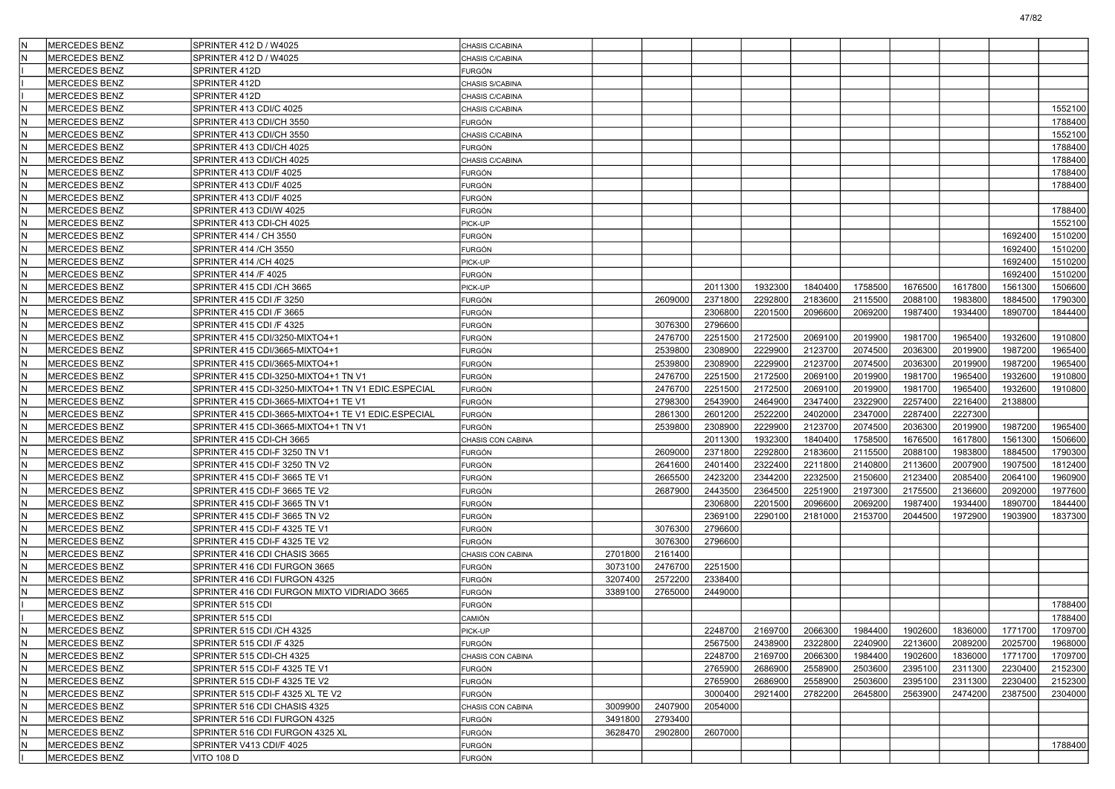| İN        | <b>MERCEDES BENZ</b> | SPRINTER 412 D / W4025                             | CHASIS C/CABINA         |         |         |         |         |         |         |         |         |         |         |
|-----------|----------------------|----------------------------------------------------|-------------------------|---------|---------|---------|---------|---------|---------|---------|---------|---------|---------|
| lΝ        | <b>MERCEDES BENZ</b> | SPRINTER 412 D / W4025                             | CHASIS C/CABINA         |         |         |         |         |         |         |         |         |         |         |
|           | <b>MERCEDES BENZ</b> | SPRINTER 412D                                      | FURGÓN                  |         |         |         |         |         |         |         |         |         |         |
|           | <b>MERCEDES BENZ</b> | SPRINTER 412D                                      | CHASIS S/CABINA         |         |         |         |         |         |         |         |         |         |         |
|           | <b>MERCEDES BENZ</b> | SPRINTER 412D                                      | CHASIS C/CABINA         |         |         |         |         |         |         |         |         |         |         |
| lΝ        | <b>MERCEDES BENZ</b> | SPRINTER 413 CDI/C 4025                            | CHASIS C/CABINA         |         |         |         |         |         |         |         |         |         | 1552100 |
| lΝ        | <b>MERCEDES BENZ</b> | SPRINTER 413 CDI/CH 3550                           | FURGÓN                  |         |         |         |         |         |         |         |         |         | 1788400 |
| lΝ        | <b>MERCEDES BENZ</b> | SPRINTER 413 CDI/CH 3550                           | CHASIS C/CABINA         |         |         |         |         |         |         |         |         |         | 1552100 |
| ١N        | <b>MERCEDES BENZ</b> | SPRINTER 413 CDI/CH 4025                           | FURGÓN                  |         |         |         |         |         |         |         |         |         | 1788400 |
| lΝ        | <b>MERCEDES BENZ</b> | SPRINTER 413 CDI/CH 4025                           | CHASIS C/CABINA         |         |         |         |         |         |         |         |         |         | 1788400 |
| lΝ        | <b>MERCEDES BENZ</b> | SPRINTER 413 CDI/F 4025                            | <b>FURGÓN</b>           |         |         |         |         |         |         |         |         |         | 1788400 |
| İΝ        | <b>MERCEDES BENZ</b> | SPRINTER 413 CDI/F 4025                            | <b>FURGÓN</b>           |         |         |         |         |         |         |         |         |         | 1788400 |
| lΝ        | <b>MERCEDES BENZ</b> | SPRINTER 413 CDI/F 4025                            | FURGÓN                  |         |         |         |         |         |         |         |         |         |         |
| ١N        | <b>MERCEDES BENZ</b> | SPRINTER 413 CDI/W 4025                            | <b>FURGÓN</b>           |         |         |         |         |         |         |         |         |         | 1788400 |
| lΝ        | <b>MERCEDES BENZ</b> | SPRINTER 413 CDI-CH 4025                           | PICK-UP                 |         |         |         |         |         |         |         |         |         | 1552100 |
| lΝ        | <b>MERCEDES BENZ</b> | SPRINTER 414 / CH 3550                             | <b>FURGÓN</b>           |         |         |         |         |         |         |         |         | 1692400 | 1510200 |
| İΝ        | <b>MERCEDES BENZ</b> | SPRINTER 414 /CH 3550                              | <b>FURGÓN</b>           |         |         |         |         |         |         |         |         | 1692400 | 1510200 |
| lΝ        | <b>MERCEDES BENZ</b> | SPRINTER 414 / CH 4025                             | PICK-UP                 |         |         |         |         |         |         |         |         | 1692400 | 1510200 |
| ١N        | <b>MERCEDES BENZ</b> | SPRINTER 414 /F 4025                               | <b>FURGÓN</b>           |         |         |         |         |         |         |         |         | 1692400 | 1510200 |
| lΝ        | <b>MERCEDES BENZ</b> | SPRINTER 415 CDI /CH 3665                          | PICK-UP                 |         |         | 2011300 | 1932300 | 1840400 | 1758500 | 1676500 | 1617800 | 1561300 | 1506600 |
| lΝ        | <b>MERCEDES BENZ</b> | SPRINTER 415 CDI /F 3250                           | <b>FURGÓN</b>           |         | 2609000 | 2371800 | 2292800 | 2183600 | 2115500 | 2088100 | 1983800 | 1884500 | 1790300 |
| İΝ        | <b>MERCEDES BENZ</b> | SPRINTER 415 CDI /F 3665                           | FURGÓN                  |         |         | 2306800 | 2201500 | 2096600 | 2069200 | 1987400 | 1934400 | 1890700 | 1844400 |
| lΝ        | <b>MERCEDES BENZ</b> | SPRINTER 415 CDI /F 4325                           | FURGÓN                  |         | 3076300 | 2796600 |         |         |         |         |         |         |         |
| ١N        | <b>MERCEDES BENZ</b> | SPRINTER 415 CDI/3250-MIXTO4+1                     | FURGÓN                  |         | 2476700 | 2251500 | 2172500 | 2069100 | 2019900 | 1981700 | 1965400 | 1932600 | 1910800 |
| lΝ        | <b>MERCEDES BENZ</b> | SPRINTER 415 CDI/3665-MIXTO4+1                     | <b>FURGÓN</b>           |         | 2539800 | 2308900 | 2229900 | 2123700 | 2074500 | 2036300 | 2019900 | 1987200 | 1965400 |
| lΝ        | <b>MERCEDES BENZ</b> | SPRINTER 415 CDI/3665-MIXTO4+1                     | <b>FURGÓN</b>           |         | 2539800 | 2308900 | 2229900 | 2123700 | 2074500 | 2036300 | 2019900 | 1987200 | 1965400 |
| İΝ        | <b>MERCEDES BENZ</b> | SPRINTER 415 CDI-3250-MIXTO4+1 TN V1               | <b>FURGÓN</b>           |         | 2476700 | 2251500 | 2172500 | 2069100 | 2019900 | 1981700 | 1965400 | 1932600 | 1910800 |
| lΝ        | <b>MERCEDES BENZ</b> | SPRINTER 415 CDI-3250-MIXTO4+1 TN V1 EDIC.ESPECIAL | <b>FURGÓN</b>           |         | 2476700 | 2251500 | 2172500 | 2069100 | 2019900 | 1981700 | 1965400 | 1932600 | 1910800 |
| ١N        | <b>MERCEDES BENZ</b> | SPRINTER 415 CDI-3665-MIXTO4+1 TE V1               | <b>FURGÓN</b>           |         | 2798300 | 2543900 | 2464900 | 2347400 | 2322900 | 2257400 | 2216400 | 2138800 |         |
| lΝ        | <b>MERCEDES BENZ</b> | SPRINTER 415 CDI-3665-MIXTO4+1 TE V1 EDIC.ESPECIAL | <b>FURGÓN</b>           |         | 2861300 | 2601200 | 2522200 | 2402000 | 2347000 | 2287400 | 2227300 |         |         |
| İΝ        | <b>MERCEDES BENZ</b> | SPRINTER 415 CDI-3665-MIXTO4+1 TN V1               | <b>FURGÓN</b>           |         | 2539800 | 2308900 | 2229900 | 2123700 | 2074500 | 2036300 | 2019900 | 1987200 | 1965400 |
| İΝ        | <b>MERCEDES BENZ</b> | SPRINTER 415 CDI-CH 3665                           | CHASIS CON CABINA       |         |         | 2011300 | 1932300 | 1840400 | 1758500 | 1676500 | 1617800 | 1561300 | 1506600 |
| lΝ        | <b>MERCEDES BENZ</b> | SPRINTER 415 CDI-F 3250 TN V1                      | FURGÓN                  |         | 2609000 | 2371800 | 2292800 | 2183600 | 2115500 | 2088100 | 1983800 | 1884500 | 1790300 |
| ١N        | <b>MERCEDES BENZ</b> | SPRINTER 415 CDI-F 3250 TN V2                      | FURGÓN                  |         | 2641600 | 2401400 | 2322400 | 2211800 | 2140800 | 2113600 | 2007900 | 1907500 | 1812400 |
| lΝ        | <b>MERCEDES BENZ</b> | SPRINTER 415 CDI-F 3665 TE V1                      | FURGÓN                  |         | 2665500 | 2423200 | 2344200 | 2232500 | 2150600 | 2123400 | 2085400 | 2064100 | 1960900 |
| lΝ        | <b>MERCEDES BENZ</b> | SPRINTER 415 CDI-F 3665 TE V2                      | <b>FURGÓN</b>           |         | 2687900 | 2443500 | 2364500 | 2251900 | 2197300 | 2175500 | 2136600 | 2092000 | 1977600 |
| İΝ        | <b>MERCEDES BENZ</b> | SPRINTER 415 CDI-F 3665 TN V1                      | FURGÓN                  |         |         | 2306800 | 2201500 | 2096600 | 2069200 | 1987400 | 1934400 | 1890700 | 1844400 |
| lΝ        | <b>MERCEDES BENZ</b> | SPRINTER 415 CDI-F 3665 TN V2                      | FURGÓN                  |         |         | 2369100 | 2290100 | 2181000 | 2153700 | 2044500 | 1972900 | 1903900 | 1837300 |
| ١N        | <b>MERCEDES BENZ</b> | SPRINTER 415 CDI-F 4325 TE V1                      |                         |         | 3076300 | 2796600 |         |         |         |         |         |         |         |
| lΝ        | <b>MERCEDES BENZ</b> | SPRINTER 415 CDI-F 4325 TE V2                      | FURGÓN<br>FURGÓN        |         | 3076300 | 2796600 |         |         |         |         |         |         |         |
| lΝ        | <b>MERCEDES BENZ</b> | SPRINTER 416 CDI CHASIS 3665                       |                         | 2701800 | 2161400 |         |         |         |         |         |         |         |         |
| lΝ        | <b>MERCEDES BENZ</b> | SPRINTER 416 CDI FURGON 3665                       | CHASIS CON CABINA       | 3073100 | 2476700 | 2251500 |         |         |         |         |         |         |         |
| lΝ        | <b>MERCEDES BENZ</b> | SPRINTER 416 CDI FURGON 4325                       | FURGÓN<br>FURGÓN        | 3207400 | 2572200 | 2338400 |         |         |         |         |         |         |         |
| IN.       | <b>MERCEDES BENZ</b> | SPRINTER 416 CDI FURGON MIXTO VIDRIADO 3665        | FURGÓN                  | 3389100 | 2765000 | 2449000 |         |         |         |         |         |         |         |
|           | <b>MERCEDES BENZ</b> | SPRINTER 515 CDI                                   |                         |         |         |         |         |         |         |         |         |         | 1788400 |
|           | <b>MERCEDES BENZ</b> | SPRINTER 515 CDI                                   | <b>FURGÓN</b><br>CAMIÓN |         |         |         |         |         |         |         |         |         | 1788400 |
| İΝ        | MERCEDES BENZ        | SPRINTER 515 CDI / CH 4325                         |                         |         |         | 2248700 | 2169700 | 2066300 | 1984400 | 1902600 | 1836000 | 1771700 | 1709700 |
| İΝ        |                      |                                                    | PICK-UP                 |         |         |         |         | 2322800 |         |         |         |         |         |
|           | MERCEDES BENZ        | SPRINTER 515 CDI /F 4325                           | FURGÓN                  |         |         | 2567500 | 2438900 |         | 2240900 | 2213600 | 2089200 | 2025700 | 1968000 |
| ١N<br>lΝ  | MERCEDES BENZ        | SPRINTER 515 CDI-CH 4325                           | CHASIS CON CABINA       |         |         | 2248700 | 2169700 | 2066300 | 1984400 | 1902600 | 1836000 | 1771700 | 1709700 |
| IN.       | MERCEDES BENZ        | SPRINTER 515 CDI-F 4325 TE V1                      | <b>FURGÓN</b>           |         |         | 2765900 | 2686900 | 2558900 | 2503600 | 2395100 | 2311300 | 2230400 | 2152300 |
|           | MERCEDES BENZ        | SPRINTER 515 CDI-F 4325 TE V2                      | <b>FURGÓN</b>           |         |         | 2765900 | 2686900 | 2558900 | 2503600 | 2395100 | 2311300 | 2230400 | 2152300 |
| İΝ        | <b>MERCEDES BENZ</b> | SPRINTER 515 CDI-F 4325 XL TE V2                   | FURGÓN                  |         |         | 3000400 | 2921400 | 2782200 | 2645800 | 2563900 | 2474200 | 2387500 | 2304000 |
| lΝ        | <b>MERCEDES BENZ</b> | SPRINTER 516 CDI CHASIS 4325                       | CHASIS CON CABINA       | 3009900 | 2407900 | 2054000 |         |         |         |         |         |         |         |
| ١N        | MERCEDES BENZ        | SPRINTER 516 CDI FURGON 4325                       | FURGÓN                  | 3491800 | 2793400 |         |         |         |         |         |         |         |         |
| lΝ<br>IN. | MERCEDES BENZ        | SPRINTER 516 CDI FURGON 4325 XL                    | <b>FURGÓN</b>           | 3628470 | 2902800 | 2607000 |         |         |         |         |         |         |         |
|           | MERCEDES BENZ        | SPRINTER V413 CDI/F 4025                           | FURGÓN                  |         |         |         |         |         |         |         |         |         | 1788400 |
|           | MERCEDES BENZ        | <b>VITO 108 D</b>                                  | <b>FURGÓN</b>           |         |         |         |         |         |         |         |         |         |         |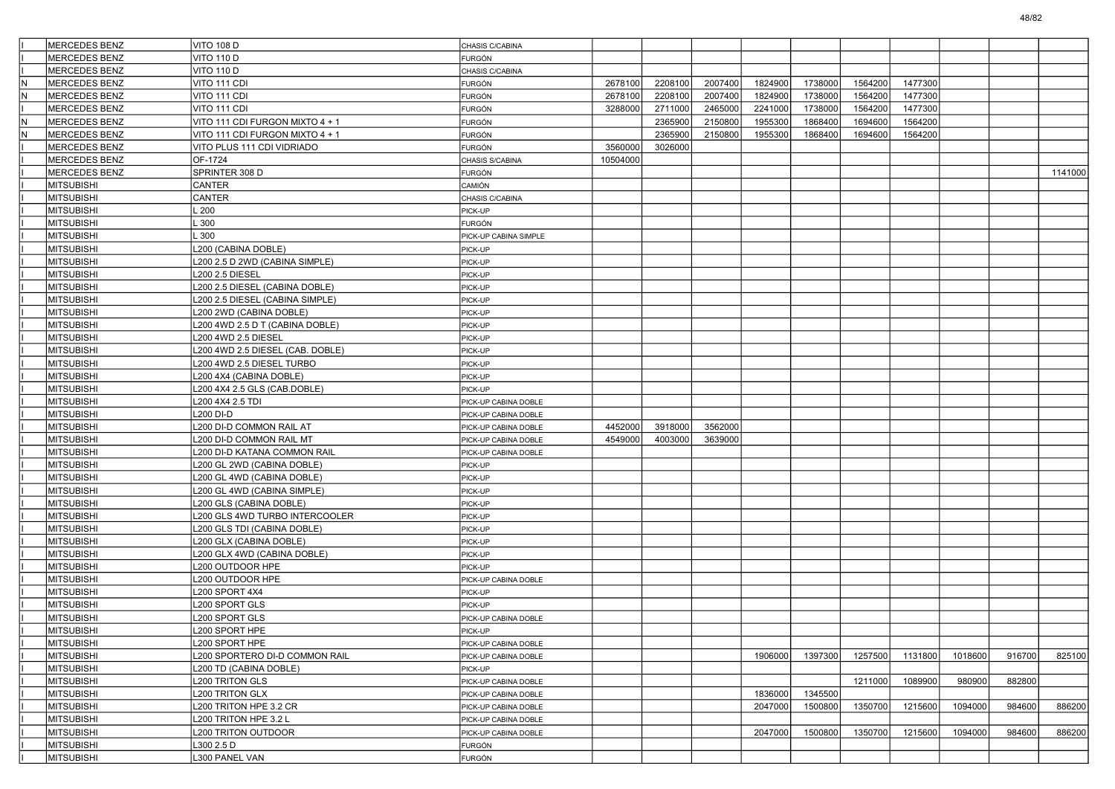|     | <b>MERCEDES BENZ</b> | <b>VITO 108 D</b>                | CHASIS C/CABINA       |          |         |         |         |         |         |         |         |        |         |
|-----|----------------------|----------------------------------|-----------------------|----------|---------|---------|---------|---------|---------|---------|---------|--------|---------|
|     | <b>MERCEDES BENZ</b> | <b>VITO 110 D</b>                | FURGÓN                |          |         |         |         |         |         |         |         |        |         |
|     | <b>MERCEDES BENZ</b> | <b>VITO 110 D</b>                | CHASIS C/CABINA       |          |         |         |         |         |         |         |         |        |         |
| lN  | MERCEDES BENZ        | VITO 111 CDI                     | <b>FURGÓN</b>         | 2678100  | 2208100 | 2007400 | 1824900 | 1738000 | 1564200 | 1477300 |         |        |         |
| lN  | MERCEDES BENZ        | VITO 111 CDI                     | FURGÓN                | 2678100  | 2208100 | 2007400 | 1824900 | 1738000 | 1564200 | 1477300 |         |        |         |
|     | <b>MERCEDES BENZ</b> | VITO 111 CDI                     | <b>FURGÓN</b>         | 3288000  | 2711000 | 2465000 | 2241000 | 1738000 | 1564200 | 1477300 |         |        |         |
| IN. | <b>MERCEDES BENZ</b> | VITO 111 CDI FURGON MIXTO 4 + 1  | FURGÓN                |          | 2365900 | 2150800 | 1955300 | 1868400 | 1694600 | 1564200 |         |        |         |
| N   | MERCEDES BENZ        | VITO 111 CDI FURGON MIXTO 4 + 1  | <b>FURGÓN</b>         |          | 2365900 | 2150800 | 1955300 | 1868400 | 1694600 | 1564200 |         |        |         |
|     | MERCEDES BENZ        | VITO PLUS 111 CDI VIDRIADO       | <b>FURGÓN</b>         | 3560000  | 3026000 |         |         |         |         |         |         |        |         |
|     | <b>MERCEDES BENZ</b> | OF-1724                          | CHASIS S/CABINA       | 10504000 |         |         |         |         |         |         |         |        |         |
|     | <b>MERCEDES BENZ</b> | SPRINTER 308 D                   | FURGÓN                |          |         |         |         |         |         |         |         |        | 1141000 |
|     | <b>MITSUBISHI</b>    | CANTER                           | CAMIÓN                |          |         |         |         |         |         |         |         |        |         |
|     | <b>MITSUBISHI</b>    | CANTER                           | CHASIS C/CABINA       |          |         |         |         |         |         |         |         |        |         |
|     | <b>MITSUBISHI</b>    | .200                             | PICK-UP               |          |         |         |         |         |         |         |         |        |         |
|     | <b>MITSUBISHI</b>    | .300                             | FURGÓN                |          |         |         |         |         |         |         |         |        |         |
|     | <b>MITSUBISHI</b>    | .300                             | PICK-UP CABINA SIMPLE |          |         |         |         |         |         |         |         |        |         |
|     | <b>MITSUBISHI</b>    | L200 (CABINA DOBLE)              | PICK-UP               |          |         |         |         |         |         |         |         |        |         |
|     | <b>MITSUBISHI</b>    | L200 2.5 D 2WD (CABINA SIMPLE)   | PICK-UP               |          |         |         |         |         |         |         |         |        |         |
|     | <b>MITSUBISHI</b>    | <b>L200 2.5 DIESEL</b>           | PICK-UP               |          |         |         |         |         |         |         |         |        |         |
|     | <b>MITSUBISHI</b>    | L200 2.5 DIESEL (CABINA DOBLE)   | PICK-UP               |          |         |         |         |         |         |         |         |        |         |
|     | <b>MITSUBISHI</b>    | L200 2.5 DIESEL (CABINA SIMPLE)  | PICK-UP               |          |         |         |         |         |         |         |         |        |         |
|     | <b>MITSUBISHI</b>    | L200 2WD (CABINA DOBLE)          | PICK-UP               |          |         |         |         |         |         |         |         |        |         |
|     | <b>MITSUBISHI</b>    | L200 4WD 2.5 D T (CABINA DOBLE)  | PICK-UP               |          |         |         |         |         |         |         |         |        |         |
|     | <b>MITSUBISHI</b>    |                                  |                       |          |         |         |         |         |         |         |         |        |         |
|     |                      | L200 4WD 2.5 DIESEL              | PICK-UP               |          |         |         |         |         |         |         |         |        |         |
|     | <b>MITSUBISHI</b>    | L200 4WD 2.5 DIESEL (CAB. DOBLE) | PICK-UP               |          |         |         |         |         |         |         |         |        |         |
|     | <b>MITSUBISHI</b>    | L200 4WD 2.5 DIESEL TURBO        | PICK-UP               |          |         |         |         |         |         |         |         |        |         |
|     | <b>MITSUBISHI</b>    | L200 4X4 (CABINA DOBLE)          | PICK-UP               |          |         |         |         |         |         |         |         |        |         |
|     | <b>MITSUBISHI</b>    | L200 4X4 2.5 GLS (CAB.DOBLE)     | PICK-UP               |          |         |         |         |         |         |         |         |        |         |
|     | <b>MITSUBISHI</b>    | L200 4X4 2.5 TDI                 | PICK-UP CABINA DOBLE  |          |         |         |         |         |         |         |         |        |         |
|     | <b>MITSUBISHI</b>    | L200 DI-D                        | PICK-UP CABINA DOBLE  |          |         |         |         |         |         |         |         |        |         |
|     | <b>MITSUBISHI</b>    | L200 DI-D COMMON RAIL AT         | PICK-UP CABINA DOBLE  | 4452000  | 3918000 | 3562000 |         |         |         |         |         |        |         |
|     | <b>MITSUBISHI</b>    | L200 DI-D COMMON RAIL MT         | PICK-UP CABINA DOBLE  | 4549000  | 4003000 | 3639000 |         |         |         |         |         |        |         |
|     | <b>MITSUBISHI</b>    | L200 DI-D KATANA COMMON RAIL     | PICK-UP CABINA DOBLE  |          |         |         |         |         |         |         |         |        |         |
|     | <b>MITSUBISHI</b>    | L200 GL 2WD (CABINA DOBLE)       | PICK-UP               |          |         |         |         |         |         |         |         |        |         |
|     | <b>MITSUBISHI</b>    | L200 GL 4WD (CABINA DOBLE)       | PICK-UP               |          |         |         |         |         |         |         |         |        |         |
|     | <b>MITSUBISHI</b>    | L200 GL 4WD (CABINA SIMPLE)      | PICK-UP               |          |         |         |         |         |         |         |         |        |         |
|     | <b>MITSUBISHI</b>    | L200 GLS (CABINA DOBLE)          | PICK-UP               |          |         |         |         |         |         |         |         |        |         |
|     | <b>MITSUBISHI</b>    | L200 GLS 4WD TURBO INTERCOOLER   | PICK-UP               |          |         |         |         |         |         |         |         |        |         |
|     | <b>MITSUBISHI</b>    | L200 GLS TDI (CABINA DOBLE)      | PICK-UP               |          |         |         |         |         |         |         |         |        |         |
|     | <b>MITSUBISHI</b>    | L200 GLX (CABINA DOBLE)          | PICK-UP               |          |         |         |         |         |         |         |         |        |         |
|     | <b>MITSUBISHI</b>    | L200 GLX 4WD (CABINA DOBLE)      | PICK-UP               |          |         |         |         |         |         |         |         |        |         |
|     | <b>MITSUBISHI</b>    | L200 OUTDOOR HPE                 | PICK-UP               |          |         |         |         |         |         |         |         |        |         |
|     | <b>MITSUBISHI</b>    | L200 OUTDOOR HPE                 | PICK-UP CABINA DOBLE  |          |         |         |         |         |         |         |         |        |         |
|     | <b>MITSUBISHI</b>    | L200 SPORT 4X4                   | PICK-UP               |          |         |         |         |         |         |         |         |        |         |
|     | <b>MITSUBISHI</b>    | L200 SPORT GLS                   | PICK-UP               |          |         |         |         |         |         |         |         |        |         |
|     | <b>MITSUBISHI</b>    | L200 SPORT GLS                   | PICK-UP CABINA DOBLE  |          |         |         |         |         |         |         |         |        |         |
|     | MITSUBISHI           | L200 SPORT HPE                   | PICK-UP               |          |         |         |         |         |         |         |         |        |         |
|     | MITSUBISHI           | L200 SPORT HPE                   | PICK-UP CABINA DOBLE  |          |         |         |         |         |         |         |         |        |         |
|     | <b>MITSUBISHI</b>    | L200 SPORTERO DI-D COMMON RAIL   | PICK-UP CABINA DOBLE  |          |         |         | 1906000 | 1397300 | 1257500 | 1131800 | 1018600 | 916700 | 825100  |
|     | <b>MITSUBISHI</b>    | L200 TD (CABINA DOBLE)           | PICK-UP               |          |         |         |         |         |         |         |         |        |         |
|     | <b>MITSUBISHI</b>    | <b>L200 TRITON GLS</b>           | PICK-UP CABINA DOBLE  |          |         |         |         |         | 1211000 | 1089900 | 980900  | 882800 |         |
|     | <b>MITSUBISHI</b>    | <b>L200 TRITON GLX</b>           | PICK-UP CABINA DOBLE  |          |         |         | 1836000 | 1345500 |         |         |         |        |         |
|     | <b>MITSUBISHI</b>    | L200 TRITON HPE 3.2 CR           | PICK-UP CABINA DOBLE  |          |         |         | 2047000 | 1500800 | 1350700 | 1215600 | 1094000 | 984600 | 886200  |
|     | <b>MITSUBISHI</b>    | L200 TRITON HPE 3.2 L            | PICK-UP CABINA DOBLE  |          |         |         |         |         |         |         |         |        |         |
|     | <b>MITSUBISHI</b>    | <b>L200 TRITON OUTDOOR</b>       | PICK-UP CABINA DOBLE  |          |         |         | 2047000 | 1500800 | 1350700 | 1215600 | 1094000 | 984600 | 886200  |
|     | <b>MITSUBISHI</b>    | L300 2.5 D                       | FURGÓN                |          |         |         |         |         |         |         |         |        |         |
|     |                      |                                  |                       |          |         |         |         |         |         |         |         |        |         |
|     | MITSUBISHI           | L300 PANEL VAN                   | FURGÓN                |          |         |         |         |         |         |         |         |        |         |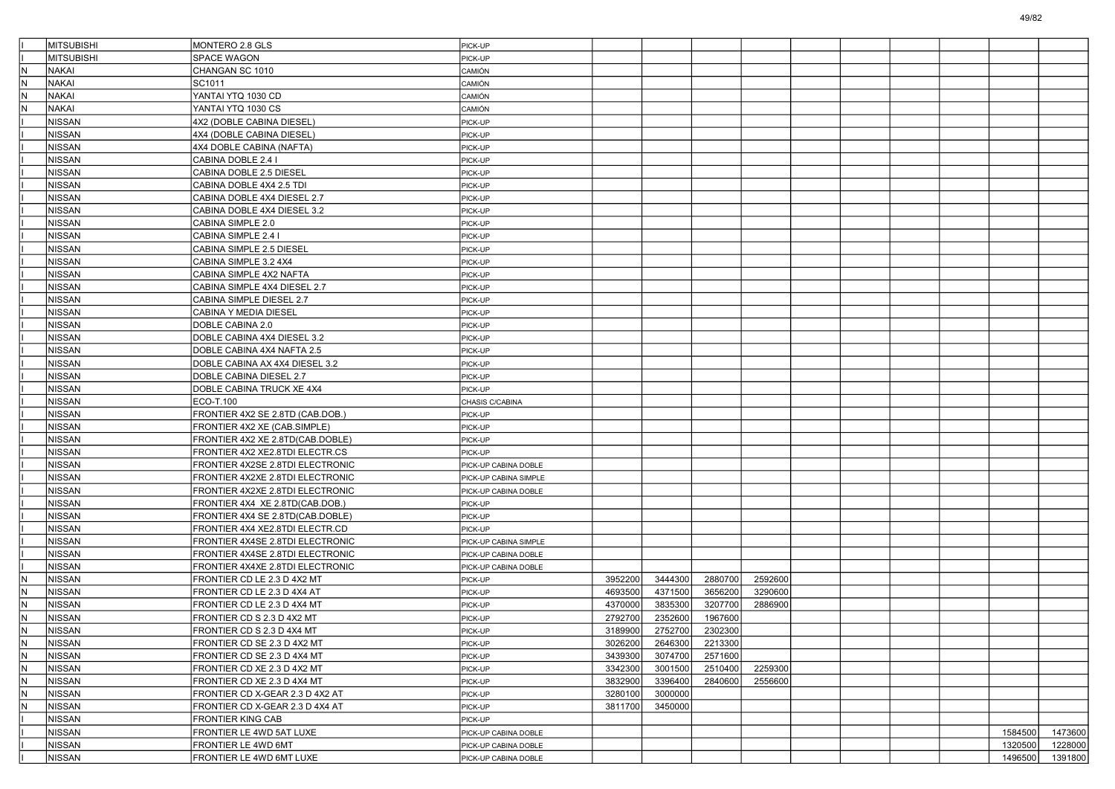|           | <b>MITSUBISHI</b>              | MONTERO 2.8 GLS                  | PICK-UP               |         |         |         |         |  |  |         |         |
|-----------|--------------------------------|----------------------------------|-----------------------|---------|---------|---------|---------|--|--|---------|---------|
|           | MITSUBISHI                     | <b>SPACE WAGON</b>               | PICK-UP               |         |         |         |         |  |  |         |         |
| N         | <b>NAKAI</b>                   | CHANGAN SC 1010                  | CAMIÓN                |         |         |         |         |  |  |         |         |
| İΝ        | <b>NAKAI</b>                   | SC1011                           | CAMIÓN                |         |         |         |         |  |  |         |         |
| N         | <b>NAKAI</b>                   | YANTAI YTQ 1030 CD               | CAMIÓN                |         |         |         |         |  |  |         |         |
| N         | NAKAI                          | YANTAI YTQ 1030 CS               | CAMIÓN                |         |         |         |         |  |  |         |         |
|           | NISSAN                         | 4X2 (DOBLE CABINA DIESEL)        | PICK-UP               |         |         |         |         |  |  |         |         |
|           | NISSAN                         | 4X4 (DOBLE CABINA DIESEL)        | PICK-UP               |         |         |         |         |  |  |         |         |
|           | NISSAN                         | 4X4 DOBLE CABINA (NAFTA)         | PICK-UP               |         |         |         |         |  |  |         |         |
|           | NISSAN                         | CABINA DOBLE 2.4 I               | PICK-UP               |         |         |         |         |  |  |         |         |
|           | NISSAN                         | CABINA DOBLE 2.5 DIESEL          | PICK-UP               |         |         |         |         |  |  |         |         |
|           | NISSAN                         | CABINA DOBLE 4X4 2.5 TDI         | PICK-UP               |         |         |         |         |  |  |         |         |
|           | NISSAN                         | CABINA DOBLE 4X4 DIESEL 2.7      | PICK-UP               |         |         |         |         |  |  |         |         |
|           | <b>NISSAN</b>                  | CABINA DOBLE 4X4 DIESEL 3.2      | PICK-UP               |         |         |         |         |  |  |         |         |
|           | <b>NISSAN</b>                  | CABINA SIMPLE 2.0                | PICK-UP               |         |         |         |         |  |  |         |         |
|           | NISSAN                         | CABINA SIMPLE 2.4 I              | PICK-UP               |         |         |         |         |  |  |         |         |
|           | NISSAN                         | CABINA SIMPLE 2.5 DIESEL         | PICK-UP               |         |         |         |         |  |  |         |         |
|           | NISSAN                         | CABINA SIMPLE 3.2 4X4            | PICK-UP               |         |         |         |         |  |  |         |         |
|           | NISSAN                         | CABINA SIMPLE 4X2 NAFTA          | PICK-UP               |         |         |         |         |  |  |         |         |
|           | NISSAN                         | CABINA SIMPLE 4X4 DIESEL 2.7     | PICK-UP               |         |         |         |         |  |  |         |         |
|           | NISSAN                         | <b>CABINA SIMPLE DIESEL 2.7</b>  | PICK-UP               |         |         |         |         |  |  |         |         |
|           | NISSAN                         | <b>CABINA Y MEDIA DIESEL</b>     | PICK-UP               |         |         |         |         |  |  |         |         |
|           | NISSAN                         | DOBLE CABINA 2.0                 | PICK-UP               |         |         |         |         |  |  |         |         |
|           | NISSAN                         | DOBLE CABINA 4X4 DIESEL 3.2      | PICK-UP               |         |         |         |         |  |  |         |         |
|           | NISSAN                         | DOBLE CABINA 4X4 NAFTA 2.5       | PICK-UP               |         |         |         |         |  |  |         |         |
|           | NISSAN                         | DOBLE CABINA AX 4X4 DIESEL 3.2   | PICK-UP               |         |         |         |         |  |  |         |         |
|           | NISSAN                         | DOBLE CABINA DIESEL 2.7          | PICK-UP               |         |         |         |         |  |  |         |         |
|           | NISSAN                         | DOBLE CABINA TRUCK XE 4X4        | PICK-UP               |         |         |         |         |  |  |         |         |
|           | NISSAN                         | ECO-T.100                        | CHASIS C/CABINA       |         |         |         |         |  |  |         |         |
|           | NISSAN                         | FRONTIER 4X2 SE 2.8TD (CAB.DOB.) | PICK-UP               |         |         |         |         |  |  |         |         |
|           | NISSAN                         | FRONTIER 4X2 XE (CAB.SIMPLE)     | PICK-UP               |         |         |         |         |  |  |         |         |
|           | NISSAN                         | FRONTIER 4X2 XE 2.8TD(CAB.DOBLE) | PICK-UP               |         |         |         |         |  |  |         |         |
|           | NISSAN                         | FRONTIER 4X2 XE2.8TDI ELECTR.CS  | PICK-UP               |         |         |         |         |  |  |         |         |
|           | <b>NISSAN</b>                  | FRONTIER 4X2SE 2.8TDI ELECTRONIC | PICK-UP CABINA DOBLE  |         |         |         |         |  |  |         |         |
|           | NISSAN                         | FRONTIER 4X2XE 2.8TDI ELECTRONIC | PICK-UP CABINA SIMPLE |         |         |         |         |  |  |         |         |
|           | NISSAN                         | FRONTIER 4X2XE 2.8TDI ELECTRONIC | PICK-UP CABINA DOBLE  |         |         |         |         |  |  |         |         |
|           | NISSAN                         | FRONTIER 4X4 XE 2.8TD(CAB.DOB.)  | PICK-UP               |         |         |         |         |  |  |         |         |
|           | NISSAN                         | FRONTIER 4X4 SE 2.8TD(CAB.DOBLE) | PICK-UP               |         |         |         |         |  |  |         |         |
|           | NISSAN                         | FRONTIER 4X4 XE2.8TDI ELECTR.CD  | PICK-UP               |         |         |         |         |  |  |         |         |
|           | NISSAN                         | FRONTIER 4X4SE 2.8TDI ELECTRONIC | PICK-UP CABINA SIMPLE |         |         |         |         |  |  |         |         |
|           | NISSAN                         | FRONTIER 4X4SE 2.8TDI ELECTRONIC | PICK-UP CABINA DOBLE  |         |         |         |         |  |  |         |         |
|           | NISSAN                         | FRONTIER 4X4XE 2.8TDI ELECTRONIC | PICK-UP CABINA DOBLE  |         |         |         |         |  |  |         |         |
| N         | <b>NISSAN</b>                  | FRONTIER CD LE 2.3 D 4X2 MT      | PICK-UP               | 3952200 | 3444300 | 2880700 | 2592600 |  |  |         |         |
| İΝ        | NISSAN                         | FRONTIER CD LE 2.3 D 4X4 AT      | PICK-UP               | 4693500 | 4371500 | 3656200 | 3290600 |  |  |         |         |
| N         | NISSAN                         | FRONTIER CD LE 2.3 D 4X4 MT      | PICK-UP               | 4370000 | 3835300 | 3207700 | 2886900 |  |  |         |         |
| N         | NISSAN                         | FRONTIER CD S 2.3 D 4X2 MT       | PICK-UP               | 2792700 | 2352600 | 1967600 |         |  |  |         |         |
|           | NISSAN                         | FRONTIER CD S 2.3 D 4X4 MT       |                       | 3189900 | 2752700 | 2302300 |         |  |  |         |         |
| ĮΝ<br>IN. | <b>NISSAN</b>                  | FRONTIER CD SE 2.3 D 4X2 MT      | PICK-UP<br>PICK-UP    | 3026200 | 2646300 | 2213300 |         |  |  |         |         |
| İΝ        | <b>NISSAN</b>                  | FRONTIER CD SE 2.3 D 4X4 MT      | PICK-UP               | 3439300 | 3074700 | 2571600 |         |  |  |         |         |
| IN.       | <b>NISSAN</b>                  | FRONTIER CD XE 2.3 D 4X2 MT      | PICK-UP               | 3342300 | 3001500 | 2510400 | 2259300 |  |  |         |         |
| l۸        | <b>NISSAN</b>                  | FRONTIER CD XE 2.3 D 4X4 MT      | PICK-UP               | 3832900 | 3396400 | 2840600 | 2556600 |  |  |         |         |
| IN.       | <b>NISSAN</b>                  |                                  |                       | 3280100 | 3000000 |         |         |  |  |         |         |
| İΝ        |                                | FRONTIER CD X-GEAR 2.3 D 4X2 AT  | PICK-UP               |         |         |         |         |  |  |         |         |
|           | <b>NISSAN</b><br><b>NISSAN</b> | FRONTIER CD X-GEAR 2.3 D 4X4 AT  | PICK-UP               | 3811700 | 3450000 |         |         |  |  |         |         |
|           |                                | <b>FRONTIER KING CAB</b>         | PICK-UP               |         |         |         |         |  |  |         |         |
|           | <b>NISSAN</b><br><b>NISSAN</b> | FRONTIER LE 4WD 5AT LUXE         | PICK-UP CABINA DOBLE  |         |         |         |         |  |  | 1584500 | 1473600 |
|           |                                | FRONTIER LE 4WD 6MT              | PICK-UP CABINA DOBLE  |         |         |         |         |  |  | 1320500 | 1228000 |
|           | <b>NISSAN</b>                  | FRONTIER LE 4WD 6MT LUXE         | PICK-UP CABINA DOBLE  |         |         |         |         |  |  | 1496500 | 1391800 |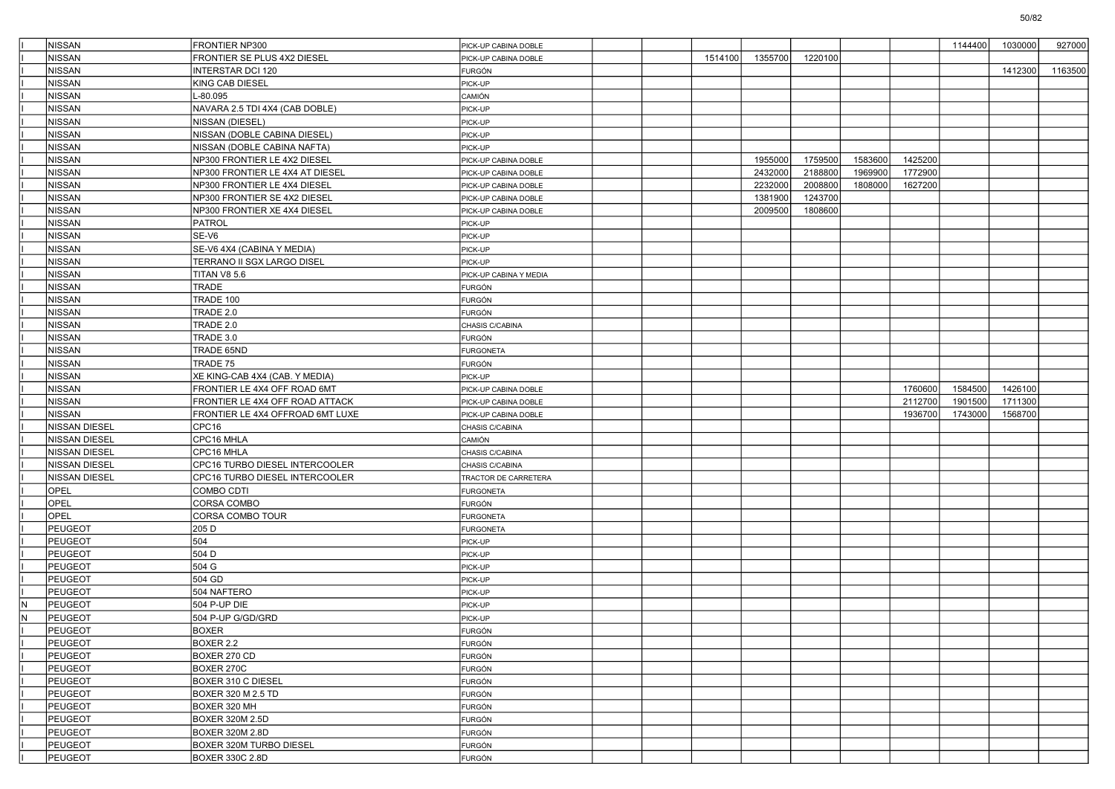|     | NISSAN               | FRONTIER NP300                    | PICK-UP CABINA DOBLE   |  |         |         |         |         |         | 1144400 | 1030000 | 927000  |
|-----|----------------------|-----------------------------------|------------------------|--|---------|---------|---------|---------|---------|---------|---------|---------|
|     | NISSAN               | <b>RONTIER SE PLUS 4X2 DIESEL</b> | PICK-UP CABINA DOBLE   |  | 1514100 | 1355700 | 1220100 |         |         |         |         |         |
|     | NISSAN               | INTERSTAR DCI 120                 | FURGÓN                 |  |         |         |         |         |         |         | 1412300 | 1163500 |
|     | NISSAN               | KING CAB DIESEL                   | PICK-UP                |  |         |         |         |         |         |         |         |         |
|     | NISSAN               | -80.095                           | CAMIÓN                 |  |         |         |         |         |         |         |         |         |
|     | NISSAN               | NAVARA 2.5 TDI 4X4 (CAB DOBLE)    | PICK-UP                |  |         |         |         |         |         |         |         |         |
|     | NISSAN               | NISSAN (DIESEL)                   | PICK-UP                |  |         |         |         |         |         |         |         |         |
|     | NISSAN               | NISSAN (DOBLE CABINA DIESEL)      | PICK-UP                |  |         |         |         |         |         |         |         |         |
|     | NISSAN               | NISSAN (DOBLE CABINA NAFTA)       | PICK-UP                |  |         |         |         |         |         |         |         |         |
|     | NISSAN               | NP300 FRONTIER LE 4X2 DIESEL      | PICK-UP CABINA DOBLE   |  |         | 1955000 | 1759500 | 1583600 | 1425200 |         |         |         |
|     | NISSAN               | NP300 FRONTIER LE 4X4 AT DIESEL   | PICK-UP CABINA DOBLE   |  |         | 2432000 | 2188800 | 1969900 | 1772900 |         |         |         |
|     | NISSAN               | NP300 FRONTIER LE 4X4 DIESEL      | PICK-UP CABINA DOBLE   |  |         | 2232000 | 2008800 | 1808000 | 1627200 |         |         |         |
|     | NISSAN               | NP300 FRONTIER SE 4X2 DIESEL      | PICK-UP CABINA DOBLE   |  |         | 1381900 | 1243700 |         |         |         |         |         |
|     | NISSAN               | NP300 FRONTIER XE 4X4 DIESEL      | PICK-UP CABINA DOBLE   |  |         | 2009500 | 1808600 |         |         |         |         |         |
|     | NISSAN               | <b>PATROL</b>                     | PICK-UP                |  |         |         |         |         |         |         |         |         |
|     | NISSAN               | SE-V6                             | PICK-UP                |  |         |         |         |         |         |         |         |         |
|     | NISSAN               | SE-V6 4X4 (CABINA Y MEDIA)        | PICK-UP                |  |         |         |         |         |         |         |         |         |
|     | <b>NISSAN</b>        | TERRANO II SGX LARGO DISEL        | PICK-UP                |  |         |         |         |         |         |         |         |         |
|     | NISSAN               | TITAN V8 5.6                      | PICK-UP CABINA Y MEDIA |  |         |         |         |         |         |         |         |         |
|     | NISSAN               | TRADE                             | <b>FURGÓN</b>          |  |         |         |         |         |         |         |         |         |
|     | NISSAN               | TRADE 100                         | <b>FURGÓN</b>          |  |         |         |         |         |         |         |         |         |
|     | NISSAN               | TRADE 2.0                         | FURGÓN                 |  |         |         |         |         |         |         |         |         |
|     | <b>NISSAN</b>        | TRADE 2.0                         | CHASIS C/CABINA        |  |         |         |         |         |         |         |         |         |
|     | NISSAN               | TRADE 3.0                         | FURGÓN                 |  |         |         |         |         |         |         |         |         |
|     |                      |                                   |                        |  |         |         |         |         |         |         |         |         |
|     | NISSAN               | TRADE 65ND                        | <b>FURGONETA</b>       |  |         |         |         |         |         |         |         |         |
|     | NISSAN               | TRADE 75                          | <b>FURGÓN</b>          |  |         |         |         |         |         |         |         |         |
|     | <b>NISSAN</b>        | XE KING-CAB 4X4 (CAB. Y MEDIA)    | PICK-UP                |  |         |         |         |         |         |         |         |         |
|     | <b>NISSAN</b>        | FRONTIER LE 4X4 OFF ROAD 6MT      | PICK-UP CABINA DOBLE   |  |         |         |         |         | 1760600 | 1584500 | 1426100 |         |
|     | NISSAN               | FRONTIER LE 4X4 OFF ROAD ATTACK   | PICK-UP CABINA DOBLE   |  |         |         |         |         | 2112700 | 1901500 | 1711300 |         |
|     | NISSAN               | FRONTIER LE 4X4 OFFROAD 6MT LUXE  | PICK-UP CABINA DOBLE   |  |         |         |         |         | 1936700 | 1743000 | 1568700 |         |
|     | <b>NISSAN DIESEL</b> | CPC16                             | CHASIS C/CABINA        |  |         |         |         |         |         |         |         |         |
|     | <b>NISSAN DIESEL</b> | CPC16 MHLA                        | CAMIÓN                 |  |         |         |         |         |         |         |         |         |
|     | NISSAN DIESEL        | CPC16 MHLA                        | CHASIS C/CABINA        |  |         |         |         |         |         |         |         |         |
|     | NISSAN DIESEL        | CPC16 TURBO DIESEL INTERCOOLER    | CHASIS C/CABINA        |  |         |         |         |         |         |         |         |         |
|     | <b>NISSAN DIESEL</b> | CPC16 TURBO DIESEL INTERCOOLER    | TRACTOR DE CARRETERA   |  |         |         |         |         |         |         |         |         |
|     | OPEL                 | COMBO CDTI                        | <b>FURGONETA</b>       |  |         |         |         |         |         |         |         |         |
|     | OPEL                 | CORSA COMBO                       | FURGÓN                 |  |         |         |         |         |         |         |         |         |
|     | OPEL                 | CORSA COMBO TOUR                  | <b>FURGONETA</b>       |  |         |         |         |         |         |         |         |         |
|     | PEUGEOT              | 205 D                             | <b>FURGONETA</b>       |  |         |         |         |         |         |         |         |         |
|     | PEUGEOT              | 504                               | PICK-UP                |  |         |         |         |         |         |         |         |         |
|     | <b>PEUGEOT</b>       | 504 D                             | PICK-UP                |  |         |         |         |         |         |         |         |         |
|     | PEUGEOT              | 504 G                             | PICK-UP                |  |         |         |         |         |         |         |         |         |
|     | <b>PEUGEOT</b>       | 504 GD                            | PICK-UP                |  |         |         |         |         |         |         |         |         |
|     | <b>PEUGEOT</b>       | 504 NAFTERO                       | PICK-UP                |  |         |         |         |         |         |         |         |         |
| N   | PEUGEOT              | 504 P-UP DIE                      | PICK-UP                |  |         |         |         |         |         |         |         |         |
| İN. | <b>PEUGEOT</b>       | 504 P-UP G/GD/GRD                 | PICK-UP                |  |         |         |         |         |         |         |         |         |
|     | PEUGEOT              | <b>BOXER</b>                      | IFURGON                |  |         |         |         |         |         |         |         |         |
|     | PEUGEOT              | BOXER 2.2                         | <b>FURGÓN</b>          |  |         |         |         |         |         |         |         |         |
|     | PEUGEOT              | BOXER 270 CD                      | <b>FURGÓN</b>          |  |         |         |         |         |         |         |         |         |
|     | PEUGEOT              | BOXER 270C                        | FURGÓN                 |  |         |         |         |         |         |         |         |         |
|     | PEUGEOT              | <b>BOXER 310 C DIESEL</b>         | <b>FURGÓN</b>          |  |         |         |         |         |         |         |         |         |
|     | PEUGEOT              | BOXER 320 M 2.5 TD                | <b>FURGÓN</b>          |  |         |         |         |         |         |         |         |         |
|     | PEUGEOT              | BOXER 320 MH                      | FURGÓN                 |  |         |         |         |         |         |         |         |         |
|     | PEUGEOT              | BOXER 320M 2.5D                   | <b>FURGÓN</b>          |  |         |         |         |         |         |         |         |         |
|     | PEUGEOT              | <b>BOXER 320M 2.8D</b>            | FURGÓN                 |  |         |         |         |         |         |         |         |         |
|     | PEUGEOT              | BOXER 320M TURBO DIESEL           | <b>FURGÓN</b>          |  |         |         |         |         |         |         |         |         |
|     | PEUGEOT              | BOXER 330C 2.8D                   | FURGÓN                 |  |         |         |         |         |         |         |         |         |
|     |                      |                                   |                        |  |         |         |         |         |         |         |         |         |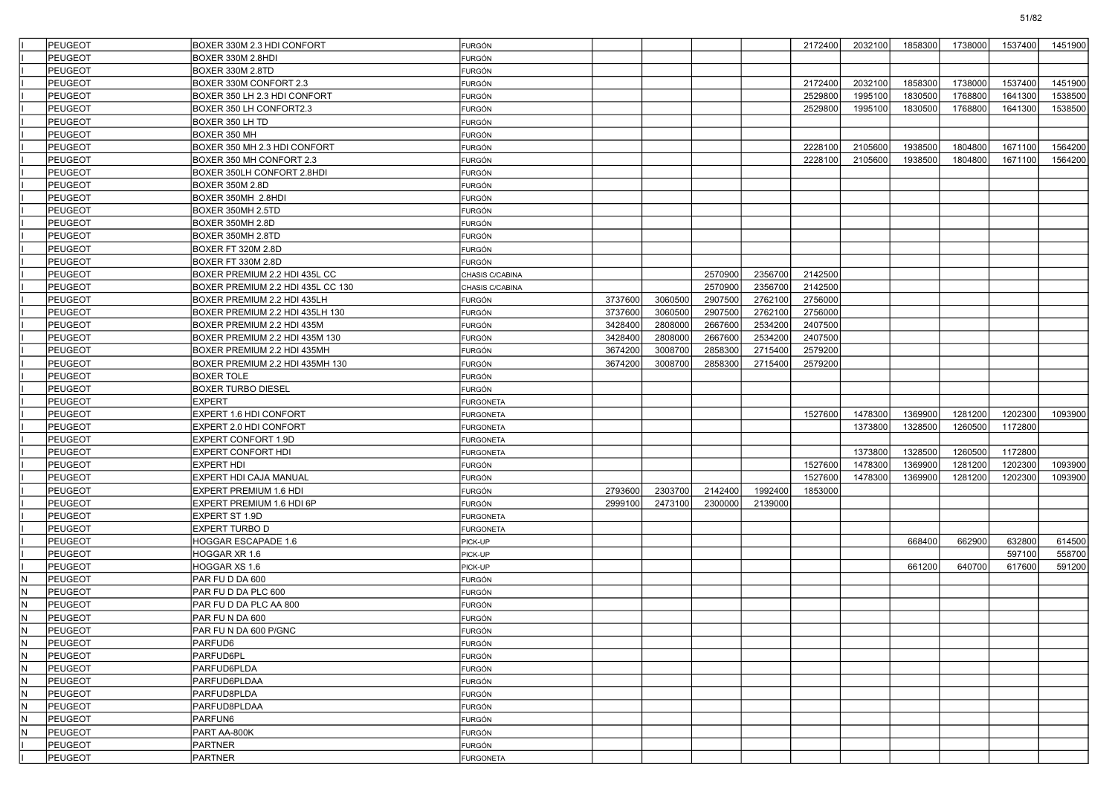| PEUGEOT               | BOXER 330M 2.3 HDI CONFORT        | <b>FURGÓN</b>    |         |         |         |         | 2172400 | 2032100 | 1858300 | 1738000 | 1537400 | 1451900 |
|-----------------------|-----------------------------------|------------------|---------|---------|---------|---------|---------|---------|---------|---------|---------|---------|
| <b>PEUGEOT</b>        | BOXER 330M 2.8HDI                 | FURGÓN           |         |         |         |         |         |         |         |         |         |         |
| <b>PEUGEOT</b>        | BOXER 330M 2.8TD                  | FURGÓN           |         |         |         |         |         |         |         |         |         |         |
| PEUGEOT               | BOXER 330M CONFORT 2.3            | FURGÓN           |         |         |         |         | 2172400 | 2032100 | 1858300 | 1738000 | 1537400 | 1451900 |
| PEUGEOT               | BOXER 350 LH 2.3 HDI CONFORT      | <b>FURGÓN</b>    |         |         |         |         | 2529800 | 1995100 | 1830500 | 1768800 | 1641300 | 1538500 |
| <b>PEUGEOT</b>        | BOXER 350 LH CONFORT2.3           | <b>FURGÓN</b>    |         |         |         |         | 2529800 | 1995100 | 1830500 | 1768800 | 1641300 | 1538500 |
| PEUGEOT               | BOXER 350 LH TD                   | FURGÓN           |         |         |         |         |         |         |         |         |         |         |
| PEUGEOT               | BOXER 350 MH                      | FURGÓN           |         |         |         |         |         |         |         |         |         |         |
| PEUGEOT               | BOXER 350 MH 2.3 HDI CONFORT      | FURGÓN           |         |         |         |         | 2228100 | 2105600 | 1938500 | 1804800 | 1671100 | 1564200 |
| PEUGEOT               | BOXER 350 MH CONFORT 2.3          | <b>FURGÓN</b>    |         |         |         |         | 2228100 | 2105600 | 1938500 | 1804800 | 1671100 | 1564200 |
| <b>PEUGEOT</b>        | BOXER 350LH CONFORT 2.8HDI        | <b>FURGÓN</b>    |         |         |         |         |         |         |         |         |         |         |
| PEUGEOT               | <b>BOXER 350M 2.8D</b>            | FURGÓN           |         |         |         |         |         |         |         |         |         |         |
| <b>PEUGEOT</b>        | BOXER 350MH 2.8HDI                | FURGÓN           |         |         |         |         |         |         |         |         |         |         |
| PEUGEOT               | BOXER 350MH 2.5TD                 | FURGÓN           |         |         |         |         |         |         |         |         |         |         |
| PEUGEOT               | BOXER 350MH 2.8D                  | <b>FURGÓN</b>    |         |         |         |         |         |         |         |         |         |         |
| PEUGEOT               | BOXER 350MH 2.8TD                 | <b>FURGÓN</b>    |         |         |         |         |         |         |         |         |         |         |
| PEUGEOT               | BOXER FT 320M 2.8D                | FURGÓN           |         |         |         |         |         |         |         |         |         |         |
| PEUGEOT               | BOXER FT 330M 2.8D                | FURGÓN           |         |         |         |         |         |         |         |         |         |         |
| PEUGEOT               | BOXER PREMIUM 2.2 HDI 435L CC     | CHASIS C/CABINA  |         |         | 2570900 | 2356700 | 2142500 |         |         |         |         |         |
| PEUGEOT               | BOXER PREMIUM 2.2 HDI 435L CC 130 | CHASIS C/CABINA  |         |         | 2570900 | 2356700 | 2142500 |         |         |         |         |         |
| <b>PEUGEOT</b>        | BOXER PREMIUM 2.2 HDI 435LH       | FURGÓN           | 3737600 | 3060500 | 2907500 | 2762100 | 2756000 |         |         |         |         |         |
| PEUGEOT               | BOXER PREMIUM 2.2 HDI 435LH 130   | FURGÓN           | 3737600 | 3060500 | 2907500 | 2762100 | 2756000 |         |         |         |         |         |
| PEUGEOT               | BOXER PREMIUM 2.2 HDI 435M        | FURGÓN           | 3428400 | 2808000 | 2667600 | 2534200 | 2407500 |         |         |         |         |         |
| PEUGEOT               | BOXER PREMIUM 2.2 HDI 435M 130    | FURGÓN           | 3428400 | 2808000 | 2667600 | 2534200 | 2407500 |         |         |         |         |         |
| PEUGEOT               | BOXER PREMIUM 2.2 HDI 435MH       | FURGÓN           | 3674200 | 3008700 | 2858300 | 2715400 | 2579200 |         |         |         |         |         |
| <b>PEUGEOT</b>        | BOXER PREMIUM 2.2 HDI 435MH 130   | FURGÓN           | 3674200 | 3008700 | 2858300 | 2715400 | 2579200 |         |         |         |         |         |
| PEUGEOT               | <b>BOXER TOLE</b>                 | FURGÓN           |         |         |         |         |         |         |         |         |         |         |
| PEUGEOT               | <b>BOXER TURBO DIESEL</b>         | FURGÓN           |         |         |         |         |         |         |         |         |         |         |
| PEUGEOT               | <b>EXPERT</b>                     | <b>FURGONETA</b> |         |         |         |         |         |         |         |         |         |         |
| PEUGEOT               | EXPERT 1.6 HDI CONFORT            | <b>FURGONETA</b> |         |         |         |         | 1527600 | 1478300 | 1369900 | 1281200 | 1202300 | 1093900 |
| PEUGEOT               | EXPERT 2.0 HDI CONFORT            | <b>FURGONETA</b> |         |         |         |         |         | 1373800 | 1328500 | 1260500 | 1172800 |         |
| PEUGEOT               | EXPERT CONFORT 1.9D               | <b>FURGONETA</b> |         |         |         |         |         |         |         |         |         |         |
| PEUGEOT               | <b>EXPERT CONFORT HDI</b>         |                  |         |         |         |         |         | 1373800 | 1328500 | 1260500 | 1172800 |         |
| PEUGEOT               | EXPERT HDI                        | <b>FURGONETA</b> |         |         |         |         | 1527600 | 1478300 | 1369900 | 1281200 | 1202300 | 1093900 |
|                       |                                   | FURGÓN           |         |         |         |         |         |         |         |         |         |         |
| PEUGEOT               | EXPERT HDI CAJA MANUAL            | FURGÓN           |         |         |         |         | 1527600 | 1478300 | 1369900 | 1281200 | 1202300 | 1093900 |
| PEUGEOT               | EXPERT PREMIUM 1.6 HDI            | FURGÓN           | 2793600 | 2303700 | 2142400 | 1992400 | 1853000 |         |         |         |         |         |
| PEUGEOT               | EXPERT PREMIUM 1.6 HDI 6P         | FURGÓN           | 2999100 | 2473100 | 2300000 | 2139000 |         |         |         |         |         |         |
| <b>PEUGEOT</b>        | EXPERT ST 1.9D                    | <b>FURGONETA</b> |         |         |         |         |         |         |         |         |         |         |
| PEUGEOT               | EXPERT TURBO D                    | <b>FURGONETA</b> |         |         |         |         |         |         |         |         |         |         |
| PEUGEOT               | HOGGAR ESCAPADE 1.6               | PICK-UP          |         |         |         |         |         |         | 668400  | 662900  | 632800  | 614500  |
| <b>PEUGEOT</b>        | OGGAR XR 1.6                      | PICK-UP          |         |         |         |         |         |         |         |         | 597100  | 558700  |
| PEUGEOT               | OGGAR XS 1.6                      | PICK-UP          |         |         |         |         |         |         | 661200  | 640700  | 617600  | 591200  |
| IN.<br>PEUGEOT        | PAR FU D DA 600                   | FURGÓN           |         |         |         |         |         |         |         |         |         |         |
| IN.<br>PEUGEOT        | PAR FU D DA PLC 600               | FURGÓN           |         |         |         |         |         |         |         |         |         |         |
| lN.<br>PEUGEOT        | PAR FU D DA PLC AA 800            | FURGÓN           |         |         |         |         |         |         |         |         |         |         |
| İN.<br>PEUGEOT        | PAR FUNDA 600                     | FURGÓN           |         |         |         |         |         |         |         |         |         |         |
| N<br>PEUGEOT          | PAR FU N DA 600 P/GNC             | FURGÓN           |         |         |         |         |         |         |         |         |         |         |
| İм<br><b>PEUGEOT</b>  | PARFUD6                           | <b>FURGÓN</b>    |         |         |         |         |         |         |         |         |         |         |
| IN.<br><b>PEUGEOT</b> | PARFUD6PL                         | FURGÓN           |         |         |         |         |         |         |         |         |         |         |
| İм<br>PEUGEOT         | PARFUD6PLDA                       | <b>FURGÓN</b>    |         |         |         |         |         |         |         |         |         |         |
| İм<br>PEUGEOT         | PARFUD6PLDAA                      | <b>FURGÓN</b>    |         |         |         |         |         |         |         |         |         |         |
| IN.<br>PEUGEOT        | PARFUD8PLDA                       | FURGÓN           |         |         |         |         |         |         |         |         |         |         |
| İм<br><b>PEUGEOT</b>  | PARFUD8PLDAA                      | <b>FURGÓN</b>    |         |         |         |         |         |         |         |         |         |         |
| IN.<br>PEUGEOT        | PARFUN6                           | <b>FURGÓN</b>    |         |         |         |         |         |         |         |         |         |         |
| l۸<br><b>PEUGEOT</b>  | PART AA-800K                      | <b>FURGÓN</b>    |         |         |         |         |         |         |         |         |         |         |
| PEUGEOT               | <b>PARTNER</b>                    | <b>FURGÓN</b>    |         |         |         |         |         |         |         |         |         |         |
| PEUGEOT               | PARTNER                           | <b>FURGONETA</b> |         |         |         |         |         |         |         |         |         |         |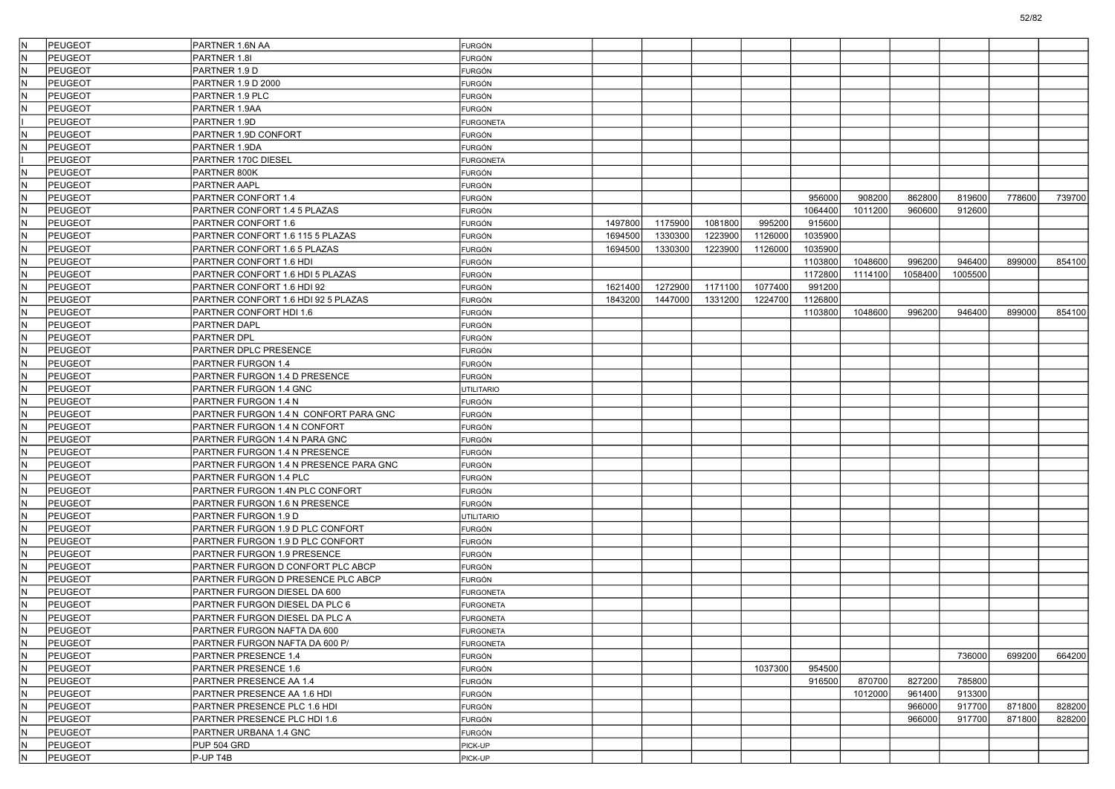| lN.<br>PEUGEOT                   | PARTNER 1.6N AA                        | FURGÓN            |         |         |         |         |         |         |         |         |        |        |
|----------------------------------|----------------------------------------|-------------------|---------|---------|---------|---------|---------|---------|---------|---------|--------|--------|
| N<br><b>PEUGEOT</b>              | PARTNER 1.8I                           | <b>FURGÓN</b>     |         |         |         |         |         |         |         |         |        |        |
| IN.<br><b>PEUGEOT</b>            | PARTNER 1.9 D                          | FURGÓN            |         |         |         |         |         |         |         |         |        |        |
| IN.<br>PEUGEOT                   | PARTNER 1.9 D 2000                     | <b>FURGÓN</b>     |         |         |         |         |         |         |         |         |        |        |
| lN.<br><b>PEUGEOT</b>            | PARTNER 1.9 PLC                        | <b>FURGÓN</b>     |         |         |         |         |         |         |         |         |        |        |
| IN.<br>PEUGEOT                   | PARTNER 1.9AA                          | FURGÓN            |         |         |         |         |         |         |         |         |        |        |
| <b>PEUGEOT</b>                   | PARTNER 1.9D                           | <b>FURGONETA</b>  |         |         |         |         |         |         |         |         |        |        |
| N<br><b>PEUGEOT</b>              | PARTNER 1.9D CONFORT                   | <b>FURGÓN</b>     |         |         |         |         |         |         |         |         |        |        |
| IN.<br>PEUGEOT                   | PARTNER 1.9DA                          | <b>FURGÓN</b>     |         |         |         |         |         |         |         |         |        |        |
| <b>PEUGEOT</b>                   | PARTNER 170C DIESEL                    | <b>FURGONETA</b>  |         |         |         |         |         |         |         |         |        |        |
| IN.<br>PEUGEOT                   | PARTNER 800K                           | FURGÓN            |         |         |         |         |         |         |         |         |        |        |
| N<br><b>PEUGEOT</b>              | <b>PARTNER AAPL</b>                    | <b>FURGÓN</b>     |         |         |         |         |         |         |         |         |        |        |
| IN.<br><b>PEUGEOT</b>            | PARTNER CONFORT 1.4                    | <b>FURGÓN</b>     |         |         |         |         | 956000  | 908200  | 862800  | 819600  | 778600 | 739700 |
| PEUGEOT<br>lN.                   | PARTNER CONFORT 1.4 5 PLAZAS           | <b>FURGÓN</b>     |         |         |         |         | 1064400 | 1011200 | 960600  | 912600  |        |        |
| lN.<br><b>PEUGEOT</b>            | PARTNER CONFORT 1.6                    | FURGÓN            | 1497800 | 1175900 | 1081800 | 995200  | 915600  |         |         |         |        |        |
| IN.<br>PEUGEOT                   | PARTNER CONFORT 1.6 115 5 PLAZAS       | FURGÓN            | 1694500 | 1330300 | 1223900 | 1126000 | 1035900 |         |         |         |        |        |
| N<br>PEUGEOT                     | PARTNER CONFORT 1.6 5 PLAZAS           | <b>FURGÓN</b>     | 1694500 | 1330300 | 1223900 | 1126000 | 1035900 |         |         |         |        |        |
| IN.<br><b>PEUGEOT</b>            | PARTNER CONFORT 1.6 HDI                | <b>FURGÓN</b>     |         |         |         |         | 1103800 | 1048600 | 996200  | 946400  | 899000 | 854100 |
| lN.<br><b>PEUGEOT</b>            | PARTNER CONFORT 1.6 HDI 5 PLAZAS       | <b>FURGÓN</b>     |         |         |         |         | 1172800 | 1114100 | 1058400 | 1005500 |        |        |
| lN.<br><b>PEUGEOT</b>            | PARTNER CONFORT 1.6 HDI 92             | FURGÓN            | 1621400 | 1272900 | 1171100 | 1077400 | 991200  |         |         |         |        |        |
| IN.<br>PEUGEOT                   | PARTNER CONFORT 1.6 HDI 92 5 PLAZAS    | FURGÓN            | 1843200 | 1447000 | 1331200 | 1224700 | 1126800 |         |         |         |        |        |
| N<br>PEUGEOT                     | PARTNER CONFORT HDI 1.6                | <b>FURGÓN</b>     |         |         |         |         | 1103800 | 1048600 | 996200  | 946400  | 899000 | 854100 |
| IN.<br><b>PEUGEOT</b>            | PARTNER DAPL                           | <b>FURGÓN</b>     |         |         |         |         |         |         |         |         |        |        |
| IN.<br><b>PEUGEOT</b>            | <b>PARTNER DPL</b>                     | <b>FURGÓN</b>     |         |         |         |         |         |         |         |         |        |        |
| N<br><b>PEUGEOT</b>              | PARTNER DPLC PRESENCE                  | FURGÓN            |         |         |         |         |         |         |         |         |        |        |
| IN.<br>PEUGEOT                   | <b>PARTNER FURGON 1.4</b>              | FURGÓN            |         |         |         |         |         |         |         |         |        |        |
| N<br>PEUGEOT                     | PARTNER FURGON 1.4 D PRESENCE          | <b>FURGÓN</b>     |         |         |         |         |         |         |         |         |        |        |
| IN.<br><b>PEUGEOT</b>            | PARTNER FURGON 1.4 GNC                 | <b>UTILITARIO</b> |         |         |         |         |         |         |         |         |        |        |
| IN.<br><b>PEUGEOT</b>            | PARTNER FURGON 1.4 N                   |                   |         |         |         |         |         |         |         |         |        |        |
| N                                |                                        | <b>FURGÓN</b>     |         |         |         |         |         |         |         |         |        |        |
| <b>PEUGEOT</b><br>IN.<br>PEUGEOT | PARTNER FURGON 1.4 N CONFORT PARA GNC  | <b>FURGÓN</b>     |         |         |         |         |         |         |         |         |        |        |
|                                  | PARTNER FURGON 1.4 N CONFORT           | <b>FURGÓN</b>     |         |         |         |         |         |         |         |         |        |        |
| N<br><b>PEUGEOT</b>              | PARTNER FURGON 1.4 N PARA GNC          | <b>FURGÓN</b>     |         |         |         |         |         |         |         |         |        |        |
| IN.<br><b>PEUGEOT</b>            | PARTNER FURGON 1.4 N PRESENCE          | <b>FURGÓN</b>     |         |         |         |         |         |         |         |         |        |        |
| IN.<br><b>PEUGEOT</b>            | PARTNER FURGON 1.4 N PRESENCE PARA GNC | <b>FURGÓN</b>     |         |         |         |         |         |         |         |         |        |        |
| N<br><b>PEUGEOT</b>              | PARTNER FURGON 1.4 PLC                 | <b>FURGÓN</b>     |         |         |         |         |         |         |         |         |        |        |
| IN.<br><b>PEUGEOT</b>            | PARTNER FURGON 1.4N PLC CONFORT        | <b>FURGÓN</b>     |         |         |         |         |         |         |         |         |        |        |
| N<br><b>PEUGEOT</b>              | PARTNER FURGON 1.6 N PRESENCE          | <b>FURGÓN</b>     |         |         |         |         |         |         |         |         |        |        |
| IN.<br><b>PEUGEOT</b>            | PARTNER FURGON 1.9 D                   | <b>JTILITARIO</b> |         |         |         |         |         |         |         |         |        |        |
| IN.<br><b>PEUGEOT</b>            | PARTNER FURGON 1.9 D PLC CONFORT       | <b>FURGÓN</b>     |         |         |         |         |         |         |         |         |        |        |
| N<br><b>PEUGEOT</b>              | PARTNER FURGON 1.9 D PLC CONFORT       | <b>FURGÓN</b>     |         |         |         |         |         |         |         |         |        |        |
| IN.<br><b>PEUGEOT</b>            | PARTNER FURGON 1.9 PRESENCE            | <b>FURGÓN</b>     |         |         |         |         |         |         |         |         |        |        |
| N<br><b>PEUGEOT</b>              | PARTNER FURGON D CONFORT PLC ABCP      | <b>FURGÓN</b>     |         |         |         |         |         |         |         |         |        |        |
| IN.<br><b>PEUGEOT</b>            | PARTNER FURGON D PRESENCE PLC ABCP     | <b>FURGÓN</b>     |         |         |         |         |         |         |         |         |        |        |
| <b>PEUGEOT</b><br>IN.            | PARTNER FURGON DIESEL DA 600           | <b>FURGONETA</b>  |         |         |         |         |         |         |         |         |        |        |
| N<br><b>PEUGEOT</b>              | PARTNER FURGON DIESEL DA PLC 6         | <b>FURGONETA</b>  |         |         |         |         |         |         |         |         |        |        |
| IN.<br>PEUGEOT                   | PARTNER FURGON DIESEL DA PLC A         | <b>FURGONETA</b>  |         |         |         |         |         |         |         |         |        |        |
| PEUGEOT<br>N                     | PARTNER FURGON NAFTA DA 600            | <b>FURGONETA</b>  |         |         |         |         |         |         |         |         |        |        |
| IN.<br><b>PEUGEOT</b>            | PARTNER FURGON NAFTA DA 600 P/         | <b>FURGONETA</b>  |         |         |         |         |         |         |         |         |        |        |
| IN.<br>PEUGEOT                   | PARTNER PRESENCE 1.4                   | <b>FURGÓN</b>     |         |         |         |         |         |         |         | 736000  | 699200 | 664200 |
| IN.<br>PEUGEOT                   | PARTNER PRESENCE 1.6                   | FURGÓN            |         |         |         | 1037300 | 954500  |         |         |         |        |        |
| IN.<br>PEUGEOT                   | PARTNER PRESENCE AA 1.4                | <b>FURGÓN</b>     |         |         |         |         | 916500  | 870700  | 827200  | 785800  |        |        |
| N<br>PEUGEOT                     | PARTNER PRESENCE AA 1.6 HDI            | <b>FURGÓN</b>     |         |         |         |         |         | 1012000 | 961400  | 913300  |        |        |
| IN.<br>PEUGEOT                   | PARTNER PRESENCE PLC 1.6 HDI           | <b>FURGÓN</b>     |         |         |         |         |         |         | 966000  | 917700  | 871800 | 828200 |
| IN.<br>PEUGEOT                   | PARTNER PRESENCE PLC HDI 1.6           | <b>FURGÓN</b>     |         |         |         |         |         |         | 966000  | 917700  | 871800 | 828200 |
| IN.<br>PEUGEOT                   | PARTNER URBANA 1.4 GNC                 | <b>FURGÓN</b>     |         |         |         |         |         |         |         |         |        |        |
| IN.<br>PEUGEOT                   | PUP 504 GRD                            | PICK-UP           |         |         |         |         |         |         |         |         |        |        |
| N<br>PEUGEOT                     | P-UP T4B                               | PICK-UP           |         |         |         |         |         |         |         |         |        |        |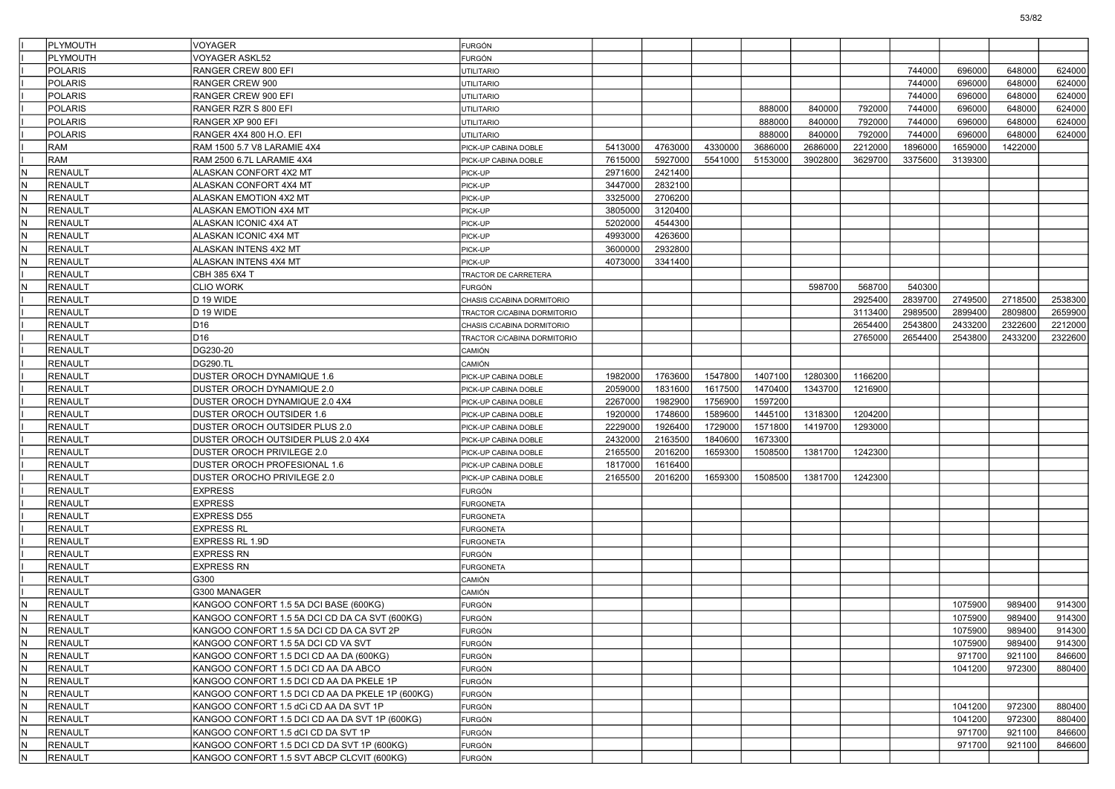|            | <b>PLYMOUTH</b> | VOYAGER                                          | FURGÓN                      |         |         |         |         |         |         |         |         |         |         |
|------------|-----------------|--------------------------------------------------|-----------------------------|---------|---------|---------|---------|---------|---------|---------|---------|---------|---------|
|            | PLYMOUTH        | VOYAGER ASKL52                                   | FURGÓN                      |         |         |         |         |         |         |         |         |         |         |
|            | POLARIS         | RANGER CREW 800 EFI                              | <b>UTILITARIO</b>           |         |         |         |         |         |         | 744000  | 696000  | 648000  | 624000  |
|            | POLARIS         | RANGER CREW 900                                  | <b>UTILITARIO</b>           |         |         |         |         |         |         | 744000  | 696000  | 648000  | 624000  |
|            | <b>POLARIS</b>  | RANGER CREW 900 EFI                              | UTILITARIO                  |         |         |         |         |         |         | 744000  | 696000  | 648000  | 624000  |
|            | <b>POLARIS</b>  | RANGER RZR S 800 EFI                             | <b>UTILITARIO</b>           |         |         |         | 888000  | 840000  | 792000  | 744000  | 696000  | 648000  | 624000  |
|            | <b>POLARIS</b>  | RANGER XP 900 EFI                                | UTILITARIO                  |         |         |         | 888000  | 840000  | 792000  | 744000  | 696000  | 648000  | 624000  |
|            | POLARIS         | RANGER 4X4 800 H.O. EFI                          | <b>UTILITARIO</b>           |         |         |         | 888000  | 840000  | 792000  | 744000  | 696000  | 648000  | 624000  |
|            | <b>RAM</b>      | RAM 1500 5.7 V8 LARAMIE 4X4                      | PICK-UP CABINA DOBLE        | 5413000 | 4763000 | 4330000 | 3686000 | 2686000 | 2212000 | 1896000 | 1659000 | 1422000 |         |
|            | <b>RAM</b>      | RAM 2500 6.7L LARAMIE 4X4                        | PICK-UP CABINA DOBLE        | 7615000 | 5927000 | 5541000 | 5153000 | 3902800 | 3629700 | 3375600 | 3139300 |         |         |
| IN.        | <b>RENAULT</b>  | ALASKAN CONFORT 4X2 MT                           | PICK-UP                     | 2971600 | 2421400 |         |         |         |         |         |         |         |         |
| IN.        | <b>RENAULT</b>  | ALASKAN CONFORT 4X4 MT                           | PICK-UP                     | 3447000 | 2832100 |         |         |         |         |         |         |         |         |
| N          | <b>RENAULT</b>  | ALASKAN EMOTION 4X2 MT                           | PICK-UP                     | 3325000 | 2706200 |         |         |         |         |         |         |         |         |
| IN.        | RENAULT         | ALASKAN EMOTION 4X4 MT                           | PICK-UP                     | 3805000 | 3120400 |         |         |         |         |         |         |         |         |
| IN.        | RENAULT         | ALASKAN ICONIC 4X4 AT                            | PICK-UP                     | 5202000 | 4544300 |         |         |         |         |         |         |         |         |
| IN.        | <b>RENAULT</b>  | ALASKAN ICONIC 4X4 MT                            | PICK-UP                     | 4993000 | 4263600 |         |         |         |         |         |         |         |         |
| IN.        | <b>RENAULT</b>  | ALASKAN INTENS 4X2 MT                            | PICK-UP                     | 3600000 | 2932800 |         |         |         |         |         |         |         |         |
| N          | <b>RENAULT</b>  | ALASKAN INTENS 4X4 MT                            | PICK-UP                     | 4073000 | 3341400 |         |         |         |         |         |         |         |         |
|            | <b>RENAULT</b>  | CBH 385 6X4 T                                    | TRACTOR DE CARRETERA        |         |         |         |         |         |         |         |         |         |         |
| N          | RENAULT         | CLIO WORK                                        | FURGÓN                      |         |         |         |         | 598700  | 568700  | 540300  |         |         |         |
|            | <b>RENAULT</b>  | D 19 WIDE                                        | CHASIS C/CABINA DORMITORIO  |         |         |         |         |         | 2925400 | 2839700 | 2749500 | 2718500 | 2538300 |
|            | <b>RENAULT</b>  | D 19 WIDE                                        | TRACTOR C/CABINA DORMITORIO |         |         |         |         |         | 3113400 | 2989500 | 2899400 | 2809800 | 2659900 |
|            | <b>RENAULT</b>  | D <sub>16</sub>                                  | CHASIS C/CABINA DORMITORIO  |         |         |         |         |         | 2654400 | 2543800 | 2433200 | 2322600 | 2212000 |
|            | RENAULT         | D <sub>16</sub>                                  | TRACTOR C/CABINA DORMITORIO |         |         |         |         |         | 2765000 | 2654400 | 2543800 | 2433200 | 2322600 |
|            | <b>RENAULT</b>  | DG230-20                                         | CAMIÓN                      |         |         |         |         |         |         |         |         |         |         |
|            | <b>RENAULT</b>  | <b>DG290.TL</b>                                  | CAMIÓN                      |         |         |         |         |         |         |         |         |         |         |
|            | <b>RENAULT</b>  | DUSTER OROCH DYNAMIQUE 1.6                       | PICK-UP CABINA DOBLE        | 1982000 | 1763600 | 1547800 | 1407100 | 1280300 | 1166200 |         |         |         |         |
|            | <b>RENAULT</b>  | DUSTER OROCH DYNAMIQUE 2.0                       | PICK-UP CABINA DOBLE        | 2059000 | 1831600 | 1617500 | 1470400 | 1343700 | 1216900 |         |         |         |         |
|            | RENAULT         | DUSTER OROCH DYNAMIQUE 2.0 4X4                   | PICK-UP CABINA DOBLE        | 2267000 | 1982900 | 1756900 | 1597200 |         |         |         |         |         |         |
|            | <b>RENAULT</b>  | DUSTER OROCH OUTSIDER 1.6                        | PICK-UP CABINA DOBLE        | 1920000 | 1748600 | 1589600 | 1445100 | 1318300 | 1204200 |         |         |         |         |
|            | <b>RENAULT</b>  | DUSTER OROCH OUTSIDER PLUS 2.0                   | PICK-UP CABINA DOBLE        | 2229000 | 1926400 | 1729000 | 1571800 | 1419700 | 1293000 |         |         |         |         |
|            | <b>RENAULT</b>  | DUSTER OROCH OUTSIDER PLUS 2.0 4X4               | PICK-UP CABINA DOBLE        | 2432000 | 2163500 | 1840600 | 1673300 |         |         |         |         |         |         |
|            | <b>RENAULT</b>  | DUSTER OROCH PRIVILEGE 2.0                       | PICK-UP CABINA DOBLE        | 2165500 | 2016200 | 1659300 | 1508500 | 1381700 | 1242300 |         |         |         |         |
|            | <b>RENAULT</b>  | DUSTER OROCH PROFESIONAL 1.6                     | PICK-UP CABINA DOBLE        | 1817000 | 1616400 |         |         |         |         |         |         |         |         |
|            | <b>RENAULT</b>  | DUSTER OROCHO PRIVILEGE 2.0                      | PICK-UP CABINA DOBLE        | 2165500 | 2016200 | 1659300 | 1508500 | 1381700 | 1242300 |         |         |         |         |
|            | <b>RENAULT</b>  | EXPRESS                                          | FURGÓN                      |         |         |         |         |         |         |         |         |         |         |
|            | <b>RENAULT</b>  | <b>EXPRESS</b>                                   | <b>FURGONETA</b>            |         |         |         |         |         |         |         |         |         |         |
|            | <b>RENAULT</b>  | <b>EXPRESS D55</b>                               | <b>FURGONETA</b>            |         |         |         |         |         |         |         |         |         |         |
|            | <b>RENAULT</b>  | EXPRESS RL                                       | <b>FURGONETA</b>            |         |         |         |         |         |         |         |         |         |         |
|            | <b>RENAULT</b>  | EXPRESS RL 1.9D                                  | <b>FURGONETA</b>            |         |         |         |         |         |         |         |         |         |         |
|            | <b>RENAULT</b>  | EXPRESS RN                                       | FURGÓN                      |         |         |         |         |         |         |         |         |         |         |
|            | <b>RENAULT</b>  | <b>EXPRESS RN</b>                                | <b>FURGONETA</b>            |         |         |         |         |         |         |         |         |         |         |
|            | <b>RENAULT</b>  | G300                                             | CAMIÓN                      |         |         |         |         |         |         |         |         |         |         |
|            | <b>RENAULT</b>  | G300 MANAGER                                     | CAMIÓN                      |         |         |         |         |         |         |         |         |         |         |
|            | <b>RENAULT</b>  | KANGOO CONFORT 1.5 5A DCI BASE (600KG)           | FURGÓN                      |         |         |         |         |         |         |         | 1075900 | 989400  | 914300  |
| N          | <b>RENAULT</b>  | KANGOO CONFORT 1.5 5A DCI CD DA CA SVT (600KG)   | FURGÓN                      |         |         |         |         |         |         |         | 1075900 | 989400  | 914300  |
| IN         | RENAULT         | KANGOO CONFORT 1.5 5A DCI CD DA CA SVT 2P        | <b>FURGÓN</b>               |         |         |         |         |         |         |         | 1075900 | 989400  | 914300  |
| IN.        | RENAULT         | KANGOO CONFORT 1.5 5A DCI CD VA SVT              | <b>FURGÓN</b>               |         |         |         |         |         |         |         | 1075900 | 989400  | 914300  |
| IN.        | <b>RENAULT</b>  | KANGOO CONFORT 1.5 DCI CD AA DA (600KG)          | <b>FURGÓN</b>               |         |         |         |         |         |         |         | 971700  | 921100  | 846600  |
| İN.        | RENAULT         | KANGOO CONFORT 1.5 DCI CD AA DA ABCO             | FURGÓN                      |         |         |         |         |         |         |         | 1041200 | 972300  | 880400  |
| IN.        | <b>RENAULT</b>  | KANGOO CONFORT 1.5 DCI CD AA DA PKELE 1P         | FURGÓN                      |         |         |         |         |         |         |         |         |         |         |
| IN.        | <b>RENAULT</b>  |                                                  |                             |         |         |         |         |         |         |         |         |         |         |
|            |                 | KANGOO CONFORT 1.5 DCI CD AA DA PKELE 1P (600KG) | FURGÓN                      |         |         |         |         |         |         |         |         |         |         |
| İN.<br>IN. | RENAULT         | KANGOO CONFORT 1.5 dCi CD AA DA SVT 1P           | <b>FURGÓN</b>               |         |         |         |         |         |         |         | 1041200 | 972300  | 880400  |
|            | RENAULT         | KANGOO CONFORT 1.5 DCI CD AA DA SVT 1P (600KG)   | <b>FURGÓN</b>               |         |         |         |         |         |         |         | 1041200 | 972300  | 880400  |
| İN.        | RENAULT         | KANGOO CONFORT 1.5 dCI CD DA SVT 1P              | FURGÓN                      |         |         |         |         |         |         |         | 971700  | 921100  | 846600  |
| İN.        | <b>RENAULT</b>  | KANGOO CONFORT 1.5 DCI CD DA SVT 1P (600KG)      | <b>FURGÓN</b>               |         |         |         |         |         |         |         | 971700  | 921100  | 846600  |
| IN.        | RENAULT         | KANGOO CONFORT 1.5 SVT ABCP CLCVIT (600KG)       | <b>FURGÓN</b>               |         |         |         |         |         |         |         |         |         |         |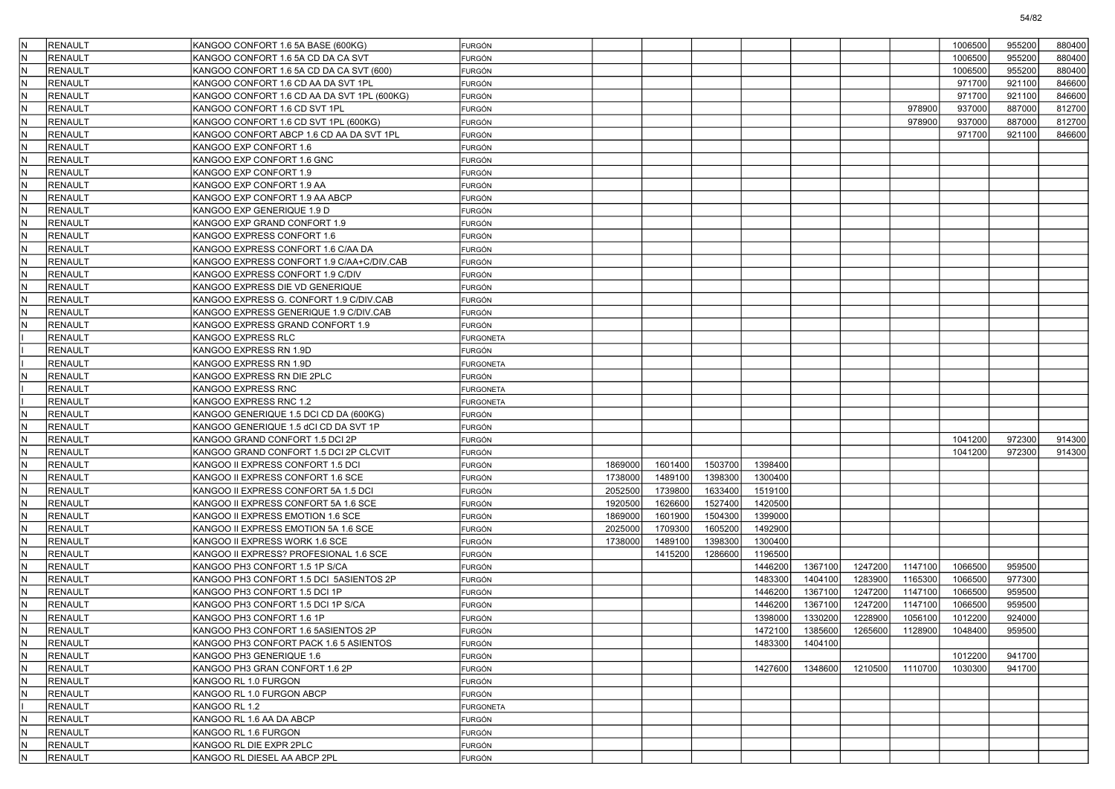|     | <b>RENAULT</b>                   |                                             |                  |         |         |         |         |         |         |                 |                    |                  |        |
|-----|----------------------------------|---------------------------------------------|------------------|---------|---------|---------|---------|---------|---------|-----------------|--------------------|------------------|--------|
|     |                                  | KANGOO CONFORT 1.6 5A BASE (600KG)          | FURGÓN           |         |         |         |         |         |         |                 | 1006500            | 955200           | 880400 |
|     | <b>RENAULT</b>                   | KANGOO CONFORT 1.6 5A CD DA CA SVT          | FURGÓN           |         |         |         |         |         |         |                 | 1006500<br>1006500 | 955200<br>955200 | 880400 |
| ΙN  | <b>RENAULT</b><br><b>RENAULT</b> | KANGOO CONFORT 1.6 5A CD DA CA SVT (600)    | FURGÓN           |         |         |         |         |         |         |                 |                    |                  | 880400 |
| ΙN  |                                  | KANGOO CONFORT 1.6 CD AA DA SVT 1PL         | FURGÓN           |         |         |         |         |         |         |                 | 971700             | 921100           | 846600 |
|     | <b>RENAULT</b>                   | KANGOO CONFORT 1.6 CD AA DA SVT 1PL (600KG) | FURGÓN           |         |         |         |         |         |         |                 | 971700             | 921100           | 846600 |
|     | <b>RENAULT</b>                   | KANGOO CONFORT 1.6 CD SVT 1PL               | FURGÓN           |         |         |         |         |         |         | 978900          | 937000             | 887000           | 812700 |
| ΙN  | <b>RENAULT</b>                   | KANGOO CONFORT 1.6 CD SVT 1PL (600KG)       | FURGÓN           |         |         |         |         |         |         | 978900          | 937000             | 887000           | 812700 |
|     | <b>RENAULT</b>                   | KANGOO CONFORT ABCP 1.6 CD AA DA SVT 1PL    | FURGÓN           |         |         |         |         |         |         |                 | 971700             | 921100           | 846600 |
| ΙN  | <b>RENAULT</b>                   | KANGOO EXP CONFORT 1.6                      | FURGÓN           |         |         |         |         |         |         |                 |                    |                  |        |
|     | <b>RENAULT</b>                   | KANGOO EXP CONFORT 1.6 GNC                  | FURGÓN           |         |         |         |         |         |         |                 |                    |                  |        |
|     | <b>RENAULT</b>                   | KANGOO EXP CONFORT 1.9                      | FURGÓN           |         |         |         |         |         |         |                 |                    |                  |        |
| ΙN  | <b>RENAULT</b>                   | KANGOO EXP CONFORT 1.9 AA                   | FURGÓN           |         |         |         |         |         |         |                 |                    |                  |        |
| ΙN  | <b>RENAULT</b>                   | KANGOO EXP CONFORT 1.9 AA ABCP              | FURGÓN           |         |         |         |         |         |         |                 |                    |                  |        |
| ΙN  | <b>RENAULT</b>                   | KANGOO EXP GENERIQUE 1.9 D                  | FURGÓN           |         |         |         |         |         |         |                 |                    |                  |        |
|     | <b>RENAULT</b>                   | KANGOO EXP GRAND CONFORT 1.9                | FURGÓN           |         |         |         |         |         |         |                 |                    |                  |        |
|     | <b>RENAULT</b>                   | KANGOO EXPRESS CONFORT 1.6                  | FURGÓN           |         |         |         |         |         |         |                 |                    |                  |        |
| ΙN  | <b>RENAULT</b>                   | KANGOO EXPRESS CONFORT 1.6 C/AA DA          | FURGÓN           |         |         |         |         |         |         |                 |                    |                  |        |
|     | <b>RENAULT</b>                   | KANGOO EXPRESS CONFORT 1.9 C/AA+C/DIV.CAB   | FURGÓN           |         |         |         |         |         |         |                 |                    |                  |        |
| ΙN  | <b>RENAULT</b>                   | KANGOO EXPRESS CONFORT 1.9 C/DIV            | FURGÓN           |         |         |         |         |         |         |                 |                    |                  |        |
|     | <b>RENAULT</b>                   | KANGOO EXPRESS DIE VD GENERIQUE             | FURGÓN           |         |         |         |         |         |         |                 |                    |                  |        |
|     | <b>RENAULT</b>                   | KANGOO EXPRESS G. CONFORT 1.9 C/DIV.CAB     | FURGÓN           |         |         |         |         |         |         |                 |                    |                  |        |
| ΙN  | <b>RENAULT</b>                   | KANGOO EXPRESS GENERIQUE 1.9 C/DIV.CAB      | FURGÓN           |         |         |         |         |         |         |                 |                    |                  |        |
|     | <b>RENAULT</b>                   | KANGOO EXPRESS GRAND CONFORT 1.9            | FURGÓN           |         |         |         |         |         |         |                 |                    |                  |        |
|     | <b>RENAULT</b>                   | KANGOO EXPRESS RLC                          | <b>FURGONETA</b> |         |         |         |         |         |         |                 |                    |                  |        |
|     | <b>RENAULT</b>                   | KANGOO EXPRESS RN 1.9D                      | FURGÓN           |         |         |         |         |         |         |                 |                    |                  |        |
|     | <b>RENAULT</b>                   | KANGOO EXPRESS RN 1.9D                      | <b>FURGONETA</b> |         |         |         |         |         |         |                 |                    |                  |        |
|     | <b>RENAULT</b>                   | KANGOO EXPRESS RN DIE 2PLC                  | FURGÓN           |         |         |         |         |         |         |                 |                    |                  |        |
|     | <b>RENAULT</b>                   | KANGOO EXPRESS RNC                          | <b>FURGONETA</b> |         |         |         |         |         |         |                 |                    |                  |        |
|     | <b>RENAULT</b>                   | KANGOO EXPRESS RNC 1.2                      | <b>FURGONETA</b> |         |         |         |         |         |         |                 |                    |                  |        |
|     | <b>RENAULT</b>                   | KANGOO GENERIQUE 1.5 DCI CD DA (600KG)      | FURGÓN           |         |         |         |         |         |         |                 |                    |                  |        |
|     | <b>RENAULT</b>                   | KANGOO GENERIQUE 1.5 dCI CD DA SVT 1P       | FURGÓN           |         |         |         |         |         |         |                 |                    |                  |        |
| ΙN  | <b>RENAULT</b>                   | KANGOO GRAND CONFORT 1.5 DCI 2P             | FURGÓN           |         |         |         |         |         |         |                 | 1041200            | 972300           | 914300 |
|     | <b>RENAULT</b>                   | KANGOO GRAND CONFORT 1.5 DCI 2P CLCVIT      | FURGÓN           |         |         |         |         |         |         |                 | 1041200            | 972300           | 914300 |
| ΙN  | <b>RENAULT</b>                   | KANGOO II EXPRESS CONFORT 1.5 DCI           | FURGÓN           | 1869000 | 1601400 | 1503700 | 1398400 |         |         |                 |                    |                  |        |
|     | <b>RENAULT</b>                   | KANGOO II EXPRESS CONFORT 1.6 SCE           | FURGÓN           | 1738000 | 1489100 | 1398300 | 1300400 |         |         |                 |                    |                  |        |
|     | <b>RENAULT</b>                   | KANGOO II EXPRESS CONFORT 5A 1.5 DCI        | FURGÓN           | 2052500 | 1739800 | 1633400 | 1519100 |         |         |                 |                    |                  |        |
| ΙN  | <b>RENAULT</b>                   | KANGOO II EXPRESS CONFORT 5A 1.6 SCE        | FURGÓN           | 1920500 | 1626600 | 1527400 | 1420500 |         |         |                 |                    |                  |        |
|     | <b>RENAULT</b>                   | KANGOO II EXPRESS EMOTION 1.6 SCE           | FURGÓN           | 1869000 | 1601900 | 1504300 | 1399000 |         |         |                 |                    |                  |        |
| ΙN  | <b>RENAULT</b>                   | KANGOO II EXPRESS EMOTION 5A 1.6 SCE        | FURGÓN           | 2025000 | 1709300 | 1605200 | 1492900 |         |         |                 |                    |                  |        |
|     | <b>RENAULT</b>                   | KANGOO II EXPRESS WORK 1.6 SCE              | FURGÓN           | 1738000 | 1489100 | 1398300 | 1300400 |         |         |                 |                    |                  |        |
|     | <b>RENAULT</b>                   | KANGOO II EXPRESS? PROFESIONAL 1.6 SCE      | FURGÓN           |         | 1415200 | 1286600 | 1196500 |         |         |                 |                    |                  |        |
| ΙN  | <b>RENAULT</b>                   | KANGOO PH3 CONFORT 1.5 1P S/CA              | FURGÓN           |         |         |         | 1446200 | 1367100 | 1247200 | 1147100         | 1066500            | 959500           |        |
| ΙN  | <b>RENAULT</b>                   | KANGOO PH3 CONFORT 1.5 DCI 5ASIENTOS 2P     | FURGÓN           |         |         |         | 1483300 | 1404100 | 1283900 | 1165300         | 1066500            | 977300           |        |
|     | <b>RENAULT</b>                   | KANGOO PH3 CONFORT 1.5 DCI 1P               | FURGÓN           |         |         |         | 1446200 | 1367100 | 1247200 | 1147100         | 1066500            | 959500           |        |
|     | <b>RENAULT</b>                   | KANGOO PH3 CONFORT 1.5 DCI 1P S/CA          | FURGÓN           |         |         |         | 1446200 | 1367100 | 1247200 | 1147100         | 1066500            | 959500           |        |
|     | <b>RENAULT</b>                   | KANGOO PH3 CONFORT 1.6 1P                   | FURGÓN           |         |         |         | 1398000 | 1330200 | 1228900 | 1056100         | 1012200            | 924000           |        |
| ΙN  | RENAULT                          | KANGOO PH3 CONFORT 1.6 5ASIENTOS 2P         | <b>FURGON</b>    |         |         |         | 1472100 | 1385600 |         | 1265600 1128900 | 1048400            | 959500           |        |
| İΝ  | RENAULT                          | KANGOO PH3 CONFORT PACK 1.6 5 ASIENTOS      | <b>FURGÓN</b>    |         |         |         | 1483300 | 1404100 |         |                 |                    |                  |        |
| İN. | RENAULT                          | KANGOO PH3 GENERIQUE 1.6                    | <b>FURGÓN</b>    |         |         |         |         |         |         |                 | 1012200            | 941700           |        |
| IN. | RENAULT                          | KANGOO PH3 GRAN CONFORT 1.6 2P              | FURGÓN           |         |         |         | 1427600 | 1348600 | 1210500 | 1110700         | 1030300            | 941700           |        |
| İN. | <b>RENAULT</b>                   | KANGOO RL 1.0 FURGON                        | FURGÓN           |         |         |         |         |         |         |                 |                    |                  |        |
| IN. | RENAULT                          | KANGOO RL 1.0 FURGON ABCP                   | <b>FURGÓN</b>    |         |         |         |         |         |         |                 |                    |                  |        |
|     | <b>RENAULT</b>                   | KANGOO RL 1.2                               | <b>FURGONETA</b> |         |         |         |         |         |         |                 |                    |                  |        |
| İN. | <b>RENAULT</b>                   | KANGOO RL 1.6 AA DA ABCP                    | <b>FURGÓN</b>    |         |         |         |         |         |         |                 |                    |                  |        |
| lΝ  | RENAULT                          | KANGOO RL 1.6 FURGON                        | FURGÓN           |         |         |         |         |         |         |                 |                    |                  |        |
| ΙN  | <b>RENAULT</b>                   | KANGOO RL DIE EXPR 2PLC                     | FURGÓN           |         |         |         |         |         |         |                 |                    |                  |        |
| N)  | RENAULT                          | KANGOO RL DIESEL AA ABCP 2PL                | FURGÓN           |         |         |         |         |         |         |                 |                    |                  |        |
|     |                                  |                                             |                  |         |         |         |         |         |         |                 |                    |                  |        |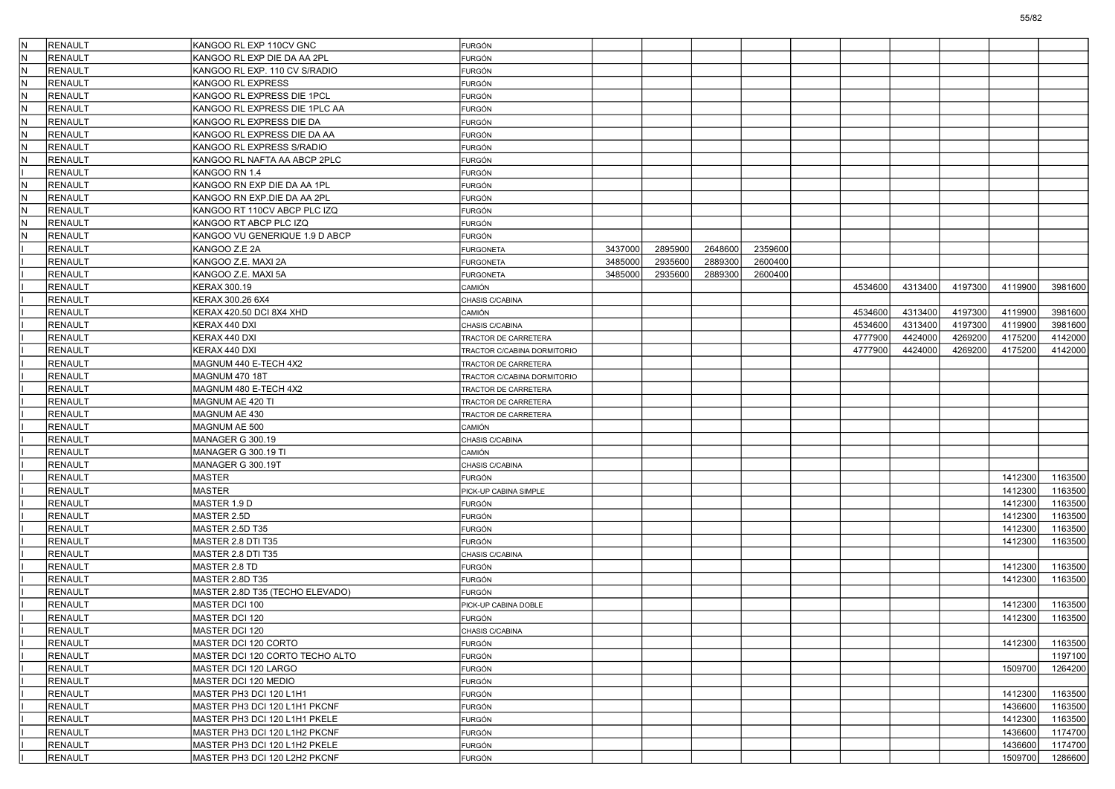| IN. | <b>RENAULT</b> | KANGOO RL EXP 110CV GNC         | FURGÓN                      |         |         |         |         |         |         |         |         |         |
|-----|----------------|---------------------------------|-----------------------------|---------|---------|---------|---------|---------|---------|---------|---------|---------|
| IN. | <b>RENAULT</b> | KANGOO RL EXP DIE DA AA 2PL     | FURGÓN                      |         |         |         |         |         |         |         |         |         |
| lN. | <b>RENAULT</b> | KANGOO RL EXP. 110 CV S/RADIO   | FURGÓN                      |         |         |         |         |         |         |         |         |         |
| IN. | <b>RENAULT</b> | KANGOO RL EXPRESS               | FURGÓN                      |         |         |         |         |         |         |         |         |         |
| N   | <b>RENAULT</b> | KANGOO RL EXPRESS DIE 1PCL      | FURGÓN                      |         |         |         |         |         |         |         |         |         |
| IN. | <b>RENAULT</b> | KANGOO RL EXPRESS DIE 1PLC AA   | FURGÓN                      |         |         |         |         |         |         |         |         |         |
| N.  | <b>RENAULT</b> | KANGOO RL EXPRESS DIE DA        | FURGÓN                      |         |         |         |         |         |         |         |         |         |
| lN. | <b>RENAULT</b> | KANGOO RL EXPRESS DIE DA AA     | FURGÓN                      |         |         |         |         |         |         |         |         |         |
| IN. | <b>RENAULT</b> | KANGOO RL EXPRESS S/RADIO       | FURGÓN                      |         |         |         |         |         |         |         |         |         |
| N   | <b>RENAULT</b> | KANGOO RL NAFTA AA ABCP 2PLC    | <b>FURGÓN</b>               |         |         |         |         |         |         |         |         |         |
|     | <b>RENAULT</b> | KANGOO RN 1.4                   | FURGÓN                      |         |         |         |         |         |         |         |         |         |
| N.  | <b>RENAULT</b> | KANGOO RN EXP DIE DA AA 1PL     | FURGÓN                      |         |         |         |         |         |         |         |         |         |
| lN. | <b>RENAULT</b> | KANGOO RN EXP.DIE DA AA 2PL     | FURGÓN                      |         |         |         |         |         |         |         |         |         |
| IN. | <b>RENAULT</b> | KANGOO RT 110CV ABCP PLC IZQ    | FURGÓN                      |         |         |         |         |         |         |         |         |         |
| N   | <b>RENAULT</b> | KANGOO RT ABCP PLC IZQ          | <b>FURGÓN</b>               |         |         |         |         |         |         |         |         |         |
| IN. | <b>RENAULT</b> | KANGOO VU GENERIQUE 1.9 D ABCP  | FURGÓN                      |         |         |         |         |         |         |         |         |         |
|     | <b>RENAULT</b> | KANGOO Z.E 2A                   | <b>FURGONETA</b>            | 3437000 | 2895900 | 2648600 | 2359600 |         |         |         |         |         |
|     | <b>RENAULT</b> | KANGOO Z.E. MAXI 2A             | <b>FURGONETA</b>            | 3485000 | 2935600 | 2889300 | 2600400 |         |         |         |         |         |
|     | <b>RENAULT</b> | KANGOO Z.E. MAXI 5A             | <b>FURGONETA</b>            | 3485000 | 2935600 | 2889300 | 2600400 |         |         |         |         |         |
|     | <b>RENAULT</b> | KERAX 300.19                    | CAMIÓN                      |         |         |         |         | 4534600 | 4313400 | 4197300 | 4119900 | 3981600 |
|     | <b>RENAULT</b> | KERAX 300.26 6X4                | CHASIS C/CABINA             |         |         |         |         |         |         |         |         |         |
|     | <b>RENAULT</b> | KERAX 420.50 DCI 8X4 XHD        | CAMIÓN                      |         |         |         |         | 4534600 | 4313400 | 4197300 | 4119900 | 3981600 |
|     | <b>RENAULT</b> | KERAX 440 DXI                   | CHASIS C/CABINA             |         |         |         |         | 4534600 | 4313400 | 4197300 | 4119900 | 3981600 |
|     | <b>RENAULT</b> | KERAX 440 DXI                   | TRACTOR DE CARRETERA        |         |         |         |         | 4777900 | 4424000 | 4269200 | 4175200 | 4142000 |
|     | <b>RENAULT</b> | KERAX 440 DXI                   | TRACTOR C/CABINA DORMITORIO |         |         |         |         | 4777900 | 4424000 | 4269200 | 4175200 | 4142000 |
|     | <b>RENAULT</b> | MAGNUM 440 E-TECH 4X2           | TRACTOR DE CARRETERA        |         |         |         |         |         |         |         |         |         |
|     | <b>RENAULT</b> | <b>MAGNUM 470 18T</b>           | TRACTOR C/CABINA DORMITORIO |         |         |         |         |         |         |         |         |         |
|     | <b>RENAULT</b> | MAGNUM 480 E-TECH 4X2           | TRACTOR DE CARRETERA        |         |         |         |         |         |         |         |         |         |
|     | <b>RENAULT</b> | MAGNUM AE 420 TI                |                             |         |         |         |         |         |         |         |         |         |
|     | <b>RENAULT</b> | MAGNUM AE 430                   | TRACTOR DE CARRETERA        |         |         |         |         |         |         |         |         |         |
|     |                |                                 | TRACTOR DE CARRETERA        |         |         |         |         |         |         |         |         |         |
|     | <b>RENAULT</b> | MAGNUM AE 500                   | CAMIÓN                      |         |         |         |         |         |         |         |         |         |
|     | <b>RENAULT</b> | MANAGER G 300.19                | CHASIS C/CABINA             |         |         |         |         |         |         |         |         |         |
|     | <b>RENAULT</b> | MANAGER G 300.19 TI             | CAMIÓN                      |         |         |         |         |         |         |         |         |         |
|     | <b>RENAULT</b> | MANAGER G 300.19T               | CHASIS C/CABINA             |         |         |         |         |         |         |         |         |         |
|     | <b>RENAULT</b> | MASTER                          | FURGÓN                      |         |         |         |         |         |         |         | 1412300 | 1163500 |
|     | <b>RENAULT</b> | MASTER                          | PICK-UP CABINA SIMPLE       |         |         |         |         |         |         |         | 1412300 | 1163500 |
|     | <b>RENAULT</b> | MASTER 1.9 D                    | FURGÓN                      |         |         |         |         |         |         |         | 1412300 | 1163500 |
|     | <b>RENAULT</b> | MASTER 2.5D                     | FURGÓN                      |         |         |         |         |         |         |         | 1412300 | 1163500 |
|     | <b>RENAULT</b> | MASTER 2.5D T35                 | FURGÓN                      |         |         |         |         |         |         |         | 1412300 | 1163500 |
|     | <b>RENAULT</b> | MASTER 2.8 DTI T35              | FURGÓN                      |         |         |         |         |         |         |         | 1412300 | 1163500 |
|     | <b>RENAULT</b> | MASTER 2.8 DTI T35              | CHASIS C/CABINA             |         |         |         |         |         |         |         |         |         |
|     | <b>RENAULT</b> | MASTER 2.8 TD                   | <b>FURGÓN</b>               |         |         |         |         |         |         |         | 1412300 | 1163500 |
|     | <b>RENAULT</b> | MASTER 2.8D T35                 | FURGÓN                      |         |         |         |         |         |         |         | 1412300 | 1163500 |
|     | <b>RENAULT</b> | MASTER 2.8D T35 (TECHO ELEVADO) | <b>FURGÓN</b>               |         |         |         |         |         |         |         |         |         |
|     | <b>RENAULT</b> | MASTER DCI 100                  | PICK-UP CABINA DOBLE        |         |         |         |         |         |         |         | 1412300 | 1163500 |
|     | <b>RENAULT</b> | MASTER DCI 120                  | FURGÓN                      |         |         |         |         |         |         |         | 1412300 | 1163500 |
|     | RENAULT        | MASTER DCI 120                  | CHASIS C/CABINA             |         |         |         |         |         |         |         |         |         |
|     | RENAULT        | MASTER DCI 120 CORTO            | <b>FURGÓN</b>               |         |         |         |         |         |         |         | 1412300 | 1163500 |
|     | RENAULT        | MASTER DCI 120 CORTO TECHO ALTO | <b>FURGÓN</b>               |         |         |         |         |         |         |         |         | 1197100 |
|     | RENAULT        | MASTER DCI 120 LARGO            | FURGÓN                      |         |         |         |         |         |         |         | 1509700 | 1264200 |
|     | RENAULT        | MASTER DCI 120 MEDIO            | <b>FURGÓN</b>               |         |         |         |         |         |         |         |         |         |
|     | RENAULT        | MASTER PH3 DCI 120 L1H1         | <b>FURGÓN</b>               |         |         |         |         |         |         |         | 1412300 | 1163500 |
|     | RENAULT        | MASTER PH3 DCI 120 L1H1 PKCNF   | <b>FURGÓN</b>               |         |         |         |         |         |         |         | 1436600 | 1163500 |
|     | RENAULT        | MASTER PH3 DCI 120 L1H1 PKELE   | <b>FURGÓN</b>               |         |         |         |         |         |         |         | 1412300 | 1163500 |
|     | RENAULT        | MASTER PH3 DCI 120 L1H2 PKCNF   | FURGÓN                      |         |         |         |         |         |         |         | 1436600 | 1174700 |
|     | RENAULT        | MASTER PH3 DCI 120 L1H2 PKELE   | FURGÓN                      |         |         |         |         |         |         |         | 1436600 | 1174700 |
|     | RENAULT        | MASTER PH3 DCI 120 L2H2 PKCNF   | FURGÓN                      |         |         |         |         |         |         |         | 1509700 | 1286600 |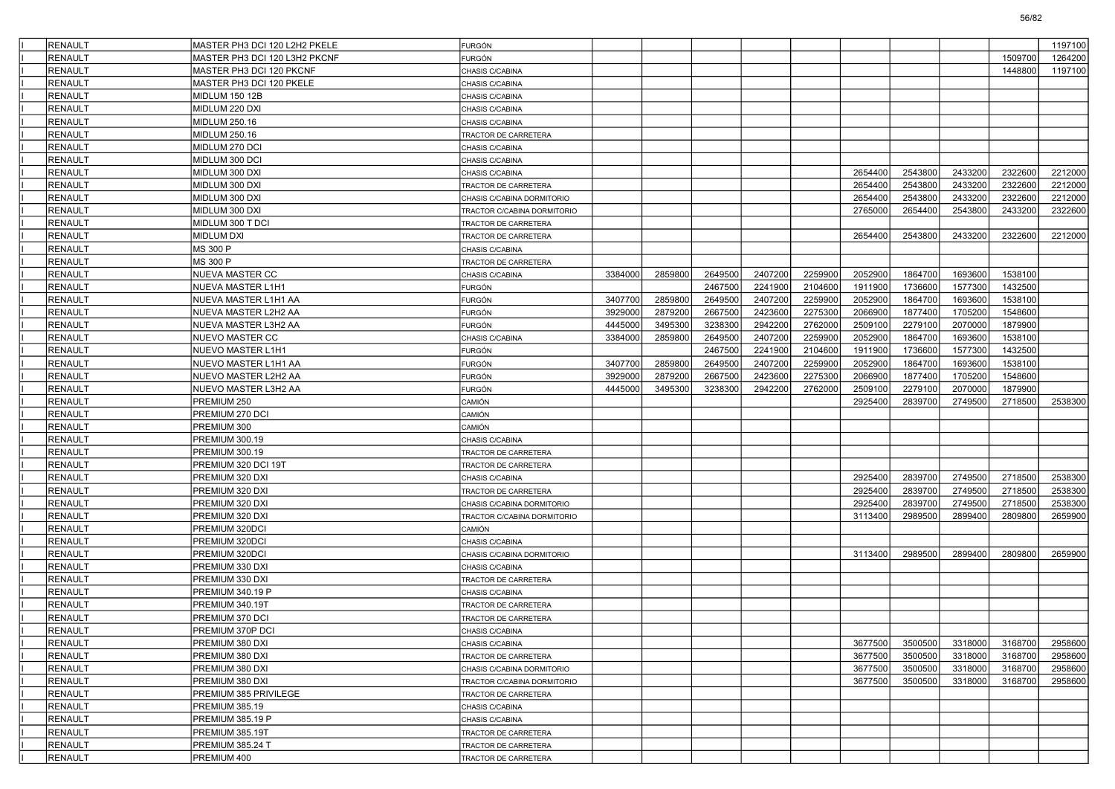| <b>RENAULT</b> | MASTER PH3 DCI 120 L2H2 PKELE | FURGÓN                      |         |         |         |         |         |         |         |         |         | 1197100 |
|----------------|-------------------------------|-----------------------------|---------|---------|---------|---------|---------|---------|---------|---------|---------|---------|
| <b>RENAULT</b> | MASTER PH3 DCI 120 L3H2 PKCNF | FURGÓN                      |         |         |         |         |         |         |         |         | 1509700 | 1264200 |
| <b>RENAULT</b> | MASTER PH3 DCI 120 PKCNF      | CHASIS C/CABINA             |         |         |         |         |         |         |         |         | 1448800 | 1197100 |
| <b>RENAULT</b> | MASTER PH3 DCI 120 PKELE      | CHASIS C/CABINA             |         |         |         |         |         |         |         |         |         |         |
| <b>RENAULT</b> | MIDLUM 150 12B                | CHASIS C/CABINA             |         |         |         |         |         |         |         |         |         |         |
| <b>RENAULT</b> | MIDLUM 220 DXI                | CHASIS C/CABINA             |         |         |         |         |         |         |         |         |         |         |
| <b>RENAULT</b> | MIDLUM 250.16                 | CHASIS C/CABINA             |         |         |         |         |         |         |         |         |         |         |
| <b>RENAULT</b> | MIDLUM 250.16                 | TRACTOR DE CARRETERA        |         |         |         |         |         |         |         |         |         |         |
| <b>RENAULT</b> | MIDLUM 270 DCI                | CHASIS C/CABINA             |         |         |         |         |         |         |         |         |         |         |
| <b>RENAULT</b> | MIDLUM 300 DCI                | CHASIS C/CABINA             |         |         |         |         |         |         |         |         |         |         |
| <b>RENAULT</b> | MIDLUM 300 DXI                | CHASIS C/CABINA             |         |         |         |         |         | 2654400 | 2543800 | 2433200 | 2322600 | 2212000 |
| <b>RENAULT</b> | MIDLUM 300 DXI                | TRACTOR DE CARRETERA        |         |         |         |         |         | 2654400 | 2543800 | 2433200 | 2322600 | 2212000 |
| <b>RENAULT</b> | MIDLUM 300 DXI                | CHASIS C/CABINA DORMITORIO  |         |         |         |         |         | 2654400 | 2543800 | 2433200 | 2322600 | 2212000 |
| <b>RENAULT</b> | MIDLUM 300 DXI                | TRACTOR C/CABINA DORMITORIO |         |         |         |         |         | 2765000 | 2654400 | 2543800 | 2433200 | 2322600 |
| <b>RENAULT</b> | MIDLUM 300 T DCI              | TRACTOR DE CARRETERA        |         |         |         |         |         |         |         |         |         |         |
| <b>RENAULT</b> | MIDLUM DXI                    | TRACTOR DE CARRETERA        |         |         |         |         |         | 2654400 | 2543800 | 2433200 | 2322600 | 2212000 |
| <b>RENAULT</b> | MS 300 P                      | CHASIS C/CABINA             |         |         |         |         |         |         |         |         |         |         |
| <b>RENAULT</b> | MS 300 P                      | TRACTOR DE CARRETERA        |         |         |         |         |         |         |         |         |         |         |
| <b>RENAULT</b> | NUEVA MASTER CC               | CHASIS C/CABINA             | 3384000 | 2859800 | 2649500 | 2407200 | 2259900 | 2052900 | 1864700 | 1693600 | 1538100 |         |
| <b>RENAULT</b> | NUEVA MASTER L1H1             | FURGÓN                      |         |         | 2467500 | 2241900 | 2104600 | 1911900 | 1736600 | 1577300 | 1432500 |         |
| RENAULT        | NUEVA MASTER L1H1 AA          | FURGÓN                      | 3407700 | 2859800 | 2649500 | 2407200 | 2259900 | 2052900 | 1864700 | 1693600 | 1538100 |         |
| <b>RENAULT</b> | NUEVA MASTER L2H2 AA          | <b>FURGÓN</b>               | 3929000 | 2879200 | 2667500 | 2423600 | 2275300 | 2066900 | 1877400 | 1705200 | 1548600 |         |
| <b>RENAULT</b> | NUEVA MASTER L3H2 AA          | <b>FURGÓN</b>               | 4445000 | 3495300 | 3238300 | 2942200 | 2762000 | 2509100 | 2279100 | 2070000 | 1879900 |         |
| <b>RENAULT</b> | NUEVO MASTER CC               | CHASIS C/CABINA             | 3384000 | 2859800 | 2649500 | 2407200 | 2259900 | 2052900 | 1864700 | 1693600 | 1538100 |         |
| <b>RENAULT</b> | NUEVO MASTER L1H1             | <b>FURGÓN</b>               |         |         | 2467500 | 2241900 | 2104600 | 1911900 | 1736600 | 1577300 | 1432500 |         |
| <b>RENAULT</b> | NUEVO MASTER L1H1 AA          | <b>FURGÓN</b>               | 3407700 | 2859800 | 2649500 | 2407200 | 2259900 | 2052900 | 1864700 | 1693600 | 1538100 |         |
| <b>RENAULT</b> | NUEVO MASTER L2H2 AA          | <b>FURGÓN</b>               | 3929000 | 2879200 | 2667500 | 2423600 | 2275300 | 2066900 | 1877400 | 1705200 | 1548600 |         |
| <b>RENAULT</b> | NUEVO MASTER L3H2 AA          | <b>FURGÓN</b>               | 4445000 | 3495300 | 3238300 | 2942200 | 2762000 | 2509100 | 2279100 | 2070000 | 1879900 |         |
| <b>RENAULT</b> | PREMIUM 250                   | CAMIÓN                      |         |         |         |         |         | 2925400 | 2839700 | 2749500 | 2718500 | 2538300 |
| <b>RENAULT</b> | PREMIUM 270 DCI               | CAMIÓN                      |         |         |         |         |         |         |         |         |         |         |
| <b>RENAULT</b> | PREMIUM 300                   | CAMIÓN                      |         |         |         |         |         |         |         |         |         |         |
| <b>RENAULT</b> | PREMIUM 300.19                | CHASIS C/CABINA             |         |         |         |         |         |         |         |         |         |         |
| <b>RENAULT</b> | PREMIUM 300.19                | TRACTOR DE CARRETERA        |         |         |         |         |         |         |         |         |         |         |
| <b>RENAULT</b> | PREMIUM 320 DCI 19T           | TRACTOR DE CARRETERA        |         |         |         |         |         |         |         |         |         |         |
| <b>RENAULT</b> | PREMIUM 320 DXI               | CHASIS C/CABINA             |         |         |         |         |         | 2925400 | 2839700 | 2749500 | 2718500 | 2538300 |
| <b>RENAULT</b> | PREMIUM 320 DXI               | TRACTOR DE CARRETERA        |         |         |         |         |         | 2925400 | 2839700 | 2749500 | 2718500 | 2538300 |
| <b>RENAULT</b> | PREMIUM 320 DXI               | CHASIS C/CABINA DORMITORIO  |         |         |         |         |         | 2925400 | 2839700 | 2749500 | 2718500 | 2538300 |
| <b>RENAULT</b> | PREMIUM 320 DXI               | TRACTOR C/CABINA DORMITORIO |         |         |         |         |         | 3113400 | 2989500 | 2899400 | 2809800 | 2659900 |
| <b>RENAULT</b> | PREMIUM 320DCI                | CAMIÓN                      |         |         |         |         |         |         |         |         |         |         |
| <b>RENAULT</b> | PREMIUM 320DCI                | CHASIS C/CABINA             |         |         |         |         |         |         |         |         |         |         |
| <b>RENAULT</b> | PREMIUM 320DCI                | CHASIS C/CABINA DORMITORIO  |         |         |         |         |         | 3113400 | 2989500 | 2899400 | 2809800 | 2659900 |
| <b>RENAULT</b> | PREMIUM 330 DXI               | CHASIS C/CABINA             |         |         |         |         |         |         |         |         |         |         |
| <b>RENAULT</b> | PREMIUM 330 DXI               | TRACTOR DE CARRETERA        |         |         |         |         |         |         |         |         |         |         |
| <b>RENAULT</b> | PREMIUM 340.19 P              | CHASIS C/CABINA             |         |         |         |         |         |         |         |         |         |         |
| <b>RENAULT</b> | PREMIUM 340.19T               | TRACTOR DE CARRETERA        |         |         |         |         |         |         |         |         |         |         |
| <b>RENAULT</b> | PREMIUM 370 DCI               | TRACTOR DE CARRETERA        |         |         |         |         |         |         |         |         |         |         |
| RENAULT        | PREMIUM 370P DCI              | CHASIS C/CABINA             |         |         |         |         |         |         |         |         |         |         |
| <b>RENAULT</b> | PREMIUM 380 DXI               | CHASIS C/CABINA             |         |         |         |         |         | 3677500 | 3500500 | 3318000 | 3168700 | 2958600 |
| <b>RENAULT</b> | PREMIUM 380 DXI               | TRACTOR DE CARRETERA        |         |         |         |         |         | 3677500 | 3500500 | 3318000 | 3168700 | 2958600 |
| RENAULT        | PREMIUM 380 DXI               | CHASIS C/CABINA DORMITORIO  |         |         |         |         |         | 3677500 | 3500500 | 3318000 | 3168700 | 2958600 |
| <b>RENAULT</b> | PREMIUM 380 DXI               | TRACTOR C/CABINA DORMITORIO |         |         |         |         |         | 3677500 | 3500500 | 3318000 | 3168700 | 2958600 |
| <b>RENAULT</b> | PREMIUM 385 PRIVILEGE         | TRACTOR DE CARRETERA        |         |         |         |         |         |         |         |         |         |         |
| RENAULT        | PREMIUM 385.19                | CHASIS C/CABINA             |         |         |         |         |         |         |         |         |         |         |
| <b>RENAULT</b> | PREMIUM 385.19 P              | CHASIS C/CABINA             |         |         |         |         |         |         |         |         |         |         |
| RENAULT        | PREMIUM 385.19T               | TRACTOR DE CARRETERA        |         |         |         |         |         |         |         |         |         |         |
| <b>RENAULT</b> | PREMIUM 385.24 T              | TRACTOR DE CARRETERA        |         |         |         |         |         |         |         |         |         |         |
| <b>RENAULT</b> | PREMIUM 400                   | TRACTOR DE CARRETERA        |         |         |         |         |         |         |         |         |         |         |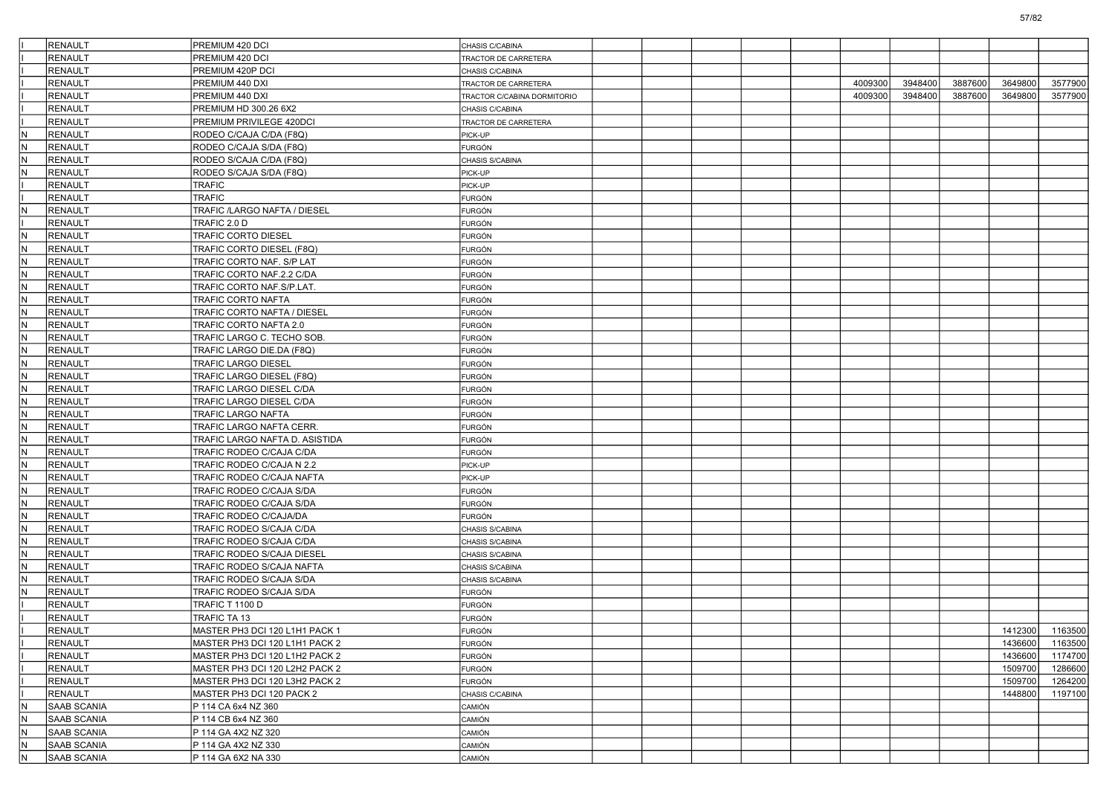|     | <b>RENAULT</b>     | PREMIUM 420 DCI                | CHASIS C/CABINA             |  |  |         |         |         |         |         |
|-----|--------------------|--------------------------------|-----------------------------|--|--|---------|---------|---------|---------|---------|
|     | <b>RENAULT</b>     | PREMIUM 420 DCI                | TRACTOR DE CARRETERA        |  |  |         |         |         |         |         |
|     | <b>RENAULT</b>     | PREMIUM 420P DCI               | CHASIS C/CABINA             |  |  |         |         |         |         |         |
|     | <b>RENAULT</b>     | PREMIUM 440 DXI                | TRACTOR DE CARRETERA        |  |  | 4009300 | 3948400 | 3887600 | 3649800 | 3577900 |
|     | <b>RENAULT</b>     | PREMIUM 440 DXI                | TRACTOR C/CABINA DORMITORIO |  |  | 4009300 | 3948400 | 3887600 | 3649800 | 3577900 |
|     | <b>RENAULT</b>     | PREMIUM HD 300.26 6X2          | CHASIS C/CABINA             |  |  |         |         |         |         |         |
|     | <b>RENAULT</b>     | PREMIUM PRIVILEGE 420DCI       | TRACTOR DE CARRETERA        |  |  |         |         |         |         |         |
| N   | RENAULT            | RODEO C/CAJA C/DA (F8Q)        | PICK-UP                     |  |  |         |         |         |         |         |
| IN. | RENAULT            | RODEO C/CAJA S/DA (F8Q)        | FURGÓN                      |  |  |         |         |         |         |         |
| N   | <b>RENAULT</b>     | RODEO S/CAJA C/DA (F8Q)        | CHASIS S/CABINA             |  |  |         |         |         |         |         |
| N   | RENAULT            | RODEO S/CAJA S/DA (F8Q)        | PICK-UP                     |  |  |         |         |         |         |         |
|     | <b>RENAULT</b>     | <b>TRAFIC</b>                  | PICK-UP                     |  |  |         |         |         |         |         |
|     | <b>RENAULT</b>     | <b>TRAFIC</b>                  | FURGÓN                      |  |  |         |         |         |         |         |
| IN. | RENAULT            | TRAFIC /LARGO NAFTA / DIESEL   | FURGÓN                      |  |  |         |         |         |         |         |
|     | <b>RENAULT</b>     | TRAFIC 2.0 D                   | FURGÓN                      |  |  |         |         |         |         |         |
| IN. | RENAULT            | <b>TRAFIC CORTO DIESEL</b>     | <b>FURGÓN</b>               |  |  |         |         |         |         |         |
| N   | <b>RENAULT</b>     | TRAFIC CORTO DIESEL (F8Q)      | <b>FURGÓN</b>               |  |  |         |         |         |         |         |
| IN. | RENAULT            | TRAFIC CORTO NAF. S/P LAT      | FURGÓN                      |  |  |         |         |         |         |         |
| IN. | RENAULT            | TRAFIC CORTO NAF.2.2 C/DA      | FURGÓN                      |  |  |         |         |         |         |         |
| IN. | <b>RENAULT</b>     | TRAFIC CORTO NAF.S/P.LAT.      | FURGÓN                      |  |  |         |         |         |         |         |
| IN. | RENAULT            | TRAFIC CORTO NAFTA             | <b>FURGÓN</b>               |  |  |         |         |         |         |         |
| N.  | <b>RENAULT</b>     | TRAFIC CORTO NAFTA / DIESEL    | <b>FURGÓN</b>               |  |  |         |         |         |         |         |
| IN. | RENAULT            | TRAFIC CORTO NAFTA 2.0         | FURGÓN                      |  |  |         |         |         |         |         |
| IN. | RENAULT            | TRAFIC LARGO C. TECHO SOB.     | FURGÓN                      |  |  |         |         |         |         |         |
| N   | RENAULT            | TRAFIC LARGO DIE.DA (F8Q)      | FURGÓN                      |  |  |         |         |         |         |         |
| IN. | RENAULT            | <b>TRAFIC LARGO DIESEL</b>     | <b>FURGÓN</b>               |  |  |         |         |         |         |         |
| N.  | <b>RENAULT</b>     | TRAFIC LARGO DIESEL (F8Q)      | <b>FURGÓN</b>               |  |  |         |         |         |         |         |
| IN. | RENAULT            | TRAFIC LARGO DIESEL C/DA       | FURGÓN                      |  |  |         |         |         |         |         |
| IN. | RENAULT            |                                |                             |  |  |         |         |         |         |         |
| N   | RENAULT            | TRAFIC LARGO DIESEL C/DA       | FURGÓN                      |  |  |         |         |         |         |         |
| IN. |                    | <b>TRAFIC LARGO NAFTA</b>      | FURGÓN                      |  |  |         |         |         |         |         |
|     | RENAULT            | TRAFIC LARGO NAFTA CERR.       | <b>FURGÓN</b>               |  |  |         |         |         |         |         |
| N.  | <b>RENAULT</b>     | TRAFIC LARGO NAFTA D. ASISTIDA | <b>FURGÓN</b>               |  |  |         |         |         |         |         |
| IN. | RENAULT            | TRAFIC RODEO C/CAJA C/DA       | FURGÓN                      |  |  |         |         |         |         |         |
| IN. | RENAULT            | TRAFIC RODEO C/CAJA N 2.2      | PICK-UP                     |  |  |         |         |         |         |         |
| N   | RENAULT            | TRAFIC RODEO C/CAJA NAFTA      | PICK-UP                     |  |  |         |         |         |         |         |
| IN. | RENAULT            | TRAFIC RODEO C/CAJA S/DA       | <b>FURGÓN</b>               |  |  |         |         |         |         |         |
| N.  | <b>RENAULT</b>     | TRAFIC RODEO C/CAJA S/DA       | <b>FURGÓN</b>               |  |  |         |         |         |         |         |
| IN. | RENAULT            | TRAFIC RODEO C/CAJA/DA         | FURGÓN                      |  |  |         |         |         |         |         |
| IN. | RENAULT            | TRAFIC RODEO S/CAJA C/DA       | CHASIS S/CABINA             |  |  |         |         |         |         |         |
| N   | RENAULT            | TRAFIC RODEO S/CAJA C/DA       | CHASIS S/CABINA             |  |  |         |         |         |         |         |
| IN. | RENAULT            | TRAFIC RODEO S/CAJA DIESEL     | CHASIS S/CABINA             |  |  |         |         |         |         |         |
| N.  | <b>RENAULT</b>     | TRAFIC RODEO S/CAJA NAFTA      | CHASIS S/CABINA             |  |  |         |         |         |         |         |
| IN. | RENAULT            | TRAFIC RODEO S/CAJA S/DA       | CHASIS S/CABINA             |  |  |         |         |         |         |         |
| IN. | RENAULT            | TRAFIC RODEO S/CAJA S/DA       | FURGÓN                      |  |  |         |         |         |         |         |
|     | <b>RENAULT</b>     | TRAFIC T 1100 D                | FURGÓN                      |  |  |         |         |         |         |         |
|     | <b>RENAULT</b>     | TRAFIC TA 13                   | <b>FURGÓN</b>               |  |  |         |         |         |         |         |
|     | RENAULT            | MASTER PH3 DCI 120 L1H1 PACK 1 | FURGÓN                      |  |  |         |         |         | 1412300 | 1163500 |
|     | RENAULT            | MASTER PH3 DCI 120 L1H1 PACK 2 | FURGÓN                      |  |  |         |         |         | 1436600 | 1163500 |
|     | RENAULT            | MASTER PH3 DCI 120 L1H2 PACK 2 | FURGÓN                      |  |  |         |         |         | 1436600 | 1174700 |
|     | RENAULT            | MASTER PH3 DCI 120 L2H2 PACK 2 | FURGÓN                      |  |  |         |         |         | 1509700 | 1286600 |
|     | RENAULT            | MASTER PH3 DCI 120 L3H2 PACK 2 | FURGÓN                      |  |  |         |         |         | 1509700 | 1264200 |
|     | RENAULT            | MASTER PH3 DCI 120 PACK 2      | CHASIS C/CABINA             |  |  |         |         |         | 1448800 | 1197100 |
| IN. | SAAB SCANIA        | P 114 CA 6x4 NZ 360            | CAMIÓN                      |  |  |         |         |         |         |         |
| IN. | <b>SAAB SCANIA</b> | P 114 CB 6x4 NZ 360            | CAMIÓN                      |  |  |         |         |         |         |         |
| IN. | <b>SAAB SCANIA</b> | P 114 GA 4X2 NZ 320            | CAMIÓN                      |  |  |         |         |         |         |         |
| IN. | SAAB SCANIA        | P 114 GA 4X2 NZ 330            | CAMIÓN                      |  |  |         |         |         |         |         |
| N   | <b>SAAB SCANIA</b> | P 114 GA 6X2 NA 330            | CAMIÓN                      |  |  |         |         |         |         |         |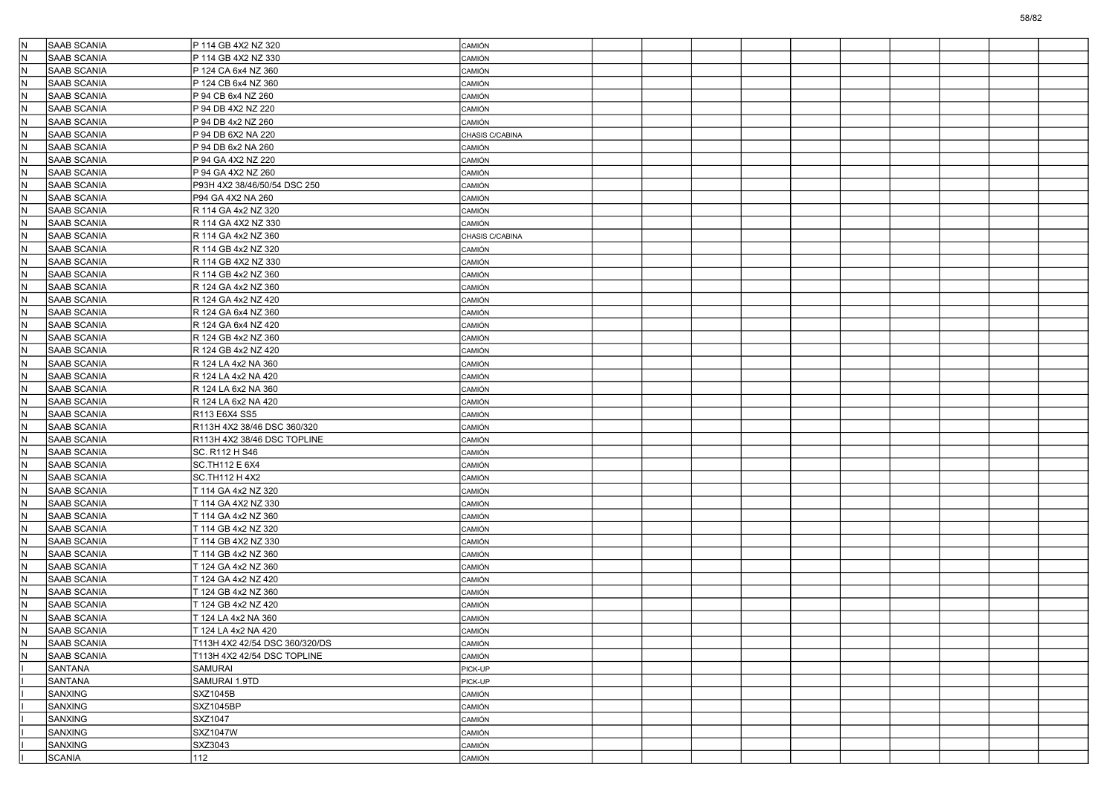| IN.       | <b>SAAB SCANIA</b>                       | P 114 GB 4X2 NZ 320                        | CAMIÓN                  |  |  |  |  |  |
|-----------|------------------------------------------|--------------------------------------------|-------------------------|--|--|--|--|--|
| ١N        | <b>SAAB SCANIA</b>                       | P 114 GB 4X2 NZ 330                        | ) amión                 |  |  |  |  |  |
| İΝ        | SAAB SCANIA                              | P 124 CA 6x4 NZ 360                        | CAMIÓN                  |  |  |  |  |  |
| N         | <b>SAAB SCANIA</b>                       | P 124 CB 6x4 NZ 360                        | CAMIÓN                  |  |  |  |  |  |
| IN.       | <b>SAAB SCANIA</b>                       | P 94 CB 6x4 NZ 260                         | CAMIÓN                  |  |  |  |  |  |
| IN.       | SAAB SCANIA                              | P 94 DB 4X2 NZ 220                         | CAMIÓN                  |  |  |  |  |  |
| İΝ        | <b>SAAB SCANIA</b>                       | P 94 DB 4x2 NZ 260                         | <b>CAMIÓN</b>           |  |  |  |  |  |
| ΙN        | SAAB SCANIA                              | P 94 DB 6X2 NA 220                         | CHASIS C/CABINA         |  |  |  |  |  |
| N         | SAAB SCANIA                              | P 94 DB 6x2 NA 260                         | <b>CAMIÓN</b>           |  |  |  |  |  |
| IN.       | <b>SAAB SCANIA</b>                       | P 94 GA 4X2 NZ 220                         | CAMIÓN                  |  |  |  |  |  |
| IN.       | SAAB SCANIA                              | P 94 GA 4X2 NZ 260                         | CAMIÓN                  |  |  |  |  |  |
| İΝ        | <b>SAAB SCANIA</b>                       | P93H 4X2 38/46/50/54 DSC 250               | CAMIÓN                  |  |  |  |  |  |
| ΙN        | SAAB SCANIA                              | P94 GA 4X2 NA 260                          | CAMIÓN                  |  |  |  |  |  |
| N         | SAAB SCANIA                              | R 114 GA 4x2 NZ 320                        | CAMIÓN                  |  |  |  |  |  |
| IN.       | <b>SAAB SCANIA</b>                       | R 114 GA 4X2 NZ 330                        | CAMIÓN                  |  |  |  |  |  |
| IN.       | SAAB SCANIA                              | R 114 GA 4x2 NZ 360                        | CHASIS C/CABINA         |  |  |  |  |  |
| İΝ        | <b>SAAB SCANIA</b>                       | R 114 GB 4x2 NZ 320                        | CAMIÓN                  |  |  |  |  |  |
| IN.       | SAAB SCANIA                              | R 114 GB 4X2 NZ 330                        | CAMIÓN                  |  |  |  |  |  |
| N         | <b>SAAB SCANIA</b>                       | R 114 GB 4x2 NZ 360                        | CAMIÓN                  |  |  |  |  |  |
| IN.       | <b>SAAB SCANIA</b>                       | R 124 GA 4x2 NZ 360                        | CAMIÓN                  |  |  |  |  |  |
| IN.       | SAAB SCANIA                              | R 124 GA 4x2 NZ 420                        | CAMIÓN                  |  |  |  |  |  |
| İΝ        | <b>SAAB SCANIA</b>                       | R 124 GA 6x4 NZ 360                        | ) amión                 |  |  |  |  |  |
| ΙN        | <b>SAAB SCANIA</b>                       | R 124 GA 6x4 NZ 420                        | CAMIÓN                  |  |  |  |  |  |
| IN.       | SAAB SCANIA                              | R 124 GB 4x2 NZ 360                        | CAMIÓN                  |  |  |  |  |  |
| IN.       | SAAB SCANIA                              | R 124 GB 4x2 NZ 420                        | <b>CAMIÓN</b>           |  |  |  |  |  |
| IN.       | SAAB SCANIA                              | R 124 LA 4x2 NA 360                        | CAMIÓN                  |  |  |  |  |  |
| İΝ        | <b>SAAB SCANIA</b>                       | R 124 LA 4x2 NA 420                        | CAMIÓN                  |  |  |  |  |  |
| ΙN        | <b>SAAB SCANIA</b>                       | R 124 LA 6x2 NA 360                        | CAMIÓN                  |  |  |  |  |  |
| N         | SAAB SCANIA                              | R 124 LA 6x2 NA 420                        | CAMIÓN                  |  |  |  |  |  |
| IN.       | <b>SAAB SCANIA</b>                       | R113 E6X4 SS5                              | CAMIÓN                  |  |  |  |  |  |
| IN.       | SAAB SCANIA                              | R113H 4X2 38/46 DSC 360/320                | CAMIÓN                  |  |  |  |  |  |
| İΝ        | <b>SAAB SCANIA</b>                       | R113H 4X2 38/46 DSC TOPLINE                | CAMIÓN                  |  |  |  |  |  |
| İΝ        | SAAB SCANIA                              | SC. R112 H S46                             | CAMIÓN                  |  |  |  |  |  |
| N         | <b>SAAB SCANIA</b>                       | SC.TH112 E 6X4                             | CAMIÓN                  |  |  |  |  |  |
| IN.       | <b>SAAB SCANIA</b>                       | SC.TH112 H 4X2                             | <b>CAMIÓN</b>           |  |  |  |  |  |
| IN.       | SAAB SCANIA                              | T 114 GA 4x2 NZ 320                        | CAMIÓN                  |  |  |  |  |  |
| İΝ        | <b>SAAB SCANIA</b>                       | T 114 GA 4X2 NZ 330                        | CAMIÓN                  |  |  |  |  |  |
| IN.       | SAAB SCANIA                              | T 114 GA 4x2 NZ 360                        | CAMIÓN                  |  |  |  |  |  |
| IN.       | SAAB SCANIA                              |                                            |                         |  |  |  |  |  |
| IN.       | <b>SAAB SCANIA</b>                       | T 114 GB 4x2 NZ 320                        | CAMIÓN<br><b>CAMIÓN</b> |  |  |  |  |  |
| İN.       | SAAB SCANIA                              | T 114 GB 4X2 NZ 330<br>T 114 GB 4x2 NZ 360 | CAMIÓN                  |  |  |  |  |  |
|           | <b>SAAB SCANIA</b>                       |                                            |                         |  |  |  |  |  |
| ΙN<br>ΙN  | SAAB SCANIA                              | T 124 GA 4x2 NZ 360<br>T 124 GA 4x2 NZ 420 | ) amión<br>CAMIÓN       |  |  |  |  |  |
|           |                                          |                                            |                         |  |  |  |  |  |
| IN.       | SAAB SCANIA                              | T 124 GB 4x2 NZ 360                        | CAMIÓN                  |  |  |  |  |  |
| ΙN<br>İN. | <b>SAAB SCANIA</b><br><b>SAAB SCANIA</b> | T 124 GB 4x2 NZ 420                        | <b>CAMIÓN</b>           |  |  |  |  |  |
|           |                                          | T 124 LA 4x2 NA 360                        | CAMIÓN                  |  |  |  |  |  |
|           | SAAB SCANIA                              | T 124 LA 4x2 NA 420                        | CAMIÓN                  |  |  |  |  |  |
| IN.       | <b>SAAB SCANIA</b>                       | T113H 4X2 42/54 DSC 360/320/DS             | CAMIÓN                  |  |  |  |  |  |
| IN.       | SAAB SCANIA                              | T113H 4X2 42/54 DSC TOPLINE                | CAMIÓN                  |  |  |  |  |  |
|           | SANTANA                                  | SAMURAI                                    | PICK-UP                 |  |  |  |  |  |
|           | SANTANA                                  | SAMURAI 1.9TD                              | PICK-UP                 |  |  |  |  |  |
|           | SANXING                                  | SXZ1045B                                   | CAMIÓN                  |  |  |  |  |  |
|           | SANXING                                  | SXZ1045BP                                  | CAMIÓN                  |  |  |  |  |  |
|           | SANXING                                  | SXZ1047                                    | CAMIÓN                  |  |  |  |  |  |
|           | SANXING                                  | SXZ1047W                                   | CAMIÓN                  |  |  |  |  |  |
|           | SANXING                                  | SXZ3043                                    | CAMIÓN                  |  |  |  |  |  |
|           | SCANIA                                   | 112                                        | CAMIÓN                  |  |  |  |  |  |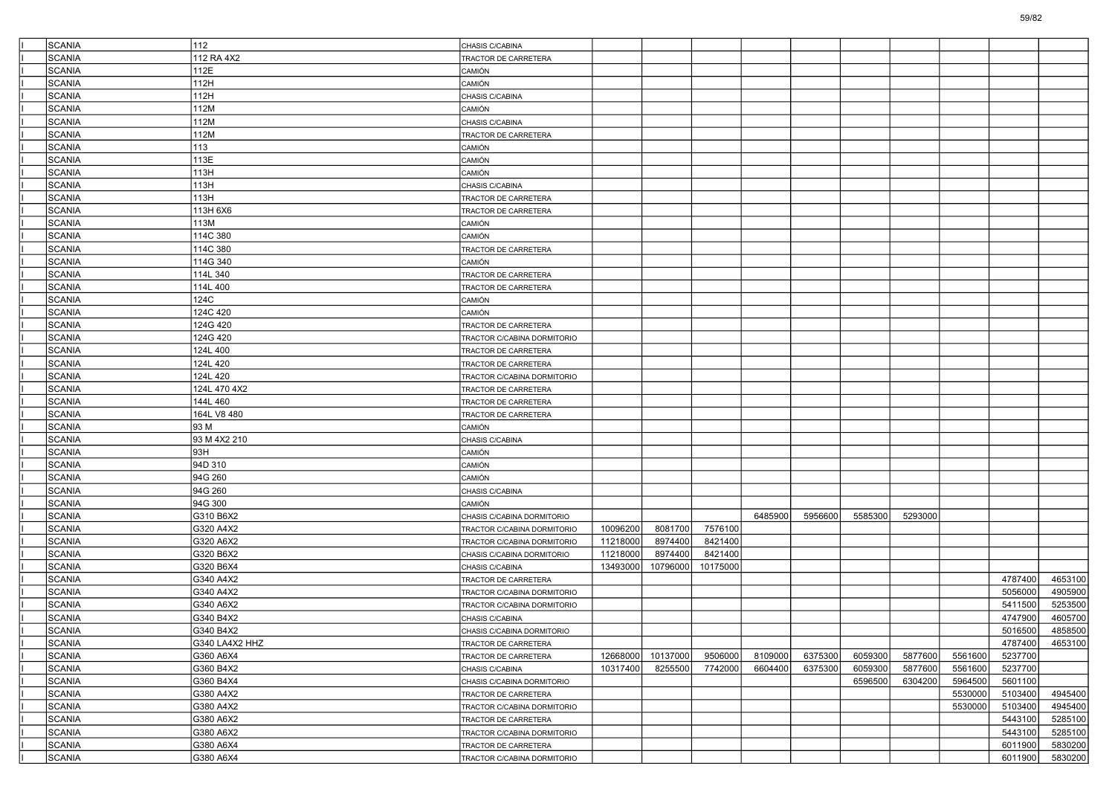| <b>SCANIA</b> | 112            | CHASIS C/CABINA             |          |          |          |         |         |         |         |         |         |         |
|---------------|----------------|-----------------------------|----------|----------|----------|---------|---------|---------|---------|---------|---------|---------|
| <b>SCANIA</b> | 112 RA 4X2     | TRACTOR DE CARRETERA        |          |          |          |         |         |         |         |         |         |         |
| <b>SCANIA</b> | 112E           | CAMIÓN                      |          |          |          |         |         |         |         |         |         |         |
| <b>SCANIA</b> | 112H           | CAMIÓN                      |          |          |          |         |         |         |         |         |         |         |
| <b>SCANIA</b> | 112H           | CHASIS C/CABINA             |          |          |          |         |         |         |         |         |         |         |
| <b>SCANIA</b> | 112M           | CAMIÓN                      |          |          |          |         |         |         |         |         |         |         |
| SCANIA        | 112M           | CHASIS C/CABINA             |          |          |          |         |         |         |         |         |         |         |
| <b>SCANIA</b> | 112M           | TRACTOR DE CARRETERA        |          |          |          |         |         |         |         |         |         |         |
| <b>SCANIA</b> | 113            | CAMIÓN                      |          |          |          |         |         |         |         |         |         |         |
| <b>SCANIA</b> | 113E           | CAMIÓN                      |          |          |          |         |         |         |         |         |         |         |
| <b>SCANIA</b> | 113H           | CAMIÓN                      |          |          |          |         |         |         |         |         |         |         |
| SCANIA        | 113H           | CHASIS C/CABINA             |          |          |          |         |         |         |         |         |         |         |
| <b>SCANIA</b> | 113H           | TRACTOR DE CARRETERA        |          |          |          |         |         |         |         |         |         |         |
| <b>SCANIA</b> | 113H 6X6       | TRACTOR DE CARRETERA        |          |          |          |         |         |         |         |         |         |         |
| <b>SCANIA</b> | 113M           | CAMIÓN                      |          |          |          |         |         |         |         |         |         |         |
| <b>SCANIA</b> | 114C 380       | CAMIÓN                      |          |          |          |         |         |         |         |         |         |         |
| SCANIA        | 114C 380       | TRACTOR DE CARRETERA        |          |          |          |         |         |         |         |         |         |         |
| <b>SCANIA</b> | 114G 340       | CAMIÓN                      |          |          |          |         |         |         |         |         |         |         |
| <b>SCANIA</b> | 114L 340       | TRACTOR DE CARRETERA        |          |          |          |         |         |         |         |         |         |         |
| <b>SCANIA</b> | 114L 400       | TRACTOR DE CARRETERA        |          |          |          |         |         |         |         |         |         |         |
| <b>SCANIA</b> | 124C           | CAMIÓN                      |          |          |          |         |         |         |         |         |         |         |
| SCANIA        | 124C 420       | CAMIÓN                      |          |          |          |         |         |         |         |         |         |         |
| <b>SCANIA</b> | 124G 420       | TRACTOR DE CARRETERA        |          |          |          |         |         |         |         |         |         |         |
| <b>SCANIA</b> | 124G 420       | TRACTOR C/CABINA DORMITORIO |          |          |          |         |         |         |         |         |         |         |
| <b>SCANIA</b> | 124L 400       | TRACTOR DE CARRETERA        |          |          |          |         |         |         |         |         |         |         |
| <b>SCANIA</b> | 124L 420       | TRACTOR DE CARRETERA        |          |          |          |         |         |         |         |         |         |         |
| SCANIA        | 124L 420       | TRACTOR C/CABINA DORMITORIO |          |          |          |         |         |         |         |         |         |         |
| <b>SCANIA</b> | 124L 470 4X2   | TRACTOR DE CARRETERA        |          |          |          |         |         |         |         |         |         |         |
| <b>SCANIA</b> | 144L 460       | TRACTOR DE CARRETERA        |          |          |          |         |         |         |         |         |         |         |
| <b>SCANIA</b> | 164L V8 480    | TRACTOR DE CARRETERA        |          |          |          |         |         |         |         |         |         |         |
| <b>SCANIA</b> | 93 M           | CAMIÓN                      |          |          |          |         |         |         |         |         |         |         |
| SCANIA        | 93 M 4X2 210   | CHASIS C/CABINA             |          |          |          |         |         |         |         |         |         |         |
| <b>SCANIA</b> | 93H            | CAMIÓN                      |          |          |          |         |         |         |         |         |         |         |
| <b>SCANIA</b> | 94D 310        | <b>CAMIÓN</b>               |          |          |          |         |         |         |         |         |         |         |
| <b>SCANIA</b> | 94G 260        | <b>AMIÓN</b>                |          |          |          |         |         |         |         |         |         |         |
| <b>SCANIA</b> | 94G 260        | CHASIS C/CABINA             |          |          |          |         |         |         |         |         |         |         |
| SCANIA        | 94G 300        | CAMIÓN                      |          |          |          |         |         |         |         |         |         |         |
| <b>SCANIA</b> | G310 B6X2      | CHASIS C/CABINA DORMITORIO  |          |          |          | 6485900 | 5956600 | 5585300 | 5293000 |         |         |         |
| <b>SCANIA</b> | G320 A4X2      | TRACTOR C/CABINA DORMITORIO | 10096200 | 8081700  | 7576100  |         |         |         |         |         |         |         |
| <b>SCANIA</b> | G320 A6X2      | TRACTOR C/CABINA DORMITORIO | 11218000 | 8974400  | 8421400  |         |         |         |         |         |         |         |
| <b>SCANIA</b> | G320 B6X2      | CHASIS C/CABINA DORMITORIO  | 11218000 | 8974400  | 8421400  |         |         |         |         |         |         |         |
| SCANIA        | G320 B6X4      | CHASIS C/CABINA             | 13493000 | 10796000 | 10175000 |         |         |         |         |         |         |         |
| <b>SCANIA</b> | G340 A4X2      | TRACTOR DE CARRETERA        |          |          |          |         |         |         |         |         | 4787400 | 4653100 |
| <b>SCANIA</b> | G340 A4X2      | TRACTOR C/CABINA DORMITORIO |          |          |          |         |         |         |         |         | 5056000 | 4905900 |
| <b>SCANIA</b> | G340 A6X2      | TRACTOR C/CABINA DORMITORIO |          |          |          |         |         |         |         |         | 5411500 | 5253500 |
| <b>SCANIA</b> | G340 B4X2      | CHASIS C/CABINA             |          |          |          |         |         |         |         |         | 4747900 | 4605700 |
| SCANIA        | G340 B4X2      | CHASIS C/CABINA DORMITORIO  |          |          |          |         |         |         |         |         | 5016500 | 4858500 |
| <b>SCANIA</b> | G340 LA4X2 HHZ | TRACTOR DE CARRETERA        |          |          |          |         |         |         |         |         | 4787400 | 4653100 |
| SCANIA        | G360 A6X4      | TRACTOR DE CARRETERA        | 12668000 | 10137000 | 9506000  | 8109000 | 6375300 | 6059300 | 5877600 | 5561600 | 5237700 |         |
| SCANIA        | G360 B4X2      | CHASIS C/CABINA             | 10317400 | 8255500  | 7742000  | 6604400 | 6375300 | 6059300 | 5877600 | 5561600 | 5237700 |         |
| SCANIA        | G360 B4X4      | CHASIS C/CABINA DORMITORIO  |          |          |          |         |         | 6596500 | 6304200 | 5964500 | 5601100 |         |
| SCANIA        | G380 A4X2      | TRACTOR DE CARRETERA        |          |          |          |         |         |         |         | 5530000 | 5103400 | 4945400 |
| SCANIA        | G380 A4X2      | TRACTOR C/CABINA DORMITORIO |          |          |          |         |         |         |         | 5530000 | 5103400 | 4945400 |
| SCANIA        | G380 A6X2      | TRACTOR DE CARRETERA        |          |          |          |         |         |         |         |         | 5443100 | 5285100 |
| SCANIA        | G380 A6X2      | TRACTOR C/CABINA DORMITORIO |          |          |          |         |         |         |         |         | 5443100 | 5285100 |
| SCANIA        | G380 A6X4      | TRACTOR DE CARRETERA        |          |          |          |         |         |         |         |         | 6011900 | 5830200 |
| SCANIA        | G380 A6X4      | TRACTOR C/CABINA DORMITORIO |          |          |          |         |         |         |         |         | 6011900 | 5830200 |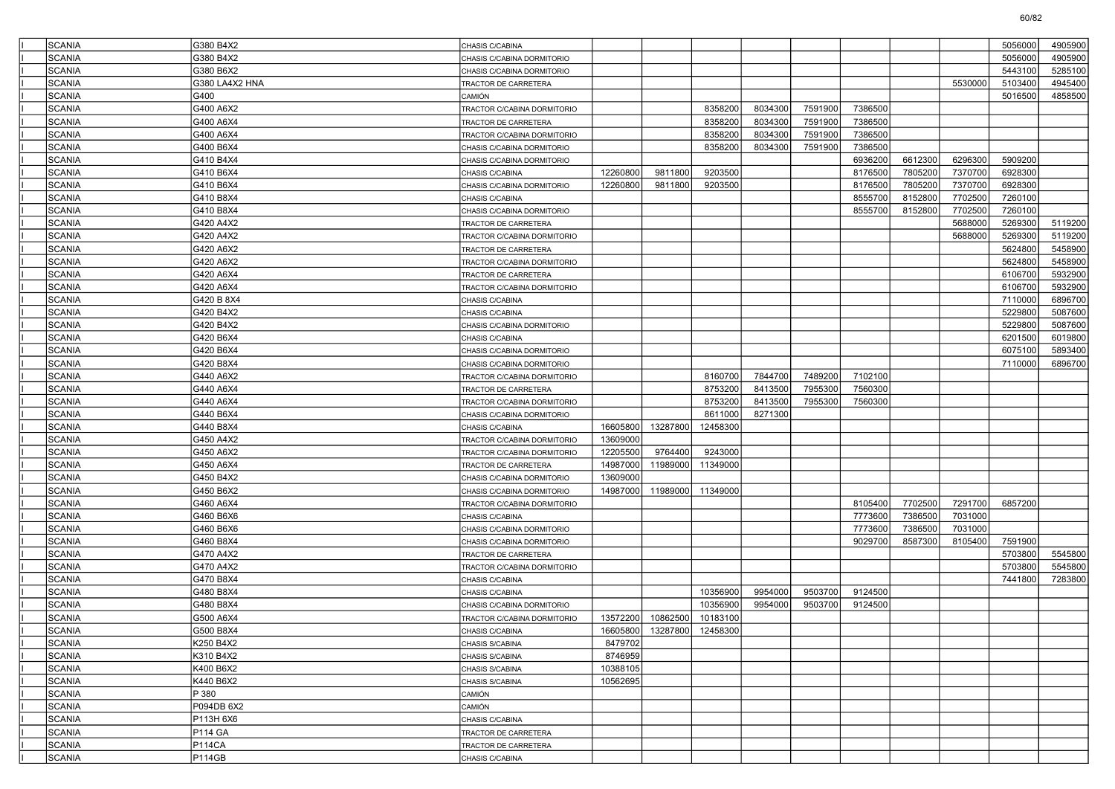| SCANIA        | G380 B4X2      | CHASIS C/CABINA             |          |          |                            |         |         |         |         |         | 5056000 | 4905900 |
|---------------|----------------|-----------------------------|----------|----------|----------------------------|---------|---------|---------|---------|---------|---------|---------|
| SCANIA        | G380 B4X2      | CHASIS C/CABINA DORMITORIO  |          |          |                            |         |         |         |         |         | 5056000 | 4905900 |
| SCANIA        | G380 B6X2      | CHASIS C/CABINA DORMITORIO  |          |          |                            |         |         |         |         |         | 5443100 | 5285100 |
| SCANIA        | G380 LA4X2 HNA | TRACTOR DE CARRETERA        |          |          |                            |         |         |         |         | 5530000 | 5103400 | 4945400 |
| SCANIA        | G400           | CAMIÓN                      |          |          |                            |         |         |         |         |         | 5016500 | 4858500 |
| SCANIA        | G400 A6X2      | TRACTOR C/CABINA DORMITORIO |          |          | 8358200                    | 8034300 | 7591900 | 7386500 |         |         |         |         |
| SCANIA        | G400 A6X4      | TRACTOR DE CARRETERA        |          |          | 8358200                    | 8034300 | 7591900 | 7386500 |         |         |         |         |
| SCANIA        | G400 A6X4      | TRACTOR C/CABINA DORMITORIO |          |          | 8358200                    | 8034300 | 7591900 | 7386500 |         |         |         |         |
| SCANIA        | G400 B6X4      | CHASIS C/CABINA DORMITORIO  |          |          | 8358200                    | 8034300 | 7591900 | 7386500 |         |         |         |         |
| <b>SCANIA</b> | G410 B4X4      | CHASIS C/CABINA DORMITORIO  |          |          |                            |         |         | 6936200 | 6612300 | 6296300 | 5909200 |         |
| SCANIA        | G410 B6X4      | CHASIS C/CABINA             | 12260800 | 9811800  | 9203500                    |         |         | 8176500 | 7805200 | 7370700 | 6928300 |         |
| SCANIA        | G410 B6X4      | CHASIS C/CABINA DORMITORIO  | 12260800 | 9811800  | 9203500                    |         |         | 8176500 | 7805200 | 7370700 | 6928300 |         |
| SCANIA        | G410 B8X4      | CHASIS C/CABINA             |          |          |                            |         |         | 8555700 | 8152800 | 7702500 | 7260100 |         |
| SCANIA        | G410 B8X4      | CHASIS C/CABINA DORMITORIO  |          |          |                            |         |         | 8555700 | 8152800 | 7702500 | 7260100 |         |
| <b>SCANIA</b> | G420 A4X2      | TRACTOR DE CARRETERA        |          |          |                            |         |         |         |         | 5688000 | 5269300 | 5119200 |
| SCANIA        | G420 A4X2      | TRACTOR C/CABINA DORMITORIO |          |          |                            |         |         |         |         | 5688000 | 5269300 | 5119200 |
| SCANIA        | G420 A6X2      | TRACTOR DE CARRETERA        |          |          |                            |         |         |         |         |         | 5624800 | 5458900 |
| <b>SCANIA</b> | G420 A6X2      | TRACTOR C/CABINA DORMITORIO |          |          |                            |         |         |         |         |         | 5624800 | 5458900 |
| SCANIA        | G420 A6X4      | TRACTOR DE CARRETERA        |          |          |                            |         |         |         |         |         | 6106700 | 5932900 |
| <b>SCANIA</b> | G420 A6X4      | TRACTOR C/CABINA DORMITORIO |          |          |                            |         |         |         |         |         | 6106700 | 5932900 |
| SCANIA        | G420 B 8X4     | CHASIS C/CABINA             |          |          |                            |         |         |         |         |         | 7110000 | 6896700 |
| SCANIA        | G420 B4X2      | CHASIS C/CABINA             |          |          |                            |         |         |         |         |         | 5229800 | 5087600 |
| <b>SCANIA</b> | G420 B4X2      | CHASIS C/CABINA DORMITORIO  |          |          |                            |         |         |         |         |         | 5229800 | 5087600 |
| SCANIA        | G420 B6X4      | CHASIS C/CABINA             |          |          |                            |         |         |         |         |         | 6201500 | 6019800 |
| <b>SCANIA</b> | G420 B6X4      | CHASIS C/CABINA DORMITORIO  |          |          |                            |         |         |         |         |         | 6075100 | 5893400 |
| <b>SCANIA</b> | G420 B8X4      | CHASIS C/CABINA DORMITORIO  |          |          |                            |         |         |         |         |         | 7110000 | 6896700 |
| SCANIA        | G440 A6X2      | TRACTOR C/CABINA DORMITORIO |          |          | 8160700                    | 7844700 | 7489200 | 7102100 |         |         |         |         |
| <b>SCANIA</b> | G440 A6X4      | TRACTOR DE CARRETERA        |          |          | 8753200                    | 8413500 | 7955300 | 7560300 |         |         |         |         |
| <b>SCANIA</b> | G440 A6X4      | TRACTOR C/CABINA DORMITORIO |          |          | 8753200                    | 8413500 | 7955300 | 7560300 |         |         |         |         |
| <b>SCANIA</b> | G440 B6X4      | CHASIS C/CABINA DORMITORIO  |          |          | 8611000                    | 8271300 |         |         |         |         |         |         |
| <b>SCANIA</b> | G440 B8X4      |                             | 16605800 | 13287800 | 12458300                   |         |         |         |         |         |         |         |
| SCANIA        | G450 A4X2      | CHASIS C/CABINA             | 13609000 |          |                            |         |         |         |         |         |         |         |
| SCANIA        | G450 A6X2      | TRACTOR C/CABINA DORMITORIO | 12205500 | 9764400  | 9243000                    |         |         |         |         |         |         |         |
| <b>SCANIA</b> |                | TRACTOR C/CABINA DORMITORIO | 14987000 | 11989000 | 11349000                   |         |         |         |         |         |         |         |
|               | G450 A6X4      | TRACTOR DE CARRETERA        |          |          |                            |         |         |         |         |         |         |         |
| <b>SCANIA</b> | G450 B4X2      | CHASIS C/CABINA DORMITORIO  | 13609000 |          |                            |         |         |         |         |         |         |         |
| <b>SCANIA</b> | G450 B6X2      | CHASIS C/CABINA DORMITORIO  | 14987000 | 11989000 | 11349000                   |         |         |         |         |         |         |         |
| SCANIA        | G460 A6X4      | TRACTOR C/CABINA DORMITORIO |          |          |                            |         |         | 8105400 | 7702500 | 7291700 | 6857200 |         |
| SCANIA        | G460 B6X6      | CHASIS C/CABINA             |          |          |                            |         |         | 7773600 | 7386500 | 7031000 |         |         |
| SCANIA        | G460 B6X6      | CHASIS C/CABINA DORMITORIO  |          |          |                            |         |         | 7773600 | 7386500 | 7031000 |         |         |
| <b>SCANIA</b> | G460 B8X4      | CHASIS C/CABINA DORMITORIO  |          |          |                            |         |         | 9029700 | 8587300 | 8105400 | 7591900 |         |
| <b>SCANIA</b> | G470 A4X2      | TRACTOR DE CARRETERA        |          |          |                            |         |         |         |         |         | 5703800 | 5545800 |
| SCANIA        | G470 A4X2      | TRACTOR C/CABINA DORMITORIO |          |          |                            |         |         |         |         |         | 5703800 | 5545800 |
| SCANIA        | G470 B8X4      | CHASIS C/CABINA             |          |          |                            |         |         |         |         |         | 7441800 | 7283800 |
| <b>SCANIA</b> | G480 B8X4      | CHASIS C/CABINA             |          |          | 10356900                   | 9954000 | 9503700 | 9124500 |         |         |         |         |
| <b>SCANIA</b> | G480 B8X4      | CHASIS C/CABINA DORMITORIO  |          |          | 10356900                   | 9954000 | 9503700 | 9124500 |         |         |         |         |
| SCANIA        | G500 A6X4      | TRACTOR C/CABINA DORMITORIO | 13572200 | 10862500 | 10183100                   |         |         |         |         |         |         |         |
| <b>SCANIA</b> | G500 B8X4      | CHASIS C/CABINA             |          |          | 16605800 13287800 12458300 |         |         |         |         |         |         |         |
| <b>SCANIA</b> | K250 B4X2      | CHASIS S/CABINA             | 8479702  |          |                            |         |         |         |         |         |         |         |
| <b>SCANIA</b> | K310 B4X2      | CHASIS S/CABINA             | 8746959  |          |                            |         |         |         |         |         |         |         |
| <b>SCANIA</b> | K400 B6X2      | CHASIS S/CABINA             | 10388105 |          |                            |         |         |         |         |         |         |         |
| <b>SCANIA</b> | K440 B6X2      | CHASIS S/CABINA             | 10562695 |          |                            |         |         |         |         |         |         |         |
| <b>SCANIA</b> | P 380          | CAMIÓN                      |          |          |                            |         |         |         |         |         |         |         |
| <b>SCANIA</b> | P094DB 6X2     | CAMIÓN                      |          |          |                            |         |         |         |         |         |         |         |
| <b>SCANIA</b> | P113H 6X6      | CHASIS C/CABINA             |          |          |                            |         |         |         |         |         |         |         |
| <b>SCANIA</b> | <b>P114 GA</b> | TRACTOR DE CARRETERA        |          |          |                            |         |         |         |         |         |         |         |
| <b>SCANIA</b> | <b>P114CA</b>  | TRACTOR DE CARRETERA        |          |          |                            |         |         |         |         |         |         |         |
| SCANIA        | P114GB         | CHASIS C/CABINA             |          |          |                            |         |         |         |         |         |         |         |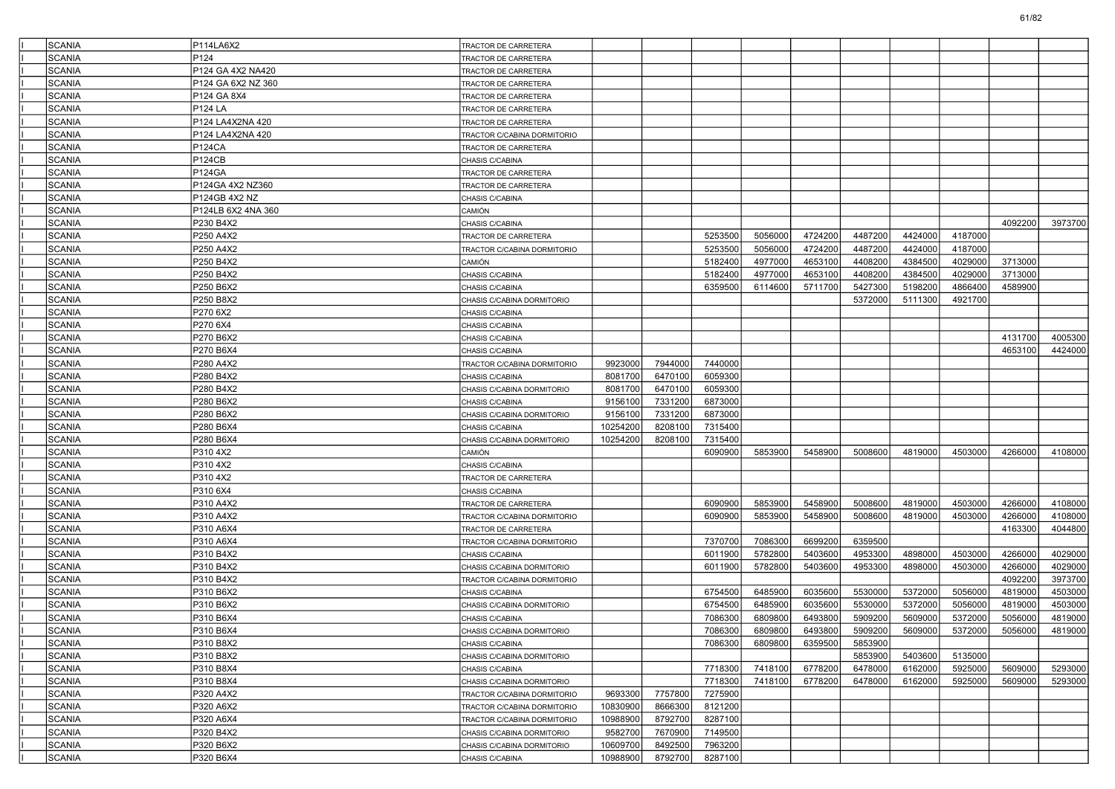| <b>SCANIA</b> | P114LA6X2          | TRACTOR DE CARRETERA               |          |         |         |         |         |         |         |         |         |         |
|---------------|--------------------|------------------------------------|----------|---------|---------|---------|---------|---------|---------|---------|---------|---------|
| <b>SCANIA</b> | P124               | <b>FRACTOR DE CARRETERA</b>        |          |         |         |         |         |         |         |         |         |         |
| <b>SCANIA</b> | P124 GA 4X2 NA420  | <b>FRACTOR DE CARRETERA</b>        |          |         |         |         |         |         |         |         |         |         |
| <b>SCANIA</b> | P124 GA 6X2 NZ 360 | TRACTOR DE CARRETERA               |          |         |         |         |         |         |         |         |         |         |
| <b>SCANIA</b> | P124 GA 8X4        | TRACTOR DE CARRETERA               |          |         |         |         |         |         |         |         |         |         |
| <b>SCANIA</b> | <b>P124 LA</b>     | TRACTOR DE CARRETERA               |          |         |         |         |         |         |         |         |         |         |
| <b>SCANIA</b> | P124 LA4X2NA 420   | <b>FRACTOR DE CARRETERA</b>        |          |         |         |         |         |         |         |         |         |         |
| <b>SCANIA</b> | P124 LA4X2NA 420   | <b>FRACTOR C/CABINA DORMITORIO</b> |          |         |         |         |         |         |         |         |         |         |
| <b>SCANIA</b> | P124CA             | FRACTOR DE CARRETERA               |          |         |         |         |         |         |         |         |         |         |
| <b>SCANIA</b> | <b>P124CB</b>      | CHASIS C/CABINA                    |          |         |         |         |         |         |         |         |         |         |
| <b>SCANIA</b> | <b>P124GA</b>      | TRACTOR DE CARRETERA               |          |         |         |         |         |         |         |         |         |         |
| <b>SCANIA</b> | P124GA 4X2 NZ360   | <b>FRACTOR DE CARRETERA</b>        |          |         |         |         |         |         |         |         |         |         |
| <b>SCANIA</b> | P124GB 4X2 NZ      | CHASIS C/CABINA                    |          |         |         |         |         |         |         |         |         |         |
| <b>SCANIA</b> | P124LB 6X2 4NA 360 | CAMIÓN                             |          |         |         |         |         |         |         |         |         |         |
| <b>SCANIA</b> | P230 B4X2          | CHASIS C/CABINA                    |          |         |         |         |         |         |         |         | 4092200 | 3973700 |
| <b>SCANIA</b> | P250 A4X2          | TRACTOR DE CARRETERA               |          |         | 5253500 | 5056000 | 4724200 | 4487200 | 4424000 | 4187000 |         |         |
| <b>SCANIA</b> | P250 A4X2          | <b>FRACTOR C/CABINA DORMITORIO</b> |          |         | 5253500 | 5056000 | 4724200 | 4487200 | 4424000 | 4187000 |         |         |
| <b>SCANIA</b> | P250 B4X2          | CAMIÓN                             |          |         | 5182400 | 4977000 | 4653100 | 4408200 | 4384500 | 4029000 | 3713000 |         |
| <b>SCANIA</b> | P250 B4X2          | CHASIS C/CABINA                    |          |         | 5182400 | 4977000 | 4653100 | 4408200 | 4384500 | 4029000 | 3713000 |         |
| <b>SCANIA</b> | P250 B6X2          | CHASIS C/CABINA                    |          |         | 6359500 | 6114600 | 5711700 | 5427300 | 5198200 | 4866400 | 4589900 |         |
| <b>SCANIA</b> | P250 B8X2          | CHASIS C/CABINA DORMITORIO         |          |         |         |         |         | 5372000 | 5111300 | 4921700 |         |         |
| <b>SCANIA</b> | P270 6X2           | CHASIS C/CABINA                    |          |         |         |         |         |         |         |         |         |         |
| <b>SCANIA</b> | P270 6X4           | CHASIS C/CABINA                    |          |         |         |         |         |         |         |         |         |         |
| <b>SCANIA</b> | P270 B6X2          | CHASIS C/CABINA                    |          |         |         |         |         |         |         |         | 4131700 | 4005300 |
| <b>SCANIA</b> | P270 B6X4          | CHASIS C/CABINA                    |          |         |         |         |         |         |         |         | 4653100 | 4424000 |
| <b>SCANIA</b> | P280 A4X2          | TRACTOR C/CABINA DORMITORIO        | 9923000  | 7944000 | 7440000 |         |         |         |         |         |         |         |
| <b>SCANIA</b> | P280 B4X2          | CHASIS C/CABINA                    | 8081700  | 6470100 | 6059300 |         |         |         |         |         |         |         |
| <b>SCANIA</b> | P280 B4X2          | CHASIS C/CABINA DORMITORIO         | 8081700  | 6470100 | 6059300 |         |         |         |         |         |         |         |
| <b>SCANIA</b> | P280 B6X2          | CHASIS C/CABINA                    | 9156100  | 7331200 | 6873000 |         |         |         |         |         |         |         |
| <b>SCANIA</b> | P280 B6X2          | CHASIS C/CABINA DORMITORIO         | 9156100  | 7331200 | 6873000 |         |         |         |         |         |         |         |
| <b>SCANIA</b> | P280 B6X4          | CHASIS C/CABINA                    | 10254200 | 8208100 | 7315400 |         |         |         |         |         |         |         |
| <b>SCANIA</b> | P280 B6X4          | CHASIS C/CABINA DORMITORIO         | 10254200 | 8208100 | 7315400 |         |         |         |         |         |         |         |
| <b>SCANIA</b> | P310 4X2           | CAMIÓN                             |          |         | 6090900 | 5853900 | 5458900 | 5008600 | 4819000 | 4503000 | 4266000 | 4108000 |
| <b>SCANIA</b> | P310 4X2           | CHASIS C/CABINA                    |          |         |         |         |         |         |         |         |         |         |
| <b>SCANIA</b> | P310 4X2           | TRACTOR DE CARRETERA               |          |         |         |         |         |         |         |         |         |         |
| <b>SCANIA</b> | P310 6X4           | CHASIS C/CABINA                    |          |         |         |         |         |         |         |         |         |         |
| <b>SCANIA</b> | P310 A4X2          | <b>FRACTOR DE CARRETERA</b>        |          |         | 6090900 | 5853900 | 5458900 | 5008600 | 4819000 | 4503000 | 4266000 | 4108000 |
| <b>SCANIA</b> | P310 A4X2          | TRACTOR C/CABINA DORMITORIO        |          |         | 6090900 | 5853900 | 5458900 | 5008600 | 4819000 | 4503000 | 4266000 | 4108000 |
| <b>SCANIA</b> | P310 A6X4          | <b>FRACTOR DE CARRETERA</b>        |          |         |         |         |         |         |         |         | 4163300 | 4044800 |
| <b>SCANIA</b> | P310 A6X4          | TRACTOR C/CABINA DORMITORIO        |          |         | 7370700 | 7086300 | 6699200 | 6359500 |         |         |         |         |
| <b>SCANIA</b> | P310 B4X2          | CHASIS C/CABINA                    |          |         | 6011900 | 5782800 | 5403600 | 4953300 | 4898000 | 4503000 | 4266000 | 4029000 |
| <b>SCANIA</b> | P310 B4X2          | CHASIS C/CABINA DORMITORIO         |          |         | 6011900 | 5782800 | 5403600 | 4953300 | 4898000 | 4503000 | 4266000 | 4029000 |
| <b>SCANIA</b> | P310 B4X2          | TRACTOR C/CABINA DORMITORIO        |          |         |         |         |         |         |         |         | 4092200 | 3973700 |
| <b>SCANIA</b> | P310 B6X2          | CHASIS C/CABINA                    |          |         | 6754500 | 6485900 | 6035600 | 5530000 | 5372000 | 5056000 | 4819000 | 4503000 |
| <b>SCANIA</b> | P310 B6X2          | CHASIS C/CABINA DORMITORIO         |          |         | 6754500 | 6485900 | 6035600 | 5530000 | 5372000 | 5056000 | 4819000 | 4503000 |
| <b>SCANIA</b> | P310 B6X4          | CHASIS C/CABINA                    |          |         | 7086300 | 6809800 | 6493800 | 5909200 | 5609000 | 5372000 | 5056000 | 4819000 |
| SCANIA        | P310 B6X4          | CHASIS C/CABINA DORMITORIO         |          |         | 7086300 | 6809800 | 6493800 | 5909200 | 5609000 | 5372000 | 5056000 | 4819000 |
| <b>SCANIA</b> | P310 B8X2          | CHASIS C/CABINA                    |          |         | 7086300 | 6809800 | 6359500 | 5853900 |         |         |         |         |
| <b>SCANIA</b> | P310 B8X2          | CHASIS C/CABINA DORMITORIO         |          |         |         |         |         | 5853900 | 5403600 | 5135000 |         |         |
| <b>SCANIA</b> | P310 B8X4          | CHASIS C/CABINA                    |          |         | 7718300 | 7418100 | 6778200 | 6478000 | 6162000 | 5925000 | 5609000 | 5293000 |
| <b>SCANIA</b> | P310 B8X4          | CHASIS C/CABINA DORMITORIO         |          |         | 7718300 | 7418100 | 6778200 | 6478000 | 6162000 | 5925000 | 5609000 | 5293000 |
| <b>SCANIA</b> | P320 A4X2          | TRACTOR C/CABINA DORMITORIO        | 9693300  | 7757800 | 7275900 |         |         |         |         |         |         |         |
| <b>SCANIA</b> | P320 A6X2          | TRACTOR C/CABINA DORMITORIO        | 10830900 | 8666300 | 8121200 |         |         |         |         |         |         |         |
| <b>SCANIA</b> | P320 A6X4          | TRACTOR C/CABINA DORMITORIO        | 10988900 | 8792700 | 8287100 |         |         |         |         |         |         |         |
| <b>SCANIA</b> | P320 B4X2          | CHASIS C/CABINA DORMITORIO         | 9582700  | 7670900 | 7149500 |         |         |         |         |         |         |         |
| SCANIA        | P320 B6X2          | CHASIS C/CABINA DORMITORIO         | 10609700 | 8492500 | 7963200 |         |         |         |         |         |         |         |
| SCANIA        | P320 B6X4          | CHASIS C/CABINA                    | 10988900 | 8792700 | 8287100 |         |         |         |         |         |         |         |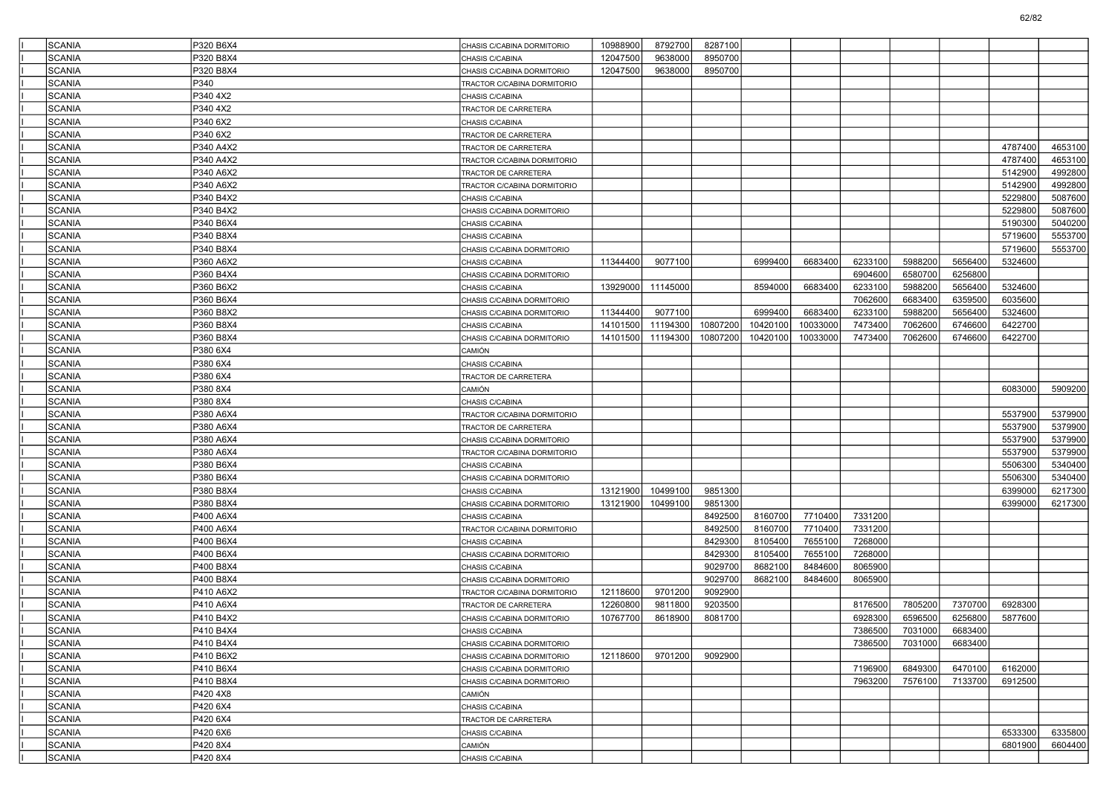| <b>SCANIA</b>                  | P320 B6X4              | CHASIS C/CABINA DORMITORIO  | 10988900 | 8792700  | 8287100            |                    |                    |                    |         |         |         |         |
|--------------------------------|------------------------|-----------------------------|----------|----------|--------------------|--------------------|--------------------|--------------------|---------|---------|---------|---------|
| <b>SCANIA</b>                  | P320 B8X4              | CHASIS C/CABINA             | 12047500 | 9638000  | 8950700            |                    |                    |                    |         |         |         |         |
| <b>SCANIA</b>                  | P320 B8X4              |                             | 12047500 | 9638000  | 8950700            |                    |                    |                    |         |         |         |         |
|                                |                        | CHASIS C/CABINA DORMITORIO  |          |          |                    |                    |                    |                    |         |         |         |         |
| <b>SCANIA</b>                  | P340                   | TRACTOR C/CABINA DORMITORIO |          |          |                    |                    |                    |                    |         |         |         |         |
| <b>SCANIA</b>                  | P340 4X2               | CHASIS C/CABINA             |          |          |                    |                    |                    |                    |         |         |         |         |
| <b>SCANIA</b>                  | P340 4X2               | TRACTOR DE CARRETERA        |          |          |                    |                    |                    |                    |         |         |         |         |
| <b>SCANIA</b>                  | P340 6X2               | CHASIS C/CABINA             |          |          |                    |                    |                    |                    |         |         |         |         |
| <b>SCANIA</b>                  | P340 6X2               | TRACTOR DE CARRETERA        |          |          |                    |                    |                    |                    |         |         |         |         |
| <b>SCANIA</b>                  | P340 A4X2              | TRACTOR DE CARRETERA        |          |          |                    |                    |                    |                    |         |         | 4787400 | 4653100 |
| <b>SCANIA</b>                  | P340 A4X2              | TRACTOR C/CABINA DORMITORIO |          |          |                    |                    |                    |                    |         |         | 4787400 | 4653100 |
| <b>SCANIA</b>                  | P340 A6X2              | TRACTOR DE CARRETERA        |          |          |                    |                    |                    |                    |         |         | 5142900 | 4992800 |
| <b>SCANIA</b>                  | P340 A6X2              | TRACTOR C/CABINA DORMITORIO |          |          |                    |                    |                    |                    |         |         | 5142900 | 4992800 |
| <b>SCANIA</b>                  | P340 B4X2              | CHASIS C/CABINA             |          |          |                    |                    |                    |                    |         |         | 5229800 | 5087600 |
| <b>SCANIA</b>                  | P340 B4X2              | CHASIS C/CABINA DORMITORIO  |          |          |                    |                    |                    |                    |         |         | 5229800 | 5087600 |
| <b>SCANIA</b>                  | P340 B6X4              | CHASIS C/CABINA             |          |          |                    |                    |                    |                    |         |         | 5190300 | 5040200 |
| <b>SCANIA</b>                  | P340 B8X4              | CHASIS C/CABINA             |          |          |                    |                    |                    |                    |         |         | 5719600 | 5553700 |
| <b>SCANIA</b>                  | P340 B8X4              | CHASIS C/CABINA DORMITORIO  |          |          |                    |                    |                    |                    |         |         | 5719600 | 5553700 |
| <b>SCANIA</b>                  | P360 A6X2              | CHASIS C/CABINA             | 11344400 | 9077100  |                    | 6999400            | 6683400            | 6233100            | 5988200 | 5656400 | 5324600 |         |
| <b>SCANIA</b>                  | P360 B4X4              | CHASIS C/CABINA DORMITORIO  |          |          |                    |                    |                    | 6904600            | 6580700 | 6256800 |         |         |
| <b>SCANIA</b>                  | P360 B6X2              | CHASIS C/CABINA             | 13929000 | 11145000 |                    | 8594000            | 6683400            | 6233100            | 5988200 | 5656400 | 5324600 |         |
| <b>SCANIA</b>                  | P360 B6X4              | CHASIS C/CABINA DORMITORIO  |          |          |                    |                    |                    | 7062600            | 6683400 | 6359500 | 6035600 |         |
| <b>SCANIA</b>                  | P360 B8X2              | CHASIS C/CABINA DORMITORIO  | 11344400 | 9077100  |                    | 6999400            | 6683400            | 6233100            | 5988200 | 5656400 | 5324600 |         |
| <b>SCANIA</b>                  | P360 B8X4              | CHASIS C/CABINA             | 14101500 | 11194300 | 10807200           | 10420100           | 10033000           | 7473400            | 7062600 | 6746600 | 6422700 |         |
| <b>SCANIA</b>                  | P360 B8X4              | CHASIS C/CABINA DORMITORIO  | 14101500 | 11194300 | 10807200           | 10420100           | 10033000           | 7473400            | 7062600 | 6746600 | 6422700 |         |
| <b>SCANIA</b>                  | P380 6X4               | CAMIÓN                      |          |          |                    |                    |                    |                    |         |         |         |         |
| <b>SCANIA</b>                  | P380 6X4               | CHASIS C/CABINA             |          |          |                    |                    |                    |                    |         |         |         |         |
| <b>SCANIA</b>                  | P380 6X4               | TRACTOR DE CARRETERA        |          |          |                    |                    |                    |                    |         |         |         |         |
| <b>SCANIA</b>                  | P380 8X4               | CAMIÓN                      |          |          |                    |                    |                    |                    |         |         | 6083000 | 5909200 |
| <b>SCANIA</b>                  | P3808X4                | CHASIS C/CABINA             |          |          |                    |                    |                    |                    |         |         |         |         |
| <b>SCANIA</b>                  | P380 A6X4              | TRACTOR C/CABINA DORMITORIO |          |          |                    |                    |                    |                    |         |         | 5537900 | 5379900 |
| <b>SCANIA</b>                  | P380 A6X4              | TRACTOR DE CARRETERA        |          |          |                    |                    |                    |                    |         |         | 5537900 | 5379900 |
| <b>SCANIA</b>                  | P380 A6X4              | CHASIS C/CABINA DORMITORIO  |          |          |                    |                    |                    |                    |         |         | 5537900 | 5379900 |
| <b>SCANIA</b>                  | P380 A6X4              | TRACTOR C/CABINA DORMITORIO |          |          |                    |                    |                    |                    |         |         | 5537900 | 5379900 |
| <b>SCANIA</b>                  | P380 B6X4              | CHASIS C/CABINA             |          |          |                    |                    |                    |                    |         |         | 5506300 | 5340400 |
| <b>SCANIA</b>                  | P380 B6X4              | CHASIS C/CABINA DORMITORIO  |          |          |                    |                    |                    |                    |         |         | 5506300 | 5340400 |
| <b>SCANIA</b>                  | P380 B8X4              | CHASIS C/CABINA             | 13121900 | 10499100 | 9851300            |                    |                    |                    |         |         | 6399000 | 6217300 |
| <b>SCANIA</b>                  | P380 B8X4              | CHASIS C/CABINA DORMITORIO  | 13121900 | 10499100 | 9851300            |                    |                    |                    |         |         | 6399000 | 6217300 |
| <b>SCANIA</b>                  | P400 A6X4              | CHASIS C/CABINA             |          |          | 8492500            | 8160700            | 7710400            | 7331200            |         |         |         |         |
| <b>SCANIA</b>                  | P400 A6X4              |                             |          |          | 8492500            | 8160700            | 7710400            | 7331200            |         |         |         |         |
|                                |                        | TRACTOR C/CABINA DORMITORIO |          |          | 8429300            | 8105400            | 7655100            | 7268000            |         |         |         |         |
| <b>SCANIA</b><br><b>SCANIA</b> | P400 B6X4              | CHASIS C/CABINA             |          |          | 8429300            | 8105400            | 7655100            | 7268000            |         |         |         |         |
|                                | P400 B6X4              | CHASIS C/CABINA DORMITORIO  |          |          |                    |                    |                    |                    |         |         |         |         |
| <b>SCANIA</b><br><b>SCANIA</b> | P400 B8X4<br>P400 B8X4 | CHASIS C/CABINA             |          |          | 9029700<br>9029700 | 8682100<br>8682100 | 8484600<br>8484600 | 8065900<br>8065900 |         |         |         |         |
|                                |                        | CHASIS C/CABINA DORMITORIO  |          |          |                    |                    |                    |                    |         |         |         |         |
| <b>SCANIA</b>                  | P410 A6X2              | TRACTOR C/CABINA DORMITORIO | 12118600 | 9701200  | 9092900            |                    |                    |                    |         |         |         |         |
| <b>SCANIA</b>                  | P410 A6X4              | TRACTOR DE CARRETERA        | 12260800 | 9811800  | 9203500            |                    |                    | 8176500            | 7805200 | 7370700 | 6928300 |         |
| <b>SCANIA</b>                  | P410 B4X2              | CHASIS C/CABINA DORMITORIO  | 10767700 | 8618900  | 8081700            |                    |                    | 6928300            | 6596500 | 6256800 | 5877600 |         |
| SCANIA                         | P410 B4X4              | CHASIS C/CABINA             |          |          |                    |                    |                    | 7386500            | 7031000 | 6683400 |         |         |
| SCANIA                         | P410 B4X4              | CHASIS C/CABINA DORMITORIO  |          |          |                    |                    |                    | 7386500            | 7031000 | 6683400 |         |         |
| SCANIA                         | P410 B6X2              | CHASIS C/CABINA DORMITORIO  | 12118600 | 9701200  | 9092900            |                    |                    |                    |         |         |         |         |
| SCANIA                         | P410 B6X4              | CHASIS C/CABINA DORMITORIO  |          |          |                    |                    |                    | 7196900            | 6849300 | 6470100 | 6162000 |         |
| SCANIA                         | P410 B8X4              | CHASIS C/CABINA DORMITORIO  |          |          |                    |                    |                    | 7963200            | 7576100 | 7133700 | 6912500 |         |
| <b>SCANIA</b>                  | P420 4X8               | CAMIÓN                      |          |          |                    |                    |                    |                    |         |         |         |         |
| SCANIA                         | P420 6X4               | CHASIS C/CABINA             |          |          |                    |                    |                    |                    |         |         |         |         |
| SCANIA                         | P420 6X4               | TRACTOR DE CARRETERA        |          |          |                    |                    |                    |                    |         |         |         |         |
| SCANIA                         | P420 6X6               | CHASIS C/CABINA             |          |          |                    |                    |                    |                    |         |         | 6533300 | 6335800 |
| SCANIA                         | P420 8X4               | CAMIÓN                      |          |          |                    |                    |                    |                    |         |         | 6801900 | 6604400 |
| SCANIA                         | P420 8X4               | CHASIS C/CABINA             |          |          |                    |                    |                    |                    |         |         |         |         |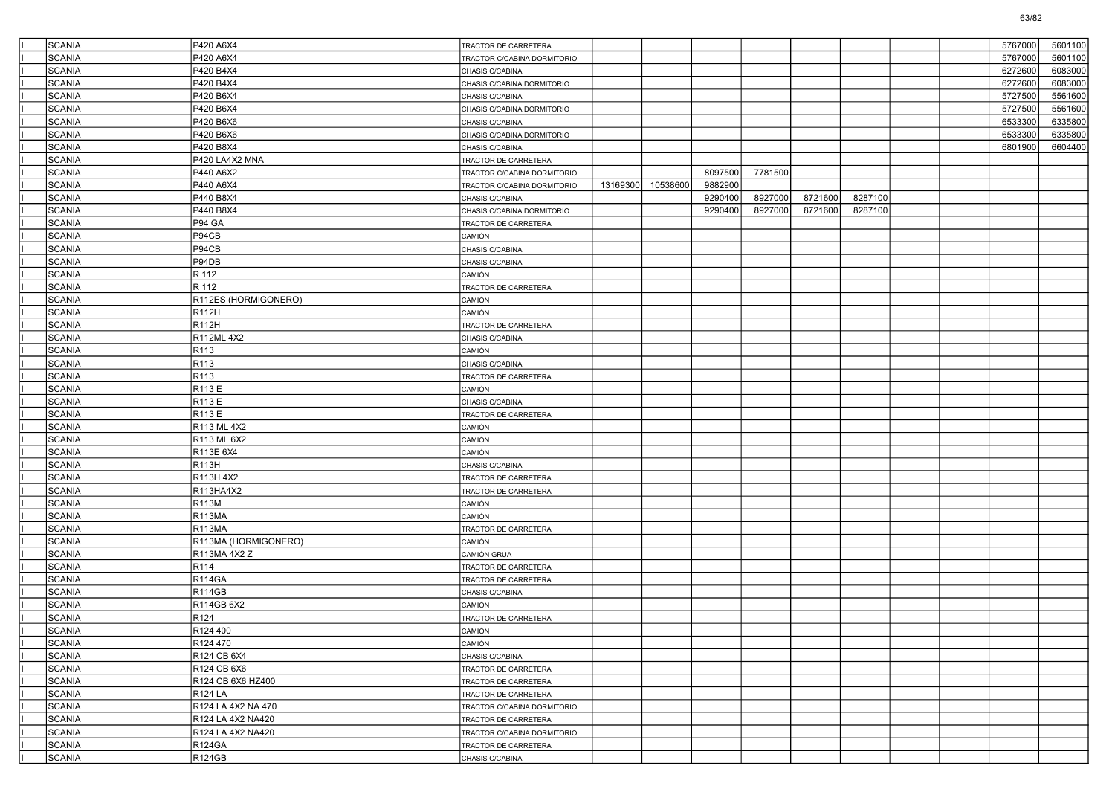| SCANIA                         | P420 A6X4                      | TRACTOR DE CARRETERA                    |          |          |         |         |         |         |  | 5767000 | 5601100 |
|--------------------------------|--------------------------------|-----------------------------------------|----------|----------|---------|---------|---------|---------|--|---------|---------|
| SCANIA                         | P420 A6X4                      | TRACTOR C/CABINA DORMITORIO             |          |          |         |         |         |         |  | 5767000 | 5601100 |
| <b>SCANIA</b>                  | P420 B4X4                      | CHASIS C/CABINA                         |          |          |         |         |         |         |  | 6272600 | 6083000 |
| <b>SCANIA</b>                  | P420 B4X4                      | CHASIS C/CABINA DORMITORIO              |          |          |         |         |         |         |  | 6272600 | 6083000 |
| <b>SCANIA</b>                  | P420 B6X4                      | CHASIS C/CABINA                         |          |          |         |         |         |         |  | 5727500 | 5561600 |
| SCANIA                         | P420 B6X4                      | CHASIS C/CABINA DORMITORIO              |          |          |         |         |         |         |  | 5727500 | 5561600 |
| SCANIA                         | P420 B6X6                      | CHASIS C/CABINA                         |          |          |         |         |         |         |  | 6533300 | 6335800 |
| <b>SCANIA</b>                  | P420 B6X6                      | CHASIS C/CABINA DORMITORIO              |          |          |         |         |         |         |  | 6533300 | 6335800 |
| <b>SCANIA</b>                  | P420 B8X4                      | CHASIS C/CABINA                         |          |          |         |         |         |         |  | 6801900 | 6604400 |
| <b>SCANIA</b>                  | P420 LA4X2 MNA                 | TRACTOR DE CARRETERA                    |          |          |         |         |         |         |  |         |         |
| SCANIA                         | P440 A6X2                      | TRACTOR C/CABINA DORMITORIO             |          |          | 8097500 | 7781500 |         |         |  |         |         |
| SCANIA                         | P440 A6X4                      | TRACTOR C/CABINA DORMITORIO             | 13169300 | 10538600 | 9882900 |         |         |         |  |         |         |
| <b>SCANIA</b>                  | P440 B8X4                      | CHASIS C/CABINA                         |          |          | 9290400 | 8927000 | 8721600 | 8287100 |  |         |         |
| <b>SCANIA</b>                  | P440 B8X4                      | CHASIS C/CABINA DORMITORIO              |          |          | 9290400 | 8927000 | 8721600 | 8287100 |  |         |         |
| <b>SCANIA</b>                  | P94 GA                         | TRACTOR DE CARRETERA                    |          |          |         |         |         |         |  |         |         |
| SCANIA                         | P94CB                          | CAMIÓN                                  |          |          |         |         |         |         |  |         |         |
| SCANIA                         | P94CB                          | CHASIS C/CABINA                         |          |          |         |         |         |         |  |         |         |
| <b>SCANIA</b>                  | P94DB                          | CHASIS C/CABINA                         |          |          |         |         |         |         |  |         |         |
| <b>SCANIA</b>                  | R 112                          | CAMIÓN                                  |          |          |         |         |         |         |  |         |         |
| <b>SCANIA</b>                  | R 112                          | TRACTOR DE CARRETERA                    |          |          |         |         |         |         |  |         |         |
| SCANIA                         | R112ES (HORMIGONERO)           | CAMIÓN                                  |          |          |         |         |         |         |  |         |         |
| SCANIA                         | R112H                          | CAMIÓN                                  |          |          |         |         |         |         |  |         |         |
| <b>SCANIA</b>                  | R112H                          | TRACTOR DE CARRETERA                    |          |          |         |         |         |         |  |         |         |
| <b>SCANIA</b>                  | R112ML 4X2                     | CHASIS C/CABINA                         |          |          |         |         |         |         |  |         |         |
| <b>SCANIA</b>                  | R113                           | CAMIÓN                                  |          |          |         |         |         |         |  |         |         |
| SCANIA                         | R <sub>113</sub>               | CHASIS C/CABINA                         |          |          |         |         |         |         |  |         |         |
| SCANIA                         | R113                           | TRACTOR DE CARRETERA                    |          |          |         |         |         |         |  |         |         |
| <b>SCANIA</b>                  | R113 E                         | CAMIÓN                                  |          |          |         |         |         |         |  |         |         |
| <b>SCANIA</b>                  | R113 E                         | CHASIS C/CABINA                         |          |          |         |         |         |         |  |         |         |
| <b>SCANIA</b>                  | R113 E                         | TRACTOR DE CARRETERA                    |          |          |         |         |         |         |  |         |         |
| SCANIA                         | R113 ML 4X2                    | CAMIÓN                                  |          |          |         |         |         |         |  |         |         |
| SCANIA                         | R113 ML 6X2                    | CAMIÓN                                  |          |          |         |         |         |         |  |         |         |
| <b>SCANIA</b>                  | R113E 6X4                      | CAMIÓN                                  |          |          |         |         |         |         |  |         |         |
| <b>SCANIA</b>                  | R113H                          | CHASIS C/CABINA                         |          |          |         |         |         |         |  |         |         |
| <b>SCANIA</b>                  | R113H 4X2                      | TRACTOR DE CARRETERA                    |          |          |         |         |         |         |  |         |         |
| SCANIA                         | R113HA4X2                      | TRACTOR DE CARRETERA                    |          |          |         |         |         |         |  |         |         |
| SCANIA                         | R113M                          | CAMIÓN                                  |          |          |         |         |         |         |  |         |         |
| <b>SCANIA</b>                  | <b>R113MA</b>                  | CAMIÓN                                  |          |          |         |         |         |         |  |         |         |
| <b>SCANIA</b>                  | <b>R113MA</b>                  | TRACTOR DE CARRETERA                    |          |          |         |         |         |         |  |         |         |
| <b>SCANIA</b>                  | R113MA (HORMIGONERO)           | CAMIÓN                                  |          |          |         |         |         |         |  |         |         |
| SCANIA                         | R113MA 4X2 Z<br>R114           | CAMIÓN GRUA                             |          |          |         |         |         |         |  |         |         |
| <b>SCANIA</b><br><b>SCANIA</b> | <b>R114GA</b>                  | TRACTOR DE CARRETERA                    |          |          |         |         |         |         |  |         |         |
| <b>SCANIA</b>                  | <b>R114GB</b>                  | TRACTOR DE CARRETERA<br>CHASIS C/CABINA |          |          |         |         |         |         |  |         |         |
| <b>SCANIA</b>                  |                                |                                         |          |          |         |         |         |         |  |         |         |
| <b>SCANIA</b>                  | R114GB 6X2<br>R <sub>124</sub> | CAMIÓN                                  |          |          |         |         |         |         |  |         |         |
| SCANIA                         | R124 400                       | TRACTOR DE CARRETERA<br>CAMIÓN          |          |          |         |         |         |         |  |         |         |
|                                | R <sub>124</sub> 470           |                                         |          |          |         |         |         |         |  |         |         |
| SCANIA<br>SCANIA               | R124 CB 6X4                    | CAMIÓN<br>CHASIS C/CABINA               |          |          |         |         |         |         |  |         |         |
| SCANIA                         | R124 CB 6X6                    | TRACTOR DE CARRETERA                    |          |          |         |         |         |         |  |         |         |
| SCANIA                         | R124 CB 6X6 HZ400              | TRACTOR DE CARRETERA                    |          |          |         |         |         |         |  |         |         |
| SCANIA                         | <b>R124 LA</b>                 | TRACTOR DE CARRETERA                    |          |          |         |         |         |         |  |         |         |
| SCANIA                         | R124 LA 4X2 NA 470             | TRACTOR C/CABINA DORMITORIO             |          |          |         |         |         |         |  |         |         |
| SCANIA                         | R124 LA 4X2 NA420              | TRACTOR DE CARRETERA                    |          |          |         |         |         |         |  |         |         |
| SCANIA                         | R124 LA 4X2 NA420              | TRACTOR C/CABINA DORMITORIO             |          |          |         |         |         |         |  |         |         |
| SCANIA                         | <b>R124GA</b>                  | TRACTOR DE CARRETERA                    |          |          |         |         |         |         |  |         |         |
| SCANIA                         | R <sub>124GB</sub>             | CHASIS C/CABINA                         |          |          |         |         |         |         |  |         |         |
|                                |                                |                                         |          |          |         |         |         |         |  |         |         |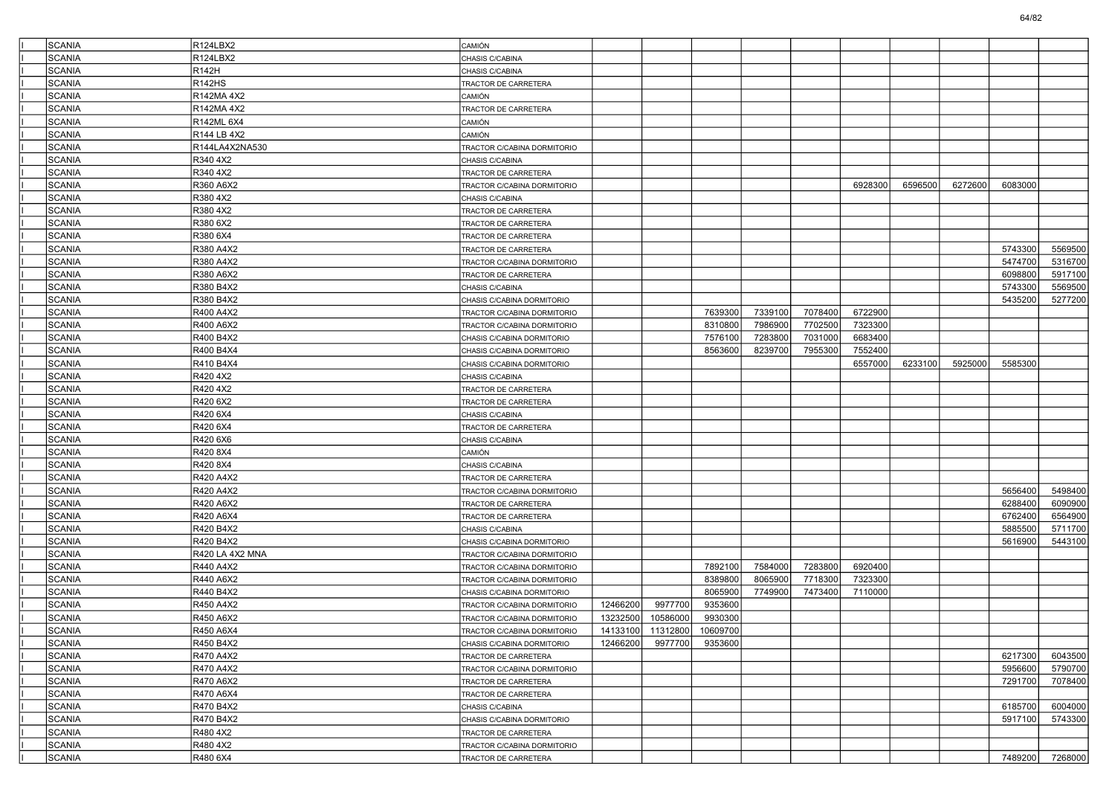| <b>SCANIA</b> | R124LBX2               | CAMIÓN                                                     |          |                            |                    |                    |                    |                    |         |         |         |         |
|---------------|------------------------|------------------------------------------------------------|----------|----------------------------|--------------------|--------------------|--------------------|--------------------|---------|---------|---------|---------|
| <b>SCANIA</b> | R124LBX2               | CHASIS C/CABINA                                            |          |                            |                    |                    |                    |                    |         |         |         |         |
| <b>SCANIA</b> | R142H                  | CHASIS C/CABINA                                            |          |                            |                    |                    |                    |                    |         |         |         |         |
| <b>SCANIA</b> | R142HS                 | TRACTOR DE CARRETERA                                       |          |                            |                    |                    |                    |                    |         |         |         |         |
| <b>SCANIA</b> | R142MA 4X2             | CAMIÓN                                                     |          |                            |                    |                    |                    |                    |         |         |         |         |
| <b>SCANIA</b> | R142MA 4X2             | TRACTOR DE CARRETERA                                       |          |                            |                    |                    |                    |                    |         |         |         |         |
| <b>SCANIA</b> | R142ML 6X4             | CAMIÓN                                                     |          |                            |                    |                    |                    |                    |         |         |         |         |
| <b>SCANIA</b> | R144 LB 4X2            | CAMIÓN                                                     |          |                            |                    |                    |                    |                    |         |         |         |         |
| <b>SCANIA</b> | R144LA4X2NA530         | TRACTOR C/CABINA DORMITORIO                                |          |                            |                    |                    |                    |                    |         |         |         |         |
| <b>SCANIA</b> | R340 4X2               | CHASIS C/CABINA                                            |          |                            |                    |                    |                    |                    |         |         |         |         |
| <b>SCANIA</b> | R340 4X2               | TRACTOR DE CARRETERA                                       |          |                            |                    |                    |                    |                    |         |         |         |         |
| SCANIA        | R360 A6X2              | TRACTOR C/CABINA DORMITORIO                                |          |                            |                    |                    |                    | 6928300            | 6596500 | 6272600 | 6083000 |         |
| <b>SCANIA</b> | R380 4X2               | CHASIS C/CABINA                                            |          |                            |                    |                    |                    |                    |         |         |         |         |
| <b>SCANIA</b> | R380 4X2               | TRACTOR DE CARRETERA                                       |          |                            |                    |                    |                    |                    |         |         |         |         |
| <b>SCANIA</b> | R380 6X2               | TRACTOR DE CARRETERA                                       |          |                            |                    |                    |                    |                    |         |         |         |         |
| <b>SCANIA</b> | R380 6X4               | TRACTOR DE CARRETERA                                       |          |                            |                    |                    |                    |                    |         |         |         |         |
| SCANIA        | R380 A4X2              | TRACTOR DE CARRETERA                                       |          |                            |                    |                    |                    |                    |         |         | 5743300 | 5569500 |
| <b>SCANIA</b> | R380 A4X2              | TRACTOR C/CABINA DORMITORIO                                |          |                            |                    |                    |                    |                    |         |         | 5474700 | 5316700 |
| <b>SCANIA</b> | R380 A6X2              | TRACTOR DE CARRETERA                                       |          |                            |                    |                    |                    |                    |         |         | 6098800 | 5917100 |
| <b>SCANIA</b> | R380 B4X2              | CHASIS C/CABINA                                            |          |                            |                    |                    |                    |                    |         |         | 5743300 | 5569500 |
| <b>SCANIA</b> | R380 B4X2              | CHASIS C/CABINA DORMITORIO                                 |          |                            |                    |                    |                    |                    |         |         | 5435200 | 5277200 |
| SCANIA        | R400 A4X2              | TRACTOR C/CABINA DORMITORIO                                |          |                            | 7639300            | 7339100            | 7078400            | 6722900            |         |         |         |         |
| <b>SCANIA</b> | R400 A6X2              | TRACTOR C/CABINA DORMITORIO                                |          |                            | 8310800            | 7986900            | 7702500            | 7323300            |         |         |         |         |
| <b>SCANIA</b> | R400 B4X2              | CHASIS C/CABINA DORMITORIO                                 |          |                            | 7576100            | 7283800            | 7031000            | 6683400            |         |         |         |         |
| <b>SCANIA</b> | R400 B4X4              | CHASIS C/CABINA DORMITORIO                                 |          |                            | 8563600            | 8239700            | 7955300            | 7552400            |         |         |         |         |
| <b>SCANIA</b> | R410 B4X4              | CHASIS C/CABINA DORMITORIO                                 |          |                            |                    |                    |                    | 6557000            | 6233100 | 5925000 | 5585300 |         |
| SCANIA        | R420 4X2               | CHASIS C/CABINA                                            |          |                            |                    |                    |                    |                    |         |         |         |         |
| <b>SCANIA</b> | R420 4X2               | TRACTOR DE CARRETERA                                       |          |                            |                    |                    |                    |                    |         |         |         |         |
| <b>SCANIA</b> | R420 6X2               | TRACTOR DE CARRETERA                                       |          |                            |                    |                    |                    |                    |         |         |         |         |
| <b>SCANIA</b> | R420 6X4               | CHASIS C/CABINA                                            |          |                            |                    |                    |                    |                    |         |         |         |         |
| <b>SCANIA</b> | R420 6X4               | TRACTOR DE CARRETERA                                       |          |                            |                    |                    |                    |                    |         |         |         |         |
| SCANIA        | R420 6X6               | CHASIS C/CABINA                                            |          |                            |                    |                    |                    |                    |         |         |         |         |
| <b>SCANIA</b> | R420 8X4               | CAMIÓN                                                     |          |                            |                    |                    |                    |                    |         |         |         |         |
| <b>SCANIA</b> | R420 8X4               | CHASIS C/CABINA                                            |          |                            |                    |                    |                    |                    |         |         |         |         |
| <b>SCANIA</b> | R420 A4X2              | TRACTOR DE CARRETERA                                       |          |                            |                    |                    |                    |                    |         |         |         |         |
| <b>SCANIA</b> | R420 A4X2              | TRACTOR C/CABINA DORMITORIO                                |          |                            |                    |                    |                    |                    |         |         | 5656400 | 5498400 |
| SCANIA        | R420 A6X2              | TRACTOR DE CARRETERA                                       |          |                            |                    |                    |                    |                    |         |         | 6288400 | 6090900 |
| <b>SCANIA</b> | R420 A6X4              | TRACTOR DE CARRETERA                                       |          |                            |                    |                    |                    |                    |         |         | 6762400 | 6564900 |
| <b>SCANIA</b> | R420 B4X2              |                                                            |          |                            |                    |                    |                    |                    |         |         | 5885500 | 5711700 |
| <b>SCANIA</b> | R420 B4X2              | CHASIS C/CABINA                                            |          |                            |                    |                    |                    |                    |         |         | 5616900 | 5443100 |
| <b>SCANIA</b> | R420 LA 4X2 MNA        | CHASIS C/CABINA DORMITORIO<br>TRACTOR C/CABINA DORMITORIO  |          |                            |                    |                    |                    |                    |         |         |         |         |
| SCANIA        |                        |                                                            |          |                            |                    |                    |                    |                    |         |         |         |         |
| <b>SCANIA</b> | R440 A4X2<br>R440 A6X2 | TRACTOR C/CABINA DORMITORIO<br>TRACTOR C/CABINA DORMITORIO |          |                            | 7892100<br>8389800 | 7584000<br>8065900 | 7283800<br>7718300 | 6920400<br>7323300 |         |         |         |         |
|               |                        |                                                            |          |                            |                    |                    |                    |                    |         |         |         |         |
| <b>SCANIA</b> | R440 B4X2              | CHASIS C/CABINA DORMITORIO                                 |          |                            | 8065900            | 7749900            | 7473400            | 7110000            |         |         |         |         |
| <b>SCANIA</b> | R450 A4X2              | TRACTOR C/CABINA DORMITORIO                                | 12466200 | 9977700                    | 9353600            |                    |                    |                    |         |         |         |         |
| <b>SCANIA</b> | R450 A6X2              | TRACTOR C/CABINA DORMITORIO                                | 13232500 | 10586000                   | 9930300            |                    |                    |                    |         |         |         |         |
| SCANIA        | R450 A6X4              | TRACTOR C/CABINA DORMITORIO                                |          | 14133100 11312800 10609700 |                    |                    |                    |                    |         |         |         |         |
| SCANIA        | R450 B4X2              | CHASIS C/CABINA DORMITORIO                                 | 12466200 | 9977700                    | 9353600            |                    |                    |                    |         |         |         |         |
| SCANIA        | R470 A4X2              | TRACTOR DE CARRETERA                                       |          |                            |                    |                    |                    |                    |         |         | 6217300 | 6043500 |
| SCANIA        | R470 A4X2              | TRACTOR C/CABINA DORMITORIO                                |          |                            |                    |                    |                    |                    |         |         | 5956600 | 5790700 |
| SCANIA        | R470 A6X2              | TRACTOR DE CARRETERA                                       |          |                            |                    |                    |                    |                    |         |         | 7291700 | 7078400 |
| SCANIA        | R470 A6X4              | TRACTOR DE CARRETERA                                       |          |                            |                    |                    |                    |                    |         |         |         |         |
| SCANIA        | R470 B4X2              | CHASIS C/CABINA                                            |          |                            |                    |                    |                    |                    |         |         | 6185700 | 6004000 |
| SCANIA        | R470 B4X2              | CHASIS C/CABINA DORMITORIO                                 |          |                            |                    |                    |                    |                    |         |         | 5917100 | 5743300 |
| SCANIA        | R480 4X2               | TRACTOR DE CARRETERA                                       |          |                            |                    |                    |                    |                    |         |         |         |         |
| SCANIA        | R480 4X2               | TRACTOR C/CABINA DORMITORIO                                |          |                            |                    |                    |                    |                    |         |         |         |         |
| SCANIA        | R480 6X4               | TRACTOR DE CARRETERA                                       |          |                            |                    |                    |                    |                    |         |         | 7489200 | 7268000 |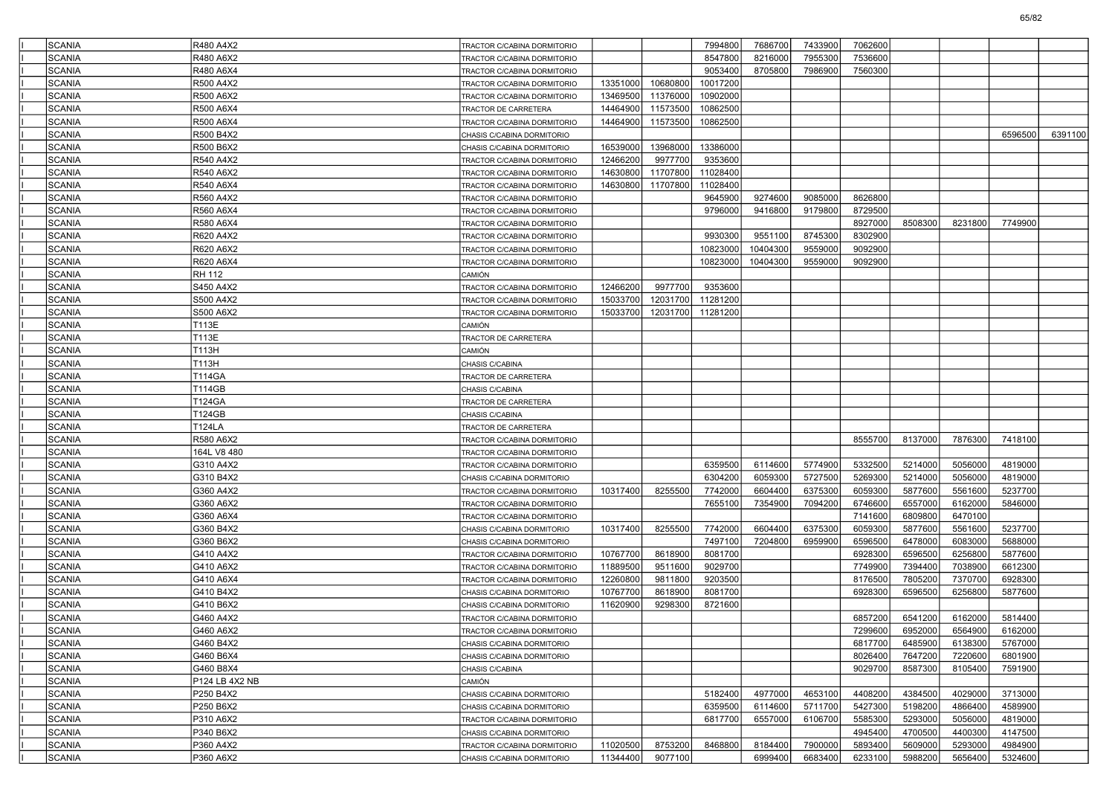| <b>SCANIA</b>                  | R480 A4X2              | TRACTOR C/CABINA DORMITORIO                                |          |          | 7994800            | 7686700            | 7433900            | 7062600            |                    |                    |                    |         |
|--------------------------------|------------------------|------------------------------------------------------------|----------|----------|--------------------|--------------------|--------------------|--------------------|--------------------|--------------------|--------------------|---------|
| <b>SCANIA</b>                  | R480 A6X2              | TRACTOR C/CABINA DORMITORIO                                |          |          | 8547800            | 8216000            | 7955300            | 7536600            |                    |                    |                    |         |
| <b>SCANIA</b>                  | R480 A6X4              | TRACTOR C/CABINA DORMITORIO                                |          |          | 9053400            | 8705800            | 7986900            | 7560300            |                    |                    |                    |         |
| <b>SCANIA</b>                  | R500 A4X2              | TRACTOR C/CABINA DORMITORIO                                | 13351000 | 10680800 | 10017200           |                    |                    |                    |                    |                    |                    |         |
| <b>SCANIA</b>                  | R500 A6X2              | TRACTOR C/CABINA DORMITORIO                                | 13469500 | 11376000 | 10902000           |                    |                    |                    |                    |                    |                    |         |
| <b>SCANIA</b>                  | R500 A6X4              | TRACTOR DE CARRETERA                                       | 14464900 | 11573500 | 10862500           |                    |                    |                    |                    |                    |                    |         |
| <b>SCANIA</b>                  | R500 A6X4              | TRACTOR C/CABINA DORMITORIO                                | 14464900 | 11573500 | 10862500           |                    |                    |                    |                    |                    |                    |         |
| <b>SCANIA</b>                  | R500 B4X2              | CHASIS C/CABINA DORMITORIO                                 |          |          |                    |                    |                    |                    |                    |                    | 6596500            | 6391100 |
| <b>SCANIA</b>                  | R500 B6X2              | CHASIS C/CABINA DORMITORIO                                 | 16539000 | 13968000 | 13386000           |                    |                    |                    |                    |                    |                    |         |
| <b>SCANIA</b>                  | R540 A4X2              | TRACTOR C/CABINA DORMITORIO                                | 12466200 | 9977700  | 9353600            |                    |                    |                    |                    |                    |                    |         |
| <b>SCANIA</b>                  | R540 A6X2              | TRACTOR C/CABINA DORMITORIO                                | 14630800 | 11707800 | 11028400           |                    |                    |                    |                    |                    |                    |         |
| <b>SCANIA</b>                  | R540 A6X4              | TRACTOR C/CABINA DORMITORIO                                | 14630800 | 11707800 | 11028400           |                    |                    |                    |                    |                    |                    |         |
| <b>SCANIA</b>                  | R560 A4X2              | TRACTOR C/CABINA DORMITORIO                                |          |          | 9645900            | 9274600            | 9085000            | 8626800            |                    |                    |                    |         |
| <b>SCANIA</b>                  | R560 A6X4              | TRACTOR C/CABINA DORMITORIO                                |          |          | 9796000            | 9416800            | 9179800            | 8729500            |                    |                    |                    |         |
| <b>SCANIA</b>                  | R580 A6X4              | TRACTOR C/CABINA DORMITORIO                                |          |          |                    |                    |                    | 8927000            | 8508300            | 8231800            | 7749900            |         |
| <b>SCANIA</b>                  | R620 A4X2              | TRACTOR C/CABINA DORMITORIO                                |          |          | 9930300            | 9551100            | 8745300            | 8302900            |                    |                    |                    |         |
| <b>SCANIA</b>                  | R620 A6X2              | TRACTOR C/CABINA DORMITORIO                                |          |          | 10823000           | 10404300           | 9559000            | 9092900            |                    |                    |                    |         |
| <b>SCANIA</b>                  | R620 A6X4              | TRACTOR C/CABINA DORMITORIO                                |          |          | 10823000           | 10404300           | 9559000            | 9092900            |                    |                    |                    |         |
| <b>SCANIA</b>                  | RH 112                 | <b>CAMIÓN</b>                                              |          |          |                    |                    |                    |                    |                    |                    |                    |         |
| <b>SCANIA</b>                  | S450 A4X2              | TRACTOR C/CABINA DORMITORIO                                | 12466200 | 9977700  | 9353600            |                    |                    |                    |                    |                    |                    |         |
| <b>SCANIA</b>                  | S500 A4X2              | TRACTOR C/CABINA DORMITORIO                                | 15033700 | 12031700 | 11281200           |                    |                    |                    |                    |                    |                    |         |
| <b>SCANIA</b>                  | S500 A6X2              | TRACTOR C/CABINA DORMITORIO                                | 15033700 | 12031700 | 11281200           |                    |                    |                    |                    |                    |                    |         |
| <b>SCANIA</b>                  | T113E                  | <b>CAMIÓN</b>                                              |          |          |                    |                    |                    |                    |                    |                    |                    |         |
| <b>SCANIA</b>                  | T113E                  | TRACTOR DE CARRETERA                                       |          |          |                    |                    |                    |                    |                    |                    |                    |         |
| <b>SCANIA</b>                  | T113H                  | <b>CAMIÓN</b>                                              |          |          |                    |                    |                    |                    |                    |                    |                    |         |
| <b>SCANIA</b>                  | T113H                  | CHASIS C/CABINA                                            |          |          |                    |                    |                    |                    |                    |                    |                    |         |
| <b>SCANIA</b>                  | <b>T114GA</b>          | TRACTOR DE CARRETERA                                       |          |          |                    |                    |                    |                    |                    |                    |                    |         |
| <b>SCANIA</b>                  | <b>T114GB</b>          | CHASIS C/CABINA                                            |          |          |                    |                    |                    |                    |                    |                    |                    |         |
| <b>SCANIA</b>                  | T124GA                 | TRACTOR DE CARRETERA                                       |          |          |                    |                    |                    |                    |                    |                    |                    |         |
| <b>SCANIA</b>                  | <b>T124GB</b>          | CHASIS C/CABINA                                            |          |          |                    |                    |                    |                    |                    |                    |                    |         |
| <b>SCANIA</b>                  | <b>T124LA</b>          | TRACTOR DE CARRETERA                                       |          |          |                    |                    |                    |                    |                    |                    |                    |         |
| <b>SCANIA</b>                  | R580 A6X2              | TRACTOR C/CABINA DORMITORIO                                |          |          |                    |                    |                    | 8555700            | 8137000            | 7876300            | 7418100            |         |
| <b>SCANIA</b>                  | 164L V8 480            | TRACTOR C/CABINA DORMITORIO                                |          |          |                    |                    |                    |                    |                    |                    |                    |         |
| <b>SCANIA</b>                  | G310 A4X2              | TRACTOR C/CABINA DORMITORIO                                |          |          | 6359500            | 6114600            | 5774900            | 5332500            | 5214000            | 5056000            | 4819000            |         |
| <b>SCANIA</b><br><b>SCANIA</b> | G310 B4X2              | CHASIS C/CABINA DORMITORIO                                 | 10317400 | 8255500  | 6304200<br>7742000 | 6059300<br>6604400 | 5727500<br>6375300 | 5269300<br>6059300 | 5214000<br>5877600 | 5056000<br>5561600 | 4819000<br>5237700 |         |
| <b>SCANIA</b>                  | G360 A4X2<br>G360 A6X2 | TRACTOR C/CABINA DORMITORIO                                |          |          | 7655100            | 7354900            | 7094200            | 6746600            | 6557000            | 6162000            | 5846000            |         |
| <b>SCANIA</b>                  | G360 A6X4              | TRACTOR C/CABINA DORMITORIO<br>TRACTOR C/CABINA DORMITORIO |          |          |                    |                    |                    | 7141600            | 6809800            | 6470100            |                    |         |
| <b>SCANIA</b>                  | G360 B4X2              | CHASIS C/CABINA DORMITORIO                                 | 10317400 | 8255500  | 7742000            | 6604400            | 6375300            | 6059300            | 5877600            | 5561600            | 5237700            |         |
| <b>SCANIA</b>                  | G360 B6X2              | CHASIS C/CABINA DORMITORIO                                 |          |          | 7497100            | 7204800            | 6959900            | 6596500            | 6478000            | 6083000            | 5688000            |         |
| <b>SCANIA</b>                  | G410 A4X2              | TRACTOR C/CABINA DORMITORIO                                | 10767700 | 8618900  | 8081700            |                    |                    | 6928300            | 6596500            | 6256800            | 5877600            |         |
| <b>SCANIA</b>                  | G410 A6X2              | TRACTOR C/CABINA DORMITORIO                                | 11889500 | 9511600  | 9029700            |                    |                    | 7749900            | 7394400            | 7038900            | 6612300            |         |
| <b>SCANIA</b>                  | G410 A6X4              | TRACTOR C/CABINA DORMITORIO                                | 12260800 | 9811800  | 9203500            |                    |                    | 8176500            | 7805200            | 7370700            | 6928300            |         |
| <b>SCANIA</b>                  | G410 B4X2              | CHASIS C/CABINA DORMITORIO                                 | 10767700 | 8618900  | 8081700            |                    |                    | 6928300            | 6596500            | 6256800            | 5877600            |         |
| <b>SCANIA</b>                  | G410 B6X2              | CHASIS C/CABINA DORMITORIO                                 | 11620900 | 9298300  | 8721600            |                    |                    |                    |                    |                    |                    |         |
| <b>SCANIA</b>                  | G460 A4X2              | TRACTOR C/CABINA DORMITORIO                                |          |          |                    |                    |                    | 6857200            | 6541200            | 6162000            | 5814400            |         |
| SCANIA                         | G460 A6X2              | TRACTOR C/CABINA DORMITORIO                                |          |          |                    |                    |                    | 7299600            | 6952000            | 6564900            | 6162000            |         |
| <b>SCANIA</b>                  | G460 B4X2              | CHASIS C/CABINA DORMITORIO                                 |          |          |                    |                    |                    | 6817700            | 6485900            | 6138300            | 5767000            |         |
| <b>SCANIA</b>                  | G460 B6X4              | CHASIS C/CABINA DORMITORIO                                 |          |          |                    |                    |                    | 8026400            | 7647200            | 7220600            | 6801900            |         |
| <b>SCANIA</b>                  | G460 B8X4              | CHASIS C/CABINA                                            |          |          |                    |                    |                    | 9029700            | 8587300            | 8105400            | 7591900            |         |
| <b>SCANIA</b>                  | P124 LB 4X2 NB         | CAMIÓN                                                     |          |          |                    |                    |                    |                    |                    |                    |                    |         |
| <b>SCANIA</b>                  | P250 B4X2              | CHASIS C/CABINA DORMITORIO                                 |          |          | 5182400            | 4977000            | 4653100            | 4408200            | 4384500            | 4029000            | 3713000            |         |
| <b>SCANIA</b>                  | P250 B6X2              | CHASIS C/CABINA DORMITORIO                                 |          |          | 6359500            | 6114600            | 5711700            | 5427300            | 5198200            | 4866400            | 4589900            |         |
| SCANIA                         | P310 A6X2              | TRACTOR C/CABINA DORMITORIO                                |          |          | 6817700            | 6557000            | 6106700            | 5585300            | 5293000            | 5056000            | 4819000            |         |
| <b>SCANIA</b>                  | P340 B6X2              | CHASIS C/CABINA DORMITORIO                                 |          |          |                    |                    |                    | 4945400            | 4700500            | 4400300            | 4147500            |         |
| <b>SCANIA</b>                  | P360 A4X2              | TRACTOR C/CABINA DORMITORIO                                | 11020500 | 8753200  | 8468800            | 8184400            | 7900000            | 5893400            | 5609000            | 5293000            | 4984900            |         |
| SCANIA                         | P360 A6X2              | CHASIS C/CABINA DORMITORIO                                 | 11344400 | 9077100  |                    | 6999400            | 6683400            | 6233100            | 5988200            | 5656400            | 5324600            |         |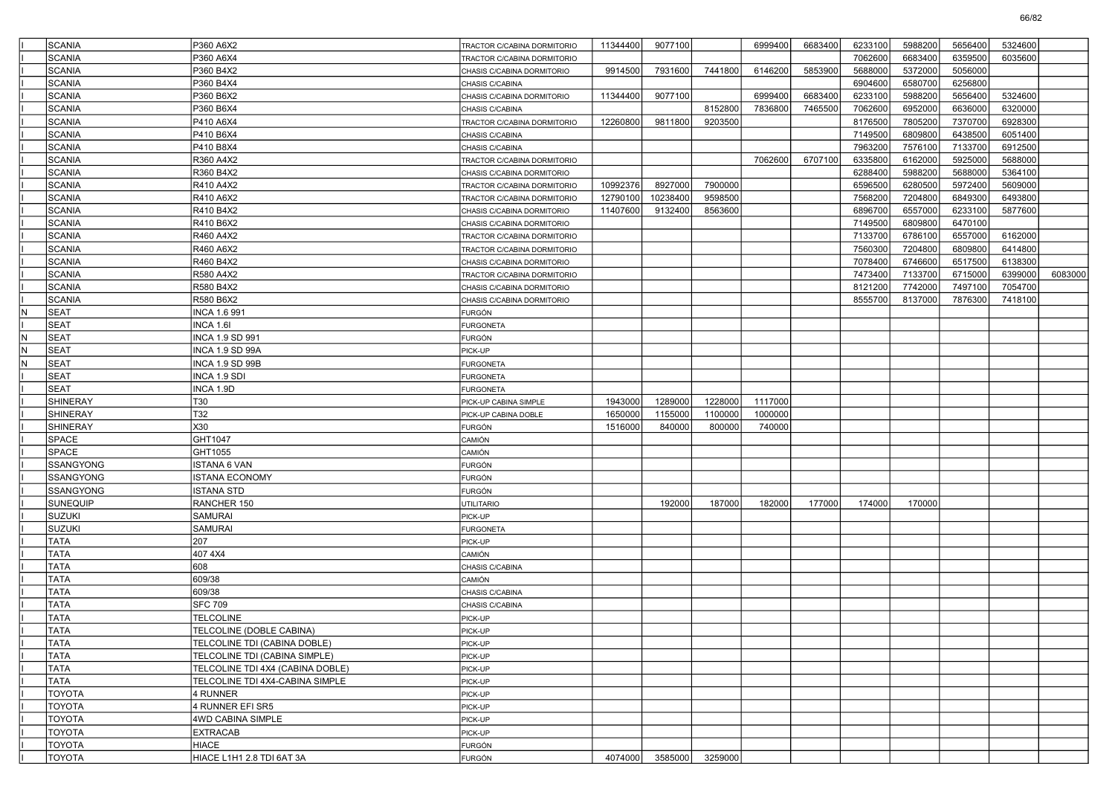|     | <b>SCANIA</b>    | P360 A6X2                        | TRACTOR C/CABINA DORMITORIO | 11344400 | 9077100  |         | 6999400 | 6683400 | 6233100 | 5988200 | 5656400 | 5324600 |         |
|-----|------------------|----------------------------------|-----------------------------|----------|----------|---------|---------|---------|---------|---------|---------|---------|---------|
|     | <b>SCANIA</b>    | P360 A6X4                        | TRACTOR C/CABINA DORMITORIO |          |          |         |         |         | 7062600 | 6683400 | 6359500 | 6035600 |         |
|     | <b>SCANIA</b>    | P360 B4X2                        | CHASIS C/CABINA DORMITORIO  | 9914500  | 7931600  | 7441800 | 6146200 | 5853900 | 5688000 | 5372000 | 5056000 |         |         |
|     | <b>SCANIA</b>    | P360 B4X4                        | CHASIS C/CABINA             |          |          |         |         |         | 6904600 | 6580700 | 6256800 |         |         |
|     | <b>SCANIA</b>    | P360 B6X2                        | CHASIS C/CABINA DORMITORIO  | 11344400 | 9077100  |         | 6999400 | 6683400 | 6233100 | 5988200 | 5656400 | 5324600 |         |
|     | <b>SCANIA</b>    | P360 B6X4                        | CHASIS C/CABINA             |          |          | 8152800 | 7836800 | 7465500 | 7062600 | 6952000 | 6636000 | 6320000 |         |
|     | <b>SCANIA</b>    | P410 A6X4                        | TRACTOR C/CABINA DORMITORIO | 12260800 | 9811800  | 9203500 |         |         | 8176500 | 7805200 | 7370700 | 6928300 |         |
|     | <b>SCANIA</b>    | P410 B6X4                        | CHASIS C/CABINA             |          |          |         |         |         | 7149500 | 6809800 | 6438500 | 6051400 |         |
|     | <b>SCANIA</b>    | P410 B8X4                        | CHASIS C/CABINA             |          |          |         |         |         | 7963200 | 7576100 | 7133700 | 6912500 |         |
|     | <b>SCANIA</b>    | R360 A4X2                        | TRACTOR C/CABINA DORMITORIO |          |          |         | 7062600 | 6707100 | 6335800 | 6162000 | 5925000 | 5688000 |         |
|     | <b>SCANIA</b>    | R360 B4X2                        | CHASIS C/CABINA DORMITORIO  |          |          |         |         |         | 6288400 | 5988200 | 5688000 | 5364100 |         |
|     | <b>SCANIA</b>    | R410 A4X2                        | TRACTOR C/CABINA DORMITORIO | 10992376 | 8927000  | 7900000 |         |         | 6596500 | 6280500 | 5972400 | 5609000 |         |
|     | <b>SCANIA</b>    | R410 A6X2                        | TRACTOR C/CABINA DORMITORIO | 12790100 | 10238400 | 9598500 |         |         | 7568200 | 7204800 | 6849300 | 6493800 |         |
|     | <b>SCANIA</b>    | R410 B4X2                        | CHASIS C/CABINA DORMITORIO  | 11407600 | 9132400  | 8563600 |         |         | 6896700 | 6557000 | 6233100 | 5877600 |         |
|     | <b>SCANIA</b>    | R410 B6X2                        | CHASIS C/CABINA DORMITORIO  |          |          |         |         |         | 7149500 | 6809800 | 6470100 |         |         |
|     | <b>SCANIA</b>    | R460 A4X2                        | TRACTOR C/CABINA DORMITORIO |          |          |         |         |         | 7133700 | 6786100 | 6557000 | 6162000 |         |
|     | <b>SCANIA</b>    | R460 A6X2                        | TRACTOR C/CABINA DORMITORIO |          |          |         |         |         | 7560300 | 7204800 | 6809800 | 6414800 |         |
|     | <b>SCANIA</b>    | R460 B4X2                        | CHASIS C/CABINA DORMITORIO  |          |          |         |         |         | 7078400 | 6746600 | 6517500 | 6138300 |         |
|     | <b>SCANIA</b>    | R580 A4X2                        | TRACTOR C/CABINA DORMITORIO |          |          |         |         |         | 7473400 | 7133700 | 6715000 | 6399000 | 6083000 |
|     | <b>SCANIA</b>    | R580 B4X2                        | CHASIS C/CABINA DORMITORIO  |          |          |         |         |         | 8121200 | 7742000 | 7497100 | 7054700 |         |
|     | SCANIA           | R580 B6X2                        | CHASIS C/CABINA DORMITORIO  |          |          |         |         |         | 8555700 | 8137000 | 7876300 | 7418100 |         |
| IN. | SEAT             | INCA 1.6 991                     | <b>FURGÓN</b>               |          |          |         |         |         |         |         |         |         |         |
|     | <b>SEAT</b>      | INCA 1.6I                        | <b>FURGONETA</b>            |          |          |         |         |         |         |         |         |         |         |
| IN. | <b>SEAT</b>      | INCA 1.9 SD 991                  | <b>FURGÓN</b>               |          |          |         |         |         |         |         |         |         |         |
| M,  | SEAT             | INCA 1.9 SD 99A                  | PICK-UP                     |          |          |         |         |         |         |         |         |         |         |
| N   | <b>SEAT</b>      | INCA 1.9 SD 99B                  | <b>FURGONETA</b>            |          |          |         |         |         |         |         |         |         |         |
|     | <b>SEAT</b>      | INCA 1.9 SDI                     | <b>FURGONETA</b>            |          |          |         |         |         |         |         |         |         |         |
|     | <b>SEAT</b>      | INCA 1.9D                        | <b>FURGONETA</b>            |          |          |         |         |         |         |         |         |         |         |
|     | <b>SHINERAY</b>  | T30                              | PICK-UP CABINA SIMPLE       | 1943000  | 1289000  | 1228000 | 1117000 |         |         |         |         |         |         |
|     | <b>SHINERAY</b>  | T32                              | PICK-UP CABINA DOBLE        | 1650000  | 1155000  | 1100000 | 1000000 |         |         |         |         |         |         |
|     | SHINERAY         | X30                              | FURGÓN                      | 1516000  | 840000   | 800000  | 740000  |         |         |         |         |         |         |
|     | <b>SPACE</b>     | GHT1047                          | CAMIÓN                      |          |          |         |         |         |         |         |         |         |         |
|     | <b>SPACE</b>     | GHT1055                          | CAMIÓN                      |          |          |         |         |         |         |         |         |         |         |
|     | <b>SSANGYONG</b> | ISTANA 6 VAN                     | <b>FURGÓN</b>               |          |          |         |         |         |         |         |         |         |         |
|     | SSANGYONG        | <b>ISTANA ECONOMY</b>            | <b>FURGÓN</b>               |          |          |         |         |         |         |         |         |         |         |
|     | <b>SSANGYONG</b> | <b>ISTANA STD</b>                | <b>FURGÓN</b>               |          |          |         |         |         |         |         |         |         |         |
|     | <b>SUNEQUIP</b>  | RANCHER 150                      | UTILITARIO                  |          | 192000   | 187000  | 182000  | 177000  | 174000  | 170000  |         |         |         |
|     | <b>SUZUKI</b>    | SAMURAI                          | PICK-UP                     |          |          |         |         |         |         |         |         |         |         |
|     | <b>SUZUKI</b>    | <b>SAMURAI</b>                   | <b>FURGONETA</b>            |          |          |         |         |         |         |         |         |         |         |
|     | <b>TATA</b>      | 207                              | PICK-UP                     |          |          |         |         |         |         |         |         |         |         |
|     | <b>TATA</b>      | 407 4X4                          | CAMIÓN                      |          |          |         |         |         |         |         |         |         |         |
|     | <b>TATA</b>      | 608                              | CHASIS C/CABINA             |          |          |         |         |         |         |         |         |         |         |
|     | <b>TATA</b>      | 609/38                           | CAMIÓN                      |          |          |         |         |         |         |         |         |         |         |
|     | <b>TATA</b>      | 609/38                           | CHASIS C/CABINA             |          |          |         |         |         |         |         |         |         |         |
|     | <b>TATA</b>      | <b>SFC 709</b>                   | CHASIS C/CABINA             |          |          |         |         |         |         |         |         |         |         |
|     | <b>TATA</b>      | <b>TELCOLINE</b>                 | PICK-UP                     |          |          |         |         |         |         |         |         |         |         |
|     | <b>TATA</b>      | TELCOLINE (DOBLE CABINA)         | PICK-UP                     |          |          |         |         |         |         |         |         |         |         |
|     | <b>TATA</b>      | TELCOLINE TDI (CABINA DOBLE)     | PICK-UP                     |          |          |         |         |         |         |         |         |         |         |
|     | <b>TATA</b>      | TELCOLINE TDI (CABINA SIMPLE)    | PICK-UP                     |          |          |         |         |         |         |         |         |         |         |
|     | <b>TATA</b>      | TELCOLINE TDI 4X4 (CABINA DOBLE) | PICK-UP                     |          |          |         |         |         |         |         |         |         |         |
|     | <b>TATA</b>      | TELCOLINE TDI 4X4-CABINA SIMPLE  | PICK-UP                     |          |          |         |         |         |         |         |         |         |         |
|     | <b>TOYOTA</b>    | 4 RUNNER                         | PICK-UP                     |          |          |         |         |         |         |         |         |         |         |
|     | <b>TOYOTA</b>    | 4 RUNNER EFI SR5                 | PICK-UP                     |          |          |         |         |         |         |         |         |         |         |
|     | <b>TOYOTA</b>    | 4WD CABINA SIMPLE                | PICK-UP                     |          |          |         |         |         |         |         |         |         |         |
|     | <b>TOYOTA</b>    | EXTRACAB                         | PICK-UP                     |          |          |         |         |         |         |         |         |         |         |
|     | <b>TOYOTA</b>    | HIACE                            | FURGÓN                      |          |          |         |         |         |         |         |         |         |         |
|     | <b>TOYOTA</b>    | HIACE L1H1 2.8 TDI 6AT 3A        | FURGÓN                      | 4074000  | 3585000  | 3259000 |         |         |         |         |         |         |         |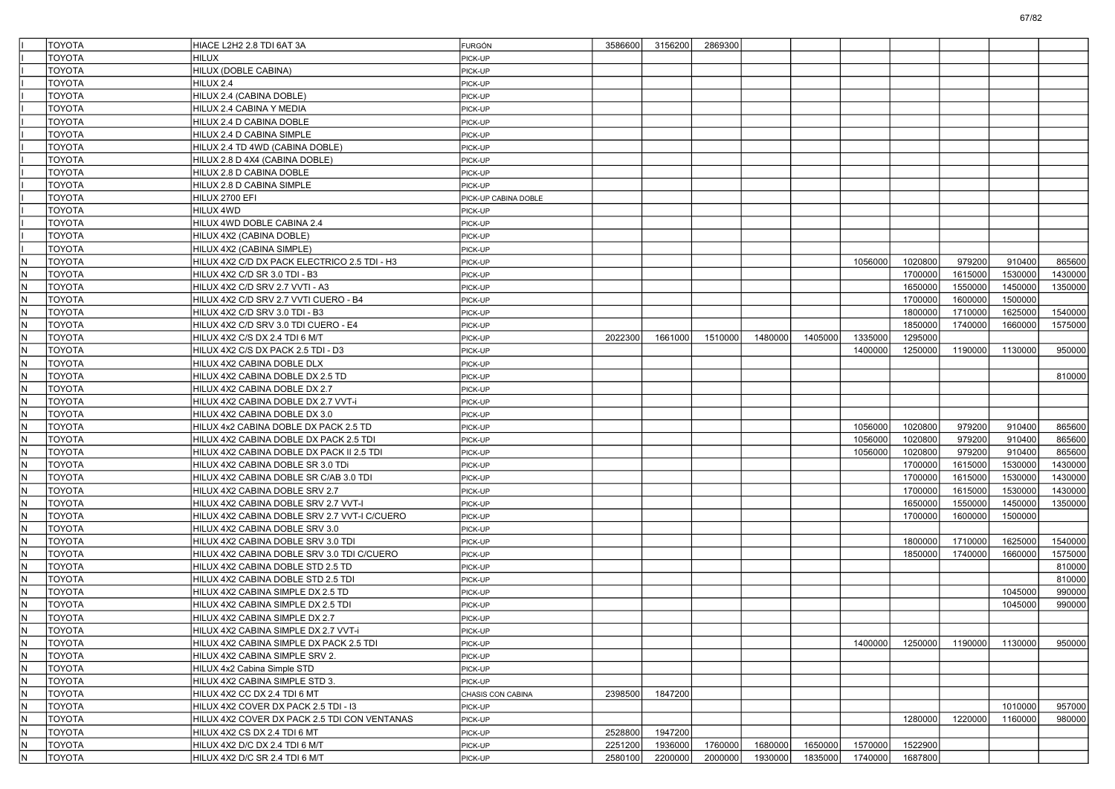|     | <b>TOYOTA</b> | HIACE L2H2 2.8 TDI 6AT 3A                                               | <b>FURGÓN</b>        | 3586600 | 3156200 | 2869300 |         |         |         |         |         |         |         |
|-----|---------------|-------------------------------------------------------------------------|----------------------|---------|---------|---------|---------|---------|---------|---------|---------|---------|---------|
|     | <b>TOYOTA</b> | HILUX                                                                   | PICK-UP              |         |         |         |         |         |         |         |         |         |         |
|     | <b>TOYOTA</b> | HILUX (DOBLE CABINA)                                                    | PICK-UP              |         |         |         |         |         |         |         |         |         |         |
|     | <b>TOYOTA</b> | HILUX 2.4                                                               | PICK-UP              |         |         |         |         |         |         |         |         |         |         |
|     | <b>TOYOTA</b> | HILUX 2.4 (CABINA DOBLE)                                                | PICK-UP              |         |         |         |         |         |         |         |         |         |         |
|     | <b>TOYOTA</b> | HILUX 2.4 CABINA Y MEDIA                                                | PICK-UP              |         |         |         |         |         |         |         |         |         |         |
|     | <b>TOYOTA</b> | HILUX 2.4 D CABINA DOBLE                                                | PICK-UP              |         |         |         |         |         |         |         |         |         |         |
|     | <b>TOYOTA</b> | HILUX 2.4 D CABINA SIMPLE                                               | PICK-UP              |         |         |         |         |         |         |         |         |         |         |
|     | <b>TOYOTA</b> | HILUX 2.4 TD 4WD (CABINA DOBLE)                                         | PICK-UP              |         |         |         |         |         |         |         |         |         |         |
|     | <b>TOYOTA</b> | HILUX 2.8 D 4X4 (CABINA DOBLE)                                          | PICK-UP              |         |         |         |         |         |         |         |         |         |         |
|     | <b>TOYOTA</b> | HILUX 2.8 D CABINA DOBLE                                                | PICK-UP              |         |         |         |         |         |         |         |         |         |         |
|     | <b>TOYOTA</b> | HILUX 2.8 D CABINA SIMPLE                                               | PICK-UP              |         |         |         |         |         |         |         |         |         |         |
|     | <b>TOYOTA</b> | HILUX 2700 EFI                                                          | PICK-UP CABINA DOBLE |         |         |         |         |         |         |         |         |         |         |
|     | <b>TOYOTA</b> | HILUX 4WD                                                               | PICK-UP              |         |         |         |         |         |         |         |         |         |         |
|     | <b>TOYOTA</b> | HILUX 4WD DOBLE CABINA 2.4                                              | PICK-UP              |         |         |         |         |         |         |         |         |         |         |
|     | <b>TOYOTA</b> | HILUX 4X2 (CABINA DOBLE)                                                | PICK-UP              |         |         |         |         |         |         |         |         |         |         |
|     | <b>TOYOTA</b> | HILUX 4X2 (CABINA SIMPLE)                                               | PICK-UP              |         |         |         |         |         |         |         |         |         |         |
| IN. | <b>TOYOTA</b> | HILUX 4X2 C/D DX PACK ELECTRICO 2.5 TDI - H3                            | PICK-UP              |         |         |         |         |         | 1056000 | 1020800 | 979200  | 910400  | 865600  |
| IN. | <b>TOYOTA</b> | HILUX 4X2 C/D SR 3.0 TDI - B3                                           | PICK-UP              |         |         |         |         |         |         | 1700000 | 1615000 | 1530000 | 1430000 |
| N   | <b>TOYOTA</b> | HILUX 4X2 C/D SRV 2.7 VVTI - A3                                         | PICK-UP              |         |         |         |         |         |         | 1650000 | 1550000 | 1450000 | 1350000 |
| IN. | <b>TOYOTA</b> | HILUX 4X2 C/D SRV 2.7 VVTI CUERO - B4                                   | PICK-UP              |         |         |         |         |         |         | 1700000 | 1600000 | 1500000 |         |
| IN. | <b>TOYOTA</b> | HILUX 4X2 C/D SRV 3.0 TDI - B3                                          | PICK-UP              |         |         |         |         |         |         | 1800000 | 1710000 | 1625000 | 1540000 |
| IN. | <b>TOYOTA</b> | HILUX 4X2 C/D SRV 3.0 TDI CUERO - E4                                    | PICK-UP              |         |         |         |         |         |         | 1850000 | 1740000 | 1660000 | 1575000 |
| IN. | <b>TOYOTA</b> | HILUX 4X2 C/S DX 2.4 TDI 6 M/T                                          | PICK-UP              | 2022300 | 1661000 | 1510000 | 1480000 | 1405000 | 1335000 | 1295000 |         |         |         |
| IN. | <b>TOYOTA</b> | HILUX 4X2 C/S DX PACK 2.5 TDI - D3                                      | PICK-UP              |         |         |         |         |         | 1400000 | 1250000 | 1190000 | 1130000 | 950000  |
| IN. | <b>TOYOTA</b> | HILUX 4X2 CABINA DOBLE DLX                                              | PICK-UP              |         |         |         |         |         |         |         |         |         |         |
| IN. | <b>TOYOTA</b> | HILUX 4X2 CABINA DOBLE DX 2.5 TD                                        | PICK-UP              |         |         |         |         |         |         |         |         |         | 810000  |
| IN. | <b>TOYOTA</b> | HILUX 4X2 CABINA DOBLE DX 2.7                                           | PICK-UP              |         |         |         |         |         |         |         |         |         |         |
| IN. | <b>TOYOTA</b> | HILUX 4X2 CABINA DOBLE DX 2.7 VVT-i                                     | PICK-UP              |         |         |         |         |         |         |         |         |         |         |
| IN. | <b>TOYOTA</b> | HILUX 4X2 CABINA DOBLE DX 3.0                                           | PICK-UP              |         |         |         |         |         |         |         |         |         |         |
| IN. | <b>TOYOTA</b> | HILUX 4x2 CABINA DOBLE DX PACK 2.5 TD                                   | PICK-UP              |         |         |         |         |         | 1056000 | 1020800 | 979200  | 910400  | 865600  |
| IN. | <b>TOYOTA</b> | HILUX 4X2 CABINA DOBLE DX PACK 2.5 TDI                                  | PICK-UP              |         |         |         |         |         | 1056000 | 1020800 | 979200  | 910400  | 865600  |
| IN. | <b>TOYOTA</b> | HILUX 4X2 CABINA DOBLE DX PACK II 2.5 TDI                               | PICK-UP              |         |         |         |         |         | 1056000 | 1020800 | 979200  | 910400  | 865600  |
| IN. | <b>TOYOTA</b> | HILUX 4X2 CABINA DOBLE SR 3.0 TDi                                       | PICK-UP              |         |         |         |         |         |         | 1700000 | 1615000 | 1530000 | 1430000 |
| IN. | <b>TOYOTA</b> | HILUX 4X2 CABINA DOBLE SR C/AB 3.0 TDI                                  | PICK-UP              |         |         |         |         |         |         | 1700000 | 1615000 | 1530000 | 1430000 |
| IN. | <b>TOYOTA</b> | HILUX 4X2 CABINA DOBLE SRV 2.7                                          | PICK-UP              |         |         |         |         |         |         | 1700000 | 1615000 | 1530000 | 1430000 |
| IN. | <b>TOYOTA</b> | HILUX 4X2 CABINA DOBLE SRV 2.7 VVT-I                                    | PICK-UP              |         |         |         |         |         |         | 1650000 | 1550000 | 1450000 | 1350000 |
| IN. | <b>TOYOTA</b> | HILUX 4X2 CABINA DOBLE SRV 2.7 VVT-I C/CUERO                            | PICK-UP              |         |         |         |         |         |         | 1700000 | 1600000 | 1500000 |         |
| IN. | <b>TOYOTA</b> | HILUX 4X2 CABINA DOBLE SRV 3.0                                          | PICK-UP              |         |         |         |         |         |         |         |         |         |         |
| IN. | <b>TOYOTA</b> | HILUX 4X2 CABINA DOBLE SRV 3.0 TDI                                      | PICK-UP              |         |         |         |         |         |         | 1800000 | 1710000 | 1625000 | 1540000 |
| IN. | <b>TOYOTA</b> | HILUX 4X2 CABINA DOBLE SRV 3.0 TDI C/CUERO                              | PICK-UP              |         |         |         |         |         |         | 1850000 | 1740000 | 1660000 | 1575000 |
| IN. | <b>TOYOTA</b> |                                                                         |                      |         |         |         |         |         |         |         |         |         | 810000  |
| IN. | <b>TOYOTA</b> | HILUX 4X2 CABINA DOBLE STD 2.5 TD<br>HILUX 4X2 CABINA DOBLE STD 2.5 TDI | PICK-UP<br>PICK-UP   |         |         |         |         |         |         |         |         |         | 810000  |
| IN. | <b>TOYOTA</b> | HILUX 4X2 CABINA SIMPLE DX 2.5 TD                                       | PICK-UP              |         |         |         |         |         |         |         |         | 1045000 | 990000  |
| N   | <b>TOYOTA</b> |                                                                         |                      |         |         |         |         |         |         |         |         | 1045000 | 990000  |
| IN. | <b>TOYOTA</b> | HILUX 4X2 CABINA SIMPLE DX 2.5 TDI<br>HILUX 4X2 CABINA SIMPLE DX 2.7    | PICK-UP              |         |         |         |         |         |         |         |         |         |         |
|     | <b>TOYOTA</b> |                                                                         | PICK-UP              |         |         |         |         |         |         |         |         |         |         |
| IN. |               | HILUX 4X2 CABINA SIMPLE DX 2.7 VVT-i                                    | PICK-UP              |         |         |         |         |         |         |         |         |         |         |
| N.  | <b>TOYOTA</b> | HILUX 4X2 CABINA SIMPLE DX PACK 2.5 TDI                                 | PICK-UP              |         |         |         |         |         | 1400000 | 1250000 | 1190000 | 1130000 | 950000  |
| IN. | <b>TOYOTA</b> | HILUX 4X2 CABINA SIMPLE SRV 2.                                          | PICK-UP              |         |         |         |         |         |         |         |         |         |         |
| N.  | <b>TOYOTA</b> | HILUX 4x2 Cabina Simple STD                                             | PICK-UP              |         |         |         |         |         |         |         |         |         |         |
| IN. | <b>TOYOTA</b> | HILUX 4X2 CABINA SIMPLE STD 3.                                          | PICK-UP              |         |         |         |         |         |         |         |         |         |         |
| IN. | <b>TOYOTA</b> | HILUX 4X2 CC DX 2.4 TDI 6 MT                                            | CHASIS CON CABINA    | 2398500 | 1847200 |         |         |         |         |         |         |         |         |
| N.  | <b>TOYOTA</b> | HILUX 4X2 COVER DX PACK 2.5 TDI - 13                                    | PICK-UP              |         |         |         |         |         |         |         |         | 1010000 | 957000  |
| IN. | <b>TOYOTA</b> | HILUX 4X2 COVER DX PACK 2.5 TDI CON VENTANAS                            | PICK-UP              |         |         |         |         |         |         | 1280000 | 1220000 | 1160000 | 980000  |
| N.  | <b>TOYOTA</b> | HILUX 4X2 CS DX 2.4 TDI 6 MT                                            | PICK-UP              | 2528800 | 1947200 |         |         |         |         |         |         |         |         |
| IN. | <b>TOYOTA</b> | HILUX 4X2 D/C DX 2.4 TDI 6 M/T                                          | PICK-UP              | 2251200 | 1936000 | 1760000 | 1680000 | 1650000 | 1570000 | 1522900 |         |         |         |
| N,  | <b>TOYOTA</b> | HILUX 4X2 D/C SR 2.4 TDI 6 M/T                                          | PICK-UP              | 2580100 | 2200000 | 2000000 | 1930000 | 1835000 | 1740000 | 1687800 |         |         |         |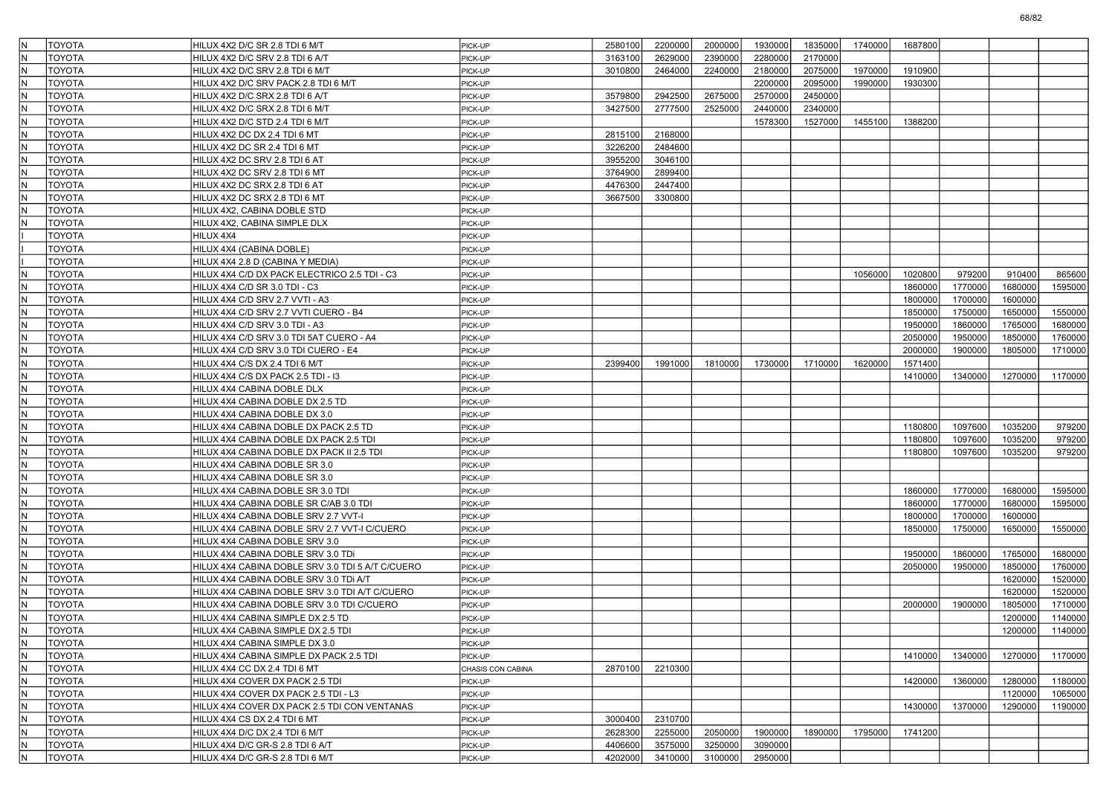| IN.          | <b>TOYOTA</b> | HILUX 4X2 D/C SR 2.8 TDI 6 M/T                   | PICK-UP           | 2580100 | 2200000 | 2000000 | 1930000 | 1835000 | 1740000 | 1687800 |         |         |         |
|--------------|---------------|--------------------------------------------------|-------------------|---------|---------|---------|---------|---------|---------|---------|---------|---------|---------|
| IN.          | <b>TOYOTA</b> | HILUX 4X2 D/C SRV 2.8 TDI 6 A/T                  | PICK-UP           | 3163100 | 2629000 | 2390000 | 2280000 | 2170000 |         |         |         |         |         |
| N            | <b>TOYOTA</b> | HILUX 4X2 D/C SRV 2.8 TDI 6 M/T                  | PICK-UP           | 3010800 | 2464000 | 2240000 | 2180000 | 2075000 | 1970000 | 1910900 |         |         |         |
| IN.          | <b>TOYOTA</b> | HILUX 4X2 D/C SRV PACK 2.8 TDI 6 M/T             | PICK-UP           |         |         |         | 2200000 | 2095000 | 1990000 | 1930300 |         |         |         |
| IN.          | <b>TOYOTA</b> | HILUX 4X2 D/C SRX 2.8 TDI 6 A/T                  | PICK-UP           | 3579800 | 2942500 | 2675000 | 2570000 | 2450000 |         |         |         |         |         |
| IN.          | <b>TOYOTA</b> | HILUX 4X2 D/C SRX 2.8 TDI 6 M/T                  | PICK-UP           | 3427500 | 2777500 | 2525000 | 2440000 | 2340000 |         |         |         |         |         |
| IN.          | <b>TOYOTA</b> | HILUX 4X2 D/C STD 2.4 TDI 6 M/T                  | PICK-UP           |         |         |         | 1578300 | 1527000 | 1455100 | 1388200 |         |         |         |
| N            | <b>TOYOTA</b> | HILUX 4X2 DC DX 2.4 TDI 6 MT                     | PICK-UP           | 2815100 | 2168000 |         |         |         |         |         |         |         |         |
| IN.          | <b>TOYOTA</b> | HILUX 4X2 DC SR 2.4 TDI 6 MT                     | PICK-UP           | 3226200 | 2484600 |         |         |         |         |         |         |         |         |
| IN.          | <b>TOYOTA</b> | HILUX 4X2 DC SRV 2.8 TDI 6 AT                    | PICK-UP           | 3955200 | 3046100 |         |         |         |         |         |         |         |         |
| IN.          | <b>TOYOTA</b> | HILUX 4X2 DC SRV 2.8 TDI 6 MT                    | PICK-UP           | 3764900 | 2899400 |         |         |         |         |         |         |         |         |
| IN.          | <b>TOYOTA</b> | HILUX 4X2 DC SRX 2.8 TDI 6 AT                    | PICK-UP           | 4476300 | 2447400 |         |         |         |         |         |         |         |         |
| N            | <b>TOYOTA</b> | HILUX 4X2 DC SRX 2.8 TDI 6 MT                    | PICK-UP           | 3667500 | 3300800 |         |         |         |         |         |         |         |         |
| IN.          | <b>TOYOTA</b> | HILUX 4X2, CABINA DOBLE STD                      | PICK-UP           |         |         |         |         |         |         |         |         |         |         |
| N            | <b>TOYOTA</b> | HILUX 4X2, CABINA SIMPLE DLX                     | PICK-UP           |         |         |         |         |         |         |         |         |         |         |
|              | <b>TOYOTA</b> | HILUX 4X4                                        | PICK-UP           |         |         |         |         |         |         |         |         |         |         |
|              | <b>TOYOTA</b> | HILUX 4X4 (CABINA DOBLE)                         | PICK-UP           |         |         |         |         |         |         |         |         |         |         |
|              | <b>TOYOTA</b> | HILUX 4X4 2.8 D (CABINA Y MEDIA)                 | PICK-UP           |         |         |         |         |         |         |         |         |         |         |
| IN.          | <b>TOYOTA</b> | HILUX 4X4 C/D DX PACK ELECTRICO 2.5 TDI - C3     | PICK-UP           |         |         |         |         |         | 1056000 | 1020800 | 979200  | 910400  | 865600  |
| IN.          | <b>TOYOTA</b> |                                                  |                   |         |         |         |         |         |         |         | 1770000 | 1680000 |         |
|              |               | HILUX 4X4 C/D SR 3.0 TDI - C3                    | PICK-UP           |         |         |         |         |         |         | 1860000 |         |         | 1595000 |
| IN.          | <b>TOYOTA</b> | HILUX 4X4 C/D SRV 2.7 VVTI - A3                  | PICK-UP           |         |         |         |         |         |         | 1800000 | 1700000 | 1600000 |         |
| M,           | <b>TOYOTA</b> | HILUX 4X4 C/D SRV 2.7 VVTI CUERO - B4            | PICK-UP           |         |         |         |         |         |         | 1850000 | 1750000 | 1650000 | 1550000 |
| N            | <b>TOYOTA</b> | HILUX 4X4 C/D SRV 3.0 TDI - A3                   | PICK-UP           |         |         |         |         |         |         | 1950000 | 1860000 | 1765000 | 1680000 |
| IN.          | <b>TOYOTA</b> | HILUX 4X4 C/D SRV 3.0 TDI 5AT CUERO - A4         | PICK-UP           |         |         |         |         |         |         | 2050000 | 1950000 | 1850000 | 1760000 |
| IN.          | <b>TOYOTA</b> | HILUX 4X4 C/D SRV 3.0 TDI CUERO - E4             | PICK-UP           |         |         |         |         |         |         | 2000000 | 1900000 | 1805000 | 1710000 |
| M,           | <b>TOYOTA</b> | HILUX 4X4 C/S DX 2.4 TDI 6 M/T                   | PICK-UP           | 2399400 | 1991000 | 1810000 | 1730000 | 1710000 | 1620000 | 1571400 |         |         |         |
| M,           | <b>TOYOTA</b> | HILUX 4X4 C/S DX PACK 2.5 TDI - I3               | PICK-UP           |         |         |         |         |         |         | 1410000 | 1340000 | 1270000 | 1170000 |
| N            | <b>TOYOTA</b> | HILUX 4X4 CABINA DOBLE DLX                       | PICK-UP           |         |         |         |         |         |         |         |         |         |         |
| IN.          | <b>TOYOTA</b> | HILUX 4X4 CABINA DOBLE DX 2.5 TD                 | PICK-UP           |         |         |         |         |         |         |         |         |         |         |
| IN.          | <b>TOYOTA</b> | HILUX 4X4 CABINA DOBLE DX 3.0                    | PICK-UP           |         |         |         |         |         |         |         |         |         |         |
| M,           | <b>TOYOTA</b> | HILUX 4X4 CABINA DOBLE DX PACK 2.5 TD            | PICK-UP           |         |         |         |         |         |         | 1180800 | 1097600 | 1035200 | 979200  |
| IN.          | <b>TOYOTA</b> | HILUX 4X4 CABINA DOBLE DX PACK 2.5 TDI           | PICK-UP           |         |         |         |         |         |         | 1180800 | 1097600 | 1035200 | 979200  |
| N            | <b>TOYOTA</b> | HILUX 4X4 CABINA DOBLE DX PACK II 2.5 TDI        | PICK-UP           |         |         |         |         |         |         | 1180800 | 1097600 | 1035200 | 979200  |
| IN.          | <b>TOYOTA</b> | HILUX 4X4 CABINA DOBLE SR 3.0                    | PICK-UP           |         |         |         |         |         |         |         |         |         |         |
| IN.          | <b>TOYOTA</b> | HILUX 4X4 CABINA DOBLE SR 3.0                    | PICK-UP           |         |         |         |         |         |         |         |         |         |         |
| M,           | <b>TOYOTA</b> | HILUX 4X4 CABINA DOBLE SR 3.0 TDI                | PICK-UP           |         |         |         |         |         |         | 1860000 | 1770000 | 1680000 | 1595000 |
| IN.          | <b>TOYOTA</b> | HILUX 4X4 CABINA DOBLE SR C/AB 3.0 TDI           | PICK-UP           |         |         |         |         |         |         | 1860000 | 1770000 | 1680000 | 1595000 |
| N            | <b>TOYOTA</b> | HILUX 4X4 CABINA DOBLE SRV 2.7 VVT-I             | PICK-UP           |         |         |         |         |         |         | 1800000 | 1700000 | 1600000 |         |
| IN.          | <b>TOYOTA</b> | HILUX 4X4 CABINA DOBLE SRV 2.7 VVT-I C/CUERO     | PICK-UP           |         |         |         |         |         |         | 1850000 | 1750000 | 1650000 | 1550000 |
| $\mathsf{N}$ | <b>TOYOTA</b> | HILUX 4X4 CABINA DOBLE SRV 3.0                   | PICK-UP           |         |         |         |         |         |         |         |         |         |         |
| IN.          | <b>TOYOTA</b> | HILUX 4X4 CABINA DOBLE SRV 3.0 TDi               | PICK-UP           |         |         |         |         |         |         | 1950000 | 1860000 | 1765000 | 1680000 |
| IN.          | <b>TOYOTA</b> | HILUX 4X4 CABINA DOBLE SRV 3.0 TDI 5 A/T C/CUERO | PICK-UP           |         |         |         |         |         |         | 2050000 | 1950000 | 1850000 | 1760000 |
| N            | <b>TOYOTA</b> | HILUX 4X4 CABINA DOBLE SRV 3.0 TDI A/T           | PICK-UP           |         |         |         |         |         |         |         |         | 1620000 | 1520000 |
| IN.          | <b>TOYOTA</b> | HILUX 4X4 CABINA DOBLE SRV 3.0 TDI A/T C/CUERO   | PICK-UP           |         |         |         |         |         |         |         |         | 1620000 | 1520000 |
| $\mathsf{N}$ | <b>TOYOTA</b> | HILUX 4X4 CABINA DOBLE SRV 3.0 TDI C/CUERO       | PICK-UP           |         |         |         |         |         |         | 2000000 | 1900000 | 1805000 | 1710000 |
| $\mathsf{N}$ | <b>TOYOTA</b> | HILUX 4X4 CABINA SIMPLE DX 2.5 TD                | PICK-UP           |         |         |         |         |         |         |         |         | 1200000 | 1140000 |
| IN           | <b>TOYOTA</b> | HILUX 4X4 CABINA SIMPLE DX 2.5 TDI               | PICK-UP           |         |         |         |         |         |         |         |         | 1200000 | 1140000 |
| IN.          | <b>TOYOTA</b> | HILUX 4X4 CABINA SIMPLE DX 3.0                   | PICK-UP           |         |         |         |         |         |         |         |         |         |         |
| IN.          | <b>TOYOTA</b> | HILUX 4X4 CABINA SIMPLE DX PACK 2.5 TDI          | PICK-UP           |         |         |         |         |         |         | 1410000 | 1340000 | 1270000 | 1170000 |
| İN.          | <b>TOYOTA</b> | HILUX 4X4 CC DX 2.4 TDI 6 MT                     | CHASIS CON CABINA | 2870100 | 2210300 |         |         |         |         |         |         |         |         |
| IN.          | <b>TOYOTA</b> | HILUX 4X4 COVER DX PACK 2.5 TDI                  | PICK-UP           |         |         |         |         |         |         | 1420000 | 1360000 | 1280000 | 1180000 |
| IN.          | <b>TOYOTA</b> | HILUX 4X4 COVER DX PACK 2.5 TDI - L3             | PICK-UP           |         |         |         |         |         |         |         |         | 1120000 | 1065000 |
| İN.          | <b>TOYOTA</b> | HILUX 4X4 COVER DX PACK 2.5 TDI CON VENTANAS     | PICK-UP           |         |         |         |         |         |         | 1430000 | 1370000 | 1290000 | 1190000 |
| IN.          | <b>TOYOTA</b> | HILUX 4X4 CS DX 2.4 TDI 6 MT                     | PICK-UP           | 3000400 | 2310700 |         |         |         |         |         |         |         |         |
| IN.          | <b>TOYOTA</b> | HILUX 4X4 D/C DX 2.4 TDI 6 M/T                   | PICK-UP           | 2628300 | 2255000 | 2050000 | 1900000 | 1890000 | 1795000 | 1741200 |         |         |         |
| IN.          | <b>TOYOTA</b> | HILUX 4X4 D/C GR-S 2.8 TDI 6 A/T                 | PICK-UP           | 4406600 | 3575000 | 3250000 | 3090000 |         |         |         |         |         |         |
| N.           | TOYOTA        | HILUX 4X4 D/C GR-S 2.8 TDI 6 M/T                 | PICK-UP           | 4202000 | 3410000 | 3100000 | 2950000 |         |         |         |         |         |         |
|              |               |                                                  |                   |         |         |         |         |         |         |         |         |         |         |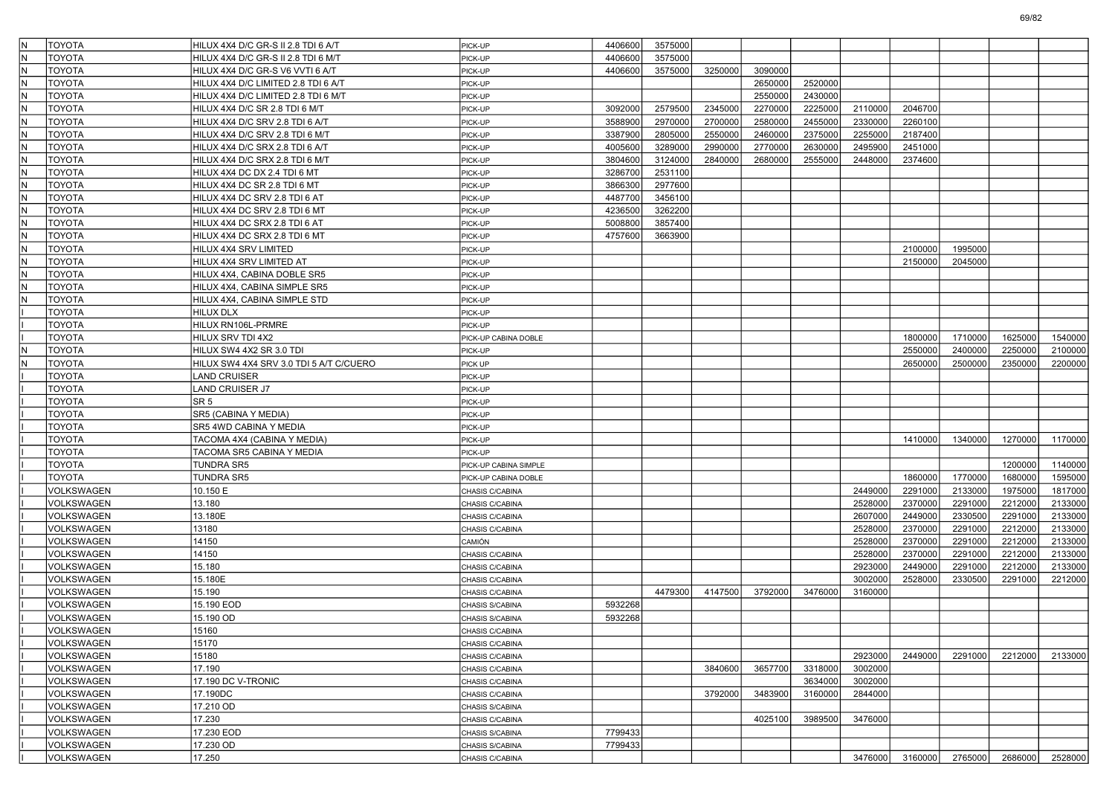| İN. | <b>TOYOTA</b>     | HILUX 4X4 D/C GR-S II 2.8 TDI 6 A/T       | PICK-UP               | 4406600 | 3575000 |         |         |         |         |         |                 |         |         |
|-----|-------------------|-------------------------------------------|-----------------------|---------|---------|---------|---------|---------|---------|---------|-----------------|---------|---------|
| IN. | <b>TOYOTA</b>     | HILUX 4X4 D/C GR-S II 2.8 TDI 6 M/T       | PICK-UP               | 4406600 | 3575000 |         |         |         |         |         |                 |         |         |
| N   | <b>TOYOTA</b>     | HILUX 4X4 D/C GR-S V6 VVTI 6 A/T          | PICK-UP               | 4406600 | 3575000 | 3250000 | 3090000 |         |         |         |                 |         |         |
| IN. | <b>TOYOTA</b>     | HILUX 4X4 D/C LIMITED 2.8 TDI 6 A/T       | PICK-UP               |         |         |         | 2650000 | 2520000 |         |         |                 |         |         |
| lN. | <b>TOYOTA</b>     | HILUX 4X4 D/C LIMITED 2.8 TDI 6 M/T       | PICK-UP               |         |         |         | 2550000 | 2430000 |         |         |                 |         |         |
| lN  | TOYOTA            | HILUX 4X4 D/C SR 2.8 TDI 6 M/T            | PICK-UP               | 3092000 | 2579500 | 2345000 | 2270000 | 2225000 | 2110000 | 2046700 |                 |         |         |
| IN. | TOYOTA            | HILUX 4X4 D/C SRV 2.8 TDI 6 A/T           | PICK-UP               | 3588900 | 2970000 | 2700000 | 2580000 | 2455000 | 2330000 | 2260100 |                 |         |         |
| N   | <b>TOYOTA</b>     | HILUX 4X4 D/C SRV 2.8 TDI 6 M/T           | PICK-UP               | 3387900 | 2805000 | 2550000 | 2460000 | 2375000 | 2255000 | 2187400 |                 |         |         |
| lN. | <b>TOYOTA</b>     | HILUX 4X4 D/C SRX 2.8 TDI 6 A/T           | PICK-UP               | 4005600 | 3289000 | 2990000 | 2770000 | 2630000 | 2495900 | 2451000 |                 |         |         |
| lN. | <b>TOYOTA</b>     | HILUX 4X4 D/C SRX 2.8 TDI 6 M/T           | PICK-UP               | 3804600 | 3124000 | 2840000 | 2680000 | 2555000 | 2448000 | 2374600 |                 |         |         |
| lN  | TOYOTA            | HILUX 4X4 DC DX 2.4 TDI 6 MT              | PICK-UP               | 3286700 | 2531100 |         |         |         |         |         |                 |         |         |
| IN. | TOYOTA            | HILUX 4X4 DC SR 2.8 TDI 6 MT              | PICK-UP               | 3866300 | 2977600 |         |         |         |         |         |                 |         |         |
| N   | <b>TOYOTA</b>     | HILUX 4X4 DC SRV 2.8 TDI 6 AT             | PICK-UP               | 4487700 | 3456100 |         |         |         |         |         |                 |         |         |
| lN. | <b>TOYOTA</b>     | HILUX 4X4 DC SRV 2.8 TDI 6 MT             | PICK-UP               | 4236500 | 3262200 |         |         |         |         |         |                 |         |         |
| lN. | <b>TOYOTA</b>     | HILUX 4X4 DC SRX 2.8 TDI 6 AT             | PICK-UP               | 5008800 | 3857400 |         |         |         |         |         |                 |         |         |
| lN  | TOYOTA            | HILUX 4X4 DC SRX 2.8 TDI 6 MT             | PICK-UP               | 4757600 | 3663900 |         |         |         |         |         |                 |         |         |
| IN. | TOYOTA            | HILUX 4X4 SRV LIMITED                     | PICK-UP               |         |         |         |         |         |         | 2100000 | 1995000         |         |         |
| N   | <b>TOYOTA</b>     | HILUX 4X4 SRV LIMITED AT                  | PICK-UP               |         |         |         |         |         |         | 2150000 | 2045000         |         |         |
| lN. | <b>TOYOTA</b>     | HILUX 4X4, CABINA DOBLE SR5               | PICK-UP               |         |         |         |         |         |         |         |                 |         |         |
| lΝ  | <b>TOYOTA</b>     | HILUX 4X4, CABINA SIMPLE SR5              | PICK-UP               |         |         |         |         |         |         |         |                 |         |         |
| lΝ  | TOYOTA            | HILUX 4X4, CABINA SIMPLE STD              | PICK-UP               |         |         |         |         |         |         |         |                 |         |         |
|     | TOYOTA            | HILUX DLX                                 | PICK-UP               |         |         |         |         |         |         |         |                 |         |         |
|     | <b>TOYOTA</b>     | HILUX RN106L-PRMRE                        | PICK-UP               |         |         |         |         |         |         |         |                 |         |         |
|     | <b>TOYOTA</b>     | HILUX SRV TDI 4X2                         | PICK-UP CABINA DOBLE  |         |         |         |         |         |         | 1800000 | 1710000         | 1625000 | 1540000 |
| lN  | <b>TOYOTA</b>     | HILUX SW4 4X2 SR 3.0 TDI                  |                       |         |         |         |         |         |         | 2550000 | 2400000         | 2250000 | 2100000 |
| lΝ  | TOYOTA            | HILUX SW4 4X4 SRV 3.0 TDI 5 A/T C/CUERO   | PICK-UP<br>PICK UP    |         |         |         |         |         |         | 2650000 | 2500000         | 2350000 | 2200000 |
|     | TOYOTA            | <b>LAND CRUISER</b>                       |                       |         |         |         |         |         |         |         |                 |         |         |
|     | <b>TOYOTA</b>     |                                           | PICK-UP               |         |         |         |         |         |         |         |                 |         |         |
|     | <b>TOYOTA</b>     | <b>LAND CRUISER J7</b><br>SR <sub>5</sub> | PICK-UP               |         |         |         |         |         |         |         |                 |         |         |
|     |                   |                                           | PICK-UP               |         |         |         |         |         |         |         |                 |         |         |
|     | <b>TOYOTA</b>     | SR5 (CABINA Y MEDIA)                      | PICK-UP               |         |         |         |         |         |         |         |                 |         |         |
|     | TOYOTA            | SR5 4WD CABINA Y MEDIA                    | PICK-UP               |         |         |         |         |         |         |         |                 |         |         |
|     | <b>TOYOTA</b>     | TACOMA 4X4 (CABINA Y MEDIA)               | PICK-UP               |         |         |         |         |         |         | 1410000 | 1340000         | 1270000 | 1170000 |
|     | <b>TOYOTA</b>     | TACOMA SR5 CABINA Y MEDIA                 | PICK-UP               |         |         |         |         |         |         |         |                 |         |         |
|     | <b>TOYOTA</b>     | TUNDRA SR5                                | PICK-UP CABINA SIMPLE |         |         |         |         |         |         |         |                 | 1200000 | 1140000 |
|     | <b>TOYOTA</b>     | <b>TUNDRA SR5</b>                         | PICK-UP CABINA DOBLE  |         |         |         |         |         |         | 1860000 | 1770000         | 1680000 | 1595000 |
|     | VOLKSWAGEN        | 10.150 E                                  | CHASIS C/CABINA       |         |         |         |         |         | 2449000 | 2291000 | 2133000         | 1975000 | 1817000 |
|     | VOLKSWAGEN        | 13.180                                    | CHASIS C/CABINA       |         |         |         |         |         | 2528000 | 2370000 | 2291000         | 2212000 | 2133000 |
|     | VOLKSWAGEN        | 13.180E                                   | CHASIS C/CABINA       |         |         |         |         |         | 2607000 | 2449000 | 2330500         | 2291000 | 2133000 |
|     | <b>VOLKSWAGEN</b> | 13180                                     | CHASIS C/CABINA       |         |         |         |         |         | 2528000 | 2370000 | 2291000         | 2212000 | 2133000 |
|     | VOLKSWAGEN        | 14150                                     | CAMIÓN                |         |         |         |         |         | 2528000 | 2370000 | 2291000         | 2212000 | 2133000 |
|     | VOLKSWAGEN        | 14150                                     | CHASIS C/CABINA       |         |         |         |         |         | 2528000 | 2370000 | 2291000         | 2212000 | 2133000 |
|     | VOLKSWAGEN        | 15.180                                    | CHASIS C/CABINA       |         |         |         |         |         | 2923000 | 2449000 | 2291000         | 2212000 | 2133000 |
|     | VOLKSWAGEN        | 15.180E                                   | CHASIS C/CABINA       |         |         |         |         |         | 3002000 | 2528000 | 2330500         | 2291000 | 2212000 |
|     | VOLKSWAGEN        | 15.190                                    | CHASIS C/CABINA       |         | 4479300 | 4147500 | 3792000 | 3476000 | 3160000 |         |                 |         |         |
|     | VOLKSWAGEN        | 15.190 EOD                                | CHASIS S/CABINA       | 5932268 |         |         |         |         |         |         |                 |         |         |
|     | VOLKSWAGEN        | 15.190 OD                                 | CHASIS S/CABINA       | 5932268 |         |         |         |         |         |         |                 |         |         |
|     | VOLKSWAGEN        | 15160                                     | CHASIS C/CABINA       |         |         |         |         |         |         |         |                 |         |         |
|     | VOLKSWAGEN        | 15170                                     | CHASIS C/CABINA       |         |         |         |         |         |         |         |                 |         |         |
|     | VOLKSWAGEN        | 15180                                     | CHASIS C/CABINA       |         |         |         |         |         | 2923000 | 2449000 | 2291000         | 2212000 | 2133000 |
|     | VOLKSWAGEN        | 17.190                                    | CHASIS C/CABINA       |         |         | 3840600 | 3657700 | 3318000 | 3002000 |         |                 |         |         |
|     | VOLKSWAGEN        | 17.190 DC V-TRONIC                        | CHASIS C/CABINA       |         |         |         |         | 3634000 | 3002000 |         |                 |         |         |
|     | VOLKSWAGEN        | 17.190DC                                  | CHASIS C/CABINA       |         |         | 3792000 | 3483900 | 3160000 | 2844000 |         |                 |         |         |
|     | VOLKSWAGEN        | 17.210 OD                                 | CHASIS S/CABINA       |         |         |         |         |         |         |         |                 |         |         |
|     | VOLKSWAGEN        | 17.230                                    | CHASIS C/CABINA       |         |         |         | 4025100 | 3989500 | 3476000 |         |                 |         |         |
|     | VOLKSWAGEN        | 17.230 EOD                                | CHASIS S/CABINA       | 7799433 |         |         |         |         |         |         |                 |         |         |
|     | VOLKSWAGEN        | 17.230 OD                                 | CHASIS S/CABINA       | 7799433 |         |         |         |         |         |         |                 |         |         |
|     | VOLKSWAGEN        | 17.250                                    | CHASIS C/CABINA       |         |         |         |         |         | 3476000 |         | 3160000 2765000 | 2686000 | 2528000 |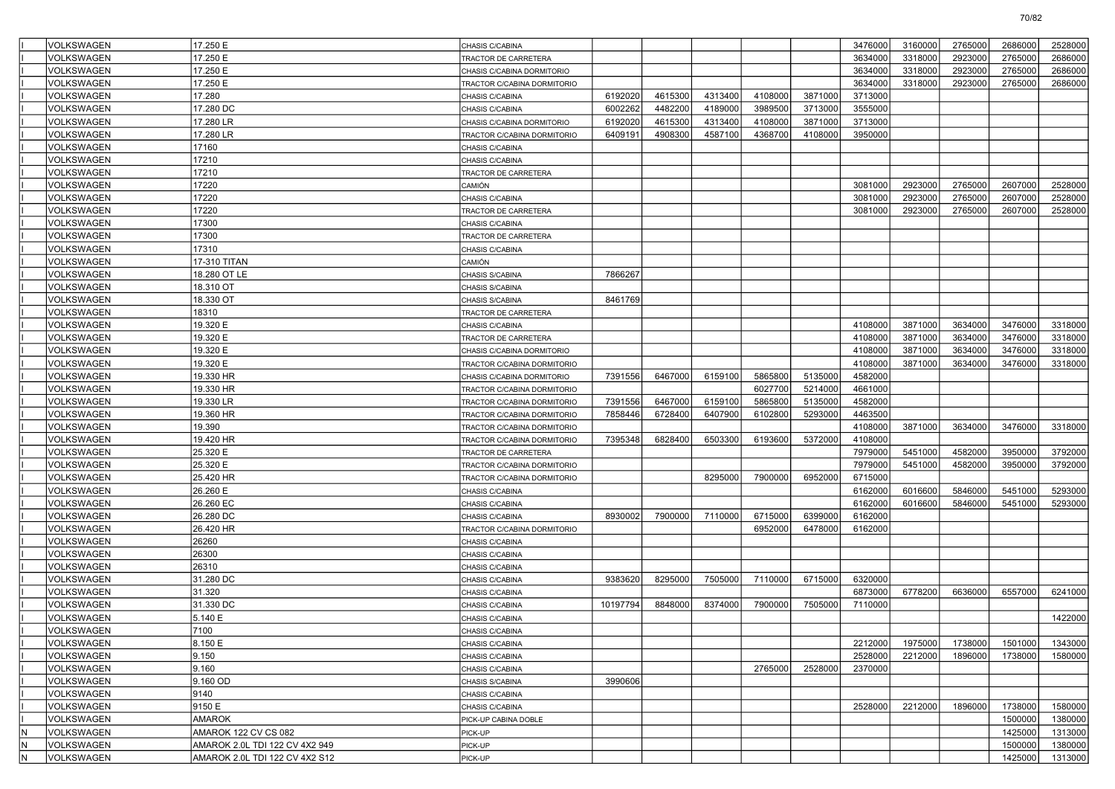|                         | VOLKSWAGEN        | 17.250 E                       | CHASIS C/CABINA             |          |         |         |         |         | 3476000 | 3160000 | 2765000 | 2686000 | 2528000 |
|-------------------------|-------------------|--------------------------------|-----------------------------|----------|---------|---------|---------|---------|---------|---------|---------|---------|---------|
|                         | VOLKSWAGEN        | 17.250 E                       | TRACTOR DE CARRETERA        |          |         |         |         |         | 3634000 | 3318000 | 2923000 | 2765000 | 2686000 |
|                         | VOLKSWAGEN        | 17.250 E                       | CHASIS C/CABINA DORMITORIO  |          |         |         |         |         | 3634000 | 3318000 | 2923000 | 2765000 | 2686000 |
|                         | VOLKSWAGEN        | 17.250 E                       | TRACTOR C/CABINA DORMITORIO |          |         |         |         |         | 3634000 | 3318000 | 2923000 | 2765000 | 2686000 |
|                         | VOLKSWAGEN        | 17.280                         | CHASIS C/CABINA             | 6192020  | 4615300 | 4313400 | 4108000 | 3871000 | 3713000 |         |         |         |         |
|                         | VOLKSWAGEN        | 17,280 DC                      | CHASIS C/CABINA             | 6002262  | 4482200 | 4189000 | 3989500 | 3713000 | 3555000 |         |         |         |         |
|                         | VOLKSWAGEN        | 17.280 LR                      | CHASIS C/CABINA DORMITORIO  | 6192020  | 4615300 | 4313400 | 4108000 | 3871000 | 3713000 |         |         |         |         |
|                         | VOLKSWAGEN        | 17.280 LR                      | TRACTOR C/CABINA DORMITORIO | 6409191  | 4908300 | 4587100 | 4368700 | 4108000 | 3950000 |         |         |         |         |
|                         | VOLKSWAGEN        | 17160                          | CHASIS C/CABINA             |          |         |         |         |         |         |         |         |         |         |
|                         | VOLKSWAGEN        | 17210                          | CHASIS C/CABINA             |          |         |         |         |         |         |         |         |         |         |
|                         | VOLKSWAGEN        | 17210                          | TRACTOR DE CARRETERA        |          |         |         |         |         |         |         |         |         |         |
|                         | VOLKSWAGEN        | 17220                          | CAMIÓN                      |          |         |         |         |         | 3081000 | 2923000 | 2765000 | 2607000 | 2528000 |
|                         | VOLKSWAGEN        | 17220                          | CHASIS C/CABINA             |          |         |         |         |         | 3081000 | 2923000 | 2765000 | 2607000 | 2528000 |
|                         | VOLKSWAGEN        | 17220                          | TRACTOR DE CARRETERA        |          |         |         |         |         | 3081000 | 2923000 | 2765000 | 2607000 | 2528000 |
|                         | VOLKSWAGEN        | 17300                          | CHASIS C/CABINA             |          |         |         |         |         |         |         |         |         |         |
|                         | VOLKSWAGEN        | 17300                          | TRACTOR DE CARRETERA        |          |         |         |         |         |         |         |         |         |         |
|                         | VOLKSWAGEN        | 17310                          | CHASIS C/CABINA             |          |         |         |         |         |         |         |         |         |         |
|                         | VOLKSWAGEN        | 17-310 TITAN                   | CAMIÓN                      |          |         |         |         |         |         |         |         |         |         |
|                         | VOLKSWAGEN        | 18.280 OT LE                   | CHASIS S/CABINA             | 7866267  |         |         |         |         |         |         |         |         |         |
|                         | VOLKSWAGEN        | 18.310 OT                      | CHASIS S/CABINA             |          |         |         |         |         |         |         |         |         |         |
|                         | VOLKSWAGEN        | 18.330 OT                      | CHASIS S/CABINA             | 8461769  |         |         |         |         |         |         |         |         |         |
|                         | VOLKSWAGEN        | 18310                          | TRACTOR DE CARRETERA        |          |         |         |         |         |         |         |         |         |         |
|                         | VOLKSWAGEN        | 19.320 E                       | CHASIS C/CABINA             |          |         |         |         |         | 4108000 | 3871000 | 3634000 | 3476000 | 3318000 |
|                         | VOLKSWAGEN        | 19.320 E                       | TRACTOR DE CARRETERA        |          |         |         |         |         | 4108000 | 3871000 | 3634000 | 3476000 | 3318000 |
|                         | VOLKSWAGEN        | 19.320 E                       | CHASIS C/CABINA DORMITORIO  |          |         |         |         |         | 4108000 | 3871000 | 3634000 | 3476000 | 3318000 |
|                         | VOLKSWAGEN        | 19.320 E                       | TRACTOR C/CABINA DORMITORIO |          |         |         |         |         | 4108000 | 3871000 | 3634000 | 3476000 | 3318000 |
|                         | VOLKSWAGEN        | 19.330 HR                      | CHASIS C/CABINA DORMITORIO  | 7391556  | 6467000 | 6159100 | 5865800 | 5135000 | 4582000 |         |         |         |         |
|                         | VOLKSWAGEN        | 19.330 HR                      | TRACTOR C/CABINA DORMITORIO |          |         |         | 6027700 | 5214000 | 4661000 |         |         |         |         |
|                         | VOLKSWAGEN        | 19.330 LR                      | TRACTOR C/CABINA DORMITORIO | 7391556  | 6467000 | 6159100 | 5865800 | 5135000 | 4582000 |         |         |         |         |
|                         | VOLKSWAGEN        | 19.360 HR                      | TRACTOR C/CABINA DORMITORIO | 7858446  | 6728400 | 6407900 | 6102800 | 5293000 | 4463500 |         |         |         |         |
|                         | VOLKSWAGEN        | 19.390                         | TRACTOR C/CABINA DORMITORIO |          |         |         |         |         | 4108000 | 3871000 | 3634000 | 3476000 | 3318000 |
|                         | VOLKSWAGEN        | 19.420 HR                      | TRACTOR C/CABINA DORMITORIO | 7395348  | 6828400 | 6503300 | 6193600 | 5372000 | 4108000 |         |         |         |         |
|                         | VOLKSWAGEN        | 25.320 E                       | TRACTOR DE CARRETERA        |          |         |         |         |         | 7979000 | 5451000 | 4582000 | 3950000 | 3792000 |
|                         | VOLKSWAGEN        | 25.320 E                       | TRACTOR C/CABINA DORMITORIO |          |         |         |         |         | 7979000 | 5451000 | 4582000 | 3950000 | 3792000 |
|                         | VOLKSWAGEN        | 25.420 HR                      | TRACTOR C/CABINA DORMITORIO |          |         | 8295000 | 7900000 | 6952000 | 6715000 |         |         |         |         |
|                         | VOLKSWAGEN        | 26.260 E                       | CHASIS C/CABINA             |          |         |         |         |         | 6162000 | 6016600 | 5846000 | 5451000 | 5293000 |
|                         | <b>VOLKSWAGEN</b> | 26.260 EC                      | CHASIS C/CABINA             |          |         |         |         |         | 6162000 | 6016600 | 5846000 | 5451000 | 5293000 |
|                         | VOLKSWAGEN        | 26.280 DC                      | CHASIS C/CABINA             | 8930002  | 7900000 | 7110000 | 6715000 | 6399000 | 6162000 |         |         |         |         |
|                         | VOLKSWAGEN        | 26.420 HR                      | TRACTOR C/CABINA DORMITORIO |          |         |         | 6952000 | 6478000 | 6162000 |         |         |         |         |
|                         | VOLKSWAGEN        | 26260                          | CHASIS C/CABINA             |          |         |         |         |         |         |         |         |         |         |
|                         | VOLKSWAGEN        | 26300                          | CHASIS C/CABINA             |          |         |         |         |         |         |         |         |         |         |
|                         | VOLKSWAGEN        | 26310                          | CHASIS C/CABINA             |          |         |         |         |         |         |         |         |         |         |
|                         | VOLKSWAGEN        | 31.280 DC                      | CHASIS C/CABINA             | 9383620  | 8295000 | 7505000 | 7110000 | 6715000 | 6320000 |         |         |         |         |
|                         | VOLKSWAGEN        | 31.320                         | CHASIS C/CABINA             |          |         |         |         |         | 6873000 | 6778200 | 6636000 | 6557000 | 6241000 |
|                         | VOLKSWAGEN        | 31.330 DC                      | CHASIS C/CABINA             | 10197794 | 8848000 | 8374000 | 7900000 | 7505000 | 7110000 |         |         |         |         |
|                         | VOLKSWAGEN        | 5.140 E                        | CHASIS C/CABINA             |          |         |         |         |         |         |         |         |         | 1422000 |
|                         | VOLKSWAGEN        | 7100                           | CHASIS C/CABINA             |          |         |         |         |         |         |         |         |         |         |
|                         | VOLKSWAGEN        | 8.150 E                        | CHASIS C/CABINA             |          |         |         |         |         | 2212000 | 1975000 | 1738000 | 1501000 | 1343000 |
|                         | VOLKSWAGEN        | 9.150                          | CHASIS C/CABINA             |          |         |         |         |         | 2528000 | 2212000 | 1896000 | 1738000 | 1580000 |
|                         | <b>VOLKSWAGEN</b> | 9.160                          | CHASIS C/CABINA             |          |         |         | 2765000 | 2528000 | 2370000 |         |         |         |         |
|                         | VOLKSWAGEN        | 9.160 OD                       | CHASIS S/CABINA             | 3990606  |         |         |         |         |         |         |         |         |         |
|                         | VOLKSWAGEN        | 9140                           | CHASIS C/CABINA             |          |         |         |         |         |         |         |         |         |         |
|                         | VOLKSWAGEN        | 9150 E                         | CHASIS C/CABINA             |          |         |         |         |         | 2528000 | 2212000 | 1896000 | 1738000 | 1580000 |
|                         | VOLKSWAGEN        | <b>AMAROK</b>                  | PICK-UP CABINA DOBLE        |          |         |         |         |         |         |         |         | 1500000 | 1380000 |
| lΝ                      | <b>VOLKSWAGEN</b> | AMAROK 122 CV CS 082           | PICK-UP                     |          |         |         |         |         |         |         |         | 1425000 | 1313000 |
| N                       | VOLKSWAGEN        | AMAROK 2.0L TDI 122 CV 4X2 949 | PICK-UP                     |          |         |         |         |         |         |         |         | 1500000 | 1380000 |
| $\overline{\mathsf{N}}$ | VOLKSWAGEN        | AMAROK 2.0L TDI 122 CV 4X2 S12 | PICK-UP                     |          |         |         |         |         |         |         |         | 1425000 | 1313000 |
|                         |                   |                                |                             |          |         |         |         |         |         |         |         |         |         |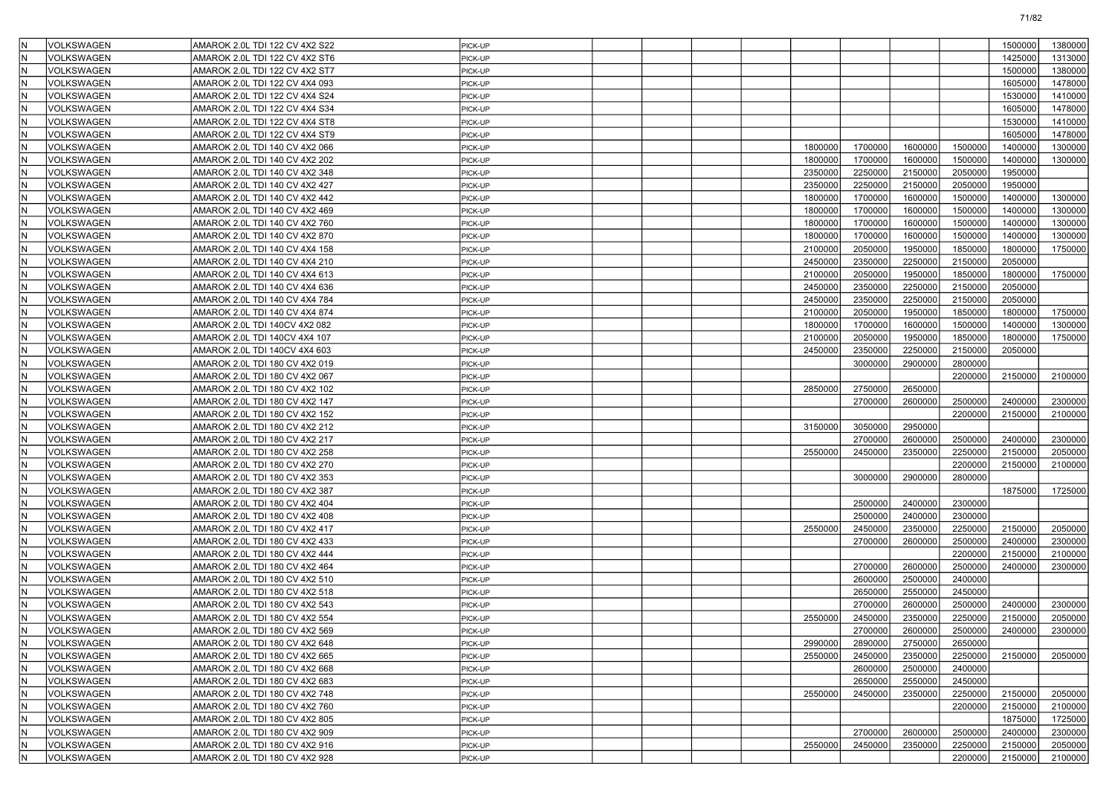| ١N<br>VOLKSWAGEN               | AMAROK 2.0L TDI 122 CV 4X2 S22                                   | PICK-UP            |  |         |                    |                    |                    | 1500000 | 1380000 |
|--------------------------------|------------------------------------------------------------------|--------------------|--|---------|--------------------|--------------------|--------------------|---------|---------|
| İΝ<br>VOLKSWAGEN               | AMAROK 2.0L TDI 122 CV 4X2 ST6                                   | PICK-UP            |  |         |                    |                    |                    | 1425000 | 1313000 |
| İN<br>VOLKSWAGEN               | AMAROK 2.0L TDI 122 CV 4X2 ST7                                   | PICK-UP            |  |         |                    |                    |                    | 1500000 | 1380000 |
| N)<br>VOLKSWAGEN               | AMAROK 2.0L TDI 122 CV 4X4 093                                   | PICK-UP            |  |         |                    |                    |                    | 1605000 | 1478000 |
| IN.<br>VOLKSWAGEN              | AMAROK 2.0L TDI 122 CV 4X4 S24                                   | PICK-UP            |  |         |                    |                    |                    | 1530000 | 1410000 |
| İΝ<br>VOLKSWAGEN               | AMAROK 2.0L TDI 122 CV 4X4 S34                                   | PICK-UP            |  |         |                    |                    |                    | 1605000 | 1478000 |
| İΝ<br>VOLKSWAGEN               | AMAROK 2.0L TDI 122 CV 4X4 ST8                                   | PICK-UP            |  |         |                    |                    |                    | 1530000 | 1410000 |
| İN<br>VOLKSWAGEN               | AMAROK 2.0L TDI 122 CV 4X4 ST9                                   | PICK-UP            |  |         |                    |                    |                    | 1605000 | 1478000 |
| N)<br>VOLKSWAGEN               | AMAROK 2.0L TDI 140 CV 4X2 066                                   | PICK-UP            |  | 1800000 | 1700000            | 1600000            | 1500000            | 1400000 | 1300000 |
| IN.<br>VOLKSWAGEN              | AMAROK 2.0L TDI 140 CV 4X2 202                                   | PICK-UP            |  | 1800000 | 1700000            | 1600000            | 1500000            | 1400000 | 1300000 |
| lΝ<br>VOLKSWAGEN               | AMAROK 2.0L TDI 140 CV 4X2 348                                   | PICK-UP            |  | 2350000 | 2250000            | 2150000            | 2050000            | 1950000 |         |
| lΝ<br>VOLKSWAGEN               | AMAROK 2.0L TDI 140 CV 4X2 427                                   | PICK-UP            |  | 2350000 | 2250000            | 2150000            | 2050000            | 1950000 |         |
| İN<br>VOLKSWAGEN               | AMAROK 2.0L TDI 140 CV 4X2 442                                   | PICK-UP            |  | 1800000 | 1700000            | 1600000            | 1500000            | 1400000 | 1300000 |
| N)<br>VOLKSWAGEN               | AMAROK 2.0L TDI 140 CV 4X2 469                                   | PICK-UP            |  | 1800000 | 1700000            | 1600000            | 1500000            | 1400000 | 1300000 |
| IN.<br>VOLKSWAGEN              | AMAROK 2.0L TDI 140 CV 4X2 760                                   | PICK-UP            |  | 1800000 | 1700000            | 1600000            | 1500000            | 1400000 | 1300000 |
| İΝ<br>VOLKSWAGEN               | AMAROK 2.0L TDI 140 CV 4X2 870                                   | PICK-UP            |  | 1800000 | 1700000            | 1600000            | 1500000            | 1400000 | 1300000 |
| İΝ<br>VOLKSWAGEN               | AMAROK 2.0L TDI 140 CV 4X4 158                                   | PICK-UP            |  | 2100000 | 2050000            | 1950000            | 1850000            | 1800000 | 1750000 |
| İN<br>VOLKSWAGEN               | AMAROK 2.0L TDI 140 CV 4X4 210                                   | PICK-UP            |  | 2450000 | 2350000            | 2250000            | 2150000            | 2050000 |         |
| N)<br>VOLKSWAGEN               | AMAROK 2.0L TDI 140 CV 4X4 613                                   | PICK-UP            |  | 2100000 | 2050000            | 1950000            | 1850000            | 1800000 | 1750000 |
| IN.<br>VOLKSWAGEN              | AMAROK 2.0L TDI 140 CV 4X4 636                                   | PICK-UP            |  | 2450000 | 2350000            | 2250000            | 2150000            | 2050000 |         |
| lΝ<br>VOLKSWAGEN               | AMAROK 2.0L TDI 140 CV 4X4 784                                   | PICK-UP            |  | 2450000 | 2350000            | 2250000            | 2150000            | 2050000 |         |
| N)<br>VOLKSWAGEN               | AMAROK 2.0L TDI 140 CV 4X4 874                                   | PICK-UP            |  | 2100000 | 2050000            | 1950000            | 1850000            | 1800000 | 1750000 |
| İN<br>VOLKSWAGEN               | AMAROK 2.0L TDI 140CV 4X2 082                                    | PICK-UP            |  | 1800000 | 1700000            | 1600000            | 1500000            | 1400000 | 1300000 |
| N)<br>VOLKSWAGEN               | AMAROK 2.0L TDI 140CV 4X4 107                                    | PICK-UP            |  | 2100000 | 2050000            | 1950000            | 1850000            | 1800000 | 1750000 |
| ١N<br>VOLKSWAGEN               | AMAROK 2.0L TDI 140CV 4X4 603                                    | PICK-UP            |  | 2450000 | 2350000            | 2250000            | 2150000            | 2050000 |         |
| lΝ<br><b>VOLKSWAGEN</b>        | AMAROK 2.0L TDI 180 CV 4X2 019                                   | PICK-UP            |  |         | 3000000            | 2900000            | 2800000            |         |         |
| İΝ<br>VOLKSWAGEN               | AMAROK 2.0L TDI 180 CV 4X2 067                                   | PICK-UP            |  |         |                    |                    | 2200000            | 2150000 | 2100000 |
| İN<br>VOLKSWAGEN               | AMAROK 2.0L TDI 180 CV 4X2 102                                   | PICK-UP            |  | 2850000 | 2750000            | 2650000            |                    |         |         |
| N)<br>VOLKSWAGEN               | AMAROK 2.0L TDI 180 CV 4X2 147                                   | PICK-UP            |  |         | 2700000            | 2600000            | 2500000            | 2400000 | 2300000 |
| ١N<br>VOLKSWAGEN               | AMAROK 2.0L TDI 180 CV 4X2 152                                   | PICK-UP            |  |         |                    |                    | 2200000            | 2150000 | 2100000 |
| lΝ<br>VOLKSWAGEN               | AMAROK 2.0L TDI 180 CV 4X2 212                                   | PICK-UP            |  | 3150000 | 3050000            | 2950000            |                    |         |         |
| N)<br>VOLKSWAGEN               | AMAROK 2.0L TDI 180 CV 4X2 217                                   | PICK-UP            |  |         | 2700000            | 2600000            | 2500000            | 2400000 | 2300000 |
| İN<br>VOLKSWAGEN               | AMAROK 2.0L TDI 180 CV 4X2 258                                   | PICK-UP            |  | 2550000 | 2450000            | 2350000            | 2250000            | 2150000 | 2050000 |
| N)<br>VOLKSWAGEN               | AMAROK 2.0L TDI 180 CV 4X2 270                                   | PICK-UP            |  |         |                    |                    | 2200000            | 2150000 | 2100000 |
| ١N<br>VOLKSWAGEN               |                                                                  |                    |  |         | 3000000            | 2900000            | 2800000            |         |         |
| lΝ<br>VOLKSWAGEN               | AMAROK 2.0L TDI 180 CV 4X2 353<br>AMAROK 2.0L TDI 180 CV 4X2 387 | PICK-UP<br>PICK-UP |  |         |                    |                    |                    | 1875000 | 1725000 |
| lΝ                             |                                                                  |                    |  |         |                    |                    |                    |         |         |
| VOLKSWAGEN<br>İN<br>VOLKSWAGEN | AMAROK 2.0L TDI 180 CV 4X2 404                                   | PICK-UP            |  |         | 2500000<br>2500000 | 2400000<br>2400000 | 2300000<br>2300000 |         |         |
| İΝ                             | AMAROK 2.0L TDI 180 CV 4X2 408                                   | PICK-UP            |  |         |                    |                    |                    |         |         |
| VOLKSWAGEN                     | AMAROK 2.0L TDI 180 CV 4X2 417                                   | PICK-UP            |  | 2550000 | 2450000            | 2350000            | 2250000            | 2150000 | 2050000 |
| ١N<br>VOLKSWAGEN<br>İΝ         | AMAROK 2.0L TDI 180 CV 4X2 433                                   | PICK-UP            |  |         | 2700000            | 2600000            | 2500000            | 2400000 | 2300000 |
| VOLKSWAGEN<br>lΝ               | AMAROK 2.0L TDI 180 CV 4X2 444                                   | PICK-UP            |  |         |                    |                    | 2200000            | 2150000 | 2100000 |
| VOLKSWAGEN                     | AMAROK 2.0L TDI 180 CV 4X2 464                                   | PICK-UP            |  |         | 2700000            | 2600000            | 2500000            | 2400000 | 2300000 |
| İN<br>VOLKSWAGEN               | AMAROK 2.0L TDI 180 CV 4X2 510                                   | PICK-UP            |  |         | 2600000            | 2500000            | 2400000            |         |         |
| İΝ<br>VOLKSWAGEN               | AMAROK 2.0L TDI 180 CV 4X2 518                                   | PICK-UP            |  |         | 2650000            | 2550000            | 2450000            |         |         |
| İΝ<br>VOLKSWAGEN               | AMAROK 2.0L TDI 180 CV 4X2 543                                   | PICK-UP            |  |         | 2700000            | 2600000            | 2500000            | 2400000 | 2300000 |
| İN.<br>VOLKSWAGEN              | AMAROK 2.0L TDI 180 CV 4X2 554                                   | PICK-UP            |  | 2550000 | 2450000            | 2350000            | 2250000            | 2150000 | 2050000 |
| ١N<br><b>VOLKSWAGEN</b>        | AMAROK 2.0L TDI 180 CV 4X2 569                                   | PICK-UP            |  |         | 2700000            | 2600000            | 2500000            | 2400000 | 2300000 |
| IN.<br>VOLKSWAGEN              | AMAROK 2.0L TDI 180 CV 4X2 648                                   | PICK-UP            |  | 2990000 | 2890000            | 2750000            | 2650000            |         |         |
| İΝ<br>VOLKSWAGEN               | AMAROK 2.0L TDI 180 CV 4X2 665                                   | PICK-UP            |  | 2550000 | 2450000            | 2350000            | 2250000            | 2150000 | 2050000 |
| ١N<br>VOLKSWAGEN               | AMAROK 2.0L TDI 180 CV 4X2 668                                   | PICK-UP            |  |         | 2600000            | 2500000            | 2400000            |         |         |
| İΝ<br>VOLKSWAGEN               | AMAROK 2.0L TDI 180 CV 4X2 683                                   | PICK-UP            |  |         | 2650000            | 2550000            | 2450000            |         |         |
| lΝ<br>VOLKSWAGEN               | AMAROK 2.0L TDI 180 CV 4X2 748                                   | PICK-UP            |  | 2550000 | 2450000            | 2350000            | 2250000            | 2150000 | 2050000 |
| İN<br>VOLKSWAGEN               | AMAROK 2.0L TDI 180 CV 4X2 760                                   | PICK-UP            |  |         |                    |                    | 2200000            | 2150000 | 2100000 |
| lΝ<br>VOLKSWAGEN               | AMAROK 2.0L TDI 180 CV 4X2 805                                   | PICK-UP            |  |         |                    |                    |                    | 1875000 | 1725000 |
| ١N<br>VOLKSWAGEN               | AMAROK 2.0L TDI 180 CV 4X2 909                                   | PICK-UP            |  |         | 2700000            | 2600000            | 2500000            | 2400000 | 2300000 |
| İΝ<br>VOLKSWAGEN               | AMAROK 2.0L TDI 180 CV 4X2 916                                   | PICK-UP            |  | 2550000 | 2450000            | 2350000            | 2250000            | 2150000 | 2050000 |
| N<br>VOLKSWAGEN                | AMAROK 2.0L TDI 180 CV 4X2 928                                   | PICK-UP            |  |         |                    |                    | 2200000            | 2150000 | 2100000 |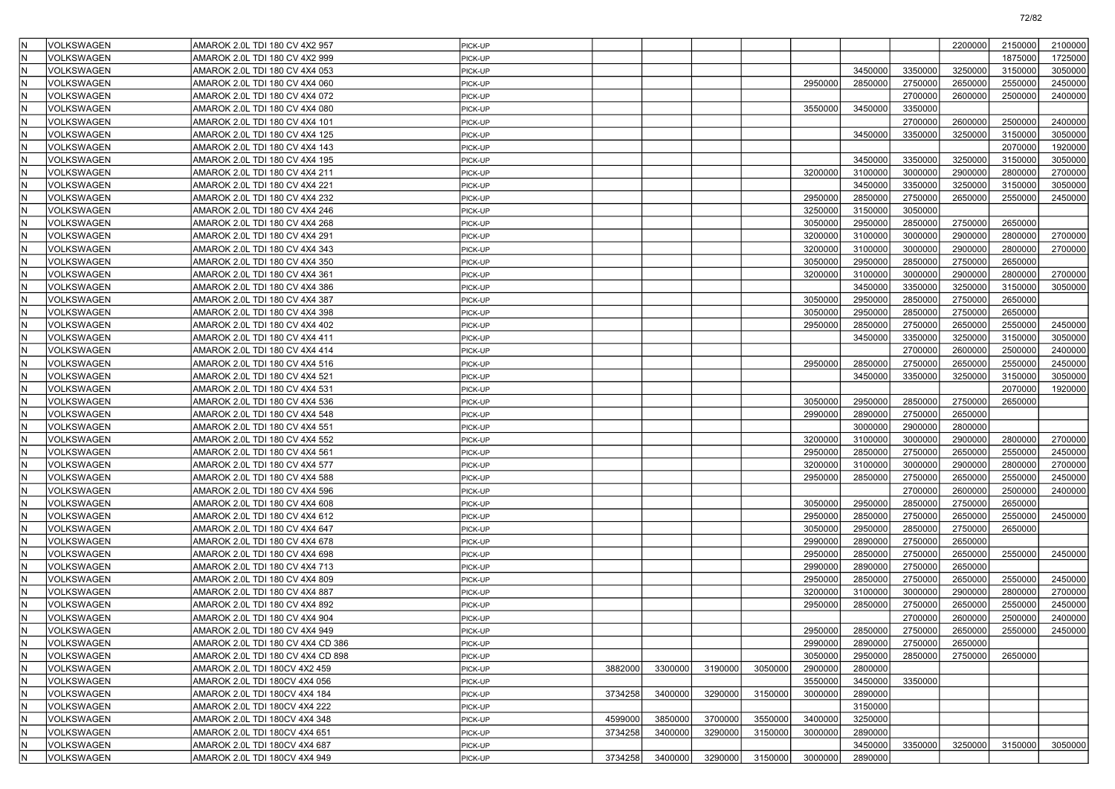| ١N       | <b>VOLKSWAGEN</b>               | AMAROK 2.0L TDI 180 CV 4X2 957    | PICK-UP            |         |         |         |         |                    |                    |                    | 2200000            | 2150000            | 2100000 |
|----------|---------------------------------|-----------------------------------|--------------------|---------|---------|---------|---------|--------------------|--------------------|--------------------|--------------------|--------------------|---------|
| ١N       | VOLKSWAGEN                      | AMAROK 2.0L TDI 180 CV 4X2 999    | PICK-UP            |         |         |         |         |                    |                    |                    |                    | 1875000            | 1725000 |
| lΝ       | <b>VOLKSWAGEN</b>               | AMAROK 2.0L TDI 180 CV 4X4 053    | PICK-UP            |         |         |         |         |                    | 3450000            | 3350000            | 3250000            | 3150000            | 3050000 |
| İΝ       | <b>VOLKSWAGEN</b>               | AMAROK 2.0L TDI 180 CV 4X4 060    | PICK-UP            |         |         |         |         | 2950000            | 2850000            | 2750000            | 2650000            | 2550000            | 2450000 |
| İ٨       | <b>VOLKSWAGEN</b>               | AMAROK 2.0L TDI 180 CV 4X4 072    | PICK-UP            |         |         |         |         |                    |                    | 2700000            | 2600000            | 2500000            | 2400000 |
| lΝ       | VOLKSWAGEN                      | AMAROK 2.0L TDI 180 CV 4X4 080    | PICK-UP            |         |         |         |         | 3550000            | 3450000            | 3350000            |                    |                    |         |
| N        | <b>VOLKSWAGEN</b>               | AMAROK 2.0L TDI 180 CV 4X4 101    | PICK-UP            |         |         |         |         |                    |                    | 2700000            | 2600000            | 2500000            | 2400000 |
| lΝ       | <b>VOLKSWAGEN</b>               | AMAROK 2.0L TDI 180 CV 4X4 125    | PICK-UP            |         |         |         |         |                    | 3450000            | 3350000            | 3250000            | 3150000            | 3050000 |
| lΝ       | <b>VOLKSWAGEN</b>               | AMAROK 2.0L TDI 180 CV 4X4 143    | PICK-UP            |         |         |         |         |                    |                    |                    |                    | 2070000            | 1920000 |
| İ٨       | VOLKSWAGEN                      | AMAROK 2.0L TDI 180 CV 4X4 195    | PICK-UP            |         |         |         |         |                    | 3450000            | 3350000            | 3250000            | 3150000            | 3050000 |
| lΝ       | VOLKSWAGEN                      | AMAROK 2.0L TDI 180 CV 4X4 211    | PICK-UP            |         |         |         |         | 3200000            | 3100000            | 3000000            | 2900000            | 2800000            | 2700000 |
| N        | VOLKSWAGEN                      | AMAROK 2.0L TDI 180 CV 4X4 221    | PICK-UP            |         |         |         |         |                    | 3450000            | 3350000            | 3250000            | 3150000            | 3050000 |
| lΝ       | <b>VOLKSWAGEN</b>               | AMAROK 2.0L TDI 180 CV 4X4 232    | PICK-UP            |         |         |         |         | 2950000            | 2850000            | 2750000            | 2650000            | 2550000            | 2450000 |
| IN.      | <b>VOLKSWAGEN</b>               | AMAROK 2.0L TDI 180 CV 4X4 246    | PICK-UP            |         |         |         |         | 3250000            | 3150000            | 3050000            |                    |                    |         |
| İ٨       | <b>VOLKSWAGEN</b>               | AMAROK 2.0L TDI 180 CV 4X4 268    | PICK-UP            |         |         |         |         | 3050000            | 2950000            | 2850000            | 2750000            | 2650000            |         |
| l٨       | VOLKSWAGEN                      | AMAROK 2.0L TDI 180 CV 4X4 291    | PICK-UP            |         |         |         |         | 3200000            | 3100000            | 3000000            | 2900000            | 2800000            | 2700000 |
| N        | VOLKSWAGEN                      | AMAROK 2.0L TDI 180 CV 4X4 343    | PICK-UP            |         |         |         |         | 3200000            | 3100000            | 3000000            | 2900000            | 2800000            | 2700000 |
| lΝ       | <b>VOLKSWAGEN</b>               | AMAROK 2.0L TDI 180 CV 4X4 350    | PICK-UP            |         |         |         |         | 3050000            | 2950000            | 2850000            | 2750000            | 2650000            |         |
| İΝ       | <b>VOLKSWAGEN</b>               | AMAROK 2.0L TDI 180 CV 4X4 361    | PICK-UP            |         |         |         |         | 3200000            | 3100000            | 3000000            | 2900000            | 2800000            | 2700000 |
| İ٨       | <b>VOLKSWAGEN</b>               | AMAROK 2.0L TDI 180 CV 4X4 386    | PICK-UP            |         |         |         |         |                    | 3450000            | 3350000            | 3250000            | 3150000            | 3050000 |
| l٨       | VOLKSWAGEN                      | AMAROK 2.0L TDI 180 CV 4X4 387    | PICK-UP            |         |         |         |         | 3050000            | 2950000            | 2850000            | 2750000            | 2650000            |         |
| N        | VOLKSWAGEN                      | AMAROK 2.0L TDI 180 CV 4X4 398    | PICK-UP            |         |         |         |         | 3050000            | 2950000            | 2850000            | 2750000            | 2650000            |         |
| lΝ       | <b>VOLKSWAGEN</b>               | AMAROK 2.0L TDI 180 CV 4X4 402    | PICK-UP            |         |         |         |         | 2950000            | 2850000            | 2750000            | 2650000            | 2550000            | 2450000 |
| İΝ       | <b>VOLKSWAGEN</b>               | AMAROK 2.0L TDI 180 CV 4X4 411    | PICK-UP            |         |         |         |         |                    | 3450000            | 3350000            | 3250000            | 3150000            | 3050000 |
| İΝ       | <b>VOLKSWAGEN</b>               | AMAROK 2.0L TDI 180 CV 4X4 414    | PICK-UP            |         |         |         |         |                    |                    | 2700000            | 2600000            | 2500000            | 2400000 |
| l٨       | VOLKSWAGEN                      | AMAROK 2.0L TDI 180 CV 4X4 516    | PICK-UP            |         |         |         |         | 2950000            | 2850000            | 2750000            | 2650000            | 2550000            | 2450000 |
| N        | VOLKSWAGEN                      | AMAROK 2.0L TDI 180 CV 4X4 521    | PICK-UP            |         |         |         |         |                    | 3450000            | 3350000            | 3250000            | 3150000            | 3050000 |
| lΝ       | <b>VOLKSWAGEN</b>               | AMAROK 2.0L TDI 180 CV 4X4 531    | PICK-UP            |         |         |         |         |                    |                    |                    |                    | 2070000            | 1920000 |
| N)       | <b>VOLKSWAGEN</b>               | AMAROK 2.0L TDI 180 CV 4X4 536    | PICK-UP            |         |         |         |         | 3050000            | 2950000            | 2850000            | 2750000            | 2650000            |         |
| İΝ       | VOLKSWAGEN                      | AMAROK 2.0L TDI 180 CV 4X4 548    |                    |         |         |         |         | 2990000            | 2890000            | 2750000            | 2650000            |                    |         |
| lΝ       |                                 |                                   | PICK-UP            |         |         |         |         |                    | 3000000            | 2900000            | 2800000            |                    |         |
| ١N       | VOLKSWAGEN                      | AMAROK 2.0L TDI 180 CV 4X4 551    | PICK-UP            |         |         |         |         | 3200000            | 3100000            | 3000000            | 2900000            | 2800000            | 2700000 |
| lΝ       | VOLKSWAGEN<br><b>VOLKSWAGEN</b> | AMAROK 2.0L TDI 180 CV 4X4 552    | PICK-UP<br>PICK-UP |         |         |         |         | 2950000            | 2850000            | 2750000            | 2650000            | 2550000            | 2450000 |
| lΝ       | <b>VOLKSWAGEN</b>               | AMAROK 2.0L TDI 180 CV 4X4 561    |                    |         |         |         |         |                    | 3100000            | 3000000            | 2900000            | 2800000            | 2700000 |
| İΝ       |                                 | AMAROK 2.0L TDI 180 CV 4X4 577    | PICK-UP            |         |         |         |         | 3200000            |                    |                    |                    |                    |         |
| lΝ       | VOLKSWAGEN                      | AMAROK 2.0L TDI 180 CV 4X4 588    | PICK-UP            |         |         |         |         | 2950000            | 2850000            | 2750000<br>2700000 | 2650000<br>2600000 | 2550000<br>2500000 | 2450000 |
|          | VOLKSWAGEN                      | AMAROK 2.0L TDI 180 CV 4X4 596    | PICK-UP            |         |         |         |         |                    |                    |                    |                    |                    | 2400000 |
| ١N<br>lΝ | VOLKSWAGEN<br><b>VOLKSWAGEN</b> | AMAROK 2.0L TDI 180 CV 4X4 608    | PICK-UP            |         |         |         |         | 3050000<br>2950000 | 2950000<br>2850000 | 2850000<br>2750000 | 2750000<br>2650000 | 2650000<br>2550000 | 2450000 |
| IN.      |                                 | AMAROK 2.0L TDI 180 CV 4X4 612    | PICK-UP            |         |         |         |         |                    |                    |                    |                    |                    |         |
|          | <b>VOLKSWAGEN</b>               | AMAROK 2.0L TDI 180 CV 4X4 647    | PICK-UP            |         |         |         |         | 3050000            | 2950000            | 2850000            | 2750000            | 2650000            |         |
| İΝ<br>lΝ | VOLKSWAGEN                      | AMAROK 2.0L TDI 180 CV 4X4 678    | PICK-UP            |         |         |         |         | 2990000            | 2890000            | 2750000            | 2650000            |                    |         |
|          | VOLKSWAGEN                      | AMAROK 2.0L TDI 180 CV 4X4 698    | PICK-UP            |         |         |         |         | 2950000            | 2850000            | 2750000            | 2650000            | 2550000            | 2450000 |
| ١N<br>lΝ | VOLKSWAGEN                      | AMAROK 2.0L TDI 180 CV 4X4 713    | PICK-UP            |         |         |         |         | 2990000            | 2890000            | 2750000            | 2650000            |                    |         |
| lΝ       | VOLKSWAGEN                      | AMAROK 2.0L TDI 180 CV 4X4 809    | PICK-UP            |         |         |         |         | 2950000            | 2850000            | 2750000            | 2650000            | 2550000            | 2450000 |
|          | VOLKSWAGEN                      | AMAROK 2.0L TDI 180 CV 4X4 887    | PICK-UP            |         |         |         |         | 3200000            | 3100000            | 3000000            | 2900000            | 2800000            | 2700000 |
| İ٨       | VOLKSWAGEN                      | AMAROK 2.0L TDI 180 CV 4X4 892    | PICK-UP            |         |         |         |         | 2950000            | 2850000            | 2750000            | 2650000            | 2550000            | 2450000 |
| İ٨       | VOLKSWAGEN                      | AMAROK 2.0L TDI 180 CV 4X4 904    | PICK-UP            |         |         |         |         |                    |                    | 2700000            | 2600000            | 2500000            | 2400000 |
| ΙN       | VOLKSWAGEN                      | AMAROK 2.0L TDI 180 CV 4X4 949    | PICK-UP            |         |         |         |         | 2950000            | 2850000            | 2750000            | 2650000            | 2550000            | 2450000 |
| İΝ       | <b>VOLKSWAGEN</b>               | AMAROK 2.0L TDI 180 CV 4X4 CD 386 | PICK-UP            |         |         |         |         | 2990000            | 2890000            | 2750000            | 2650000            |                    |         |
| IN.      | VOLKSWAGEN                      | AMAROK 2.0L TDI 180 CV 4X4 CD 898 | PICK-UP            |         |         |         |         | 3050000            | 2950000            | 2850000            | 2750000            | 2650000            |         |
| İΝ       | VOLKSWAGEN                      | AMAROK 2.0L TDI 180CV 4X2 459     | PICK-UP            | 3882000 | 3300000 | 3190000 | 3050000 | 2900000            | 2800000            |                    |                    |                    |         |
| lΝ       | VOLKSWAGEN                      | AMAROK 2.0L TDI 180CV 4X4 056     | PICK-UP            |         |         |         |         | 3550000            | 3450000            | 3350000            |                    |                    |         |
| ١N       | VOLKSWAGEN                      | AMAROK 2.0L TDI 180CV 4X4 184     | PICK-UP            | 3734258 | 3400000 | 3290000 | 3150000 | 3000000            | 2890000            |                    |                    |                    |         |
| lΝ       | VOLKSWAGEN                      | AMAROK 2.0L TDI 180CV 4X4 222     | PICK-UP            |         |         |         |         |                    | 3150000            |                    |                    |                    |         |
| IN.      | VOLKSWAGEN                      | AMAROK 2.0L TDI 180CV 4X4 348     | PICK-UP            | 4599000 | 3850000 | 3700000 | 3550000 | 3400000            | 3250000            |                    |                    |                    |         |
| İΝ       | VOLKSWAGEN                      | AMAROK 2.0L TDI 180CV 4X4 651     | PICK-UP            | 3734258 | 3400000 | 3290000 | 3150000 | 3000000            | 2890000            |                    |                    |                    |         |
| İΝ       | VOLKSWAGEN                      | AMAROK 2.0L TDI 180CV 4X4 687     | PICK-UP            |         |         |         |         |                    | 3450000            | 3350000            | 3250000            | 3150000            | 3050000 |
| N        | VOLKSWAGEN                      | AMAROK 2.0L TDI 180CV 4X4 949     | PICK-UP            | 3734258 | 3400000 | 3290000 | 3150000 | 3000000            | 2890000            |                    |                    |                    |         |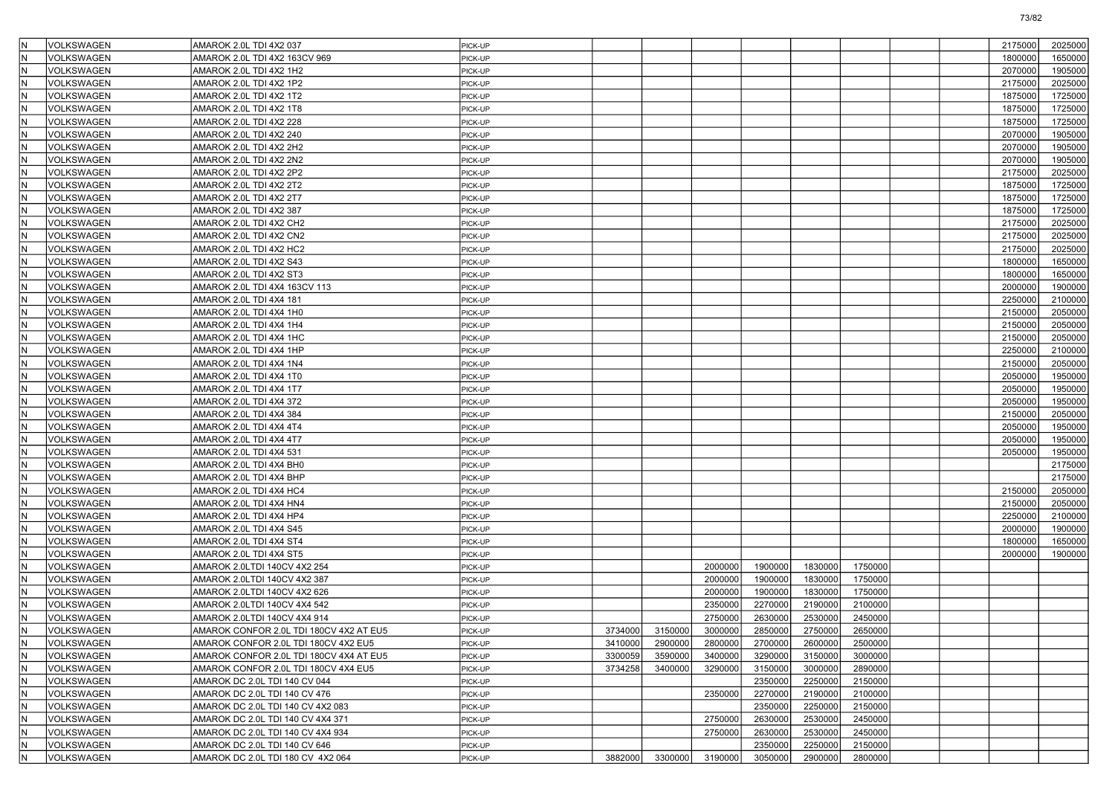|     | VOLKSWAGEN        | AMAROK 2.0L TDI 4X2 037                 | PICK-UP |         |         |         |         |         |         |  | 2175000 | 2025000 |
|-----|-------------------|-----------------------------------------|---------|---------|---------|---------|---------|---------|---------|--|---------|---------|
| İΝ  | VOLKSWAGEN        | AMAROK 2.0L TDI 4X2 163CV 969           | PICK-UP |         |         |         |         |         |         |  | 1800000 | 1650000 |
|     | VOLKSWAGEN        | AMAROK 2.0L TDI 4X2 1H2                 | PICK-UP |         |         |         |         |         |         |  | 2070000 | 1905000 |
| IN. | <b>VOLKSWAGEN</b> | AMAROK 2.0L TDI 4X2 1P2                 | PICK-UP |         |         |         |         |         |         |  | 2175000 | 2025000 |
|     | VOLKSWAGEN        | AMAROK 2.0L TDI 4X2 1T2                 | PICK-UP |         |         |         |         |         |         |  | 1875000 | 1725000 |
| lΝ  | VOLKSWAGEN        | AMAROK 2.0L TDI 4X2 1T8                 | PICK-UP |         |         |         |         |         |         |  | 1875000 | 1725000 |
| İΝ  | VOLKSWAGEN        | AMAROK 2.0L TDI 4X2 228                 | PICK-UP |         |         |         |         |         |         |  | 1875000 | 1725000 |
|     | <b>VOLKSWAGEN</b> | AMAROK 2.0L TDI 4X2 240                 | PICK-UP |         |         |         |         |         |         |  | 2070000 | 1905000 |
| lΝ  | <b>VOLKSWAGEN</b> | AMAROK 2.0L TDI 4X2 2H2                 | PICK-UP |         |         |         |         |         |         |  | 2070000 | 1905000 |
|     | <b>VOLKSWAGEN</b> | AMAROK 2.0L TDI 4X2 2N2                 | PICK-UP |         |         |         |         |         |         |  | 2070000 | 1905000 |
| lΝ  | VOLKSWAGEN        | AMAROK 2.0L TDI 4X2 2P2                 | PICK-UP |         |         |         |         |         |         |  | 2175000 | 2025000 |
| İΝ  | VOLKSWAGEN        | AMAROK 2.0L TDI 4X2 2T2                 | PICK-UP |         |         |         |         |         |         |  | 1875000 | 1725000 |
| lΝ  | VOLKSWAGEN        | AMAROK 2.0L TDI 4X2 2T7                 | PICK-UP |         |         |         |         |         |         |  | 1875000 | 1725000 |
| İΝ  | <b>VOLKSWAGEN</b> | AMAROK 2.0L TDI 4X2 387                 | PICK-UP |         |         |         |         |         |         |  | 1875000 | 1725000 |
|     | <b>VOLKSWAGEN</b> | AMAROK 2.0L TDI 4X2 CH2                 | PICK-UP |         |         |         |         |         |         |  | 2175000 | 2025000 |
| lΝ  | VOLKSWAGEN        | AMAROK 2.0L TDI 4X2 CN2                 | PICK-UP |         |         |         |         |         |         |  | 2175000 | 2025000 |
| İΝ  | VOLKSWAGEN        | AMAROK 2.0L TDI 4X2 HC2                 | PICK-UP |         |         |         |         |         |         |  | 2175000 | 2025000 |
| IN  | <b>VOLKSWAGEN</b> | AMAROK 2.0L TDI 4X2 S43                 | PICK-UP |         |         |         |         |         |         |  | 1800000 | 1650000 |
| lΝ  | <b>VOLKSWAGEN</b> | AMAROK 2.0L TDI 4X2 ST3                 | PICK-UP |         |         |         |         |         |         |  | 1800000 | 1650000 |
|     | <b>VOLKSWAGEN</b> | AMAROK 2.0L TDI 4X4 163CV 113           | PICK-UP |         |         |         |         |         |         |  | 2000000 | 1900000 |
| lΝ  | <b>VOLKSWAGEN</b> | AMAROK 2.0L TDI 4X4 181                 | PICK-UP |         |         |         |         |         |         |  | 2250000 | 2100000 |
| İΝ  | VOLKSWAGEN        | AMAROK 2.0L TDI 4X4 1H0                 | PICK-UP |         |         |         |         |         |         |  | 2150000 | 2050000 |
| IN  | VOLKSWAGEN        | AMAROK 2.0L TDI 4X4 1H4                 | PICK-UP |         |         |         |         |         |         |  | 2150000 | 2050000 |
| İΝ  | <b>VOLKSWAGEN</b> | AMAROK 2.0L TDI 4X4 1HC                 | PICK-UP |         |         |         |         |         |         |  | 2150000 | 2050000 |
|     |                   |                                         |         |         |         |         |         |         |         |  |         |         |
|     | VOLKSWAGEN        | AMAROK 2.0L TDI 4X4 1HP                 | PICK-UP |         |         |         |         |         |         |  | 2250000 | 2100000 |
| lΝ  | VOLKSWAGEN        | AMAROK 2.0L TDI 4X4 1N4                 | PICK-UP |         |         |         |         |         |         |  | 2150000 | 2050000 |
| İΝ  | VOLKSWAGEN        | AMAROK 2.0L TDI 4X4 1T0                 | PICK-UP |         |         |         |         |         |         |  | 2050000 | 1950000 |
| IN  | <b>VOLKSWAGEN</b> | AMAROK 2.0L TDI 4X4 1T7                 | PICK-UP |         |         |         |         |         |         |  | 2050000 | 1950000 |
| İΝ  | <b>VOLKSWAGEN</b> | AMAROK 2.0L TDI 4X4 372                 | PICK-UP |         |         |         |         |         |         |  | 2050000 | 1950000 |
|     | <b>VOLKSWAGEN</b> | AMAROK 2.0L TDI 4X4 384                 | PICK-UP |         |         |         |         |         |         |  | 2150000 | 2050000 |
| lΝ  | VOLKSWAGEN        | AMAROK 2.0L TDI 4X4 4T4                 | PICK-UP |         |         |         |         |         |         |  | 2050000 | 1950000 |
| İΝ  | VOLKSWAGEN        | AMAROK 2.0L TDI 4X4 4T7                 | PICK-UP |         |         |         |         |         |         |  | 2050000 | 1950000 |
| lΝ  | VOLKSWAGEN        | AMAROK 2.0L TDI 4X4 531                 | PICK-UP |         |         |         |         |         |         |  | 2050000 | 1950000 |
| İΝ  | <b>VOLKSWAGEN</b> | AMAROK 2.0L TDI 4X4 BH0                 | PICK-UP |         |         |         |         |         |         |  |         | 2175000 |
|     | VOLKSWAGEN        | AMAROK 2.0L TDI 4X4 BHP                 | PICK-UP |         |         |         |         |         |         |  |         | 2175000 |
| lΝ  | VOLKSWAGEN        | AMAROK 2.0L TDI 4X4 HC4                 | PICK-UP |         |         |         |         |         |         |  | 2150000 | 2050000 |
| İΝ  | VOLKSWAGEN        | AMAROK 2.0L TDI 4X4 HN4                 | PICK-UP |         |         |         |         |         |         |  | 2150000 | 2050000 |
| ΙN  | <b>VOLKSWAGEN</b> | AMAROK 2.0L TDI 4X4 HP4                 | PICK-UP |         |         |         |         |         |         |  | 2250000 | 2100000 |
| İΝ  | <b>VOLKSWAGEN</b> | AMAROK 2.0L TDI 4X4 S45                 | PICK-UP |         |         |         |         |         |         |  | 2000000 | 1900000 |
|     | VOLKSWAGEN        | AMAROK 2.0L TDI 4X4 ST4                 | PICK-UP |         |         |         |         |         |         |  | 1800000 | 1650000 |
| lΝ  | VOLKSWAGEN        | AMAROK 2.0L TDI 4X4 ST5                 | PICK-UP |         |         |         |         |         |         |  | 2000000 | 1900000 |
| İΝ  | VOLKSWAGEN        | AMAROK 2.0LTDI 140CV 4X2 254            | PICK-UP |         |         | 2000000 | 1900000 | 1830000 | 1750000 |  |         |         |
| IN  | VOLKSWAGEN        | AMAROK 2.0LTDI 140CV 4X2 387            | PICK-UP |         |         | 2000000 | 1900000 | 1830000 | 1750000 |  |         |         |
| İΝ  | VOLKSWAGEN        | AMAROK 2.0LTDI 140CV 4X2 626            | PICK-UP |         |         | 2000000 | 1900000 | 1830000 | 1750000 |  |         |         |
|     | VOLKSWAGEN        | AMAROK 2.0LTDI 140CV 4X4 542            | PICK-UP |         |         | 2350000 | 2270000 | 2190000 | 2100000 |  |         |         |
|     | VOLKSWAGEN        | AMAROK 2.0LTDI 140CV 4X4 914            | PICK-UP |         |         | 2750000 | 2630000 | 2530000 | 2450000 |  |         |         |
| IN  | VOLKSWAGEN        | AMAROK CONFOR 2.0L TDI 180CV 4X2 AT EU5 | PICK-UP | 3734000 | 3150000 | 3000000 | 2850000 | 2750000 | 2650000 |  |         |         |
| İΝ  | VOLKSWAGEN        | AMAROK CONFOR 2.0L TDI 180CV 4X2 EU5    | PICK-UP | 3410000 | 2900000 | 2800000 | 2700000 | 2600000 | 2500000 |  |         |         |
| IN. | VOLKSWAGEN        | AMAROK CONFOR 2.0L TDI 180CV 4X4 AT EU5 | PICK-UP | 3300059 | 3590000 | 3400000 | 3290000 | 3150000 | 3000000 |  |         |         |
| IN. | VOLKSWAGEN        | AMAROK CONFOR 2.0L TDI 180CV 4X4 EU5    | PICK-UP | 3734258 | 3400000 | 3290000 | 3150000 | 3000000 | 2890000 |  |         |         |
| IN. | VOLKSWAGEN        | AMAROK DC 2.0L TDI 140 CV 044           | PICK-UP |         |         |         | 2350000 | 2250000 | 2150000 |  |         |         |
| IN. | VOLKSWAGEN        | AMAROK DC 2.0L TDI 140 CV 476           | PICK-UP |         |         | 2350000 | 2270000 | 2190000 | 2100000 |  |         |         |
| İΝ  | VOLKSWAGEN        |                                         | PICK-UP |         |         |         | 2350000 | 2250000 | 2150000 |  |         |         |
| IN. | VOLKSWAGEN        | AMAROK DC 2.0L TDI 140 CV 4X2 083       | PICK-UP |         |         |         | 2630000 | 2530000 | 2450000 |  |         |         |
|     | <b>VOLKSWAGEN</b> | AMAROK DC 2.0L TDI 140 CV 4X4 371       |         |         |         | 2750000 |         |         | 2450000 |  |         |         |
|     |                   | AMAROK DC 2.0L TDI 140 CV 4X4 934       | PICK-UP |         |         | 2750000 | 2630000 | 2530000 |         |  |         |         |
| ١N  | VOLKSWAGEN        | AMAROK DC 2.0L TDI 140 CV 646           | PICK-UP |         |         |         | 2350000 | 2250000 | 2150000 |  |         |         |
| IN. | VOLKSWAGEN        | AMAROK DC 2.0L TDI 180 CV 4X2 064       | PICK-UP | 3882000 | 3300000 | 3190000 | 3050000 | 2900000 | 2800000 |  |         |         |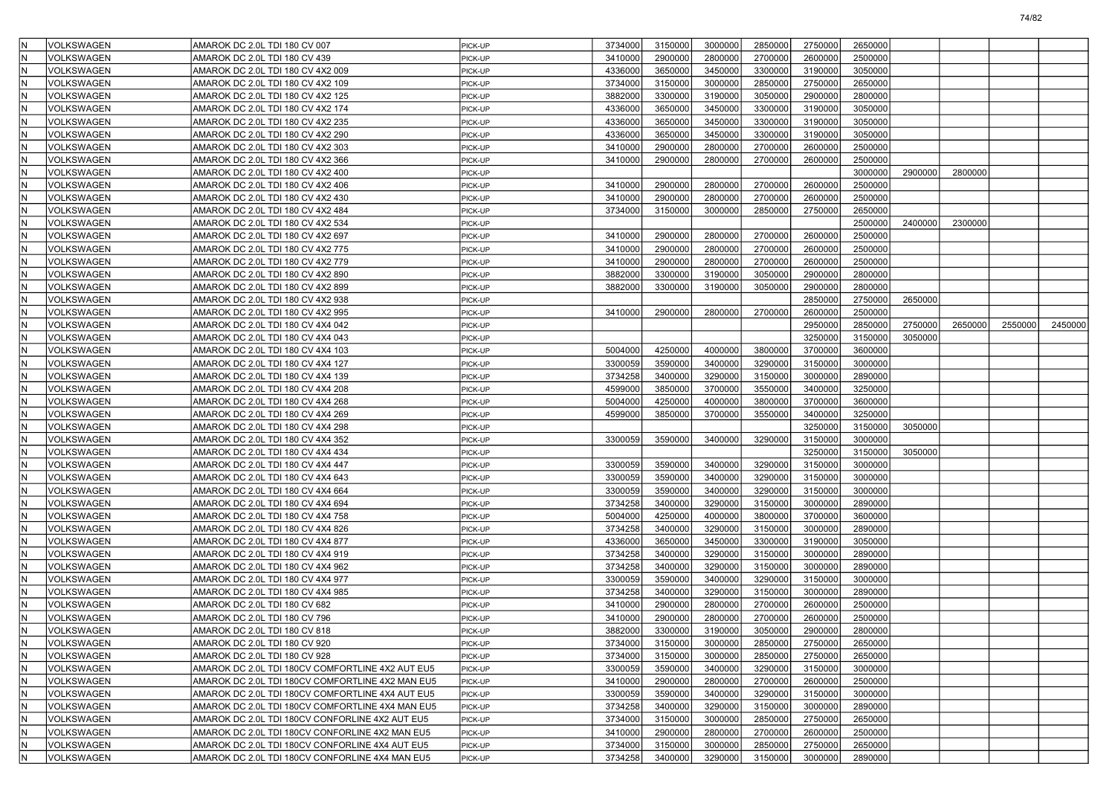| VOLKSWAGEN        | AMAROK DC 2.0L TDI 180 CV 007                    | PICK-UP | 3734000 | 3150000 | 3000000 | 2850000 | 2750000 | 2650000 |         |         |         |         |
|-------------------|--------------------------------------------------|---------|---------|---------|---------|---------|---------|---------|---------|---------|---------|---------|
| VOLKSWAGEN        | AMAROK DC 2.0L TDI 180 CV 439                    | PICK-UP | 3410000 | 2900000 | 2800000 | 2700000 | 2600000 | 2500000 |         |         |         |         |
| VOLKSWAGEN        | AMAROK DC 2.0L TDI 180 CV 4X2 009                | PICK-UP | 4336000 | 3650000 | 3450000 | 3300000 | 3190000 | 3050000 |         |         |         |         |
| VOLKSWAGEN<br>ΙN  | AMAROK DC 2.0L TDI 180 CV 4X2 109                | PICK-UP | 3734000 | 3150000 | 3000000 | 2850000 | 2750000 | 2650000 |         |         |         |         |
| VOLKSWAGEN        | AMAROK DC 2.0L TDI 180 CV 4X2 125                | PICK-UP | 3882000 | 3300000 | 3190000 | 3050000 | 2900000 | 2800000 |         |         |         |         |
| VOLKSWAGEN        | AMAROK DC 2.0L TDI 180 CV 4X2 174                | PICK-UP | 4336000 | 3650000 | 3450000 | 3300000 | 3190000 | 3050000 |         |         |         |         |
| VOLKSWAGEN        | AMAROK DC 2.0L TDI 180 CV 4X2 235                | PICK-UP | 4336000 | 3650000 | 3450000 | 3300000 | 3190000 | 3050000 |         |         |         |         |
| VOLKSWAGEN        | AMAROK DC 2.0L TDI 180 CV 4X2 290                | PICK-UP | 4336000 | 3650000 | 3450000 | 3300000 | 3190000 | 3050000 |         |         |         |         |
| VOLKSWAGEN<br>ΙN  | AMAROK DC 2.0L TDI 180 CV 4X2 303                | PICK-UP | 3410000 | 2900000 | 2800000 | 2700000 | 2600000 | 2500000 |         |         |         |         |
| VOLKSWAGEN        | AMAROK DC 2.0L TDI 180 CV 4X2 366                | PICK-UP | 3410000 | 2900000 | 2800000 | 2700000 | 2600000 | 2500000 |         |         |         |         |
| VOLKSWAGEN        | AMAROK DC 2.0L TDI 180 CV 4X2 400                | PICK-UP |         |         |         |         |         | 3000000 | 2900000 | 2800000 |         |         |
| VOLKSWAGEN        | AMAROK DC 2.0L TDI 180 CV 4X2 406                | PICK-UP | 3410000 | 2900000 | 2800000 | 2700000 | 2600000 | 2500000 |         |         |         |         |
| VOLKSWAGEN        | AMAROK DC 2.0L TDI 180 CV 4X2 430                | PICK-UP | 3410000 | 2900000 | 2800000 | 2700000 | 2600000 | 2500000 |         |         |         |         |
| VOLKSWAGEN<br>ΙN  | AMAROK DC 2.0L TDI 180 CV 4X2 484                | PICK-UP | 3734000 | 3150000 | 3000000 | 2850000 | 2750000 | 2650000 |         |         |         |         |
| VOLKSWAGEN        | AMAROK DC 2.0L TDI 180 CV 4X2 534                | PICK-UP |         |         |         |         |         | 2500000 | 2400000 | 2300000 |         |         |
| VOLKSWAGEN        | AMAROK DC 2.0L TDI 180 CV 4X2 697                | PICK-UP | 3410000 | 2900000 | 2800000 | 2700000 | 2600000 | 2500000 |         |         |         |         |
| VOLKSWAGEN        | AMAROK DC 2.0L TDI 180 CV 4X2 775                | PICK-UP | 3410000 | 2900000 | 2800000 | 2700000 | 2600000 | 2500000 |         |         |         |         |
| VOLKSWAGEN        | AMAROK DC 2.0L TDI 180 CV 4X2 779                | PICK-UP | 3410000 | 2900000 | 2800000 | 2700000 | 2600000 | 2500000 |         |         |         |         |
| VOLKSWAGEN<br>ΙN  | AMAROK DC 2.0L TDI 180 CV 4X2 890                | PICK-UP | 3882000 | 3300000 | 3190000 | 3050000 | 2900000 | 2800000 |         |         |         |         |
| VOLKSWAGEN        | AMAROK DC 2.0L TDI 180 CV 4X2 899                | PICK-UP | 3882000 | 3300000 | 3190000 | 3050000 | 2900000 | 2800000 |         |         |         |         |
| VOLKSWAGEN        | AMAROK DC 2.0L TDI 180 CV 4X2 938                | PICK-UP |         |         |         |         | 2850000 | 2750000 | 2650000 |         |         |         |
| VOLKSWAGEN        | AMAROK DC 2.0L TDI 180 CV 4X2 995                | PICK-UP | 3410000 | 2900000 | 2800000 | 2700000 | 2600000 | 2500000 |         |         |         |         |
| VOLKSWAGEN        | AMAROK DC 2.0L TDI 180 CV 4X4 042                | PICK-UP |         |         |         |         | 2950000 | 2850000 | 2750000 | 2650000 | 2550000 | 2450000 |
| VOLKSWAGEN<br>ΙN  | AMAROK DC 2.0L TDI 180 CV 4X4 043                | PICK-UP |         |         |         |         | 3250000 | 3150000 | 3050000 |         |         |         |
| VOLKSWAGEN        | AMAROK DC 2.0L TDI 180 CV 4X4 103                | PICK-UP | 5004000 | 4250000 | 4000000 | 3800000 | 3700000 | 3600000 |         |         |         |         |
| VOLKSWAGEN        | AMAROK DC 2.0L TDI 180 CV 4X4 127                | PICK-UP | 3300059 | 3590000 | 3400000 | 3290000 | 3150000 | 3000000 |         |         |         |         |
| VOLKSWAGEN        | AMAROK DC 2.0L TDI 180 CV 4X4 139                | PICK-UP | 3734258 | 3400000 | 3290000 | 3150000 | 3000000 | 2890000 |         |         |         |         |
| VOLKSWAGEN        | AMAROK DC 2.0L TDI 180 CV 4X4 208                | PICK-UP | 4599000 | 3850000 | 3700000 | 3550000 | 3400000 | 3250000 |         |         |         |         |
| ΙN<br>VOLKSWAGEN  | AMAROK DC 2.0L TDI 180 CV 4X4 268                | PICK-UP | 5004000 | 4250000 | 4000000 | 3800000 | 3700000 | 3600000 |         |         |         |         |
| VOLKSWAGEN        | AMAROK DC 2.0L TDI 180 CV 4X4 269                | PICK-UP | 4599000 | 3850000 | 3700000 | 3550000 | 3400000 | 3250000 |         |         |         |         |
| VOLKSWAGEN        | AMAROK DC 2.0L TDI 180 CV 4X4 298                | PICK-UP |         |         |         |         | 3250000 | 3150000 | 3050000 |         |         |         |
| VOLKSWAGEN        | AMAROK DC 2.0L TDI 180 CV 4X4 352                | PICK-UP | 3300059 | 3590000 | 3400000 | 3290000 | 3150000 | 3000000 |         |         |         |         |
| VOLKSWAGEN        | AMAROK DC 2.0L TDI 180 CV 4X4 434                | PICK-UP |         |         |         |         | 3250000 | 3150000 | 3050000 |         |         |         |
| ΙN<br>VOLKSWAGEN  | AMAROK DC 2.0L TDI 180 CV 4X4 447                | PICK-UP | 3300059 | 3590000 | 3400000 | 3290000 | 3150000 | 3000000 |         |         |         |         |
| VOLKSWAGEN        | AMAROK DC 2.0L TDI 180 CV 4X4 643                | PICK-UP | 3300059 | 3590000 | 3400000 | 3290000 | 3150000 | 3000000 |         |         |         |         |
| VOLKSWAGEN        | AMAROK DC 2.0L TDI 180 CV 4X4 664                | PICK-UP | 3300059 | 3590000 | 3400000 | 3290000 | 3150000 | 3000000 |         |         |         |         |
| VOLKSWAGEN        | AMAROK DC 2.0L TDI 180 CV 4X4 694                | PICK-UP | 3734258 | 3400000 | 3290000 | 3150000 | 3000000 | 2890000 |         |         |         |         |
| VOLKSWAGEN        | AMAROK DC 2.0L TDI 180 CV 4X4 758                | PICK-UP | 5004000 | 4250000 | 4000000 | 3800000 | 3700000 | 3600000 |         |         |         |         |
| VOLKSWAGEN<br>ΙN  | AMAROK DC 2.0L TDI 180 CV 4X4 826                | PICK-UP | 3734258 | 3400000 | 3290000 | 3150000 | 3000000 | 2890000 |         |         |         |         |
| VOLKSWAGEN        | AMAROK DC 2.0L TDI 180 CV 4X4 877                | PICK-UP | 4336000 | 3650000 | 3450000 | 3300000 | 3190000 | 3050000 |         |         |         |         |
| VOLKSWAGEN        | AMAROK DC 2.0L TDI 180 CV 4X4 919                | PICK-UP | 3734258 | 3400000 | 3290000 | 3150000 | 3000000 | 2890000 |         |         |         |         |
| VOLKSWAGEN        | AMAROK DC 2.0L TDI 180 CV 4X4 962                | PICK-UP | 3734258 | 3400000 | 3290000 | 3150000 | 3000000 | 2890000 |         |         |         |         |
| VOLKSWAGEN        | AMAROK DC 2.0L TDI 180 CV 4X4 977                | PICK-UP | 3300059 | 3590000 | 3400000 | 3290000 | 3150000 | 3000000 |         |         |         |         |
| VOLKSWAGEN<br>ΙN  | AMAROK DC 2.0L TDI 180 CV 4X4 985                | PICK-UP | 3734258 | 3400000 | 3290000 | 3150000 | 3000000 | 2890000 |         |         |         |         |
| VOLKSWAGEN        | AMAROK DC 2.0L TDI 180 CV 682                    | PICK-UP | 3410000 | 2900000 | 2800000 | 2700000 | 2600000 | 2500000 |         |         |         |         |
| VOLKSWAGEN        | AMAROK DC 2.0L TDI 180 CV 796                    | PICK-UP | 3410000 | 2900000 | 2800000 | 2700000 | 2600000 | 2500000 |         |         |         |         |
| VOLKSWAGEN        | AMAROK DC 2.0L TDI 180 CV 818                    | PICK-UP | 3882000 | 3300000 | 3190000 | 3050000 | 2900000 | 2800000 |         |         |         |         |
| VOLKSWAGEN<br>IN. | AMAROK DC 2.0L TDI 180 CV 920                    | PICK-UP | 3734000 | 3150000 | 3000000 | 2850000 | 2750000 | 2650000 |         |         |         |         |
| İΝ<br>VOLKSWAGEN  | AMAROK DC 2.0L TDI 180 CV 928                    | PICK-UP | 3734000 | 3150000 | 3000000 | 2850000 | 2750000 | 2650000 |         |         |         |         |
| VOLKSWAGEN<br>ΙN  | AMAROK DC 2.0L TDI 180CV COMFORTLINE 4X2 AUT EU5 | PICK-UP | 3300059 | 3590000 | 3400000 | 3290000 | 3150000 | 3000000 |         |         |         |         |
| İΝ<br>VOLKSWAGEN  | AMAROK DC 2.0L TDI 180CV COMFORTLINE 4X2 MAN EU5 | PICK-UP | 3410000 | 2900000 | 2800000 | 2700000 | 2600000 | 2500000 |         |         |         |         |
| VOLKSWAGEN<br>ΙN  | AMAROK DC 2.0L TDI 180CV COMFORTLINE 4X4 AUT EU5 | PICK-UP | 3300059 | 3590000 | 3400000 | 3290000 | 3150000 | 3000000 |         |         |         |         |
| VOLKSWAGEN<br>ΙN  | AMAROK DC 2.0L TDI 180CV COMFORTLINE 4X4 MAN EU5 | PICK-UP | 3734258 | 3400000 | 3290000 | 3150000 | 3000000 | 2890000 |         |         |         |         |
| VOLKSWAGEN<br>İΝ  | AMAROK DC 2.0L TDI 180CV CONFORLINE 4X2 AUT EU5  | PICK-UP | 3734000 | 3150000 | 3000000 | 2850000 | 2750000 | 2650000 |         |         |         |         |
| VOLKSWAGEN        | AMAROK DC 2.0L TDI 180CV CONFORLINE 4X2 MAN EU5  | PICK-UP | 3410000 | 2900000 | 2800000 | 2700000 | 2600000 | 2500000 |         |         |         |         |
| İΝ<br>VOLKSWAGEN  | AMAROK DC 2.0L TDI 180CV CONFORLINE 4X4 AUT EU5  | PICK-UP | 3734000 | 3150000 | 3000000 | 2850000 | 2750000 | 2650000 |         |         |         |         |
| VOLKSWAGEN<br>ΙN  | AMAROK DC 2.0L TDI 180CV CONFORLINE 4X4 MAN EU5  | PICK-UP | 3734258 | 3400000 | 3290000 | 3150000 | 3000000 | 2890000 |         |         |         |         |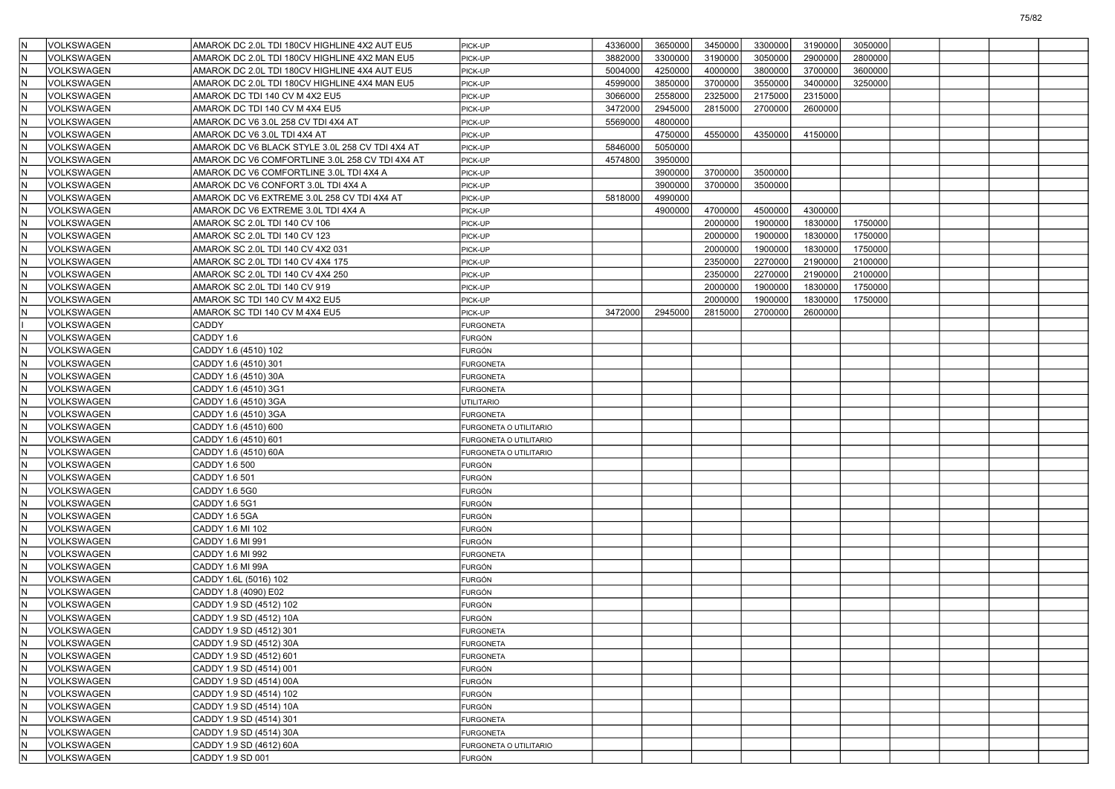|     | <b>VOLKSWAGEN</b>  | AMAROK DC 2.0L TDI 180CV HIGHLINE 4X2 AUT EU5   | PICK-UP                | 4336000 | 3650000 | 3450000 | 3300000 | 3190000 | 3050000 |  |  |
|-----|--------------------|-------------------------------------------------|------------------------|---------|---------|---------|---------|---------|---------|--|--|
|     | VOLKSWAGEN         | AMAROK DC 2.0L TDI 180CV HIGHLINE 4X2 MAN EU5   | PICK-UP                | 3882000 | 3300000 | 3190000 | 3050000 | 2900000 | 2800000 |  |  |
|     | VOLKSWAGEN         | AMAROK DC 2.0L TDI 180CV HIGHLINE 4X4 AUT EU5   | PICK-UP                | 5004000 | 4250000 | 4000000 | 3800000 | 3700000 | 3600000 |  |  |
|     | VOLKSWAGEN         | AMAROK DC 2.0L TDI 180CV HIGHLINE 4X4 MAN EU5   | PICK-UP                | 4599000 | 3850000 | 3700000 | 3550000 | 3400000 | 3250000 |  |  |
|     | <b>VOLKSWAGEN</b>  | AMAROK DC TDI 140 CV M 4X2 EU5                  | PICK-UP                | 3066000 | 2558000 | 2325000 | 2175000 | 2315000 |         |  |  |
|     | VOLKSWAGEN         | AMAROK DC TDI 140 CV M 4X4 EU5                  | PICK-UP                | 3472000 | 2945000 | 2815000 | 2700000 | 2600000 |         |  |  |
|     | VOLKSWAGEN         | AMAROK DC V6 3.0L 258 CV TDI 4X4 AT             | PICK-UP                | 5569000 | 4800000 |         |         |         |         |  |  |
|     | VOLKSWAGEN         | AMAROK DC V6 3.0L TDI 4X4 AT                    | PICK-UP                |         | 4750000 | 4550000 | 4350000 | 4150000 |         |  |  |
|     | VOLKSWAGEN         | AMAROK DC V6 BLACK STYLE 3.0L 258 CV TDI 4X4 AT | PICK-UP                | 5846000 | 5050000 |         |         |         |         |  |  |
|     | VOLKSWAGEN         | AMAROK DC V6 COMFORTLINE 3.0L 258 CV TDI 4X4 AT | PICK-UP                | 4574800 | 3950000 |         |         |         |         |  |  |
|     | <b>VOLKSWAGEN</b>  | AMAROK DC V6 COMFORTLINE 3.0L TDI 4X4 A         | PICK-UP                |         | 3900000 | 3700000 | 3500000 |         |         |  |  |
|     | VOLKSWAGEN         | AMAROK DC V6 CONFORT 3.0L TDI 4X4 A             | PICK-UP                |         | 3900000 | 3700000 | 3500000 |         |         |  |  |
|     | VOLKSWAGEN         | AMAROK DC V6 EXTREME 3.0L 258 CV TDI 4X4 AT     | PICK-UP                | 5818000 | 4990000 |         |         |         |         |  |  |
|     | VOLKSWAGEN         | AMAROK DC V6 EXTREME 3.0L TDI 4X4 A             | PICK-UP                |         | 4900000 | 4700000 | 4500000 | 4300000 |         |  |  |
|     | <b>VOLKSWAGEN</b>  | AMAROK SC 2.0L TDI 140 CV 106                   | PICK-UP                |         |         | 2000000 | 1900000 | 1830000 | 1750000 |  |  |
|     | VOLKSWAGEN         | AMAROK SC 2.0L TDI 140 CV 123                   | PICK-UP                |         |         | 2000000 | 1900000 | 1830000 | 1750000 |  |  |
|     | VOLKSWAGEN         | AMAROK SC 2.0L TDI 140 CV 4X2 031               | PICK-UP                |         |         | 2000000 | 1900000 | 1830000 | 1750000 |  |  |
|     | VOLKSWAGEN         | AMAROK SC 2.0L TDI 140 CV 4X4 175               | PICK-UP                |         |         | 2350000 | 2270000 | 2190000 | 2100000 |  |  |
|     | VOLKSWAGEN         | AMAROK SC 2.0L TDI 140 CV 4X4 250               | PICK-UP                |         |         | 2350000 | 2270000 | 2190000 | 2100000 |  |  |
|     | VOLKSWAGEN         | AMAROK SC 2.0L TDI 140 CV 919                   | PICK-UP                |         |         | 2000000 | 1900000 | 1830000 | 1750000 |  |  |
|     | VOLKSWAGEN         | AMAROK SC TDI 140 CV M 4X2 EU5                  | PICK-UP                |         |         | 2000000 | 1900000 | 1830000 | 1750000 |  |  |
|     | VOLKSWAGEN         | AMAROK SC TDI 140 CV M 4X4 EU5                  | PICK-UP                | 3472000 | 2945000 | 2815000 | 2700000 | 2600000 |         |  |  |
|     | VOLKSWAGEN         | CADDY                                           | <b>FURGONETA</b>       |         |         |         |         |         |         |  |  |
|     | VOLKSWAGEN         | CADDY 1.6                                       | FURGÓN                 |         |         |         |         |         |         |  |  |
|     | <b>VOLKSWAGEN</b>  | CADDY 1.6 (4510) 102                            | FURGÓN                 |         |         |         |         |         |         |  |  |
|     | VOLKSWAGEN         | CADDY 1.6 (4510) 301                            | <b>FURGONETA</b>       |         |         |         |         |         |         |  |  |
|     | VOLKSWAGEN         | CADDY 1.6 (4510) 30A                            | <b>URGONETA</b>        |         |         |         |         |         |         |  |  |
|     | VOLKSWAGEN         | CADDY 1.6 (4510) 3G1                            | <b>FURGONETA</b>       |         |         |         |         |         |         |  |  |
|     | VOLKSWAGEN         | CADDY 1.6 (4510) 3GA                            | <b>JTILITARIO</b>      |         |         |         |         |         |         |  |  |
|     | <b>VOLKSWAGEN</b>  | CADDY 1.6 (4510) 3GA                            | <b>FURGONETA</b>       |         |         |         |         |         |         |  |  |
|     | VOLKSWAGEN         | CADDY 1.6 (4510) 600                            | FURGONETA O UTILITARIO |         |         |         |         |         |         |  |  |
|     | VOLKSWAGEN         | CADDY 1.6 (4510) 601                            | FURGONETA O UTILITARIO |         |         |         |         |         |         |  |  |
|     | VOLKSWAGEN         | CADDY 1.6 (4510) 60A                            | FURGONETA O UTILITARIO |         |         |         |         |         |         |  |  |
|     | VOLKSWAGEN         | CADDY 1.6 500                                   | FURGÓN                 |         |         |         |         |         |         |  |  |
|     | VOLKSWAGEN         | CADDY 1.6 501                                   | FURGÓN                 |         |         |         |         |         |         |  |  |
|     | VOLKSWAGEN         | CADDY 1.6 5G0                                   | FURGÓN                 |         |         |         |         |         |         |  |  |
|     | VOLKSWAGEN         | CADDY 1.6 5G1                                   | FURGÓN                 |         |         |         |         |         |         |  |  |
|     | VOLKSWAGEN         | CADDY 1.6 5GA                                   | FURGÓN                 |         |         |         |         |         |         |  |  |
|     | VOLKSWAGEN         | CADDY 1.6 MI 102                                | FURGÓN                 |         |         |         |         |         |         |  |  |
|     | <b>VOLKSWAGEN</b>  | CADDY 1.6 MI 991                                | FURGÓN                 |         |         |         |         |         |         |  |  |
|     | VOLKSWAGEN         | CADDY 1.6 MI 992                                | <b>FURGONETA</b>       |         |         |         |         |         |         |  |  |
|     | VOLKSWAGEN         | CADDY 1.6 MI 99A                                | FURGÓN                 |         |         |         |         |         |         |  |  |
|     | VOLKSWAGEN         | CADDY 1.6L (5016) 102                           | FURGÓN                 |         |         |         |         |         |         |  |  |
|     | VOLKSWAGEN         | CADDY 1.8 (4090) E02                            | FURGÓN                 |         |         |         |         |         |         |  |  |
|     | <b>VOLKSWAGEN</b>  | CADDY 1.9 SD (4512) 102                         | FURGÓN                 |         |         |         |         |         |         |  |  |
|     | <b>VOLKSWAGEN</b>  | CADDY 1.9 SD (4512) 10A                         | FURGÓN                 |         |         |         |         |         |         |  |  |
|     | VOLKSWAGEN         | CADDY 1.9 SD (4512) 301                         | <b>FURGONETA</b>       |         |         |         |         |         |         |  |  |
|     | VOLKSWAGEN         | CADDY 1.9 SD (4512) 30A                         | <b>FURGONETA</b>       |         |         |         |         |         |         |  |  |
| İΝ  | VOLKSWAGEN         | CADDY 1.9 SD (4512) 601                         | <b>FURGONETA</b>       |         |         |         |         |         |         |  |  |
|     | VOLKSWAGEN         | CADDY 1.9 SD (4514) 001                         | <b>FURGÓN</b>          |         |         |         |         |         |         |  |  |
| IN. | VOLKSWAGEN         | CADDY 1.9 SD (4514) 00A                         | FURGÓN                 |         |         |         |         |         |         |  |  |
|     | VOLKSWAGEN         | CADDY 1.9 SD (4514) 102                         | FURGÓN                 |         |         |         |         |         |         |  |  |
|     | <b>IVOLKSWAGEN</b> | CADDY 1.9 SD (4514) 10A                         | FURGÓN                 |         |         |         |         |         |         |  |  |
| İΝ  | VOLKSWAGEN         | CADDY 1.9 SD (4514) 301                         | <b>FURGONETA</b>       |         |         |         |         |         |         |  |  |
|     | VOLKSWAGEN         | CADDY 1.9 SD (4514) 30A                         | <b>FURGONETA</b>       |         |         |         |         |         |         |  |  |
| IN. | VOLKSWAGEN         | CADDY 1.9 SD (4612) 60A                         | FURGONETA O UTILITARIO |         |         |         |         |         |         |  |  |
| IN. | VOLKSWAGEN         | CADDY 1.9 SD 001                                | <b>FURGÓN</b>          |         |         |         |         |         |         |  |  |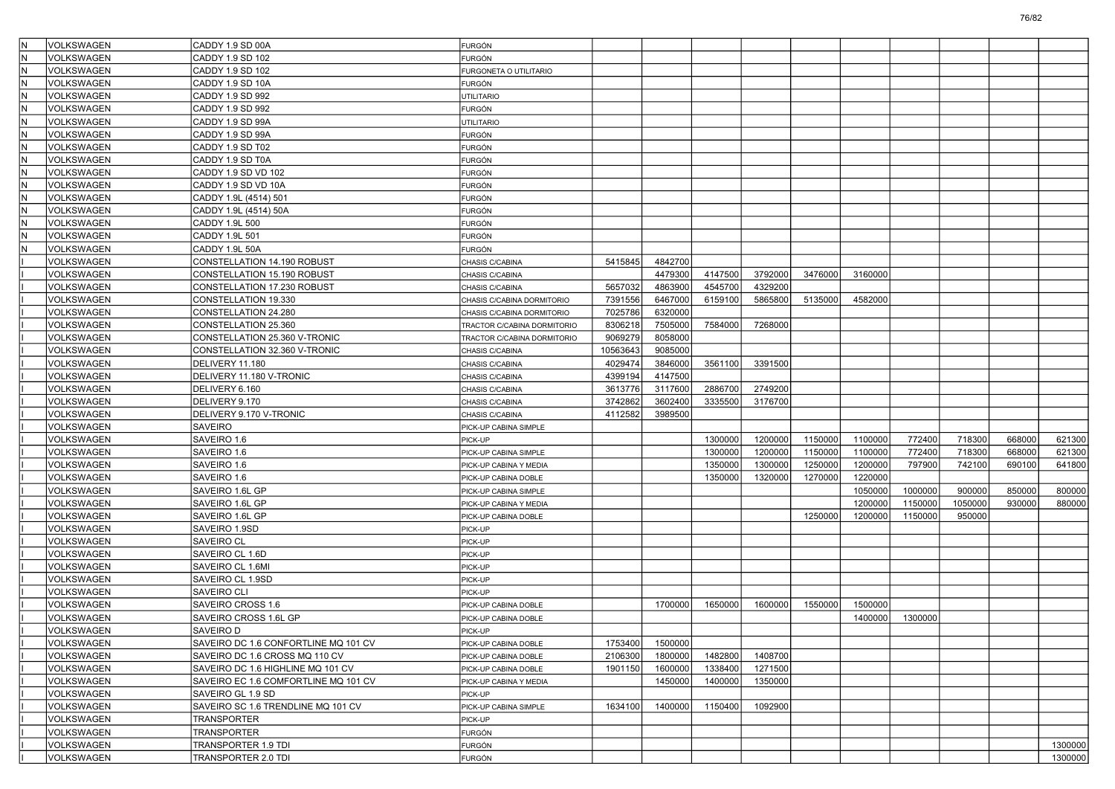|    | VOLKSWAGEN               | CADDY 1.9 SD 00A                           | <b>FURGÓN</b>               |          |         |         |         |         |         |         |         |        |         |
|----|--------------------------|--------------------------------------------|-----------------------------|----------|---------|---------|---------|---------|---------|---------|---------|--------|---------|
|    | VOLKSWAGEN               | CADDY 1.9 SD 102                           | FURGÓN                      |          |         |         |         |         |         |         |         |        |         |
|    | VOLKSWAGEN               | CADDY 1.9 SD 102                           | FURGONETA O UTILITARIO      |          |         |         |         |         |         |         |         |        |         |
| ΙN | VOLKSWAGEN               | CADDY 1.9 SD 10A                           | <b>FURGÓN</b>               |          |         |         |         |         |         |         |         |        |         |
| ΙN | VOLKSWAGEN               | CADDY 1.9 SD 992                           | UTILITARIO                  |          |         |         |         |         |         |         |         |        |         |
| ΙN | VOLKSWAGEN               | CADDY 1.9 SD 992                           | <b>FURGÓN</b>               |          |         |         |         |         |         |         |         |        |         |
|    | VOLKSWAGEN               | CADDY 1.9 SD 99A                           | <b>JTILITARIO</b>           |          |         |         |         |         |         |         |         |        |         |
|    | VOLKSWAGEN               | CADDY 1.9 SD 99A                           | FURGÓN                      |          |         |         |         |         |         |         |         |        |         |
| ΙN | VOLKSWAGEN               | CADDY 1.9 SD T02                           | <b>FURGÓN</b>               |          |         |         |         |         |         |         |         |        |         |
| ΙN | VOLKSWAGEN               | CADDY 1.9 SD T0A                           | <b>FURGÓN</b>               |          |         |         |         |         |         |         |         |        |         |
| ΙN | VOLKSWAGEN               | CADDY 1.9 SD VD 102                        | <b>FURGÓN</b>               |          |         |         |         |         |         |         |         |        |         |
|    | VOLKSWAGEN               | CADDY 1.9 SD VD 10A                        | FURGÓN                      |          |         |         |         |         |         |         |         |        |         |
|    | VOLKSWAGEN               | CADDY 1.9L (4514) 501                      | FURGÓN                      |          |         |         |         |         |         |         |         |        |         |
| ΙN | VOLKSWAGEN               | CADDY 1.9L (4514) 50A                      | FURGÓN                      |          |         |         |         |         |         |         |         |        |         |
| ΙN | VOLKSWAGEN               | CADDY 1.9L 500                             | <b>FURGÓN</b>               |          |         |         |         |         |         |         |         |        |         |
|    | VOLKSWAGEN               | CADDY 1.9L 501                             | <b>FURGÓN</b>               |          |         |         |         |         |         |         |         |        |         |
|    | VOLKSWAGEN               | CADDY 1.9L 50A                             | <b>FURGÓN</b>               |          |         |         |         |         |         |         |         |        |         |
|    | VOLKSWAGEN               | CONSTELLATION 14.190 ROBUST                | CHASIS C/CABINA             | 5415845  | 4842700 |         |         |         |         |         |         |        |         |
|    | VOLKSWAGEN               | CONSTELLATION 15.190 ROBUST                | CHASIS C/CABINA             |          | 4479300 | 4147500 | 3792000 | 3476000 | 3160000 |         |         |        |         |
|    | VOLKSWAGEN               | CONSTELLATION 17.230 ROBUST                | CHASIS C/CABINA             | 5657032  | 4863900 | 4545700 | 4329200 |         |         |         |         |        |         |
|    | VOLKSWAGEN               | CONSTELLATION 19.330                       | CHASIS C/CABINA DORMITORIO  | 7391556  | 6467000 | 6159100 | 5865800 | 5135000 | 4582000 |         |         |        |         |
|    | VOLKSWAGEN               | CONSTELLATION 24.280                       | CHASIS C/CABINA DORMITORIO  | 7025786  | 6320000 |         |         |         |         |         |         |        |         |
|    | VOLKSWAGEN               | CONSTELLATION 25.360                       | TRACTOR C/CABINA DORMITORIO | 8306218  | 7505000 | 7584000 | 7268000 |         |         |         |         |        |         |
|    | VOLKSWAGEN               | CONSTELLATION 25.360 V-TRONIC              | TRACTOR C/CABINA DORMITORIO | 9069279  | 8058000 |         |         |         |         |         |         |        |         |
|    | VOLKSWAGEN               | CONSTELLATION 32.360 V-TRONIC              | CHASIS C/CABINA             | 10563643 | 9085000 |         |         |         |         |         |         |        |         |
|    | VOLKSWAGEN               | DELIVERY 11.180                            | CHASIS C/CABINA             | 4029474  | 3846000 | 3561100 | 3391500 |         |         |         |         |        |         |
|    | VOLKSWAGEN               | DELIVERY 11.180 V-TRONIC                   | CHASIS C/CABINA             | 4399194  | 4147500 |         |         |         |         |         |         |        |         |
|    | VOLKSWAGEN               | DELIVERY 6.160                             | CHASIS C/CABINA             | 3613776  | 3117600 | 2886700 | 2749200 |         |         |         |         |        |         |
|    | VOLKSWAGEN               | DELIVERY 9.170                             | CHASIS C/CABINA             | 3742862  | 3602400 | 3335500 | 3176700 |         |         |         |         |        |         |
|    | VOLKSWAGEN               | DELIVERY 9.170 V-TRONIC                    | CHASIS C/CABINA             | 4112582  | 3989500 |         |         |         |         |         |         |        |         |
|    | VOLKSWAGEN               | <b>SAVEIRO</b>                             | PICK-UP CABINA SIMPLE       |          |         |         |         |         |         |         |         |        |         |
|    | VOLKSWAGEN               | SAVEIRO 1.6                                | PICK-UP                     |          |         | 1300000 | 1200000 | 1150000 | 1100000 | 772400  | 718300  | 668000 | 621300  |
|    | VOLKSWAGEN               | SAVEIRO 1.6                                | PICK-UP CABINA SIMPLE       |          |         | 1300000 | 1200000 | 1150000 | 1100000 | 772400  | 718300  | 668000 | 621300  |
|    | VOLKSWAGEN               | SAVEIRO 1.6                                | PICK-UP CABINA Y MEDIA      |          |         | 1350000 | 1300000 | 1250000 | 1200000 | 797900  | 742100  | 690100 | 641800  |
|    | VOLKSWAGEN               | SAVEIRO 1.6                                | PICK-UP CABINA DOBLE        |          |         | 1350000 | 1320000 | 1270000 | 1220000 |         |         |        |         |
|    | VOLKSWAGEN               | SAVEIRO 1.6L GP                            | PICK-UP CABINA SIMPLE       |          |         |         |         |         | 1050000 | 1000000 | 900000  | 850000 | 800000  |
|    | VOLKSWAGEN               | SAVEIRO 1.6L GP                            | PICK-UP CABINA Y MEDIA      |          |         |         |         |         | 1200000 | 1150000 | 1050000 | 930000 | 880000  |
|    | VOLKSWAGEN               | SAVEIRO 1.6L GP                            | PICK-UP CABINA DOBLE        |          |         |         |         | 1250000 | 1200000 | 1150000 | 950000  |        |         |
|    | VOLKSWAGEN               | SAVEIRO 1.9SD                              | PICK-UP                     |          |         |         |         |         |         |         |         |        |         |
|    | VOLKSWAGEN               | <b>SAVEIRO CL</b>                          | PICK-UP                     |          |         |         |         |         |         |         |         |        |         |
|    | VOLKSWAGEN               | SAVEIRO CL 1.6D                            | PICK-UP                     |          |         |         |         |         |         |         |         |        |         |
|    |                          |                                            |                             |          |         |         |         |         |         |         |         |        |         |
|    | VOLKSWAGEN<br>VOLKSWAGEN | SAVEIRO CL 1.6MI<br>SAVEIRO CL 1.9SD       | PICK-UP<br>PICK-UP          |          |         |         |         |         |         |         |         |        |         |
|    |                          |                                            |                             |          |         |         |         |         |         |         |         |        |         |
|    | VOLKSWAGEN               | <b>SAVEIRO CLI</b>                         | PICK-UP                     |          |         |         |         |         |         |         |         |        |         |
|    | VOLKSWAGEN               | SAVEIRO CROSS 1.6<br>SAVEIRO CROSS 1.6L GP | PICK-UP CABINA DOBLE        |          | 1700000 | 1650000 | 1600000 | 1550000 | 1500000 |         |         |        |         |
|    | VOLKSWAGEN               |                                            | PICK-UP CABINA DOBLE        |          |         |         |         |         | 1400000 | 1300000 |         |        |         |
|    | VOLKSWAGEN               | SAVEIRO D                                  | PICK-UP                     |          |         |         |         |         |         |         |         |        |         |
|    | VOLKSWAGEN               | SAVEIRO DC 1.6 CONFORTLINE MQ 101 CV       | PICK-UP CABINA DOBLE        | 1753400  | 1500000 |         |         |         |         |         |         |        |         |
|    | VOLKSWAGEN               | SAVEIRO DC 1.6 CROSS MQ 110 CV             | PICK-UP CABINA DOBLE        | 2106300  | 1800000 | 1482800 | 1408700 |         |         |         |         |        |         |
|    | VOLKSWAGEN               | SAVEIRO DC 1.6 HIGHLINE MQ 101 CV          | PICK-UP CABINA DOBLE        | 1901150  | 1600000 | 1338400 | 1271500 |         |         |         |         |        |         |
|    | VOLKSWAGEN               | SAVEIRO EC 1.6 COMFORTLINE MQ 101 CV       | PICK-UP CABINA Y MEDIA      |          | 1450000 | 1400000 | 1350000 |         |         |         |         |        |         |
|    | VOLKSWAGEN               | SAVEIRO GL 1.9 SD                          | PICK-UP                     |          |         |         |         |         |         |         |         |        |         |
|    | VOLKSWAGEN               | SAVEIRO SC 1.6 TRENDLINE MQ 101 CV         | PICK-UP CABINA SIMPLE       | 1634100  | 1400000 | 1150400 | 1092900 |         |         |         |         |        |         |
|    | VOLKSWAGEN               | <b>TRANSPORTER</b>                         | PICK-UP                     |          |         |         |         |         |         |         |         |        |         |
|    | VOLKSWAGEN               | TRANSPORTER                                | <b>FURGÓN</b>               |          |         |         |         |         |         |         |         |        |         |
|    | VOLKSWAGEN               | TRANSPORTER 1.9 TDI                        | <b>FURGÓN</b>               |          |         |         |         |         |         |         |         |        | 1300000 |
|    | VOLKSWAGEN               | TRANSPORTER 2.0 TDI                        | <b>FURGÓN</b>               |          |         |         |         |         |         |         |         |        | 1300000 |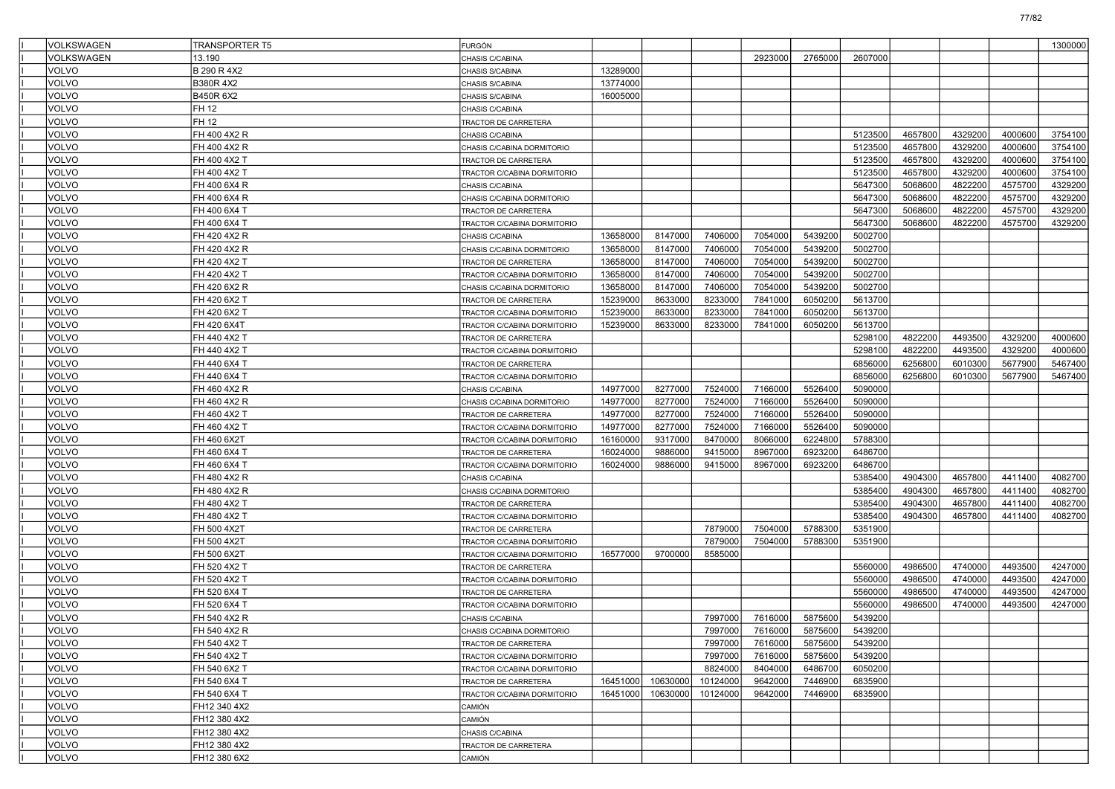| VOLKSWAGEN   | <b>TRANSPORTER T5</b> | FURGÓN                      |          |          |          |         |         |         |         |         |         | 1300000 |
|--------------|-----------------------|-----------------------------|----------|----------|----------|---------|---------|---------|---------|---------|---------|---------|
| VOLKSWAGEN   | 13.190                | CHASIS C/CABINA             |          |          |          | 2923000 | 2765000 | 2607000 |         |         |         |         |
| <b>VOLVO</b> | B 290 R 4X2           | CHASIS S/CABINA             | 13289000 |          |          |         |         |         |         |         |         |         |
| <b>VOLVO</b> | B380R 4X2             | CHASIS S/CABINA             | 13774000 |          |          |         |         |         |         |         |         |         |
| VOLVO        | B450R 6X2             | CHASIS S/CABINA             | 16005000 |          |          |         |         |         |         |         |         |         |
| VOLVO        | FH 12                 | CHASIS C/CABINA             |          |          |          |         |         |         |         |         |         |         |
| VOLVO        | FH 12                 | TRACTOR DE CARRETERA        |          |          |          |         |         |         |         |         |         |         |
| <b>VOLVO</b> | FH 400 4X2 R          | CHASIS C/CABINA             |          |          |          |         |         | 5123500 | 4657800 | 4329200 | 4000600 | 3754100 |
| VOLVO        | FH 400 4X2 R          | CHASIS C/CABINA DORMITORIO  |          |          |          |         |         | 5123500 | 4657800 | 4329200 | 4000600 | 3754100 |
| VOLVO        | FH 400 4X2 T          | TRACTOR DE CARRETERA        |          |          |          |         |         | 5123500 | 4657800 | 4329200 | 4000600 | 3754100 |
| VOLVO        | FH 400 4X2 T          | TRACTOR C/CABINA DORMITORIO |          |          |          |         |         | 5123500 | 4657800 | 4329200 | 4000600 | 3754100 |
| VOLVO        | FH 400 6X4 R          | CHASIS C/CABINA             |          |          |          |         |         | 5647300 | 5068600 | 4822200 | 4575700 | 4329200 |
| <b>VOLVO</b> | FH 400 6X4 R          | CHASIS C/CABINA DORMITORIO  |          |          |          |         |         | 5647300 | 5068600 | 4822200 | 4575700 | 4329200 |
| VOLVO        | FH 400 6X4 T          | TRACTOR DE CARRETERA        |          |          |          |         |         | 5647300 | 5068600 | 4822200 | 4575700 | 4329200 |
| VOLVO        | FH 400 6X4 T          | TRACTOR C/CABINA DORMITORIO |          |          |          |         |         | 5647300 | 5068600 | 4822200 | 4575700 | 4329200 |
| VOLVO        | FH 420 4X2 R          | CHASIS C/CABINA             | 13658000 | 8147000  | 7406000  | 7054000 | 5439200 | 5002700 |         |         |         |         |
| VOLVO        | FH 420 4X2 R          | CHASIS C/CABINA DORMITORIO  | 13658000 | 8147000  | 7406000  | 7054000 | 5439200 | 5002700 |         |         |         |         |
| <b>VOLVO</b> | FH 420 4X2 T          | TRACTOR DE CARRETERA        | 13658000 | 8147000  | 7406000  | 7054000 | 5439200 | 5002700 |         |         |         |         |
| <b>VOLVO</b> | FH 420 4X2 T          | TRACTOR C/CABINA DORMITORIO | 13658000 | 8147000  | 7406000  | 7054000 | 5439200 | 5002700 |         |         |         |         |
| VOLVO        | FH 420 6X2 R          | CHASIS C/CABINA DORMITORIO  | 13658000 | 8147000  | 7406000  | 7054000 | 5439200 | 5002700 |         |         |         |         |
| VOLVO        | FH 420 6X2 T          | TRACTOR DE CARRETERA        | 15239000 | 8633000  | 8233000  | 7841000 | 6050200 | 5613700 |         |         |         |         |
| VOLVO        | FH 420 6X2 T          | TRACTOR C/CABINA DORMITORIO | 15239000 | 8633000  | 8233000  | 7841000 | 6050200 | 5613700 |         |         |         |         |
| <b>VOLVO</b> | FH 420 6X4T           | TRACTOR C/CABINA DORMITORIO | 15239000 | 8633000  | 8233000  | 7841000 | 6050200 | 5613700 |         |         |         |         |
| <b>VOLVO</b> | FH 440 4X2 T          | TRACTOR DE CARRETERA        |          |          |          |         |         | 5298100 | 4822200 | 4493500 | 4329200 | 4000600 |
| <b>VOLVO</b> | FH 440 4X2 T          | TRACTOR C/CABINA DORMITORIO |          |          |          |         |         | 5298100 | 4822200 | 4493500 | 4329200 | 4000600 |
| VOLVO        | FH 440 6X4 T          | TRACTOR DE CARRETERA        |          |          |          |         |         | 6856000 | 6256800 | 6010300 | 5677900 | 5467400 |
| VOLVO        | FH 440 6X4 T          | TRACTOR C/CABINA DORMITORIO |          |          |          |         |         | 6856000 | 6256800 | 6010300 | 5677900 | 5467400 |
| <b>VOLVO</b> | FH 460 4X2 R          | CHASIS C/CABINA             | 14977000 | 8277000  | 7524000  | 7166000 | 5526400 | 5090000 |         |         |         |         |
| <b>VOLVO</b> | FH 460 4X2 R          | CHASIS C/CABINA DORMITORIO  | 14977000 | 8277000  | 7524000  | 7166000 | 5526400 | 5090000 |         |         |         |         |
| <b>VOLVO</b> | FH 460 4X2 T          | TRACTOR DE CARRETERA        | 14977000 | 8277000  | 7524000  | 7166000 | 5526400 | 5090000 |         |         |         |         |
| VOLVO        | FH 460 4X2 T          | TRACTOR C/CABINA DORMITORIO | 14977000 | 8277000  | 7524000  | 7166000 | 5526400 | 5090000 |         |         |         |         |
| VOLVO        | FH 460 6X2T           | TRACTOR C/CABINA DORMITORIO | 16160000 | 9317000  | 8470000  | 8066000 | 6224800 | 5788300 |         |         |         |         |
| <b>VOLVO</b> | FH 460 6X4 T          | TRACTOR DE CARRETERA        | 16024000 | 9886000  | 9415000  | 8967000 | 6923200 | 6486700 |         |         |         |         |
| <b>VOLVO</b> | FH 460 6X4 T          | TRACTOR C/CABINA DORMITORIO | 16024000 | 9886000  | 9415000  | 8967000 | 6923200 | 6486700 |         |         |         |         |
| <b>VOLVO</b> | FH 480 4X2 R          | CHASIS C/CABINA             |          |          |          |         |         | 5385400 | 4904300 | 4657800 | 4411400 | 4082700 |
| VOLVO        | FH 480 4X2 R          | CHASIS C/CABINA DORMITORIO  |          |          |          |         |         | 5385400 | 4904300 | 4657800 | 4411400 | 4082700 |
| VOLVO        | FH 480 4X2 T          | TRACTOR DE CARRETERA        |          |          |          |         |         | 5385400 | 4904300 | 4657800 | 4411400 | 4082700 |
| <b>VOLVO</b> | FH 480 4X2 T          | TRACTOR C/CABINA DORMITORIO |          |          |          |         |         | 5385400 | 4904300 | 4657800 | 4411400 | 4082700 |
| <b>VOLVO</b> | FH 500 4X2T           | TRACTOR DE CARRETERA        |          |          | 7879000  | 7504000 | 5788300 | 5351900 |         |         |         |         |
| <b>VOLVO</b> | FH 500 4X2T           | TRACTOR C/CABINA DORMITORIO |          |          | 7879000  | 7504000 | 5788300 | 5351900 |         |         |         |         |
| VOLVO        | FH 500 6X2T           | TRACTOR C/CABINA DORMITORIO | 16577000 | 9700000  | 8585000  |         |         |         |         |         |         |         |
| <b>VOLVO</b> | FH 520 4X2 T          | TRACTOR DE CARRETERA        |          |          |          |         |         | 5560000 | 4986500 | 4740000 | 4493500 | 4247000 |
| <b>VOLVO</b> | FH 520 4X2 T          | TRACTOR C/CABINA DORMITORIO |          |          |          |         |         | 5560000 | 4986500 | 4740000 | 4493500 | 4247000 |
| <b>VOLVO</b> | FH 520 6X4 T          | TRACTOR DE CARRETERA        |          |          |          |         |         | 5560000 | 4986500 | 4740000 | 4493500 | 4247000 |
| VOLVO        | FH 520 6X4 T          | TRACTOR C/CABINA DORMITORIO |          |          |          |         |         | 5560000 | 4986500 | 4740000 | 4493500 | 4247000 |
| VOLVO        | FH 540 4X2 R          | CHASIS C/CABINA             |          |          | 7997000  | 7616000 | 5875600 | 5439200 |         |         |         |         |
| VOLVO        | FH 540 4X2 R          | CHASIS C/CABINA DORMITORIO  |          |          | 7997000  | 7616000 | 5875600 | 5439200 |         |         |         |         |
| <b>VOLVO</b> | FH 540 4X2 T          | TRACTOR DE CARRETERA        |          |          | 7997000  | 7616000 | 5875600 | 5439200 |         |         |         |         |
| VOLVO        | FH 540 4X2 T          | TRACTOR C/CABINA DORMITORIO |          |          | 7997000  | 7616000 | 5875600 | 5439200 |         |         |         |         |
| <b>VOLVO</b> | FH 540 6X2 T          | TRACTOR C/CABINA DORMITORIO |          |          | 8824000  | 8404000 | 6486700 | 6050200 |         |         |         |         |
| <b>VOLVO</b> | FH 540 6X4 T          | TRACTOR DE CARRETERA        | 16451000 | 10630000 | 10124000 | 9642000 | 7446900 | 6835900 |         |         |         |         |
| <b>VOLVO</b> | FH 540 6X4 T          | TRACTOR C/CABINA DORMITORIO | 16451000 | 10630000 | 10124000 | 9642000 | 7446900 | 6835900 |         |         |         |         |
| <b>VOLVO</b> | FH12 340 4X2          | CAMIÓN                      |          |          |          |         |         |         |         |         |         |         |
| <b>VOLVO</b> | FH12 380 4X2          | CAMIÓN                      |          |          |          |         |         |         |         |         |         |         |
| <b>VOLVO</b> | FH12 380 4X2          | CHASIS C/CABINA             |          |          |          |         |         |         |         |         |         |         |
| <b>VOLVO</b> | FH12 380 4X2          | TRACTOR DE CARRETERA        |          |          |          |         |         |         |         |         |         |         |
| VOLVO        | FH12 380 6X2          | CAMIÓN                      |          |          |          |         |         |         |         |         |         |         |

77/82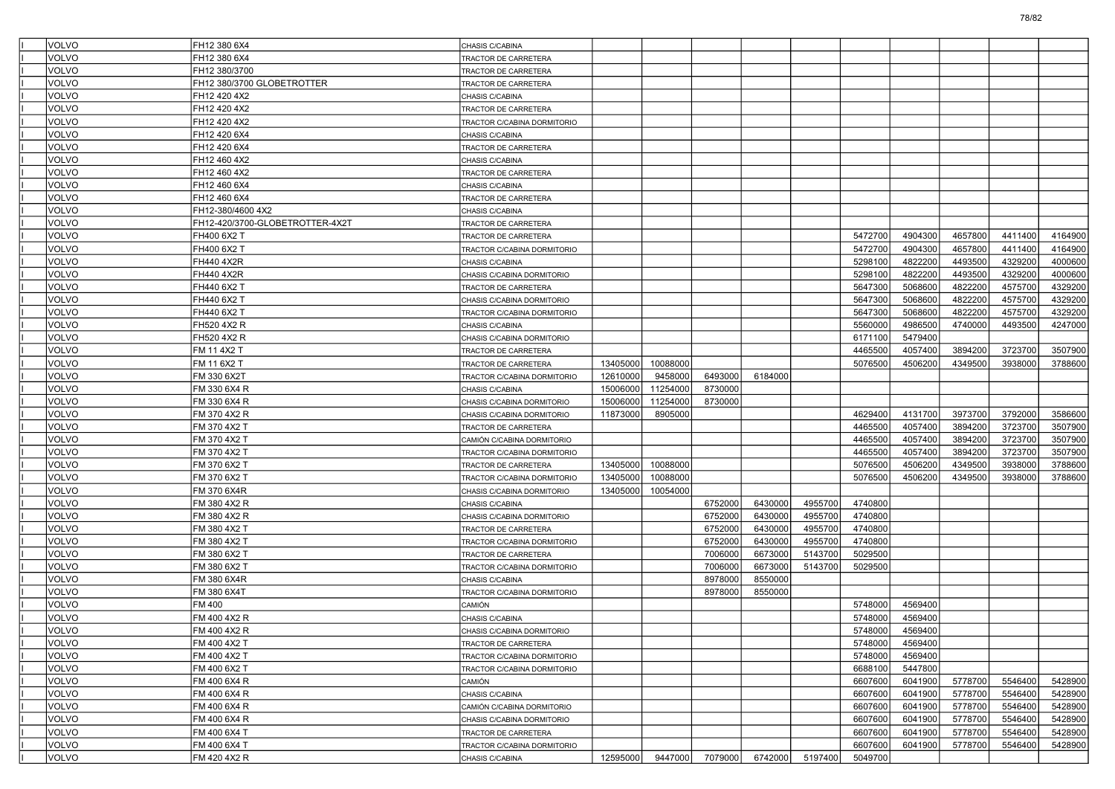| <b>VOLVO</b> | FH12 380 6X4                    | CHASIS C/CABINA             |          |          |         |         |         |         |         |         |         |         |
|--------------|---------------------------------|-----------------------------|----------|----------|---------|---------|---------|---------|---------|---------|---------|---------|
| VOLVO        | FH12 380 6X4                    | <b>FRACTOR DE CARRETERA</b> |          |          |         |         |         |         |         |         |         |         |
| VOLVO        | FH12 380/3700                   | TRACTOR DE CARRETERA        |          |          |         |         |         |         |         |         |         |         |
| VOLVO        | FH12 380/3700 GLOBETROTTER      | TRACTOR DE CARRETERA        |          |          |         |         |         |         |         |         |         |         |
| VOLVO        | FH12 420 4X2                    | CHASIS C/CABINA             |          |          |         |         |         |         |         |         |         |         |
| VOLVO        | FH12 420 4X2                    | TRACTOR DE CARRETERA        |          |          |         |         |         |         |         |         |         |         |
| VOLVO        | FH12 420 4X2                    | TRACTOR C/CABINA DORMITORIO |          |          |         |         |         |         |         |         |         |         |
| VOLVO        | FH12 420 6X4                    | CHASIS C/CABINA             |          |          |         |         |         |         |         |         |         |         |
| VOLVO        | FH12 420 6X4                    | TRACTOR DE CARRETERA        |          |          |         |         |         |         |         |         |         |         |
| VOLVO        | FH12 460 4X2                    | CHASIS C/CABINA             |          |          |         |         |         |         |         |         |         |         |
| VOLVO        | FH12 460 4X2                    | TRACTOR DE CARRETERA        |          |          |         |         |         |         |         |         |         |         |
| VOLVO        | FH12 460 6X4                    | CHASIS C/CABINA             |          |          |         |         |         |         |         |         |         |         |
| VOLVO        | FH12 460 6X4                    | TRACTOR DE CARRETERA        |          |          |         |         |         |         |         |         |         |         |
| VOLVO        | FH12-380/4600 4X2               | CHASIS C/CABINA             |          |          |         |         |         |         |         |         |         |         |
| VOLVO        | FH12-420/3700-GLOBETROTTER-4X2T | TRACTOR DE CARRETERA        |          |          |         |         |         |         |         |         |         |         |
| VOLVO        | FH400 6X2 T                     | TRACTOR DE CARRETERA        |          |          |         |         |         | 5472700 | 4904300 | 4657800 | 4411400 | 4164900 |
| VOLVO        | FH400 6X2 T                     | TRACTOR C/CABINA DORMITORIO |          |          |         |         |         | 5472700 | 4904300 | 4657800 | 4411400 | 4164900 |
| VOLVO        | FH440 4X2R                      | CHASIS C/CABINA             |          |          |         |         |         | 5298100 | 4822200 | 4493500 | 4329200 | 4000600 |
| VOLVO        | FH440 4X2R                      | CHASIS C/CABINA DORMITORIO  |          |          |         |         |         | 5298100 | 4822200 | 4493500 | 4329200 | 4000600 |
| VOLVO        | FH440 6X2 T                     | TRACTOR DE CARRETERA        |          |          |         |         |         | 5647300 | 5068600 | 4822200 | 4575700 | 4329200 |
| VOLVO        | FH440 6X2 T                     | CHASIS C/CABINA DORMITORIO  |          |          |         |         |         | 5647300 | 5068600 | 4822200 | 4575700 | 4329200 |
| VOLVO        | FH440 6X2 T                     | TRACTOR C/CABINA DORMITORIO |          |          |         |         |         | 5647300 | 5068600 | 4822200 | 4575700 | 4329200 |
| VOLVO        | FH520 4X2 R                     | CHASIS C/CABINA             |          |          |         |         |         | 5560000 | 4986500 | 4740000 | 4493500 | 4247000 |
| VOLVO        | FH520 4X2 R                     | CHASIS C/CABINA DORMITORIO  |          |          |         |         |         | 6171100 | 5479400 |         |         |         |
| VOLVO        | FM 11 4X2 T                     | TRACTOR DE CARRETERA        |          |          |         |         |         | 4465500 | 4057400 | 3894200 | 3723700 | 3507900 |
| VOLVO        | FM 11 6X2 T                     | TRACTOR DE CARRETERA        | 13405000 | 10088000 |         |         |         | 5076500 | 4506200 | 4349500 | 3938000 | 3788600 |
| VOLVO        | FM 330 6X2T                     | TRACTOR C/CABINA DORMITORIO | 12610000 | 9458000  | 6493000 | 6184000 |         |         |         |         |         |         |
| VOLVO        | FM 330 6X4 R                    | CHASIS C/CABINA             | 15006000 | 11254000 | 8730000 |         |         |         |         |         |         |         |
| VOLVO        | FM 330 6X4 R                    | CHASIS C/CABINA DORMITORIO  | 15006000 | 11254000 | 8730000 |         |         |         |         |         |         |         |
| VOLVO        | FM 370 4X2 R                    | CHASIS C/CABINA DORMITORIO  | 11873000 | 8905000  |         |         |         | 4629400 | 4131700 | 3973700 | 3792000 | 3586600 |
| VOLVO        | FM 370 4X2 T                    | TRACTOR DE CARRETERA        |          |          |         |         |         | 4465500 | 4057400 | 3894200 | 3723700 | 3507900 |
| VOLVO        | FM 370 4X2 T                    | CAMIÓN C/CABINA DORMITORIO  |          |          |         |         |         | 4465500 | 4057400 | 3894200 | 3723700 | 3507900 |
| VOLVO        | FM 370 4X2 T                    | TRACTOR C/CABINA DORMITORIO |          |          |         |         |         | 4465500 | 4057400 | 3894200 | 3723700 | 3507900 |
| VOLVO        | FM 370 6X2 T                    | TRACTOR DE CARRETERA        | 13405000 | 10088000 |         |         |         | 5076500 | 4506200 | 4349500 | 3938000 | 3788600 |
| VOLVO        | FM 370 6X2 T                    | TRACTOR C/CABINA DORMITORIO | 13405000 | 10088000 |         |         |         | 5076500 | 4506200 | 4349500 | 3938000 | 3788600 |
| VOLVO        | FM 370 6X4R                     | CHASIS C/CABINA DORMITORIO  | 13405000 | 10054000 |         |         |         |         |         |         |         |         |
| VOLVO        | FM 380 4X2 R                    | CHASIS C/CABINA             |          |          | 6752000 | 6430000 | 4955700 | 4740800 |         |         |         |         |
| VOLVO        | FM 380 4X2 R                    | CHASIS C/CABINA DORMITORIO  |          |          | 6752000 | 6430000 | 4955700 | 4740800 |         |         |         |         |
| VOLVO        | FM 380 4X2 T                    | TRACTOR DE CARRETERA        |          |          | 6752000 | 6430000 | 4955700 | 4740800 |         |         |         |         |
| VOLVO        | FM 380 4X2 T                    | TRACTOR C/CABINA DORMITORIO |          |          | 6752000 | 6430000 | 4955700 | 4740800 |         |         |         |         |
| VOLVO        | FM 380 6X2 T                    | TRACTOR DE CARRETERA        |          |          | 7006000 | 6673000 | 5143700 | 5029500 |         |         |         |         |
| VOLVO        | FM 380 6X2 T                    | TRACTOR C/CABINA DORMITORIO |          |          | 7006000 | 6673000 | 5143700 | 5029500 |         |         |         |         |
| VOLVO        | FM 380 6X4R                     | CHASIS C/CABINA             |          |          | 8978000 | 8550000 |         |         |         |         |         |         |
| VOLVO        | FM 380 6X4T                     | TRACTOR C/CABINA DORMITORIO |          |          | 8978000 | 8550000 |         |         |         |         |         |         |
| VOLVO        | FM 400                          | <b>CAMIÓN</b>               |          |          |         |         |         | 5748000 | 4569400 |         |         |         |
| VOLVO        | FM 400 4X2 R                    | CHASIS C/CABINA             |          |          |         |         |         | 5748000 | 4569400 |         |         |         |
| <b>VOLVO</b> | FM 400 4X2 R                    | CHASIS C/CABINA DORMITORIO  |          |          |         |         |         | 5748000 | 4569400 |         |         |         |
| VOLVO        | FM 400 4X2 T                    | TRACTOR DE CARRETERA        |          |          |         |         |         | 5748000 | 4569400 |         |         |         |
| VOLVO        | FM 400 4X2 T                    | TRACTOR C/CABINA DORMITORIO |          |          |         |         |         | 5748000 | 4569400 |         |         |         |
| VOLVO        | FM 400 6X2 T                    | TRACTOR C/CABINA DORMITORIO |          |          |         |         |         | 6688100 | 5447800 |         |         |         |
| <b>VOLVO</b> | FM 400 6X4 R                    | CAMIÓN                      |          |          |         |         |         | 6607600 | 6041900 | 5778700 | 5546400 | 5428900 |
| VOLVO        | FM 400 6X4 R                    | CHASIS C/CABINA             |          |          |         |         |         | 6607600 | 6041900 | 5778700 | 5546400 | 5428900 |
| VOLVO        | FM 400 6X4 R                    | CAMIÓN C/CABINA DORMITORIO  |          |          |         |         |         | 6607600 | 6041900 | 5778700 | 5546400 | 5428900 |
| VOLVO        | FM 400 6X4 R                    | CHASIS C/CABINA DORMITORIO  |          |          |         |         |         | 6607600 | 6041900 | 5778700 | 5546400 | 5428900 |
| VOLVO        | FM 400 6X4 T                    | TRACTOR DE CARRETERA        |          |          |         |         |         | 6607600 | 6041900 | 5778700 | 5546400 | 5428900 |
| VOLVO        | FM 400 6X4 T                    | TRACTOR C/CABINA DORMITORIO |          |          |         |         |         | 6607600 | 6041900 | 5778700 | 5546400 | 5428900 |
| VOLVO        | FM 420 4X2 R                    | CHASIS C/CABINA             | 12595000 | 9447000  | 7079000 | 6742000 | 5197400 | 5049700 |         |         |         |         |
|              |                                 |                             |          |          |         |         |         |         |         |         |         |         |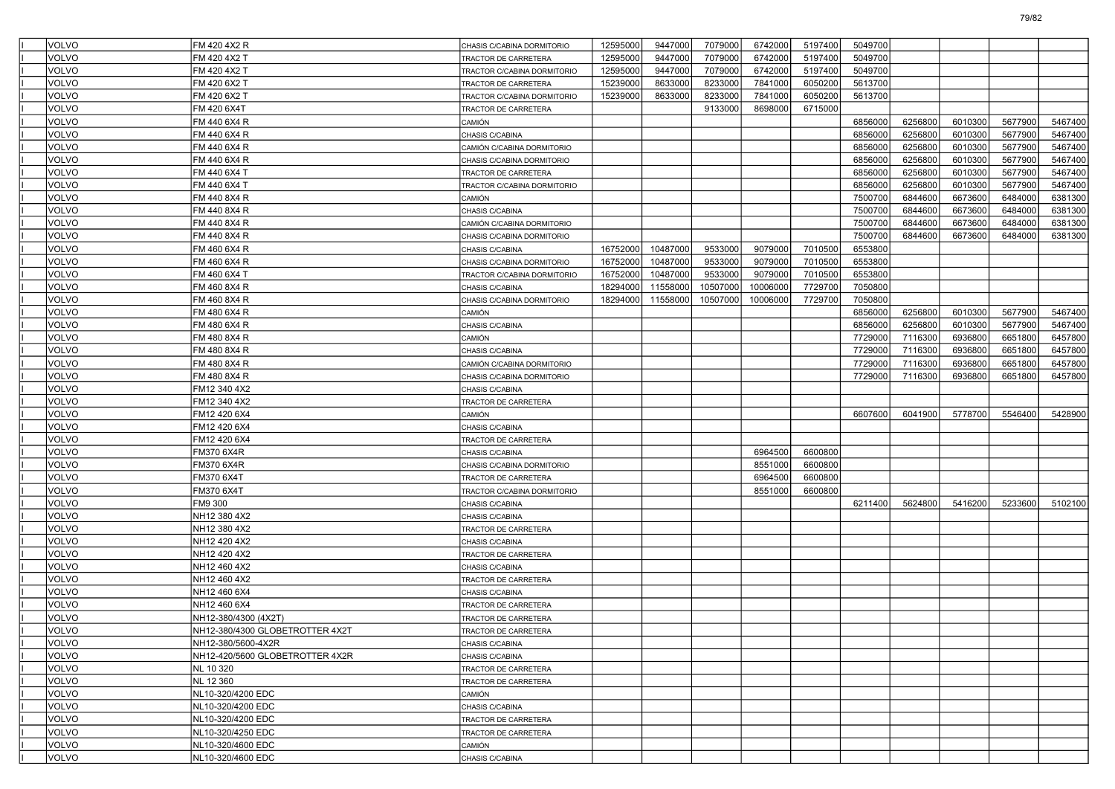| <b>VOLVO</b> | FM 420 4X2 R                    | CHASIS C/CABINA DORMITORIO  | 12595000 | 9447000  | 7079000  | 6742000  | 5197400 | 5049700 |         |         |         |         |
|--------------|---------------------------------|-----------------------------|----------|----------|----------|----------|---------|---------|---------|---------|---------|---------|
| VOLVO        | FM 420 4X2 T                    | TRACTOR DE CARRETERA        | 12595000 | 9447000  | 7079000  | 6742000  | 5197400 | 5049700 |         |         |         |         |
| <b>VOLVO</b> | FM 420 4X2 T                    | TRACTOR C/CABINA DORMITORIO | 12595000 | 9447000  | 7079000  | 6742000  | 5197400 | 5049700 |         |         |         |         |
| <b>VOLVO</b> | FM 420 6X2 T                    | TRACTOR DE CARRETERA        | 15239000 | 8633000  | 8233000  | 7841000  | 6050200 | 5613700 |         |         |         |         |
| <b>VOLVO</b> | FM 420 6X2 T                    | TRACTOR C/CABINA DORMITORIO | 15239000 | 8633000  | 8233000  | 7841000  | 6050200 | 5613700 |         |         |         |         |
| VOLVO        | FM 420 6X4T                     | TRACTOR DE CARRETERA        |          |          | 9133000  | 8698000  | 6715000 |         |         |         |         |         |
| VOLVO        | FM 440 6X4 R                    | CAMIÓN                      |          |          |          |          |         | 6856000 | 6256800 | 6010300 | 5677900 | 5467400 |
| <b>VOLVO</b> | FM 440 6X4 R                    | CHASIS C/CABINA             |          |          |          |          |         | 6856000 | 6256800 | 6010300 | 5677900 | 5467400 |
| <b>VOLVO</b> | FM 440 6X4 R                    | CAMIÓN C/CABINA DORMITORIO  |          |          |          |          |         | 6856000 | 6256800 | 6010300 | 5677900 | 5467400 |
| <b>VOLVO</b> | FM 440 6X4 R                    | CHASIS C/CABINA DORMITORIO  |          |          |          |          |         | 6856000 | 6256800 | 6010300 | 5677900 | 5467400 |
| VOLVO        | FM 440 6X4 T                    | TRACTOR DE CARRETERA        |          |          |          |          |         | 6856000 | 6256800 | 6010300 | 5677900 | 5467400 |
| VOLVO        | FM 440 6X4 T                    | TRACTOR C/CABINA DORMITORIO |          |          |          |          |         | 6856000 | 6256800 | 6010300 | 5677900 | 5467400 |
| <b>VOLVO</b> | FM 440 8X4 R                    | CAMIÓN                      |          |          |          |          |         | 7500700 | 6844600 | 6673600 | 6484000 | 6381300 |
| <b>VOLVO</b> | FM 440 8X4 R                    | CHASIS C/CABINA             |          |          |          |          |         | 7500700 | 6844600 | 6673600 | 6484000 | 6381300 |
| <b>VOLVO</b> | FM 440 8X4 R                    | CAMIÓN C/CABINA DORMITORIO  |          |          |          |          |         | 7500700 | 6844600 | 6673600 | 6484000 | 6381300 |
| <b>VOLVO</b> | FM 440 8X4 R                    | CHASIS C/CABINA DORMITORIO  |          |          |          |          |         | 7500700 | 6844600 | 6673600 | 6484000 | 6381300 |
| VOLVO        | FM 460 6X4 R                    | CHASIS C/CABINA             | 16752000 | 10487000 | 9533000  | 9079000  | 7010500 | 6553800 |         |         |         |         |
| <b>VOLVO</b> | FM 460 6X4 R                    | CHASIS C/CABINA DORMITORIO  | 16752000 | 10487000 | 9533000  | 9079000  | 7010500 | 6553800 |         |         |         |         |
| <b>VOLVO</b> | FM 460 6X4 T                    | TRACTOR C/CABINA DORMITORIO | 16752000 | 10487000 | 9533000  | 9079000  | 7010500 | 6553800 |         |         |         |         |
| <b>VOLVO</b> | FM 460 8X4 R                    | CHASIS C/CABINA             | 18294000 | 11558000 | 10507000 | 10006000 | 7729700 | 7050800 |         |         |         |         |
| <b>VOLVO</b> | FM 460 8X4 R                    | CHASIS C/CABINA DORMITORIO  | 18294000 | 11558000 | 10507000 | 10006000 | 7729700 | 7050800 |         |         |         |         |
| VOLVO        | FM 480 6X4 R                    | CAMIÓN                      |          |          |          |          |         | 6856000 | 6256800 | 6010300 | 5677900 | 5467400 |
| <b>VOLVO</b> | FM 480 6X4 R                    | CHASIS C/CABINA             |          |          |          |          |         | 6856000 | 6256800 | 6010300 | 5677900 | 5467400 |
| <b>VOLVO</b> | FM 480 8X4 R                    | CAMIÓN                      |          |          |          |          |         | 7729000 | 7116300 | 6936800 | 6651800 | 6457800 |
| <b>VOLVO</b> | FM 480 8X4 R                    | CHASIS C/CABINA             |          |          |          |          |         | 7729000 | 7116300 | 6936800 | 6651800 | 6457800 |
| <b>VOLVO</b> | FM 480 8X4 R                    | CAMIÓN C/CABINA DORMITORIO  |          |          |          |          |         | 7729000 | 7116300 | 6936800 | 6651800 | 6457800 |
| VOLVO        | FM 480 8X4 R                    | CHASIS C/CABINA DORMITORIO  |          |          |          |          |         | 7729000 | 7116300 | 6936800 | 6651800 | 6457800 |
| <b>VOLVO</b> | FM12 340 4X2                    | CHASIS C/CABINA             |          |          |          |          |         |         |         |         |         |         |
| <b>VOLVO</b> | FM12 340 4X2                    | TRACTOR DE CARRETERA        |          |          |          |          |         |         |         |         |         |         |
| <b>VOLVO</b> | FM12 420 6X4                    | CAMIÓN                      |          |          |          |          |         | 6607600 | 6041900 | 5778700 | 5546400 | 5428900 |
| <b>VOLVO</b> | FM12 420 6X4                    | CHASIS C/CABINA             |          |          |          |          |         |         |         |         |         |         |
| VOLVO        | FM12 420 6X4                    | TRACTOR DE CARRETERA        |          |          |          |          |         |         |         |         |         |         |
| <b>VOLVO</b> | FM370 6X4R                      | CHASIS C/CABINA             |          |          |          | 6964500  | 6600800 |         |         |         |         |         |
| <b>VOLVO</b> | FM370 6X4R                      | CHASIS C/CABINA DORMITORIO  |          |          |          | 8551000  | 6600800 |         |         |         |         |         |
| <b>VOLVO</b> | FM370 6X4T                      | TRACTOR DE CARRETERA        |          |          |          | 6964500  | 6600800 |         |         |         |         |         |
| <b>VOLVO</b> | FM370 6X4T                      | TRACTOR C/CABINA DORMITORIO |          |          |          | 8551000  | 6600800 |         |         |         |         |         |
| VOLVO        | FM9 300                         | CHASIS C/CABINA             |          |          |          |          |         | 6211400 | 5624800 | 5416200 | 5233600 | 5102100 |
| <b>VOLVO</b> | NH12 380 4X2                    | CHASIS C/CABINA             |          |          |          |          |         |         |         |         |         |         |
| <b>VOLVO</b> | NH12 380 4X2                    | TRACTOR DE CARRETERA        |          |          |          |          |         |         |         |         |         |         |
| <b>VOLVO</b> | NH12 420 4X2                    | CHASIS C/CABINA             |          |          |          |          |         |         |         |         |         |         |
| <b>VOLVO</b> | NH12 420 4X2                    | TRACTOR DE CARRETERA        |          |          |          |          |         |         |         |         |         |         |
| VOLVO        | NH12 460 4X2                    | CHASIS C/CABINA             |          |          |          |          |         |         |         |         |         |         |
| <b>VOLVO</b> | NH12 460 4X2                    | TRACTOR DE CARRETERA        |          |          |          |          |         |         |         |         |         |         |
| <b>VOLVO</b> | NH12 460 6X4                    | CHASIS C/CABINA             |          |          |          |          |         |         |         |         |         |         |
| <b>VOLVO</b> | NH12 460 6X4                    | TRACTOR DE CARRETERA        |          |          |          |          |         |         |         |         |         |         |
| <b>VOLVO</b> | NH12-380/4300 (4X2T)            | TRACTOR DE CARRETERA        |          |          |          |          |         |         |         |         |         |         |
| <b>VOLVO</b> | NH12-380/4300 GLOBETROTTER 4X2T | TRACTOR DE CARRETERA        |          |          |          |          |         |         |         |         |         |         |
| <b>VOLVO</b> | NH12-380/5600-4X2R              | CHASIS C/CABINA             |          |          |          |          |         |         |         |         |         |         |
| <b>VOLVO</b> | NH12-420/5600 GLOBETROTTER 4X2R | CHASIS C/CABINA             |          |          |          |          |         |         |         |         |         |         |
| <b>VOLVO</b> | NL 10 320                       | TRACTOR DE CARRETERA        |          |          |          |          |         |         |         |         |         |         |
| VOLVO        | NL 12 360                       | TRACTOR DE CARRETERA        |          |          |          |          |         |         |         |         |         |         |
| <b>VOLVO</b> | NL10-320/4200 EDC               | CAMIÓN                      |          |          |          |          |         |         |         |         |         |         |
| VOLVO        | NL10-320/4200 EDC               | CHASIS C/CABINA             |          |          |          |          |         |         |         |         |         |         |
| VOLVO        | NL10-320/4200 EDC               | TRACTOR DE CARRETERA        |          |          |          |          |         |         |         |         |         |         |
| VOLVO        | NL10-320/4250 EDC               | TRACTOR DE CARRETERA        |          |          |          |          |         |         |         |         |         |         |
| VOLVO        | NL10-320/4600 EDC               | CAMIÓN                      |          |          |          |          |         |         |         |         |         |         |
| VOLVO        | NL10-320/4600 EDC               | CHASIS C/CABINA             |          |          |          |          |         |         |         |         |         |         |

79/82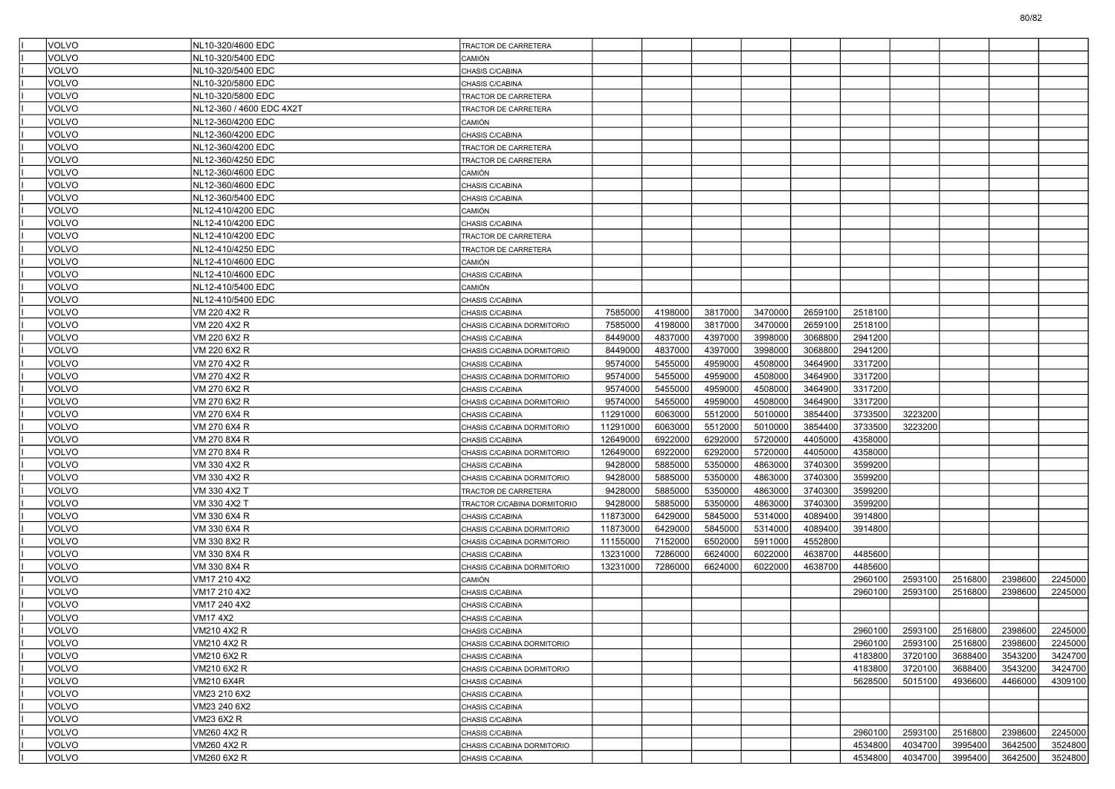| <b>VOLVO</b> | NL10-320/4600 EDC        | TRACTOR DE CARRETERA        |          |         |         |         |         |         |         |                 |         |         |
|--------------|--------------------------|-----------------------------|----------|---------|---------|---------|---------|---------|---------|-----------------|---------|---------|
| <b>VOLVO</b> | NL10-320/5400 EDC        | CAMIÓN                      |          |         |         |         |         |         |         |                 |         |         |
| <b>VOLVO</b> | NL10-320/5400 EDC        | CHASIS C/CABINA             |          |         |         |         |         |         |         |                 |         |         |
| <b>VOLVO</b> | NL10-320/5800 EDC        | CHASIS C/CABINA             |          |         |         |         |         |         |         |                 |         |         |
| <b>VOLVO</b> | NL10-320/5800 EDC        | TRACTOR DE CARRETERA        |          |         |         |         |         |         |         |                 |         |         |
| <b>VOLVO</b> | NL12-360 / 4600 EDC 4X2T | TRACTOR DE CARRETERA        |          |         |         |         |         |         |         |                 |         |         |
| <b>VOLVO</b> | NL12-360/4200 EDC        | CAMIÓN                      |          |         |         |         |         |         |         |                 |         |         |
| <b>VOLVO</b> | NL12-360/4200 EDC        | CHASIS C/CABINA             |          |         |         |         |         |         |         |                 |         |         |
| <b>VOLVO</b> | NL12-360/4200 EDC        | TRACTOR DE CARRETERA        |          |         |         |         |         |         |         |                 |         |         |
| <b>VOLVO</b> | NL12-360/4250 EDC        | TRACTOR DE CARRETERA        |          |         |         |         |         |         |         |                 |         |         |
| <b>VOLVO</b> | NL12-360/4600 EDC        | <b>CAMIÓN</b>               |          |         |         |         |         |         |         |                 |         |         |
| <b>VOLVO</b> | NL12-360/4600 EDC        | CHASIS C/CABINA             |          |         |         |         |         |         |         |                 |         |         |
| <b>VOLVO</b> | NL12-360/5400 EDC        | CHASIS C/CABINA             |          |         |         |         |         |         |         |                 |         |         |
| <b>VOLVO</b> | NL12-410/4200 EDC        | CAMIÓN                      |          |         |         |         |         |         |         |                 |         |         |
| <b>VOLVO</b> | NL12-410/4200 EDC        | CHASIS C/CABINA             |          |         |         |         |         |         |         |                 |         |         |
| <b>VOLVO</b> | NL12-410/4200 EDC        | TRACTOR DE CARRETERA        |          |         |         |         |         |         |         |                 |         |         |
| <b>VOLVO</b> | NL12-410/4250 EDC        | TRACTOR DE CARRETERA        |          |         |         |         |         |         |         |                 |         |         |
| <b>VOLVO</b> | NL12-410/4600 EDC        | <b>CAMIÓN</b>               |          |         |         |         |         |         |         |                 |         |         |
| <b>VOLVO</b> | NL12-410/4600 EDC        | CHASIS C/CABINA             |          |         |         |         |         |         |         |                 |         |         |
| <b>VOLVO</b> | NL12-410/5400 EDC        | CAMIÓN                      |          |         |         |         |         |         |         |                 |         |         |
| <b>VOLVO</b> | NL12-410/5400 EDC        | CHASIS C/CABINA             |          |         |         |         |         |         |         |                 |         |         |
| <b>VOLVO</b> | VM 220 4X2 R             | CHASIS C/CABINA             | 7585000  | 4198000 | 3817000 | 3470000 | 2659100 | 2518100 |         |                 |         |         |
| <b>VOLVO</b> | VM 220 4X2 R             | CHASIS C/CABINA DORMITORIO  | 7585000  | 4198000 | 3817000 | 3470000 | 2659100 | 2518100 |         |                 |         |         |
| <b>VOLVO</b> | VM 220 6X2 R             | CHASIS C/CABINA             | 8449000  | 4837000 | 4397000 | 3998000 | 3068800 | 2941200 |         |                 |         |         |
| <b>VOLVO</b> | VM 220 6X2 R             | CHASIS C/CABINA DORMITORIO  | 8449000  | 4837000 | 4397000 | 3998000 | 3068800 | 2941200 |         |                 |         |         |
| <b>VOLVO</b> | VM 270 4X2 R             | CHASIS C/CABINA             | 9574000  | 5455000 | 4959000 | 4508000 | 3464900 | 3317200 |         |                 |         |         |
| <b>VOLVO</b> | VM 270 4X2 R             | CHASIS C/CABINA DORMITORIO  | 9574000  | 5455000 | 4959000 | 4508000 | 3464900 | 3317200 |         |                 |         |         |
| <b>VOLVO</b> | VM 270 6X2 R             | CHASIS C/CABINA             | 9574000  | 5455000 | 4959000 | 4508000 | 3464900 | 3317200 |         |                 |         |         |
| <b>VOLVO</b> | VM 270 6X2 R             | CHASIS C/CABINA DORMITORIO  | 9574000  | 5455000 | 4959000 | 4508000 | 3464900 | 3317200 |         |                 |         |         |
| <b>VOLVO</b> | VM 270 6X4 R             | CHASIS C/CABINA             | 11291000 | 6063000 | 5512000 | 5010000 | 3854400 | 3733500 | 3223200 |                 |         |         |
| <b>VOLVO</b> | VM 270 6X4 R             | CHASIS C/CABINA DORMITORIO  | 11291000 | 6063000 | 5512000 | 5010000 | 3854400 | 3733500 | 3223200 |                 |         |         |
| <b>VOLVO</b> | VM 270 8X4 R             | CHASIS C/CABINA             | 12649000 | 6922000 | 6292000 | 5720000 | 4405000 | 4358000 |         |                 |         |         |
| <b>VOLVO</b> | VM 270 8X4 R             | CHASIS C/CABINA DORMITORIO  | 12649000 | 6922000 | 6292000 | 5720000 | 4405000 | 4358000 |         |                 |         |         |
| <b>VOLVO</b> | VM 330 4X2 R             | CHASIS C/CABINA             | 9428000  | 5885000 | 5350000 | 4863000 | 3740300 | 3599200 |         |                 |         |         |
| <b>VOLVO</b> | VM 330 4X2 R             | CHASIS C/CABINA DORMITORIO  | 9428000  | 5885000 | 5350000 | 4863000 | 3740300 | 3599200 |         |                 |         |         |
| <b>VOLVO</b> | VM 330 4X2 T             | TRACTOR DE CARRETERA        | 9428000  | 5885000 | 5350000 | 4863000 | 3740300 | 3599200 |         |                 |         |         |
| <b>VOLVO</b> | VM 330 4X2 T             | TRACTOR C/CABINA DORMITORIO | 9428000  | 5885000 | 5350000 | 4863000 | 3740300 | 3599200 |         |                 |         |         |
| <b>VOLVO</b> | VM 330 6X4 R             | CHASIS C/CABINA             | 11873000 | 6429000 | 5845000 | 5314000 | 4089400 | 3914800 |         |                 |         |         |
| <b>VOLVO</b> | VM 330 6X4 R             | CHASIS C/CABINA DORMITORIO  | 11873000 | 6429000 | 5845000 | 5314000 | 4089400 | 3914800 |         |                 |         |         |
| <b>VOLVO</b> | VM 330 8X2 R             | CHASIS C/CABINA DORMITORIO  | 11155000 | 7152000 | 6502000 | 5911000 | 4552800 |         |         |                 |         |         |
| <b>VOLVO</b> | VM 330 8X4 R             | CHASIS C/CABINA             | 13231000 | 7286000 | 6624000 | 6022000 | 4638700 | 4485600 |         |                 |         |         |
| <b>VOLVO</b> | VM 330 8X4 R             | CHASIS C/CABINA DORMITORIO  | 13231000 | 7286000 | 6624000 | 6022000 | 4638700 | 4485600 |         |                 |         |         |
| <b>VOLVO</b> | VM17 210 4X2             | <b>CAMIÓN</b>               |          |         |         |         |         | 2960100 | 2593100 | 2516800         | 2398600 | 2245000 |
| <b>VOLVO</b> | VM17 210 4X2             | CHASIS C/CABINA             |          |         |         |         |         | 2960100 | 2593100 | 2516800         | 2398600 | 2245000 |
| <b>VOLVO</b> | VM17 240 4X2             | CHASIS C/CABINA             |          |         |         |         |         |         |         |                 |         |         |
| <b>VOLVO</b> | VM17 4X2                 | CHASIS C/CABINA             |          |         |         |         |         |         |         |                 |         |         |
| VOLVO        | VM210 4X2 R              | CHASIS C/CABINA             |          |         |         |         |         | 2960100 |         | 2593100 2516800 | 2398600 | 2245000 |
| <b>VOLVO</b> | VM210 4X2 R              | CHASIS C/CABINA DORMITORIO  |          |         |         |         |         | 2960100 | 2593100 | 2516800         | 2398600 | 2245000 |
| VOLVO        | VM210 6X2 R              | CHASIS C/CABINA             |          |         |         |         |         | 4183800 | 3720100 | 3688400         | 3543200 | 3424700 |
| VOLVO        | VM210 6X2 R              | CHASIS C/CABINA DORMITORIO  |          |         |         |         |         | 4183800 | 3720100 | 3688400         | 3543200 | 3424700 |
| <b>VOLVO</b> | VM210 6X4R               | CHASIS C/CABINA             |          |         |         |         |         | 5628500 | 5015100 | 4936600         | 4466000 | 4309100 |
| VOLVO        | VM23 210 6X2             | CHASIS C/CABINA             |          |         |         |         |         |         |         |                 |         |         |
| <b>VOLVO</b> | VM23 240 6X2             | CHASIS C/CABINA             |          |         |         |         |         |         |         |                 |         |         |
| <b>VOLVO</b> | VM23 6X2 R               | CHASIS C/CABINA             |          |         |         |         |         |         |         |                 |         |         |
| VOLVO        | VM260 4X2 R              | CHASIS C/CABINA             |          |         |         |         |         | 2960100 | 2593100 | 2516800         | 2398600 | 2245000 |
| <b>VOLVO</b> | VM260 4X2 R              | CHASIS C/CABINA DORMITORIO  |          |         |         |         |         | 4534800 | 4034700 | 3995400         | 3642500 | 3524800 |
| VOLVO        | VM260 6X2 R              | CHASIS C/CABINA             |          |         |         |         |         | 4534800 | 4034700 | 3995400         | 3642500 | 3524800 |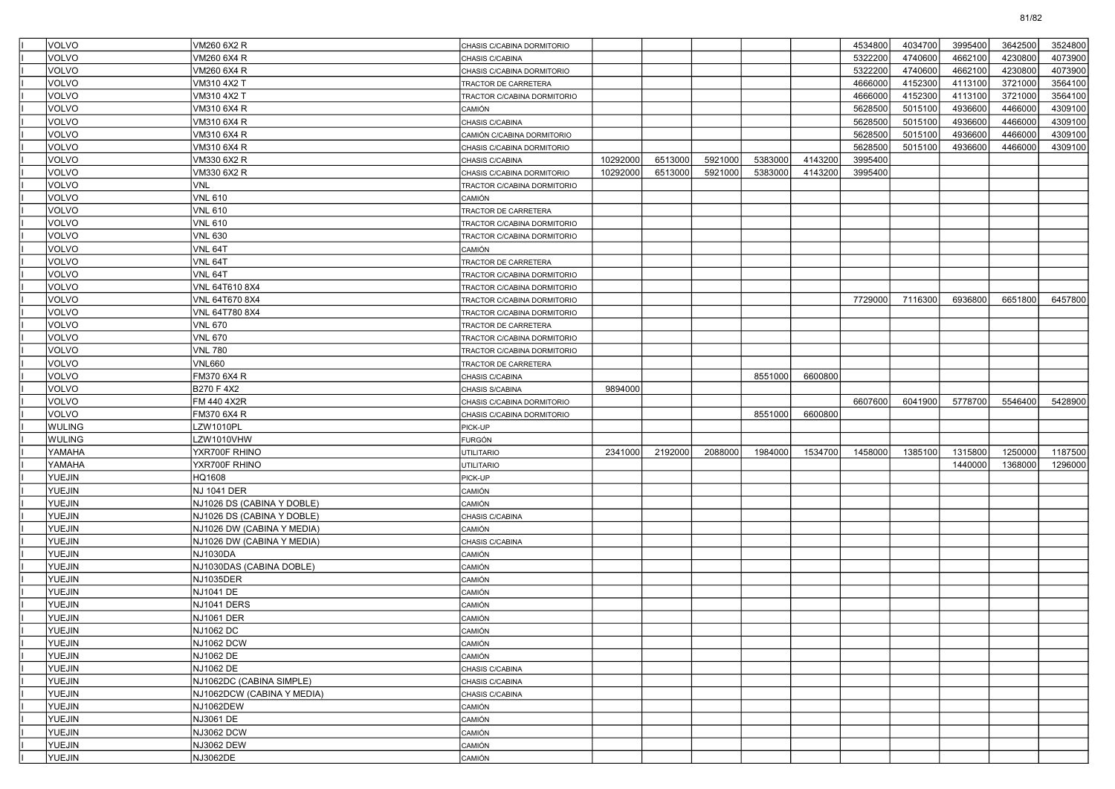| <b>VOLVO</b>  | VM260 6X2 R                            | CHASIS C/CABINA DORMITORIO       |          |         |         |         |         | 4534800 | 4034700 | 3995400 | 3642500 | 3524800 |
|---------------|----------------------------------------|----------------------------------|----------|---------|---------|---------|---------|---------|---------|---------|---------|---------|
| VOLVO         | VM260 6X4 R                            | CHASIS C/CABINA                  |          |         |         |         |         | 5322200 | 4740600 | 4662100 | 4230800 | 4073900 |
| VOLVO         | VM260 6X4 R                            | CHASIS C/CABINA DORMITORIO       |          |         |         |         |         | 5322200 | 4740600 | 4662100 | 4230800 | 4073900 |
| <b>VOLVO</b>  | VM310 4X2 T                            | TRACTOR DE CARRETERA             |          |         |         |         |         | 4666000 | 4152300 | 4113100 | 3721000 | 3564100 |
| <b>VOLVO</b>  | VM310 4X2 T                            | TRACTOR C/CABINA DORMITORIO      |          |         |         |         |         | 4666000 | 4152300 | 4113100 | 3721000 | 3564100 |
| <b>VOLVO</b>  | VM310 6X4 R                            | CAMIÓN                           |          |         |         |         |         | 5628500 | 5015100 | 4936600 | 4466000 | 4309100 |
| <b>VOLVO</b>  | VM310 6X4 R                            | CHASIS C/CABINA                  |          |         |         |         |         | 5628500 | 5015100 | 4936600 | 4466000 | 4309100 |
| VOLVO         | VM310 6X4 R                            | CAMIÓN C/CABINA DORMITORIO       |          |         |         |         |         | 5628500 | 5015100 | 4936600 | 4466000 | 4309100 |
| VOLVO         | VM310 6X4 R                            | CHASIS C/CABINA DORMITORIO       |          |         |         |         |         | 5628500 | 5015100 | 4936600 | 4466000 | 4309100 |
| <b>VOLVO</b>  | VM330 6X2 R                            | CHASIS C/CABINA                  | 10292000 | 6513000 | 5921000 | 5383000 | 4143200 | 3995400 |         |         |         |         |
| <b>VOLVO</b>  | VM330 6X2 R                            | CHASIS C/CABINA DORMITORIO       | 10292000 | 6513000 | 5921000 | 5383000 | 4143200 | 3995400 |         |         |         |         |
| <b>VOLVO</b>  | <b>VNL</b>                             | TRACTOR C/CABINA DORMITORIO      |          |         |         |         |         |         |         |         |         |         |
| VOLVO         | VNL 610                                | CAMIÓN                           |          |         |         |         |         |         |         |         |         |         |
| <b>VOLVO</b>  | VNL 610                                | TRACTOR DE CARRETERA             |          |         |         |         |         |         |         |         |         |         |
| <b>VOLVO</b>  | VNL 610                                | TRACTOR C/CABINA DORMITORIO      |          |         |         |         |         |         |         |         |         |         |
| <b>VOLVO</b>  | <b>VNL 630</b>                         | TRACTOR C/CABINA DORMITORIO      |          |         |         |         |         |         |         |         |         |         |
| <b>VOLVO</b>  | VNL 64T                                | CAMIÓN                           |          |         |         |         |         |         |         |         |         |         |
| VOLVO         | VNL 64T                                | TRACTOR DE CARRETERA             |          |         |         |         |         |         |         |         |         |         |
| <b>VOLVO</b>  | VNL 64T                                | TRACTOR C/CABINA DORMITORIO      |          |         |         |         |         |         |         |         |         |         |
| <b>VOLVO</b>  | VNL 64T610 8X4                         | TRACTOR C/CABINA DORMITORIO      |          |         |         |         |         |         |         |         |         |         |
| <b>VOLVO</b>  | VNL 64T670 8X4                         | TRACTOR C/CABINA DORMITORIO      |          |         |         |         |         | 7729000 | 7116300 | 6936800 | 6651800 | 6457800 |
| <b>VOLVO</b>  | VNL 64T780 8X4                         | TRACTOR C/CABINA DORMITORIO      |          |         |         |         |         |         |         |         |         |         |
| VOLVO         | VNL 670                                | TRACTOR DE CARRETERA             |          |         |         |         |         |         |         |         |         |         |
| <b>VOLVO</b>  | VNL 670                                | TRACTOR C/CABINA DORMITORIO      |          |         |         |         |         |         |         |         |         |         |
| <b>VOLVO</b>  | <b>VNL 780</b>                         | TRACTOR C/CABINA DORMITORIO      |          |         |         |         |         |         |         |         |         |         |
| <b>VOLVO</b>  | VNL660                                 | TRACTOR DE CARRETERA             |          |         |         |         |         |         |         |         |         |         |
| <b>VOLVO</b>  | FM370 6X4 R                            | CHASIS C/CABINA                  |          |         |         | 8551000 | 6600800 |         |         |         |         |         |
| <b>VOLVO</b>  | B270 F 4X2                             | CHASIS S/CABINA                  | 9894000  |         |         |         |         |         |         |         |         |         |
| VOLVO         | FM 440 4X2R                            | CHASIS C/CABINA DORMITORIO       |          |         |         |         |         | 6607600 | 6041900 | 5778700 | 5546400 | 5428900 |
| <b>VOLVO</b>  | FM370 6X4 R                            | CHASIS C/CABINA DORMITORIO       |          |         |         | 8551000 | 6600800 |         |         |         |         |         |
| <b>WULING</b> | LZW1010PL                              | PICK-UP                          |          |         |         |         |         |         |         |         |         |         |
| <b>WULING</b> | LZW1010VHW                             | <b>FURGÓN</b>                    |          |         |         |         |         |         |         |         |         |         |
| YAMAHA        | YXR700F RHINO                          | <b>UTILITARIO</b>                | 2341000  | 2192000 | 2088000 | 1984000 | 1534700 | 1458000 | 1385100 | 1315800 | 1250000 | 1187500 |
| YAMAHA        | YXR700F RHINO                          | <b>UTILITARIO</b>                |          |         |         |         |         |         |         | 1440000 | 1368000 | 1296000 |
| <b>YUEJIN</b> | HQ1608                                 | PICK-UP                          |          |         |         |         |         |         |         |         |         |         |
| <b>YUEJIN</b> | NJ 1041 DER                            | CAMIÓN                           |          |         |         |         |         |         |         |         |         |         |
| <b>YUEJIN</b> | NJ1026 DS (CABINA Y DOBLE)             | CAMIÓN                           |          |         |         |         |         |         |         |         |         |         |
| <b>YUEJIN</b> | NJ1026 DS (CABINA Y DOBLE)             | CHASIS C/CABINA                  |          |         |         |         |         |         |         |         |         |         |
| <b>YUEJIN</b> |                                        | CAMIÓN                           |          |         |         |         |         |         |         |         |         |         |
| <b>YUEJIN</b> | NJ1026 DW (CABINA Y MEDIA)             |                                  |          |         |         |         |         |         |         |         |         |         |
| <b>YUEJIN</b> | NJ1026 DW (CABINA Y MEDIA)<br>NJ1030DA | CHASIS C/CABINA<br><b>CAMIÓN</b> |          |         |         |         |         |         |         |         |         |         |
| <b>YUEJIN</b> | NJ1030DAS (CABINA DOBLE)               | CAMIÓN                           |          |         |         |         |         |         |         |         |         |         |
| <b>YUEJIN</b> | <b>NJ1035DER</b>                       | CAMIÓN                           |          |         |         |         |         |         |         |         |         |         |
|               |                                        |                                  |          |         |         |         |         |         |         |         |         |         |
| <b>YUEJIN</b> | NJ1041 DE                              | CAMIÓN                           |          |         |         |         |         |         |         |         |         |         |
| <b>YUEJIN</b> | NJ1041 DERS                            | CAMIÓN                           |          |         |         |         |         |         |         |         |         |         |
| <b>YUEJIN</b> | <b>NJ1061 DER</b>                      | CAMIÓN                           |          |         |         |         |         |         |         |         |         |         |
| <b>YUEJIN</b> | <b>NJ1062 DC</b>                       | CAMIÓN                           |          |         |         |         |         |         |         |         |         |         |
| YUEJIN        | <b>NJ1062 DCW</b>                      | CAMIÓN                           |          |         |         |         |         |         |         |         |         |         |
| <b>YUEJIN</b> | NJ1062 DE                              | CAMIÓN                           |          |         |         |         |         |         |         |         |         |         |
| <b>YUEJIN</b> | NJ1062 DE                              | CHASIS C/CABINA                  |          |         |         |         |         |         |         |         |         |         |
| <b>YUEJIN</b> | NJ1062DC (CABINA SIMPLE)               | CHASIS C/CABINA                  |          |         |         |         |         |         |         |         |         |         |
| <b>YUEJIN</b> | NJ1062DCW (CABINA Y MEDIA)             | CHASIS C/CABINA                  |          |         |         |         |         |         |         |         |         |         |
| <b>YUEJIN</b> | <b>NJ1062DEW</b>                       | CAMIÓN                           |          |         |         |         |         |         |         |         |         |         |
| <b>YUEJIN</b> | NJ3061 DE                              | CAMIÓN                           |          |         |         |         |         |         |         |         |         |         |
| <b>YUEJIN</b> | <b>NJ3062 DCW</b>                      | CAMIÓN                           |          |         |         |         |         |         |         |         |         |         |
| YUEJIN        | <b>NJ3062 DEW</b>                      | CAMIÓN                           |          |         |         |         |         |         |         |         |         |         |
| YUEJIN        | NJ3062DE                               | <b>CAMIÓN</b>                    |          |         |         |         |         |         |         |         |         |         |